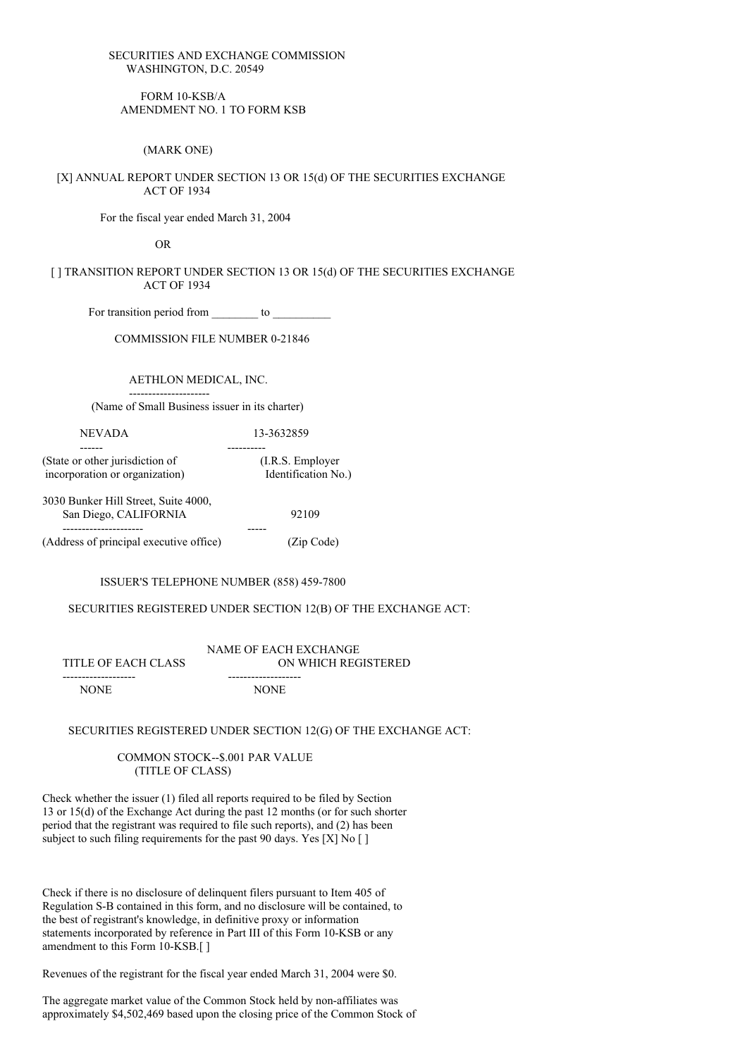### SECURITIES AND EXCHANGE COMMISSION WASHINGTON, D.C. 20549

# FORM 10-KSB/A AMENDMENT NO. 1 TO FORM KSB

### (MARK ONE)

# [X] ANNUAL REPORT UNDER SECTION 13 OR 15(d) OF THE SECURITIES EXCHANGE ACT OF 1934

For the fiscal year ended March 31, 2004

OR

[ ] TRANSITION REPORT UNDER SECTION 13 OR 15(d) OF THE SECURITIES EXCHANGE ACT OF 1934

For transition period from \_\_\_\_\_\_\_\_\_ to \_\_\_\_\_\_\_\_\_\_

COMMISSION FILE NUMBER 0-21846

### AETHLON MEDICAL, INC.

---------------------

(Name of Small Business issuer in its charter)

| <b>NEVADA</b>                                                                   | 13-3632859          |
|---------------------------------------------------------------------------------|---------------------|
|                                                                                 |                     |
| (State or other jurisdiction of                                                 | (I.R.S. Employer)   |
| incorporation or organization)                                                  | Identification No.) |
| 3030 Bunker Hill Street, Suite 4000,<br>San Diego, CALIFORNIA<br>-------------- | 92109               |
| (Address of principal executive office)                                         | (Zip Code)          |

### ISSUER'S TELEPHONE NUMBER (858) 459-7800

### SECURITIES REGISTERED UNDER SECTION 12(B) OF THE EXCHANGE ACT:

NAME OF EACH EXCHANGE TITLE OF EACH CLASS ON WHICH REGISTERED ------------------- -------------------

NONE NONE

### SECURITIES REGISTERED UNDER SECTION 12(G) OF THE EXCHANGE ACT:

### COMMON STOCK--\$.001 PAR VALUE (TITLE OF CLASS)

Check whether the issuer (1) filed all reports required to be filed by Section 13 or 15(d) of the Exchange Act during the past 12 months (or for such shorter period that the registrant was required to file such reports), and (2) has been subject to such filing requirements for the past 90 days. Yes  $[X]$  No  $[ ]$ 

Check if there is no disclosure of delinquent filers pursuant to Item 405 of Regulation S-B contained in this form, and no disclosure will be contained, to the best of registrant's knowledge, in definitive proxy or information statements incorporated by reference in Part III of this Form 10-KSB or any amendment to this Form 10-KSB.[ ]

Revenues of the registrant for the fiscal year ended March 31, 2004 were \$0.

The aggregate market value of the Common Stock held by non-affiliates was approximately \$4,502,469 based upon the closing price of the Common Stock of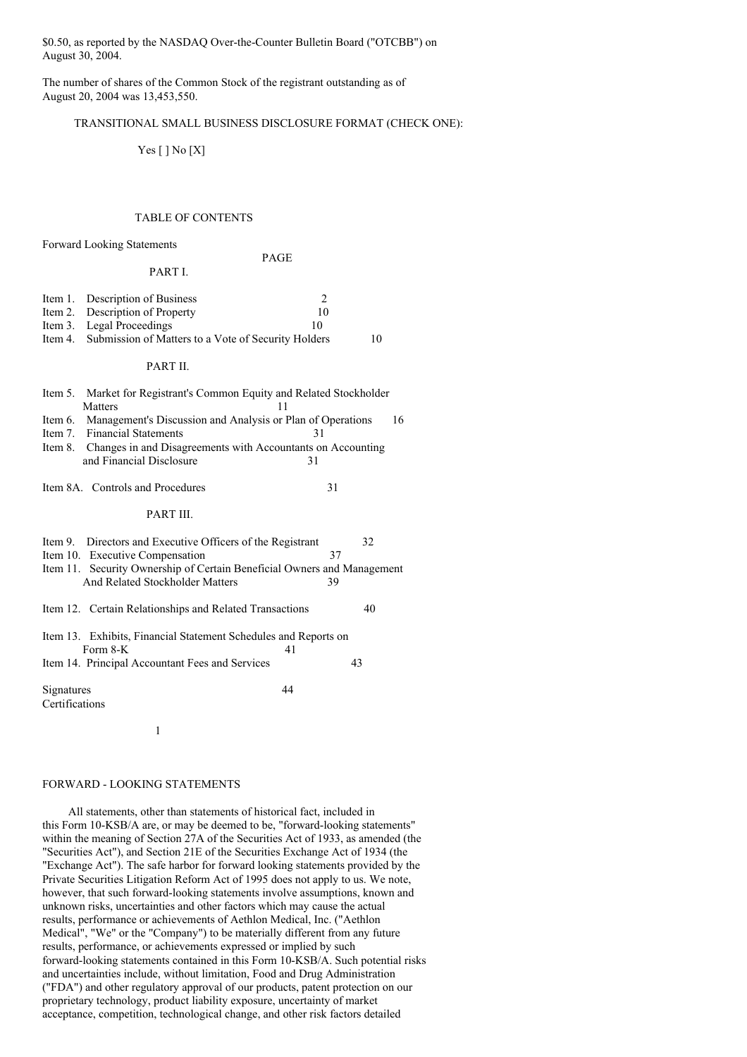\$0.50, as reported by the NASDAQ Over-the-Counter Bulletin Board ("OTCBB") on August 30, 2004.

The number of shares of the Common Stock of the registrant outstanding as of August 20, 2004 was 13,453,550.

### TRANSITIONAL SMALL BUSINESS DISCLOSURE FORMAT (CHECK ONE):

 $Yes [ ] No [ X ]$ 

PART I.

### TABLE OF CONTENTS

Forward Looking Statements

PAGE

Item 1. Description of Business 2 Item 2. Description of Property 10 Item 3. Legal Proceedings 10 Item 4. Submission of Matters to a Vote of Security Holders 10 PART II. Item 5. Market for Registrant's Common Equity and Related Stockholder Matters 11 Item 6. Management's Discussion and Analysis or Plan of Operations 16 Item 7. Financial Statements 31 Item 8. Changes in and Disagreements with Accountants on Accounting and Financial Disclosure 31 Item 8A. Controls and Procedures 31 PART III. Item 9. Directors and Executive Officers of the Registrant 32 Item 10. Executive Compensation 37 Item 11. Security Ownership of Certain Beneficial Owners and Management And Related Stockholder Matters 39 Item 12. Certain Relationships and Related Transactions 40 Item 13. Exhibits, Financial Statement Schedules and Reports on Form  $8-K$  41 Item 14. Principal Accountant Fees and Services 43 Signatures 44 Certifications

#### FORWARD - LOOKING STATEMENTS

1

All statements, other than statements of historical fact, included in this Form 10-KSB/A are, or may be deemed to be, "forward-looking statements" within the meaning of Section 27A of the Securities Act of 1933, as amended (the "Securities Act"), and Section 21E of the Securities Exchange Act of 1934 (the "Exchange Act"). The safe harbor for forward looking statements provided by the Private Securities Litigation Reform Act of 1995 does not apply to us. We note, however, that such forward-looking statements involve assumptions, known and unknown risks, uncertainties and other factors which may cause the actual results, performance or achievements of Aethlon Medical, Inc. ("Aethlon Medical", "We" or the "Company") to be materially different from any future results, performance, or achievements expressed or implied by such forward-looking statements contained in this Form 10-KSB/A. Such potential risks and uncertainties include, without limitation, Food and Drug Administration ("FDA") and other regulatory approval of our products, patent protection on our proprietary technology, product liability exposure, uncertainty of market acceptance, competition, technological change, and other risk factors detailed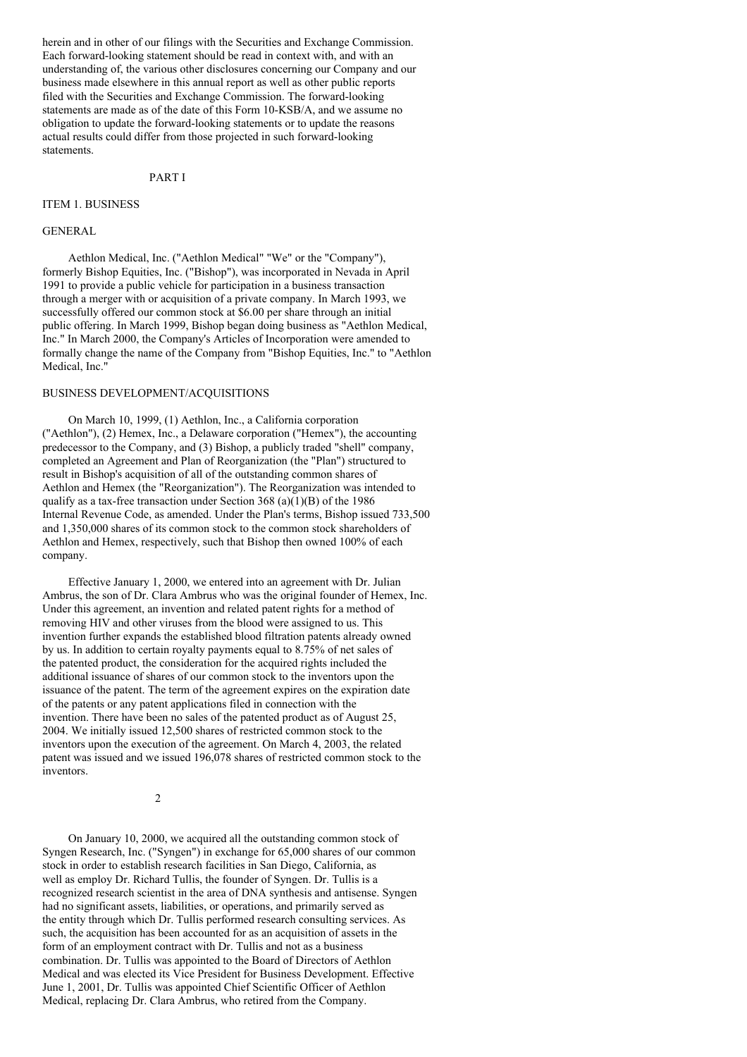herein and in other of our filings with the Securities and Exchange Commission. Each forward-looking statement should be read in context with, and with an understanding of, the various other disclosures concerning our Company and our business made elsewhere in this annual report as well as other public reports filed with the Securities and Exchange Commission. The forward-looking statements are made as of the date of this Form 10-KSB/A, and we assume no obligation to update the forward-looking statements or to update the reasons actual results could differ from those projected in such forward-looking statements.

# PART I

#### ITEM 1. BUSINESS

#### **GENERAL**

Aethlon Medical, Inc. ("Aethlon Medical" "We" or the "Company"), formerly Bishop Equities, Inc. ("Bishop"), was incorporated in Nevada in April 1991 to provide a public vehicle for participation in a business transaction through a merger with or acquisition of a private company. In March 1993, we successfully offered our common stock at \$6.00 per share through an initial public offering. In March 1999, Bishop began doing business as "Aethlon Medical, Inc." In March 2000, the Company's Articles of Incorporation were amended to formally change the name of the Company from "Bishop Equities, Inc." to "Aethlon Medical, Inc."

### BUSINESS DEVELOPMENT/ACQUISITIONS

On March 10, 1999, (1) Aethlon, Inc., a California corporation ("Aethlon"), (2) Hemex, Inc., a Delaware corporation ("Hemex"), the accounting predecessor to the Company, and (3) Bishop, a publicly traded "shell" company, completed an Agreement and Plan of Reorganization (the "Plan") structured to result in Bishop's acquisition of all of the outstanding common shares of Aethlon and Hemex (the "Reorganization"). The Reorganization was intended to qualify as a tax-free transaction under Section 368 (a)(1)(B) of the 1986 Internal Revenue Code, as amended. Under the Plan's terms, Bishop issued 733,500 and 1,350,000 shares of its common stock to the common stock shareholders of Aethlon and Hemex, respectively, such that Bishop then owned 100% of each company.

Effective January 1, 2000, we entered into an agreement with Dr. Julian Ambrus, the son of Dr. Clara Ambrus who was the original founder of Hemex, Inc. Under this agreement, an invention and related patent rights for a method of removing HIV and other viruses from the blood were assigned to us. This invention further expands the established blood filtration patents already owned by us. In addition to certain royalty payments equal to 8.75% of net sales of the patented product, the consideration for the acquired rights included the additional issuance of shares of our common stock to the inventors upon the issuance of the patent. The term of the agreement expires on the expiration date of the patents or any patent applications filed in connection with the invention. There have been no sales of the patented product as of August 25, 2004. We initially issued 12,500 shares of restricted common stock to the inventors upon the execution of the agreement. On March 4, 2003, the related patent was issued and we issued 196,078 shares of restricted common stock to the inventors.

2

On January 10, 2000, we acquired all the outstanding common stock of Syngen Research, Inc. ("Syngen") in exchange for 65,000 shares of our common stock in order to establish research facilities in San Diego, California, as well as employ Dr. Richard Tullis, the founder of Syngen. Dr. Tullis is a recognized research scientist in the area of DNA synthesis and antisense. Syngen had no significant assets, liabilities, or operations, and primarily served as the entity through which Dr. Tullis performed research consulting services. As such, the acquisition has been accounted for as an acquisition of assets in the form of an employment contract with Dr. Tullis and not as a business combination. Dr. Tullis was appointed to the Board of Directors of Aethlon Medical and was elected its Vice President for Business Development. Effective June 1, 2001, Dr. Tullis was appointed Chief Scientific Officer of Aethlon Medical, replacing Dr. Clara Ambrus, who retired from the Company.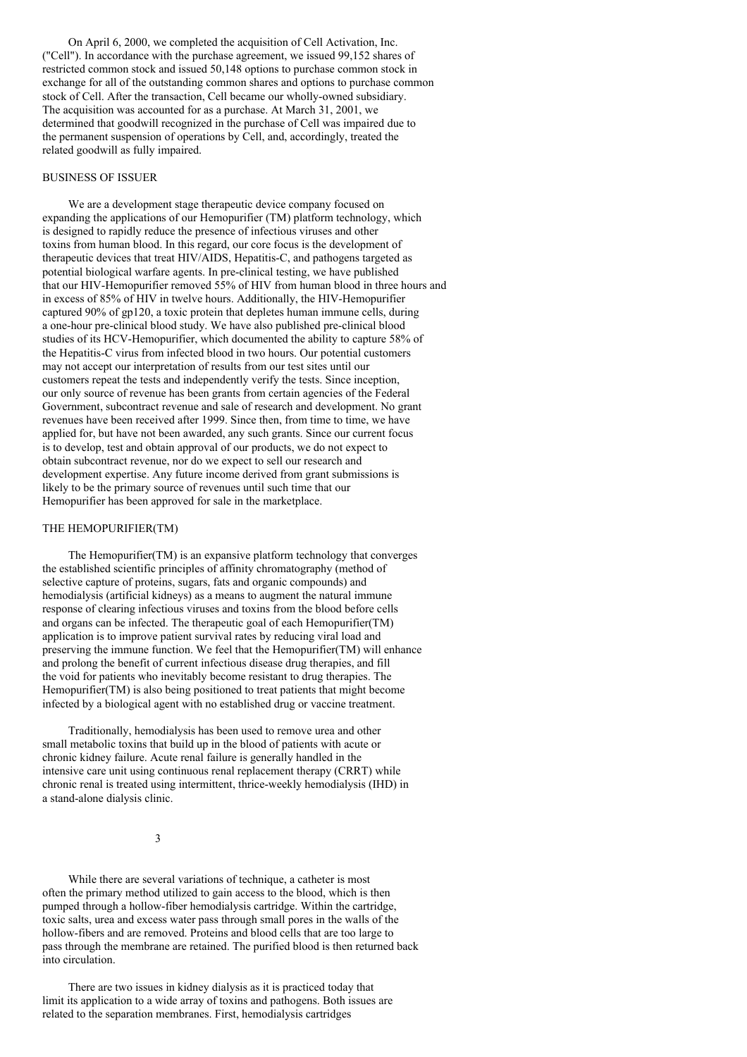On April 6, 2000, we completed the acquisition of Cell Activation, Inc. ("Cell"). In accordance with the purchase agreement, we issued 99,152 shares of restricted common stock and issued 50,148 options to purchase common stock in exchange for all of the outstanding common shares and options to purchase common stock of Cell. After the transaction, Cell became our wholly-owned subsidiary. The acquisition was accounted for as a purchase. At March 31, 2001, we determined that goodwill recognized in the purchase of Cell was impaired due to the permanent suspension of operations by Cell, and, accordingly, treated the related goodwill as fully impaired.

#### BUSINESS OF ISSUER

We are a development stage therapeutic device company focused on expanding the applications of our Hemopurifier (TM) platform technology, which is designed to rapidly reduce the presence of infectious viruses and other toxins from human blood. In this regard, our core focus is the development of therapeutic devices that treat HIV/AIDS, Hepatitis-C, and pathogens targeted as potential biological warfare agents. In pre-clinical testing, we have published that our HIV-Hemopurifier removed 55% of HIV from human blood in three hours and in excess of 85% of HIV in twelve hours. Additionally, the HIV-Hemopurifier captured 90% of gp120, a toxic protein that depletes human immune cells, during a one-hour pre-clinical blood study. We have also published pre-clinical blood studies of its HCV-Hemopurifier, which documented the ability to capture 58% of the Hepatitis-C virus from infected blood in two hours. Our potential customers may not accept our interpretation of results from our test sites until our customers repeat the tests and independently verify the tests. Since inception, our only source of revenue has been grants from certain agencies of the Federal Government, subcontract revenue and sale of research and development. No grant revenues have been received after 1999. Since then, from time to time, we have applied for, but have not been awarded, any such grants. Since our current focus is to develop, test and obtain approval of our products, we do not expect to obtain subcontract revenue, nor do we expect to sell our research and development expertise. Any future income derived from grant submissions is likely to be the primary source of revenues until such time that our Hemopurifier has been approved for sale in the marketplace.

### THE HEMOPURIFIER(TM)

The Hemopurifier(TM) is an expansive platform technology that converges the established scientific principles of affinity chromatography (method of selective capture of proteins, sugars, fats and organic compounds) and hemodialysis (artificial kidneys) as a means to augment the natural immune response of clearing infectious viruses and toxins from the blood before cells and organs can be infected. The therapeutic goal of each Hemopurifier(TM) application is to improve patient survival rates by reducing viral load and preserving the immune function. We feel that the Hemopurifier(TM) will enhance and prolong the benefit of current infectious disease drug therapies, and fill the void for patients who inevitably become resistant to drug therapies. The Hemopurifier(TM) is also being positioned to treat patients that might become infected by a biological agent with no established drug or vaccine treatment.

Traditionally, hemodialysis has been used to remove urea and other small metabolic toxins that build up in the blood of patients with acute or chronic kidney failure. Acute renal failure is generally handled in the intensive care unit using continuous renal replacement therapy (CRRT) while chronic renal is treated using intermittent, thrice-weekly hemodialysis (IHD) in a stand-alone dialysis clinic.

3

While there are several variations of technique, a catheter is most often the primary method utilized to gain access to the blood, which is then pumped through a hollow-fiber hemodialysis cartridge. Within the cartridge, toxic salts, urea and excess water pass through small pores in the walls of the hollow-fibers and are removed. Proteins and blood cells that are too large to pass through the membrane are retained. The purified blood is then returned back into circulation.

There are two issues in kidney dialysis as it is practiced today that limit its application to a wide array of toxins and pathogens. Both issues are related to the separation membranes. First, hemodialysis cartridges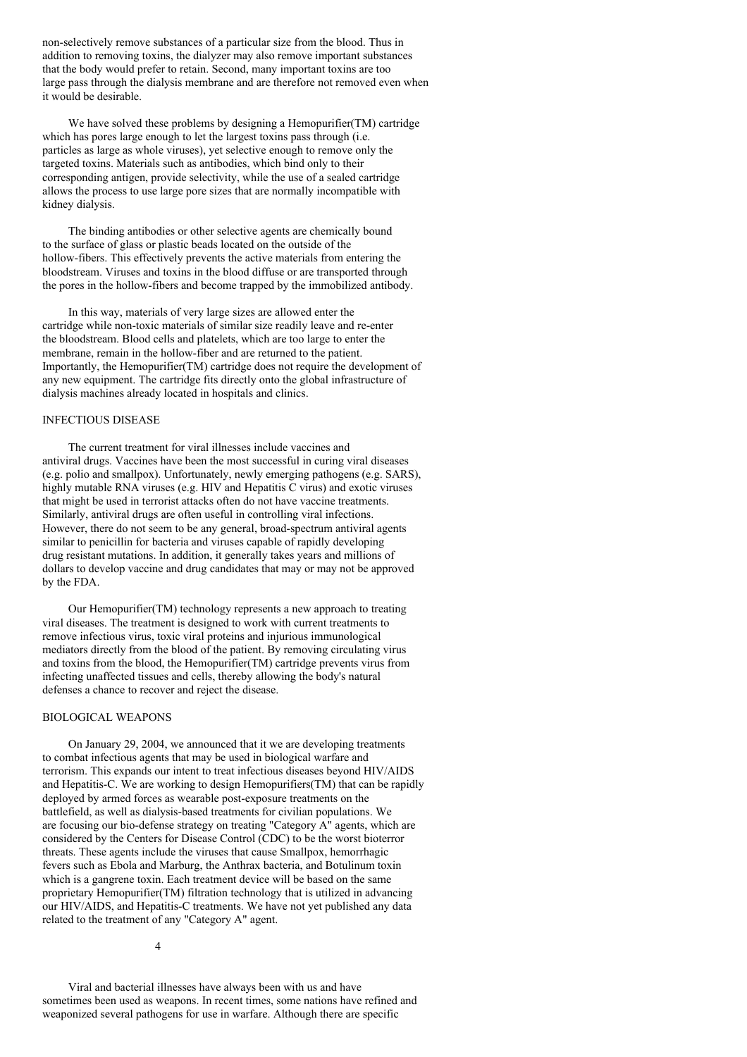non-selectively remove substances of a particular size from the blood. Thus in addition to removing toxins, the dialyzer may also remove important substances that the body would prefer to retain. Second, many important toxins are too large pass through the dialysis membrane and are therefore not removed even when it would be desirable.

We have solved these problems by designing a Hemopurifier(TM) cartridge which has pores large enough to let the largest toxins pass through (i.e. particles as large as whole viruses), yet selective enough to remove only the targeted toxins. Materials such as antibodies, which bind only to their corresponding antigen, provide selectivity, while the use of a sealed cartridge allows the process to use large pore sizes that are normally incompatible with kidney dialysis.

The binding antibodies or other selective agents are chemically bound to the surface of glass or plastic beads located on the outside of the hollow-fibers. This effectively prevents the active materials from entering the bloodstream. Viruses and toxins in the blood diffuse or are transported through the pores in the hollow-fibers and become trapped by the immobilized antibody.

In this way, materials of very large sizes are allowed enter the cartridge while non-toxic materials of similar size readily leave and re-enter the bloodstream. Blood cells and platelets, which are too large to enter the membrane, remain in the hollow-fiber and are returned to the patient. Importantly, the Hemopurifier(TM) cartridge does not require the development of any new equipment. The cartridge fits directly onto the global infrastructure of dialysis machines already located in hospitals and clinics.

# INFECTIOUS DISEASE

The current treatment for viral illnesses include vaccines and antiviral drugs. Vaccines have been the most successful in curing viral diseases (e.g. polio and smallpox). Unfortunately, newly emerging pathogens (e.g. SARS), highly mutable RNA viruses (e.g. HIV and Hepatitis C virus) and exotic viruses that might be used in terrorist attacks often do not have vaccine treatments. Similarly, antiviral drugs are often useful in controlling viral infections. However, there do not seem to be any general, broad-spectrum antiviral agents similar to penicillin for bacteria and viruses capable of rapidly developing drug resistant mutations. In addition, it generally takes years and millions of dollars to develop vaccine and drug candidates that may or may not be approved by the FDA.

Our Hemopurifier(TM) technology represents a new approach to treating viral diseases. The treatment is designed to work with current treatments to remove infectious virus, toxic viral proteins and injurious immunological mediators directly from the blood of the patient. By removing circulating virus and toxins from the blood, the Hemopurifier(TM) cartridge prevents virus from infecting unaffected tissues and cells, thereby allowing the body's natural defenses a chance to recover and reject the disease.

#### BIOLOGICAL WEAPONS

On January 29, 2004, we announced that it we are developing treatments to combat infectious agents that may be used in biological warfare and terrorism. This expands our intent to treat infectious diseases beyond HIV/AIDS and Hepatitis-C. We are working to design Hemopurifiers(TM) that can be rapidly deployed by armed forces as wearable post-exposure treatments on the battlefield, as well as dialysis-based treatments for civilian populations. We are focusing our bio-defense strategy on treating "Category A" agents, which are considered by the Centers for Disease Control (CDC) to be the worst bioterror threats. These agents include the viruses that cause Smallpox, hemorrhagic fevers such as Ebola and Marburg, the Anthrax bacteria, and Botulinum toxin which is a gangrene toxin. Each treatment device will be based on the same proprietary Hemopurifier(TM) filtration technology that is utilized in advancing our HIV/AIDS, and Hepatitis-C treatments. We have not yet published any data related to the treatment of any "Category A" agent.

Viral and bacterial illnesses have always been with us and have sometimes been used as weapons. In recent times, some nations have refined and weaponized several pathogens for use in warfare. Although there are specific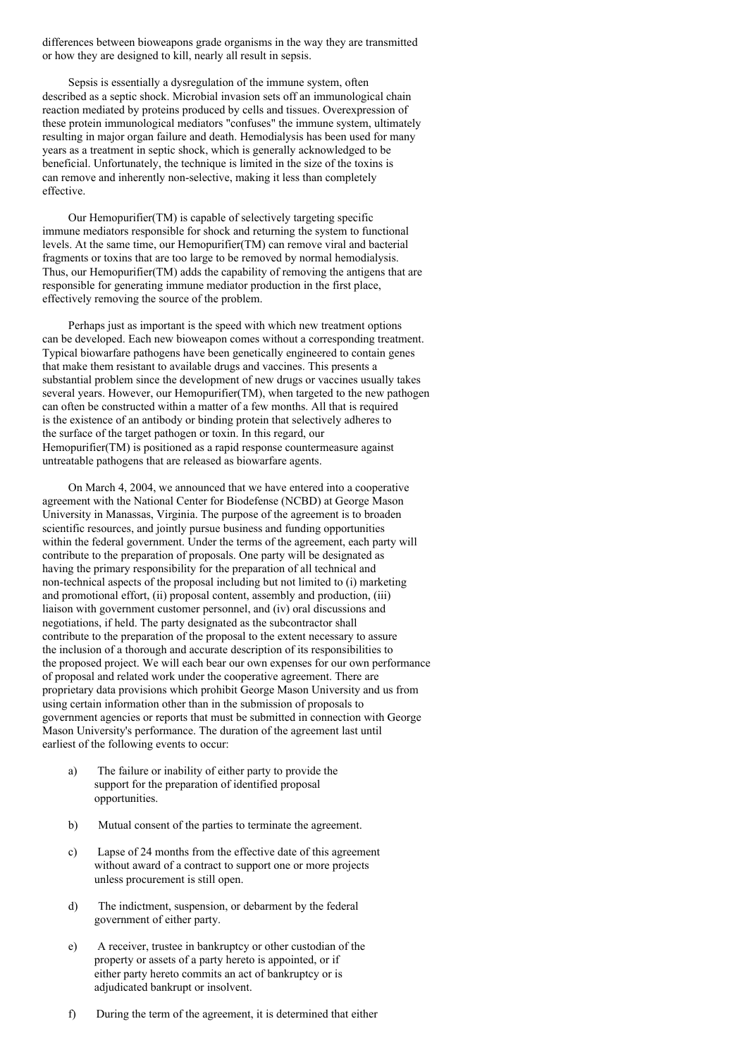differences between bioweapons grade organisms in the way they are transmitted or how they are designed to kill, nearly all result in sepsis.

Sepsis is essentially a dysregulation of the immune system, often described as a septic shock. Microbial invasion sets off an immunological chain reaction mediated by proteins produced by cells and tissues. Overexpression of these protein immunological mediators "confuses" the immune system, ultimately resulting in major organ failure and death. Hemodialysis has been used for many years as a treatment in septic shock, which is generally acknowledged to be beneficial. Unfortunately, the technique is limited in the size of the toxins is can remove and inherently non-selective, making it less than completely effective.

Our Hemopurifier(TM) is capable of selectively targeting specific immune mediators responsible for shock and returning the system to functional levels. At the same time, our Hemopurifier(TM) can remove viral and bacterial fragments or toxins that are too large to be removed by normal hemodialysis. Thus, our Hemopurifier(TM) adds the capability of removing the antigens that are responsible for generating immune mediator production in the first place, effectively removing the source of the problem.

Perhaps just as important is the speed with which new treatment options can be developed. Each new bioweapon comes without a corresponding treatment. Typical biowarfare pathogens have been genetically engineered to contain genes that make them resistant to available drugs and vaccines. This presents a substantial problem since the development of new drugs or vaccines usually takes several years. However, our Hemopurifier(TM), when targeted to the new pathogen can often be constructed within a matter of a few months. All that is required is the existence of an antibody or binding protein that selectively adheres to the surface of the target pathogen or toxin. In this regard, our Hemopurifier(TM) is positioned as a rapid response countermeasure against untreatable pathogens that are released as biowarfare agents.

On March 4, 2004, we announced that we have entered into a cooperative agreement with the National Center for Biodefense (NCBD) at George Mason University in Manassas, Virginia. The purpose of the agreement is to broaden scientific resources, and jointly pursue business and funding opportunities within the federal government. Under the terms of the agreement, each party will contribute to the preparation of proposals. One party will be designated as having the primary responsibility for the preparation of all technical and non-technical aspects of the proposal including but not limited to (i) marketing and promotional effort, (ii) proposal content, assembly and production, (iii) liaison with government customer personnel, and (iv) oral discussions and negotiations, if held. The party designated as the subcontractor shall contribute to the preparation of the proposal to the extent necessary to assure the inclusion of a thorough and accurate description of its responsibilities to the proposed project. We will each bear our own expenses for our own performance of proposal and related work under the cooperative agreement. There are proprietary data provisions which prohibit George Mason University and us from using certain information other than in the submission of proposals to government agencies or reports that must be submitted in connection with George Mason University's performance. The duration of the agreement last until earliest of the following events to occur:

- a) The failure or inability of either party to provide the support for the preparation of identified proposal opportunities.
- b) Mutual consent of the parties to terminate the agreement.
- c) Lapse of 24 months from the effective date of this agreement without award of a contract to support one or more projects unless procurement is still open.
- d) The indictment, suspension, or debarment by the federal government of either party.
- e) A receiver, trustee in bankruptcy or other custodian of the property or assets of a party hereto is appointed, or if either party hereto commits an act of bankruptcy or is adjudicated bankrupt or insolvent.
- f) During the term of the agreement, it is determined that either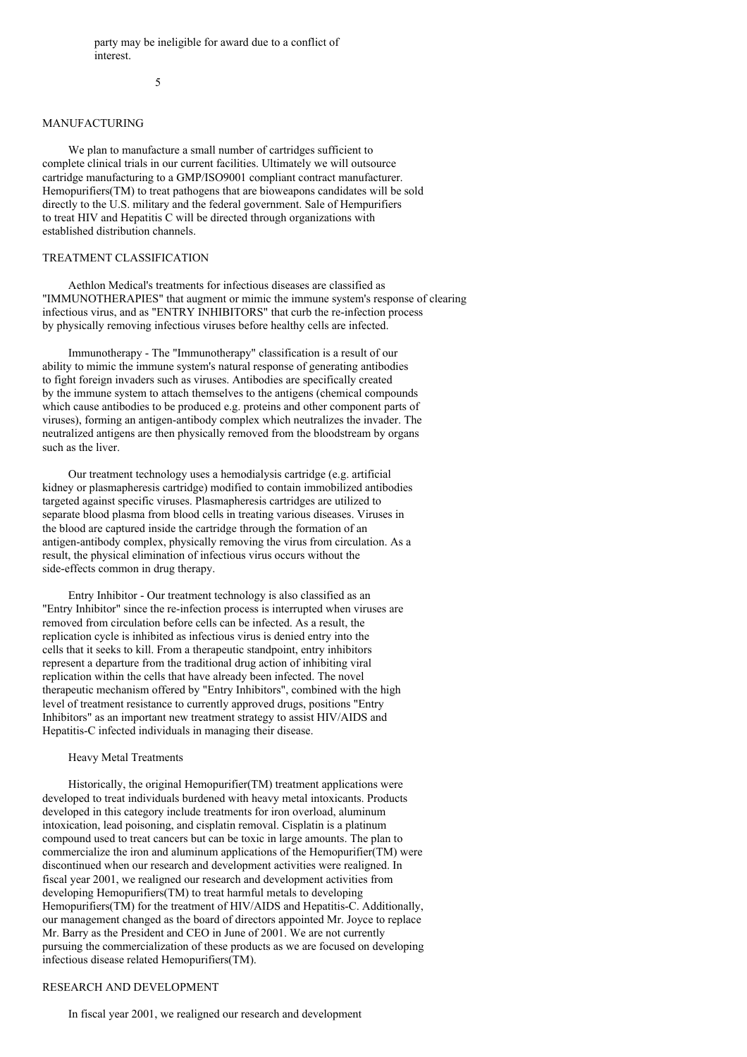party may be ineligible for award due to a conflict of interest.

5

# MANUFACTURING

We plan to manufacture a small number of cartridges sufficient to complete clinical trials in our current facilities. Ultimately we will outsource cartridge manufacturing to a GMP/ISO9001 compliant contract manufacturer. Hemopurifiers(TM) to treat pathogens that are bioweapons candidates will be sold directly to the U.S. military and the federal government. Sale of Hempurifiers to treat HIV and Hepatitis C will be directed through organizations with established distribution channels.

### TREATMENT CLASSIFICATION

Aethlon Medical's treatments for infectious diseases are classified as "IMMUNOTHERAPIES" that augment or mimic the immune system's response of clearing infectious virus, and as "ENTRY INHIBITORS" that curb the re-infection process by physically removing infectious viruses before healthy cells are infected.

Immunotherapy - The "Immunotherapy" classification is a result of our ability to mimic the immune system's natural response of generating antibodies to fight foreign invaders such as viruses. Antibodies are specifically created by the immune system to attach themselves to the antigens (chemical compounds which cause antibodies to be produced e.g. proteins and other component parts of viruses), forming an antigen-antibody complex which neutralizes the invader. The neutralized antigens are then physically removed from the bloodstream by organs such as the liver.

Our treatment technology uses a hemodialysis cartridge (e.g. artificial kidney or plasmapheresis cartridge) modified to contain immobilized antibodies targeted against specific viruses. Plasmapheresis cartridges are utilized to separate blood plasma from blood cells in treating various diseases. Viruses in the blood are captured inside the cartridge through the formation of an antigen-antibody complex, physically removing the virus from circulation. As a result, the physical elimination of infectious virus occurs without the side-effects common in drug therapy.

Entry Inhibitor - Our treatment technology is also classified as an "Entry Inhibitor" since the re-infection process is interrupted when viruses are removed from circulation before cells can be infected. As a result, the replication cycle is inhibited as infectious virus is denied entry into the cells that it seeks to kill. From a therapeutic standpoint, entry inhibitors represent a departure from the traditional drug action of inhibiting viral replication within the cells that have already been infected. The novel therapeutic mechanism offered by "Entry Inhibitors", combined with the high level of treatment resistance to currently approved drugs, positions "Entry Inhibitors" as an important new treatment strategy to assist HIV/AIDS and Hepatitis-C infected individuals in managing their disease.

#### Heavy Metal Treatments

Historically, the original Hemopurifier(TM) treatment applications were developed to treat individuals burdened with heavy metal intoxicants. Products developed in this category include treatments for iron overload, aluminum intoxication, lead poisoning, and cisplatin removal. Cisplatin is a platinum compound used to treat cancers but can be toxic in large amounts. The plan to commercialize the iron and aluminum applications of the Hemopurifier(TM) were discontinued when our research and development activities were realigned. In fiscal year 2001, we realigned our research and development activities from developing Hemopurifiers(TM) to treat harmful metals to developing Hemopurifiers(TM) for the treatment of HIV/AIDS and Hepatitis-C. Additionally, our management changed as the board of directors appointed Mr. Joyce to replace Mr. Barry as the President and CEO in June of 2001. We are not currently pursuing the commercialization of these products as we are focused on developing infectious disease related Hemopurifiers(TM).

#### RESEARCH AND DEVELOPMENT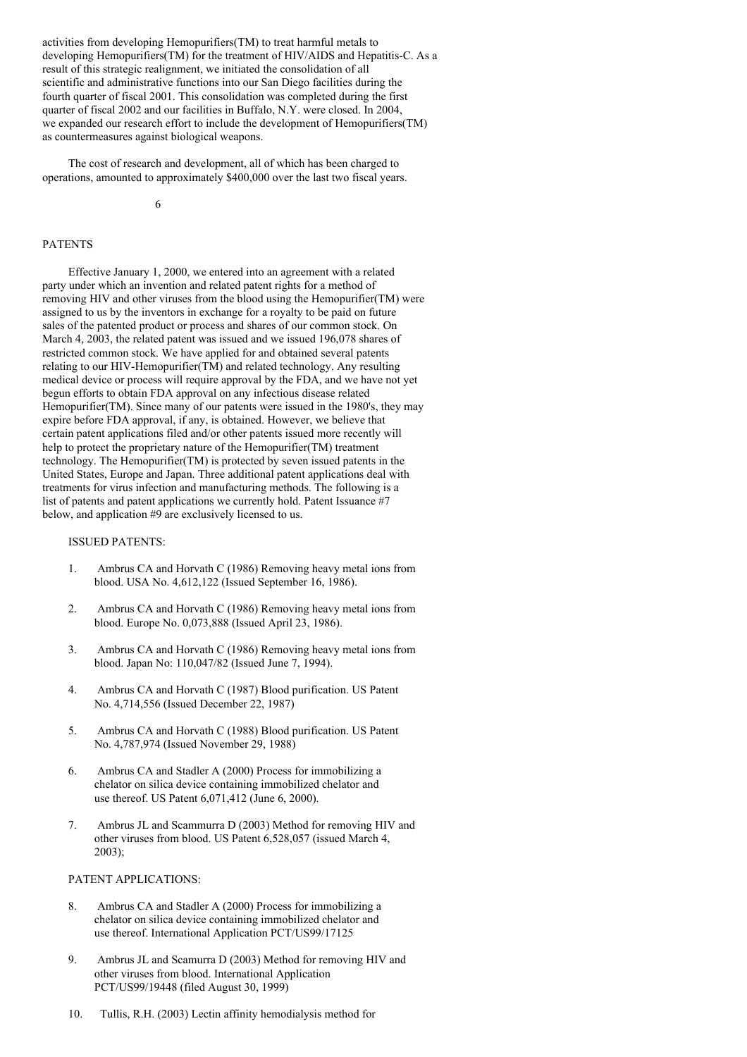activities from developing Hemopurifiers(TM) to treat harmful metals to developing Hemopurifiers(TM) for the treatment of HIV/AIDS and Hepatitis-C. As a result of this strategic realignment, we initiated the consolidation of all scientific and administrative functions into our San Diego facilities during the fourth quarter of fiscal 2001. This consolidation was completed during the first quarter of fiscal 2002 and our facilities in Buffalo, N.Y. were closed. In 2004, we expanded our research effort to include the development of Hemopurifiers(TM) as countermeasures against biological weapons.

The cost of research and development, all of which has been charged to operations, amounted to approximately \$400,000 over the last two fiscal years.

6

### PATENTS

Effective January 1, 2000, we entered into an agreement with a related party under which an invention and related patent rights for a method of removing HIV and other viruses from the blood using the Hemopurifier(TM) were assigned to us by the inventors in exchange for a royalty to be paid on future sales of the patented product or process and shares of our common stock. On March 4, 2003, the related patent was issued and we issued 196,078 shares of restricted common stock. We have applied for and obtained several patents relating to our HIV-Hemopurifier(TM) and related technology. Any resulting medical device or process will require approval by the FDA, and we have not yet begun efforts to obtain FDA approval on any infectious disease related Hemopurifier(TM). Since many of our patents were issued in the 1980's, they may expire before FDA approval, if any, is obtained. However, we believe that certain patent applications filed and/or other patents issued more recently will help to protect the proprietary nature of the Hemopurifier(TM) treatment technology. The Hemopurifier(TM) is protected by seven issued patents in the United States, Europe and Japan. Three additional patent applications deal with treatments for virus infection and manufacturing methods. The following is a list of patents and patent applications we currently hold. Patent Issuance #7 below, and application #9 are exclusively licensed to us.

#### ISSUED PATENTS:

- 1. Ambrus CA and Horvath C (1986) Removing heavy metal ions from blood. USA No. 4,612,122 (Issued September 16, 1986).
- 2. Ambrus CA and Horvath C (1986) Removing heavy metal ions from blood. Europe No. 0,073,888 (Issued April 23, 1986).
- 3. Ambrus CA and Horvath C (1986) Removing heavy metal ions from blood. Japan No: 110,047/82 (Issued June 7, 1994).
- 4. Ambrus CA and Horvath C (1987) Blood purification. US Patent No. 4,714,556 (Issued December 22, 1987)
- 5. Ambrus CA and Horvath C (1988) Blood purification. US Patent No. 4,787,974 (Issued November 29, 1988)
- 6. Ambrus CA and Stadler A (2000) Process for immobilizing a chelator on silica device containing immobilized chelator and use thereof. US Patent 6,071,412 (June 6, 2000).
- 7. Ambrus JL and Scammurra D (2003) Method for removing HIV and other viruses from blood. US Patent 6,528,057 (issued March 4, 2003);

## PATENT APPLICATIONS:

- 8. Ambrus CA and Stadler A (2000) Process for immobilizing a chelator on silica device containing immobilized chelator and use thereof. International Application PCT/US99/17125
- 9. Ambrus JL and Scamurra D (2003) Method for removing HIV and other viruses from blood. International Application PCT/US99/19448 (filed August 30, 1999)
- 10. Tullis, R.H. (2003) Lectin affinity hemodialysis method for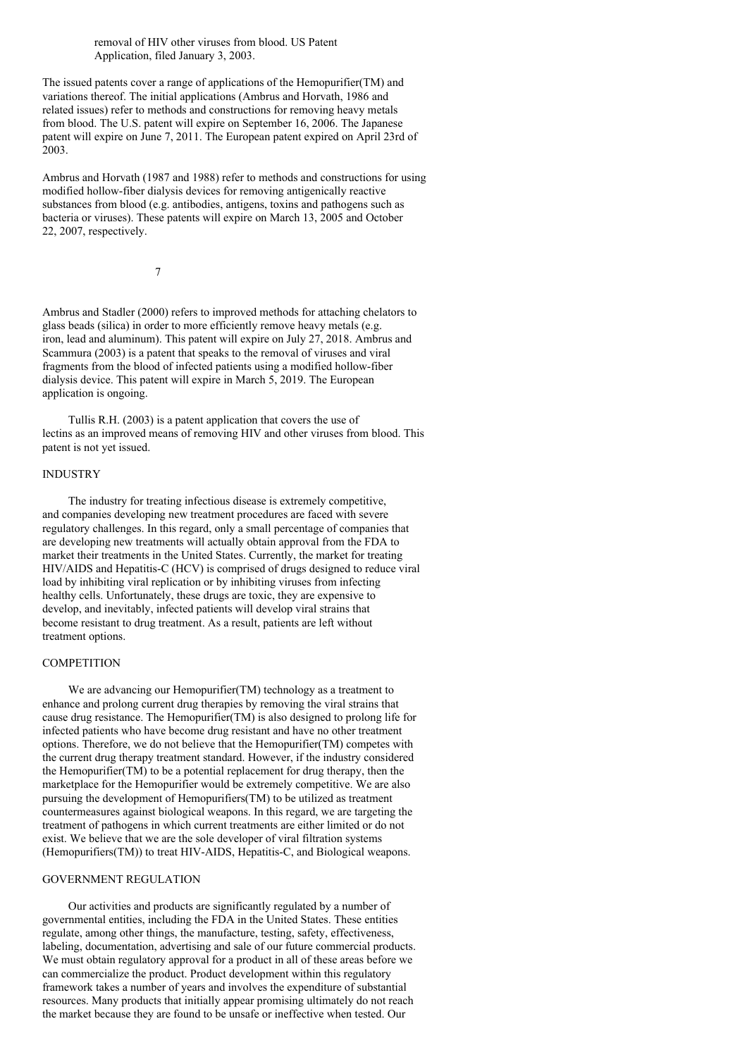removal of HIV other viruses from blood. US Patent Application, filed January 3, 2003.

The issued patents cover a range of applications of the Hemopurifier(TM) and variations thereof. The initial applications (Ambrus and Horvath, 1986 and related issues) refer to methods and constructions for removing heavy metals from blood. The U.S. patent will expire on September 16, 2006. The Japanese patent will expire on June 7, 2011. The European patent expired on April 23rd of 2003.

Ambrus and Horvath (1987 and 1988) refer to methods and constructions for using modified hollow-fiber dialysis devices for removing antigenically reactive substances from blood (e.g. antibodies, antigens, toxins and pathogens such as bacteria or viruses). These patents will expire on March 13, 2005 and October 22, 2007, respectively.

7

Ambrus and Stadler (2000) refers to improved methods for attaching chelators to glass beads (silica) in order to more efficiently remove heavy metals (e.g. iron, lead and aluminum). This patent will expire on July 27, 2018. Ambrus and Scammura (2003) is a patent that speaks to the removal of viruses and viral fragments from the blood of infected patients using a modified hollow-fiber dialysis device. This patent will expire in March 5, 2019. The European application is ongoing.

Tullis R.H. (2003) is a patent application that covers the use of lectins as an improved means of removing HIV and other viruses from blood. This patent is not yet issued.

### INDUSTRY

The industry for treating infectious disease is extremely competitive, and companies developing new treatment procedures are faced with severe regulatory challenges. In this regard, only a small percentage of companies that are developing new treatments will actually obtain approval from the FDA to market their treatments in the United States. Currently, the market for treating HIV/AIDS and Hepatitis-C (HCV) is comprised of drugs designed to reduce viral load by inhibiting viral replication or by inhibiting viruses from infecting healthy cells. Unfortunately, these drugs are toxic, they are expensive to develop, and inevitably, infected patients will develop viral strains that become resistant to drug treatment. As a result, patients are left without treatment options.

#### **COMPETITION**

We are advancing our Hemopurifier(TM) technology as a treatment to enhance and prolong current drug therapies by removing the viral strains that cause drug resistance. The Hemopurifier(TM) is also designed to prolong life for infected patients who have become drug resistant and have no other treatment options. Therefore, we do not believe that the Hemopurifier(TM) competes with the current drug therapy treatment standard. However, if the industry considered the Hemopurifier(TM) to be a potential replacement for drug therapy, then the marketplace for the Hemopurifier would be extremely competitive. We are also pursuing the development of Hemopurifiers(TM) to be utilized as treatment countermeasures against biological weapons. In this regard, we are targeting the treatment of pathogens in which current treatments are either limited or do not exist. We believe that we are the sole developer of viral filtration systems (Hemopurifiers(TM)) to treat HIV-AIDS, Hepatitis-C, and Biological weapons.

# GOVERNMENT REGULATION

Our activities and products are significantly regulated by a number of governmental entities, including the FDA in the United States. These entities regulate, among other things, the manufacture, testing, safety, effectiveness, labeling, documentation, advertising and sale of our future commercial products. We must obtain regulatory approval for a product in all of these areas before we can commercialize the product. Product development within this regulatory framework takes a number of years and involves the expenditure of substantial resources. Many products that initially appear promising ultimately do not reach the market because they are found to be unsafe or ineffective when tested. Our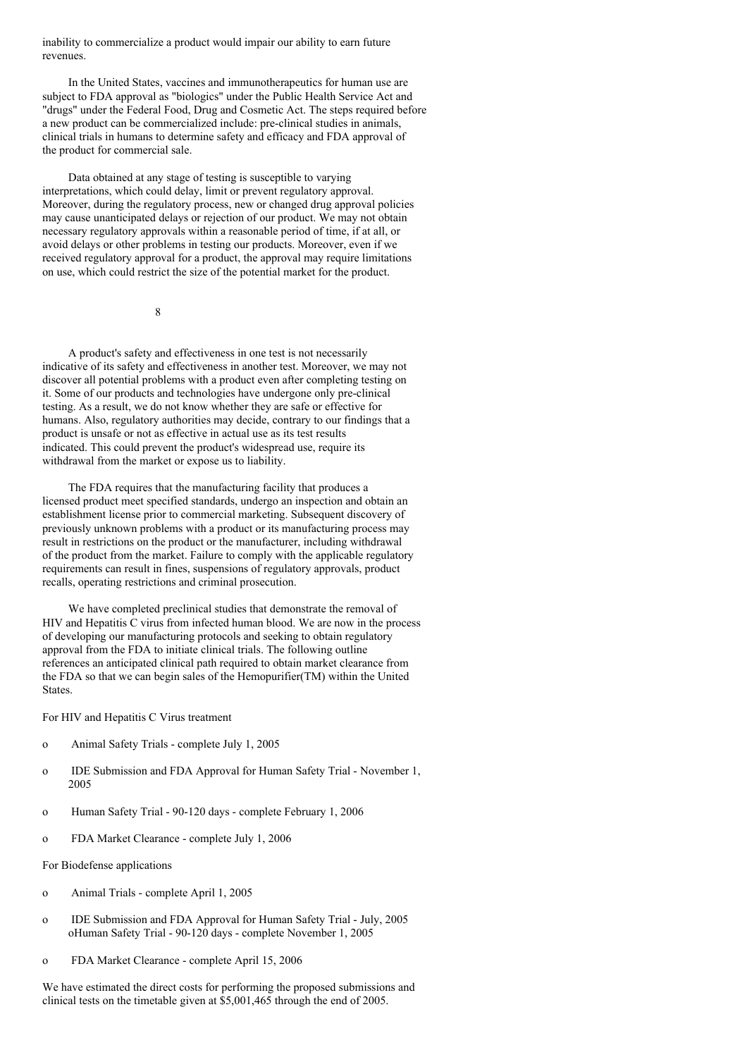inability to commercialize a product would impair our ability to earn future revenues.

In the United States, vaccines and immunotherapeutics for human use are subject to FDA approval as "biologics" under the Public Health Service Act and "drugs" under the Federal Food, Drug and Cosmetic Act. The steps required before a new product can be commercialized include: pre-clinical studies in animals, clinical trials in humans to determine safety and efficacy and FDA approval of the product for commercial sale.

Data obtained at any stage of testing is susceptible to varying interpretations, which could delay, limit or prevent regulatory approval. Moreover, during the regulatory process, new or changed drug approval policies may cause unanticipated delays or rejection of our product. We may not obtain necessary regulatory approvals within a reasonable period of time, if at all, or avoid delays or other problems in testing our products. Moreover, even if we received regulatory approval for a product, the approval may require limitations on use, which could restrict the size of the potential market for the product.

8

A product's safety and effectiveness in one test is not necessarily indicative of its safety and effectiveness in another test. Moreover, we may not discover all potential problems with a product even after completing testing on it. Some of our products and technologies have undergone only pre-clinical testing. As a result, we do not know whether they are safe or effective for humans. Also, regulatory authorities may decide, contrary to our findings that a product is unsafe or not as effective in actual use as its test results indicated. This could prevent the product's widespread use, require its withdrawal from the market or expose us to liability.

The FDA requires that the manufacturing facility that produces a licensed product meet specified standards, undergo an inspection and obtain an establishment license prior to commercial marketing. Subsequent discovery of previously unknown problems with a product or its manufacturing process may result in restrictions on the product or the manufacturer, including withdrawal of the product from the market. Failure to comply with the applicable regulatory requirements can result in fines, suspensions of regulatory approvals, product recalls, operating restrictions and criminal prosecution.

We have completed preclinical studies that demonstrate the removal of HIV and Hepatitis C virus from infected human blood. We are now in the process of developing our manufacturing protocols and seeking to obtain regulatory approval from the FDA to initiate clinical trials. The following outline references an anticipated clinical path required to obtain market clearance from the FDA so that we can begin sales of the Hemopurifier(TM) within the United States.

For HIV and Hepatitis C Virus treatment

- o Animal Safety Trials complete July 1, 2005
- o IDE Submission and FDA Approval for Human Safety Trial November 1, 2005
- o Human Safety Trial 90-120 days complete February 1, 2006
- o FDA Market Clearance complete July 1, 2006
- For Biodefense applications
- o Animal Trials complete April 1, 2005
- o IDE Submission and FDA Approval for Human Safety Trial July, 2005 oHuman Safety Trial - 90-120 days - complete November 1, 2005
- o FDA Market Clearance complete April 15, 2006

We have estimated the direct costs for performing the proposed submissions and clinical tests on the timetable given at \$5,001,465 through the end of 2005.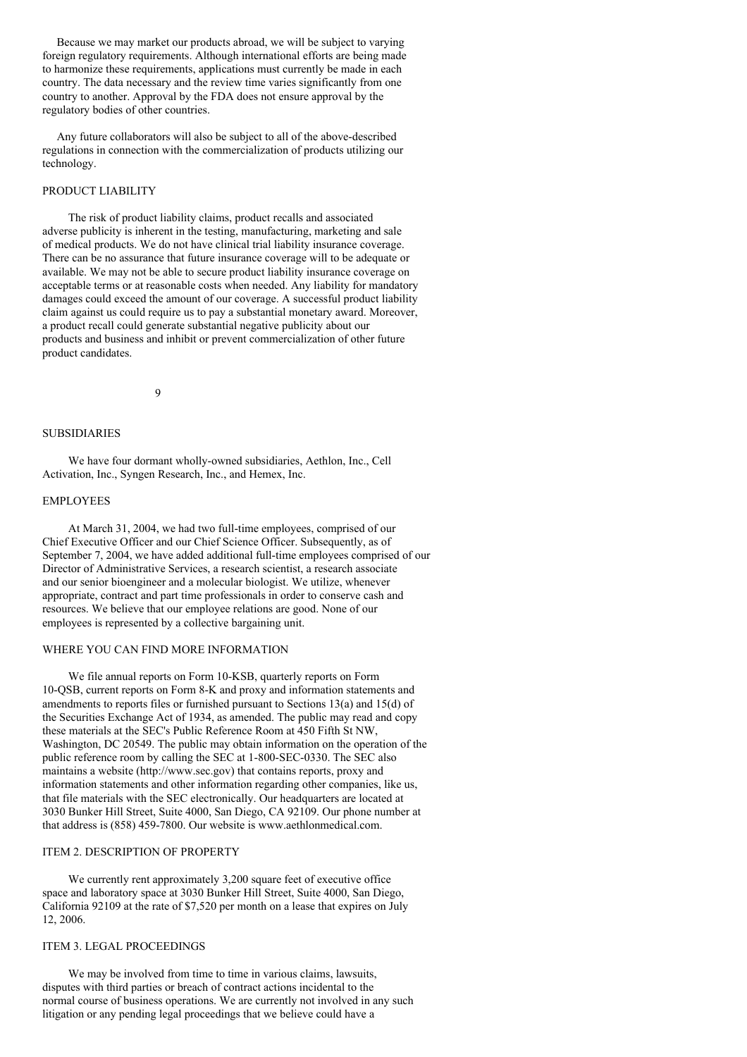Because we may market our products abroad, we will be subject to varying foreign regulatory requirements. Although international efforts are being made to harmonize these requirements, applications must currently be made in each country. The data necessary and the review time varies significantly from one country to another. Approval by the FDA does not ensure approval by the regulatory bodies of other countries.

Any future collaborators will also be subject to all of the above-described regulations in connection with the commercialization of products utilizing our technology.

# PRODUCT LIABILITY

The risk of product liability claims, product recalls and associated adverse publicity is inherent in the testing, manufacturing, marketing and sale of medical products. We do not have clinical trial liability insurance coverage. There can be no assurance that future insurance coverage will to be adequate or available. We may not be able to secure product liability insurance coverage on acceptable terms or at reasonable costs when needed. Any liability for mandatory damages could exceed the amount of our coverage. A successful product liability claim against us could require us to pay a substantial monetary award. Moreover, a product recall could generate substantial negative publicity about our products and business and inhibit or prevent commercialization of other future product candidates.

 $\overline{Q}$ 

# SUBSIDIARIES

We have four dormant wholly-owned subsidiaries, Aethlon, Inc., Cell Activation, Inc., Syngen Research, Inc., and Hemex, Inc.

### EMPLOYEES

At March 31, 2004, we had two full-time employees, comprised of our Chief Executive Officer and our Chief Science Officer. Subsequently, as of September 7, 2004, we have added additional full-time employees comprised of our Director of Administrative Services, a research scientist, a research associate and our senior bioengineer and a molecular biologist. We utilize, whenever appropriate, contract and part time professionals in order to conserve cash and resources. We believe that our employee relations are good. None of our employees is represented by a collective bargaining unit.

### WHERE YOU CAN FIND MORE INFORMATION

We file annual reports on Form 10-KSB, quarterly reports on Form 10-QSB, current reports on Form 8-K and proxy and information statements and amendments to reports files or furnished pursuant to Sections 13(a) and 15(d) of the Securities Exchange Act of 1934, as amended. The public may read and copy these materials at the SEC's Public Reference Room at 450 Fifth St NW, Washington, DC 20549. The public may obtain information on the operation of the public reference room by calling the SEC at 1-800-SEC-0330. The SEC also maintains a website (http://www.sec.gov) that contains reports, proxy and information statements and other information regarding other companies, like us, that file materials with the SEC electronically. Our headquarters are located at 3030 Bunker Hill Street, Suite 4000, San Diego, CA 92109. Our phone number at that address is (858) 459-7800. Our website is www.aethlonmedical.com.

### ITEM 2. DESCRIPTION OF PROPERTY

We currently rent approximately 3,200 square feet of executive office space and laboratory space at 3030 Bunker Hill Street, Suite 4000, San Diego, California 92109 at the rate of \$7,520 per month on a lease that expires on July 12, 2006.

## ITEM 3. LEGAL PROCEEDINGS

We may be involved from time to time in various claims, lawsuits, disputes with third parties or breach of contract actions incidental to the normal course of business operations. We are currently not involved in any such litigation or any pending legal proceedings that we believe could have a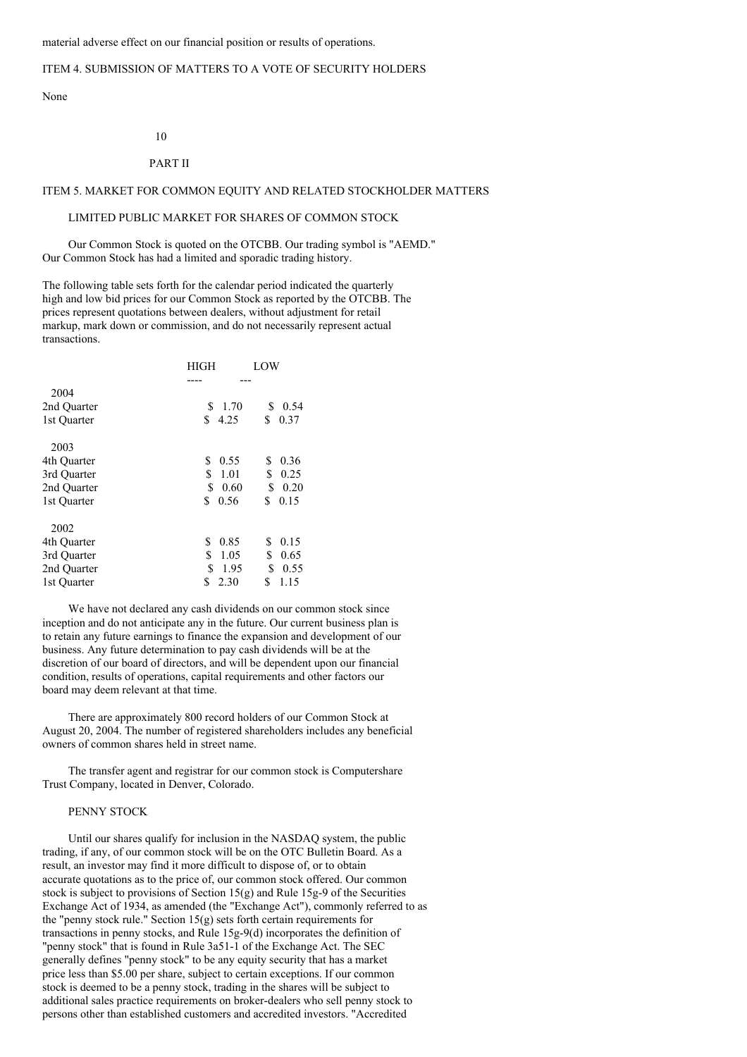#### ITEM 4. SUBMISSION OF MATTERS TO A VOTE OF SECURITY HOLDERS

### None

#### 10

# PART II

# ITEM 5. MARKET FOR COMMON EQUITY AND RELATED STOCKHOLDER MATTERS

#### LIMITED PUBLIC MARKET FOR SHARES OF COMMON STOCK

Our Common Stock is quoted on the OTCBB. Our trading symbol is "AEMD." Our Common Stock has had a limited and sporadic trading history.

The following table sets forth for the calendar period indicated the quarterly high and low bid prices for our Common Stock as reported by the OTCBB. The prices represent quotations between dealers, without adjustment for retail markup, mark down or commission, and do not necessarily represent actual transactions.

|             | HIGH       | LOW        |
|-------------|------------|------------|
|             |            |            |
| 2004        |            |            |
| 2nd Quarter | S<br>1.70  | \$<br>0.54 |
| 1st Quarter | \$<br>4.25 | \$<br>0.37 |
| 2003        |            |            |
| 4th Quarter | \$<br>0.55 | \$<br>0.36 |
| 3rd Quarter | \$<br>1.01 | \$<br>0.25 |
| 2nd Quarter | S<br>0.60  | 0.20<br>\$ |
| 1st Quarter | \$<br>0.56 | \$<br>0.15 |
| 2002        |            |            |
| 4th Quarter | \$<br>0.85 | \$<br>0.15 |
| 3rd Quarter | \$<br>1.05 | \$<br>0.65 |
| 2nd Quarter | \$<br>1.95 | \$<br>0.55 |
| 1st Quarter | \$<br>2.30 | \$<br>1.15 |

We have not declared any cash dividends on our common stock since inception and do not anticipate any in the future. Our current business plan is to retain any future earnings to finance the expansion and development of our business. Any future determination to pay cash dividends will be at the discretion of our board of directors, and will be dependent upon our financial condition, results of operations, capital requirements and other factors our board may deem relevant at that time.

There are approximately 800 record holders of our Common Stock at August 20, 2004. The number of registered shareholders includes any beneficial owners of common shares held in street name.

The transfer agent and registrar for our common stock is Computershare Trust Company, located in Denver, Colorado.

#### PENNY STOCK

Until our shares qualify for inclusion in the NASDAQ system, the public trading, if any, of our common stock will be on the OTC Bulletin Board. As a result, an investor may find it more difficult to dispose of, or to obtain accurate quotations as to the price of, our common stock offered. Our common stock is subject to provisions of Section 15(g) and Rule 15g-9 of the Securities Exchange Act of 1934, as amended (the "Exchange Act"), commonly referred to as the "penny stock rule." Section  $15(g)$  sets forth certain requirements for transactions in penny stocks, and Rule 15g-9(d) incorporates the definition of "penny stock" that is found in Rule 3a51-1 of the Exchange Act. The SEC generally defines "penny stock" to be any equity security that has a market price less than \$5.00 per share, subject to certain exceptions. If our common stock is deemed to be a penny stock, trading in the shares will be subject to additional sales practice requirements on broker-dealers who sell penny stock to persons other than established customers and accredited investors. "Accredited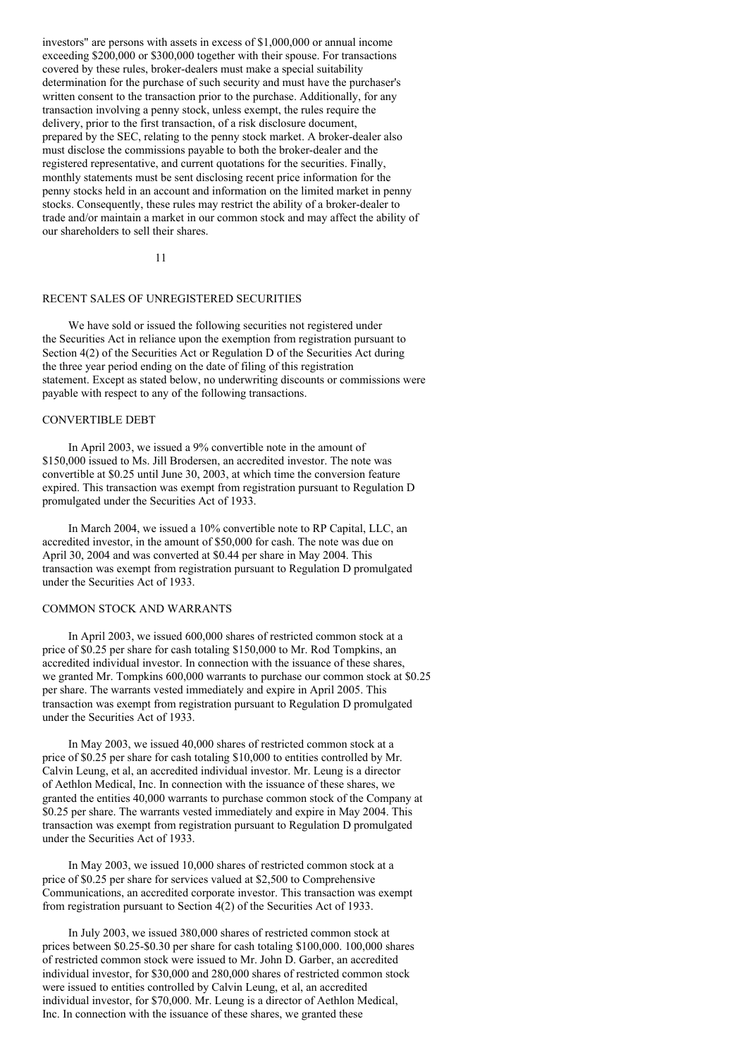investors" are persons with assets in excess of \$1,000,000 or annual income exceeding \$200,000 or \$300,000 together with their spouse. For transactions covered by these rules, broker-dealers must make a special suitability determination for the purchase of such security and must have the purchaser's written consent to the transaction prior to the purchase. Additionally, for any transaction involving a penny stock, unless exempt, the rules require the delivery, prior to the first transaction, of a risk disclosure document, prepared by the SEC, relating to the penny stock market. A broker-dealer also must disclose the commissions payable to both the broker-dealer and the registered representative, and current quotations for the securities. Finally, monthly statements must be sent disclosing recent price information for the penny stocks held in an account and information on the limited market in penny stocks. Consequently, these rules may restrict the ability of a broker-dealer to trade and/or maintain a market in our common stock and may affect the ability of our shareholders to sell their shares.

11

#### RECENT SALES OF UNREGISTERED SECURITIES

We have sold or issued the following securities not registered under the Securities Act in reliance upon the exemption from registration pursuant to Section 4(2) of the Securities Act or Regulation D of the Securities Act during the three year period ending on the date of filing of this registration statement. Except as stated below, no underwriting discounts or commissions were payable with respect to any of the following transactions.

# CONVERTIBLE DEBT

In April 2003, we issued a 9% convertible note in the amount of \$150,000 issued to Ms. Jill Brodersen, an accredited investor. The note was convertible at \$0.25 until June 30, 2003, at which time the conversion feature expired. This transaction was exempt from registration pursuant to Regulation D promulgated under the Securities Act of 1933.

In March 2004, we issued a 10% convertible note to RP Capital, LLC, an accredited investor, in the amount of \$50,000 for cash. The note was due on April 30, 2004 and was converted at \$0.44 per share in May 2004. This transaction was exempt from registration pursuant to Regulation D promulgated under the Securities Act of 1933.

#### COMMON STOCK AND WARRANTS

In April 2003, we issued 600,000 shares of restricted common stock at a price of \$0.25 per share for cash totaling \$150,000 to Mr. Rod Tompkins, an accredited individual investor. In connection with the issuance of these shares, we granted Mr. Tompkins 600,000 warrants to purchase our common stock at \$0.25 per share. The warrants vested immediately and expire in April 2005. This transaction was exempt from registration pursuant to Regulation D promulgated under the Securities Act of 1933.

In May 2003, we issued 40,000 shares of restricted common stock at a price of \$0.25 per share for cash totaling \$10,000 to entities controlled by Mr. Calvin Leung, et al, an accredited individual investor. Mr. Leung is a director of Aethlon Medical, Inc. In connection with the issuance of these shares, we granted the entities 40,000 warrants to purchase common stock of the Company at \$0.25 per share. The warrants vested immediately and expire in May 2004. This transaction was exempt from registration pursuant to Regulation D promulgated under the Securities Act of 1933.

In May 2003, we issued 10,000 shares of restricted common stock at a price of \$0.25 per share for services valued at \$2,500 to Comprehensive Communications, an accredited corporate investor. This transaction was exempt from registration pursuant to Section 4(2) of the Securities Act of 1933.

In July 2003, we issued 380,000 shares of restricted common stock at prices between \$0.25-\$0.30 per share for cash totaling \$100,000. 100,000 shares of restricted common stock were issued to Mr. John D. Garber, an accredited individual investor, for \$30,000 and 280,000 shares of restricted common stock were issued to entities controlled by Calvin Leung, et al, an accredited individual investor, for \$70,000. Mr. Leung is a director of Aethlon Medical, Inc. In connection with the issuance of these shares, we granted these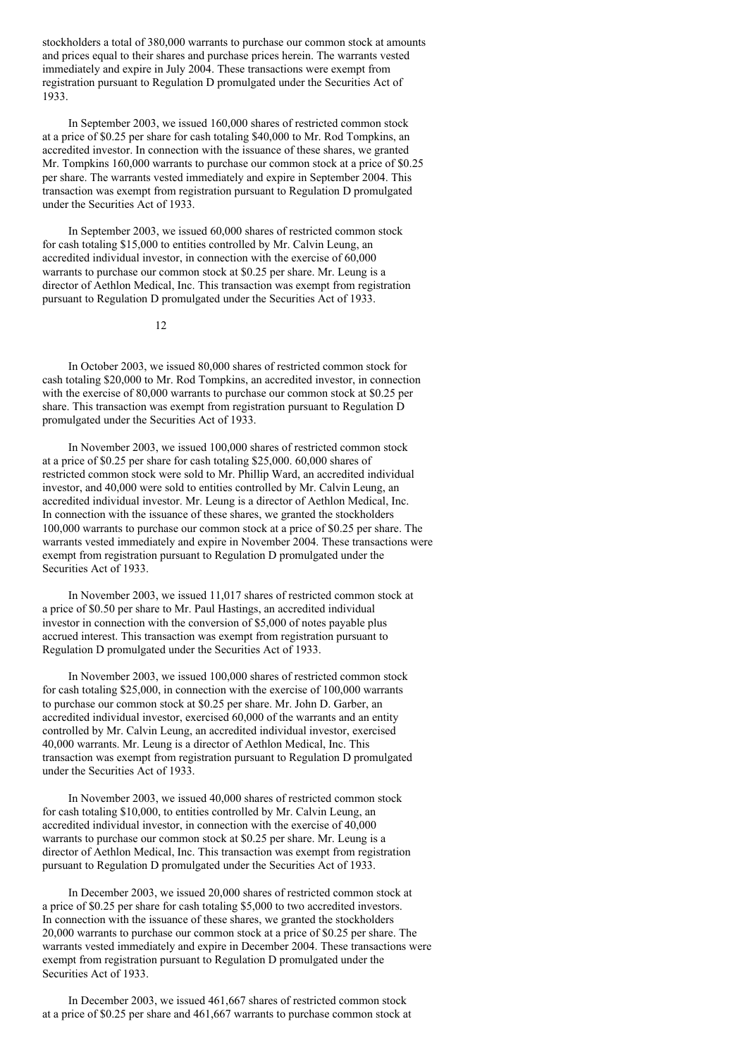stockholders a total of 380,000 warrants to purchase our common stock at amounts and prices equal to their shares and purchase prices herein. The warrants vested immediately and expire in July 2004. These transactions were exempt from registration pursuant to Regulation D promulgated under the Securities Act of 1933.

In September 2003, we issued 160,000 shares of restricted common stock at a price of \$0.25 per share for cash totaling \$40,000 to Mr. Rod Tompkins, an accredited investor. In connection with the issuance of these shares, we granted Mr. Tompkins 160,000 warrants to purchase our common stock at a price of \$0.25 per share. The warrants vested immediately and expire in September 2004. This transaction was exempt from registration pursuant to Regulation D promulgated under the Securities Act of 1933.

In September 2003, we issued 60,000 shares of restricted common stock for cash totaling \$15,000 to entities controlled by Mr. Calvin Leung, an accredited individual investor, in connection with the exercise of 60,000 warrants to purchase our common stock at \$0.25 per share. Mr. Leung is a director of Aethlon Medical, Inc. This transaction was exempt from registration pursuant to Regulation D promulgated under the Securities Act of 1933.

12

In October 2003, we issued 80,000 shares of restricted common stock for cash totaling \$20,000 to Mr. Rod Tompkins, an accredited investor, in connection with the exercise of 80,000 warrants to purchase our common stock at \$0.25 per share. This transaction was exempt from registration pursuant to Regulation D promulgated under the Securities Act of 1933.

In November 2003, we issued 100,000 shares of restricted common stock at a price of \$0.25 per share for cash totaling \$25,000. 60,000 shares of restricted common stock were sold to Mr. Phillip Ward, an accredited individual investor, and 40,000 were sold to entities controlled by Mr. Calvin Leung, an accredited individual investor. Mr. Leung is a director of Aethlon Medical, Inc. In connection with the issuance of these shares, we granted the stockholders 100,000 warrants to purchase our common stock at a price of \$0.25 per share. The warrants vested immediately and expire in November 2004. These transactions were exempt from registration pursuant to Regulation D promulgated under the Securities Act of 1933.

In November 2003, we issued 11,017 shares of restricted common stock at a price of \$0.50 per share to Mr. Paul Hastings, an accredited individual investor in connection with the conversion of \$5,000 of notes payable plus accrued interest. This transaction was exempt from registration pursuant to Regulation D promulgated under the Securities Act of 1933.

In November 2003, we issued 100,000 shares of restricted common stock for cash totaling \$25,000, in connection with the exercise of 100,000 warrants to purchase our common stock at \$0.25 per share. Mr. John D. Garber, an accredited individual investor, exercised 60,000 of the warrants and an entity controlled by Mr. Calvin Leung, an accredited individual investor, exercised 40,000 warrants. Mr. Leung is a director of Aethlon Medical, Inc. This transaction was exempt from registration pursuant to Regulation D promulgated under the Securities Act of 1933.

In November 2003, we issued 40,000 shares of restricted common stock for cash totaling \$10,000, to entities controlled by Mr. Calvin Leung, an accredited individual investor, in connection with the exercise of 40,000 warrants to purchase our common stock at \$0.25 per share. Mr. Leung is a director of Aethlon Medical, Inc. This transaction was exempt from registration pursuant to Regulation D promulgated under the Securities Act of 1933.

In December 2003, we issued 20,000 shares of restricted common stock at a price of \$0.25 per share for cash totaling \$5,000 to two accredited investors. In connection with the issuance of these shares, we granted the stockholders 20,000 warrants to purchase our common stock at a price of \$0.25 per share. The warrants vested immediately and expire in December 2004. These transactions were exempt from registration pursuant to Regulation D promulgated under the Securities Act of 1933.

In December 2003, we issued 461,667 shares of restricted common stock at a price of \$0.25 per share and 461,667 warrants to purchase common stock at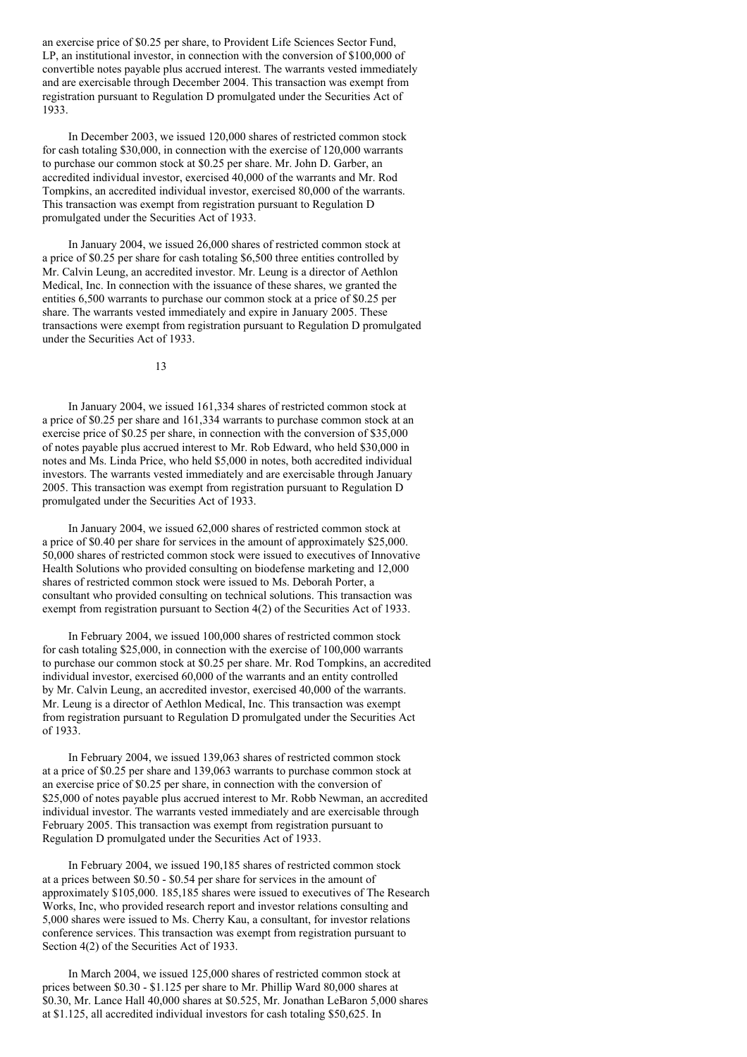an exercise price of \$0.25 per share, to Provident Life Sciences Sector Fund, LP, an institutional investor, in connection with the conversion of \$100,000 of convertible notes payable plus accrued interest. The warrants vested immediately and are exercisable through December 2004. This transaction was exempt from registration pursuant to Regulation D promulgated under the Securities Act of 1933.

In December 2003, we issued 120,000 shares of restricted common stock for cash totaling \$30,000, in connection with the exercise of 120,000 warrants to purchase our common stock at \$0.25 per share. Mr. John D. Garber, an accredited individual investor, exercised 40,000 of the warrants and Mr. Rod Tompkins, an accredited individual investor, exercised 80,000 of the warrants. This transaction was exempt from registration pursuant to Regulation D promulgated under the Securities Act of 1933.

In January 2004, we issued 26,000 shares of restricted common stock at a price of \$0.25 per share for cash totaling \$6,500 three entities controlled by Mr. Calvin Leung, an accredited investor. Mr. Leung is a director of Aethlon Medical, Inc. In connection with the issuance of these shares, we granted the entities 6,500 warrants to purchase our common stock at a price of \$0.25 per share. The warrants vested immediately and expire in January 2005. These transactions were exempt from registration pursuant to Regulation D promulgated under the Securities Act of 1933.

13

In January 2004, we issued 161,334 shares of restricted common stock at a price of \$0.25 per share and 161,334 warrants to purchase common stock at an exercise price of \$0.25 per share, in connection with the conversion of \$35,000 of notes payable plus accrued interest to Mr. Rob Edward, who held \$30,000 in notes and Ms. Linda Price, who held \$5,000 in notes, both accredited individual investors. The warrants vested immediately and are exercisable through January 2005. This transaction was exempt from registration pursuant to Regulation D promulgated under the Securities Act of 1933.

In January 2004, we issued 62,000 shares of restricted common stock at a price of \$0.40 per share for services in the amount of approximately \$25,000. 50,000 shares of restricted common stock were issued to executives of Innovative Health Solutions who provided consulting on biodefense marketing and 12,000 shares of restricted common stock were issued to Ms. Deborah Porter, a consultant who provided consulting on technical solutions. This transaction was exempt from registration pursuant to Section 4(2) of the Securities Act of 1933.

In February 2004, we issued 100,000 shares of restricted common stock for cash totaling \$25,000, in connection with the exercise of 100,000 warrants to purchase our common stock at \$0.25 per share. Mr. Rod Tompkins, an accredited individual investor, exercised 60,000 of the warrants and an entity controlled by Mr. Calvin Leung, an accredited investor, exercised 40,000 of the warrants. Mr. Leung is a director of Aethlon Medical, Inc. This transaction was exempt from registration pursuant to Regulation D promulgated under the Securities Act of 1933.

In February 2004, we issued 139,063 shares of restricted common stock at a price of \$0.25 per share and 139,063 warrants to purchase common stock at an exercise price of \$0.25 per share, in connection with the conversion of \$25,000 of notes payable plus accrued interest to Mr. Robb Newman, an accredited individual investor. The warrants vested immediately and are exercisable through February 2005. This transaction was exempt from registration pursuant to Regulation D promulgated under the Securities Act of 1933.

In February 2004, we issued 190,185 shares of restricted common stock at a prices between \$0.50 - \$0.54 per share for services in the amount of approximately \$105,000. 185,185 shares were issued to executives of The Research Works, Inc, who provided research report and investor relations consulting and 5,000 shares were issued to Ms. Cherry Kau, a consultant, for investor relations conference services. This transaction was exempt from registration pursuant to Section  $4(2)$  of the Securities Act of 1933.

In March 2004, we issued 125,000 shares of restricted common stock at prices between \$0.30 - \$1.125 per share to Mr. Phillip Ward 80,000 shares at \$0.30, Mr. Lance Hall 40,000 shares at \$0.525, Mr. Jonathan LeBaron 5,000 shares at \$1.125, all accredited individual investors for cash totaling \$50,625. In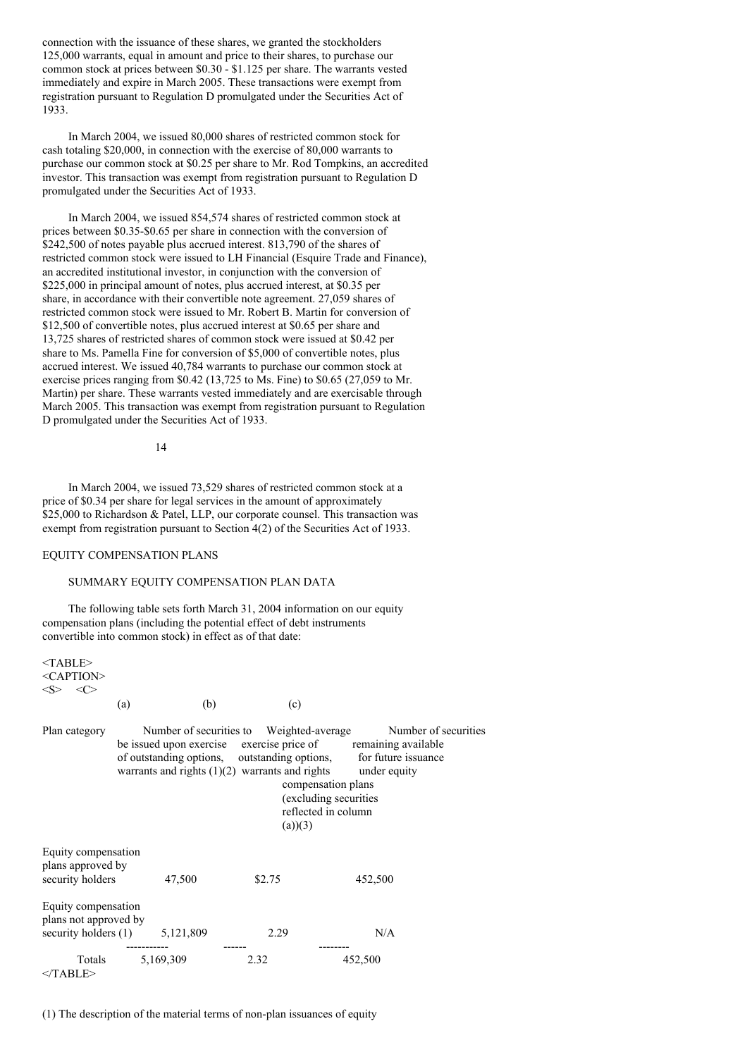connection with the issuance of these shares, we granted the stockholders 125,000 warrants, equal in amount and price to their shares, to purchase our common stock at prices between \$0.30 - \$1.125 per share. The warrants vested immediately and expire in March 2005. These transactions were exempt from registration pursuant to Regulation D promulgated under the Securities Act of 1933.

In March 2004, we issued 80,000 shares of restricted common stock for cash totaling \$20,000, in connection with the exercise of 80,000 warrants to purchase our common stock at \$0.25 per share to Mr. Rod Tompkins, an accredited investor. This transaction was exempt from registration pursuant to Regulation D promulgated under the Securities Act of 1933.

In March 2004, we issued 854,574 shares of restricted common stock at prices between \$0.35-\$0.65 per share in connection with the conversion of \$242,500 of notes payable plus accrued interest. 813,790 of the shares of restricted common stock were issued to LH Financial (Esquire Trade and Finance), an accredited institutional investor, in conjunction with the conversion of \$225,000 in principal amount of notes, plus accrued interest, at \$0.35 per share, in accordance with their convertible note agreement. 27,059 shares of restricted common stock were issued to Mr. Robert B. Martin for conversion of \$12,500 of convertible notes, plus accrued interest at \$0.65 per share and 13,725 shares of restricted shares of common stock were issued at \$0.42 per share to Ms. Pamella Fine for conversion of \$5,000 of convertible notes, plus accrued interest. We issued 40,784 warrants to purchase our common stock at exercise prices ranging from \$0.42 (13,725 to Ms. Fine) to \$0.65 (27,059 to Mr. Martin) per share. These warrants vested immediately and are exercisable through March 2005. This transaction was exempt from registration pursuant to Regulation D promulgated under the Securities Act of 1933.

#### 14

In March 2004, we issued 73,529 shares of restricted common stock at a price of \$0.34 per share for legal services in the amount of approximately \$25,000 to Richardson & Patel, LLP, our corporate counsel. This transaction was exempt from registration pursuant to Section 4(2) of the Securities Act of 1933.

#### EQUITY COMPENSATION PLANS

### SUMMARY EQUITY COMPENSATION PLAN DATA

The following table sets forth March 31, 2004 information on our equity compensation plans (including the potential effect of debt instruments convertible into common stock) in effect as of that date:

 $<$ TABLE> <CAPTION>  $<\!\!S\!\!>$   $<\!\!C\!\!>$ (a)  $(b)$  (c) Plan category Number of securities to Weighted-average Number of securities be issued upon exercise exercise price of remaining available of outstanding options, outstanding options, for future issuance warrants and rights  $(1)(2)$  warrants and rights under equity compensation plans (excluding securities reflected in column  $(a)(3)$ Equity compensation plans approved by security holders 47,500 \$2.75 452,500 Equity compensation plans not approved by security holders (1) 5,121,809 2.29 N/A ----------- ------ -------- Totals 5,169,309 2.32 452,500  $<$ /TABLE>

(1) The description of the material terms of non-plan issuances of equity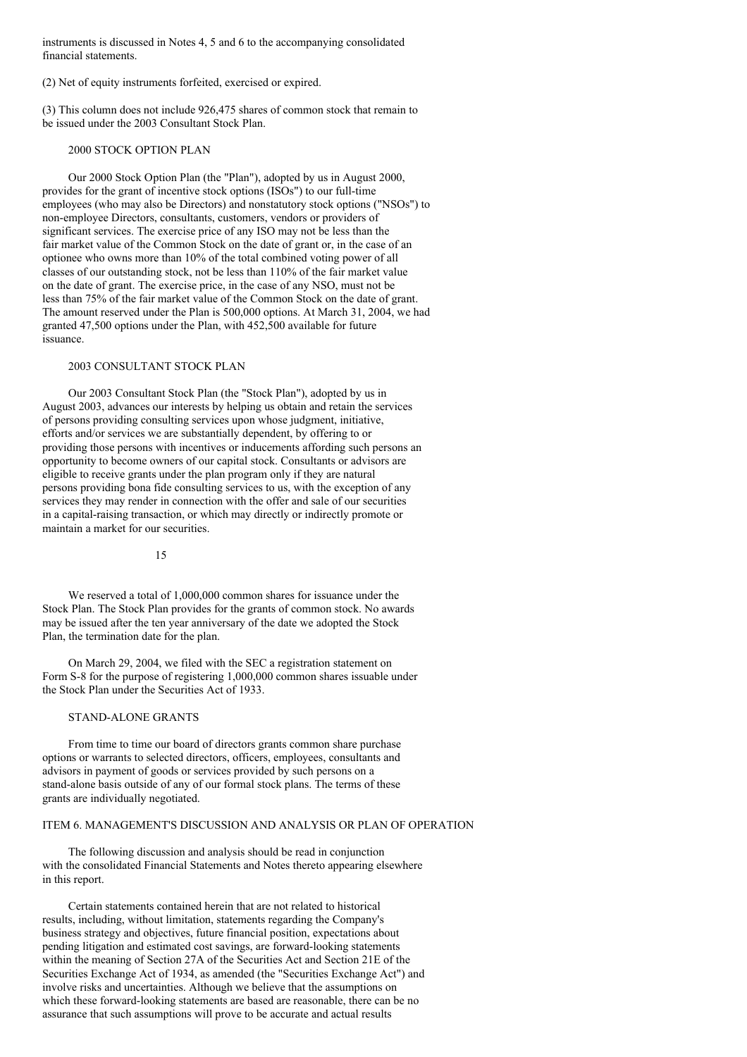instruments is discussed in Notes 4, 5 and 6 to the accompanying consolidated financial statements.

(2) Net of equity instruments forfeited, exercised or expired.

(3) This column does not include 926,475 shares of common stock that remain to be issued under the 2003 Consultant Stock Plan.

### 2000 STOCK OPTION PLAN

Our 2000 Stock Option Plan (the "Plan"), adopted by us in August 2000, provides for the grant of incentive stock options (ISOs") to our full-time employees (who may also be Directors) and nonstatutory stock options ("NSOs") to non-employee Directors, consultants, customers, vendors or providers of significant services. The exercise price of any ISO may not be less than the fair market value of the Common Stock on the date of grant or, in the case of an optionee who owns more than 10% of the total combined voting power of all classes of our outstanding stock, not be less than 110% of the fair market value on the date of grant. The exercise price, in the case of any NSO, must not be less than 75% of the fair market value of the Common Stock on the date of grant. The amount reserved under the Plan is 500,000 options. At March 31, 2004, we had granted 47,500 options under the Plan, with 452,500 available for future issuance.

### 2003 CONSULTANT STOCK PLAN

Our 2003 Consultant Stock Plan (the "Stock Plan"), adopted by us in August 2003, advances our interests by helping us obtain and retain the services of persons providing consulting services upon whose judgment, initiative, efforts and/or services we are substantially dependent, by offering to or providing those persons with incentives or inducements affording such persons an opportunity to become owners of our capital stock. Consultants or advisors are eligible to receive grants under the plan program only if they are natural persons providing bona fide consulting services to us, with the exception of any services they may render in connection with the offer and sale of our securities in a capital-raising transaction, or which may directly or indirectly promote or maintain a market for our securities.

15

We reserved a total of 1,000,000 common shares for issuance under the Stock Plan. The Stock Plan provides for the grants of common stock. No awards may be issued after the ten year anniversary of the date we adopted the Stock Plan, the termination date for the plan.

On March 29, 2004, we filed with the SEC a registration statement on Form S-8 for the purpose of registering 1,000,000 common shares issuable under the Stock Plan under the Securities Act of 1933.

# STAND-ALONE GRANTS

From time to time our board of directors grants common share purchase options or warrants to selected directors, officers, employees, consultants and advisors in payment of goods or services provided by such persons on a stand-alone basis outside of any of our formal stock plans. The terms of these grants are individually negotiated.

# ITEM 6. MANAGEMENT'S DISCUSSION AND ANALYSIS OR PLAN OF OPERATION

The following discussion and analysis should be read in conjunction with the consolidated Financial Statements and Notes thereto appearing elsewhere in this report.

Certain statements contained herein that are not related to historical results, including, without limitation, statements regarding the Company's business strategy and objectives, future financial position, expectations about pending litigation and estimated cost savings, are forward-looking statements within the meaning of Section 27A of the Securities Act and Section 21E of the Securities Exchange Act of 1934, as amended (the "Securities Exchange Act") and involve risks and uncertainties. Although we believe that the assumptions on which these forward-looking statements are based are reasonable, there can be no assurance that such assumptions will prove to be accurate and actual results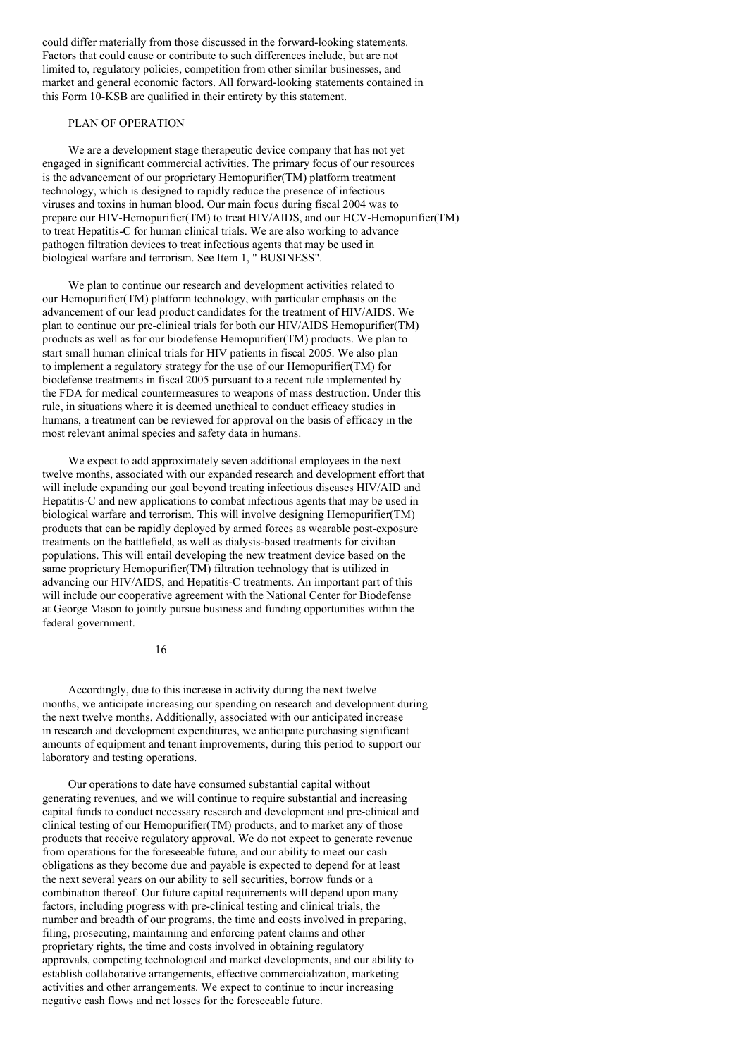could differ materially from those discussed in the forward-looking statements. Factors that could cause or contribute to such differences include, but are not limited to, regulatory policies, competition from other similar businesses, and market and general economic factors. All forward-looking statements contained in this Form 10-KSB are qualified in their entirety by this statement.

#### PLAN OF OPERATION

We are a development stage therapeutic device company that has not yet engaged in significant commercial activities. The primary focus of our resources is the advancement of our proprietary Hemopurifier(TM) platform treatment technology, which is designed to rapidly reduce the presence of infectious viruses and toxins in human blood. Our main focus during fiscal 2004 was to prepare our HIV-Hemopurifier(TM) to treat HIV/AIDS, and our HCV-Hemopurifier(TM) to treat Hepatitis-C for human clinical trials. We are also working to advance pathogen filtration devices to treat infectious agents that may be used in biological warfare and terrorism. See Item 1, " BUSINESS".

We plan to continue our research and development activities related to our Hemopurifier(TM) platform technology, with particular emphasis on the advancement of our lead product candidates for the treatment of HIV/AIDS. We plan to continue our pre-clinical trials for both our HIV/AIDS Hemopurifier(TM) products as well as for our biodefense Hemopurifier(TM) products. We plan to start small human clinical trials for HIV patients in fiscal 2005. We also plan to implement a regulatory strategy for the use of our Hemopurifier(TM) for biodefense treatments in fiscal 2005 pursuant to a recent rule implemented by the FDA for medical countermeasures to weapons of mass destruction. Under this rule, in situations where it is deemed unethical to conduct efficacy studies in humans, a treatment can be reviewed for approval on the basis of efficacy in the most relevant animal species and safety data in humans.

We expect to add approximately seven additional employees in the next twelve months, associated with our expanded research and development effort that will include expanding our goal beyond treating infectious diseases HIV/AID and Hepatitis-C and new applications to combat infectious agents that may be used in biological warfare and terrorism. This will involve designing Hemopurifier(TM) products that can be rapidly deployed by armed forces as wearable post-exposure treatments on the battlefield, as well as dialysis-based treatments for civilian populations. This will entail developing the new treatment device based on the same proprietary Hemopurifier(TM) filtration technology that is utilized in advancing our HIV/AIDS, and Hepatitis-C treatments. An important part of this will include our cooperative agreement with the National Center for Biodefense at George Mason to jointly pursue business and funding opportunities within the federal government.

16

Accordingly, due to this increase in activity during the next twelve months, we anticipate increasing our spending on research and development during the next twelve months. Additionally, associated with our anticipated increase in research and development expenditures, we anticipate purchasing significant amounts of equipment and tenant improvements, during this period to support our laboratory and testing operations.

Our operations to date have consumed substantial capital without generating revenues, and we will continue to require substantial and increasing capital funds to conduct necessary research and development and pre-clinical and clinical testing of our Hemopurifier(TM) products, and to market any of those products that receive regulatory approval. We do not expect to generate revenue from operations for the foreseeable future, and our ability to meet our cash obligations as they become due and payable is expected to depend for at least the next several years on our ability to sell securities, borrow funds or a combination thereof. Our future capital requirements will depend upon many factors, including progress with pre-clinical testing and clinical trials, the number and breadth of our programs, the time and costs involved in preparing, filing, prosecuting, maintaining and enforcing patent claims and other proprietary rights, the time and costs involved in obtaining regulatory approvals, competing technological and market developments, and our ability to establish collaborative arrangements, effective commercialization, marketing activities and other arrangements. We expect to continue to incur increasing negative cash flows and net losses for the foreseeable future.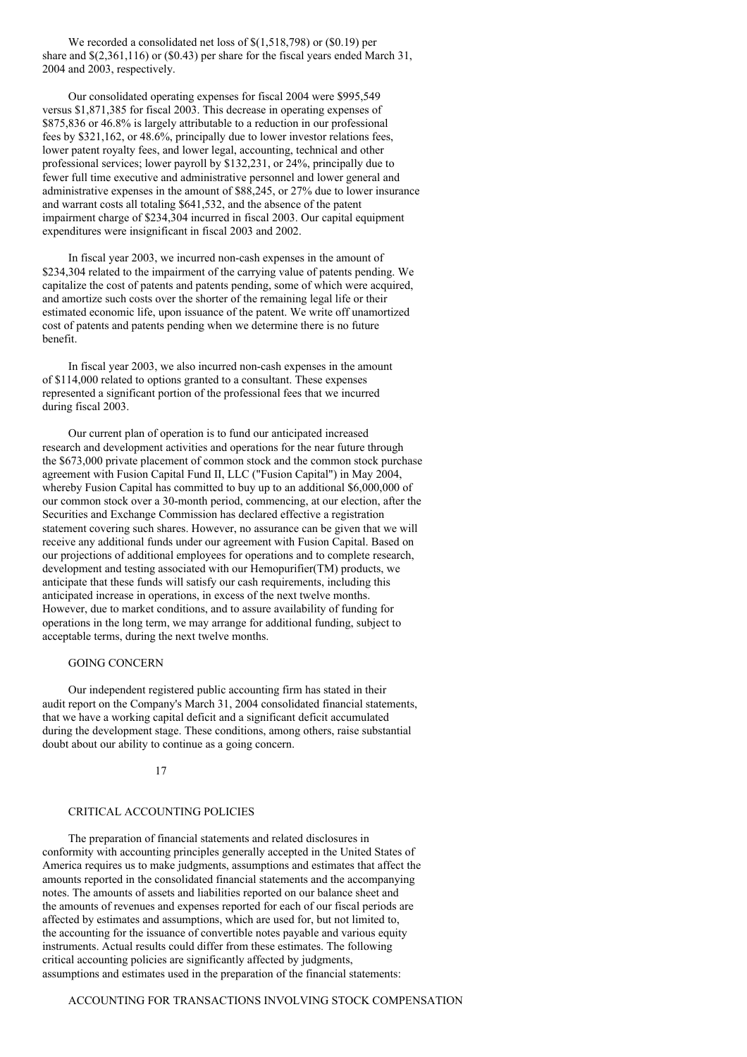We recorded a consolidated net loss of  $\$(1,518,798)$  or  $(\$0.19)$  per share and \$(2,361,116) or (\$0.43) per share for the fiscal years ended March 31, 2004 and 2003, respectively.

Our consolidated operating expenses for fiscal 2004 were \$995,549 versus \$1,871,385 for fiscal 2003. This decrease in operating expenses of \$875,836 or 46.8% is largely attributable to a reduction in our professional fees by \$321,162, or 48.6%, principally due to lower investor relations fees, lower patent royalty fees, and lower legal, accounting, technical and other professional services; lower payroll by \$132,231, or 24%, principally due to fewer full time executive and administrative personnel and lower general and administrative expenses in the amount of \$88,245, or 27% due to lower insurance and warrant costs all totaling \$641,532, and the absence of the patent impairment charge of \$234,304 incurred in fiscal 2003. Our capital equipment expenditures were insignificant in fiscal 2003 and 2002.

In fiscal year 2003, we incurred non-cash expenses in the amount of \$234,304 related to the impairment of the carrying value of patents pending. We capitalize the cost of patents and patents pending, some of which were acquired, and amortize such costs over the shorter of the remaining legal life or their estimated economic life, upon issuance of the patent. We write off unamortized cost of patents and patents pending when we determine there is no future benefit.

In fiscal year 2003, we also incurred non-cash expenses in the amount of \$114,000 related to options granted to a consultant. These expenses represented a significant portion of the professional fees that we incurred during fiscal 2003.

Our current plan of operation is to fund our anticipated increased research and development activities and operations for the near future through the \$673,000 private placement of common stock and the common stock purchase agreement with Fusion Capital Fund II, LLC ("Fusion Capital") in May 2004, whereby Fusion Capital has committed to buy up to an additional \$6,000,000 of our common stock over a 30-month period, commencing, at our election, after the Securities and Exchange Commission has declared effective a registration statement covering such shares. However, no assurance can be given that we will receive any additional funds under our agreement with Fusion Capital. Based on our projections of additional employees for operations and to complete research, development and testing associated with our Hemopurifier(TM) products, we anticipate that these funds will satisfy our cash requirements, including this anticipated increase in operations, in excess of the next twelve months. However, due to market conditions, and to assure availability of funding for operations in the long term, we may arrange for additional funding, subject to acceptable terms, during the next twelve months.

#### GOING CONCERN

Our independent registered public accounting firm has stated in their audit report on the Company's March 31, 2004 consolidated financial statements, that we have a working capital deficit and a significant deficit accumulated during the development stage. These conditions, among others, raise substantial doubt about our ability to continue as a going concern.

#### 17

#### CRITICAL ACCOUNTING POLICIES

The preparation of financial statements and related disclosures in conformity with accounting principles generally accepted in the United States of America requires us to make judgments, assumptions and estimates that affect the amounts reported in the consolidated financial statements and the accompanying notes. The amounts of assets and liabilities reported on our balance sheet and the amounts of revenues and expenses reported for each of our fiscal periods are affected by estimates and assumptions, which are used for, but not limited to, the accounting for the issuance of convertible notes payable and various equity instruments. Actual results could differ from these estimates. The following critical accounting policies are significantly affected by judgments, assumptions and estimates used in the preparation of the financial statements:

ACCOUNTING FOR TRANSACTIONS INVOLVING STOCK COMPENSATION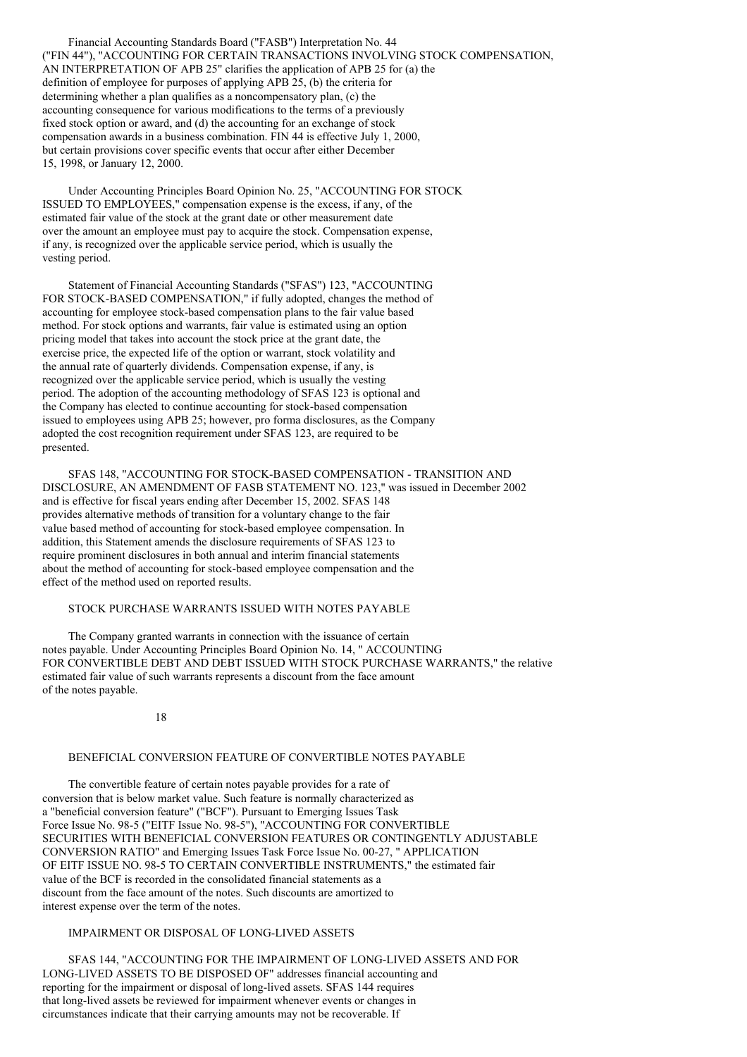Financial Accounting Standards Board ("FASB") Interpretation No. 44 ("FIN 44"), "ACCOUNTING FOR CERTAIN TRANSACTIONS INVOLVING STOCK COMPENSATION, AN INTERPRETATION OF APB 25" clarifies the application of APB 25 for (a) the definition of employee for purposes of applying APB 25, (b) the criteria for determining whether a plan qualifies as a noncompensatory plan, (c) the accounting consequence for various modifications to the terms of a previously fixed stock option or award, and (d) the accounting for an exchange of stock compensation awards in a business combination. FIN 44 is effective July 1, 2000, but certain provisions cover specific events that occur after either December 15, 1998, or January 12, 2000.

Under Accounting Principles Board Opinion No. 25, "ACCOUNTING FOR STOCK ISSUED TO EMPLOYEES," compensation expense is the excess, if any, of the estimated fair value of the stock at the grant date or other measurement date over the amount an employee must pay to acquire the stock. Compensation expense, if any, is recognized over the applicable service period, which is usually the vesting period.

Statement of Financial Accounting Standards ("SFAS") 123, "ACCOUNTING FOR STOCK-BASED COMPENSATION," if fully adopted, changes the method of accounting for employee stock-based compensation plans to the fair value based method. For stock options and warrants, fair value is estimated using an option pricing model that takes into account the stock price at the grant date, the exercise price, the expected life of the option or warrant, stock volatility and the annual rate of quarterly dividends. Compensation expense, if any, is recognized over the applicable service period, which is usually the vesting period. The adoption of the accounting methodology of SFAS 123 is optional and the Company has elected to continue accounting for stock-based compensation issued to employees using APB 25; however, pro forma disclosures, as the Company adopted the cost recognition requirement under SFAS 123, are required to be presented.

SFAS 148, "ACCOUNTING FOR STOCK-BASED COMPENSATION - TRANSITION AND DISCLOSURE, AN AMENDMENT OF FASB STATEMENT NO. 123," was issued in December 2002 and is effective for fiscal years ending after December 15, 2002. SFAS 148 provides alternative methods of transition for a voluntary change to the fair value based method of accounting for stock-based employee compensation. In addition, this Statement amends the disclosure requirements of SFAS 123 to require prominent disclosures in both annual and interim financial statements about the method of accounting for stock-based employee compensation and the effect of the method used on reported results.

### STOCK PURCHASE WARRANTS ISSUED WITH NOTES PAYABLE

The Company granted warrants in connection with the issuance of certain notes payable. Under Accounting Principles Board Opinion No. 14, " ACCOUNTING FOR CONVERTIBLE DEBT AND DEBT ISSUED WITH STOCK PURCHASE WARRANTS," the relative estimated fair value of such warrants represents a discount from the face amount of the notes payable.

18

#### BENEFICIAL CONVERSION FEATURE OF CONVERTIBLE NOTES PAYABLE

The convertible feature of certain notes payable provides for a rate of conversion that is below market value. Such feature is normally characterized as a "beneficial conversion feature" ("BCF"). Pursuant to Emerging Issues Task Force Issue No. 98-5 ("EITF Issue No. 98-5"), "ACCOUNTING FOR CONVERTIBLE SECURITIES WITH BENEFICIAL CONVERSION FEATURES OR CONTINGENTLY ADJUSTABLE CONVERSION RATIO" and Emerging Issues Task Force Issue No. 00-27, " APPLICATION OF EITF ISSUE NO. 98-5 TO CERTAIN CONVERTIBLE INSTRUMENTS," the estimated fair value of the BCF is recorded in the consolidated financial statements as a discount from the face amount of the notes. Such discounts are amortized to interest expense over the term of the notes.

#### IMPAIRMENT OR DISPOSAL OF LONG-LIVED ASSETS

SFAS 144, "ACCOUNTING FOR THE IMPAIRMENT OF LONG-LIVED ASSETS AND FOR LONG-LIVED ASSETS TO BE DISPOSED OF" addresses financial accounting and reporting for the impairment or disposal of long-lived assets. SFAS 144 requires that long-lived assets be reviewed for impairment whenever events or changes in circumstances indicate that their carrying amounts may not be recoverable. If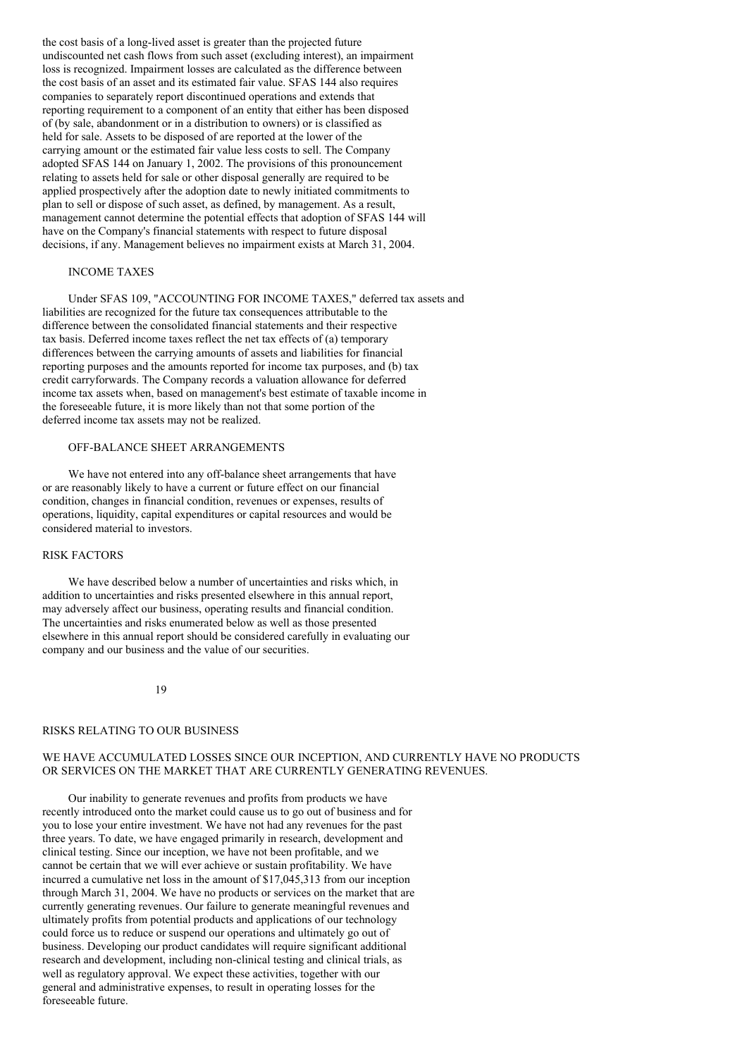the cost basis of a long-lived asset is greater than the projected future undiscounted net cash flows from such asset (excluding interest), an impairment loss is recognized. Impairment losses are calculated as the difference between the cost basis of an asset and its estimated fair value. SFAS 144 also requires companies to separately report discontinued operations and extends that reporting requirement to a component of an entity that either has been disposed of (by sale, abandonment or in a distribution to owners) or is classified as held for sale. Assets to be disposed of are reported at the lower of the carrying amount or the estimated fair value less costs to sell. The Company adopted SFAS 144 on January 1, 2002. The provisions of this pronouncement relating to assets held for sale or other disposal generally are required to be applied prospectively after the adoption date to newly initiated commitments to plan to sell or dispose of such asset, as defined, by management. As a result, management cannot determine the potential effects that adoption of SFAS 144 will have on the Company's financial statements with respect to future disposal decisions, if any. Management believes no impairment exists at March 31, 2004.

# INCOME TAXES

Under SFAS 109, "ACCOUNTING FOR INCOME TAXES," deferred tax assets and liabilities are recognized for the future tax consequences attributable to the difference between the consolidated financial statements and their respective tax basis. Deferred income taxes reflect the net tax effects of (a) temporary differences between the carrying amounts of assets and liabilities for financial reporting purposes and the amounts reported for income tax purposes, and (b) tax credit carryforwards. The Company records a valuation allowance for deferred income tax assets when, based on management's best estimate of taxable income in the foreseeable future, it is more likely than not that some portion of the deferred income tax assets may not be realized.

### OFF-BALANCE SHEET ARRANGEMENTS

We have not entered into any off-balance sheet arrangements that have or are reasonably likely to have a current or future effect on our financial condition, changes in financial condition, revenues or expenses, results of operations, liquidity, capital expenditures or capital resources and would be considered material to investors.

# RISK FACTORS

We have described below a number of uncertainties and risks which, in addition to uncertainties and risks presented elsewhere in this annual report, may adversely affect our business, operating results and financial condition. The uncertainties and risks enumerated below as well as those presented elsewhere in this annual report should be considered carefully in evaluating our company and our business and the value of our securities.

19

#### RISKS RELATING TO OUR BUSINESS

### WE HAVE ACCUMULATED LOSSES SINCE OUR INCEPTION, AND CURRENTLY HAVE NO PRODUCTS OR SERVICES ON THE MARKET THAT ARE CURRENTLY GENERATING REVENUES.

Our inability to generate revenues and profits from products we have recently introduced onto the market could cause us to go out of business and for you to lose your entire investment. We have not had any revenues for the past three years. To date, we have engaged primarily in research, development and clinical testing. Since our inception, we have not been profitable, and we cannot be certain that we will ever achieve or sustain profitability. We have incurred a cumulative net loss in the amount of \$17,045,313 from our inception through March 31, 2004. We have no products or services on the market that are currently generating revenues. Our failure to generate meaningful revenues and ultimately profits from potential products and applications of our technology could force us to reduce or suspend our operations and ultimately go out of business. Developing our product candidates will require significant additional research and development, including non-clinical testing and clinical trials, as well as regulatory approval. We expect these activities, together with our general and administrative expenses, to result in operating losses for the foreseeable future.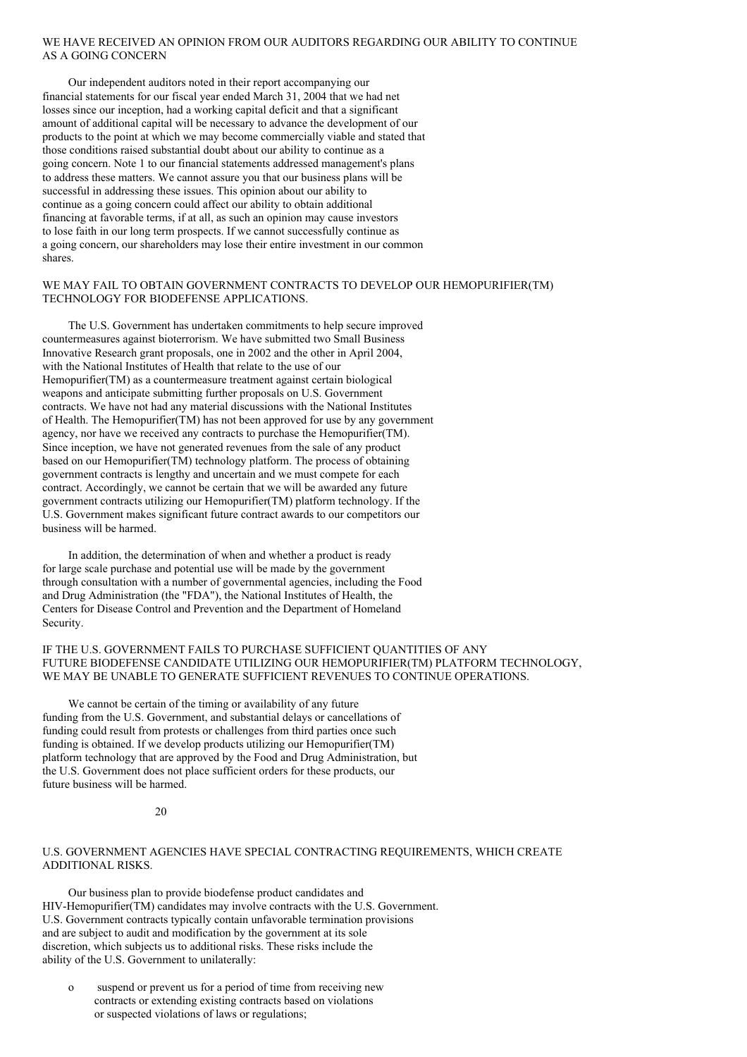### WE HAVE RECEIVED AN OPINION FROM OUR AUDITORS REGARDING OUR ABILITY TO CONTINUE AS A GOING CONCERN

Our independent auditors noted in their report accompanying our financial statements for our fiscal year ended March 31, 2004 that we had net losses since our inception, had a working capital deficit and that a significant amount of additional capital will be necessary to advance the development of our products to the point at which we may become commercially viable and stated that those conditions raised substantial doubt about our ability to continue as a going concern. Note 1 to our financial statements addressed management's plans to address these matters. We cannot assure you that our business plans will be successful in addressing these issues. This opinion about our ability to continue as a going concern could affect our ability to obtain additional financing at favorable terms, if at all, as such an opinion may cause investors to lose faith in our long term prospects. If we cannot successfully continue as a going concern, our shareholders may lose their entire investment in our common shares.

## WE MAY FAIL TO OBTAIN GOVERNMENT CONTRACTS TO DEVELOP OUR HEMOPURIFIER(TM) TECHNOLOGY FOR BIODEFENSE APPLICATIONS.

The U.S. Government has undertaken commitments to help secure improved countermeasures against bioterrorism. We have submitted two Small Business Innovative Research grant proposals, one in 2002 and the other in April 2004, with the National Institutes of Health that relate to the use of our Hemopurifier(TM) as a countermeasure treatment against certain biological weapons and anticipate submitting further proposals on U.S. Government contracts. We have not had any material discussions with the National Institutes of Health. The Hemopurifier(TM) has not been approved for use by any government agency, nor have we received any contracts to purchase the Hemopurifier(TM). Since inception, we have not generated revenues from the sale of any product based on our Hemopurifier(TM) technology platform. The process of obtaining government contracts is lengthy and uncertain and we must compete for each contract. Accordingly, we cannot be certain that we will be awarded any future government contracts utilizing our Hemopurifier(TM) platform technology. If the U.S. Government makes significant future contract awards to our competitors our business will be harmed.

In addition, the determination of when and whether a product is ready for large scale purchase and potential use will be made by the government through consultation with a number of governmental agencies, including the Food and Drug Administration (the "FDA"), the National Institutes of Health, the Centers for Disease Control and Prevention and the Department of Homeland Security.

## IF THE U.S. GOVERNMENT FAILS TO PURCHASE SUFFICIENT QUANTITIES OF ANY FUTURE BIODEFENSE CANDIDATE UTILIZING OUR HEMOPURIFIER(TM) PLATFORM TECHNOLOGY, WE MAY BE UNABLE TO GENERATE SUFFICIENT REVENUES TO CONTINUE OPERATIONS.

We cannot be certain of the timing or availability of any future funding from the U.S. Government, and substantial delays or cancellations of funding could result from protests or challenges from third parties once such funding is obtained. If we develop products utilizing our Hemopurifier(TM) platform technology that are approved by the Food and Drug Administration, but the U.S. Government does not place sufficient orders for these products, our future business will be harmed.

 $20$ 

# U.S. GOVERNMENT AGENCIES HAVE SPECIAL CONTRACTING REQUIREMENTS, WHICH CREATE ADDITIONAL RISKS.

Our business plan to provide biodefense product candidates and HIV-Hemopurifier(TM) candidates may involve contracts with the U.S. Government. U.S. Government contracts typically contain unfavorable termination provisions and are subject to audit and modification by the government at its sole discretion, which subjects us to additional risks. These risks include the ability of the U.S. Government to unilaterally:

o suspend or prevent us for a period of time from receiving new contracts or extending existing contracts based on violations or suspected violations of laws or regulations;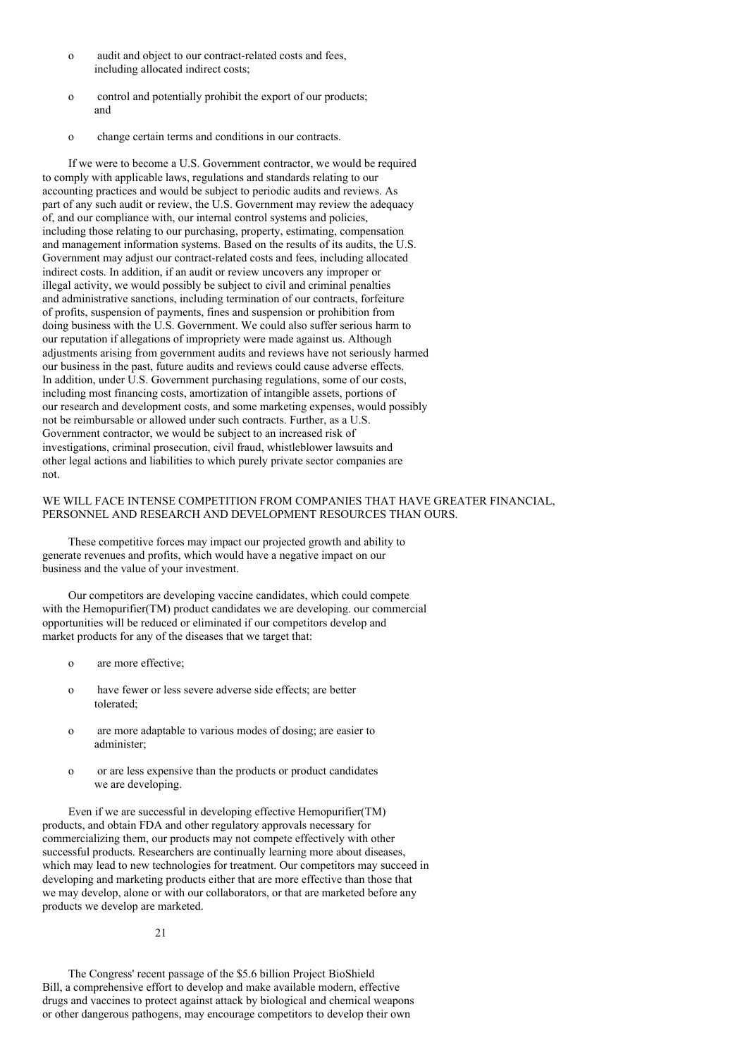- o audit and object to our contract-related costs and fees, including allocated indirect costs;
- o control and potentially prohibit the export of our products; and
- o change certain terms and conditions in our contracts.

If we were to become a U.S. Government contractor, we would be required to comply with applicable laws, regulations and standards relating to our accounting practices and would be subject to periodic audits and reviews. As part of any such audit or review, the U.S. Government may review the adequacy of, and our compliance with, our internal control systems and policies, including those relating to our purchasing, property, estimating, compensation and management information systems. Based on the results of its audits, the U.S. Government may adjust our contract-related costs and fees, including allocated indirect costs. In addition, if an audit or review uncovers any improper or illegal activity, we would possibly be subject to civil and criminal penalties and administrative sanctions, including termination of our contracts, forfeiture of profits, suspension of payments, fines and suspension or prohibition from doing business with the U.S. Government. We could also suffer serious harm to our reputation if allegations of impropriety were made against us. Although adjustments arising from government audits and reviews have not seriously harmed our business in the past, future audits and reviews could cause adverse effects. In addition, under U.S. Government purchasing regulations, some of our costs, including most financing costs, amortization of intangible assets, portions of our research and development costs, and some marketing expenses, would possibly not be reimbursable or allowed under such contracts. Further, as a U.S. Government contractor, we would be subject to an increased risk of investigations, criminal prosecution, civil fraud, whistleblower lawsuits and other legal actions and liabilities to which purely private sector companies are not.

# WE WILL FACE INTENSE COMPETITION FROM COMPANIES THAT HAVE GREATER FINANCIAL, PERSONNEL AND RESEARCH AND DEVELOPMENT RESOURCES THAN OURS.

These competitive forces may impact our projected growth and ability to generate revenues and profits, which would have a negative impact on our business and the value of your investment.

Our competitors are developing vaccine candidates, which could compete with the Hemopurifier(TM) product candidates we are developing. our commercial opportunities will be reduced or eliminated if our competitors develop and market products for any of the diseases that we target that:

- o are more effective;
- o have fewer or less severe adverse side effects; are better tolerated;
- o are more adaptable to various modes of dosing; are easier to administer;
- o or are less expensive than the products or product candidates we are developing.

Even if we are successful in developing effective Hemopurifier(TM) products, and obtain FDA and other regulatory approvals necessary for commercializing them, our products may not compete effectively with other successful products. Researchers are continually learning more about diseases, which may lead to new technologies for treatment. Our competitors may succeed in developing and marketing products either that are more effective than those that we may develop, alone or with our collaborators, or that are marketed before any products we develop are marketed.

 $21$ 

The Congress' recent passage of the \$5.6 billion Project BioShield Bill, a comprehensive effort to develop and make available modern, effective drugs and vaccines to protect against attack by biological and chemical weapons or other dangerous pathogens, may encourage competitors to develop their own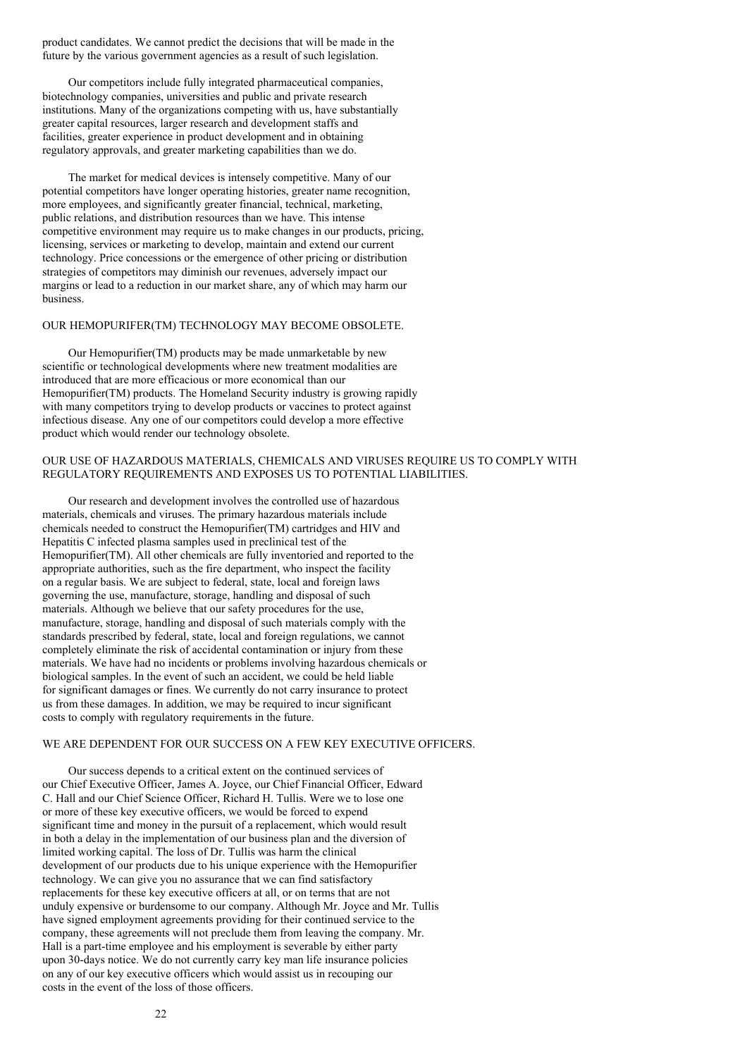product candidates. We cannot predict the decisions that will be made in the future by the various government agencies as a result of such legislation.

Our competitors include fully integrated pharmaceutical companies, biotechnology companies, universities and public and private research institutions. Many of the organizations competing with us, have substantially greater capital resources, larger research and development staffs and facilities, greater experience in product development and in obtaining regulatory approvals, and greater marketing capabilities than we do.

The market for medical devices is intensely competitive. Many of our potential competitors have longer operating histories, greater name recognition, more employees, and significantly greater financial, technical, marketing, public relations, and distribution resources than we have. This intense competitive environment may require us to make changes in our products, pricing, licensing, services or marketing to develop, maintain and extend our current technology. Price concessions or the emergence of other pricing or distribution strategies of competitors may diminish our revenues, adversely impact our margins or lead to a reduction in our market share, any of which may harm our business.

## OUR HEMOPURIFER(TM) TECHNOLOGY MAY BECOME OBSOLETE.

Our Hemopurifier(TM) products may be made unmarketable by new scientific or technological developments where new treatment modalities are introduced that are more efficacious or more economical than our Hemopurifier(TM) products. The Homeland Security industry is growing rapidly with many competitors trying to develop products or vaccines to protect against infectious disease. Any one of our competitors could develop a more effective product which would render our technology obsolete.

### OUR USE OF HAZARDOUS MATERIALS, CHEMICALS AND VIRUSES REQUIRE US TO COMPLY WITH REGULATORY REQUIREMENTS AND EXPOSES US TO POTENTIAL LIABILITIES.

Our research and development involves the controlled use of hazardous materials, chemicals and viruses. The primary hazardous materials include chemicals needed to construct the Hemopurifier(TM) cartridges and HIV and Hepatitis C infected plasma samples used in preclinical test of the Hemopurifier(TM). All other chemicals are fully inventoried and reported to the appropriate authorities, such as the fire department, who inspect the facility on a regular basis. We are subject to federal, state, local and foreign laws governing the use, manufacture, storage, handling and disposal of such materials. Although we believe that our safety procedures for the use, manufacture, storage, handling and disposal of such materials comply with the standards prescribed by federal, state, local and foreign regulations, we cannot completely eliminate the risk of accidental contamination or injury from these materials. We have had no incidents or problems involving hazardous chemicals or biological samples. In the event of such an accident, we could be held liable for significant damages or fines. We currently do not carry insurance to protect us from these damages. In addition, we may be required to incur significant costs to comply with regulatory requirements in the future.

### WE ARE DEPENDENT FOR OUR SUCCESS ON A FEW KEY EXECUTIVE OFFICERS.

Our success depends to a critical extent on the continued services of our Chief Executive Officer, James A. Joyce, our Chief Financial Officer, Edward C. Hall and our Chief Science Officer, Richard H. Tullis. Were we to lose one or more of these key executive officers, we would be forced to expend significant time and money in the pursuit of a replacement, which would result in both a delay in the implementation of our business plan and the diversion of limited working capital. The loss of Dr. Tullis was harm the clinical development of our products due to his unique experience with the Hemopurifier technology. We can give you no assurance that we can find satisfactory replacements for these key executive officers at all, or on terms that are not unduly expensive or burdensome to our company. Although Mr. Joyce and Mr. Tullis have signed employment agreements providing for their continued service to the company, these agreements will not preclude them from leaving the company. Mr. Hall is a part-time employee and his employment is severable by either party upon 30-days notice. We do not currently carry key man life insurance policies on any of our key executive officers which would assist us in recouping our costs in the event of the loss of those officers.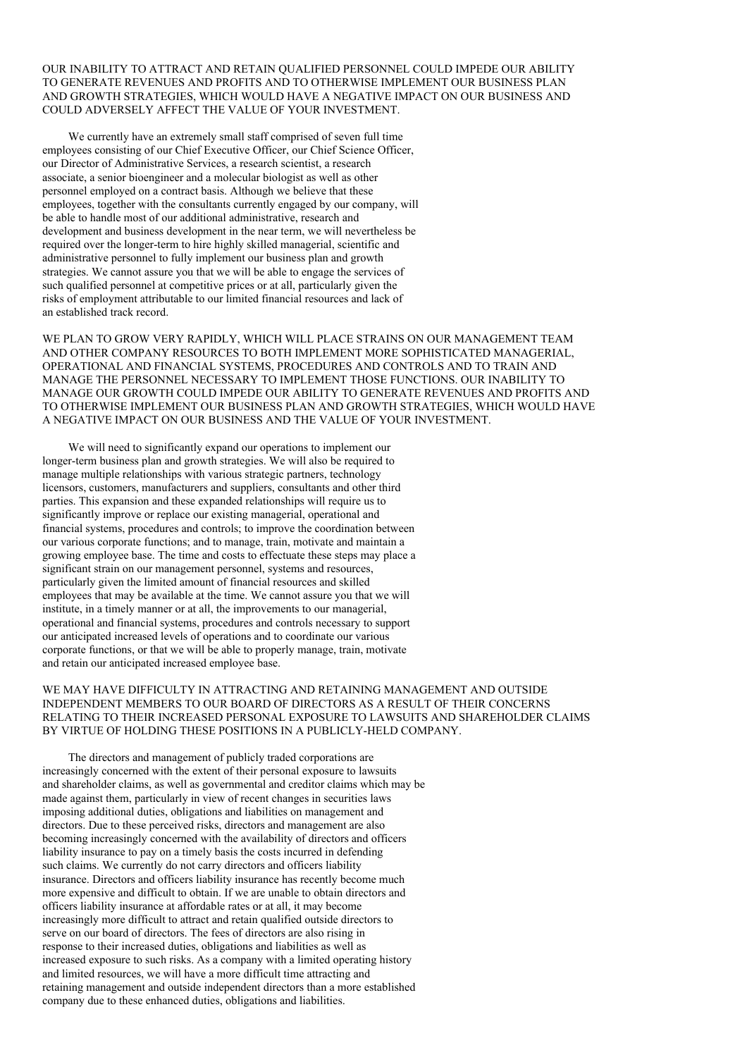OUR INABILITY TO ATTRACT AND RETAIN QUALIFIED PERSONNEL COULD IMPEDE OUR ABILITY TO GENERATE REVENUES AND PROFITS AND TO OTHERWISE IMPLEMENT OUR BUSINESS PLAN AND GROWTH STRATEGIES, WHICH WOULD HAVE A NEGATIVE IMPACT ON OUR BUSINESS AND COULD ADVERSELY AFFECT THE VALUE OF YOUR INVESTMENT.

We currently have an extremely small staff comprised of seven full time employees consisting of our Chief Executive Officer, our Chief Science Officer, our Director of Administrative Services, a research scientist, a research associate, a senior bioengineer and a molecular biologist as well as other personnel employed on a contract basis. Although we believe that these employees, together with the consultants currently engaged by our company, will be able to handle most of our additional administrative, research and development and business development in the near term, we will nevertheless be required over the longer-term to hire highly skilled managerial, scientific and administrative personnel to fully implement our business plan and growth strategies. We cannot assure you that we will be able to engage the services of such qualified personnel at competitive prices or at all, particularly given the risks of employment attributable to our limited financial resources and lack of an established track record.

WE PLAN TO GROW VERY RAPIDLY, WHICH WILL PLACE STRAINS ON OUR MANAGEMENT TEAM AND OTHER COMPANY RESOURCES TO BOTH IMPLEMENT MORE SOPHISTICATED MANAGERIAL, OPERATIONAL AND FINANCIAL SYSTEMS, PROCEDURES AND CONTROLS AND TO TRAIN AND MANAGE THE PERSONNEL NECESSARY TO IMPLEMENT THOSE FUNCTIONS. OUR INABILITY TO MANAGE OUR GROWTH COULD IMPEDE OUR ABILITY TO GENERATE REVENUES AND PROFITS AND TO OTHERWISE IMPLEMENT OUR BUSINESS PLAN AND GROWTH STRATEGIES, WHICH WOULD HAVE A NEGATIVE IMPACT ON OUR BUSINESS AND THE VALUE OF YOUR INVESTMENT.

We will need to significantly expand our operations to implement our longer-term business plan and growth strategies. We will also be required to manage multiple relationships with various strategic partners, technology licensors, customers, manufacturers and suppliers, consultants and other third parties. This expansion and these expanded relationships will require us to significantly improve or replace our existing managerial, operational and financial systems, procedures and controls; to improve the coordination between our various corporate functions; and to manage, train, motivate and maintain a growing employee base. The time and costs to effectuate these steps may place a significant strain on our management personnel, systems and resources, particularly given the limited amount of financial resources and skilled employees that may be available at the time. We cannot assure you that we will institute, in a timely manner or at all, the improvements to our managerial, operational and financial systems, procedures and controls necessary to support our anticipated increased levels of operations and to coordinate our various corporate functions, or that we will be able to properly manage, train, motivate and retain our anticipated increased employee base.

### WE MAY HAVE DIFFICULTY IN ATTRACTING AND RETAINING MANAGEMENT AND OUTSIDE INDEPENDENT MEMBERS TO OUR BOARD OF DIRECTORS AS A RESULT OF THEIR CONCERNS RELATING TO THEIR INCREASED PERSONAL EXPOSURE TO LAWSUITS AND SHAREHOLDER CLAIMS BY VIRTUE OF HOLDING THESE POSITIONS IN A PUBLICLY-HELD COMPANY.

The directors and management of publicly traded corporations are increasingly concerned with the extent of their personal exposure to lawsuits and shareholder claims, as well as governmental and creditor claims which may be made against them, particularly in view of recent changes in securities laws imposing additional duties, obligations and liabilities on management and directors. Due to these perceived risks, directors and management are also becoming increasingly concerned with the availability of directors and officers liability insurance to pay on a timely basis the costs incurred in defending such claims. We currently do not carry directors and officers liability insurance. Directors and officers liability insurance has recently become much more expensive and difficult to obtain. If we are unable to obtain directors and officers liability insurance at affordable rates or at all, it may become increasingly more difficult to attract and retain qualified outside directors to serve on our board of directors. The fees of directors are also rising in response to their increased duties, obligations and liabilities as well as increased exposure to such risks. As a company with a limited operating history and limited resources, we will have a more difficult time attracting and retaining management and outside independent directors than a more established company due to these enhanced duties, obligations and liabilities.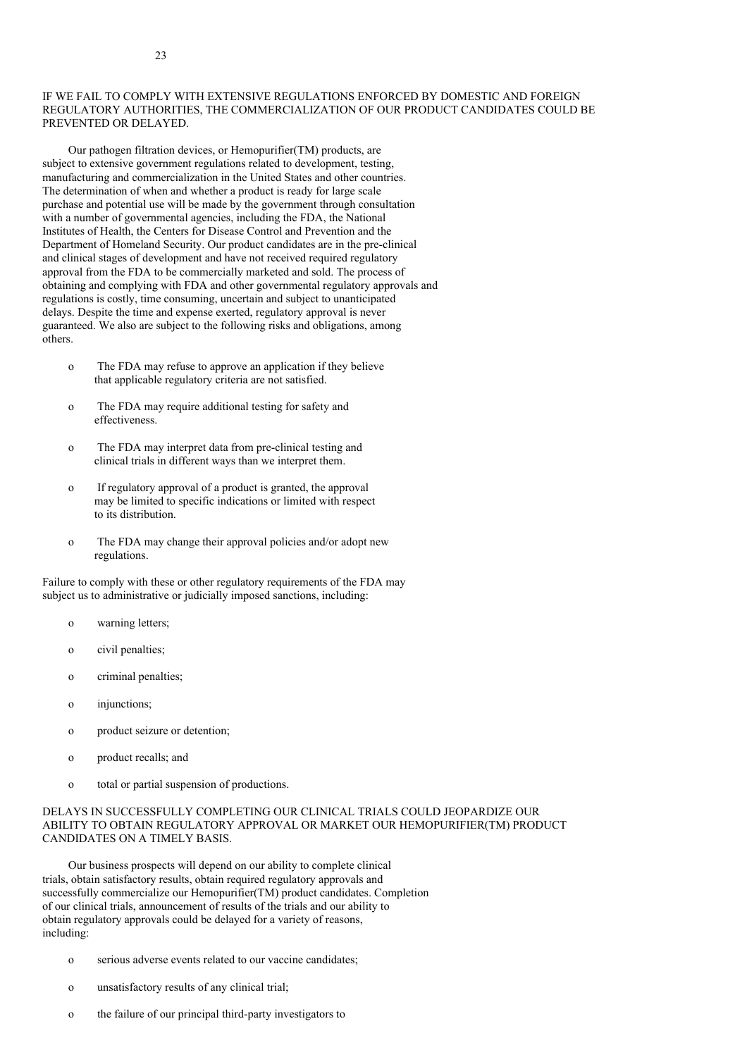# IF WE FAIL TO COMPLY WITH EXTENSIVE REGULATIONS ENFORCED BY DOMESTIC AND FOREIGN REGULATORY AUTHORITIES, THE COMMERCIALIZATION OF OUR PRODUCT CANDIDATES COULD BE PREVENTED OR DELAYED.

Our pathogen filtration devices, or Hemopurifier(TM) products, are subject to extensive government regulations related to development, testing, manufacturing and commercialization in the United States and other countries. The determination of when and whether a product is ready for large scale purchase and potential use will be made by the government through consultation with a number of governmental agencies, including the FDA, the National Institutes of Health, the Centers for Disease Control and Prevention and the Department of Homeland Security. Our product candidates are in the pre-clinical and clinical stages of development and have not received required regulatory approval from the FDA to be commercially marketed and sold. The process of obtaining and complying with FDA and other governmental regulatory approvals and regulations is costly, time consuming, uncertain and subject to unanticipated delays. Despite the time and expense exerted, regulatory approval is never guaranteed. We also are subject to the following risks and obligations, among others.

- o The FDA may refuse to approve an application if they believe that applicable regulatory criteria are not satisfied.
- o The FDA may require additional testing for safety and effectiveness.
- o The FDA may interpret data from pre-clinical testing and clinical trials in different ways than we interpret them.
- o If regulatory approval of a product is granted, the approval may be limited to specific indications or limited with respect to its distribution.
- o The FDA may change their approval policies and/or adopt new regulations.

Failure to comply with these or other regulatory requirements of the FDA may subject us to administrative or judicially imposed sanctions, including:

- o warning letters;
- o civil penalties;
- o criminal penalties;
- o injunctions;
- o product seizure or detention;
- o product recalls; and
- o total or partial suspension of productions.

# DELAYS IN SUCCESSFULLY COMPLETING OUR CLINICAL TRIALS COULD JEOPARDIZE OUR ABILITY TO OBTAIN REGULATORY APPROVAL OR MARKET OUR HEMOPURIFIER(TM) PRODUCT CANDIDATES ON A TIMELY BASIS.

Our business prospects will depend on our ability to complete clinical trials, obtain satisfactory results, obtain required regulatory approvals and successfully commercialize our Hemopurifier(TM) product candidates. Completion of our clinical trials, announcement of results of the trials and our ability to obtain regulatory approvals could be delayed for a variety of reasons, including:

- o serious adverse events related to our vaccine candidates;
- o unsatisfactory results of any clinical trial;
- o the failure of our principal third-party investigators to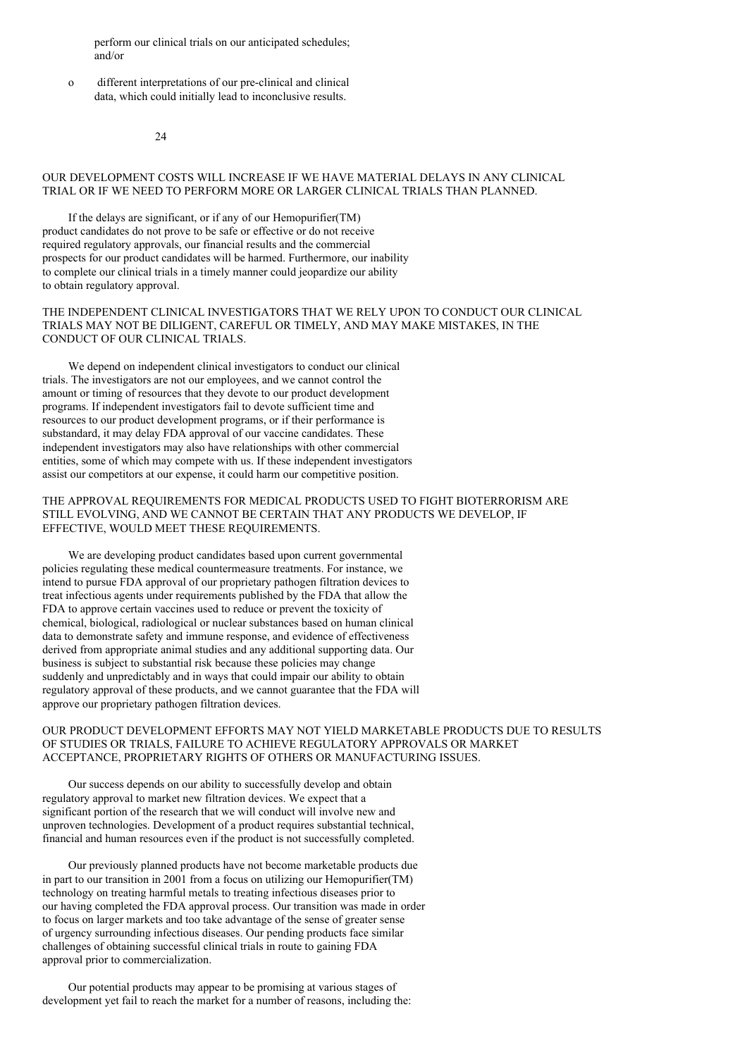perform our clinical trials on our anticipated schedules; and/or

o different interpretations of our pre-clinical and clinical data, which could initially lead to inconclusive results.

 $24$ 

# OUR DEVELOPMENT COSTS WILL INCREASE IF WE HAVE MATERIAL DELAYS IN ANY CLINICAL TRIAL OR IF WE NEED TO PERFORM MORE OR LARGER CLINICAL TRIALS THAN PLANNED.

If the delays are significant, or if any of our Hemopurifier(TM) product candidates do not prove to be safe or effective or do not receive required regulatory approvals, our financial results and the commercial prospects for our product candidates will be harmed. Furthermore, our inability to complete our clinical trials in a timely manner could jeopardize our ability to obtain regulatory approval.

# THE INDEPENDENT CLINICAL INVESTIGATORS THAT WE RELY UPON TO CONDUCT OUR CLINICAL TRIALS MAY NOT BE DILIGENT, CAREFUL OR TIMELY, AND MAY MAKE MISTAKES, IN THE CONDUCT OF OUR CLINICAL TRIALS.

We depend on independent clinical investigators to conduct our clinical trials. The investigators are not our employees, and we cannot control the amount or timing of resources that they devote to our product development programs. If independent investigators fail to devote sufficient time and resources to our product development programs, or if their performance is substandard, it may delay FDA approval of our vaccine candidates. These independent investigators may also have relationships with other commercial entities, some of which may compete with us. If these independent investigators assist our competitors at our expense, it could harm our competitive position.

### THE APPROVAL REQUIREMENTS FOR MEDICAL PRODUCTS USED TO FIGHT BIOTERRORISM ARE STILL EVOLVING, AND WE CANNOT BE CERTAIN THAT ANY PRODUCTS WE DEVELOP, IF EFFECTIVE, WOULD MEET THESE REQUIREMENTS.

We are developing product candidates based upon current governmental policies regulating these medical countermeasure treatments. For instance, we intend to pursue FDA approval of our proprietary pathogen filtration devices to treat infectious agents under requirements published by the FDA that allow the FDA to approve certain vaccines used to reduce or prevent the toxicity of chemical, biological, radiological or nuclear substances based on human clinical data to demonstrate safety and immune response, and evidence of effectiveness derived from appropriate animal studies and any additional supporting data. Our business is subject to substantial risk because these policies may change suddenly and unpredictably and in ways that could impair our ability to obtain regulatory approval of these products, and we cannot guarantee that the FDA will approve our proprietary pathogen filtration devices.

# OUR PRODUCT DEVELOPMENT EFFORTS MAY NOT YIELD MARKETABLE PRODUCTS DUE TO RESULTS OF STUDIES OR TRIALS, FAILURE TO ACHIEVE REGULATORY APPROVALS OR MARKET ACCEPTANCE, PROPRIETARY RIGHTS OF OTHERS OR MANUFACTURING ISSUES.

Our success depends on our ability to successfully develop and obtain regulatory approval to market new filtration devices. We expect that a significant portion of the research that we will conduct will involve new and unproven technologies. Development of a product requires substantial technical, financial and human resources even if the product is not successfully completed.

Our previously planned products have not become marketable products due in part to our transition in 2001 from a focus on utilizing our Hemopurifier(TM) technology on treating harmful metals to treating infectious diseases prior to our having completed the FDA approval process. Our transition was made in order to focus on larger markets and too take advantage of the sense of greater sense of urgency surrounding infectious diseases. Our pending products face similar challenges of obtaining successful clinical trials in route to gaining FDA approval prior to commercialization.

Our potential products may appear to be promising at various stages of development yet fail to reach the market for a number of reasons, including the: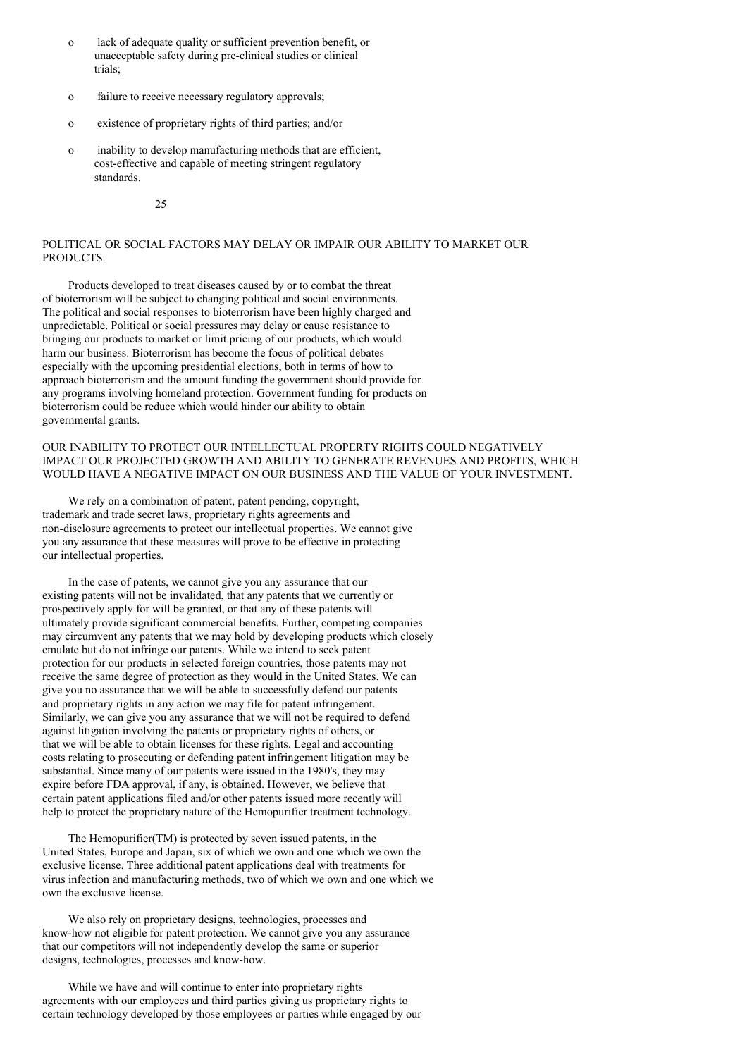- o lack of adequate quality or sufficient prevention benefit, or unacceptable safety during pre-clinical studies or clinical trials;
- o failure to receive necessary regulatory approvals;
- o existence of proprietary rights of third parties; and/or
- o inability to develop manufacturing methods that are efficient, cost-effective and capable of meeting stringent regulatory standards.

25

# POLITICAL OR SOCIAL FACTORS MAY DELAY OR IMPAIR OUR ABILITY TO MARKET OUR PRODUCTS.

Products developed to treat diseases caused by or to combat the threat of bioterrorism will be subject to changing political and social environments. The political and social responses to bioterrorism have been highly charged and unpredictable. Political or social pressures may delay or cause resistance to bringing our products to market or limit pricing of our products, which would harm our business. Bioterrorism has become the focus of political debates especially with the upcoming presidential elections, both in terms of how to approach bioterrorism and the amount funding the government should provide for any programs involving homeland protection. Government funding for products on bioterrorism could be reduce which would hinder our ability to obtain governmental grants.

## OUR INABILITY TO PROTECT OUR INTELLECTUAL PROPERTY RIGHTS COULD NEGATIVELY IMPACT OUR PROJECTED GROWTH AND ABILITY TO GENERATE REVENUES AND PROFITS, WHICH WOULD HAVE A NEGATIVE IMPACT ON OUR BUSINESS AND THE VALUE OF YOUR INVESTMENT.

We rely on a combination of patent, patent pending, copyright, trademark and trade secret laws, proprietary rights agreements and non-disclosure agreements to protect our intellectual properties. We cannot give you any assurance that these measures will prove to be effective in protecting our intellectual properties.

In the case of patents, we cannot give you any assurance that our existing patents will not be invalidated, that any patents that we currently or prospectively apply for will be granted, or that any of these patents will ultimately provide significant commercial benefits. Further, competing companies may circumvent any patents that we may hold by developing products which closely emulate but do not infringe our patents. While we intend to seek patent protection for our products in selected foreign countries, those patents may not receive the same degree of protection as they would in the United States. We can give you no assurance that we will be able to successfully defend our patents and proprietary rights in any action we may file for patent infringement. Similarly, we can give you any assurance that we will not be required to defend against litigation involving the patents or proprietary rights of others, or that we will be able to obtain licenses for these rights. Legal and accounting costs relating to prosecuting or defending patent infringement litigation may be substantial. Since many of our patents were issued in the 1980's, they may expire before FDA approval, if any, is obtained. However, we believe that certain patent applications filed and/or other patents issued more recently will help to protect the proprietary nature of the Hemopurifier treatment technology.

The Hemopurifier(TM) is protected by seven issued patents, in the United States, Europe and Japan, six of which we own and one which we own the exclusive license. Three additional patent applications deal with treatments for virus infection and manufacturing methods, two of which we own and one which we own the exclusive license.

We also rely on proprietary designs, technologies, processes and know-how not eligible for patent protection. We cannot give you any assurance that our competitors will not independently develop the same or superior designs, technologies, processes and know-how.

While we have and will continue to enter into proprietary rights agreements with our employees and third parties giving us proprietary rights to certain technology developed by those employees or parties while engaged by our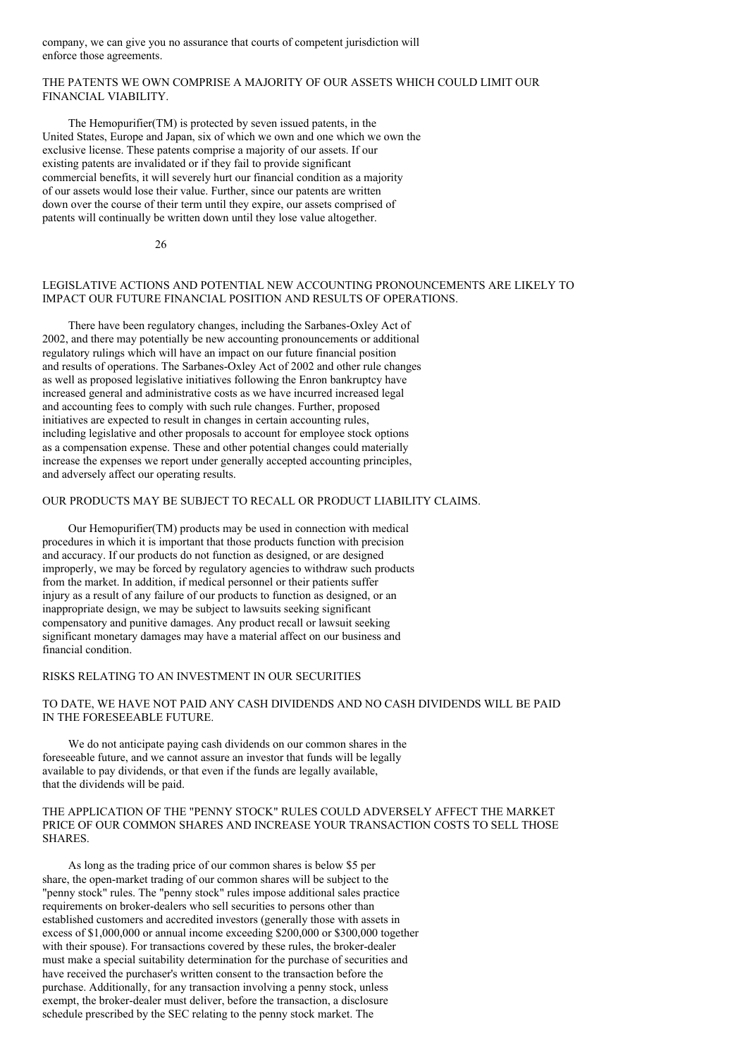company, we can give you no assurance that courts of competent jurisdiction will enforce those agreements.

# THE PATENTS WE OWN COMPRISE A MAJORITY OF OUR ASSETS WHICH COULD LIMIT OUR FINANCIAL VIABILITY.

The Hemopurifier(TM) is protected by seven issued patents, in the United States, Europe and Japan, six of which we own and one which we own the exclusive license. These patents comprise a majority of our assets. If our existing patents are invalidated or if they fail to provide significant commercial benefits, it will severely hurt our financial condition as a majority of our assets would lose their value. Further, since our patents are written down over the course of their term until they expire, our assets comprised of patents will continually be written down until they lose value altogether.

26

# LEGISLATIVE ACTIONS AND POTENTIAL NEW ACCOUNTING PRONOUNCEMENTS ARE LIKELY TO IMPACT OUR FUTURE FINANCIAL POSITION AND RESULTS OF OPERATIONS.

There have been regulatory changes, including the Sarbanes-Oxley Act of 2002, and there may potentially be new accounting pronouncements or additional regulatory rulings which will have an impact on our future financial position and results of operations. The Sarbanes-Oxley Act of 2002 and other rule changes as well as proposed legislative initiatives following the Enron bankruptcy have increased general and administrative costs as we have incurred increased legal and accounting fees to comply with such rule changes. Further, proposed initiatives are expected to result in changes in certain accounting rules, including legislative and other proposals to account for employee stock options as a compensation expense. These and other potential changes could materially increase the expenses we report under generally accepted accounting principles, and adversely affect our operating results.

# OUR PRODUCTS MAY BE SUBJECT TO RECALL OR PRODUCT LIABILITY CLAIMS.

Our Hemopurifier(TM) products may be used in connection with medical procedures in which it is important that those products function with precision and accuracy. If our products do not function as designed, or are designed improperly, we may be forced by regulatory agencies to withdraw such products from the market. In addition, if medical personnel or their patients suffer injury as a result of any failure of our products to function as designed, or an inappropriate design, we may be subject to lawsuits seeking significant compensatory and punitive damages. Any product recall or lawsuit seeking significant monetary damages may have a material affect on our business and financial condition.

### RISKS RELATING TO AN INVESTMENT IN OUR SECURITIES

### TO DATE, WE HAVE NOT PAID ANY CASH DIVIDENDS AND NO CASH DIVIDENDS WILL BE PAID IN THE FORESEEABLE FUTURE.

We do not anticipate paying cash dividends on our common shares in the foreseeable future, and we cannot assure an investor that funds will be legally available to pay dividends, or that even if the funds are legally available, that the dividends will be paid.

### THE APPLICATION OF THE "PENNY STOCK" RULES COULD ADVERSELY AFFECT THE MARKET PRICE OF OUR COMMON SHARES AND INCREASE YOUR TRANSACTION COSTS TO SELL THOSE SHARES.

As long as the trading price of our common shares is below \$5 per share, the open-market trading of our common shares will be subject to the "penny stock" rules. The "penny stock" rules impose additional sales practice requirements on broker-dealers who sell securities to persons other than established customers and accredited investors (generally those with assets in excess of \$1,000,000 or annual income exceeding \$200,000 or \$300,000 together with their spouse). For transactions covered by these rules, the broker-dealer must make a special suitability determination for the purchase of securities and have received the purchaser's written consent to the transaction before the purchase. Additionally, for any transaction involving a penny stock, unless exempt, the broker-dealer must deliver, before the transaction, a disclosure schedule prescribed by the SEC relating to the penny stock market. The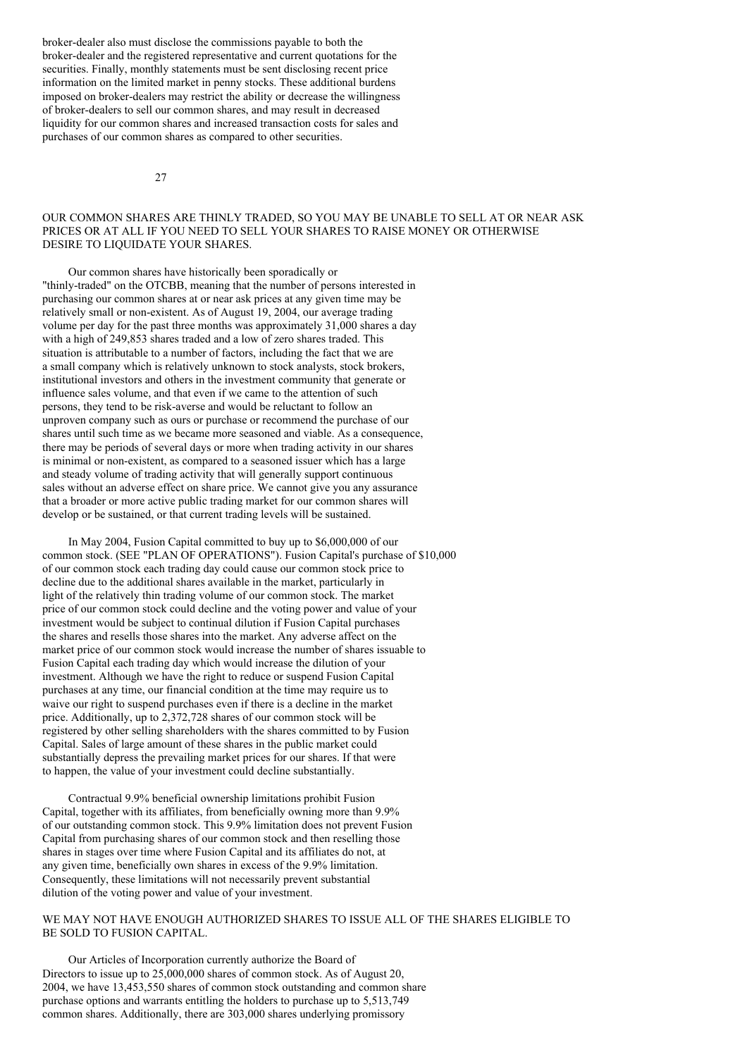broker-dealer also must disclose the commissions payable to both the broker-dealer and the registered representative and current quotations for the securities. Finally, monthly statements must be sent disclosing recent price information on the limited market in penny stocks. These additional burdens imposed on broker-dealers may restrict the ability or decrease the willingness of broker-dealers to sell our common shares, and may result in decreased liquidity for our common shares and increased transaction costs for sales and purchases of our common shares as compared to other securities.

 $27$ 

# OUR COMMON SHARES ARE THINLY TRADED, SO YOU MAY BE UNABLE TO SELL AT OR NEAR ASK PRICES OR AT ALL IF YOU NEED TO SELL YOUR SHARES TO RAISE MONEY OR OTHERWISE DESIRE TO LIQUIDATE YOUR SHARES.

Our common shares have historically been sporadically or "thinly-traded" on the OTCBB, meaning that the number of persons interested in purchasing our common shares at or near ask prices at any given time may be relatively small or non-existent. As of August 19, 2004, our average trading volume per day for the past three months was approximately 31,000 shares a day with a high of 249,853 shares traded and a low of zero shares traded. This situation is attributable to a number of factors, including the fact that we are a small company which is relatively unknown to stock analysts, stock brokers, institutional investors and others in the investment community that generate or influence sales volume, and that even if we came to the attention of such persons, they tend to be risk-averse and would be reluctant to follow an unproven company such as ours or purchase or recommend the purchase of our shares until such time as we became more seasoned and viable. As a consequence, there may be periods of several days or more when trading activity in our shares is minimal or non-existent, as compared to a seasoned issuer which has a large and steady volume of trading activity that will generally support continuous sales without an adverse effect on share price. We cannot give you any assurance that a broader or more active public trading market for our common shares will develop or be sustained, or that current trading levels will be sustained.

In May 2004, Fusion Capital committed to buy up to \$6,000,000 of our common stock. (SEE "PLAN OF OPERATIONS"). Fusion Capital's purchase of \$10,000 of our common stock each trading day could cause our common stock price to decline due to the additional shares available in the market, particularly in light of the relatively thin trading volume of our common stock. The market price of our common stock could decline and the voting power and value of your investment would be subject to continual dilution if Fusion Capital purchases the shares and resells those shares into the market. Any adverse affect on the market price of our common stock would increase the number of shares issuable to Fusion Capital each trading day which would increase the dilution of your investment. Although we have the right to reduce or suspend Fusion Capital purchases at any time, our financial condition at the time may require us to waive our right to suspend purchases even if there is a decline in the market price. Additionally, up to 2,372,728 shares of our common stock will be registered by other selling shareholders with the shares committed to by Fusion Capital. Sales of large amount of these shares in the public market could substantially depress the prevailing market prices for our shares. If that were to happen, the value of your investment could decline substantially.

Contractual 9.9% beneficial ownership limitations prohibit Fusion Capital, together with its affiliates, from beneficially owning more than 9.9% of our outstanding common stock. This 9.9% limitation does not prevent Fusion Capital from purchasing shares of our common stock and then reselling those shares in stages over time where Fusion Capital and its affiliates do not, at any given time, beneficially own shares in excess of the 9.9% limitation. Consequently, these limitations will not necessarily prevent substantial dilution of the voting power and value of your investment.

# WE MAY NOT HAVE ENOUGH AUTHORIZED SHARES TO ISSUE ALL OF THE SHARES ELIGIBLE TO BE SOLD TO FUSION CAPITAL.

Our Articles of Incorporation currently authorize the Board of Directors to issue up to 25,000,000 shares of common stock. As of August 20, 2004, we have 13,453,550 shares of common stock outstanding and common share purchase options and warrants entitling the holders to purchase up to 5,513,749 common shares. Additionally, there are 303,000 shares underlying promissory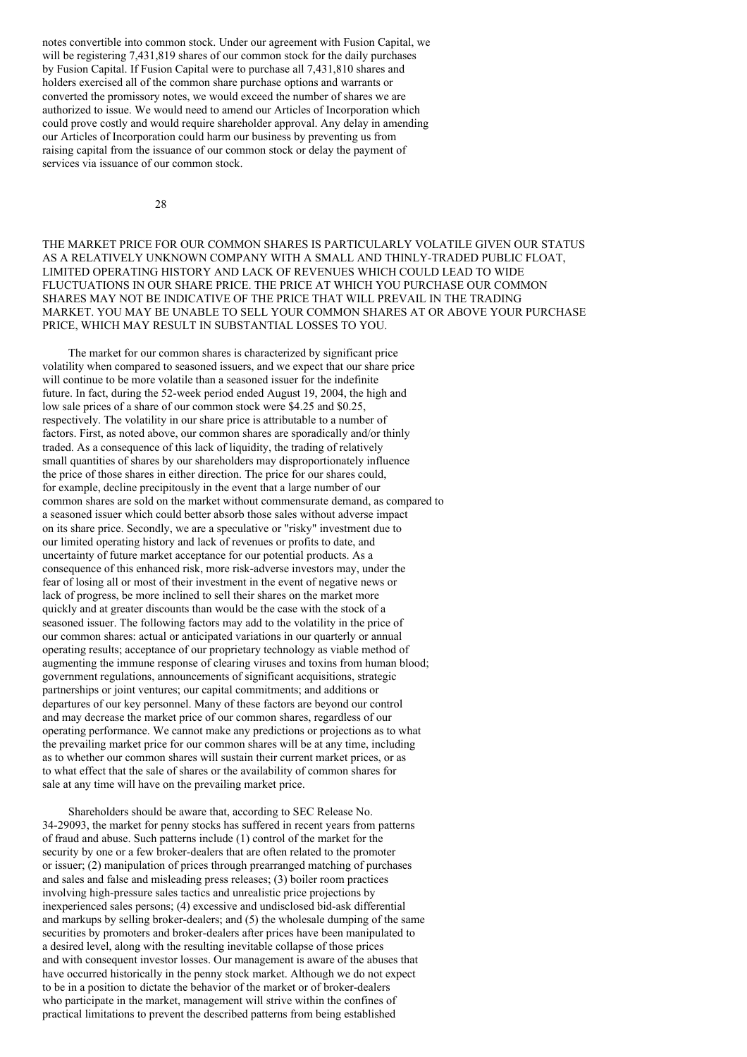notes convertible into common stock. Under our agreement with Fusion Capital, we will be registering 7,431,819 shares of our common stock for the daily purchases by Fusion Capital. If Fusion Capital were to purchase all 7,431,810 shares and holders exercised all of the common share purchase options and warrants or converted the promissory notes, we would exceed the number of shares we are authorized to issue. We would need to amend our Articles of Incorporation which could prove costly and would require shareholder approval. Any delay in amending our Articles of Incorporation could harm our business by preventing us from raising capital from the issuance of our common stock or delay the payment of services via issuance of our common stock.

28

## THE MARKET PRICE FOR OUR COMMON SHARES IS PARTICULARLY VOLATILE GIVEN OUR STATUS AS A RELATIVELY UNKNOWN COMPANY WITH A SMALL AND THINLY-TRADED PUBLIC FLOAT, LIMITED OPERATING HISTORY AND LACK OF REVENUES WHICH COULD LEAD TO WIDE FLUCTUATIONS IN OUR SHARE PRICE. THE PRICE AT WHICH YOU PURCHASE OUR COMMON SHARES MAY NOT BE INDICATIVE OF THE PRICE THAT WILL PREVAIL IN THE TRADING MARKET. YOU MAY BE UNABLE TO SELL YOUR COMMON SHARES AT OR ABOVE YOUR PURCHASE PRICE, WHICH MAY RESULT IN SUBSTANTIAL LOSSES TO YOU.

The market for our common shares is characterized by significant price volatility when compared to seasoned issuers, and we expect that our share price will continue to be more volatile than a seasoned issuer for the indefinite future. In fact, during the 52-week period ended August 19, 2004, the high and low sale prices of a share of our common stock were \$4.25 and \$0.25, respectively. The volatility in our share price is attributable to a number of factors. First, as noted above, our common shares are sporadically and/or thinly traded. As a consequence of this lack of liquidity, the trading of relatively small quantities of shares by our shareholders may disproportionately influence the price of those shares in either direction. The price for our shares could, for example, decline precipitously in the event that a large number of our common shares are sold on the market without commensurate demand, as compared to a seasoned issuer which could better absorb those sales without adverse impact on its share price. Secondly, we are a speculative or "risky" investment due to our limited operating history and lack of revenues or profits to date, and uncertainty of future market acceptance for our potential products. As a consequence of this enhanced risk, more risk-adverse investors may, under the fear of losing all or most of their investment in the event of negative news or lack of progress, be more inclined to sell their shares on the market more quickly and at greater discounts than would be the case with the stock of a seasoned issuer. The following factors may add to the volatility in the price of our common shares: actual or anticipated variations in our quarterly or annual operating results; acceptance of our proprietary technology as viable method of augmenting the immune response of clearing viruses and toxins from human blood; government regulations, announcements of significant acquisitions, strategic partnerships or joint ventures; our capital commitments; and additions or departures of our key personnel. Many of these factors are beyond our control and may decrease the market price of our common shares, regardless of our operating performance. We cannot make any predictions or projections as to what the prevailing market price for our common shares will be at any time, including as to whether our common shares will sustain their current market prices, or as to what effect that the sale of shares or the availability of common shares for sale at any time will have on the prevailing market price.

Shareholders should be aware that, according to SEC Release No. 34-29093, the market for penny stocks has suffered in recent years from patterns of fraud and abuse. Such patterns include (1) control of the market for the security by one or a few broker-dealers that are often related to the promoter or issuer; (2) manipulation of prices through prearranged matching of purchases and sales and false and misleading press releases; (3) boiler room practices involving high-pressure sales tactics and unrealistic price projections by inexperienced sales persons; (4) excessive and undisclosed bid-ask differential and markups by selling broker-dealers; and (5) the wholesale dumping of the same securities by promoters and broker-dealers after prices have been manipulated to a desired level, along with the resulting inevitable collapse of those prices and with consequent investor losses. Our management is aware of the abuses that have occurred historically in the penny stock market. Although we do not expect to be in a position to dictate the behavior of the market or of broker-dealers who participate in the market, management will strive within the confines of practical limitations to prevent the described patterns from being established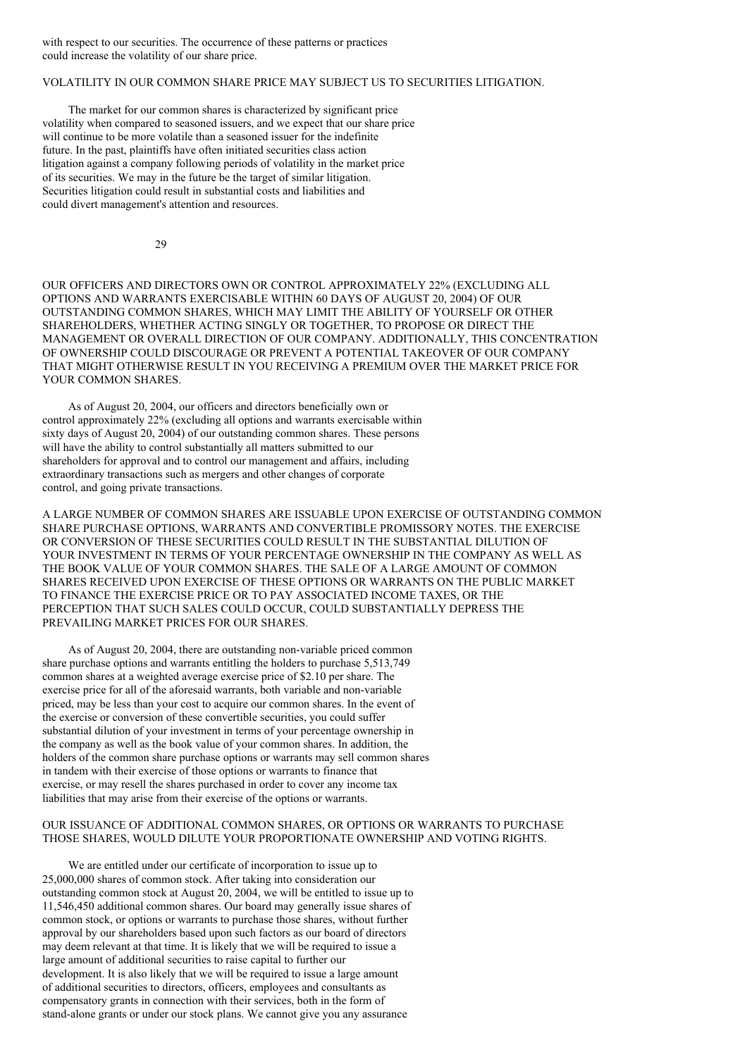with respect to our securities. The occurrence of these patterns or practices could increase the volatility of our share price.

# VOLATILITY IN OUR COMMON SHARE PRICE MAY SUBJECT US TO SECURITIES LITIGATION.

The market for our common shares is characterized by significant price volatility when compared to seasoned issuers, and we expect that our share price will continue to be more volatile than a seasoned issuer for the indefinite future. In the past, plaintiffs have often initiated securities class action litigation against a company following periods of volatility in the market price of its securities. We may in the future be the target of similar litigation. Securities litigation could result in substantial costs and liabilities and could divert management's attention and resources.

29

OUR OFFICERS AND DIRECTORS OWN OR CONTROL APPROXIMATELY 22% (EXCLUDING ALL OPTIONS AND WARRANTS EXERCISABLE WITHIN 60 DAYS OF AUGUST 20, 2004) OF OUR OUTSTANDING COMMON SHARES, WHICH MAY LIMIT THE ABILITY OF YOURSELF OR OTHER SHAREHOLDERS, WHETHER ACTING SINGLY OR TOGETHER, TO PROPOSE OR DIRECT THE MANAGEMENT OR OVERALL DIRECTION OF OUR COMPANY. ADDITIONALLY, THIS CONCENTRATION OF OWNERSHIP COULD DISCOURAGE OR PREVENT A POTENTIAL TAKEOVER OF OUR COMPANY THAT MIGHT OTHERWISE RESULT IN YOU RECEIVING A PREMIUM OVER THE MARKET PRICE FOR YOUR COMMON SHARES.

As of August 20, 2004, our officers and directors beneficially own or control approximately 22% (excluding all options and warrants exercisable within sixty days of August 20, 2004) of our outstanding common shares. These persons will have the ability to control substantially all matters submitted to our shareholders for approval and to control our management and affairs, including extraordinary transactions such as mergers and other changes of corporate control, and going private transactions.

A LARGE NUMBER OF COMMON SHARES ARE ISSUABLE UPON EXERCISE OF OUTSTANDING COMMON SHARE PURCHASE OPTIONS, WARRANTS AND CONVERTIBLE PROMISSORY NOTES. THE EXERCISE OR CONVERSION OF THESE SECURITIES COULD RESULT IN THE SUBSTANTIAL DILUTION OF YOUR INVESTMENT IN TERMS OF YOUR PERCENTAGE OWNERSHIP IN THE COMPANY AS WELL AS THE BOOK VALUE OF YOUR COMMON SHARES. THE SALE OF A LARGE AMOUNT OF COMMON SHARES RECEIVED UPON EXERCISE OF THESE OPTIONS OR WARRANTS ON THE PUBLIC MARKET TO FINANCE THE EXERCISE PRICE OR TO PAY ASSOCIATED INCOME TAXES, OR THE PERCEPTION THAT SUCH SALES COULD OCCUR, COULD SUBSTANTIALLY DEPRESS THE PREVAILING MARKET PRICES FOR OUR SHARES.

As of August 20, 2004, there are outstanding non-variable priced common share purchase options and warrants entitling the holders to purchase 5,513,749 common shares at a weighted average exercise price of \$2.10 per share. The exercise price for all of the aforesaid warrants, both variable and non-variable priced, may be less than your cost to acquire our common shares. In the event of the exercise or conversion of these convertible securities, you could suffer substantial dilution of your investment in terms of your percentage ownership in the company as well as the book value of your common shares. In addition, the holders of the common share purchase options or warrants may sell common shares in tandem with their exercise of those options or warrants to finance that exercise, or may resell the shares purchased in order to cover any income tax liabilities that may arise from their exercise of the options or warrants.

### OUR ISSUANCE OF ADDITIONAL COMMON SHARES, OR OPTIONS OR WARRANTS TO PURCHASE THOSE SHARES, WOULD DILUTE YOUR PROPORTIONATE OWNERSHIP AND VOTING RIGHTS.

We are entitled under our certificate of incorporation to issue up to 25,000,000 shares of common stock. After taking into consideration our outstanding common stock at August 20, 2004, we will be entitled to issue up to 11,546,450 additional common shares. Our board may generally issue shares of common stock, or options or warrants to purchase those shares, without further approval by our shareholders based upon such factors as our board of directors may deem relevant at that time. It is likely that we will be required to issue a large amount of additional securities to raise capital to further our development. It is also likely that we will be required to issue a large amount of additional securities to directors, officers, employees and consultants as compensatory grants in connection with their services, both in the form of stand-alone grants or under our stock plans. We cannot give you any assurance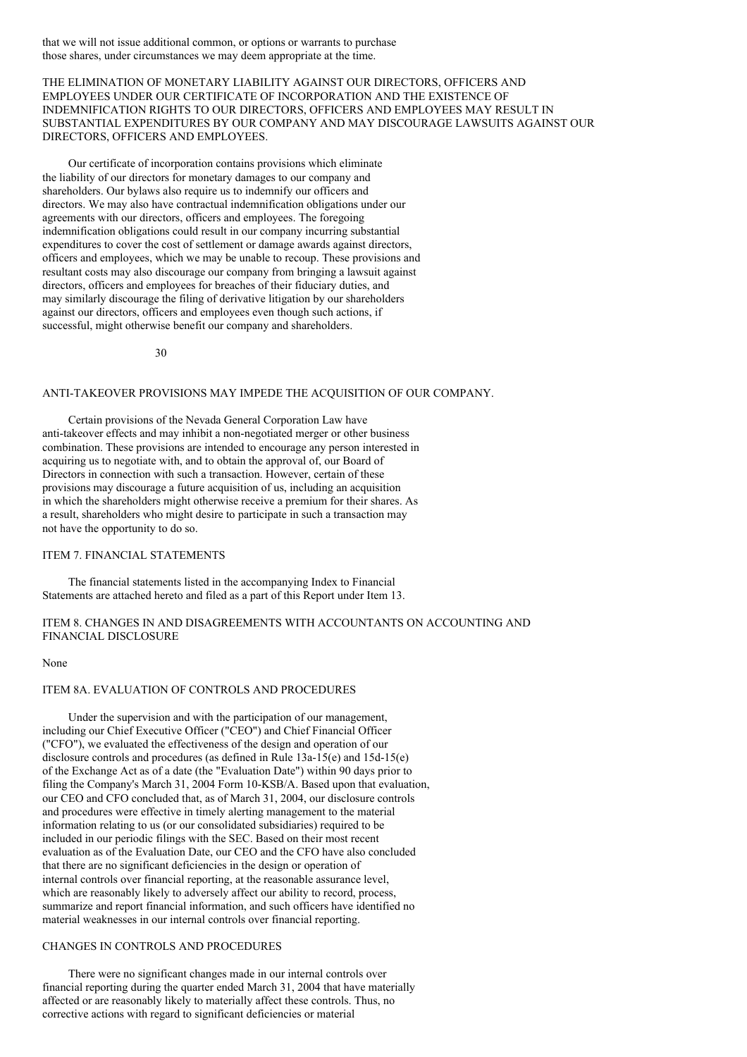that we will not issue additional common, or options or warrants to purchase those shares, under circumstances we may deem appropriate at the time.

## THE ELIMINATION OF MONETARY LIABILITY AGAINST OUR DIRECTORS, OFFICERS AND EMPLOYEES UNDER OUR CERTIFICATE OF INCORPORATION AND THE EXISTENCE OF INDEMNIFICATION RIGHTS TO OUR DIRECTORS, OFFICERS AND EMPLOYEES MAY RESULT IN SUBSTANTIAL EXPENDITURES BY OUR COMPANY AND MAY DISCOURAGE LAWSUITS AGAINST OUR DIRECTORS, OFFICERS AND EMPLOYEES.

Our certificate of incorporation contains provisions which eliminate the liability of our directors for monetary damages to our company and shareholders. Our bylaws also require us to indemnify our officers and directors. We may also have contractual indemnification obligations under our agreements with our directors, officers and employees. The foregoing indemnification obligations could result in our company incurring substantial expenditures to cover the cost of settlement or damage awards against directors, officers and employees, which we may be unable to recoup. These provisions and resultant costs may also discourage our company from bringing a lawsuit against directors, officers and employees for breaches of their fiduciary duties, and may similarly discourage the filing of derivative litigation by our shareholders against our directors, officers and employees even though such actions, if successful, might otherwise benefit our company and shareholders.

30

### ANTI-TAKEOVER PROVISIONS MAY IMPEDE THE ACQUISITION OF OUR COMPANY.

Certain provisions of the Nevada General Corporation Law have anti-takeover effects and may inhibit a non-negotiated merger or other business combination. These provisions are intended to encourage any person interested in acquiring us to negotiate with, and to obtain the approval of, our Board of Directors in connection with such a transaction. However, certain of these provisions may discourage a future acquisition of us, including an acquisition in which the shareholders might otherwise receive a premium for their shares. As a result, shareholders who might desire to participate in such a transaction may not have the opportunity to do so.

### ITEM 7. FINANCIAL STATEMENTS

The financial statements listed in the accompanying Index to Financial Statements are attached hereto and filed as a part of this Report under Item 13.

### ITEM 8. CHANGES IN AND DISAGREEMENTS WITH ACCOUNTANTS ON ACCOUNTING AND FINANCIAL DISCLOSURE

#### None

#### ITEM 8A. EVALUATION OF CONTROLS AND PROCEDURES

Under the supervision and with the participation of our management, including our Chief Executive Officer ("CEO") and Chief Financial Officer ("CFO"), we evaluated the effectiveness of the design and operation of our disclosure controls and procedures (as defined in Rule 13a-15(e) and 15d-15(e) of the Exchange Act as of a date (the "Evaluation Date") within 90 days prior to filing the Company's March 31, 2004 Form 10-KSB/A. Based upon that evaluation, our CEO and CFO concluded that, as of March 31, 2004, our disclosure controls and procedures were effective in timely alerting management to the material information relating to us (or our consolidated subsidiaries) required to be included in our periodic filings with the SEC. Based on their most recent evaluation as of the Evaluation Date, our CEO and the CFO have also concluded that there are no significant deficiencies in the design or operation of internal controls over financial reporting, at the reasonable assurance level, which are reasonably likely to adversely affect our ability to record, process, summarize and report financial information, and such officers have identified no material weaknesses in our internal controls over financial reporting.

### CHANGES IN CONTROLS AND PROCEDURES

There were no significant changes made in our internal controls over financial reporting during the quarter ended March 31, 2004 that have materially affected or are reasonably likely to materially affect these controls. Thus, no corrective actions with regard to significant deficiencies or material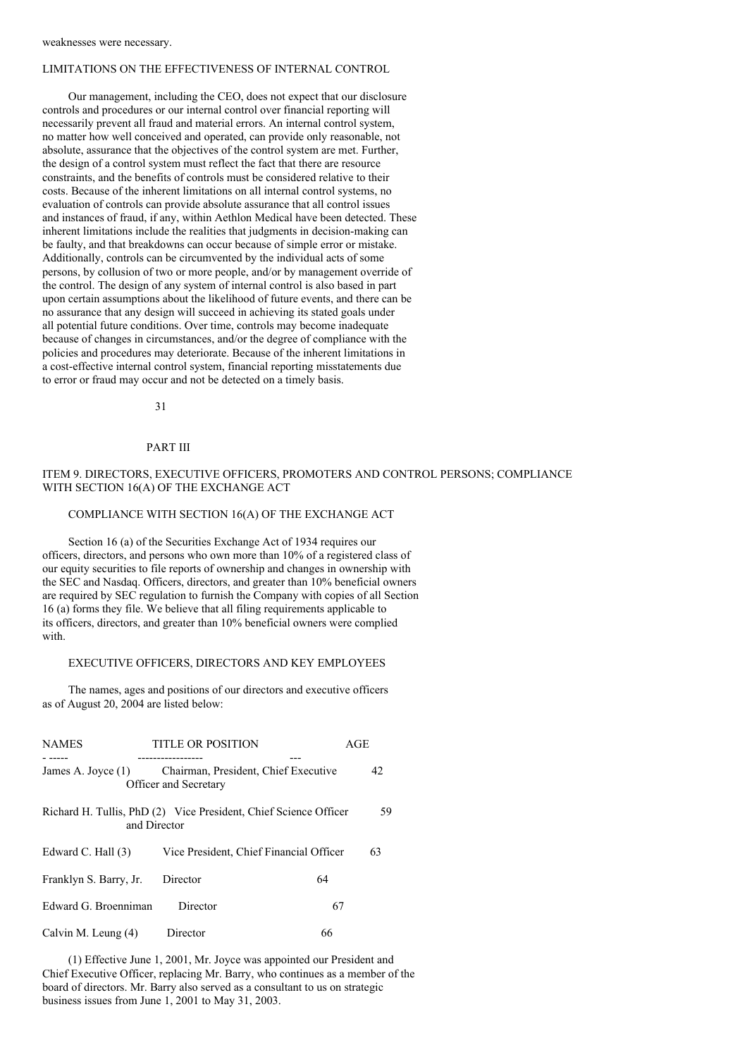#### LIMITATIONS ON THE EFFECTIVENESS OF INTERNAL CONTROL

Our management, including the CEO, does not expect that our disclosure controls and procedures or our internal control over financial reporting will necessarily prevent all fraud and material errors. An internal control system, no matter how well conceived and operated, can provide only reasonable, not absolute, assurance that the objectives of the control system are met. Further, the design of a control system must reflect the fact that there are resource constraints, and the benefits of controls must be considered relative to their costs. Because of the inherent limitations on all internal control systems, no evaluation of controls can provide absolute assurance that all control issues and instances of fraud, if any, within Aethlon Medical have been detected. These inherent limitations include the realities that judgments in decision-making can be faulty, and that breakdowns can occur because of simple error or mistake. Additionally, controls can be circumvented by the individual acts of some persons, by collusion of two or more people, and/or by management override of the control. The design of any system of internal control is also based in part upon certain assumptions about the likelihood of future events, and there can be no assurance that any design will succeed in achieving its stated goals under all potential future conditions. Over time, controls may become inadequate because of changes in circumstances, and/or the degree of compliance with the policies and procedures may deteriorate. Because of the inherent limitations in a cost-effective internal control system, financial reporting misstatements due to error or fraud may occur and not be detected on a timely basis.

31

#### PART III

### ITEM 9. DIRECTORS, EXECUTIVE OFFICERS, PROMOTERS AND CONTROL PERSONS; COMPLIANCE WITH SECTION 16(A) OF THE EXCHANGE ACT

### COMPLIANCE WITH SECTION 16(A) OF THE EXCHANGE ACT

Section 16 (a) of the Securities Exchange Act of 1934 requires our officers, directors, and persons who own more than 10% of a registered class of our equity securities to file reports of ownership and changes in ownership with the SEC and Nasdaq. Officers, directors, and greater than 10% beneficial owners are required by SEC regulation to furnish the Company with copies of all Section 16 (a) forms they file. We believe that all filing requirements applicable to its officers, directors, and greater than 10% beneficial owners were complied with.

### EXECUTIVE OFFICERS, DIRECTORS AND KEY EMPLOYEES

The names, ages and positions of our directors and executive officers as of August 20, 2004 are listed below:

| <b>NAMES</b>                                                     | <b>TITLE OR POSITION</b>                                             | AGE |    |
|------------------------------------------------------------------|----------------------------------------------------------------------|-----|----|
| James A. Joyce (1)                                               | Chairman, President, Chief Executive<br><b>Officer and Secretary</b> |     | 42 |
| Richard H. Tullis, PhD (2) Vice President, Chief Science Officer | and Director                                                         |     | 59 |
| Edward C. Hall (3)                                               | Vice President, Chief Financial Officer                              |     | 63 |
| Franklyn S. Barry, Jr.                                           | Director                                                             | 64  |    |
| Edward G. Broenniman                                             | Director                                                             | 67  |    |
| Calvin M. Leung (4)                                              | Director                                                             | 66  |    |

(1) Effective June 1, 2001, Mr. Joyce was appointed our President and Chief Executive Officer, replacing Mr. Barry, who continues as a member of the board of directors. Mr. Barry also served as a consultant to us on strategic business issues from June 1, 2001 to May 31, 2003.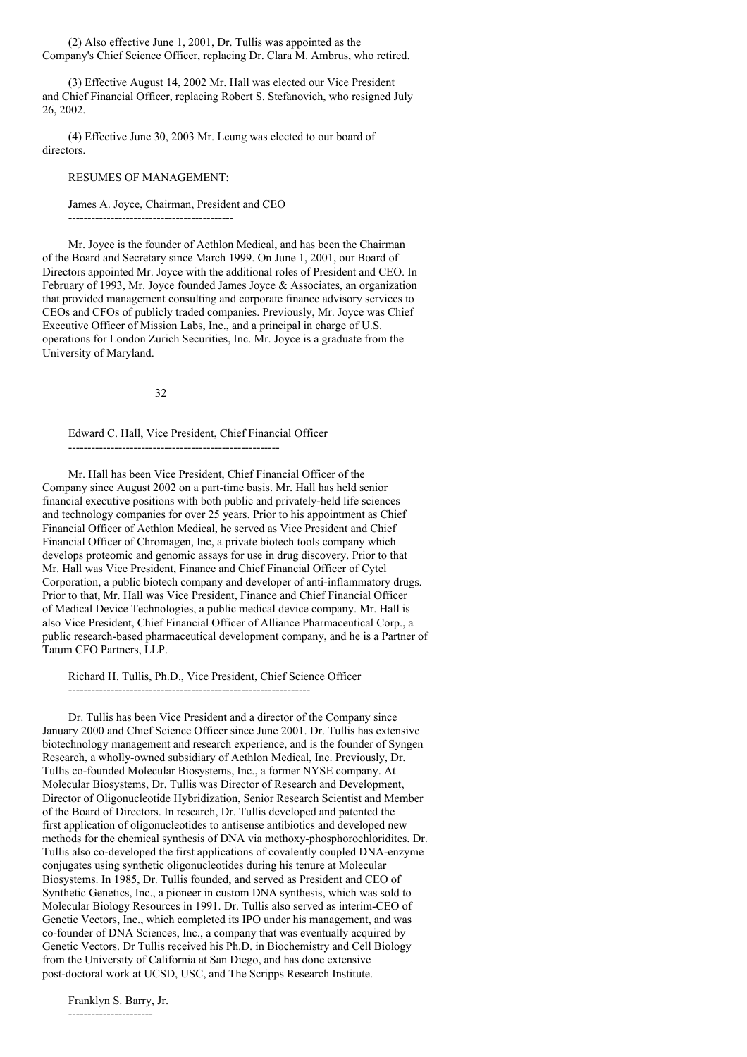(2) Also effective June 1, 2001, Dr. Tullis was appointed as the Company's Chief Science Officer, replacing Dr. Clara M. Ambrus, who retired.

(3) Effective August 14, 2002 Mr. Hall was elected our Vice President and Chief Financial Officer, replacing Robert S. Stefanovich, who resigned July 26, 2002.

(4) Effective June 30, 2003 Mr. Leung was elected to our board of directors.

RESUMES OF MANAGEMENT:

-------------------------------------------

James A. Joyce, Chairman, President and CEO

Mr. Joyce is the founder of Aethlon Medical, and has been the Chairman of the Board and Secretary since March 1999. On June 1, 2001, our Board of Directors appointed Mr. Joyce with the additional roles of President and CEO. In February of 1993, Mr. Joyce founded James Joyce & Associates, an organization that provided management consulting and corporate finance advisory services to CEOs and CFOs of publicly traded companies. Previously, Mr. Joyce was Chief Executive Officer of Mission Labs, Inc., and a principal in charge of U.S. operations for London Zurich Securities, Inc. Mr. Joyce is a graduate from the University of Maryland.

32

Edward C. Hall, Vice President, Chief Financial Officer

-------------------------------------------------------

Mr. Hall has been Vice President, Chief Financial Officer of the Company since August 2002 on a part-time basis. Mr. Hall has held senior financial executive positions with both public and privately-held life sciences and technology companies for over 25 years. Prior to his appointment as Chief Financial Officer of Aethlon Medical, he served as Vice President and Chief Financial Officer of Chromagen, Inc, a private biotech tools company which develops proteomic and genomic assays for use in drug discovery. Prior to that Mr. Hall was Vice President, Finance and Chief Financial Officer of Cytel Corporation, a public biotech company and developer of anti-inflammatory drugs. Prior to that, Mr. Hall was Vice President, Finance and Chief Financial Officer of Medical Device Technologies, a public medical device company. Mr. Hall is also Vice President, Chief Financial Officer of Alliance Pharmaceutical Corp., a public research-based pharmaceutical development company, and he is a Partner of Tatum CFO Partners, LLP.

Richard H. Tullis, Ph.D., Vice President, Chief Science Officer

---------------------------------------------------------------

Dr. Tullis has been Vice President and a director of the Company since January 2000 and Chief Science Officer since June 2001. Dr. Tullis has extensive biotechnology management and research experience, and is the founder of Syngen Research, a wholly-owned subsidiary of Aethlon Medical, Inc. Previously, Dr. Tullis co-founded Molecular Biosystems, Inc., a former NYSE company. At Molecular Biosystems, Dr. Tullis was Director of Research and Development, Director of Oligonucleotide Hybridization, Senior Research Scientist and Member of the Board of Directors. In research, Dr. Tullis developed and patented the first application of oligonucleotides to antisense antibiotics and developed new methods for the chemical synthesis of DNA via methoxy-phosphorochloridites. Dr. Tullis also co-developed the first applications of covalently coupled DNA-enzyme conjugates using synthetic oligonucleotides during his tenure at Molecular Biosystems. In 1985, Dr. Tullis founded, and served as President and CEO of Synthetic Genetics, Inc., a pioneer in custom DNA synthesis, which was sold to Molecular Biology Resources in 1991. Dr. Tullis also served as interim-CEO of Genetic Vectors, Inc., which completed its IPO under his management, and was co-founder of DNA Sciences, Inc., a company that was eventually acquired by Genetic Vectors. Dr Tullis received his Ph.D. in Biochemistry and Cell Biology from the University of California at San Diego, and has done extensive post-doctoral work at UCSD, USC, and The Scripps Research Institute.

Franklyn S. Barry, Jr. ----------------------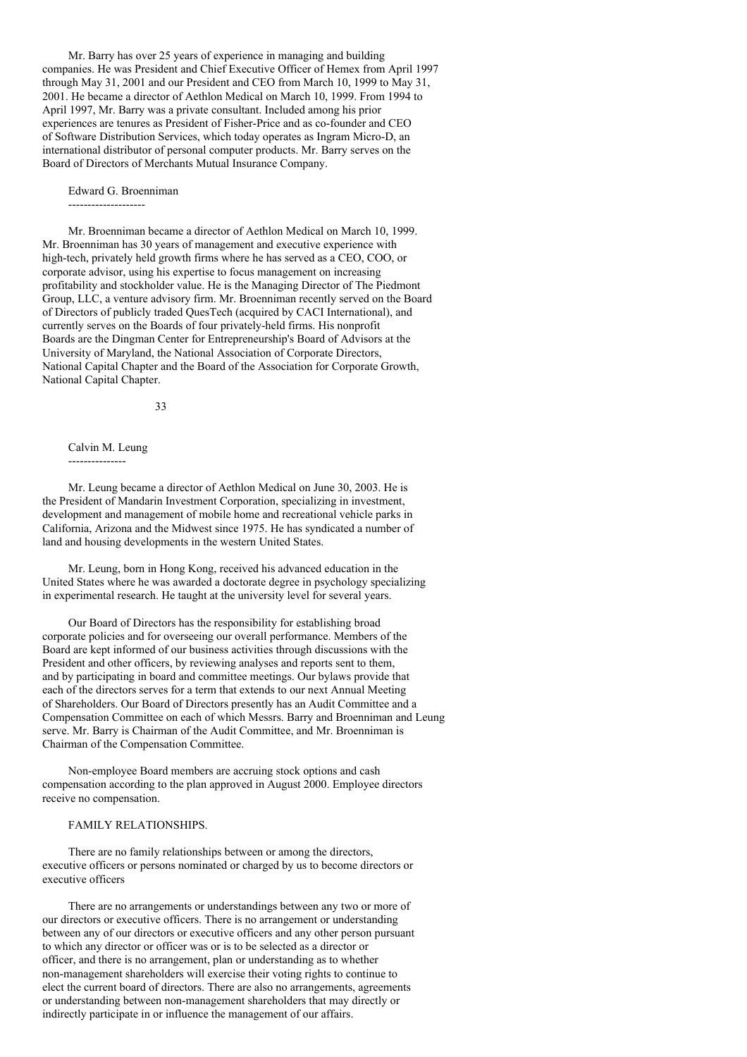Mr. Barry has over 25 years of experience in managing and building companies. He was President and Chief Executive Officer of Hemex from April 1997 through May 31, 2001 and our President and CEO from March 10, 1999 to May 31, 2001. He became a director of Aethlon Medical on March 10, 1999. From 1994 to April 1997, Mr. Barry was a private consultant. Included among his prior experiences are tenures as President of Fisher-Price and as co-founder and CEO of Software Distribution Services, which today operates as Ingram Micro-D, an international distributor of personal computer products. Mr. Barry serves on the Board of Directors of Merchants Mutual Insurance Company.

Edward G. Broenniman --------------------

Mr. Broenniman became a director of Aethlon Medical on March 10, 1999. Mr. Broenniman has 30 years of management and executive experience with high-tech, privately held growth firms where he has served as a CEO, COO, or corporate advisor, using his expertise to focus management on increasing profitability and stockholder value. He is the Managing Director of The Piedmont Group, LLC, a venture advisory firm. Mr. Broenniman recently served on the Board of Directors of publicly traded QuesTech (acquired by CACI International), and currently serves on the Boards of four privately-held firms. His nonprofit Boards are the Dingman Center for Entrepreneurship's Board of Advisors at the University of Maryland, the National Association of Corporate Directors, National Capital Chapter and the Board of the Association for Corporate Growth, National Capital Chapter.

33

Calvin M. Leung

---------------

Mr. Leung became a director of Aethlon Medical on June 30, 2003. He is the President of Mandarin Investment Corporation, specializing in investment, development and management of mobile home and recreational vehicle parks in California, Arizona and the Midwest since 1975. He has syndicated a number of land and housing developments in the western United States.

Mr. Leung, born in Hong Kong, received his advanced education in the United States where he was awarded a doctorate degree in psychology specializing in experimental research. He taught at the university level for several years.

Our Board of Directors has the responsibility for establishing broad corporate policies and for overseeing our overall performance. Members of the Board are kept informed of our business activities through discussions with the President and other officers, by reviewing analyses and reports sent to them, and by participating in board and committee meetings. Our bylaws provide that each of the directors serves for a term that extends to our next Annual Meeting of Shareholders. Our Board of Directors presently has an Audit Committee and a Compensation Committee on each of which Messrs. Barry and Broenniman and Leung serve. Mr. Barry is Chairman of the Audit Committee, and Mr. Broenniman is Chairman of the Compensation Committee.

Non-employee Board members are accruing stock options and cash compensation according to the plan approved in August 2000. Employee directors receive no compensation.

# FAMILY RELATIONSHIPS.

There are no family relationships between or among the directors, executive officers or persons nominated or charged by us to become directors or executive officers

There are no arrangements or understandings between any two or more of our directors or executive officers. There is no arrangement or understanding between any of our directors or executive officers and any other person pursuant to which any director or officer was or is to be selected as a director or officer, and there is no arrangement, plan or understanding as to whether non-management shareholders will exercise their voting rights to continue to elect the current board of directors. There are also no arrangements, agreements or understanding between non-management shareholders that may directly or indirectly participate in or influence the management of our affairs.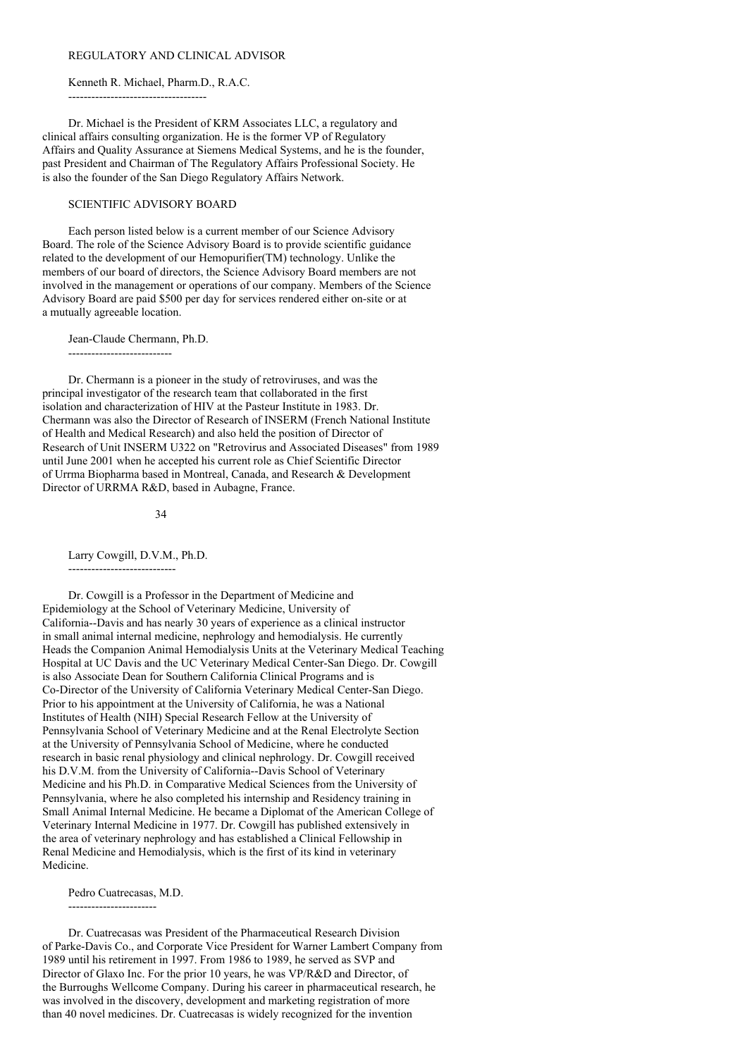#### REGULATORY AND CLINICAL ADVISOR

### Kenneth R. Michael, Pharm.D., R.A.C.

------------------------------------

Dr. Michael is the President of KRM Associates LLC, a regulatory and clinical affairs consulting organization. He is the former VP of Regulatory Affairs and Quality Assurance at Siemens Medical Systems, and he is the founder, past President and Chairman of The Regulatory Affairs Professional Society. He is also the founder of the San Diego Regulatory Affairs Network.

## SCIENTIFIC ADVISORY BOARD

Each person listed below is a current member of our Science Advisory Board. The role of the Science Advisory Board is to provide scientific guidance related to the development of our Hemopurifier(TM) technology. Unlike the members of our board of directors, the Science Advisory Board members are not involved in the management or operations of our company. Members of the Science Advisory Board are paid \$500 per day for services rendered either on-site or at a mutually agreeable location.

Jean-Claude Chermann, Ph.D.

---------------------------

Dr. Chermann is a pioneer in the study of retroviruses, and was the principal investigator of the research team that collaborated in the first isolation and characterization of HIV at the Pasteur Institute in 1983. Dr. Chermann was also the Director of Research of INSERM (French National Institute of Health and Medical Research) and also held the position of Director of Research of Unit INSERM U322 on "Retrovirus and Associated Diseases" from 1989 until June 2001 when he accepted his current role as Chief Scientific Director of Urrma Biopharma based in Montreal, Canada, and Research & Development Director of URRMA R&D, based in Aubagne, France.

34

Larry Cowgill, D.V.M., Ph.D.

----------------------------

Dr. Cowgill is a Professor in the Department of Medicine and Epidemiology at the School of Veterinary Medicine, University of California--Davis and has nearly 30 years of experience as a clinical instructor in small animal internal medicine, nephrology and hemodialysis. He currently Heads the Companion Animal Hemodialysis Units at the Veterinary Medical Teaching Hospital at UC Davis and the UC Veterinary Medical Center-San Diego. Dr. Cowgill is also Associate Dean for Southern California Clinical Programs and is Co-Director of the University of California Veterinary Medical Center-San Diego. Prior to his appointment at the University of California, he was a National Institutes of Health (NIH) Special Research Fellow at the University of Pennsylvania School of Veterinary Medicine and at the Renal Electrolyte Section at the University of Pennsylvania School of Medicine, where he conducted research in basic renal physiology and clinical nephrology. Dr. Cowgill received his D.V.M. from the University of California--Davis School of Veterinary Medicine and his Ph.D. in Comparative Medical Sciences from the University of Pennsylvania, where he also completed his internship and Residency training in Small Animal Internal Medicine. He became a Diplomat of the American College of Veterinary Internal Medicine in 1977. Dr. Cowgill has published extensively in the area of veterinary nephrology and has established a Clinical Fellowship in Renal Medicine and Hemodialysis, which is the first of its kind in veterinary Medicine.

Pedro Cuatrecasas, M.D.

-----------------------

Dr. Cuatrecasas was President of the Pharmaceutical Research Division of Parke-Davis Co., and Corporate Vice President for Warner Lambert Company from 1989 until his retirement in 1997. From 1986 to 1989, he served as SVP and Director of Glaxo Inc. For the prior 10 years, he was VP/R&D and Director, of the Burroughs Wellcome Company. During his career in pharmaceutical research, he was involved in the discovery, development and marketing registration of more than 40 novel medicines. Dr. Cuatrecasas is widely recognized for the invention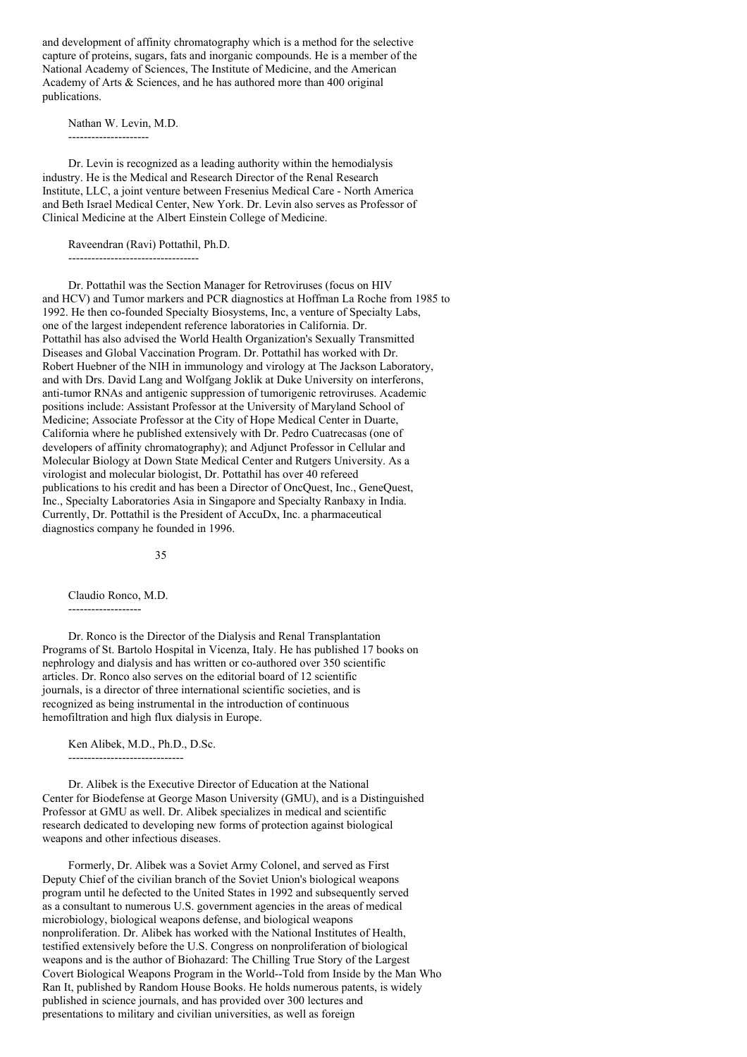and development of affinity chromatography which is a method for the selective capture of proteins, sugars, fats and inorganic compounds. He is a member of the National Academy of Sciences, The Institute of Medicine, and the American Academy of Arts & Sciences, and he has authored more than 400 original publications.

Nathan W. Levin, M.D. ---------------------

Dr. Levin is recognized as a leading authority within the hemodialysis industry. He is the Medical and Research Director of the Renal Research Institute, LLC, a joint venture between Fresenius Medical Care - North America and Beth Israel Medical Center, New York. Dr. Levin also serves as Professor of Clinical Medicine at the Albert Einstein College of Medicine.

Raveendran (Ravi) Pottathil, Ph.D.

----------------------------------

Dr. Pottathil was the Section Manager for Retroviruses (focus on HIV and HCV) and Tumor markers and PCR diagnostics at Hoffman La Roche from 1985 to 1992. He then co-founded Specialty Biosystems, Inc, a venture of Specialty Labs, one of the largest independent reference laboratories in California. Dr. Pottathil has also advised the World Health Organization's Sexually Transmitted Diseases and Global Vaccination Program. Dr. Pottathil has worked with Dr. Robert Huebner of the NIH in immunology and virology at The Jackson Laboratory, and with Drs. David Lang and Wolfgang Joklik at Duke University on interferons, anti-tumor RNAs and antigenic suppression of tumorigenic retroviruses. Academic positions include: Assistant Professor at the University of Maryland School of Medicine; Associate Professor at the City of Hope Medical Center in Duarte, California where he published extensively with Dr. Pedro Cuatrecasas (one of developers of affinity chromatography); and Adjunct Professor in Cellular and Molecular Biology at Down State Medical Center and Rutgers University. As a virologist and molecular biologist, Dr. Pottathil has over 40 refereed publications to his credit and has been a Director of OncQuest, Inc., GeneQuest, Inc., Specialty Laboratories Asia in Singapore and Specialty Ranbaxy in India. Currently, Dr. Pottathil is the President of AccuDx, Inc. a pharmaceutical diagnostics company he founded in 1996.

35

Claudio Ronco, M.D. -------------------

Dr. Ronco is the Director of the Dialysis and Renal Transplantation Programs of St. Bartolo Hospital in Vicenza, Italy. He has published 17 books on nephrology and dialysis and has written or co-authored over 350 scientific articles. Dr. Ronco also serves on the editorial board of 12 scientific journals, is a director of three international scientific societies, and is recognized as being instrumental in the introduction of continuous hemofiltration and high flux dialysis in Europe.

Ken Alibek, M.D., Ph.D., D.Sc.

------------------------------

Dr. Alibek is the Executive Director of Education at the National Center for Biodefense at George Mason University (GMU), and is a Distinguished Professor at GMU as well. Dr. Alibek specializes in medical and scientific research dedicated to developing new forms of protection against biological weapons and other infectious diseases.

Formerly, Dr. Alibek was a Soviet Army Colonel, and served as First Deputy Chief of the civilian branch of the Soviet Union's biological weapons program until he defected to the United States in 1992 and subsequently served as a consultant to numerous U.S. government agencies in the areas of medical microbiology, biological weapons defense, and biological weapons nonproliferation. Dr. Alibek has worked with the National Institutes of Health, testified extensively before the U.S. Congress on nonproliferation of biological weapons and is the author of Biohazard: The Chilling True Story of the Largest Covert Biological Weapons Program in the World--Told from Inside by the Man Who Ran It, published by Random House Books. He holds numerous patents, is widely published in science journals, and has provided over 300 lectures and presentations to military and civilian universities, as well as foreign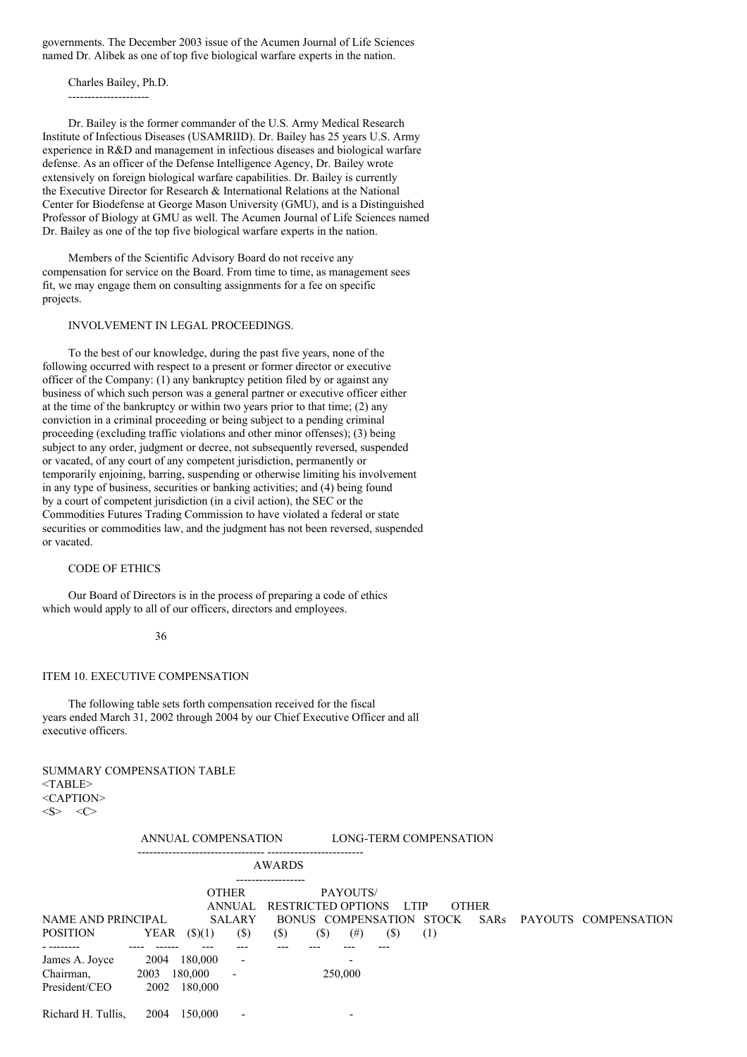governments. The December 2003 issue of the Acumen Journal of Life Sciences named Dr. Alibek as one of top five biological warfare experts in the nation.

Charles Bailey, Ph.D.

---------------------

Dr. Bailey is the former commander of the U.S. Army Medical Research Institute of Infectious Diseases (USAMRIID). Dr. Bailey has 25 years U.S. Army experience in R&D and management in infectious diseases and biological warfare defense. As an officer of the Defense Intelligence Agency, Dr. Bailey wrote extensively on foreign biological warfare capabilities. Dr. Bailey is currently the Executive Director for Research & International Relations at the National Center for Biodefense at George Mason University (GMU), and is a Distinguished Professor of Biology at GMU as well. The Acumen Journal of Life Sciences named Dr. Bailey as one of the top five biological warfare experts in the nation.

Members of the Scientific Advisory Board do not receive any compensation for service on the Board. From time to time, as management sees fit, we may engage them on consulting assignments for a fee on specific projects.

### INVOLVEMENT IN LEGAL PROCEEDINGS.

To the best of our knowledge, during the past five years, none of the following occurred with respect to a present or former director or executive officer of the Company: (1) any bankruptcy petition filed by or against any business of which such person was a general partner or executive officer either at the time of the bankruptcy or within two years prior to that time; (2) any conviction in a criminal proceeding or being subject to a pending criminal proceeding (excluding traffic violations and other minor offenses); (3) being subject to any order, judgment or decree, not subsequently reversed, suspended or vacated, of any court of any competent jurisdiction, permanently or temporarily enjoining, barring, suspending or otherwise limiting his involvement in any type of business, securities or banking activities; and (4) being found by a court of competent jurisdiction (in a civil action), the SEC or the Commodities Futures Trading Commission to have violated a federal or state securities or commodities law, and the judgment has not been reversed, suspended or vacated.

## CODE OF ETHICS

Our Board of Directors is in the process of preparing a code of ethics which would apply to all of our officers, directors and employees.

36

#### ITEM 10. EXECUTIVE COMPENSATION

The following table sets forth compensation received for the fiscal years ended March 31, 2002 through 2004 by our Chief Executive Officer and all executive officers.

SUMMARY COMPENSATION TABLE  $<$ TABLE $>$ <CAPTION>  $\langle S \rangle$   $\langle C \rangle$ 

> ANNUAL COMPENSATION LONG-TERM COMPENSATION --------------------------------- -------------------------

|                           |      |               |                          | <b>AWARDS</b>              |     |                          |             |                          |              |                      |
|---------------------------|------|---------------|--------------------------|----------------------------|-----|--------------------------|-------------|--------------------------|--------------|----------------------|
|                           |      |               |                          |                            |     |                          |             |                          |              |                      |
|                           |      |               | <b>OTHER</b>             |                            |     | PAYOUTS/                 |             |                          |              |                      |
|                           |      |               | ANNUAL                   | <b>RESTRICTED OPTIONS</b>  |     |                          | <b>LTIP</b> |                          | <b>OTHER</b> |                      |
| <b>NAME AND PRINCIPAL</b> |      |               | SALARY                   |                            |     |                          |             | BONUS COMPENSATION STOCK | <b>SARs</b>  | PAYOUTS COMPENSATION |
| <b>POSITION</b>           | YEAR | $($ \$ $)(1)$ | (\$)                     | $\left( \mathbb{S}\right)$ | (S) | $^{(#)}$                 | (S)         | (1)                      |              |                      |
|                           |      |               |                          |                            |     |                          |             |                          |              |                      |
| James A. Joyce            | 2004 | 180,000       | $\overline{\phantom{a}}$ |                            |     | $\overline{\phantom{a}}$ |             |                          |              |                      |
| Chairman,                 | 2003 | 180,000       | $\blacksquare$           |                            |     | 250,000                  |             |                          |              |                      |
| President/CEO             | 2002 | 180,000       |                          |                            |     |                          |             |                          |              |                      |
| Richard H. Tullis,        | 2004 | 150,000       |                          |                            |     | ٠                        |             |                          |              |                      |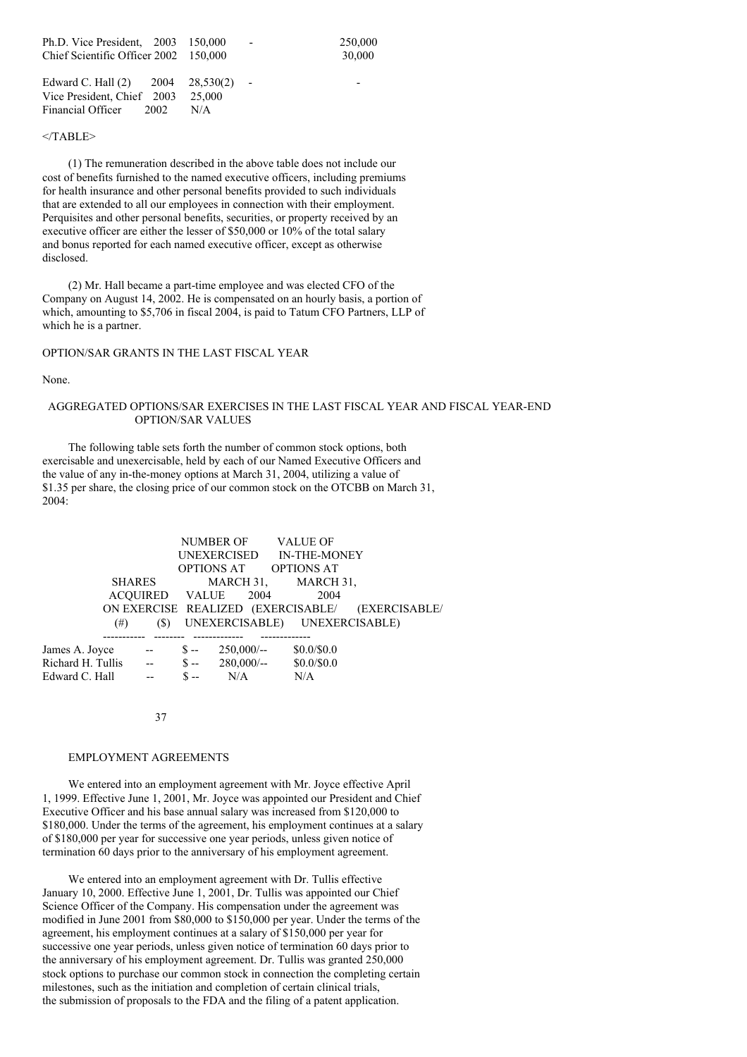| Ph.D. Vice President, 2003 150,000    |      |           | $\overline{\phantom{a}}$ | 250,000                  |
|---------------------------------------|------|-----------|--------------------------|--------------------------|
| Chief Scientific Officer 2002 150,000 |      |           | 30,000                   |                          |
| Edward C. Hall (2)                    | 2004 | 28.530(2) | $\sim$ $-$               | $\overline{\phantom{0}}$ |

Vice President, Chief 2003 25,000 Financial Officer 2002 N/A

#### $<$ /TABLE>

(1) The remuneration described in the above table does not include our cost of benefits furnished to the named executive officers, including premiums for health insurance and other personal benefits provided to such individuals that are extended to all our employees in connection with their employment. Perquisites and other personal benefits, securities, or property received by an executive officer are either the lesser of \$50,000 or 10% of the total salary and bonus reported for each named executive officer, except as otherwise disclosed.

(2) Mr. Hall became a part-time employee and was elected CFO of the Company on August 14, 2002. He is compensated on an hourly basis, a portion of which, amounting to \$5,706 in fiscal 2004, is paid to Tatum CFO Partners, LLP of which he is a partner.

## OPTION/SAR GRANTS IN THE LAST FISCAL YEAR

None.

# AGGREGATED OPTIONS/SAR EXERCISES IN THE LAST FISCAL YEAR AND FISCAL YEAR-END OPTION/SAR VALUES

The following table sets forth the number of common stock options, both exercisable and unexercisable, held by each of our Named Executive Officers and the value of any in-the-money options at March 31, 2004, utilizing a value of \$1.35 per share, the closing price of our common stock on the OTCBB on March 31, 2004:

|                      |                                                  |       | NUMBER OF VALUE OF              |     |                     |  |
|----------------------|--------------------------------------------------|-------|---------------------------------|-----|---------------------|--|
|                      |                                                  |       | UNEXERCISED                     |     | <b>IN-THE-MONEY</b> |  |
|                      |                                                  |       | OPTIONS AT OPTIONS AT           |     |                     |  |
|                      | SHARES                                           |       | MARCH 31, MARCH 31,             |     |                     |  |
|                      | ACOUIRED VALUE 2004                              |       |                                 |     | 2004                |  |
|                      | ON EXERCISE REALIZED (EXERCISABLE/ (EXERCISABLE/ |       |                                 |     |                     |  |
|                      | (#)<br>(S)                                       |       | UNEXERCISABLE) UNEXERCISABLE)   |     |                     |  |
|                      |                                                  |       |                                 |     |                     |  |
| James A. Joyce       | <b>Service Contracts</b>                         |       | $\text{\$ -- \quad 250,000/--}$ |     | $$0.0/\$0.0$        |  |
| Richard H. Tullis -- |                                                  |       | $$-.280,000/-.$ \$0.0/\$0.0     |     |                     |  |
| Edward C. Hall       | <b>Contract Contract State</b>                   | $S -$ | N/A                             | N/A |                     |  |

37

#### EMPLOYMENT AGREEMENTS

We entered into an employment agreement with Mr. Joyce effective April 1, 1999. Effective June 1, 2001, Mr. Joyce was appointed our President and Chief Executive Officer and his base annual salary was increased from \$120,000 to \$180,000. Under the terms of the agreement, his employment continues at a salary of \$180,000 per year for successive one year periods, unless given notice of termination 60 days prior to the anniversary of his employment agreement.

We entered into an employment agreement with Dr. Tullis effective January 10, 2000. Effective June 1, 2001, Dr. Tullis was appointed our Chief Science Officer of the Company. His compensation under the agreement was modified in June 2001 from \$80,000 to \$150,000 per year. Under the terms of the agreement, his employment continues at a salary of \$150,000 per year for successive one year periods, unless given notice of termination 60 days prior to the anniversary of his employment agreement. Dr. Tullis was granted 250,000 stock options to purchase our common stock in connection the completing certain milestones, such as the initiation and completion of certain clinical trials, the submission of proposals to the FDA and the filing of a patent application.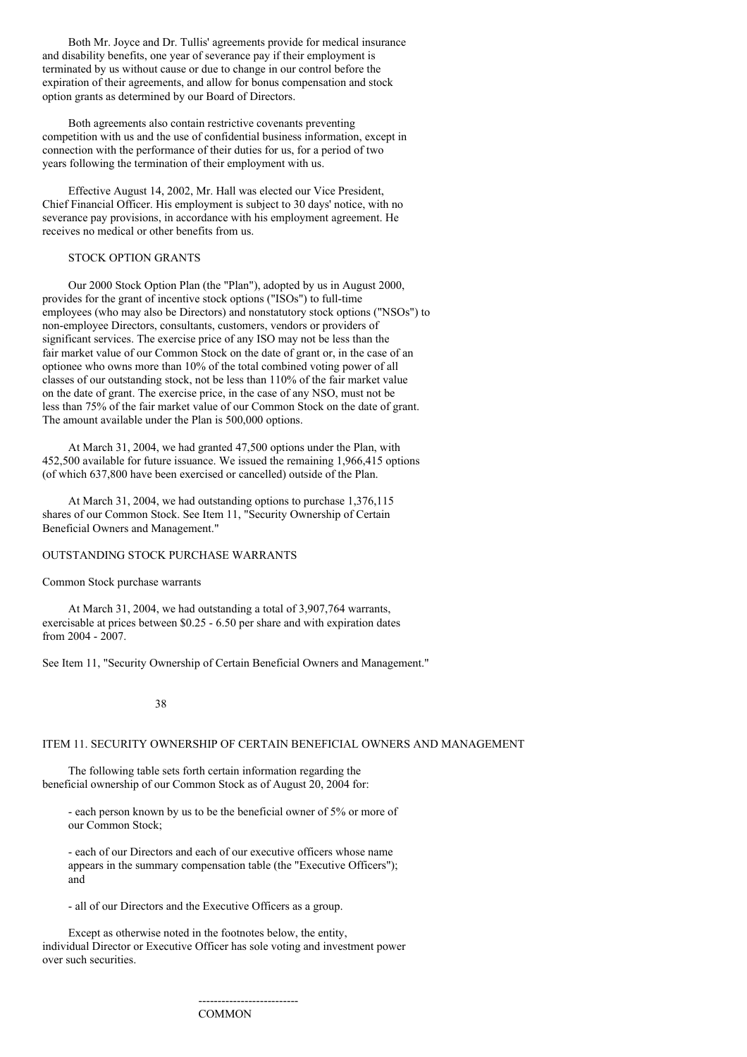Both Mr. Joyce and Dr. Tullis' agreements provide for medical insurance and disability benefits, one year of severance pay if their employment is terminated by us without cause or due to change in our control before the expiration of their agreements, and allow for bonus compensation and stock option grants as determined by our Board of Directors.

Both agreements also contain restrictive covenants preventing competition with us and the use of confidential business information, except in connection with the performance of their duties for us, for a period of two years following the termination of their employment with us.

Effective August 14, 2002, Mr. Hall was elected our Vice President, Chief Financial Officer. His employment is subject to 30 days' notice, with no severance pay provisions, in accordance with his employment agreement. He receives no medical or other benefits from us.

## STOCK OPTION GRANTS

Our 2000 Stock Option Plan (the "Plan"), adopted by us in August 2000, provides for the grant of incentive stock options ("ISOs") to full-time employees (who may also be Directors) and nonstatutory stock options ("NSOs") to non-employee Directors, consultants, customers, vendors or providers of significant services. The exercise price of any ISO may not be less than the fair market value of our Common Stock on the date of grant or, in the case of an optionee who owns more than 10% of the total combined voting power of all classes of our outstanding stock, not be less than 110% of the fair market value on the date of grant. The exercise price, in the case of any NSO, must not be less than 75% of the fair market value of our Common Stock on the date of grant. The amount available under the Plan is 500,000 options.

At March 31, 2004, we had granted 47,500 options under the Plan, with 452,500 available for future issuance. We issued the remaining 1,966,415 options (of which 637,800 have been exercised or cancelled) outside of the Plan.

At March 31, 2004, we had outstanding options to purchase 1,376,115 shares of our Common Stock. See Item 11, "Security Ownership of Certain Beneficial Owners and Management."

## OUTSTANDING STOCK PURCHASE WARRANTS

### Common Stock purchase warrants

At March 31, 2004, we had outstanding a total of 3,907,764 warrants, exercisable at prices between \$0.25 - 6.50 per share and with expiration dates from 2004 - 2007.

See Item 11, "Security Ownership of Certain Beneficial Owners and Management."

#### 38

# ITEM 11. SECURITY OWNERSHIP OF CERTAIN BENEFICIAL OWNERS AND MANAGEMENT

The following table sets forth certain information regarding the beneficial ownership of our Common Stock as of August 20, 2004 for:

- each person known by us to be the beneficial owner of 5% or more of our Common Stock;

- each of our Directors and each of our executive officers whose name appears in the summary compensation table (the "Executive Officers"); and

- all of our Directors and the Executive Officers as a group.

Except as otherwise noted in the footnotes below, the entity, individual Director or Executive Officer has sole voting and investment power over such securities.

> -------------------------- **COMMON**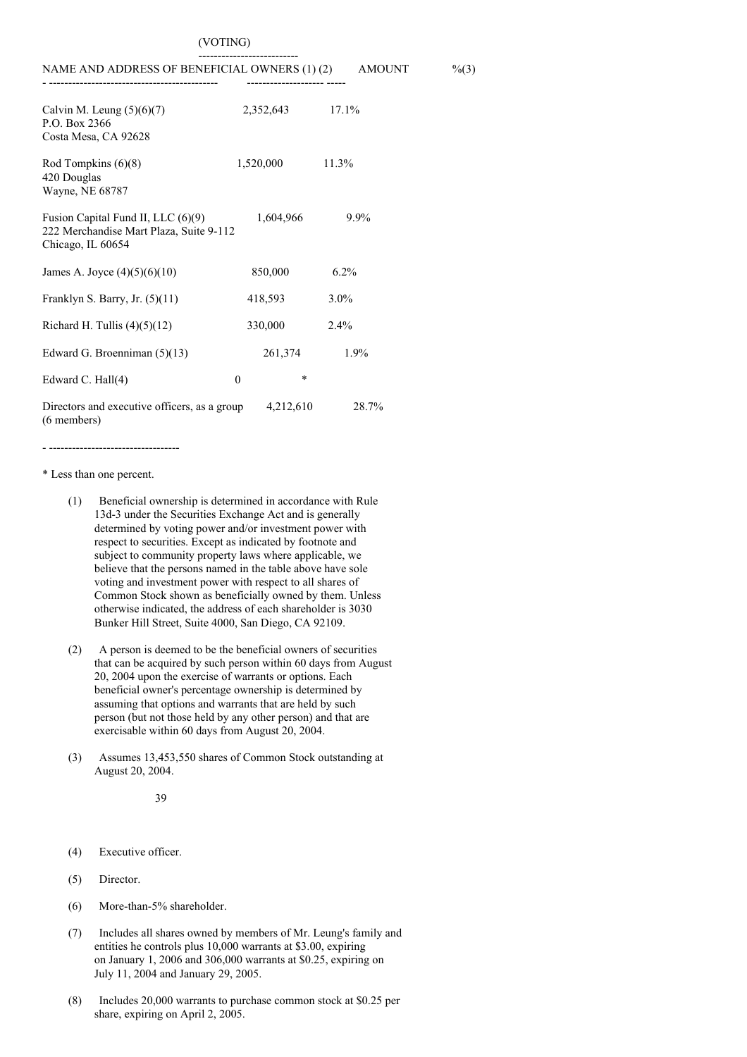| (VOTING)                                                                                           |                 |          |                   |
|----------------------------------------------------------------------------------------------------|-----------------|----------|-------------------|
| NAME AND ADDRESS OF BENEFICIAL OWNERS (1) (2) AMOUNT                                               |                 |          | $\frac{9}{6}$ (3) |
| Calvin M. Leung $(5)(6)(7)$<br>P.O. Box 2366<br>Costa Mesa, CA 92628                               | 2,352,643 17.1% |          |                   |
| Rod Tompkins $(6)(8)$<br>420 Douglas<br>Wayne, NE 68787                                            | 1,520,000       | $11.3\%$ |                   |
| Fusion Capital Fund II, LLC (6)(9)<br>222 Merchandise Mart Plaza, Suite 9-112<br>Chicago, IL 60654 | 1,604,966       | $9.9\%$  |                   |
| James A. Joyce $(4)(5)(6)(10)$                                                                     | 850,000         | $6.2\%$  |                   |
| Franklyn S. Barry, Jr. $(5)(11)$                                                                   | 418,593         | $3.0\%$  |                   |
| Richard H. Tullis $(4)(5)(12)$                                                                     | 330,000         | $2.4\%$  |                   |
| Edward G. Broenniman (5)(13)                                                                       | 261,374         | 1.9%     |                   |
| Edward C. Hall(4)<br>$\theta$                                                                      | *               |          |                   |
| Directors and executive officers, as a group                                                       | 4,212,610       | 28.7%    |                   |

(6 members)

- ----------------------------------

\* Less than one percent.

- (1) Beneficial ownership is determined in accordance with Rule 13d-3 under the Securities Exchange Act and is generally determined by voting power and/or investment power with respect to securities. Except as indicated by footnote and subject to community property laws where applicable, we believe that the persons named in the table above have sole voting and investment power with respect to all shares of Common Stock shown as beneficially owned by them. Unless otherwise indicated, the address of each shareholder is 3030 Bunker Hill Street, Suite 4000, San Diego, CA 92109.
- (2) A person is deemed to be the beneficial owners of securities that can be acquired by such person within 60 days from August 20, 2004 upon the exercise of warrants or options. Each beneficial owner's percentage ownership is determined by assuming that options and warrants that are held by such person (but not those held by any other person) and that are exercisable within 60 days from August 20, 2004.
- (3) Assumes 13,453,550 shares of Common Stock outstanding at August 20, 2004.

39

- (4) Executive officer.
- (5) Director.
- (6) More-than-5% shareholder.
- (7) Includes all shares owned by members of Mr. Leung's family and entities he controls plus 10,000 warrants at \$3.00, expiring on January 1, 2006 and 306,000 warrants at \$0.25, expiring on July 11, 2004 and January 29, 2005.
- (8) Includes 20,000 warrants to purchase common stock at \$0.25 per share, expiring on April 2, 2005.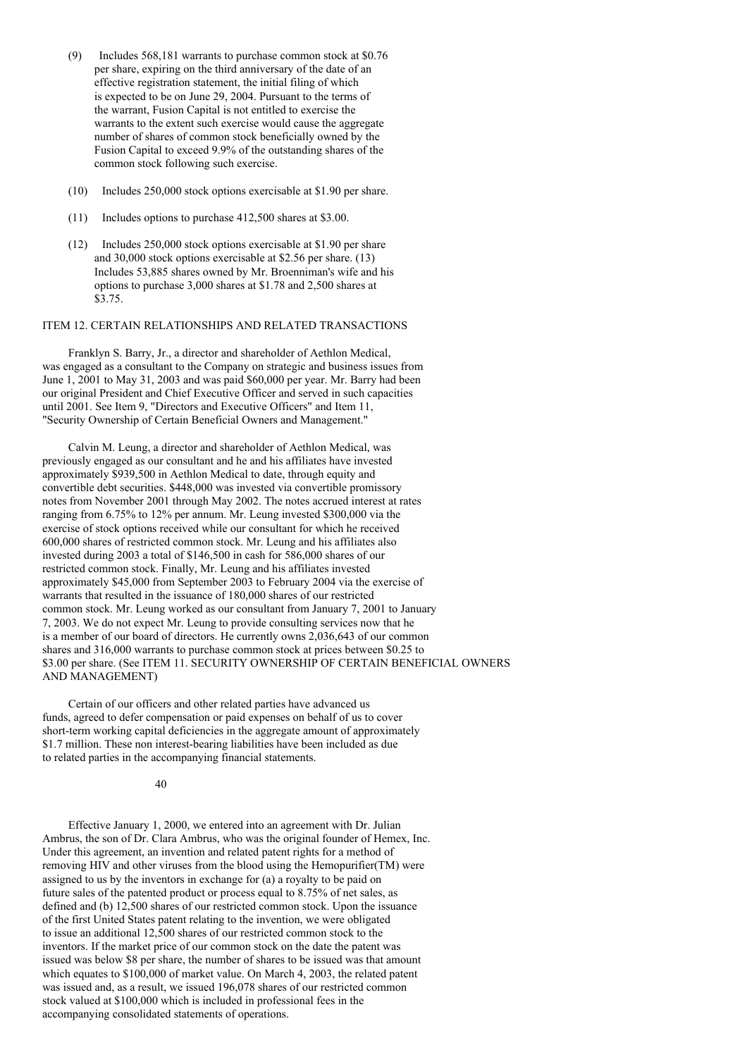- (9) Includes 568,181 warrants to purchase common stock at \$0.76 per share, expiring on the third anniversary of the date of an effective registration statement, the initial filing of which is expected to be on June 29, 2004. Pursuant to the terms of the warrant, Fusion Capital is not entitled to exercise the warrants to the extent such exercise would cause the aggregate number of shares of common stock beneficially owned by the Fusion Capital to exceed 9.9% of the outstanding shares of the common stock following such exercise.
- (10) Includes 250,000 stock options exercisable at \$1.90 per share.
- (11) Includes options to purchase 412,500 shares at \$3.00.
- (12) Includes 250,000 stock options exercisable at \$1.90 per share and 30,000 stock options exercisable at \$2.56 per share. (13) Includes 53,885 shares owned by Mr. Broenniman's wife and his options to purchase 3,000 shares at \$1.78 and 2,500 shares at \$3.75.

# ITEM 12. CERTAIN RELATIONSHIPS AND RELATED TRANSACTIONS

Franklyn S. Barry, Jr., a director and shareholder of Aethlon Medical, was engaged as a consultant to the Company on strategic and business issues from June 1, 2001 to May 31, 2003 and was paid \$60,000 per year. Mr. Barry had been our original President and Chief Executive Officer and served in such capacities until 2001. See Item 9, "Directors and Executive Officers" and Item 11, "Security Ownership of Certain Beneficial Owners and Management."

Calvin M. Leung, a director and shareholder of Aethlon Medical, was previously engaged as our consultant and he and his affiliates have invested approximately \$939,500 in Aethlon Medical to date, through equity and convertible debt securities. \$448,000 was invested via convertible promissory notes from November 2001 through May 2002. The notes accrued interest at rates ranging from 6.75% to 12% per annum. Mr. Leung invested \$300,000 via the exercise of stock options received while our consultant for which he received 600,000 shares of restricted common stock. Mr. Leung and his affiliates also invested during 2003 a total of \$146,500 in cash for 586,000 shares of our restricted common stock. Finally, Mr. Leung and his affiliates invested approximately \$45,000 from September 2003 to February 2004 via the exercise of warrants that resulted in the issuance of 180,000 shares of our restricted common stock. Mr. Leung worked as our consultant from January 7, 2001 to January 7, 2003. We do not expect Mr. Leung to provide consulting services now that he is a member of our board of directors. He currently owns 2,036,643 of our common shares and 316,000 warrants to purchase common stock at prices between \$0.25 to \$3.00 per share. (See ITEM 11. SECURITY OWNERSHIP OF CERTAIN BENEFICIAL OWNERS AND MANAGEMENT)

Certain of our officers and other related parties have advanced us funds, agreed to defer compensation or paid expenses on behalf of us to cover short-term working capital deficiencies in the aggregate amount of approximately \$1.7 million. These non interest-bearing liabilities have been included as due to related parties in the accompanying financial statements.

40

Effective January 1, 2000, we entered into an agreement with Dr. Julian Ambrus, the son of Dr. Clara Ambrus, who was the original founder of Hemex, Inc. Under this agreement, an invention and related patent rights for a method of removing HIV and other viruses from the blood using the Hemopurifier(TM) were assigned to us by the inventors in exchange for (a) a royalty to be paid on future sales of the patented product or process equal to 8.75% of net sales, as defined and (b) 12,500 shares of our restricted common stock. Upon the issuance of the first United States patent relating to the invention, we were obligated to issue an additional 12,500 shares of our restricted common stock to the inventors. If the market price of our common stock on the date the patent was issued was below \$8 per share, the number of shares to be issued was that amount which equates to \$100,000 of market value. On March 4, 2003, the related patent was issued and, as a result, we issued 196,078 shares of our restricted common stock valued at \$100,000 which is included in professional fees in the accompanying consolidated statements of operations.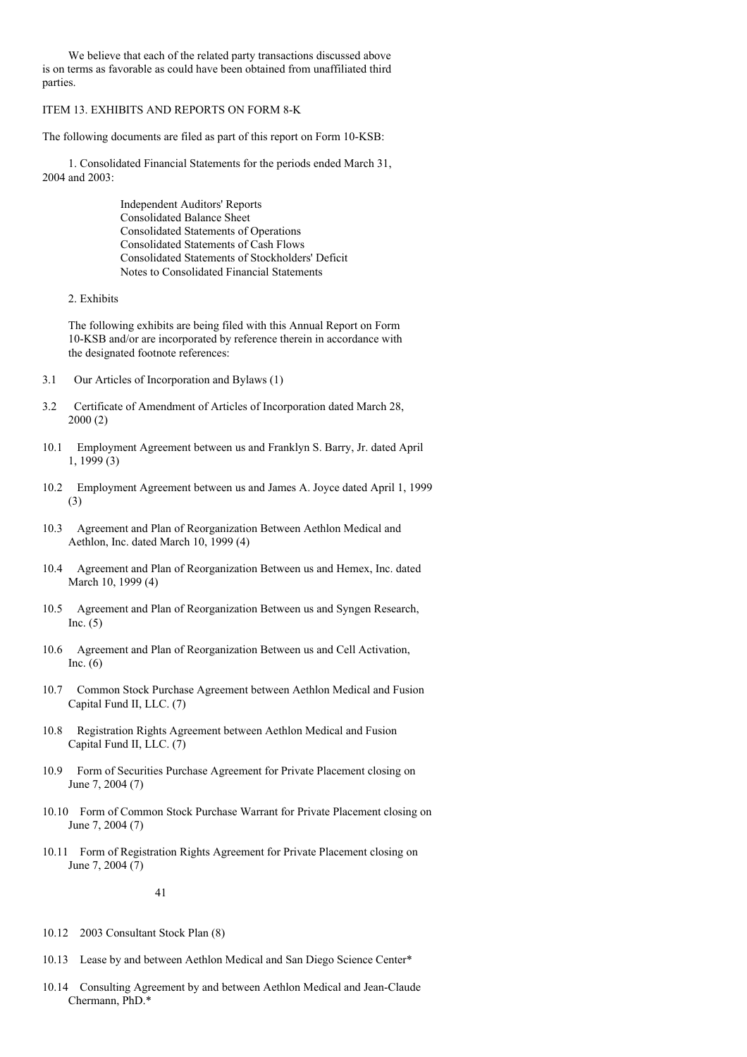We believe that each of the related party transactions discussed above is on terms as favorable as could have been obtained from unaffiliated third parties.

## ITEM 13. EXHIBITS AND REPORTS ON FORM 8-K

The following documents are filed as part of this report on Form 10-KSB:

1. Consolidated Financial Statements for the periods ended March 31, 2004 and 2003:

> Independent Auditors' Reports Consolidated Balance Sheet Consolidated Statements of Operations Consolidated Statements of Cash Flows Consolidated Statements of Stockholders' Deficit Notes to Consolidated Financial Statements

2. Exhibits

The following exhibits are being filed with this Annual Report on Form 10-KSB and/or are incorporated by reference therein in accordance with the designated footnote references:

- 3.1 Our Articles of Incorporation and Bylaws (1)
- 3.2 Certificate of Amendment of Articles of Incorporation dated March 28, 2000 (2)
- 10.1 Employment Agreement between us and Franklyn S. Barry, Jr. dated April 1, 1999 (3)
- 10.2 Employment Agreement between us and James A. Joyce dated April 1, 1999 (3)
- 10.3 Agreement and Plan of Reorganization Between Aethlon Medical and Aethlon, Inc. dated March 10, 1999 (4)
- 10.4 Agreement and Plan of Reorganization Between us and Hemex, Inc. dated March 10, 1999 (4)
- 10.5 Agreement and Plan of Reorganization Between us and Syngen Research, Inc.  $(5)$
- 10.6 Agreement and Plan of Reorganization Between us and Cell Activation, Inc.  $(6)$
- 10.7 Common Stock Purchase Agreement between Aethlon Medical and Fusion Capital Fund II, LLC. (7)
- 10.8 Registration Rights Agreement between Aethlon Medical and Fusion Capital Fund II, LLC. (7)
- 10.9 Form of Securities Purchase Agreement for Private Placement closing on June 7, 2004 (7)
- 10.10 Form of Common Stock Purchase Warrant for Private Placement closing on June 7, 2004 (7)
- 10.11 Form of Registration Rights Agreement for Private Placement closing on June 7, 2004 (7)

41

- 10.12 2003 Consultant Stock Plan (8)
- 10.13 Lease by and between Aethlon Medical and San Diego Science Center\*
- 10.14 Consulting Agreement by and between Aethlon Medical and Jean-Claude Chermann, PhD.\*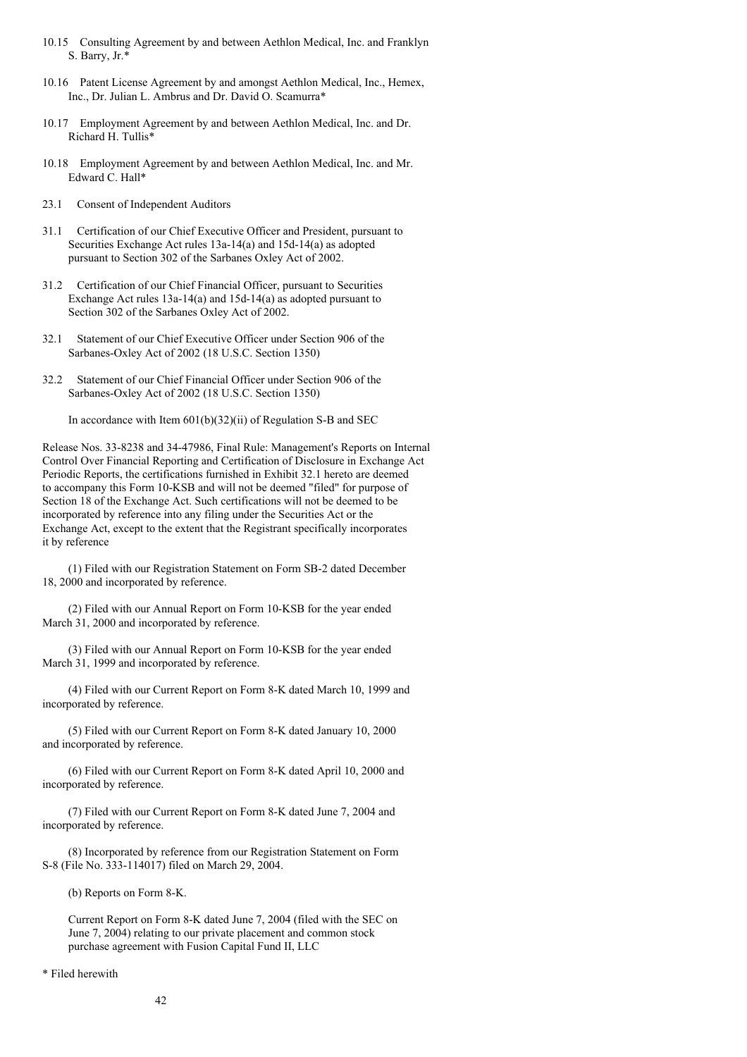- 10.15 Consulting Agreement by and between Aethlon Medical, Inc. and Franklyn S. Barry, Jr.\*
- 10.16 Patent License Agreement by and amongst Aethlon Medical, Inc., Hemex, Inc., Dr. Julian L. Ambrus and Dr. David O. Scamurra\*
- 10.17 Employment Agreement by and between Aethlon Medical, Inc. and Dr. Richard H. Tullis\*
- 10.18 Employment Agreement by and between Aethlon Medical, Inc. and Mr. Edward C. Hall\*
- 23.1 Consent of Independent Auditors
- 31.1 Certification of our Chief Executive Officer and President, pursuant to Securities Exchange Act rules 13a-14(a) and 15d-14(a) as adopted pursuant to Section 302 of the Sarbanes Oxley Act of 2002.
- 31.2 Certification of our Chief Financial Officer, pursuant to Securities Exchange Act rules 13a-14(a) and 15d-14(a) as adopted pursuant to Section 302 of the Sarbanes Oxley Act of 2002.
- 32.1 Statement of our Chief Executive Officer under Section 906 of the Sarbanes-Oxley Act of 2002 (18 U.S.C. Section 1350)
- 32.2 Statement of our Chief Financial Officer under Section 906 of the Sarbanes-Oxley Act of 2002 (18 U.S.C. Section 1350)

In accordance with Item 601(b)(32)(ii) of Regulation S-B and SEC

Release Nos. 33-8238 and 34-47986, Final Rule: Management's Reports on Internal Control Over Financial Reporting and Certification of Disclosure in Exchange Act Periodic Reports, the certifications furnished in Exhibit 32.1 hereto are deemed to accompany this Form 10-KSB and will not be deemed "filed" for purpose of Section 18 of the Exchange Act. Such certifications will not be deemed to be incorporated by reference into any filing under the Securities Act or the Exchange Act, except to the extent that the Registrant specifically incorporates it by reference

(1) Filed with our Registration Statement on Form SB-2 dated December 18, 2000 and incorporated by reference.

(2) Filed with our Annual Report on Form 10-KSB for the year ended March 31, 2000 and incorporated by reference.

(3) Filed with our Annual Report on Form 10-KSB for the year ended March 31, 1999 and incorporated by reference.

(4) Filed with our Current Report on Form 8-K dated March 10, 1999 and incorporated by reference.

(5) Filed with our Current Report on Form 8-K dated January 10, 2000 and incorporated by reference.

(6) Filed with our Current Report on Form 8-K dated April 10, 2000 and incorporated by reference.

(7) Filed with our Current Report on Form 8-K dated June 7, 2004 and incorporated by reference.

(8) Incorporated by reference from our Registration Statement on Form S-8 (File No. 333-114017) filed on March 29, 2004.

(b) Reports on Form 8-K.

Current Report on Form 8-K dated June 7, 2004 (filed with the SEC on June 7, 2004) relating to our private placement and common stock purchase agreement with Fusion Capital Fund II, LLC

\* Filed herewith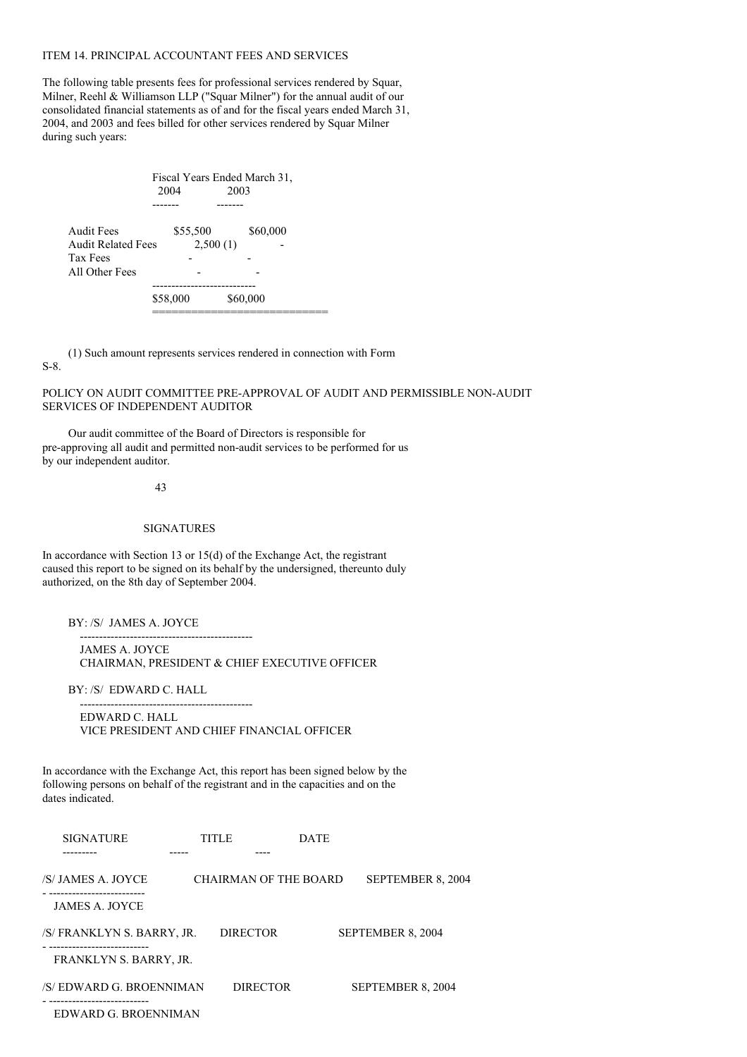#### ITEM 14. PRINCIPAL ACCOUNTANT FEES AND SERVICES

The following table presents fees for professional services rendered by Squar, Milner, Reehl & Williamson LLP ("Squar Milner") for the annual audit of our consolidated financial statements as of and for the fiscal years ended March 31, 2004, and 2003 and fees billed for other services rendered by Squar Milner during such years:

|                                                                | 2004     | Fiscal Years Ended March 31,<br>2003 |  |
|----------------------------------------------------------------|----------|--------------------------------------|--|
| Audit Fees<br>Audit Related Fees<br>Tax Fees<br>All Other Fees | \$55,500 | \$60,000<br>2,500(1)                 |  |
|                                                                | \$58,000 | \$60,000                             |  |

(1) Such amount represents services rendered in connection with Form

# S-8.

POLICY ON AUDIT COMMITTEE PRE-APPROVAL OF AUDIT AND PERMISSIBLE NON-AUDIT SERVICES OF INDEPENDENT AUDITOR

Our audit committee of the Board of Directors is responsible for pre-approving all audit and permitted non-audit services to be performed for us by our independent auditor.

### 43

## SIGNATURES

In accordance with Section 13 or 15(d) of the Exchange Act, the registrant caused this report to be signed on its behalf by the undersigned, thereunto duly authorized, on the 8th day of September 2004.

BY: /S/ JAMES A. JOYCE

--------------------------------------------- JAMES A. JOYCE CHAIRMAN, PRESIDENT & CHIEF EXECUTIVE OFFICER

BY: /S/ EDWARD C. HALL

---------------------------------------------

EDWARD C. HALL VICE PRESIDENT AND CHIEF FINANCIAL OFFICER

In accordance with the Exchange Act, this report has been signed below by the following persons on behalf of the registrant and in the capacities and on the dates indicated.

| <b>SIGNATURE</b>                                       | TITLE |                       | <b>DATE</b> |                          |  |
|--------------------------------------------------------|-------|-----------------------|-------------|--------------------------|--|
|                                                        |       |                       |             |                          |  |
| /S/ JAMES A. JOYCE                                     |       | CHAIRMAN OF THE BOARD |             | SEPTEMBER 8, 2004        |  |
| ---------------------<br>JAMES A. JOYCE                |       |                       |             |                          |  |
| /S/ FRANKLYN S. BARRY, JR.<br>------------------------ |       | <b>DIRECTOR</b>       |             | SEPTEMBER 8, 2004        |  |
| FRANKLYN S. BARRY, JR.                                 |       |                       |             |                          |  |
| /S/EDWARD G. BROENNIMAN<br>---------------------       |       | <b>DIRECTOR</b>       |             | <b>SEPTEMBER 8, 2004</b> |  |
| EDWARD G. BROENNIMAN                                   |       |                       |             |                          |  |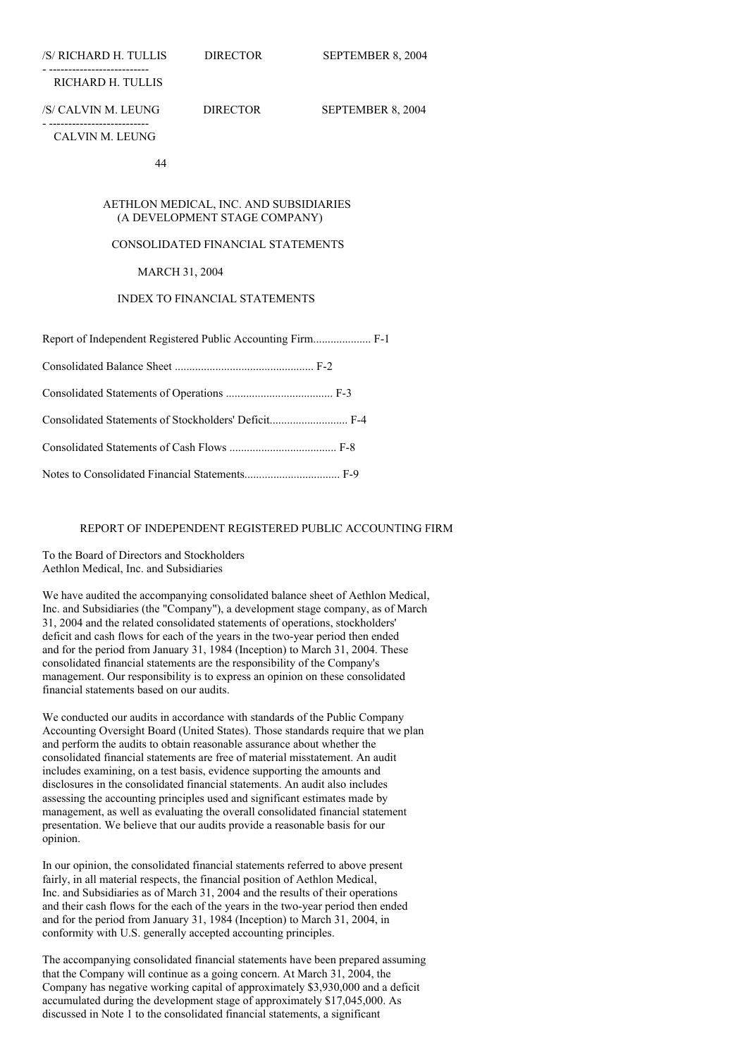## /S/ RICHARD H. TULLIS DIRECTOR SEPTEMBER 8, 2004

- -------------------------- RICHARD H. TULLIS

/S/ CALVIN M. LEUNG DIRECTOR SEPTEMBER 8, 2004

- -------------------------- CALVIN M. LEUNG

44

### AETHLON MEDICAL, INC. AND SUBSIDIARIES (A DEVELOPMENT STAGE COMPANY)

# CONSOLIDATED FINANCIAL STATEMENTS

MARCH 31, 2004

## INDEX TO FINANCIAL STATEMENTS

| Report of Independent Registered Public Accounting Firm F-1 |  |  |  |  |  |  |
|-------------------------------------------------------------|--|--|--|--|--|--|
|-------------------------------------------------------------|--|--|--|--|--|--|

## REPORT OF INDEPENDENT REGISTERED PUBLIC ACCOUNTING FIRM

To the Board of Directors and Stockholders Aethlon Medical, Inc. and Subsidiaries

We have audited the accompanying consolidated balance sheet of Aethlon Medical, Inc. and Subsidiaries (the "Company"), a development stage company, as of March 31, 2004 and the related consolidated statements of operations, stockholders' deficit and cash flows for each of the years in the two-year period then ended and for the period from January 31, 1984 (Inception) to March 31, 2004. These consolidated financial statements are the responsibility of the Company's management. Our responsibility is to express an opinion on these consolidated financial statements based on our audits.

We conducted our audits in accordance with standards of the Public Company Accounting Oversight Board (United States). Those standards require that we plan and perform the audits to obtain reasonable assurance about whether the consolidated financial statements are free of material misstatement. An audit includes examining, on a test basis, evidence supporting the amounts and disclosures in the consolidated financial statements. An audit also includes assessing the accounting principles used and significant estimates made by management, as well as evaluating the overall consolidated financial statement presentation. We believe that our audits provide a reasonable basis for our opinion.

In our opinion, the consolidated financial statements referred to above present fairly, in all material respects, the financial position of Aethlon Medical, Inc. and Subsidiaries as of March 31, 2004 and the results of their operations and their cash flows for the each of the years in the two-year period then ended and for the period from January 31, 1984 (Inception) to March 31, 2004, in conformity with U.S. generally accepted accounting principles.

The accompanying consolidated financial statements have been prepared assuming that the Company will continue as a going concern. At March 31, 2004, the Company has negative working capital of approximately \$3,930,000 and a deficit accumulated during the development stage of approximately \$17,045,000. As discussed in Note 1 to the consolidated financial statements, a significant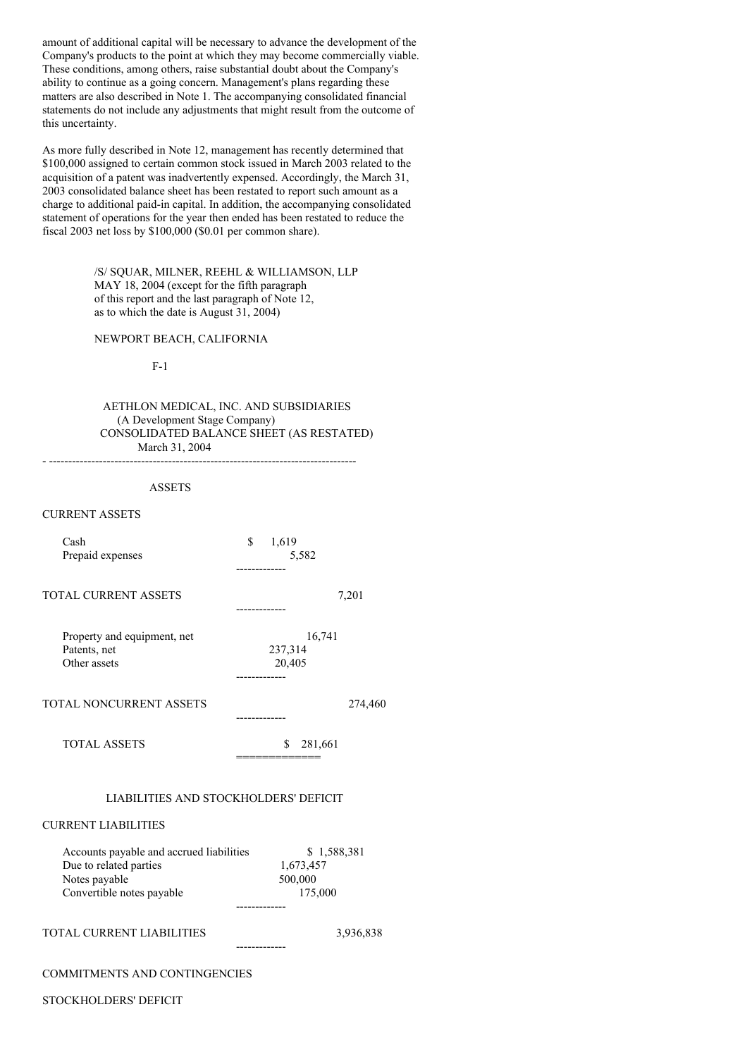amount of additional capital will be necessary to advance the development of the Company's products to the point at which they may become commercially viable. These conditions, among others, raise substantial doubt about the Company's ability to continue as a going concern. Management's plans regarding these matters are also described in Note 1. The accompanying consolidated financial statements do not include any adjustments that might result from the outcome of this uncertainty.

As more fully described in Note 12, management has recently determined that \$100,000 assigned to certain common stock issued in March 2003 related to the acquisition of a patent was inadvertently expensed. Accordingly, the March 31, 2003 consolidated balance sheet has been restated to report such amount as a charge to additional paid-in capital. In addition, the accompanying consolidated statement of operations for the year then ended has been restated to reduce the fiscal 2003 net loss by \$100,000 (\$0.01 per common share).

> /S/ SQUAR, MILNER, REEHL & WILLIAMSON, LLP MAY 18, 2004 (except for the fifth paragraph of this report and the last paragraph of Note 12, as to which the date is August 31, 2004)

NEWPORT BEACH, CALIFORNIA

F-1

AETHLON MEDICAL, INC. AND SUBSIDIARIES (A Development Stage Company) CONSOLIDATED BALANCE SHEET (AS RESTATED) March 31, 2004 - --------------------------------------------------------------------------------

#### ASSETS

## CURRENT ASSETS

| Cash                        | \$<br>1,619  |
|-----------------------------|--------------|
| Prepaid expenses            | 5,582        |
|                             |              |
| <b>TOTAL CURRENT ASSETS</b> | 7,201        |
|                             |              |
| Property and equipment, net | 16,741       |
| Patents, net                | 237,314      |
| Other assets                | 20,405       |
|                             | .            |
| TOTAL NONCURRENT ASSETS     | 274,460      |
|                             |              |
| <b>TOTAL ASSETS</b>         | S<br>281,661 |
|                             |              |

#### LIABILITIES AND STOCKHOLDERS' DEFICIT

## CURRENT LIABILITIES

| Accounts payable and accrued liabilities | \$1,588,381 |
|------------------------------------------|-------------|
| Due to related parties                   | 1,673,457   |
| Notes payable                            | 500,000     |
| Convertible notes payable                | 175,000     |
|                                          |             |

-------------

# TOTAL CURRENT LIABILITIES 3,936,838

# COMMITMENTS AND CONTINGENCIES

STOCKHOLDERS' DEFICIT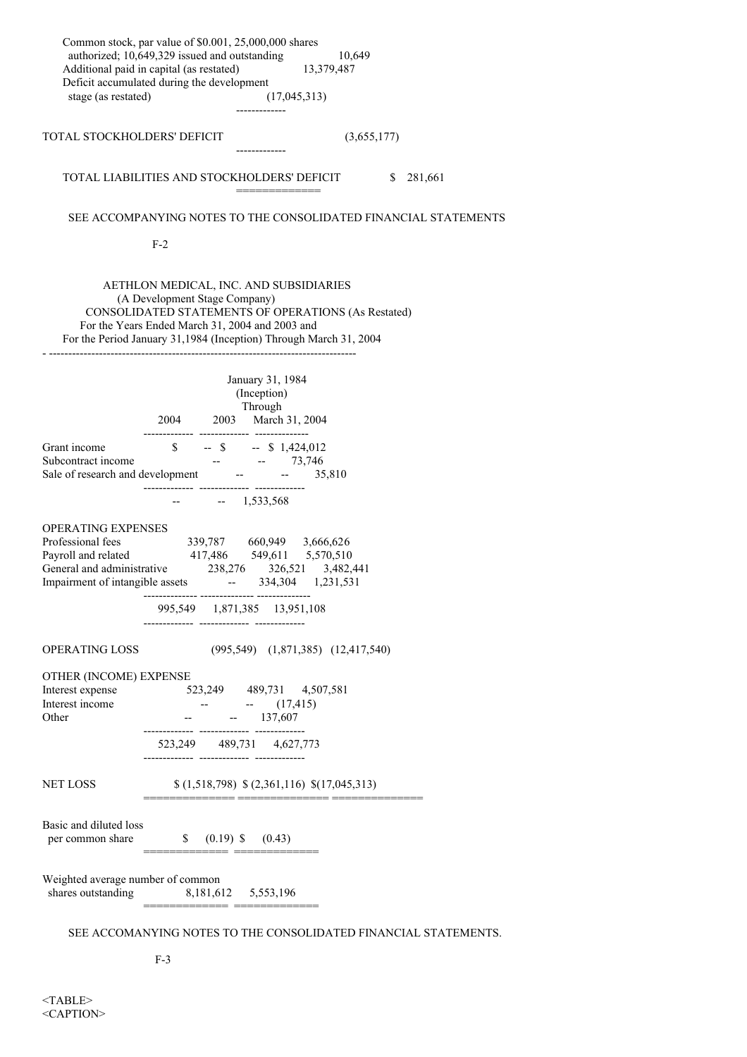Common stock, par value of \$0.001, 25,000,000 shares authorized; 10,649,329 issued and outstanding 10,649 Additional paid in capital (as restated) 13,379,487 Deficit accumulated during the development stage (as restated) (17,045,313) ------------- TOTAL STOCKHOLDERS' DEFICIT (3,655,177) ------------- TOTAL LIABILITIES AND STOCKHOLDERS' DEFICIT \$ 281,661 ============= SEE ACCOMPANYING NOTES TO THE CONSOLIDATED FINANCIAL STATEMENTS  $F-2$ AETHLON MEDICAL, INC. AND SUBSIDIARIES (A Development Stage Company) CONSOLIDATED STATEMENTS OF OPERATIONS (As Restated) For the Years Ended March 31, 2004 and 2003 and For the Period January 31,1984 (Inception) Through March 31, 2004 - -------------------------------------------------------------------------------- January 31, 1984 (Inception) Through 2004 2003 March 31, 2004 -- ------------- --------------Grant income \$ -- \$ -- \$ 1,424,012 Subcontract income -- - 73,746 Sale of research and development -- - 35,810 ------------- ------------- ------------- -- -- 1,533,568 OPERATING EXPENSES Professional fees 339,787 660,949 3,666,626 Payroll and related 417,486 549,611 5,570,510 General and administrative 238,276 326,521 3,482,441 Impairment of intangible assets -- 334,304 1,231,531 -------------- -------------- -------------- 995,549 1,871,385 13,951,108 ------------- ------------- ------------- OPERATING LOSS (995,549) (1,871,385) (12,417,540) OTHER (INCOME) EXPENSE Interest expense 523,249 489,731 4,507,581 Interest income  $(17,415)$ Other -- 137,607 ------------- ------------- ------------- 523,249 489,731 4,627,773 ------------ ------------ ------------NET LOSS  $\{(1,518,798) \quad \{(2,361,116) \quad \{(17,045,313) \}$ ============== ============== ============== Basic and diluted loss per common share  $$ (0.19) $ (0.43)$ ============= ============= Weighted average number of common shares outstanding 8,181,612 5,553,196 ============= =============

SEE ACCOMANYING NOTES TO THE CONSOLIDATED FINANCIAL STATEMENTS.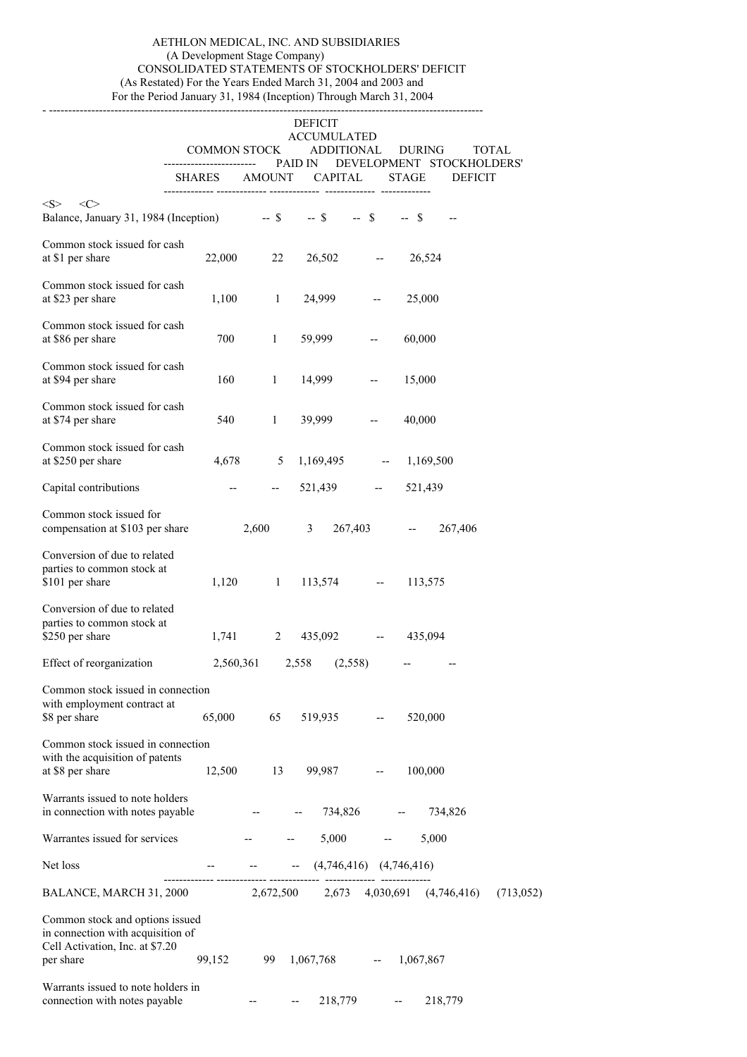## AETHLON MEDICAL, INC. AND SUBSIDIARIES (A Development Stage Company) CONSOLIDATED STATEMENTS OF STOCKHOLDERS' DEFICIT (As Restated) For the Years Ended March 31, 2004 and 2003 and For the Period January 31, 1984 (Inception) Through March 31, 2004

|                                                                                                         | COMMON STOCK |                         | <b>DEFICIT</b><br><b>ACCUMULATED</b> |                                                     | ADDITIONAL DURING TOTAL                                         |                |
|---------------------------------------------------------------------------------------------------------|--------------|-------------------------|--------------------------------------|-----------------------------------------------------|-----------------------------------------------------------------|----------------|
|                                                                                                         |              |                         | SHARES AMOUNT CAPITAL STAGE          |                                                     | --------------------    PAID IN    DEVELOPMENT    STOCKHOLDERS' | <b>DEFICIT</b> |
| $<\!\!S\!\!>$<br><<><br>Balance, January 31, 1984 (Inception) -- \$ -- \$ -- \$                         |              |                         |                                      |                                                     | $--$ \$                                                         |                |
| Common stock issued for cash<br>at \$1 per share                                                        | 22,000       | 22                      |                                      | $26,502$ --                                         | 26,524                                                          |                |
| Common stock issued for cash<br>at \$23 per share                                                       |              | $1,100 \qquad \qquad 1$ | 24,999                               | $\overline{\phantom{m}}$                            | 25,000                                                          |                |
| Common stock issued for cash<br>at \$86 per share                                                       | 700          | 1                       | 59,999                               | $\overline{\phantom{a}}$                            | 60,000                                                          |                |
| Common stock issued for cash<br>at \$94 per share                                                       | 160          | 1                       | 14,999                               | $\frac{1}{2}$ and $\frac{1}{2}$ . The $\frac{1}{2}$ | 15,000                                                          |                |
| Common stock issued for cash<br>at \$74 per share                                                       | 540          | $\mathbf{1}$            | 39,999                               | $\mathord{\hspace{1pt}\text{--}\hspace{1pt}}$       | 40,000                                                          |                |
| Common stock issued for cash<br>at \$250 per share                                                      |              |                         | 4,678 5 1,169,495 - 1,169,500        |                                                     |                                                                 |                |
| Capital contributions                                                                                   |              | $\sim$ - $\sim$         | 521,439 --                           |                                                     | 521,439                                                         |                |
| Common stock issued for<br>compensation at \$103 per share                                              |              |                         |                                      |                                                     | 2,600 3 267,403 - 267,406                                       |                |
| Conversion of due to related<br>parties to common stock at<br>\$101 per share                           |              |                         | 1,120 1 113,574 - 113,575            |                                                     |                                                                 |                |
| Conversion of due to related<br>parties to common stock at<br>\$250 per share                           | 1,741        | $\mathbf{2}$            | $435,092$ -                          |                                                     | 435,094                                                         |                |
| Effect of reorganization                                                                                | 2,560,361    |                         | 2,558                                | (2, 558)                                            |                                                                 |                |
| Common stock issued in connection<br>with employment contract at<br>\$8 per share                       |              |                         | 65,000 65 519,935 - 520,000          |                                                     |                                                                 |                |
| Common stock issued in connection<br>with the acquisition of patents                                    |              |                         |                                      |                                                     |                                                                 |                |
| at \$8 per share                                                                                        |              |                         | 12,500 13 99,987 -- 100,000          |                                                     |                                                                 |                |
| Warrants issued to note holders<br>in connection with notes payable                                     |              |                         |                                      |                                                     | $  734,826$ $ 734,826$                                          |                |
| Warrantes issued for services                                                                           |              |                         | $  5,000$ $ 5,000$                   |                                                     |                                                                 |                |
| Net loss                                                                                                |              |                         | -- -- -- $(4,746,416)$ $(4,746,416)$ |                                                     |                                                                 |                |
| BALANCE, MARCH 31, 2000 2,672,500 2,673 4,030,691 (4,746,416)                                           |              |                         |                                      |                                                     |                                                                 | (713, 052)     |
| Common stock and options issued<br>in connection with acquisition of<br>Cell Activation, Inc. at \$7.20 |              |                         |                                      |                                                     |                                                                 |                |
| per share                                                                                               |              |                         | 99,152 99 1,067,768 -- 1,067,867     |                                                     |                                                                 |                |
| Warrants issued to note holders in<br>connection with notes payable                                     |              |                         | 218,779<br>$\sim$ $-$                |                                                     | 218,779<br><b>Service State</b>                                 |                |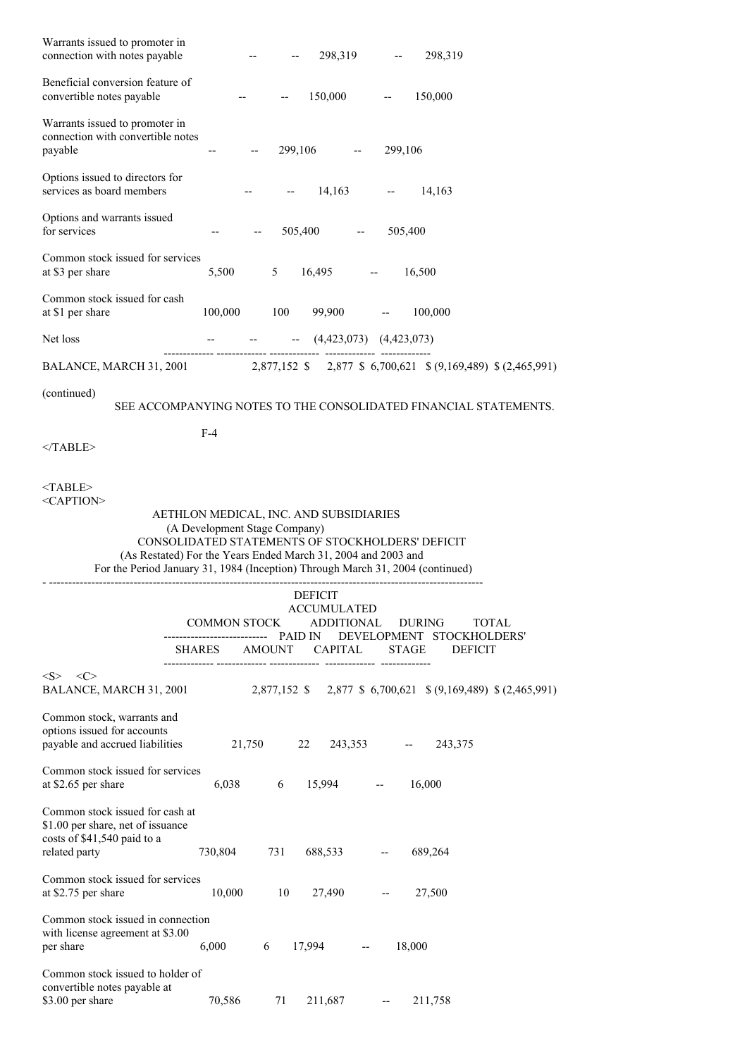| Warrants issued to promoter in<br>connection with notes payable                                                                                 |                                               |             |                                        | 298,319 --                    | 298,319                                          |                                                                  |
|-------------------------------------------------------------------------------------------------------------------------------------------------|-----------------------------------------------|-------------|----------------------------------------|-------------------------------|--------------------------------------------------|------------------------------------------------------------------|
| Beneficial conversion feature of<br>convertible notes payable                                                                                   |                                               |             |                                        |                               | $150,000$ -- $150,000$                           |                                                                  |
| Warrants issued to promoter in<br>connection with convertible notes<br>payable                                                                  |                                               |             | 299,106 -- 299,106                     |                               |                                                  |                                                                  |
| Options issued to directors for<br>services as board members                                                                                    |                                               |             | $-14,163$ $-14,163$                    |                               |                                                  |                                                                  |
| Options and warrants issued<br>for services                                                                                                     |                                               |             | $505,400$ --                           |                               | 505,400                                          |                                                                  |
| Common stock issued for services<br>at \$3 per share                                                                                            |                                               |             | $5,500$ $5$ $16,495$ --                |                               | 16,500                                           |                                                                  |
| Common stock issued for cash<br>at \$1 per share                                                                                                |                                               | 100,000 100 | 99,900 -                               |                               | 100,000                                          |                                                                  |
| Net loss                                                                                                                                        |                                               |             | -- $(4,423,073)$ $(4,423,073)$         |                               |                                                  |                                                                  |
| BALANCE, MARCH 31, 2001 2,877,152 \$2,877 \$6,700,621 \$(9,169,489) \$(2,465,991)                                                               |                                               |             |                                        |                               |                                                  |                                                                  |
| (continued)                                                                                                                                     |                                               |             |                                        |                               |                                                  | SEE ACCOMPANYING NOTES TO THE CONSOLIDATED FINANCIAL STATEMENTS. |
| $<$ /TABLE>                                                                                                                                     | $F-4$                                         |             |                                        |                               |                                                  |                                                                  |
|                                                                                                                                                 |                                               |             |                                        |                               |                                                  |                                                                  |
| $<$ TABLE><br><caption></caption>                                                                                                               |                                               |             |                                        |                               |                                                  |                                                                  |
|                                                                                                                                                 |                                               |             | AETHLON MEDICAL, INC. AND SUBSIDIARIES |                               |                                                  |                                                                  |
|                                                                                                                                                 | (A Development Stage Company)                 |             |                                        |                               | CONSOLIDATED STATEMENTS OF STOCKHOLDERS' DEFICIT |                                                                  |
| (As Restated) For the Years Ended March 31, 2004 and 2003 and<br>For the Period January 31, 1984 (Inception) Through March 31, 2004 (continued) |                                               |             |                                        |                               |                                                  |                                                                  |
|                                                                                                                                                 |                                               |             |                                        |                               |                                                  |                                                                  |
|                                                                                                                                                 |                                               |             | <b>DEFICIT</b><br><b>ACCUMULATED</b>   |                               |                                                  |                                                                  |
|                                                                                                                                                 | <b>COMMON STOCK</b><br>---------------------- |             | ADDITIONAL<br><b>PAID IN</b>           | DEVELOPMENT                   | <b>DURING</b>                                    | <b>TOTAL</b><br>STOCKHOLDERS'                                    |
|                                                                                                                                                 | SHARES                                        | AMOUNT      | <b>CAPITAL</b>                         |                               | <b>STAGE</b>                                     | <b>DEFICIT</b>                                                   |
| $<\!\!S\!\!>$ $<\!\!C\!\!>$                                                                                                                     |                                               |             |                                        |                               |                                                  |                                                                  |
| BALANCE, MARCH 31, 2001                                                                                                                         |                                               |             |                                        |                               |                                                  | 2,877,152 \$ 2,877 \$ 6,700,621 \$ (9,169,489) \$ (2,465,991)    |
| Common stock, warrants and<br>options issued for accounts<br>payable and accrued liabilities                                                    |                                               | 21,750      | 22                                     | $243,353$ --                  | 243,375                                          |                                                                  |
|                                                                                                                                                 |                                               |             |                                        |                               |                                                  |                                                                  |
| Common stock issued for services<br>at \$2.65 per share                                                                                         | 6,038                                         | 6           | $15,994$ --                            |                               | 16,000                                           |                                                                  |
| Common stock issued for cash at<br>\$1.00 per share, net of issuance<br>costs of \$41,540 paid to a                                             | 730,804                                       | 731         |                                        |                               | 689,264                                          |                                                                  |
| related party                                                                                                                                   |                                               |             | 688,533                                | $\hspace{0.05cm} \textbf{--}$ |                                                  |                                                                  |
| Common stock issued for services<br>at \$2.75 per share                                                                                         | 10,000                                        | 10          | 27,490                                 | $- -$                         | 27,500                                           |                                                                  |
| Common stock issued in connection<br>with license agreement at \$3.00                                                                           |                                               |             |                                        |                               |                                                  |                                                                  |
| per share                                                                                                                                       | 6,000                                         | 6           | $17,994$ --                            |                               | 18,000                                           |                                                                  |
| Common stock issued to holder of<br>convertible notes payable at                                                                                |                                               |             |                                        |                               |                                                  |                                                                  |
| \$3.00 per share                                                                                                                                | 70,586                                        | 71          | 211,687                                | --                            | 211,758                                          |                                                                  |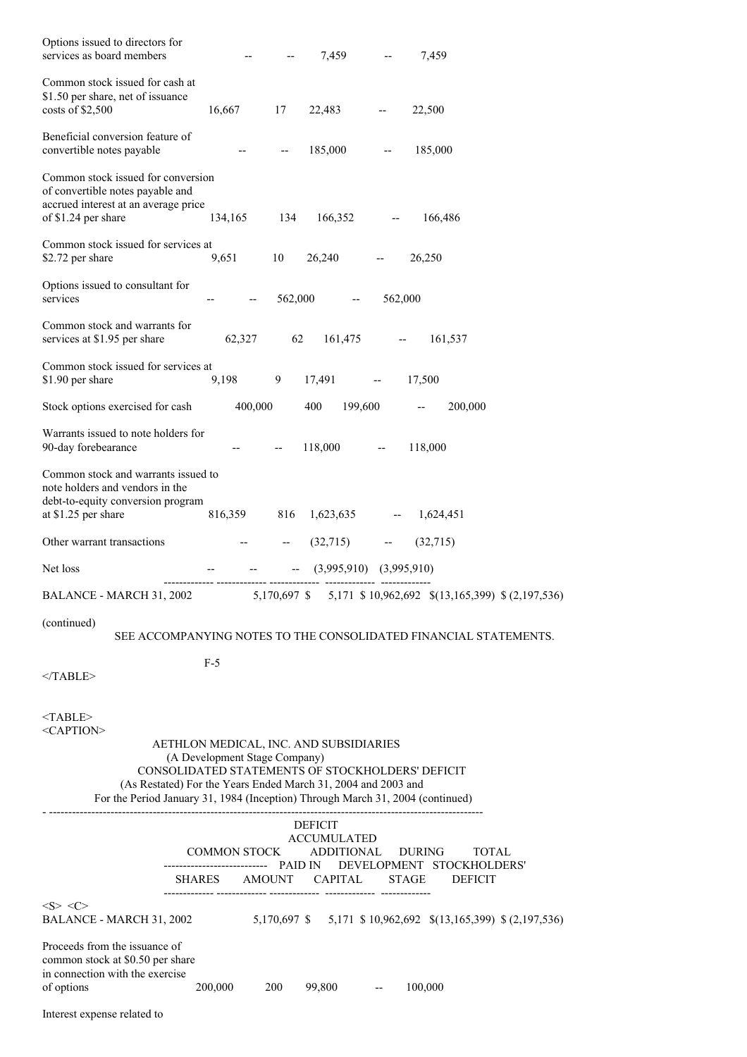| Options issued to directors for<br>services as board members                                                                          | 7,459<br>7,459<br>$-\!$                                                                                                                                                                                                                                                        |
|---------------------------------------------------------------------------------------------------------------------------------------|--------------------------------------------------------------------------------------------------------------------------------------------------------------------------------------------------------------------------------------------------------------------------------|
| Common stock issued for cash at<br>\$1.50 per share, net of issuance<br>costs of \$2,500                                              | 16,667<br>17<br>22,483<br>22,500                                                                                                                                                                                                                                               |
| Beneficial conversion feature of<br>convertible notes payable                                                                         | 185,000<br>185,000                                                                                                                                                                                                                                                             |
| Common stock issued for conversion<br>of convertible notes payable and<br>accrued interest at an average price<br>of \$1.24 per share | 134<br>134,165<br>166,352<br>166,486                                                                                                                                                                                                                                           |
| Common stock issued for services at<br>\$2.72 per share                                                                               | 9,651<br>10<br>26,240<br>26,250                                                                                                                                                                                                                                                |
| Options issued to consultant for<br>services                                                                                          | 562,000<br>562,000<br>$\hspace{0.05cm} \dashrightarrow$                                                                                                                                                                                                                        |
| Common stock and warrants for<br>services at \$1.95 per share                                                                         | 62,327<br>161,475<br>62<br>161,537                                                                                                                                                                                                                                             |
| Common stock issued for services at<br>\$1.90 per share                                                                               | 9,198<br>9<br>17,491<br>17,500<br>$-\, -$                                                                                                                                                                                                                                      |
| Stock options exercised for cash                                                                                                      | 400,000<br>400<br>199,600<br>200,000                                                                                                                                                                                                                                           |
| Warrants issued to note holders for<br>90-day forebearance                                                                            | 118,000<br>118,000<br>$\overline{\phantom{a}}$                                                                                                                                                                                                                                 |
| Common stock and warrants issued to<br>note holders and vendors in the<br>debt-to-equity conversion program<br>at \$1.25 per share    | 816,359<br>816<br>1,623,635<br>1,624,451                                                                                                                                                                                                                                       |
| Other warrant transactions                                                                                                            | (32,715)<br>(32,715)                                                                                                                                                                                                                                                           |
| Net loss                                                                                                                              | $(3,995,910)$ $(3,995,910)$                                                                                                                                                                                                                                                    |
| BALANCE - MARCH 31, 2002                                                                                                              | 5,170,697 \$ 5,171 \$10,962,692 \$(13,165,399) \$(2,197,536)                                                                                                                                                                                                                   |
| (continued)                                                                                                                           | SEE ACCOMPANYING NOTES TO THE CONSOLIDATED FINANCIAL STATEMENTS.                                                                                                                                                                                                               |
|                                                                                                                                       | $F-5$                                                                                                                                                                                                                                                                          |
| $<$ TABLE>                                                                                                                            |                                                                                                                                                                                                                                                                                |
| <table><br/><caption></caption></table>                                                                                               | AETHLON MEDICAL, INC. AND SUBSIDIARIES<br>(A Development Stage Company)<br>CONSOLIDATED STATEMENTS OF STOCKHOLDERS' DEFICIT<br>(As Restated) For the Years Ended March 31, 2004 and 2003 and<br>For the Period January 31, 1984 (Inception) Through March 31, 2004 (continued) |
|                                                                                                                                       | <b>DEFICIT</b><br><b>ACCUMULATED</b>                                                                                                                                                                                                                                           |
|                                                                                                                                       | ADDITIONAL<br>COMMON STOCK<br>DURING<br><b>TOTAL</b>                                                                                                                                                                                                                           |
|                                                                                                                                       | SHARES AMOUNT CAPITAL<br><b>STAGE</b><br><b>DEFICIT</b>                                                                                                                                                                                                                        |
| <s>&lt;&lt;&gt;</s>                                                                                                                   | BALANCE - MARCH 31, 2002 5, 170, 697 \$ 5, 171 \$10, 962, 692 \$ (13, 165, 399) \$ (2, 197, 536)                                                                                                                                                                               |
| Proceeds from the issuance of<br>common stock at \$0.50 per share<br>in connection with the exercise<br>of options                    | 200,000<br>200<br>99,800<br>100,000<br>$\overline{\phantom{m}}$                                                                                                                                                                                                                |
| Interest expense related to                                                                                                           |                                                                                                                                                                                                                                                                                |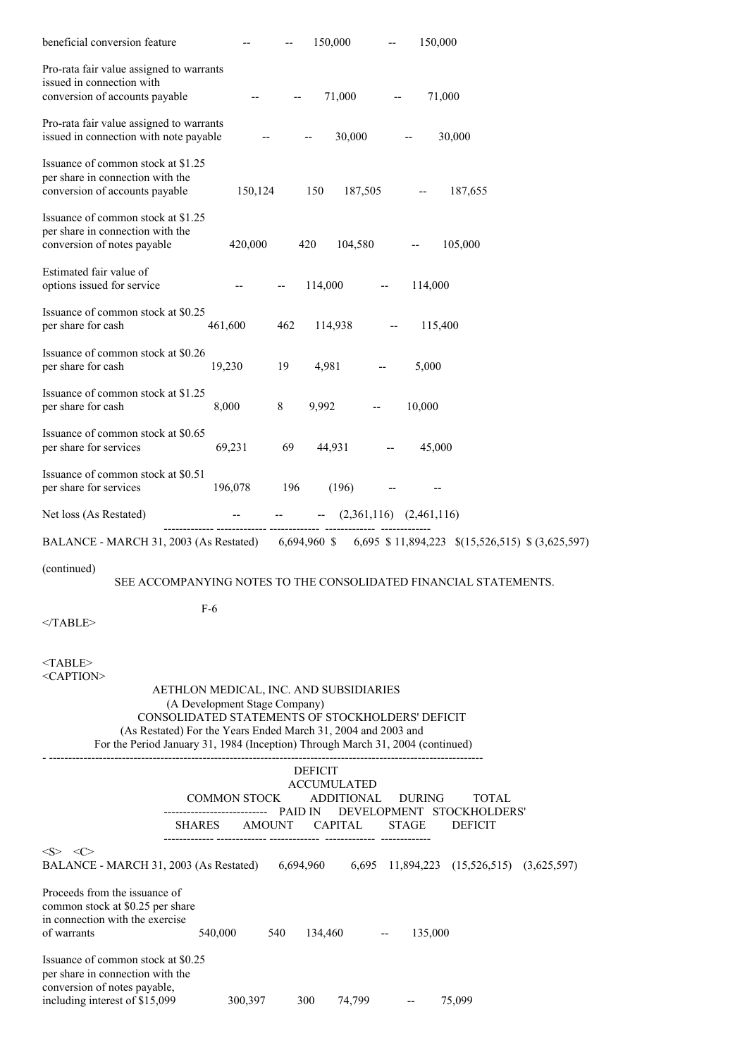| beneficial conversion feature                                                                            |         |     | 150,000        |                                               | 150,000                                                        |  |
|----------------------------------------------------------------------------------------------------------|---------|-----|----------------|-----------------------------------------------|----------------------------------------------------------------|--|
| Pro-rata fair value assigned to warrants<br>issued in connection with<br>conversion of accounts payable  |         |     | 71,000         |                                               | 71,000                                                         |  |
| Pro-rata fair value assigned to warrants<br>issued in connection with note payable                       |         |     | 30,000         |                                               | 30,000                                                         |  |
| Issuance of common stock at \$1.25<br>per share in connection with the<br>conversion of accounts payable | 150,124 |     | 150            | 187,505                                       | 187,655<br>$\overline{\phantom{a}}$                            |  |
| Issuance of common stock at \$1.25<br>per share in connection with the<br>conversion of notes payable    | 420,000 |     | 420<br>104,580 |                                               | 105,000<br>$\hspace{0.05cm} -\hspace{0.05cm} -\hspace{0.05cm}$ |  |
| Estimated fair value of<br>options issued for service                                                    |         |     | 114,000        | $\hspace{0.05cm} \ldots$                      | 114,000                                                        |  |
| Issuance of common stock at \$0.25<br>per share for cash                                                 | 461,600 | 462 | 114,938        | $\mathord{\hspace{1pt}\text{--}\hspace{1pt}}$ | 115,400                                                        |  |
| Issuance of common stock at \$0.26<br>per share for cash                                                 | 19,230  | 19  | 4,981          |                                               | 5,000                                                          |  |
| Issuance of common stock at \$1.25<br>per share for cash                                                 | 8,000   | 8   | 9,992          |                                               | 10,000                                                         |  |
| Issuance of common stock at \$0.65<br>per share for services                                             | 69,231  | 69  | 44,931         |                                               | 45,000                                                         |  |
| Issuance of common stock at \$0.51<br>per share for services                                             | 196,078 | 196 | (196)          |                                               |                                                                |  |
| Net loss (As Restated)                                                                                   |         |     |                |                                               | $-$ (2,361,116) (2,461,116)                                    |  |
| BALANCE - MARCH 31, 2003 (As Restated) 6,694,960 \$6,695 \$11,894,223 \$(15,526,515) \$(3,625,597)       |         |     |                |                                               |                                                                |  |
| (continued)<br>SEE ACCOMPANYING NOTES TO THE CONSOLIDATED FINANCIAL STATEMENTS.                          | F-6     |     |                |                                               |                                                                |  |
|                                                                                                          |         |     |                |                                               |                                                                |  |

  |  |  |  |  |  || $<$ TABLE>CONSOLIDATED STATEMENTS OF STOCKHOLDERS' DEFICIT(As Restated) For the Years Ended March 31, 2004 and 2003 andFor the Period January 31, 1984 (Inception) Through March 31, 2004 (continued) | AETHLON MEDICAL, INC. AND SUBSIDIARIES(A Development Stage Company) |  |  |  |  |  |
|  | COMMON STOCK ADDITIONALSHARES AMOUNT CAPITAL STAGE |  | **DEFICIT****ACCUMULATED** |  | DURING------------------------ PAID IN DEVELOPMENT STOCKHOLDERS'**DEFICIT** | **TOTAL** |
| $<\!\!S\!\!>$   $<\!\!C\!\!>$ BALANCE - MARCH 31, 2003 (As Restated) 6,694,960 6,695 11,894,223 (15,526,515) (3,625,597) |  |  |  |  |  |  |
| Proceeds from the issuance ofcommon stock at \$0.25 per sharein connection with the exerciseof warrants | 540,000 | 540 | $134,460$  --  $135,000$ |  |  |  |
| Issuance of common stock at \$0.25per share in connection with the |  |  |  |  |  |  |
| conversion of notes payable,including interest of \$15,099 | 300,397 |  | 30074,799 |  | 75,099 $\overline{\phantom{a}}$ |  |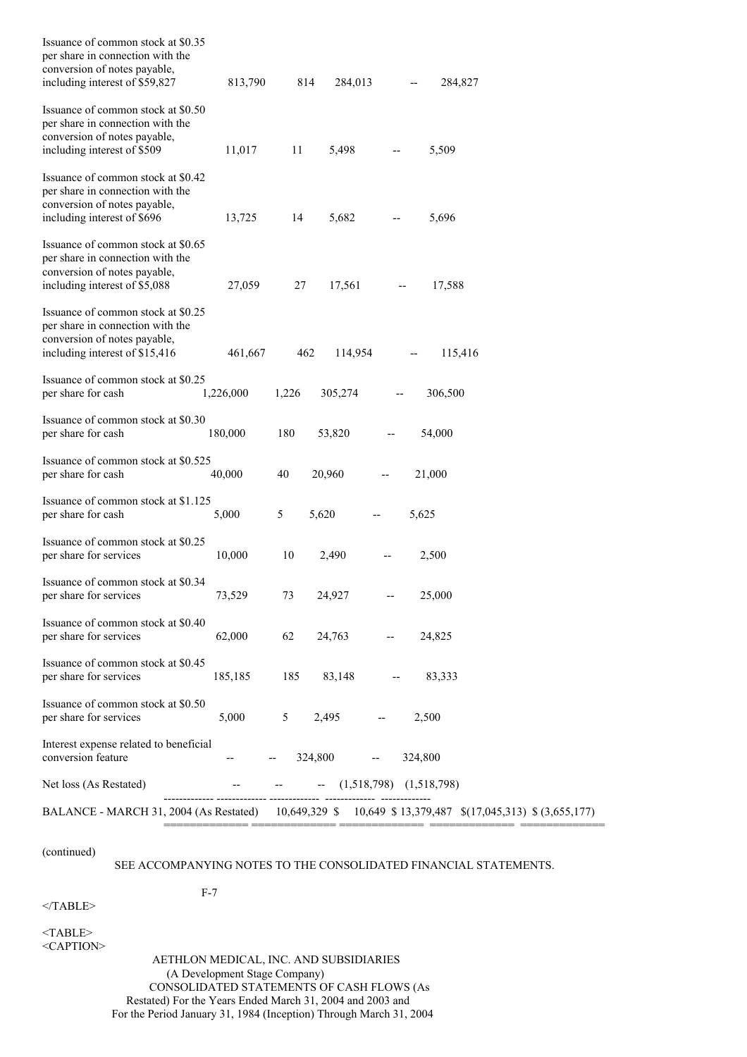| Issuance of common stock at \$0.35<br>per share in connection with the<br>conversion of notes payable,<br>including interest of \$59,827<br>813,790<br>814<br>284,013<br>284,827<br>$-\!$             |
|-------------------------------------------------------------------------------------------------------------------------------------------------------------------------------------------------------|
| Issuance of common stock at \$0.50<br>per share in connection with the<br>conversion of notes payable,<br>including interest of \$509<br>11,017<br>11<br>5,498<br>5,509<br>$-$                        |
| Issuance of common stock at \$0.42<br>per share in connection with the<br>conversion of notes payable,<br>including interest of \$696<br>13,725<br>5,682<br>5,696<br>14<br>--                         |
| Issuance of common stock at \$0.65<br>per share in connection with the<br>conversion of notes payable,<br>including interest of \$5,088<br>27,059<br>27<br>17,561<br>17,588<br>$- -$                  |
| Issuance of common stock at \$0.25<br>per share in connection with the<br>conversion of notes payable,<br>including interest of \$15,416<br>461,667<br>462<br>114,954<br>115,416<br>$\qquad \qquad -$ |
| Issuance of common stock at \$0.25<br>per share for cash<br>1,226<br>305,274<br>1,226,000<br>306,500                                                                                                  |
| Issuance of common stock at \$0.30<br>per share for cash<br>180,000<br>180<br>53,820<br>54,000                                                                                                        |
| Issuance of common stock at \$0.525<br>per share for cash<br>40,000<br>20,960<br>21,000<br>40                                                                                                         |
| Issuance of common stock at \$1.125<br>per share for cash<br>5<br>5,000<br>5,620<br>5,625                                                                                                             |
| Issuance of common stock at \$0.25<br>per share for services<br>10,000<br>10<br>2,490<br>2,500<br>$- \, -$                                                                                            |
| Issuance of common stock at \$0.34<br>73,529<br>24,927<br>73<br>25,000<br>per share for services                                                                                                      |
| Issuance of common stock at \$0.40<br>62<br>per share for services<br>62,000<br>24,763<br>24,825                                                                                                      |
| Issuance of common stock at \$0.45<br>per share for services<br>185<br>83,148<br>185,185<br>83,333                                                                                                    |
| Issuance of common stock at \$0.50<br>per share for services<br>5,000<br>5<br>2,495<br>2,500<br>$\qquad \qquad -$                                                                                     |
| Interest expense related to beneficial<br>conversion feature<br>324,800<br>324,800<br>$\sim$                                                                                                          |
| Net loss (As Restated)<br>$-$ (1,518,798) (1,518,798)<br>----- ------------- --------------                                                                                                           |
| BALANCE - MARCH 31, 2004 (As Restated) 10,649,329 \$ 10,649 \$13,379,487 \$(17,045,313) \$ (3,655,177)                                                                                                |

## (continued)

# SEE ACCOMPANYING NOTES TO THE CONSOLIDATED FINANCIAL STATEMENTS.

 $<$ /TABLE>

 $<$ TABLE> <CAPTION>

AETHLON MEDICAL, INC. AND SUBSIDIARIES (A Development Stage Company) CONSOLIDATED STATEMENTS OF CASH FLOWS (As Restated) For the Years Ended March 31, 2004 and 2003 and For the Period January 31, 1984 (Inception) Through March 31, 2004

F-7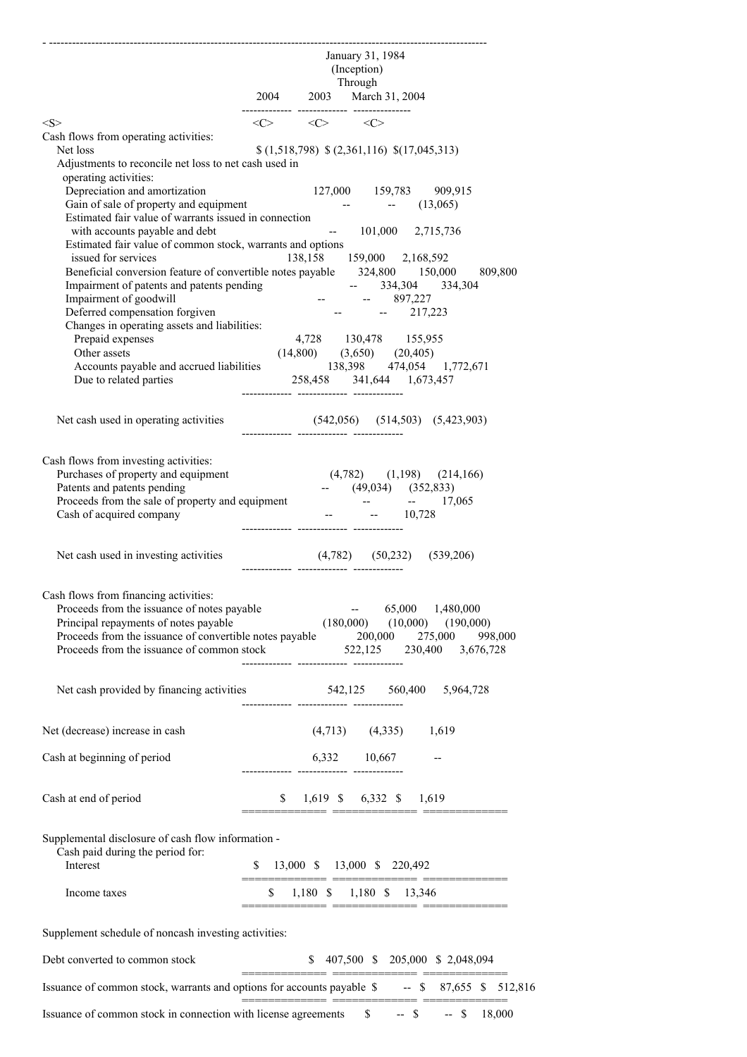|                                                                                                                                                                                                                                                                 |                                                             | January 31, 1984                                           |
|-----------------------------------------------------------------------------------------------------------------------------------------------------------------------------------------------------------------------------------------------------------------|-------------------------------------------------------------|------------------------------------------------------------|
|                                                                                                                                                                                                                                                                 |                                                             | (Inception)                                                |
|                                                                                                                                                                                                                                                                 |                                                             | Through<br>2004 2003 March 31, 2004                        |
| $<\leq>$                                                                                                                                                                                                                                                        | $\langle C \rangle$ $\langle C \rangle$ $\langle C \rangle$ |                                                            |
| Cash flows from operating activities:                                                                                                                                                                                                                           |                                                             |                                                            |
| Net loss                                                                                                                                                                                                                                                        |                                                             | $(1,518,798)$ $(2,361,116)$ $(17,045,313)$                 |
| Adjustments to reconcile net loss to net cash used in                                                                                                                                                                                                           |                                                             |                                                            |
| operating activities:                                                                                                                                                                                                                                           |                                                             |                                                            |
| Depreciation and amortization 127,000 159,783 909,915<br>Gain of sale of property and equipment -- (13,065)                                                                                                                                                     |                                                             |                                                            |
| Estimated fair value of warrants issued in connection                                                                                                                                                                                                           |                                                             |                                                            |
| with accounts payable and debt                                                                                                                                                                                                                                  |                                                             | $-101,000$ 2,715,736                                       |
| Estimated fair value of common stock, warrants and options                                                                                                                                                                                                      |                                                             |                                                            |
| issued for services<br>Beneficial conversion feature of convertible notes payable 324,800 150,000                                                                                                                                                               |                                                             | 138,158 159,000 2,168,592<br>809,800                       |
| Impairment of patents and patents pending                                                                                                                                                                                                                       |                                                             | $-334,304$ $334,304$                                       |
| Impairment of goodwill                                                                                                                                                                                                                                          |                                                             | $ -$ 897,227                                               |
| Deferred compensation forgiven                                                                                                                                                                                                                                  |                                                             | $ -$ 217,223                                               |
| Changes in operating assets and liabilities:<br>Prepaid expenses                                                                                                                                                                                                |                                                             | 4,728 130,478 155,955                                      |
| Other assets                                                                                                                                                                                                                                                    |                                                             | $(14,800)$ $(3,650)$ $(20,405)$                            |
|                                                                                                                                                                                                                                                                 |                                                             |                                                            |
| Accounts payable and accrued liabilities $138,398$ $474,054$ $1,772,671$<br>Due to related parties $258,458$ $341,644$ $1,673,457$                                                                                                                              |                                                             |                                                            |
|                                                                                                                                                                                                                                                                 |                                                             |                                                            |
| Net cash used in operating activities (542,056) (514,503) (5,423,903)                                                                                                                                                                                           |                                                             |                                                            |
|                                                                                                                                                                                                                                                                 |                                                             |                                                            |
|                                                                                                                                                                                                                                                                 |                                                             |                                                            |
| Cash flows from investing activities:                                                                                                                                                                                                                           |                                                             |                                                            |
|                                                                                                                                                                                                                                                                 |                                                             |                                                            |
|                                                                                                                                                                                                                                                                 |                                                             |                                                            |
| Purchases of property and equipment<br>Purchases of property and equipment<br>Patents and patents pending<br>Proceeds from the sale of property and equipment<br>Cash of acquired company<br>$\begin{array}{ccc}\n & - & 17,065 \\ - & - & 10,728\n\end{array}$ |                                                             |                                                            |
|                                                                                                                                                                                                                                                                 |                                                             |                                                            |
| Net cash used in investing activities                                                                                                                                                                                                                           |                                                             | $(4,782)$ $(50,232)$ $(539,206)$                           |
|                                                                                                                                                                                                                                                                 | -------------- -------------                                |                                                            |
|                                                                                                                                                                                                                                                                 |                                                             |                                                            |
| Cash flows from financing activities:<br>Proceeds from the issuance of notes payable - 65,000 - 1,480,000                                                                                                                                                       |                                                             |                                                            |
| Principal repayments of notes payable                                                                                                                                                                                                                           |                                                             | $(180,000)$ $(10,000)$ $(190,000)$                         |
|                                                                                                                                                                                                                                                                 |                                                             | 998,000                                                    |
| Proceeds from the issuance of convertible notes payable<br>Proceeds from the issuance of common stock<br>522,125 230,400 3,676,728                                                                                                                              |                                                             |                                                            |
|                                                                                                                                                                                                                                                                 |                                                             |                                                            |
| Net cash provided by financing activities 542,125 560,400 5,964,728                                                                                                                                                                                             |                                                             |                                                            |
|                                                                                                                                                                                                                                                                 |                                                             |                                                            |
|                                                                                                                                                                                                                                                                 |                                                             |                                                            |
| Net (decrease) increase in cash                                                                                                                                                                                                                                 |                                                             | $(4,713)$ $(4,335)$ $1,619$                                |
| Cash at beginning of period                                                                                                                                                                                                                                     |                                                             |                                                            |
|                                                                                                                                                                                                                                                                 |                                                             |                                                            |
|                                                                                                                                                                                                                                                                 |                                                             | $$1,619$ \$ 6,332 \$ 1,619                                 |
| Cash at end of period                                                                                                                                                                                                                                           |                                                             |                                                            |
|                                                                                                                                                                                                                                                                 |                                                             |                                                            |
| Supplemental disclosure of cash flow information -                                                                                                                                                                                                              |                                                             |                                                            |
| Cash paid during the period for:<br>Interest                                                                                                                                                                                                                    |                                                             | \$ 13,000 \$ 13,000 \$ 220,492                             |
|                                                                                                                                                                                                                                                                 |                                                             |                                                            |
| Income taxes                                                                                                                                                                                                                                                    |                                                             | $$1,180 \text{ } $1,180 \text{ } $1,180 \text{ } $1,3,346$ |
|                                                                                                                                                                                                                                                                 |                                                             |                                                            |
|                                                                                                                                                                                                                                                                 |                                                             |                                                            |
| Supplement schedule of noncash investing activities:                                                                                                                                                                                                            |                                                             |                                                            |
| Debt converted to common stock                                                                                                                                                                                                                                  |                                                             | \$ 407,500 \$ 205,000 \$ 2,048,094                         |
|                                                                                                                                                                                                                                                                 |                                                             |                                                            |
| Issuance of common stock, warrants and options for accounts payable \$ -- \$ 87,655 \$ 512,816                                                                                                                                                                  |                                                             |                                                            |
| Issuance of common stock in connection with license agreements \$ -- \$ -- \$ 18,000                                                                                                                                                                            |                                                             |                                                            |

- ------------------------------------------------------------------------------------------------------------------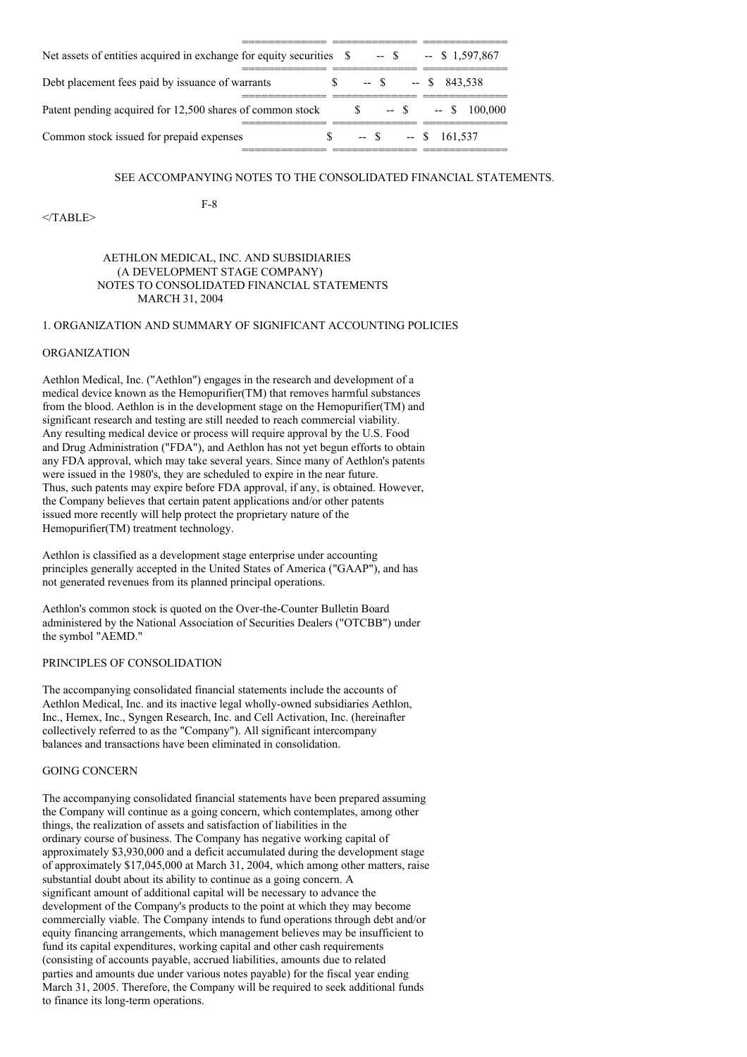| Net assets of entities acquired in exchange for equity securities \$ |                                                                           | $--$ S |  | $-$ \$ 1,597,867                               |
|----------------------------------------------------------------------|---------------------------------------------------------------------------|--------|--|------------------------------------------------|
| Debt placement fees paid by issuance of warrants                     | $\text{\$} \quad - \quad \text{\$} \quad - \quad \text{\$} \quad 843.538$ |        |  |                                                |
| Patent pending acquired for 12,500 shares of common stock            |                                                                           |        |  | $\text{S}$ -- $\text{S}$ -- $\text{S}$ 100.000 |
| Common stock issued for prepaid expenses                             | $\text{\$} \quad - \quad \text{\$} \quad - \quad \text{\$} \quad 161,537$ |        |  |                                                |

### SEE ACCOMPANYING NOTES TO THE CONSOLIDATED FINANCIAL STATEMENTS.

F-8

 $Z/T$ ARIE $>$ 

## AETHLON MEDICAL, INC. AND SUBSIDIARIES (A DEVELOPMENT STAGE COMPANY) NOTES TO CONSOLIDATED FINANCIAL STATEMENTS MARCH 31, 2004

# 1. ORGANIZATION AND SUMMARY OF SIGNIFICANT ACCOUNTING POLICIES

# ORGANIZATION

Aethlon Medical, Inc. ("Aethlon") engages in the research and development of a medical device known as the Hemopurifier(TM) that removes harmful substances from the blood. Aethlon is in the development stage on the Hemopurifier(TM) and significant research and testing are still needed to reach commercial viability. Any resulting medical device or process will require approval by the U.S. Food and Drug Administration ("FDA"), and Aethlon has not yet begun efforts to obtain any FDA approval, which may take several years. Since many of Aethlon's patents were issued in the 1980's, they are scheduled to expire in the near future. Thus, such patents may expire before FDA approval, if any, is obtained. However, the Company believes that certain patent applications and/or other patents issued more recently will help protect the proprietary nature of the Hemopurifier(TM) treatment technology.

Aethlon is classified as a development stage enterprise under accounting principles generally accepted in the United States of America ("GAAP"), and has not generated revenues from its planned principal operations.

Aethlon's common stock is quoted on the Over-the-Counter Bulletin Board administered by the National Association of Securities Dealers ("OTCBB") under the symbol "AEMD."

### PRINCIPLES OF CONSOLIDATION

The accompanying consolidated financial statements include the accounts of Aethlon Medical, Inc. and its inactive legal wholly-owned subsidiaries Aethlon, Inc., Hemex, Inc., Syngen Research, Inc. and Cell Activation, Inc. (hereinafter collectively referred to as the "Company"). All significant intercompany balances and transactions have been eliminated in consolidation.

### GOING CONCERN

The accompanying consolidated financial statements have been prepared assuming the Company will continue as a going concern, which contemplates, among other things, the realization of assets and satisfaction of liabilities in the ordinary course of business. The Company has negative working capital of approximately \$3,930,000 and a deficit accumulated during the development stage of approximately \$17,045,000 at March 31, 2004, which among other matters, raise substantial doubt about its ability to continue as a going concern. A significant amount of additional capital will be necessary to advance the development of the Company's products to the point at which they may become commercially viable. The Company intends to fund operations through debt and/or equity financing arrangements, which management believes may be insufficient to fund its capital expenditures, working capital and other cash requirements (consisting of accounts payable, accrued liabilities, amounts due to related parties and amounts due under various notes payable) for the fiscal year ending March 31, 2005. Therefore, the Company will be required to seek additional funds to finance its long-term operations.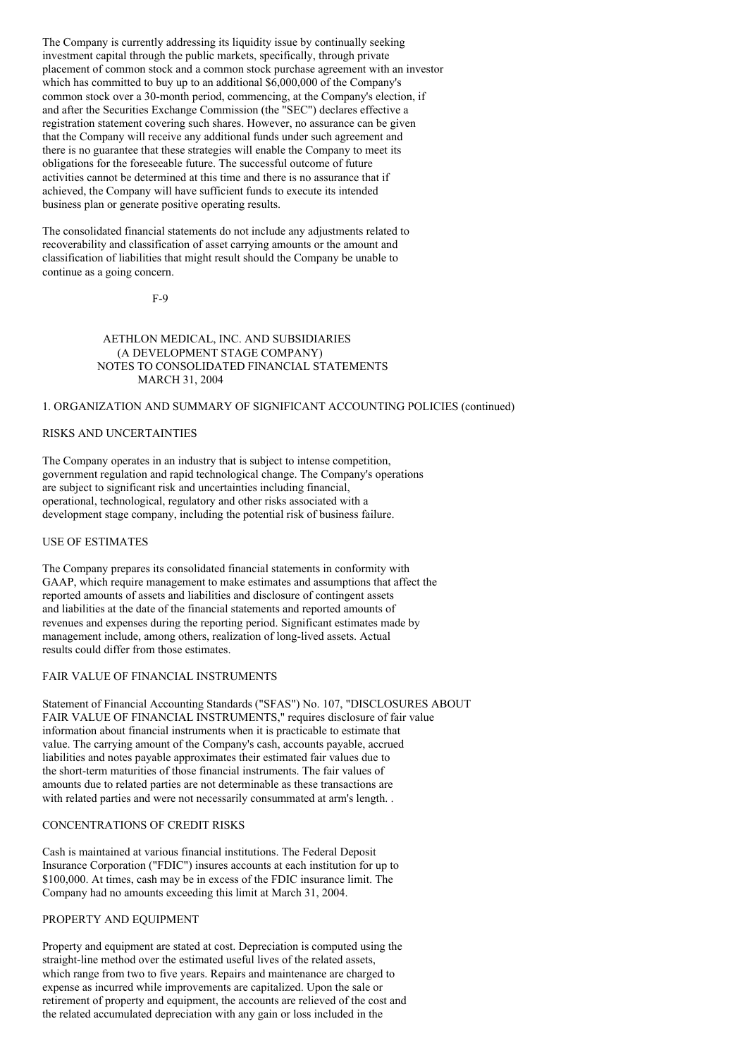The Company is currently addressing its liquidity issue by continually seeking investment capital through the public markets, specifically, through private placement of common stock and a common stock purchase agreement with an investor which has committed to buy up to an additional \$6,000,000 of the Company's common stock over a 30-month period, commencing, at the Company's election, if and after the Securities Exchange Commission (the "SEC") declares effective a registration statement covering such shares. However, no assurance can be given that the Company will receive any additional funds under such agreement and there is no guarantee that these strategies will enable the Company to meet its obligations for the foreseeable future. The successful outcome of future activities cannot be determined at this time and there is no assurance that if achieved, the Company will have sufficient funds to execute its intended business plan or generate positive operating results.

The consolidated financial statements do not include any adjustments related to recoverability and classification of asset carrying amounts or the amount and classification of liabilities that might result should the Company be unable to continue as a going concern.

F-9

## AETHLON MEDICAL, INC. AND SUBSIDIARIES (A DEVELOPMENT STAGE COMPANY) NOTES TO CONSOLIDATED FINANCIAL STATEMENTS MARCH 31, 2004

# 1. ORGANIZATION AND SUMMARY OF SIGNIFICANT ACCOUNTING POLICIES (continued)

## RISKS AND UNCERTAINTIES

The Company operates in an industry that is subject to intense competition, government regulation and rapid technological change. The Company's operations are subject to significant risk and uncertainties including financial, operational, technological, regulatory and other risks associated with a development stage company, including the potential risk of business failure.

#### USE OF ESTIMATES

The Company prepares its consolidated financial statements in conformity with GAAP, which require management to make estimates and assumptions that affect the reported amounts of assets and liabilities and disclosure of contingent assets and liabilities at the date of the financial statements and reported amounts of revenues and expenses during the reporting period. Significant estimates made by management include, among others, realization of long-lived assets. Actual results could differ from those estimates.

#### FAIR VALUE OF FINANCIAL INSTRUMENTS

Statement of Financial Accounting Standards ("SFAS") No. 107, "DISCLOSURES ABOUT FAIR VALUE OF FINANCIAL INSTRUMENTS," requires disclosure of fair value information about financial instruments when it is practicable to estimate that value. The carrying amount of the Company's cash, accounts payable, accrued liabilities and notes payable approximates their estimated fair values due to the short-term maturities of those financial instruments. The fair values of amounts due to related parties are not determinable as these transactions are with related parties and were not necessarily consummated at arm's length. .

## CONCENTRATIONS OF CREDIT RISKS

Cash is maintained at various financial institutions. The Federal Deposit Insurance Corporation ("FDIC") insures accounts at each institution for up to \$100,000. At times, cash may be in excess of the FDIC insurance limit. The Company had no amounts exceeding this limit at March 31, 2004.

## PROPERTY AND EQUIPMENT

Property and equipment are stated at cost. Depreciation is computed using the straight-line method over the estimated useful lives of the related assets, which range from two to five years. Repairs and maintenance are charged to expense as incurred while improvements are capitalized. Upon the sale or retirement of property and equipment, the accounts are relieved of the cost and the related accumulated depreciation with any gain or loss included in the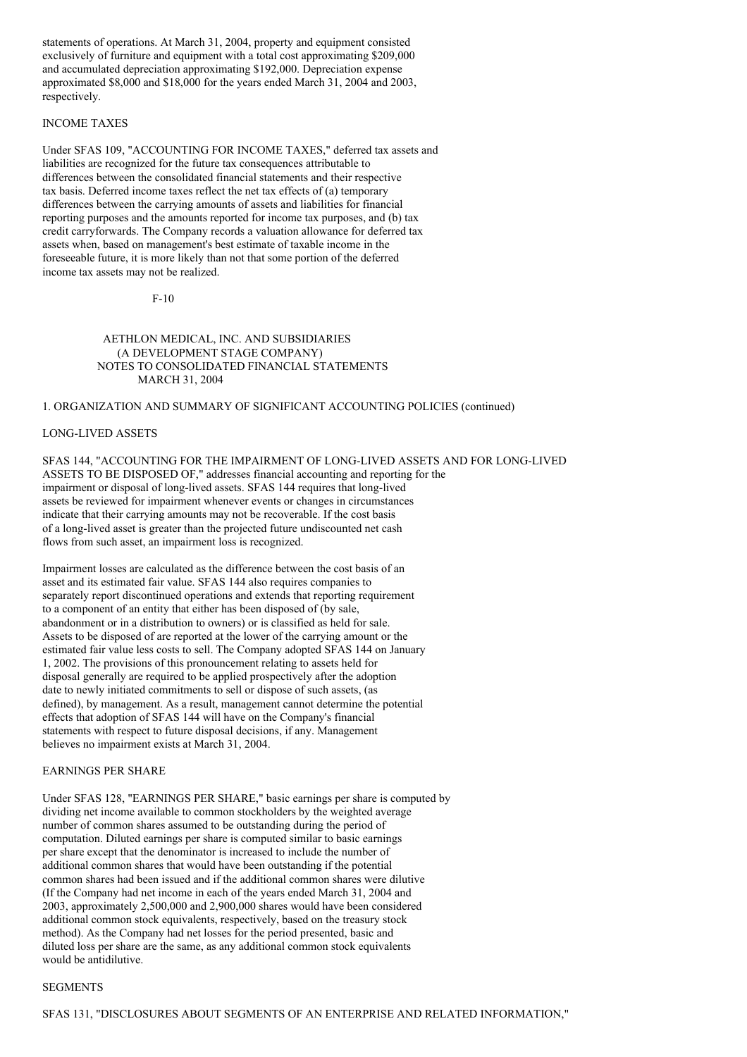statements of operations. At March 31, 2004, property and equipment consisted exclusively of furniture and equipment with a total cost approximating \$209,000 and accumulated depreciation approximating \$192,000. Depreciation expense approximated \$8,000 and \$18,000 for the years ended March 31, 2004 and 2003, respectively.

## INCOME TAXES

Under SFAS 109, "ACCOUNTING FOR INCOME TAXES," deferred tax assets and liabilities are recognized for the future tax consequences attributable to differences between the consolidated financial statements and their respective tax basis. Deferred income taxes reflect the net tax effects of (a) temporary differences between the carrying amounts of assets and liabilities for financial reporting purposes and the amounts reported for income tax purposes, and (b) tax credit carryforwards. The Company records a valuation allowance for deferred tax assets when, based on management's best estimate of taxable income in the foreseeable future, it is more likely than not that some portion of the deferred income tax assets may not be realized.

F-10

## AETHLON MEDICAL, INC. AND SUBSIDIARIES (A DEVELOPMENT STAGE COMPANY) NOTES TO CONSOLIDATED FINANCIAL STATEMENTS MARCH 31, 2004

# 1. ORGANIZATION AND SUMMARY OF SIGNIFICANT ACCOUNTING POLICIES (continued)

# LONG-LIVED ASSETS

SFAS 144, "ACCOUNTING FOR THE IMPAIRMENT OF LONG-LIVED ASSETS AND FOR LONG-LIVED ASSETS TO BE DISPOSED OF," addresses financial accounting and reporting for the impairment or disposal of long-lived assets. SFAS 144 requires that long-lived assets be reviewed for impairment whenever events or changes in circumstances indicate that their carrying amounts may not be recoverable. If the cost basis of a long-lived asset is greater than the projected future undiscounted net cash flows from such asset, an impairment loss is recognized.

Impairment losses are calculated as the difference between the cost basis of an asset and its estimated fair value. SFAS 144 also requires companies to separately report discontinued operations and extends that reporting requirement to a component of an entity that either has been disposed of (by sale, abandonment or in a distribution to owners) or is classified as held for sale. Assets to be disposed of are reported at the lower of the carrying amount or the estimated fair value less costs to sell. The Company adopted SFAS 144 on January 1, 2002. The provisions of this pronouncement relating to assets held for disposal generally are required to be applied prospectively after the adoption date to newly initiated commitments to sell or dispose of such assets, (as defined), by management. As a result, management cannot determine the potential effects that adoption of SFAS 144 will have on the Company's financial statements with respect to future disposal decisions, if any. Management believes no impairment exists at March 31, 2004.

#### EARNINGS PER SHARE

Under SFAS 128, "EARNINGS PER SHARE," basic earnings per share is computed by dividing net income available to common stockholders by the weighted average number of common shares assumed to be outstanding during the period of computation. Diluted earnings per share is computed similar to basic earnings per share except that the denominator is increased to include the number of additional common shares that would have been outstanding if the potential common shares had been issued and if the additional common shares were dilutive (If the Company had net income in each of the years ended March 31, 2004 and 2003, approximately 2,500,000 and 2,900,000 shares would have been considered additional common stock equivalents, respectively, based on the treasury stock method). As the Company had net losses for the period presented, basic and diluted loss per share are the same, as any additional common stock equivalents would be antidilutive.

### **SEGMENTS**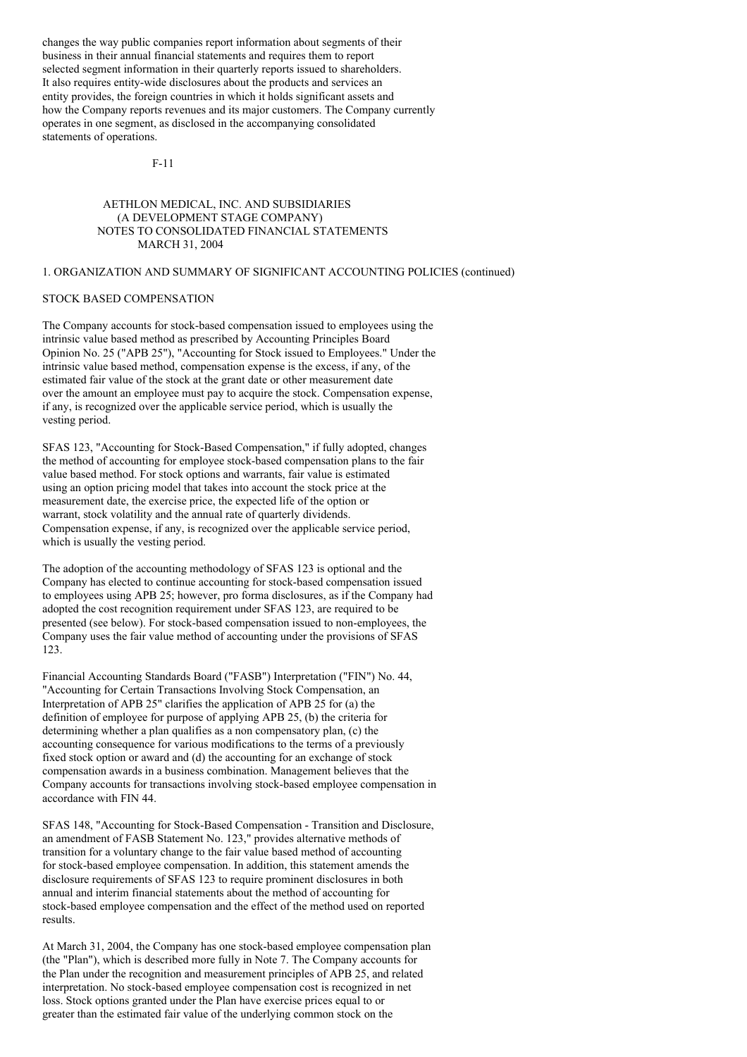changes the way public companies report information about segments of their business in their annual financial statements and requires them to report selected segment information in their quarterly reports issued to shareholders. It also requires entity-wide disclosures about the products and services an entity provides, the foreign countries in which it holds significant assets and how the Company reports revenues and its major customers. The Company currently operates in one segment, as disclosed in the accompanying consolidated statements of operations.

F-11

## AETHLON MEDICAL, INC. AND SUBSIDIARIES (A DEVELOPMENT STAGE COMPANY) NOTES TO CONSOLIDATED FINANCIAL STATEMENTS MARCH 31, 2004

1. ORGANIZATION AND SUMMARY OF SIGNIFICANT ACCOUNTING POLICIES (continued)

#### STOCK BASED COMPENSATION

The Company accounts for stock-based compensation issued to employees using the intrinsic value based method as prescribed by Accounting Principles Board Opinion No. 25 ("APB 25"), "Accounting for Stock issued to Employees." Under the intrinsic value based method, compensation expense is the excess, if any, of the estimated fair value of the stock at the grant date or other measurement date over the amount an employee must pay to acquire the stock. Compensation expense, if any, is recognized over the applicable service period, which is usually the vesting period.

SFAS 123, "Accounting for Stock-Based Compensation," if fully adopted, changes the method of accounting for employee stock-based compensation plans to the fair value based method. For stock options and warrants, fair value is estimated using an option pricing model that takes into account the stock price at the measurement date, the exercise price, the expected life of the option or warrant, stock volatility and the annual rate of quarterly dividends. Compensation expense, if any, is recognized over the applicable service period, which is usually the vesting period.

The adoption of the accounting methodology of SFAS 123 is optional and the Company has elected to continue accounting for stock-based compensation issued to employees using APB 25; however, pro forma disclosures, as if the Company had adopted the cost recognition requirement under SFAS 123, are required to be presented (see below). For stock-based compensation issued to non-employees, the Company uses the fair value method of accounting under the provisions of SFAS 123.

Financial Accounting Standards Board ("FASB") Interpretation ("FIN") No. 44, "Accounting for Certain Transactions Involving Stock Compensation, an Interpretation of APB 25" clarifies the application of APB 25 for (a) the definition of employee for purpose of applying APB 25, (b) the criteria for determining whether a plan qualifies as a non compensatory plan, (c) the accounting consequence for various modifications to the terms of a previously fixed stock option or award and (d) the accounting for an exchange of stock compensation awards in a business combination. Management believes that the Company accounts for transactions involving stock-based employee compensation in accordance with FIN 44.

SFAS 148, "Accounting for Stock-Based Compensation - Transition and Disclosure, an amendment of FASB Statement No. 123," provides alternative methods of transition for a voluntary change to the fair value based method of accounting for stock-based employee compensation. In addition, this statement amends the disclosure requirements of SFAS 123 to require prominent disclosures in both annual and interim financial statements about the method of accounting for stock-based employee compensation and the effect of the method used on reported results.

At March 31, 2004, the Company has one stock-based employee compensation plan (the "Plan"), which is described more fully in Note 7. The Company accounts for the Plan under the recognition and measurement principles of APB 25, and related interpretation. No stock-based employee compensation cost is recognized in net loss. Stock options granted under the Plan have exercise prices equal to or greater than the estimated fair value of the underlying common stock on the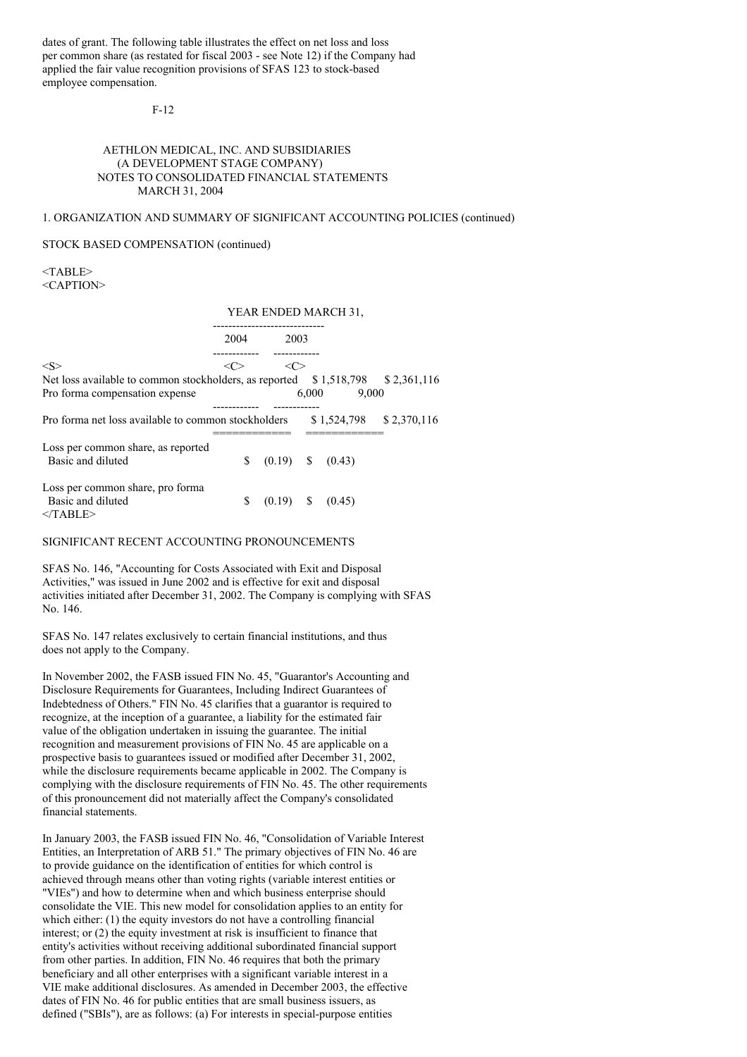dates of grant. The following table illustrates the effect on net loss and loss per common share (as restated for fiscal 2003 - see Note 12) if the Company had applied the fair value recognition provisions of SFAS 123 to stock-based employee compensation.

F-12

## AETHLON MEDICAL, INC. AND SUBSIDIARIES (A DEVELOPMENT STAGE COMPANY) NOTES TO CONSOLIDATED FINANCIAL STATEMENTS MARCH 31, 2004

#### 1. ORGANIZATION AND SUMMARY OF SIGNIFICANT ACCOUNTING POLICIES (continued)

#### STOCK BASED COMPENSATION (continued)

<TABLE> <CAPTION>

### YEAR ENDED MARCH 31,

|                                                                                | 2004  | 2003                 |       |       |                           |
|--------------------------------------------------------------------------------|-------|----------------------|-------|-------|---------------------------|
| < S >                                                                          | <( '> | $< \cap$             |       |       |                           |
| Net loss available to common stockholders, as reported \$1,518,798 \$2,361,116 |       |                      |       |       |                           |
| Pro forma compensation expense                                                 |       |                      | 6.000 | 9.000 |                           |
| Pro forma net loss available to common stockholders                            |       |                      |       |       | $$1,524,798$ $$2,370,116$ |
| Loss per common share, as reported<br>Basic and diluted                        | \$.   | $(0.19)$ \$ $(0.43)$ |       |       |                           |
| Loss per common share, pro forma<br>Basic and diluted<br>$<$ TABLE>            | S     | $(0.19)$ \$ $(0.45)$ |       |       |                           |

### SIGNIFICANT RECENT ACCOUNTING PRONOUNCEMENTS

SFAS No. 146, "Accounting for Costs Associated with Exit and Disposal Activities," was issued in June 2002 and is effective for exit and disposal activities initiated after December 31, 2002. The Company is complying with SFAS No. 146.

SFAS No. 147 relates exclusively to certain financial institutions, and thus does not apply to the Company.

In November 2002, the FASB issued FIN No. 45, "Guarantor's Accounting and Disclosure Requirements for Guarantees, Including Indirect Guarantees of Indebtedness of Others." FIN No. 45 clarifies that a guarantor is required to recognize, at the inception of a guarantee, a liability for the estimated fair value of the obligation undertaken in issuing the guarantee. The initial recognition and measurement provisions of FIN No. 45 are applicable on a prospective basis to guarantees issued or modified after December 31, 2002, while the disclosure requirements became applicable in 2002. The Company is complying with the disclosure requirements of FIN No. 45. The other requirements of this pronouncement did not materially affect the Company's consolidated financial statements.

In January 2003, the FASB issued FIN No. 46, "Consolidation of Variable Interest Entities, an Interpretation of ARB 51." The primary objectives of FIN No. 46 are to provide guidance on the identification of entities for which control is achieved through means other than voting rights (variable interest entities or "VIEs") and how to determine when and which business enterprise should consolidate the VIE. This new model for consolidation applies to an entity for which either: (1) the equity investors do not have a controlling financial interest; or (2) the equity investment at risk is insufficient to finance that entity's activities without receiving additional subordinated financial support from other parties. In addition, FIN No. 46 requires that both the primary beneficiary and all other enterprises with a significant variable interest in a VIE make additional disclosures. As amended in December 2003, the effective dates of FIN No. 46 for public entities that are small business issuers, as defined ("SBIs"), are as follows: (a) For interests in special-purpose entities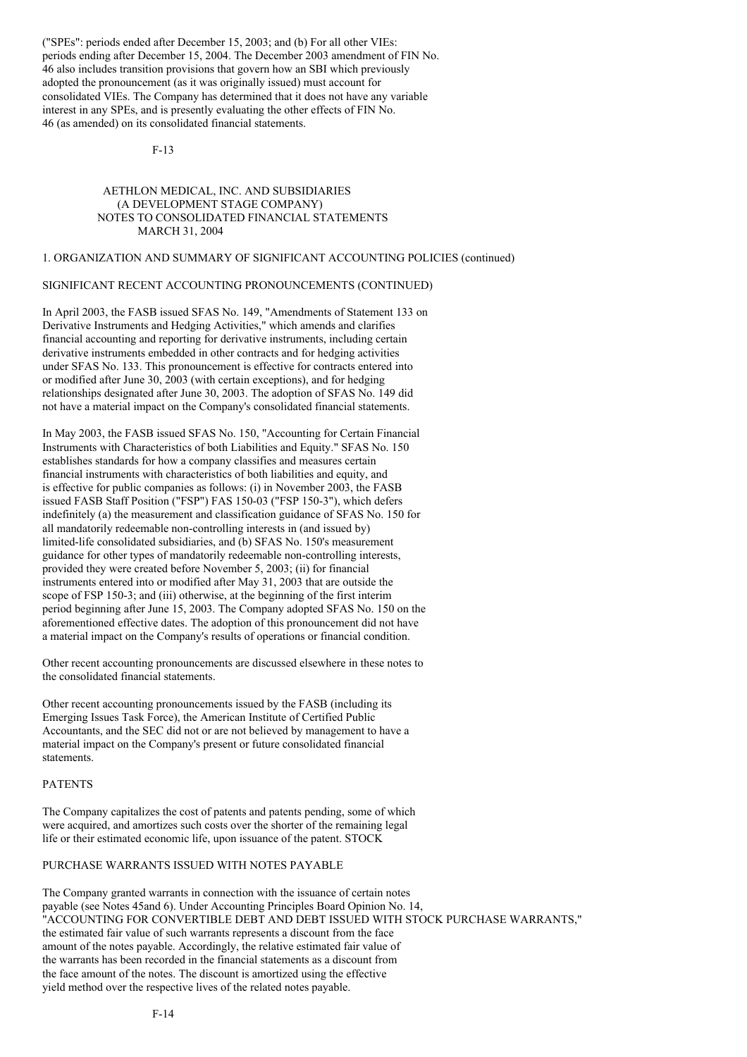("SPEs": periods ended after December 15, 2003; and (b) For all other VIEs: periods ending after December 15, 2004. The December 2003 amendment of FIN No. 46 also includes transition provisions that govern how an SBI which previously adopted the pronouncement (as it was originally issued) must account for consolidated VIEs. The Company has determined that it does not have any variable interest in any SPEs, and is presently evaluating the other effects of FIN No. 46 (as amended) on its consolidated financial statements.

F-13

## AETHLON MEDICAL, INC. AND SUBSIDIARIES (A DEVELOPMENT STAGE COMPANY) NOTES TO CONSOLIDATED FINANCIAL STATEMENTS MARCH 31, 2004

## 1. ORGANIZATION AND SUMMARY OF SIGNIFICANT ACCOUNTING POLICIES (continued)

## SIGNIFICANT RECENT ACCOUNTING PRONOUNCEMENTS (CONTINUED)

In April 2003, the FASB issued SFAS No. 149, "Amendments of Statement 133 on Derivative Instruments and Hedging Activities," which amends and clarifies financial accounting and reporting for derivative instruments, including certain derivative instruments embedded in other contracts and for hedging activities under SFAS No. 133. This pronouncement is effective for contracts entered into or modified after June 30, 2003 (with certain exceptions), and for hedging relationships designated after June 30, 2003. The adoption of SFAS No. 149 did not have a material impact on the Company's consolidated financial statements.

In May 2003, the FASB issued SFAS No. 150, "Accounting for Certain Financial Instruments with Characteristics of both Liabilities and Equity." SFAS No. 150 establishes standards for how a company classifies and measures certain financial instruments with characteristics of both liabilities and equity, and is effective for public companies as follows: (i) in November 2003, the FASB issued FASB Staff Position ("FSP") FAS 150-03 ("FSP 150-3"), which defers indefinitely (a) the measurement and classification guidance of SFAS No. 150 for all mandatorily redeemable non-controlling interests in (and issued by) limited-life consolidated subsidiaries, and (b) SFAS No. 150's measurement guidance for other types of mandatorily redeemable non-controlling interests, provided they were created before November 5, 2003; (ii) for financial instruments entered into or modified after May 31, 2003 that are outside the scope of FSP 150-3; and (iii) otherwise, at the beginning of the first interim period beginning after June 15, 2003. The Company adopted SFAS No. 150 on the aforementioned effective dates. The adoption of this pronouncement did not have a material impact on the Company's results of operations or financial condition.

Other recent accounting pronouncements are discussed elsewhere in these notes to the consolidated financial statements.

Other recent accounting pronouncements issued by the FASB (including its Emerging Issues Task Force), the American Institute of Certified Public Accountants, and the SEC did not or are not believed by management to have a material impact on the Company's present or future consolidated financial statements.

### PATENTS

The Company capitalizes the cost of patents and patents pending, some of which were acquired, and amortizes such costs over the shorter of the remaining legal life or their estimated economic life, upon issuance of the patent. STOCK

## PURCHASE WARRANTS ISSUED WITH NOTES PAYABLE

The Company granted warrants in connection with the issuance of certain notes payable (see Notes 45and 6). Under Accounting Principles Board Opinion No. 14, "ACCOUNTING FOR CONVERTIBLE DEBT AND DEBT ISSUED WITH STOCK PURCHASE WARRANTS," the estimated fair value of such warrants represents a discount from the face amount of the notes payable. Accordingly, the relative estimated fair value of the warrants has been recorded in the financial statements as a discount from the face amount of the notes. The discount is amortized using the effective yield method over the respective lives of the related notes payable.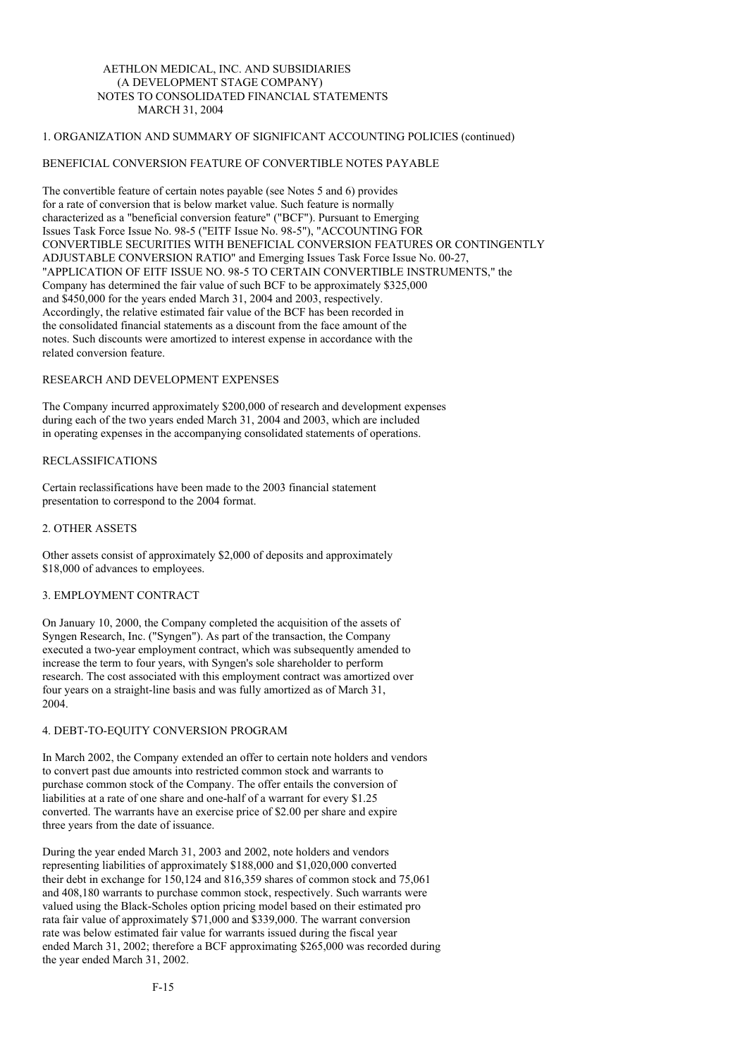## AETHLON MEDICAL, INC. AND SUBSIDIARIES (A DEVELOPMENT STAGE COMPANY) NOTES TO CONSOLIDATED FINANCIAL STATEMENTS MARCH 31, 2004

# 1. ORGANIZATION AND SUMMARY OF SIGNIFICANT ACCOUNTING POLICIES (continued)

# BENEFICIAL CONVERSION FEATURE OF CONVERTIBLE NOTES PAYABLE

The convertible feature of certain notes payable (see Notes 5 and 6) provides for a rate of conversion that is below market value. Such feature is normally characterized as a "beneficial conversion feature" ("BCF"). Pursuant to Emerging Issues Task Force Issue No. 98-5 ("EITF Issue No. 98-5"), "ACCOUNTING FOR CONVERTIBLE SECURITIES WITH BENEFICIAL CONVERSION FEATURES OR CONTINGENTLY ADJUSTABLE CONVERSION RATIO" and Emerging Issues Task Force Issue No. 00-27, "APPLICATION OF EITF ISSUE NO. 98-5 TO CERTAIN CONVERTIBLE INSTRUMENTS," the Company has determined the fair value of such BCF to be approximately \$325,000 and \$450,000 for the years ended March 31, 2004 and 2003, respectively. Accordingly, the relative estimated fair value of the BCF has been recorded in the consolidated financial statements as a discount from the face amount of the notes. Such discounts were amortized to interest expense in accordance with the related conversion feature.

# RESEARCH AND DEVELOPMENT EXPENSES

The Company incurred approximately \$200,000 of research and development expenses during each of the two years ended March 31, 2004 and 2003, which are included in operating expenses in the accompanying consolidated statements of operations.

## RECLASSIFICATIONS

Certain reclassifications have been made to the 2003 financial statement presentation to correspond to the 2004 format.

### 2. OTHER ASSETS

Other assets consist of approximately \$2,000 of deposits and approximately \$18,000 of advances to employees.

## 3. EMPLOYMENT CONTRACT

On January 10, 2000, the Company completed the acquisition of the assets of Syngen Research, Inc. ("Syngen"). As part of the transaction, the Company executed a two-year employment contract, which was subsequently amended to increase the term to four years, with Syngen's sole shareholder to perform research. The cost associated with this employment contract was amortized over four years on a straight-line basis and was fully amortized as of March 31, 2004.

## 4. DEBT-TO-EQUITY CONVERSION PROGRAM

In March 2002, the Company extended an offer to certain note holders and vendors to convert past due amounts into restricted common stock and warrants to purchase common stock of the Company. The offer entails the conversion of liabilities at a rate of one share and one-half of a warrant for every \$1.25 converted. The warrants have an exercise price of \$2.00 per share and expire three years from the date of issuance.

During the year ended March 31, 2003 and 2002, note holders and vendors representing liabilities of approximately \$188,000 and \$1,020,000 converted their debt in exchange for 150,124 and 816,359 shares of common stock and 75,061 and 408,180 warrants to purchase common stock, respectively. Such warrants were valued using the Black-Scholes option pricing model based on their estimated pro rata fair value of approximately \$71,000 and \$339,000. The warrant conversion rate was below estimated fair value for warrants issued during the fiscal year ended March 31, 2002; therefore a BCF approximating \$265,000 was recorded during the year ended March 31, 2002.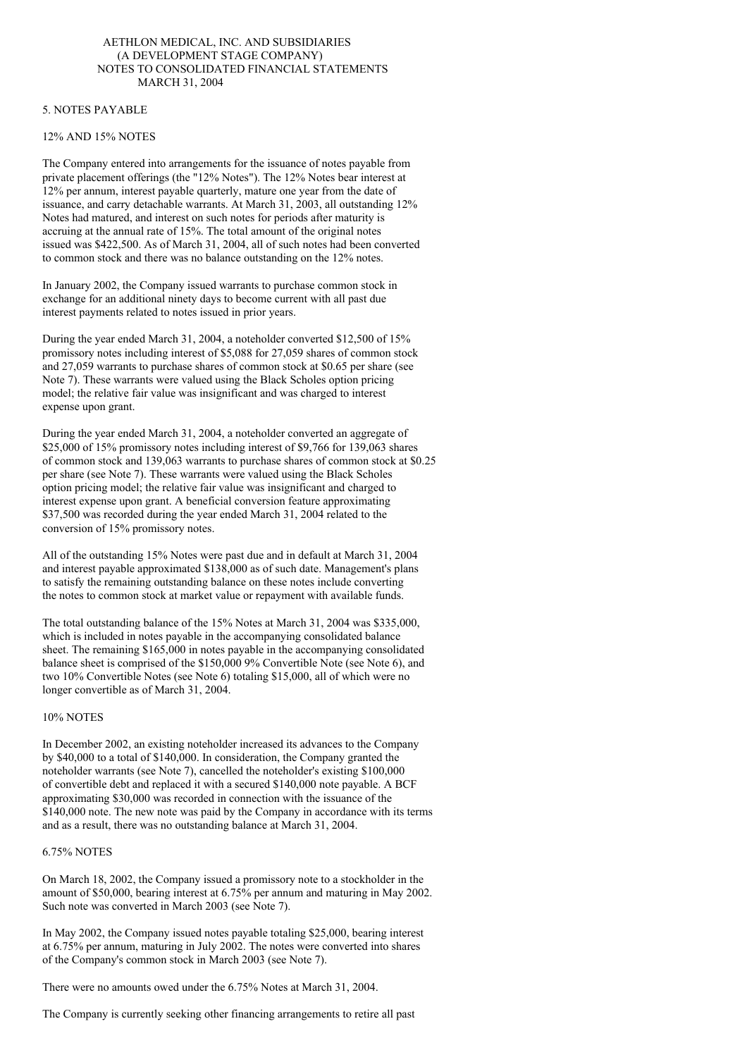## AETHLON MEDICAL, INC. AND SUBSIDIARIES (A DEVELOPMENT STAGE COMPANY) NOTES TO CONSOLIDATED FINANCIAL STATEMENTS MARCH 31, 2004

## 5. NOTES PAYABLE

## 12% AND 15% NOTES

The Company entered into arrangements for the issuance of notes payable from private placement offerings (the "12% Notes"). The 12% Notes bear interest at 12% per annum, interest payable quarterly, mature one year from the date of issuance, and carry detachable warrants. At March 31, 2003, all outstanding 12% Notes had matured, and interest on such notes for periods after maturity is accruing at the annual rate of 15%. The total amount of the original notes issued was \$422,500. As of March 31, 2004, all of such notes had been converted to common stock and there was no balance outstanding on the 12% notes.

In January 2002, the Company issued warrants to purchase common stock in exchange for an additional ninety days to become current with all past due interest payments related to notes issued in prior years.

During the year ended March 31, 2004, a noteholder converted \$12,500 of 15% promissory notes including interest of \$5,088 for 27,059 shares of common stock and 27,059 warrants to purchase shares of common stock at \$0.65 per share (see Note 7). These warrants were valued using the Black Scholes option pricing model; the relative fair value was insignificant and was charged to interest expense upon grant.

During the year ended March 31, 2004, a noteholder converted an aggregate of \$25,000 of 15% promissory notes including interest of \$9,766 for 139,063 shares of common stock and 139,063 warrants to purchase shares of common stock at \$0.25 per share (see Note 7). These warrants were valued using the Black Scholes option pricing model; the relative fair value was insignificant and charged to interest expense upon grant. A beneficial conversion feature approximating \$37,500 was recorded during the year ended March 31, 2004 related to the conversion of 15% promissory notes.

All of the outstanding 15% Notes were past due and in default at March 31, 2004 and interest payable approximated \$138,000 as of such date. Management's plans to satisfy the remaining outstanding balance on these notes include converting the notes to common stock at market value or repayment with available funds.

The total outstanding balance of the 15% Notes at March 31, 2004 was \$335,000, which is included in notes payable in the accompanying consolidated balance sheet. The remaining \$165,000 in notes payable in the accompanying consolidated balance sheet is comprised of the \$150,000 9% Convertible Note (see Note 6), and two 10% Convertible Notes (see Note 6) totaling \$15,000, all of which were no longer convertible as of March 31, 2004.

## 10% NOTES

In December 2002, an existing noteholder increased its advances to the Company by \$40,000 to a total of \$140,000. In consideration, the Company granted the noteholder warrants (see Note 7), cancelled the noteholder's existing \$100,000 of convertible debt and replaced it with a secured \$140,000 note payable. A BCF approximating \$30,000 was recorded in connection with the issuance of the \$140,000 note. The new note was paid by the Company in accordance with its terms and as a result, there was no outstanding balance at March 31, 2004.

#### 6.75% NOTES

On March 18, 2002, the Company issued a promissory note to a stockholder in the amount of \$50,000, bearing interest at 6.75% per annum and maturing in May 2002. Such note was converted in March 2003 (see Note 7).

In May 2002, the Company issued notes payable totaling \$25,000, bearing interest at 6.75% per annum, maturing in July 2002. The notes were converted into shares of the Company's common stock in March 2003 (see Note 7).

There were no amounts owed under the 6.75% Notes at March 31, 2004.

The Company is currently seeking other financing arrangements to retire all past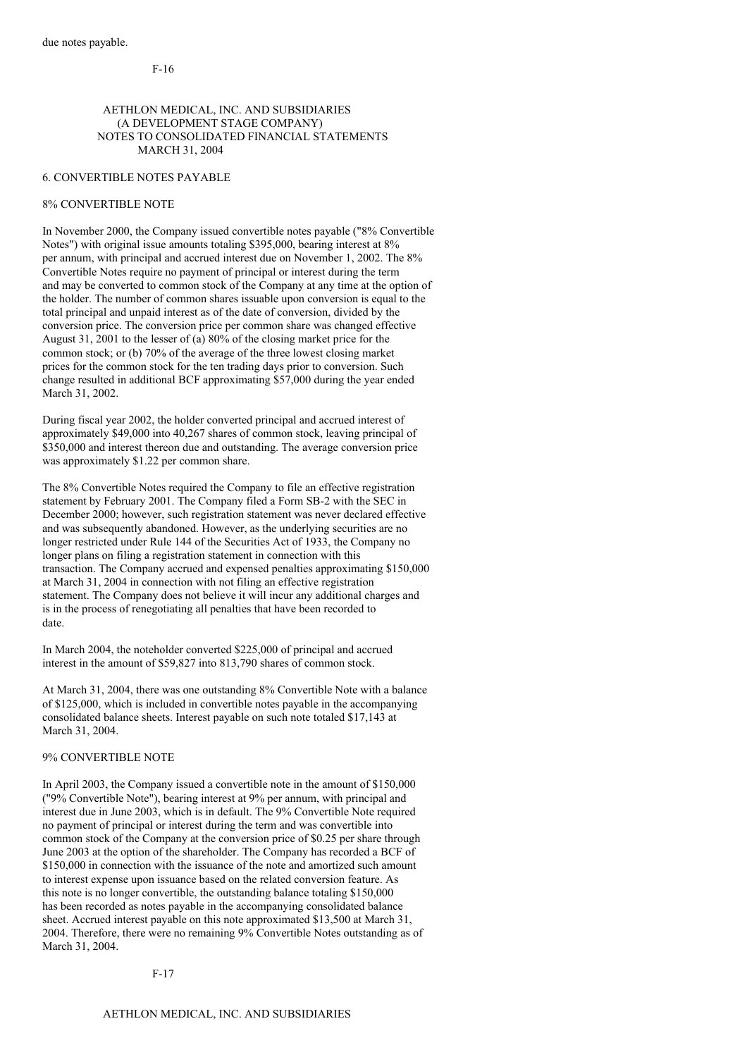F-16

## AETHLON MEDICAL, INC. AND SUBSIDIARIES (A DEVELOPMENT STAGE COMPANY) NOTES TO CONSOLIDATED FINANCIAL STATEMENTS MARCH 31, 2004

### 6. CONVERTIBLE NOTES PAYABLE

### 8% CONVERTIBLE NOTE

In November 2000, the Company issued convertible notes payable ("8% Convertible Notes") with original issue amounts totaling \$395,000, bearing interest at 8% per annum, with principal and accrued interest due on November 1, 2002. The 8% Convertible Notes require no payment of principal or interest during the term and may be converted to common stock of the Company at any time at the option of the holder. The number of common shares issuable upon conversion is equal to the total principal and unpaid interest as of the date of conversion, divided by the conversion price. The conversion price per common share was changed effective August 31, 2001 to the lesser of (a) 80% of the closing market price for the common stock; or (b) 70% of the average of the three lowest closing market prices for the common stock for the ten trading days prior to conversion. Such change resulted in additional BCF approximating \$57,000 during the year ended March 31, 2002.

During fiscal year 2002, the holder converted principal and accrued interest of approximately \$49,000 into 40,267 shares of common stock, leaving principal of \$350,000 and interest thereon due and outstanding. The average conversion price was approximately \$1.22 per common share.

The 8% Convertible Notes required the Company to file an effective registration statement by February 2001. The Company filed a Form SB-2 with the SEC in December 2000; however, such registration statement was never declared effective and was subsequently abandoned. However, as the underlying securities are no longer restricted under Rule 144 of the Securities Act of 1933, the Company no longer plans on filing a registration statement in connection with this transaction. The Company accrued and expensed penalties approximating \$150,000 at March 31, 2004 in connection with not filing an effective registration statement. The Company does not believe it will incur any additional charges and is in the process of renegotiating all penalties that have been recorded to date.

In March 2004, the noteholder converted \$225,000 of principal and accrued interest in the amount of \$59,827 into 813,790 shares of common stock.

At March 31, 2004, there was one outstanding 8% Convertible Note with a balance of \$125,000, which is included in convertible notes payable in the accompanying consolidated balance sheets. Interest payable on such note totaled \$17,143 at March 31, 2004.

#### 9% CONVERTIBLE NOTE

In April 2003, the Company issued a convertible note in the amount of \$150,000 ("9% Convertible Note"), bearing interest at 9% per annum, with principal and interest due in June 2003, which is in default. The 9% Convertible Note required no payment of principal or interest during the term and was convertible into common stock of the Company at the conversion price of \$0.25 per share through June 2003 at the option of the shareholder. The Company has recorded a BCF of \$150,000 in connection with the issuance of the note and amortized such amount to interest expense upon issuance based on the related conversion feature. As this note is no longer convertible, the outstanding balance totaling \$150,000 has been recorded as notes payable in the accompanying consolidated balance sheet. Accrued interest payable on this note approximated \$13,500 at March 31, 2004. Therefore, there were no remaining 9% Convertible Notes outstanding as of March 31, 2004.

F-17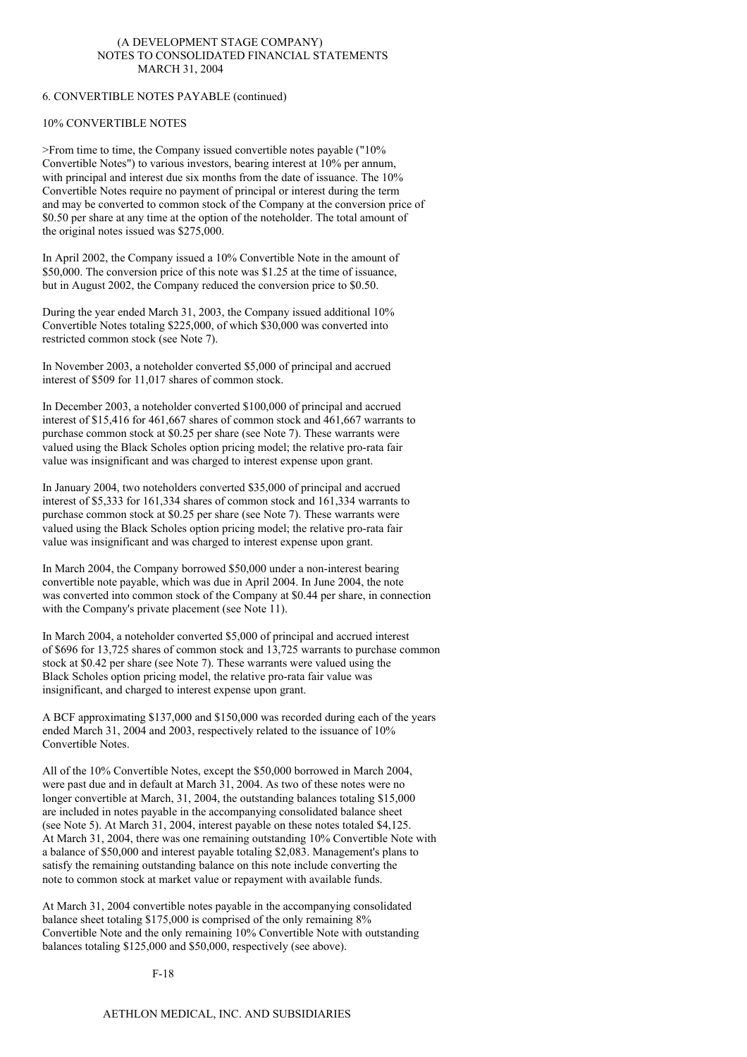## (A DEVELOPMENT STAGE COMPANY) NOTES TO CONSOLIDATED FINANCIAL STATEMENTS MARCH 31, 2004

### 6. CONVERTIBLE NOTES PAYABLE (continued)

#### 10% CONVERTIBLE NOTES

>From time to time, the Company issued convertible notes payable ("10% Convertible Notes") to various investors, bearing interest at 10% per annum, with principal and interest due six months from the date of issuance. The 10% Convertible Notes require no payment of principal or interest during the term and may be converted to common stock of the Company at the conversion price of \$0.50 per share at any time at the option of the noteholder. The total amount of the original notes issued was \$275,000.

In April 2002, the Company issued a 10% Convertible Note in the amount of \$50,000. The conversion price of this note was \$1.25 at the time of issuance. but in August 2002, the Company reduced the conversion price to \$0.50.

During the year ended March 31, 2003, the Company issued additional 10% Convertible Notes totaling \$225,000, of which \$30,000 was converted into restricted common stock (see Note 7).

In November 2003, a noteholder converted \$5,000 of principal and accrued interest of \$509 for 11,017 shares of common stock.

In December 2003, a noteholder converted \$100,000 of principal and accrued interest of \$15,416 for 461,667 shares of common stock and 461,667 warrants to purchase common stock at \$0.25 per share (see Note 7). These warrants were valued using the Black Scholes option pricing model; the relative pro-rata fair value was insignificant and was charged to interest expense upon grant.

In January 2004, two noteholders converted \$35,000 of principal and accrued interest of \$5,333 for 161,334 shares of common stock and 161,334 warrants to purchase common stock at \$0.25 per share (see Note 7). These warrants were valued using the Black Scholes option pricing model; the relative pro-rata fair value was insignificant and was charged to interest expense upon grant.

In March 2004, the Company borrowed \$50,000 under a non-interest bearing convertible note payable, which was due in April 2004. In June 2004, the note was converted into common stock of the Company at \$0.44 per share, in connection with the Company's private placement (see Note 11).

In March 2004, a noteholder converted \$5,000 of principal and accrued interest of \$696 for 13,725 shares of common stock and 13,725 warrants to purchase common stock at \$0.42 per share (see Note 7). These warrants were valued using the Black Scholes option pricing model, the relative pro-rata fair value was insignificant, and charged to interest expense upon grant.

A BCF approximating \$137,000 and \$150,000 was recorded during each of the years ended March 31, 2004 and 2003, respectively related to the issuance of 10% Convertible Notes.

All of the 10% Convertible Notes, except the \$50,000 borrowed in March 2004, were past due and in default at March 31, 2004. As two of these notes were no longer convertible at March, 31, 2004, the outstanding balances totaling \$15,000 are included in notes payable in the accompanying consolidated balance sheet (see Note 5). At March 31, 2004, interest payable on these notes totaled \$4,125. At March 31, 2004, there was one remaining outstanding 10% Convertible Note with a balance of \$50,000 and interest payable totaling \$2,083. Management's plans to satisfy the remaining outstanding balance on this note include converting the note to common stock at market value or repayment with available funds.

At March 31, 2004 convertible notes payable in the accompanying consolidated balance sheet totaling \$175,000 is comprised of the only remaining 8% Convertible Note and the only remaining 10% Convertible Note with outstanding balances totaling \$125,000 and \$50,000, respectively (see above).

F-18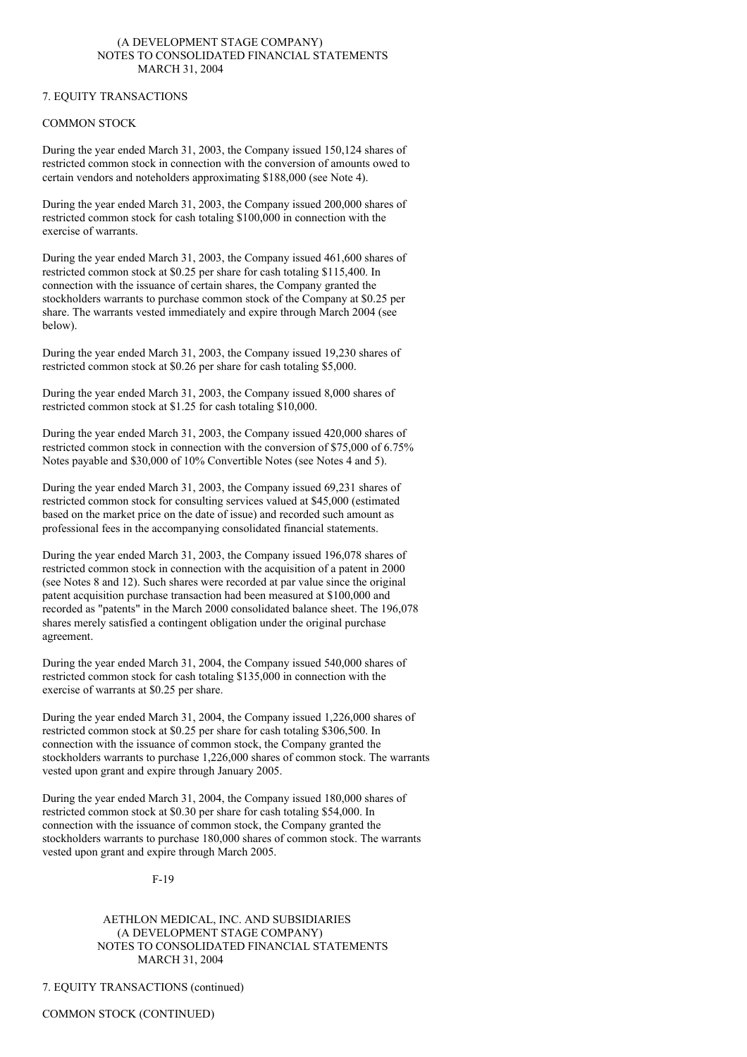## (A DEVELOPMENT STAGE COMPANY) NOTES TO CONSOLIDATED FINANCIAL STATEMENTS MARCH 31, 2004

### 7. EQUITY TRANSACTIONS

## COMMON STOCK

During the year ended March 31, 2003, the Company issued 150,124 shares of restricted common stock in connection with the conversion of amounts owed to certain vendors and noteholders approximating \$188,000 (see Note 4).

During the year ended March 31, 2003, the Company issued 200,000 shares of restricted common stock for cash totaling \$100,000 in connection with the exercise of warrants.

During the year ended March 31, 2003, the Company issued 461,600 shares of restricted common stock at \$0.25 per share for cash totaling \$115,400. In connection with the issuance of certain shares, the Company granted the stockholders warrants to purchase common stock of the Company at \$0.25 per share. The warrants vested immediately and expire through March 2004 (see below).

During the year ended March 31, 2003, the Company issued 19,230 shares of restricted common stock at \$0.26 per share for cash totaling \$5,000.

During the year ended March 31, 2003, the Company issued 8,000 shares of restricted common stock at \$1.25 for cash totaling \$10,000.

During the year ended March 31, 2003, the Company issued 420,000 shares of restricted common stock in connection with the conversion of \$75,000 of 6.75% Notes payable and \$30,000 of 10% Convertible Notes (see Notes 4 and 5).

During the year ended March 31, 2003, the Company issued 69,231 shares of restricted common stock for consulting services valued at \$45,000 (estimated based on the market price on the date of issue) and recorded such amount as professional fees in the accompanying consolidated financial statements.

During the year ended March 31, 2003, the Company issued 196,078 shares of restricted common stock in connection with the acquisition of a patent in 2000 (see Notes 8 and 12). Such shares were recorded at par value since the original patent acquisition purchase transaction had been measured at \$100,000 and recorded as "patents" in the March 2000 consolidated balance sheet. The 196,078 shares merely satisfied a contingent obligation under the original purchase agreement.

During the year ended March 31, 2004, the Company issued 540,000 shares of restricted common stock for cash totaling \$135,000 in connection with the exercise of warrants at \$0.25 per share.

During the year ended March 31, 2004, the Company issued 1,226,000 shares of restricted common stock at \$0.25 per share for cash totaling \$306,500. In connection with the issuance of common stock, the Company granted the stockholders warrants to purchase 1,226,000 shares of common stock. The warrants vested upon grant and expire through January 2005.

During the year ended March 31, 2004, the Company issued 180,000 shares of restricted common stock at \$0.30 per share for cash totaling \$54,000. In connection with the issuance of common stock, the Company granted the stockholders warrants to purchase 180,000 shares of common stock. The warrants vested upon grant and expire through March 2005.

F-19

## AETHLON MEDICAL, INC. AND SUBSIDIARIES (A DEVELOPMENT STAGE COMPANY) NOTES TO CONSOLIDATED FINANCIAL STATEMENTS MARCH 31, 2004

7. EQUITY TRANSACTIONS (continued)

COMMON STOCK (CONTINUED)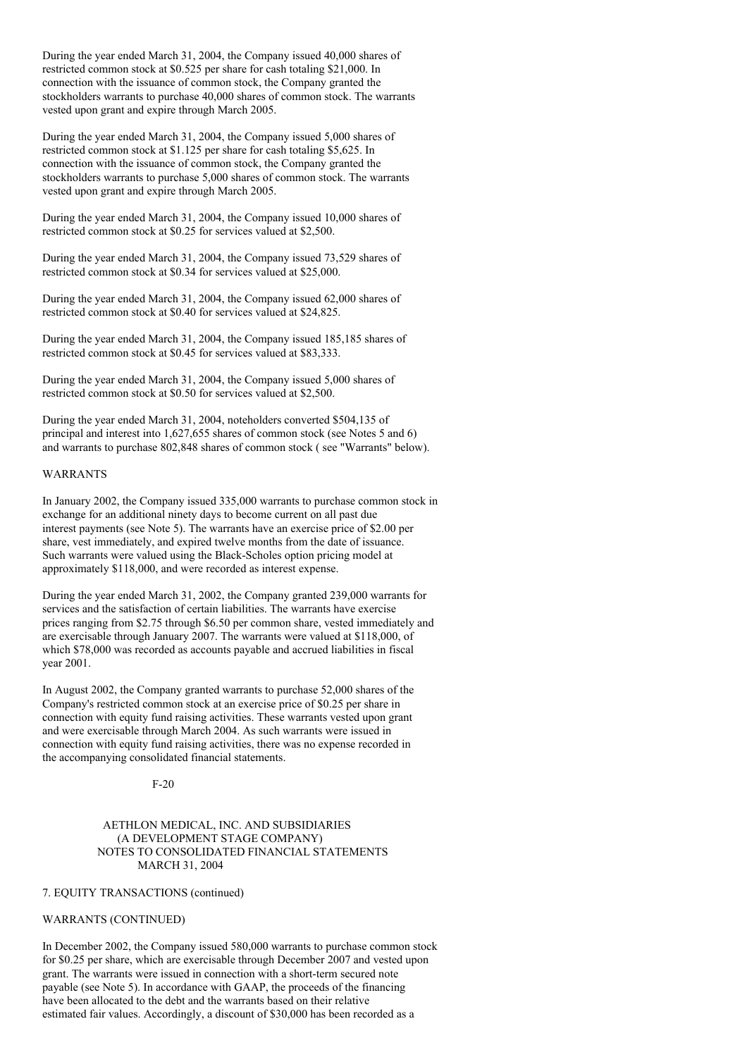During the year ended March 31, 2004, the Company issued 40,000 shares of restricted common stock at \$0.525 per share for cash totaling \$21,000. In connection with the issuance of common stock, the Company granted the stockholders warrants to purchase 40,000 shares of common stock. The warrants vested upon grant and expire through March 2005.

During the year ended March 31, 2004, the Company issued 5,000 shares of restricted common stock at \$1.125 per share for cash totaling \$5,625. In connection with the issuance of common stock, the Company granted the stockholders warrants to purchase 5,000 shares of common stock. The warrants vested upon grant and expire through March 2005.

During the year ended March 31, 2004, the Company issued 10,000 shares of restricted common stock at \$0.25 for services valued at \$2,500.

During the year ended March 31, 2004, the Company issued 73,529 shares of restricted common stock at \$0.34 for services valued at \$25,000.

During the year ended March 31, 2004, the Company issued 62,000 shares of restricted common stock at \$0.40 for services valued at \$24,825.

During the year ended March 31, 2004, the Company issued 185,185 shares of restricted common stock at \$0.45 for services valued at \$83,333.

During the year ended March 31, 2004, the Company issued 5,000 shares of restricted common stock at \$0.50 for services valued at \$2,500.

During the year ended March 31, 2004, noteholders converted \$504,135 of principal and interest into 1,627,655 shares of common stock (see Notes 5 and 6) and warrants to purchase 802,848 shares of common stock ( see "Warrants" below).

# WARRANTS

In January 2002, the Company issued 335,000 warrants to purchase common stock in exchange for an additional ninety days to become current on all past due interest payments (see Note 5). The warrants have an exercise price of \$2.00 per share, vest immediately, and expired twelve months from the date of issuance. Such warrants were valued using the Black-Scholes option pricing model at approximately \$118,000, and were recorded as interest expense.

During the year ended March 31, 2002, the Company granted 239,000 warrants for services and the satisfaction of certain liabilities. The warrants have exercise prices ranging from \$2.75 through \$6.50 per common share, vested immediately and are exercisable through January 2007. The warrants were valued at \$118,000, of which \$78,000 was recorded as accounts payable and accrued liabilities in fiscal year 2001.

In August 2002, the Company granted warrants to purchase 52,000 shares of the Company's restricted common stock at an exercise price of \$0.25 per share in connection with equity fund raising activities. These warrants vested upon grant and were exercisable through March 2004. As such warrants were issued in connection with equity fund raising activities, there was no expense recorded in the accompanying consolidated financial statements.

## F-20

## AETHLON MEDICAL, INC. AND SUBSIDIARIES (A DEVELOPMENT STAGE COMPANY) NOTES TO CONSOLIDATED FINANCIAL STATEMENTS MARCH 31, 2004

## 7. EQUITY TRANSACTIONS (continued)

## WARRANTS (CONTINUED)

In December 2002, the Company issued 580,000 warrants to purchase common stock for \$0.25 per share, which are exercisable through December 2007 and vested upon grant. The warrants were issued in connection with a short-term secured note payable (see Note 5). In accordance with GAAP, the proceeds of the financing have been allocated to the debt and the warrants based on their relative estimated fair values. Accordingly, a discount of \$30,000 has been recorded as a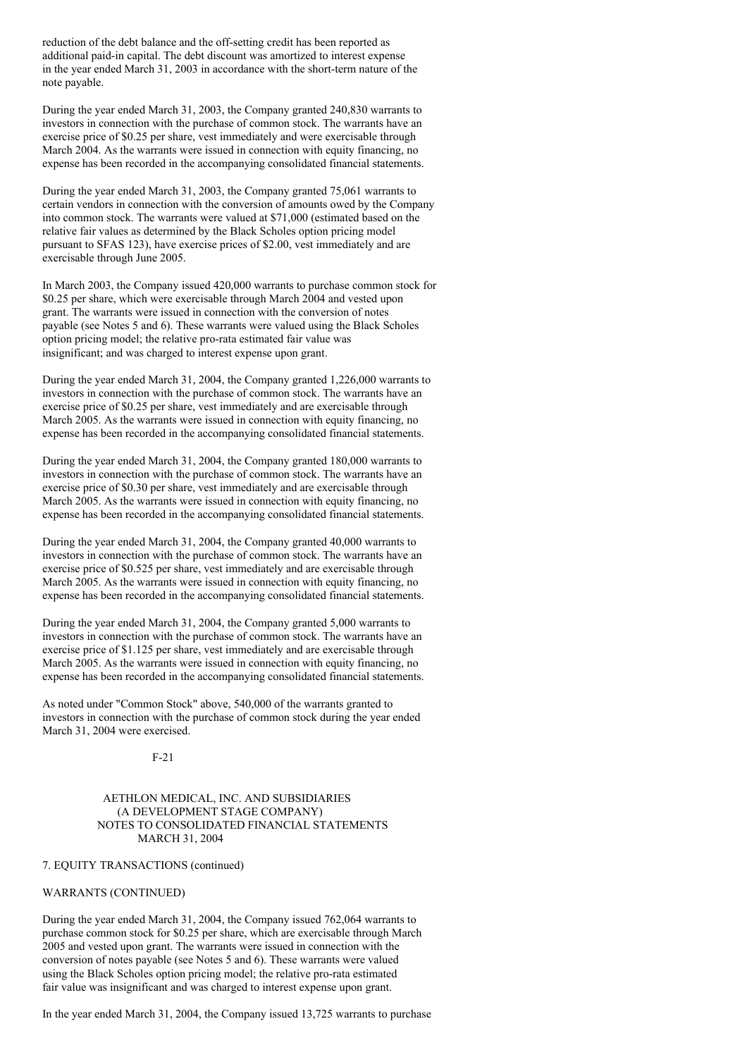reduction of the debt balance and the off-setting credit has been reported as additional paid-in capital. The debt discount was amortized to interest expense in the year ended March 31, 2003 in accordance with the short-term nature of the note payable.

During the year ended March 31, 2003, the Company granted 240,830 warrants to investors in connection with the purchase of common stock. The warrants have an exercise price of \$0.25 per share, vest immediately and were exercisable through March 2004. As the warrants were issued in connection with equity financing, no expense has been recorded in the accompanying consolidated financial statements.

During the year ended March 31, 2003, the Company granted 75,061 warrants to certain vendors in connection with the conversion of amounts owed by the Company into common stock. The warrants were valued at \$71,000 (estimated based on the relative fair values as determined by the Black Scholes option pricing model pursuant to SFAS 123), have exercise prices of \$2.00, vest immediately and are exercisable through June 2005.

In March 2003, the Company issued 420,000 warrants to purchase common stock for \$0.25 per share, which were exercisable through March 2004 and vested upon grant. The warrants were issued in connection with the conversion of notes payable (see Notes 5 and 6). These warrants were valued using the Black Scholes option pricing model; the relative pro-rata estimated fair value was insignificant; and was charged to interest expense upon grant.

During the year ended March 31, 2004, the Company granted 1,226,000 warrants to investors in connection with the purchase of common stock. The warrants have an exercise price of \$0.25 per share, vest immediately and are exercisable through March 2005. As the warrants were issued in connection with equity financing, no expense has been recorded in the accompanying consolidated financial statements.

During the year ended March 31, 2004, the Company granted 180,000 warrants to investors in connection with the purchase of common stock. The warrants have an exercise price of \$0.30 per share, vest immediately and are exercisable through March 2005. As the warrants were issued in connection with equity financing, no expense has been recorded in the accompanying consolidated financial statements.

During the year ended March 31, 2004, the Company granted 40,000 warrants to investors in connection with the purchase of common stock. The warrants have an exercise price of \$0.525 per share, vest immediately and are exercisable through March 2005. As the warrants were issued in connection with equity financing, no expense has been recorded in the accompanying consolidated financial statements.

During the year ended March 31, 2004, the Company granted 5,000 warrants to investors in connection with the purchase of common stock. The warrants have an exercise price of \$1.125 per share, vest immediately and are exercisable through March 2005. As the warrants were issued in connection with equity financing, no expense has been recorded in the accompanying consolidated financial statements.

As noted under "Common Stock" above, 540,000 of the warrants granted to investors in connection with the purchase of common stock during the year ended March 31, 2004 were exercised.

F-21

## AETHLON MEDICAL, INC. AND SUBSIDIARIES (A DEVELOPMENT STAGE COMPANY) NOTES TO CONSOLIDATED FINANCIAL STATEMENTS MARCH 31, 2004

7. EQUITY TRANSACTIONS (continued)

## WARRANTS (CONTINUED)

During the year ended March 31, 2004, the Company issued 762,064 warrants to purchase common stock for \$0.25 per share, which are exercisable through March 2005 and vested upon grant. The warrants were issued in connection with the conversion of notes payable (see Notes 5 and 6). These warrants were valued using the Black Scholes option pricing model; the relative pro-rata estimated fair value was insignificant and was charged to interest expense upon grant.

In the year ended March 31, 2004, the Company issued 13,725 warrants to purchase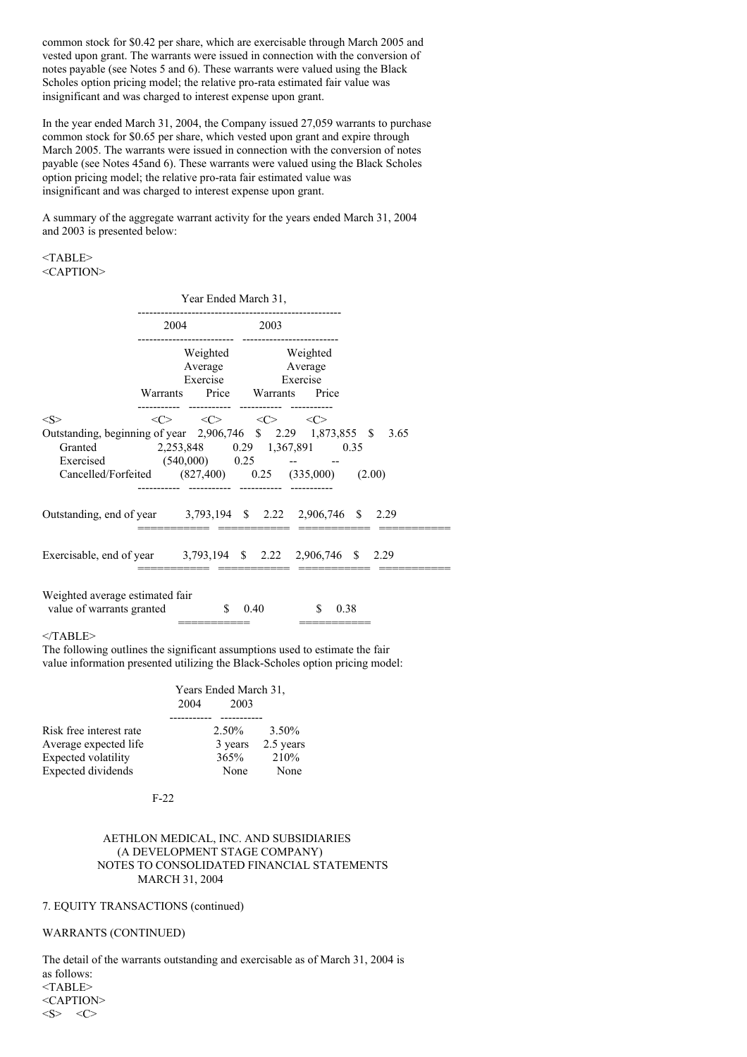common stock for \$0.42 per share, which are exercisable through March 2005 and vested upon grant. The warrants were issued in connection with the conversion of notes payable (see Notes 5 and 6). These warrants were valued using the Black Scholes option pricing model; the relative pro-rata estimated fair value was insignificant and was charged to interest expense upon grant.

In the year ended March 31, 2004, the Company issued 27,059 warrants to purchase common stock for \$0.65 per share, which vested upon grant and expire through March 2005. The warrants were issued in connection with the conversion of notes payable (see Notes 45and 6). These warrants were valued using the Black Scholes option pricing model; the relative pro-rata fair estimated value was insignificant and was charged to interest expense upon grant.

A summary of the aggregate warrant activity for the years ended March 31, 2004 and 2003 is presented below:

#### $<$ TABLE $>$ <CAPTION>

|                                                                                                                                                                                           | Year Ended March 31,          |                                                                                 |      |                      |      |
|-------------------------------------------------------------------------------------------------------------------------------------------------------------------------------------------|-------------------------------|---------------------------------------------------------------------------------|------|----------------------|------|
|                                                                                                                                                                                           | 2004                          |                                                                                 | 2003 |                      |      |
|                                                                                                                                                                                           | Warrants Price Warrants Price | Weighted<br>Average Average<br>Exercise                                         |      | Weighted<br>Exercise |      |
| < S >                                                                                                                                                                                     |                               | $\langle C \rangle$ $\langle C \rangle$ $\langle C \rangle$ $\langle C \rangle$ |      |                      |      |
| Outstanding, beginning of year 2,906,746 \$ 2.29 1,873,855 \$ 3.65<br>Granted 2,253,848 0.29 1,367,891<br>Exercised (540,000) 0.25<br>Cancelled/Forfeited (827,400) 0.25 (335,000) (2.00) |                               |                                                                                 |      |                      | 0.35 |
| Outstanding, end of year 3,793,194 \$ 2.22 2,906,746 \$ 2.29                                                                                                                              |                               |                                                                                 |      |                      |      |
| Exercisable, end of year 3,793,194 \$ 2.22 2,906,746 \$ 2.29                                                                                                                              |                               |                                                                                 |      |                      |      |
| Weighted average estimated fair<br>value of warrants granted                                                                                                                              |                               | \$                                                                              | 0.40 | S.<br>0.38           |      |

## $<$ /TABLE>

The following outlines the significant assumptions used to estimate the fair value information presented utilizing the Black-Scholes option pricing model:

=========== ===========

|                                                                    | 2004 | Years Ended March 31,<br>2003 |                           |
|--------------------------------------------------------------------|------|-------------------------------|---------------------------|
| Risk free interest rate                                            |      | $2.50\%$                      | $3.50\%$                  |
| Average expected life<br>Expected volatility<br>Expected dividends |      | 3 years<br>365%<br>None       | 2.5 years<br>210%<br>None |
|                                                                    |      |                               |                           |

# F-22

## AETHLON MEDICAL, INC. AND SUBSIDIARIES (A DEVELOPMENT STAGE COMPANY) NOTES TO CONSOLIDATED FINANCIAL STATEMENTS MARCH 31, 2004

#### 7. EQUITY TRANSACTIONS (continued)

## WARRANTS (CONTINUED)

The detail of the warrants outstanding and exercisable as of March 31, 2004 is as follows: <TABLE> <CAPTION>  $<\!\!S\!\!>$   $<\!\!C\!\!>$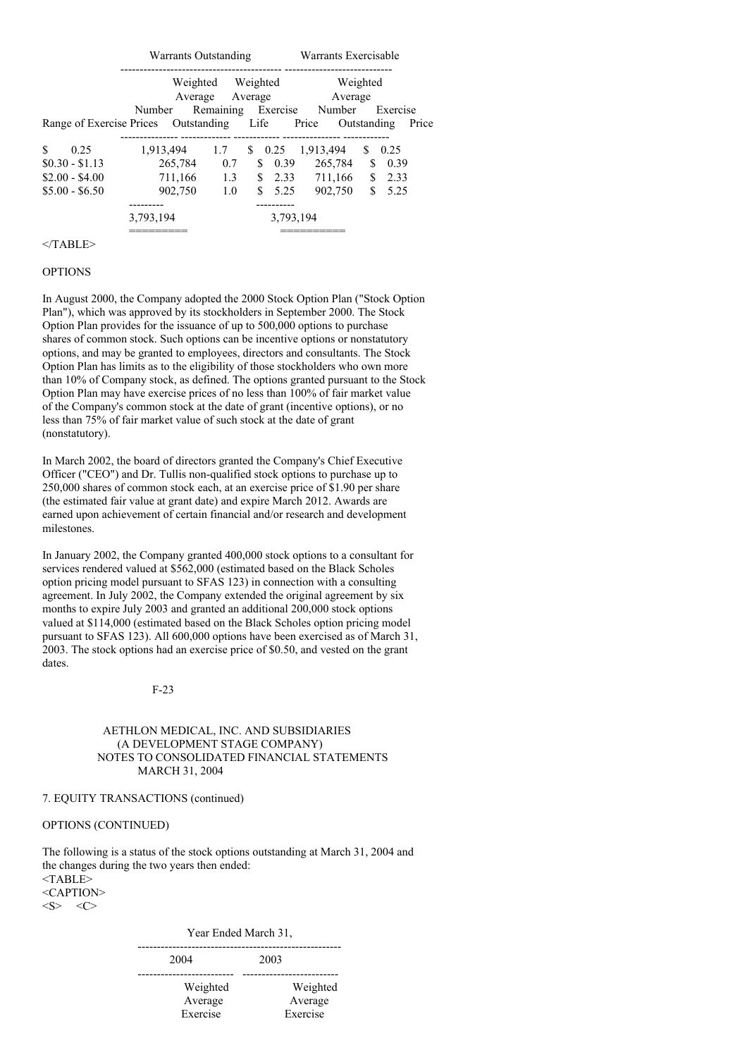|                          | Warrants Outstanding |                    |            | Warrants Exercisable |             |       |
|--------------------------|----------------------|--------------------|------------|----------------------|-------------|-------|
|                          |                      | Weighted           | Weighted   | Weighted             |             |       |
|                          |                      | Average            | Average    | Average              |             |       |
|                          | Number               | Remaining Exercise |            | Number               | Exercise    |       |
| Range of Exercise Prices |                      | Outstanding Life   |            | Price                | Outstanding | Price |
| \$<br>0.25               | 1.913.494            | 1.7                | S<br>0.25  | 1.913.494            | S<br>0.25   |       |
| $$0.30 - $1.13$          | 265,784              | 0.7                | \$<br>0.39 | 265,784              | 0.39<br>S   |       |
| $$2.00 - $4.00$          | 711,166              | 1.3                | \$<br>2.33 | 711,166              | S<br>2.33   |       |
| $$5.00 - $6.50$          | 902,750              | 1.0                | \$<br>5.25 | 902,750              | 5.25<br>S   |       |
|                          | -------              |                    | --------   |                      |             |       |
|                          | 3,793,194            |                    | 3,793,194  |                      |             |       |
|                          |                      |                    |            |                      |             |       |

 $<$ /TABLE>

## **OPTIONS**

In August 2000, the Company adopted the 2000 Stock Option Plan ("Stock Option Plan"), which was approved by its stockholders in September 2000. The Stock Option Plan provides for the issuance of up to 500,000 options to purchase shares of common stock. Such options can be incentive options or nonstatutory options, and may be granted to employees, directors and consultants. The Stock Option Plan has limits as to the eligibility of those stockholders who own more than 10% of Company stock, as defined. The options granted pursuant to the Stock Option Plan may have exercise prices of no less than 100% of fair market value of the Company's common stock at the date of grant (incentive options), or no less than 75% of fair market value of such stock at the date of grant (nonstatutory).

In March 2002, the board of directors granted the Company's Chief Executive Officer ("CEO") and Dr. Tullis non-qualified stock options to purchase up to 250,000 shares of common stock each, at an exercise price of \$1.90 per share (the estimated fair value at grant date) and expire March 2012. Awards are earned upon achievement of certain financial and/or research and development milestones.

In January 2002, the Company granted 400,000 stock options to a consultant for services rendered valued at \$562,000 (estimated based on the Black Scholes option pricing model pursuant to SFAS 123) in connection with a consulting agreement. In July 2002, the Company extended the original agreement by six months to expire July 2003 and granted an additional 200,000 stock options valued at \$114,000 (estimated based on the Black Scholes option pricing model pursuant to SFAS 123). All 600,000 options have been exercised as of March 31, 2003. The stock options had an exercise price of \$0.50, and vested on the grant dates.

## F-23

## AETHLON MEDICAL, INC. AND SUBSIDIARIES (A DEVELOPMENT STAGE COMPANY) NOTES TO CONSOLIDATED FINANCIAL STATEMENTS MARCH 31, 2004

#### 7. EQUITY TRANSACTIONS (continued)

#### OPTIONS (CONTINUED)

The following is a status of the stock options outstanding at March 31, 2004 and the changes during the two years then ended:  $<$ TABLE $>$ <CAPTION>  $\langle S \rangle$   $\langle C \rangle$ 

Year Ended March 31,

| 2004     | 2003     |
|----------|----------|
| Weighted | Weighted |
| Average  | Average  |
| Exercise | Exercise |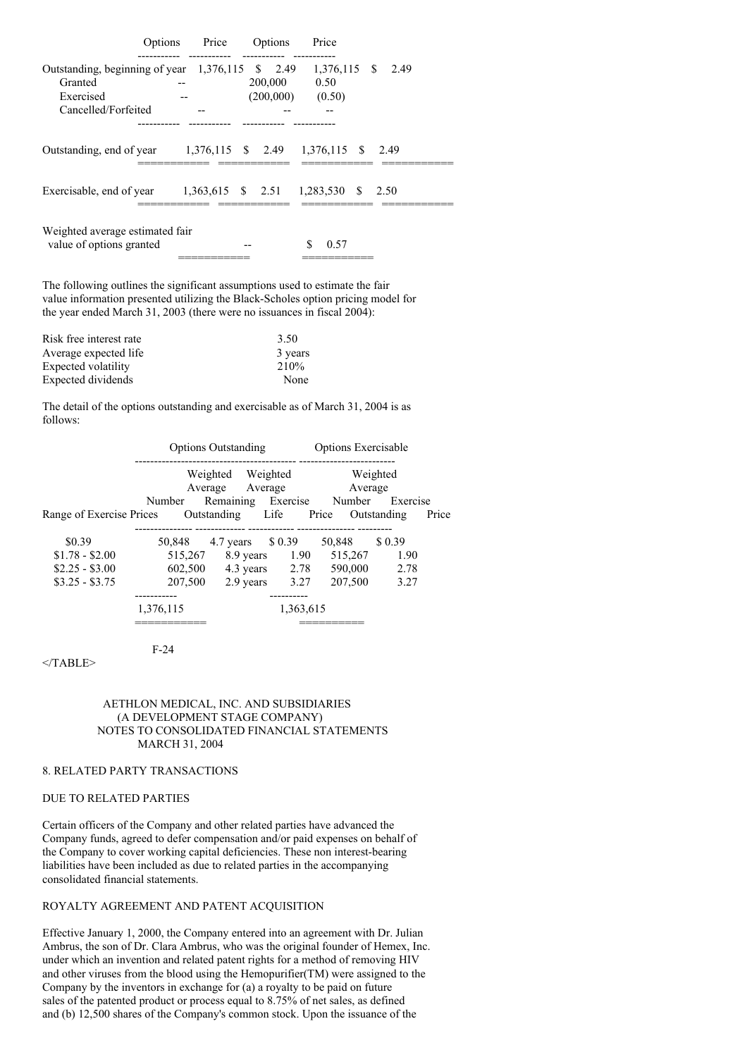|                                                                               | Options | Price     |         | Options                        | Price                               |      |
|-------------------------------------------------------------------------------|---------|-----------|---------|--------------------------------|-------------------------------------|------|
| Outstanding, beginning of year<br>Granted<br>Exercised<br>Cancelled/Forfeited |         | 1,376,115 | 200,000 | $\frac{\$}{2.49}$<br>(200,000) | $1,376,115$ \$<br>0.50<br>(0.50)    | 2.49 |
| Outstanding, end of year                                                      |         |           |         |                                | 1,376,115 \$ 2.49 1,376,115 \$ 2.49 |      |
| Exercisable, end of year                                                      |         |           |         |                                | 1,363,615 \$ 2.51 1,283,530 \$      | 2.50 |
| Weighted average estimated fair<br>value of options granted                   |         |           |         |                                | \$<br>0.57                          |      |

The following outlines the significant assumptions used to estimate the fair value information presented utilizing the Black-Scholes option pricing model for the year ended March 31, 2003 (there were no issuances in fiscal 2004):

| Risk free interest rate | 3.50    |
|-------------------------|---------|
| Average expected life   | 3 years |
| Expected volatility     | 210%    |
| Expected dividends      | None    |

The detail of the options outstanding and exercisable as of March 31, 2004 is as follows:

|                          |         | <b>Options Outstanding</b> |                |                           | Options Exercisable |       |  |  |
|--------------------------|---------|----------------------------|----------------|---------------------------|---------------------|-------|--|--|
|                          |         | Weighted Weighted          |                |                           | Weighted            |       |  |  |
|                          |         | Average Average            |                |                           | Average             |       |  |  |
|                          | Number  |                            |                | Remaining Exercise Number | Exercise            |       |  |  |
| Range of Exercise Prices |         | Outstanding Life           |                | Price                     | Outstanding         | Price |  |  |
| \$0.39                   | 50,848  | 4.7 years $$0.39$          |                | 50,848                    | \$0.39              |       |  |  |
| $$1.78 - $2.00$          | 515,267 | 8.9 years                  | 1.90           | 515,267                   | 1.90                |       |  |  |
| $$2.25 - $3.00$          | 602,500 |                            | 4.3 years 2.78 | 590,000                   | 2.78                |       |  |  |
| $$3.25 - $3.75$          | 207,500 | 2.9 years                  | 3.27           | 207,500                   | 3.27                |       |  |  |
|                          |         |                            |                |                           |                     |       |  |  |
| 1,376,115                |         | 1,363,615                  |                |                           |                     |       |  |  |
|                          |         |                            |                |                           |                     |       |  |  |

F-24

## $<$ /TABLE>

## AETHLON MEDICAL, INC. AND SUBSIDIARIES (A DEVELOPMENT STAGE COMPANY) NOTES TO CONSOLIDATED FINANCIAL STATEMENTS MARCH 31, 2004

### 8. RELATED PARTY TRANSACTIONS

# DUE TO RELATED PARTIES

Certain officers of the Company and other related parties have advanced the Company funds, agreed to defer compensation and/or paid expenses on behalf of the Company to cover working capital deficiencies. These non interest-bearing liabilities have been included as due to related parties in the accompanying consolidated financial statements.

# ROYALTY AGREEMENT AND PATENT ACQUISITION

Effective January 1, 2000, the Company entered into an agreement with Dr. Julian Ambrus, the son of Dr. Clara Ambrus, who was the original founder of Hemex, Inc. under which an invention and related patent rights for a method of removing HIV and other viruses from the blood using the Hemopurifier(TM) were assigned to the Company by the inventors in exchange for (a) a royalty to be paid on future sales of the patented product or process equal to 8.75% of net sales, as defined and (b) 12,500 shares of the Company's common stock. Upon the issuance of the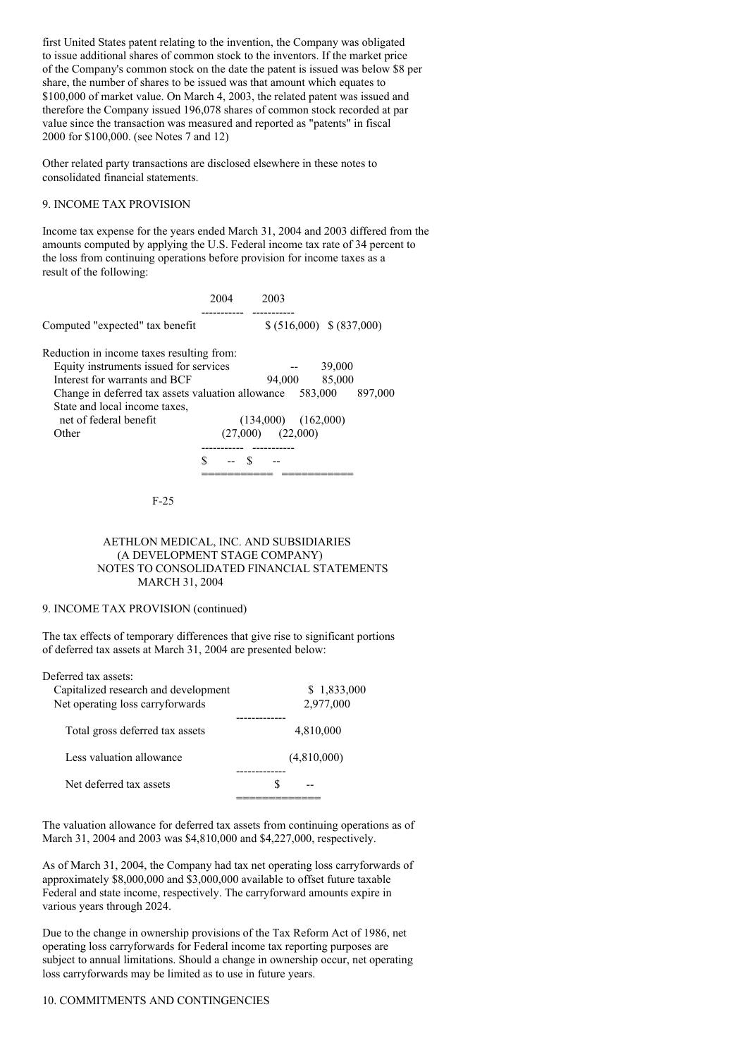first United States patent relating to the invention, the Company was obligated to issue additional shares of common stock to the inventors. If the market price of the Company's common stock on the date the patent is issued was below \$8 per share, the number of shares to be issued was that amount which equates to \$100,000 of market value. On March 4, 2003, the related patent was issued and therefore the Company issued 196,078 shares of common stock recorded at par value since the transaction was measured and reported as "patents" in fiscal 2000 for \$100,000. (see Notes 7 and 12)

Other related party transactions are disclosed elsewhere in these notes to consolidated financial statements.

## 9. INCOME TAX PROVISION

Income tax expense for the years ended March 31, 2004 and 2003 differed from the amounts computed by applying the U.S. Federal income tax rate of 34 percent to the loss from continuing operations before provision for income taxes as a result of the following:

|                                                                                                                      | 2004 | 2003                                             |         |                             |         |
|----------------------------------------------------------------------------------------------------------------------|------|--------------------------------------------------|---------|-----------------------------|---------|
| Computed "expected" tax benefit                                                                                      |      |                                                  |         | $$ (516,000) \ $ (837,000)$ |         |
| Reduction in income taxes resulting from:<br>Equity instruments issued for services<br>Interest for warrants and BCF |      | 94,000                                           |         | 39,000<br>85,000            |         |
| Change in deferred tax assets valuation allowance<br>State and local income taxes,                                   |      |                                                  | 583,000 |                             | 897,000 |
| net of federal benefit<br>Other                                                                                      |      | $(134,000)$ $(162,000)$<br>$(27,000)$ $(22,000)$ |         |                             |         |
|                                                                                                                      |      |                                                  |         |                             |         |

F-25

## AETHLON MEDICAL, INC. AND SUBSIDIARIES (A DEVELOPMENT STAGE COMPANY) NOTES TO CONSOLIDATED FINANCIAL STATEMENTS MARCH 31, 2004

### 9. INCOME TAX PROVISION (continued)

The tax effects of temporary differences that give rise to significant portions of deferred tax assets at March 31, 2004 are presented below:

| Deferred tax assets:                 |             |  |  |  |  |
|--------------------------------------|-------------|--|--|--|--|
| Capitalized research and development | \$1,833,000 |  |  |  |  |
| Net operating loss carryforwards     | 2,977,000   |  |  |  |  |
|                                      |             |  |  |  |  |
| Total gross deferred tax assets      | 4,810,000   |  |  |  |  |
|                                      |             |  |  |  |  |
| Less valuation allowance             | (4,810,000) |  |  |  |  |
|                                      |             |  |  |  |  |
| Net deferred tax assets              | S           |  |  |  |  |
|                                      |             |  |  |  |  |

The valuation allowance for deferred tax assets from continuing operations as of March 31, 2004 and 2003 was \$4,810,000 and \$4,227,000, respectively.

As of March 31, 2004, the Company had tax net operating loss carryforwards of approximately \$8,000,000 and \$3,000,000 available to offset future taxable Federal and state income, respectively. The carryforward amounts expire in various years through 2024.

Due to the change in ownership provisions of the Tax Reform Act of 1986, net operating loss carryforwards for Federal income tax reporting purposes are subject to annual limitations. Should a change in ownership occur, net operating loss carryforwards may be limited as to use in future years.

## 10. COMMITMENTS AND CONTINGENCIES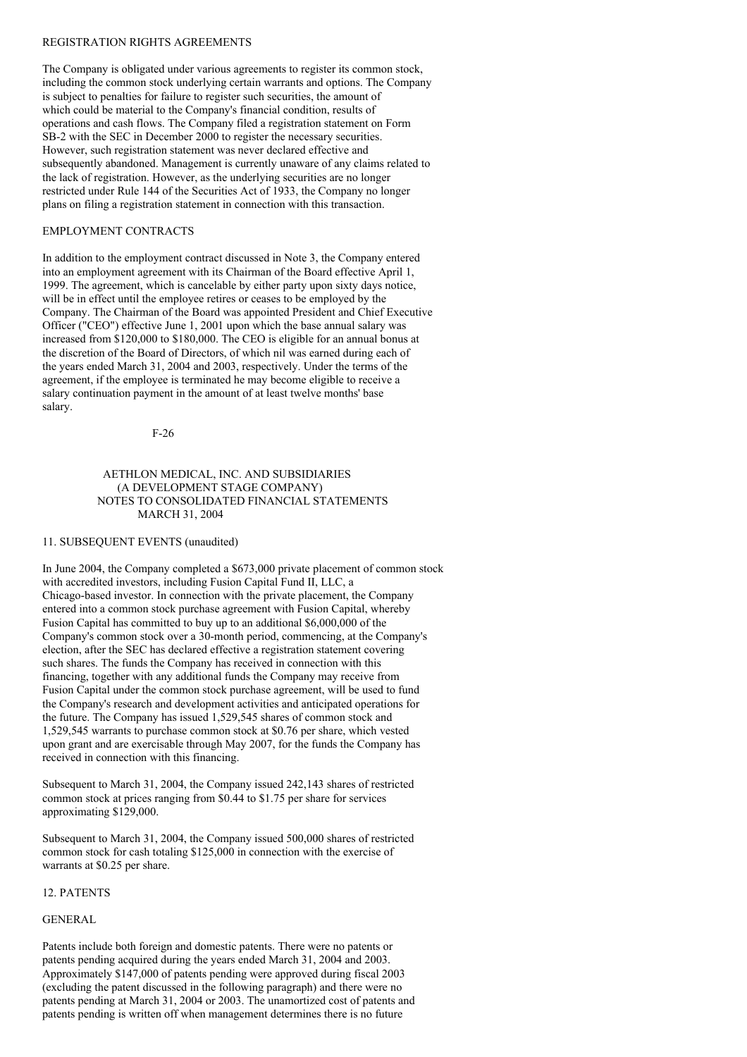## REGISTRATION RIGHTS AGREEMENTS

The Company is obligated under various agreements to register its common stock, including the common stock underlying certain warrants and options. The Company is subject to penalties for failure to register such securities, the amount of which could be material to the Company's financial condition, results of operations and cash flows. The Company filed a registration statement on Form SB-2 with the SEC in December 2000 to register the necessary securities. However, such registration statement was never declared effective and subsequently abandoned. Management is currently unaware of any claims related to the lack of registration. However, as the underlying securities are no longer restricted under Rule 144 of the Securities Act of 1933, the Company no longer plans on filing a registration statement in connection with this transaction.

#### EMPLOYMENT CONTRACTS

In addition to the employment contract discussed in Note 3, the Company entered into an employment agreement with its Chairman of the Board effective April 1, 1999. The agreement, which is cancelable by either party upon sixty days notice, will be in effect until the employee retires or ceases to be employed by the Company. The Chairman of the Board was appointed President and Chief Executive Officer ("CEO") effective June 1, 2001 upon which the base annual salary was increased from \$120,000 to \$180,000. The CEO is eligible for an annual bonus at the discretion of the Board of Directors, of which nil was earned during each of the years ended March 31, 2004 and 2003, respectively. Under the terms of the agreement, if the employee is terminated he may become eligible to receive a salary continuation payment in the amount of at least twelve months' base salary.

F-26

# AETHLON MEDICAL, INC. AND SUBSIDIARIES (A DEVELOPMENT STAGE COMPANY) NOTES TO CONSOLIDATED FINANCIAL STATEMENTS MARCH 31, 2004

## 11. SUBSEQUENT EVENTS (unaudited)

In June 2004, the Company completed a \$673,000 private placement of common stock with accredited investors, including Fusion Capital Fund II, LLC, a Chicago-based investor. In connection with the private placement, the Company entered into a common stock purchase agreement with Fusion Capital, whereby Fusion Capital has committed to buy up to an additional \$6,000,000 of the Company's common stock over a 30-month period, commencing, at the Company's election, after the SEC has declared effective a registration statement covering such shares. The funds the Company has received in connection with this financing, together with any additional funds the Company may receive from Fusion Capital under the common stock purchase agreement, will be used to fund the Company's research and development activities and anticipated operations for the future. The Company has issued 1,529,545 shares of common stock and 1,529,545 warrants to purchase common stock at \$0.76 per share, which vested upon grant and are exercisable through May 2007, for the funds the Company has received in connection with this financing.

Subsequent to March 31, 2004, the Company issued 242,143 shares of restricted common stock at prices ranging from \$0.44 to \$1.75 per share for services approximating \$129,000.

Subsequent to March 31, 2004, the Company issued 500,000 shares of restricted common stock for cash totaling \$125,000 in connection with the exercise of warrants at \$0.25 per share.

#### 12. PATENTS

#### **GENERAL**

Patents include both foreign and domestic patents. There were no patents or patents pending acquired during the years ended March 31, 2004 and 2003. Approximately \$147,000 of patents pending were approved during fiscal 2003 (excluding the patent discussed in the following paragraph) and there were no patents pending at March 31, 2004 or 2003. The unamortized cost of patents and patents pending is written off when management determines there is no future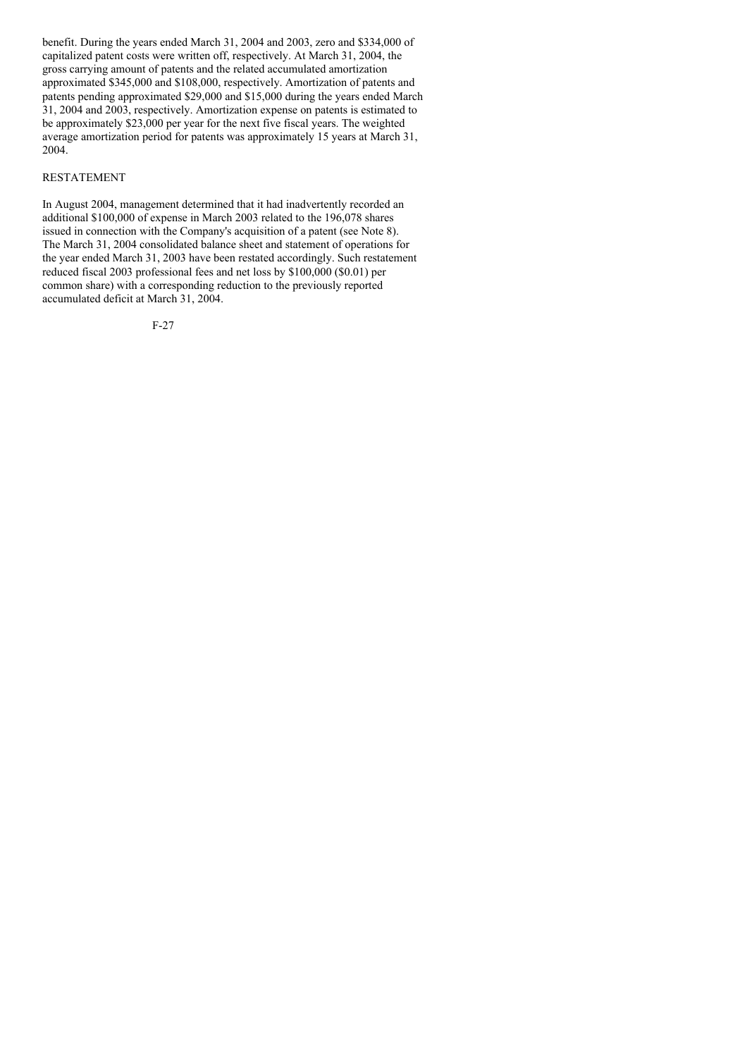benefit. During the years ended March 31, 2004 and 2003, zero and \$334,000 of capitalized patent costs were written off, respectively. At March 31, 2004, the gross carrying amount of patents and the related accumulated amortization approximated \$345,000 and \$108,000, respectively. Amortization of patents and patents pending approximated \$29,000 and \$15,000 during the years ended March 31, 2004 and 2003, respectively. Amortization expense on patents is estimated to be approximately \$23,000 per year for the next five fiscal years. The weighted average amortization period for patents was approximately 15 years at March 31, 2004.

# RESTATEMENT

In August 2004, management determined that it had inadvertently recorded an additional \$100,000 of expense in March 2003 related to the 196,078 shares issued in connection with the Company's acquisition of a patent (see Note 8). The March 31, 2004 consolidated balance sheet and statement of operations for the year ended March 31, 2003 have been restated accordingly. Such restatement reduced fiscal 2003 professional fees and net loss by \$100,000 (\$0.01) per common share) with a corresponding reduction to the previously reported accumulated deficit at March 31, 2004.

F-27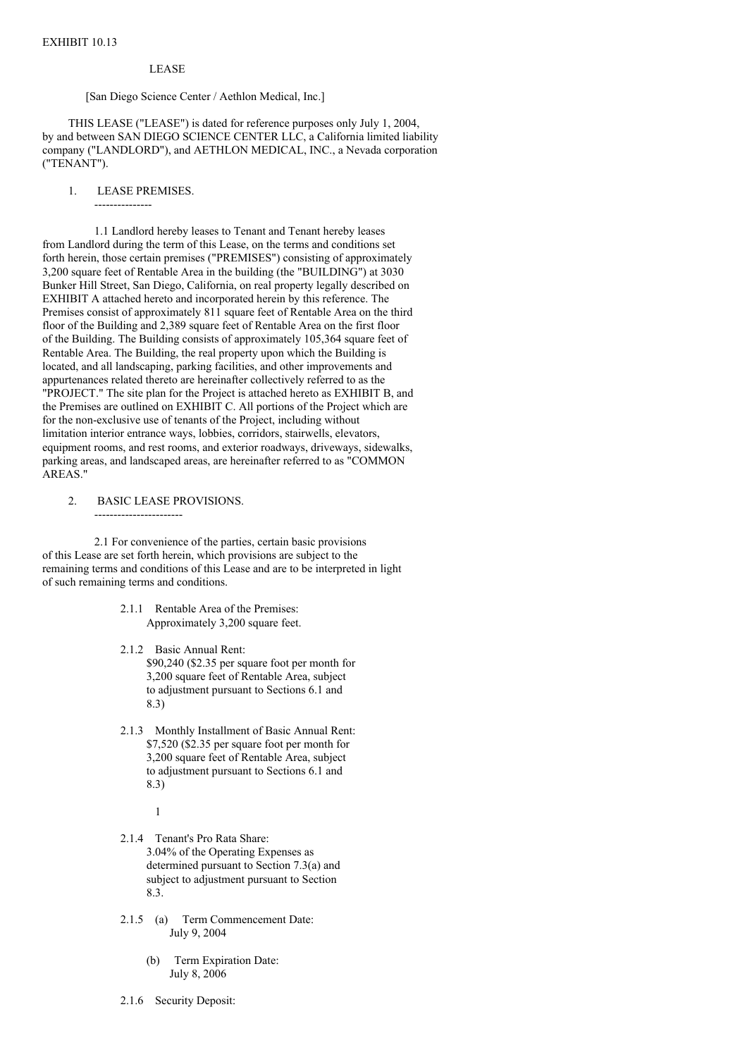#### EXHIBIT 10.13

#### LEASE

[San Diego Science Center / Aethlon Medical, Inc.]

THIS LEASE ("LEASE") is dated for reference purposes only July 1, 2004, by and between SAN DIEGO SCIENCE CENTER LLC, a California limited liability company ("LANDLORD"), and AETHLON MEDICAL, INC., a Nevada corporation ("TENANT").

## 1. LEASE PREMISES.

---------------

1.1 Landlord hereby leases to Tenant and Tenant hereby leases from Landlord during the term of this Lease, on the terms and conditions set forth herein, those certain premises ("PREMISES") consisting of approximately 3,200 square feet of Rentable Area in the building (the "BUILDING") at 3030 Bunker Hill Street, San Diego, California, on real property legally described on EXHIBIT A attached hereto and incorporated herein by this reference. The Premises consist of approximately 811 square feet of Rentable Area on the third floor of the Building and 2,389 square feet of Rentable Area on the first floor of the Building. The Building consists of approximately 105,364 square feet of Rentable Area. The Building, the real property upon which the Building is located, and all landscaping, parking facilities, and other improvements and appurtenances related thereto are hereinafter collectively referred to as the "PROJECT." The site plan for the Project is attached hereto as EXHIBIT B, and the Premises are outlined on EXHIBIT C. All portions of the Project which are for the non-exclusive use of tenants of the Project, including without limitation interior entrance ways, lobbies, corridors, stairwells, elevators, equipment rooms, and rest rooms, and exterior roadways, driveways, sidewalks, parking areas, and landscaped areas, are hereinafter referred to as "COMMON AREAS."

# 2. BASIC LEASE PROVISIONS.

-----------------------

2.1 For convenience of the parties, certain basic provisions of this Lease are set forth herein, which provisions are subject to the remaining terms and conditions of this Lease and are to be interpreted in light of such remaining terms and conditions.

- 2.1.1 Rentable Area of the Premises: Approximately 3,200 square feet.
- 2.1.2 Basic Annual Rent: \$90,240 (\$2.35 per square foot per month for 3,200 square feet of Rentable Area, subject to adjustment pursuant to Sections 6.1 and 8.3)
- 2.1.3 Monthly Installment of Basic Annual Rent: \$7,520 (\$2.35 per square foot per month for 3,200 square feet of Rentable Area, subject to adjustment pursuant to Sections 6.1 and 8.3)

1

- 2.1.4 Tenant's Pro Rata Share: 3.04% of the Operating Expenses as determined pursuant to Section 7.3(a) and subject to adjustment pursuant to Section 8.3.
- 2.1.5 (a) Term Commencement Date: July 9, 2004
	- (b) Term Expiration Date: July 8, 2006
- 2.1.6 Security Deposit: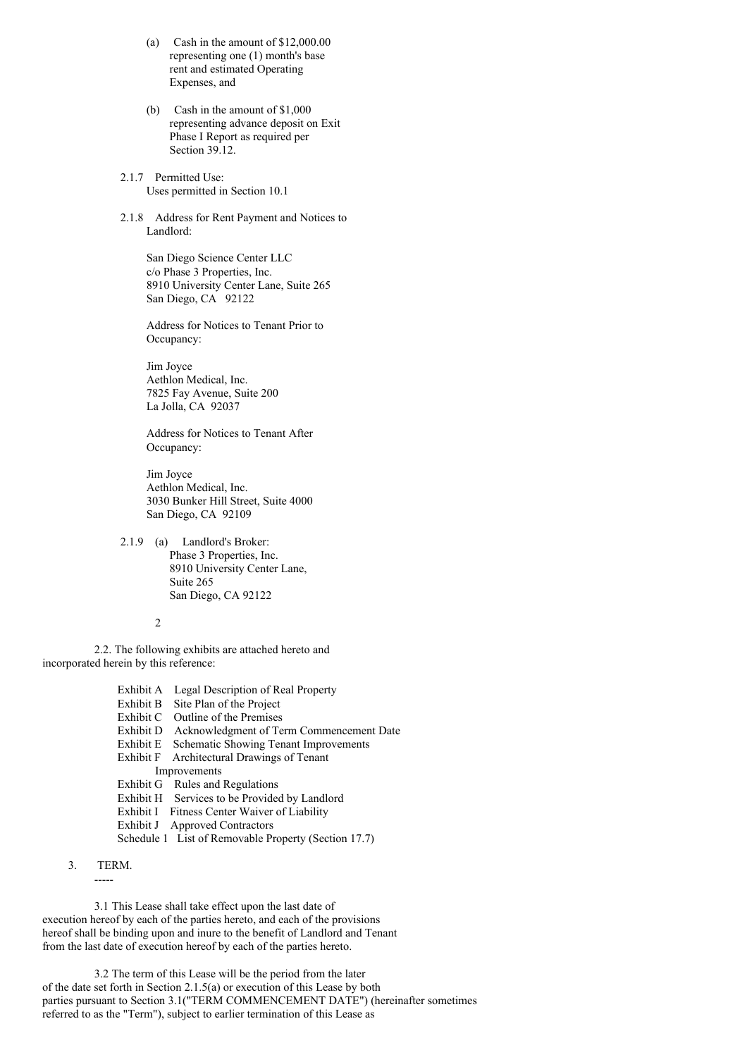- (a) Cash in the amount of \$12,000.00 representing one (1) month's base rent and estimated Operating Expenses, and
- (b) Cash in the amount of \$1,000 representing advance deposit on Exit Phase I Report as required per Section 39.12.
- 2.1.7 Permitted Use: Uses permitted in Section 10.1
- 2.1.8 Address for Rent Payment and Notices to Landlord:

San Diego Science Center LLC c/o Phase 3 Properties, Inc. 8910 University Center Lane, Suite 265 San Diego, CA 92122

Address for Notices to Tenant Prior to Occupancy:

Jim Joyce Aethlon Medical, Inc. 7825 Fay Avenue, Suite 200 La Jolla, CA 92037

Address for Notices to Tenant After Occupancy:

Jim Joyce Aethlon Medical, Inc. 3030 Bunker Hill Street, Suite 4000 San Diego, CA 92109

2.1.9 (a) Landlord's Broker: Phase 3 Properties, Inc. 8910 University Center Lane, Suite 265 San Diego, CA 92122

2

2.2. The following exhibits are attached hereto and incorporated herein by this reference:

- Exhibit A Legal Description of Real Property
- Exhibit B Site Plan of the Project
- Exhibit C Outline of the Premises
- Exhibit D Acknowledgment of Term Commencement Date
- Exhibit E Schematic Showing Tenant Improvements Exhibit F Architectural Drawings of Tenant
	- Improvements
- Exhibit G Rules and Regulations
- Exhibit H Services to be Provided by Landlord
- Exhibit I Fitness Center Waiver of Liability
- Exhibit J Approved Contractors
- Schedule 1 List of Removable Property (Section 17.7)

3. TERM. -----

3.1 This Lease shall take effect upon the last date of execution hereof by each of the parties hereto, and each of the provisions hereof shall be binding upon and inure to the benefit of Landlord and Tenant from the last date of execution hereof by each of the parties hereto.

3.2 The term of this Lease will be the period from the later of the date set forth in Section 2.1.5(a) or execution of this Lease by both parties pursuant to Section 3.1("TERM COMMENCEMENT DATE") (hereinafter sometimes referred to as the "Term"), subject to earlier termination of this Lease as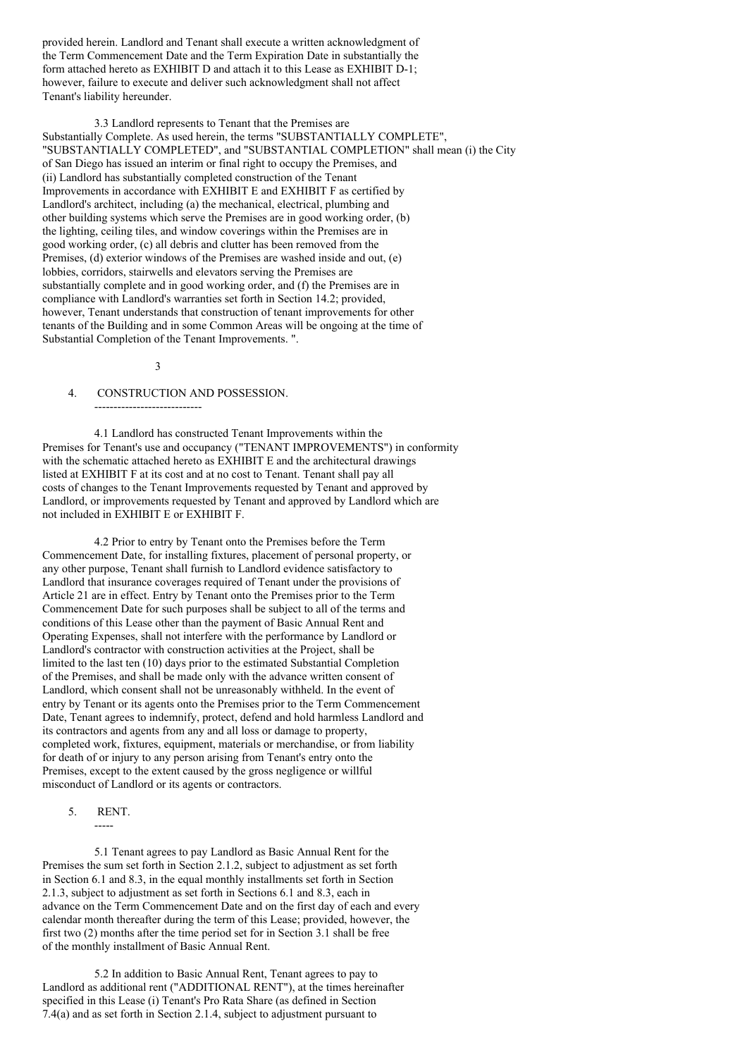provided herein. Landlord and Tenant shall execute a written acknowledgment of the Term Commencement Date and the Term Expiration Date in substantially the form attached hereto as EXHIBIT D and attach it to this Lease as EXHIBIT D-1; however, failure to execute and deliver such acknowledgment shall not affect Tenant's liability hereunder.

3.3 Landlord represents to Tenant that the Premises are Substantially Complete. As used herein, the terms "SUBSTANTIALLY COMPLETE", "SUBSTANTIALLY COMPLETED", and "SUBSTANTIAL COMPLETION" shall mean (i) the City of San Diego has issued an interim or final right to occupy the Premises, and (ii) Landlord has substantially completed construction of the Tenant Improvements in accordance with EXHIBIT E and EXHIBIT F as certified by Landlord's architect, including (a) the mechanical, electrical, plumbing and other building systems which serve the Premises are in good working order, (b) the lighting, ceiling tiles, and window coverings within the Premises are in good working order, (c) all debris and clutter has been removed from the Premises, (d) exterior windows of the Premises are washed inside and out, (e) lobbies, corridors, stairwells and elevators serving the Premises are substantially complete and in good working order, and (f) the Premises are in compliance with Landlord's warranties set forth in Section 14.2; provided, however, Tenant understands that construction of tenant improvements for other tenants of the Building and in some Common Areas will be ongoing at the time of Substantial Completion of the Tenant Improvements. ".

3

----------------------------

# 4. CONSTRUCTION AND POSSESSION.

4.1 Landlord has constructed Tenant Improvements within the Premises for Tenant's use and occupancy ("TENANT IMPROVEMENTS") in conformity with the schematic attached hereto as EXHIBIT E and the architectural drawings listed at EXHIBIT F at its cost and at no cost to Tenant. Tenant shall pay all costs of changes to the Tenant Improvements requested by Tenant and approved by Landlord, or improvements requested by Tenant and approved by Landlord which are not included in EXHIBIT E or EXHIBIT F.

4.2 Prior to entry by Tenant onto the Premises before the Term Commencement Date, for installing fixtures, placement of personal property, or any other purpose, Tenant shall furnish to Landlord evidence satisfactory to Landlord that insurance coverages required of Tenant under the provisions of Article 21 are in effect. Entry by Tenant onto the Premises prior to the Term Commencement Date for such purposes shall be subject to all of the terms and conditions of this Lease other than the payment of Basic Annual Rent and Operating Expenses, shall not interfere with the performance by Landlord or Landlord's contractor with construction activities at the Project, shall be limited to the last ten (10) days prior to the estimated Substantial Completion of the Premises, and shall be made only with the advance written consent of Landlord, which consent shall not be unreasonably withheld. In the event of entry by Tenant or its agents onto the Premises prior to the Term Commencement Date, Tenant agrees to indemnify, protect, defend and hold harmless Landlord and its contractors and agents from any and all loss or damage to property, completed work, fixtures, equipment, materials or merchandise, or from liability for death of or injury to any person arising from Tenant's entry onto the Premises, except to the extent caused by the gross negligence or willful misconduct of Landlord or its agents or contractors.

#### 5. RENT. -----

5.1 Tenant agrees to pay Landlord as Basic Annual Rent for the Premises the sum set forth in Section 2.1.2, subject to adjustment as set forth in Section 6.1 and 8.3, in the equal monthly installments set forth in Section 2.1.3, subject to adjustment as set forth in Sections 6.1 and 8.3, each in advance on the Term Commencement Date and on the first day of each and every calendar month thereafter during the term of this Lease; provided, however, the first two (2) months after the time period set for in Section 3.1 shall be free of the monthly installment of Basic Annual Rent.

5.2 In addition to Basic Annual Rent, Tenant agrees to pay to Landlord as additional rent ("ADDITIONAL RENT"), at the times hereinafter specified in this Lease (i) Tenant's Pro Rata Share (as defined in Section 7.4(a) and as set forth in Section 2.1.4, subject to adjustment pursuant to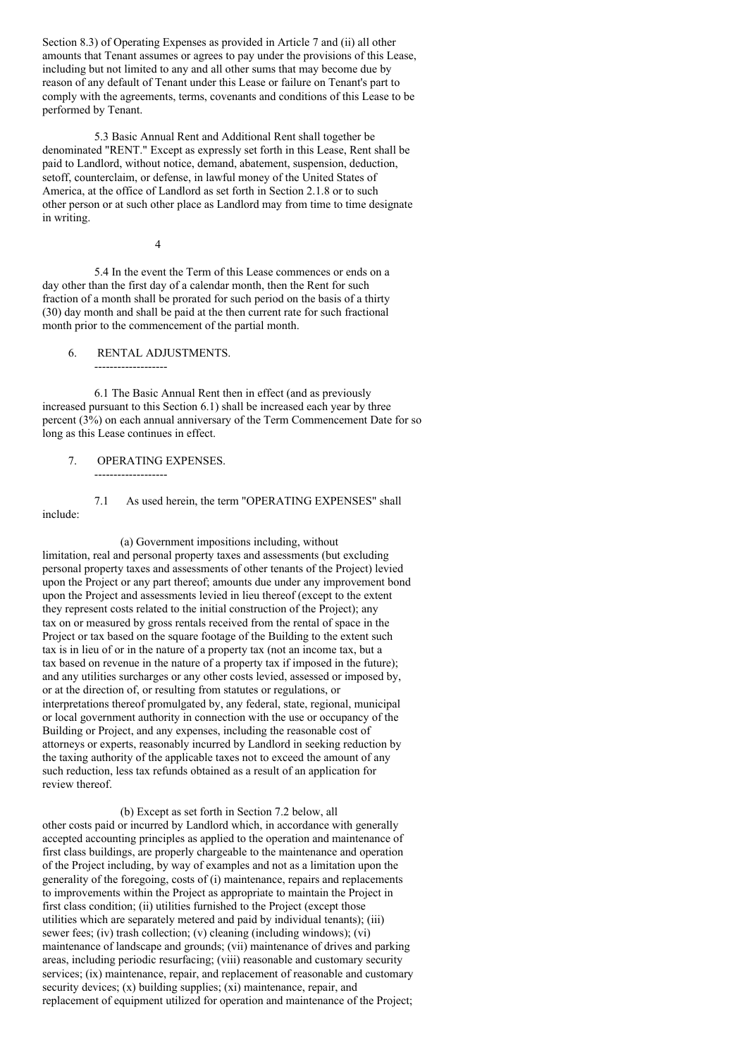Section 8.3) of Operating Expenses as provided in Article 7 and (ii) all other amounts that Tenant assumes or agrees to pay under the provisions of this Lease, including but not limited to any and all other sums that may become due by reason of any default of Tenant under this Lease or failure on Tenant's part to comply with the agreements, terms, covenants and conditions of this Lease to be performed by Tenant.

5.3 Basic Annual Rent and Additional Rent shall together be denominated "RENT." Except as expressly set forth in this Lease, Rent shall be paid to Landlord, without notice, demand, abatement, suspension, deduction, setoff, counterclaim, or defense, in lawful money of the United States of America, at the office of Landlord as set forth in Section 2.1.8 or to such other person or at such other place as Landlord may from time to time designate in writing.

4

5.4 In the event the Term of this Lease commences or ends on a day other than the first day of a calendar month, then the Rent for such fraction of a month shall be prorated for such period on the basis of a thirty (30) day month and shall be paid at the then current rate for such fractional month prior to the commencement of the partial month.

# 6. RENTAL ADJUSTMENTS.

-------------------

6.1 The Basic Annual Rent then in effect (and as previously increased pursuant to this Section 6.1) shall be increased each year by three percent (3%) on each annual anniversary of the Term Commencement Date for so long as this Lease continues in effect.

## 7. OPERATING EXPENSES.

-------------------

7.1 As used herein, the term "OPERATING EXPENSES" shall include:

(a) Government impositions including, without limitation, real and personal property taxes and assessments (but excluding personal property taxes and assessments of other tenants of the Project) levied upon the Project or any part thereof; amounts due under any improvement bond upon the Project and assessments levied in lieu thereof (except to the extent they represent costs related to the initial construction of the Project); any tax on or measured by gross rentals received from the rental of space in the Project or tax based on the square footage of the Building to the extent such tax is in lieu of or in the nature of a property tax (not an income tax, but a tax based on revenue in the nature of a property tax if imposed in the future); and any utilities surcharges or any other costs levied, assessed or imposed by, or at the direction of, or resulting from statutes or regulations, or interpretations thereof promulgated by, any federal, state, regional, municipal or local government authority in connection with the use or occupancy of the Building or Project, and any expenses, including the reasonable cost of attorneys or experts, reasonably incurred by Landlord in seeking reduction by the taxing authority of the applicable taxes not to exceed the amount of any such reduction, less tax refunds obtained as a result of an application for review thereof.

# (b) Except as set forth in Section 7.2 below, all

other costs paid or incurred by Landlord which, in accordance with generally accepted accounting principles as applied to the operation and maintenance of first class buildings, are properly chargeable to the maintenance and operation of the Project including, by way of examples and not as a limitation upon the generality of the foregoing, costs of (i) maintenance, repairs and replacements to improvements within the Project as appropriate to maintain the Project in first class condition; (ii) utilities furnished to the Project (except those utilities which are separately metered and paid by individual tenants); (iii) sewer fees; (iv) trash collection; (v) cleaning (including windows); (vi) maintenance of landscape and grounds; (vii) maintenance of drives and parking areas, including periodic resurfacing; (viii) reasonable and customary security services; (ix) maintenance, repair, and replacement of reasonable and customary security devices;  $(x)$  building supplies;  $(x<sub>i</sub>)$  maintenance, repair, and replacement of equipment utilized for operation and maintenance of the Project;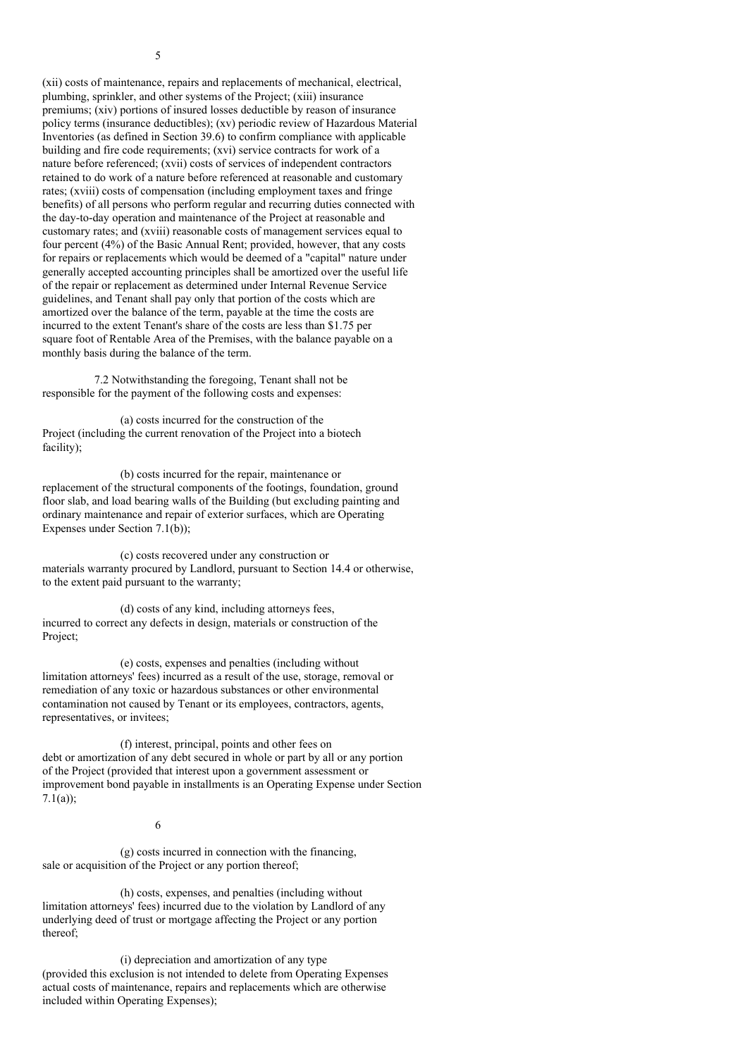(xii) costs of maintenance, repairs and replacements of mechanical, electrical, plumbing, sprinkler, and other systems of the Project; (xiii) insurance premiums; (xiv) portions of insured losses deductible by reason of insurance policy terms (insurance deductibles); (xv) periodic review of Hazardous Material Inventories (as defined in Section 39.6) to confirm compliance with applicable building and fire code requirements; (xvi) service contracts for work of a nature before referenced; (xvii) costs of services of independent contractors retained to do work of a nature before referenced at reasonable and customary rates; (xviii) costs of compensation (including employment taxes and fringe benefits) of all persons who perform regular and recurring duties connected with the day-to-day operation and maintenance of the Project at reasonable and customary rates; and (xviii) reasonable costs of management services equal to four percent (4%) of the Basic Annual Rent; provided, however, that any costs for repairs or replacements which would be deemed of a "capital" nature under generally accepted accounting principles shall be amortized over the useful life of the repair or replacement as determined under Internal Revenue Service guidelines, and Tenant shall pay only that portion of the costs which are amortized over the balance of the term, payable at the time the costs are incurred to the extent Tenant's share of the costs are less than \$1.75 per square foot of Rentable Area of the Premises, with the balance payable on a monthly basis during the balance of the term.

7.2 Notwithstanding the foregoing, Tenant shall not be responsible for the payment of the following costs and expenses:

(a) costs incurred for the construction of the Project (including the current renovation of the Project into a biotech facility);

(b) costs incurred for the repair, maintenance or replacement of the structural components of the footings, foundation, ground floor slab, and load bearing walls of the Building (but excluding painting and ordinary maintenance and repair of exterior surfaces, which are Operating Expenses under Section 7.1(b));

(c) costs recovered under any construction or materials warranty procured by Landlord, pursuant to Section 14.4 or otherwise, to the extent paid pursuant to the warranty;

(d) costs of any kind, including attorneys fees, incurred to correct any defects in design, materials or construction of the Project;

(e) costs, expenses and penalties (including without limitation attorneys' fees) incurred as a result of the use, storage, removal or remediation of any toxic or hazardous substances or other environmental contamination not caused by Tenant or its employees, contractors, agents, representatives, or invitees;

(f) interest, principal, points and other fees on debt or amortization of any debt secured in whole or part by all or any portion of the Project (provided that interest upon a government assessment or improvement bond payable in installments is an Operating Expense under Section 7.1(a));

6

(g) costs incurred in connection with the financing, sale or acquisition of the Project or any portion thereof;

(h) costs, expenses, and penalties (including without limitation attorneys' fees) incurred due to the violation by Landlord of any underlying deed of trust or mortgage affecting the Project or any portion thereof;

(i) depreciation and amortization of any type (provided this exclusion is not intended to delete from Operating Expenses actual costs of maintenance, repairs and replacements which are otherwise included within Operating Expenses);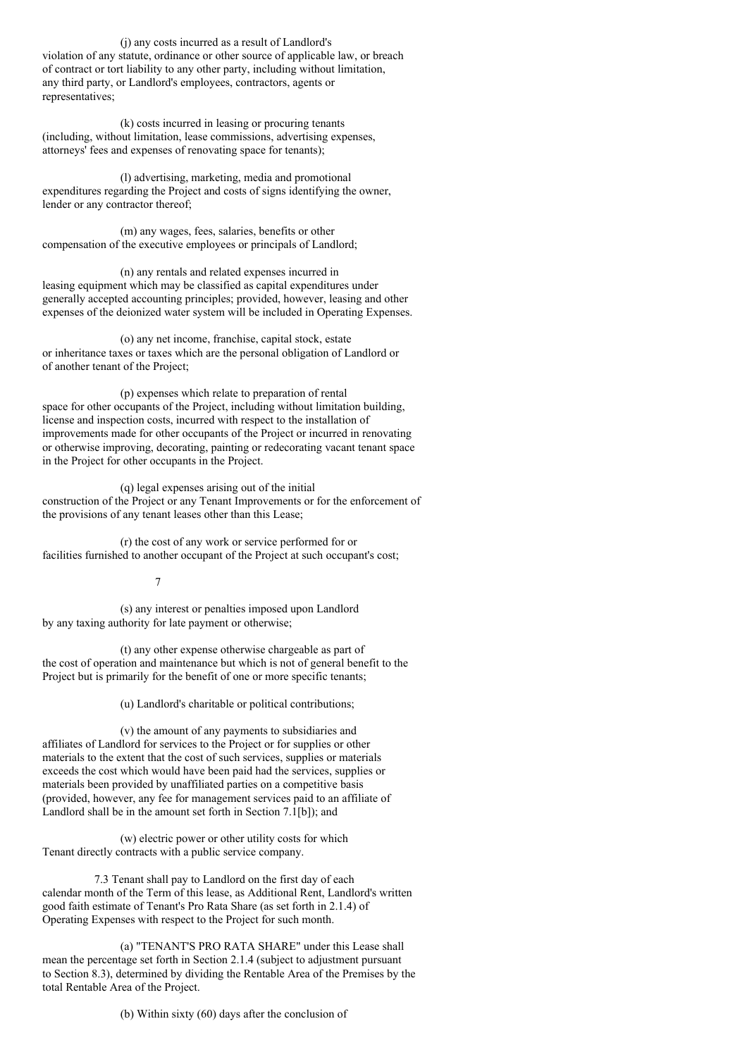(j) any costs incurred as a result of Landlord's violation of any statute, ordinance or other source of applicable law, or breach of contract or tort liability to any other party, including without limitation, any third party, or Landlord's employees, contractors, agents or representatives;

(k) costs incurred in leasing or procuring tenants (including, without limitation, lease commissions, advertising expenses, attorneys' fees and expenses of renovating space for tenants);

(l) advertising, marketing, media and promotional expenditures regarding the Project and costs of signs identifying the owner, lender or any contractor thereof;

(m) any wages, fees, salaries, benefits or other compensation of the executive employees or principals of Landlord;

(n) any rentals and related expenses incurred in leasing equipment which may be classified as capital expenditures under generally accepted accounting principles; provided, however, leasing and other expenses of the deionized water system will be included in Operating Expenses.

(o) any net income, franchise, capital stock, estate or inheritance taxes or taxes which are the personal obligation of Landlord or of another tenant of the Project;

(p) expenses which relate to preparation of rental space for other occupants of the Project, including without limitation building, license and inspection costs, incurred with respect to the installation of improvements made for other occupants of the Project or incurred in renovating or otherwise improving, decorating, painting or redecorating vacant tenant space in the Project for other occupants in the Project.

(q) legal expenses arising out of the initial construction of the Project or any Tenant Improvements or for the enforcement of the provisions of any tenant leases other than this Lease;

(r) the cost of any work or service performed for or facilities furnished to another occupant of the Project at such occupant's cost;

7

(s) any interest or penalties imposed upon Landlord by any taxing authority for late payment or otherwise;

(t) any other expense otherwise chargeable as part of the cost of operation and maintenance but which is not of general benefit to the Project but is primarily for the benefit of one or more specific tenants;

(u) Landlord's charitable or political contributions;

(v) the amount of any payments to subsidiaries and affiliates of Landlord for services to the Project or for supplies or other materials to the extent that the cost of such services, supplies or materials exceeds the cost which would have been paid had the services, supplies or materials been provided by unaffiliated parties on a competitive basis (provided, however, any fee for management services paid to an affiliate of Landlord shall be in the amount set forth in Section 7.1[b]); and

(w) electric power or other utility costs for which Tenant directly contracts with a public service company.

7.3 Tenant shall pay to Landlord on the first day of each calendar month of the Term of this lease, as Additional Rent, Landlord's written good faith estimate of Tenant's Pro Rata Share (as set forth in 2.1.4) of Operating Expenses with respect to the Project for such month.

(a) "TENANT'S PRO RATA SHARE" under this Lease shall mean the percentage set forth in Section 2.1.4 (subject to adjustment pursuant to Section 8.3), determined by dividing the Rentable Area of the Premises by the total Rentable Area of the Project.

(b) Within sixty (60) days after the conclusion of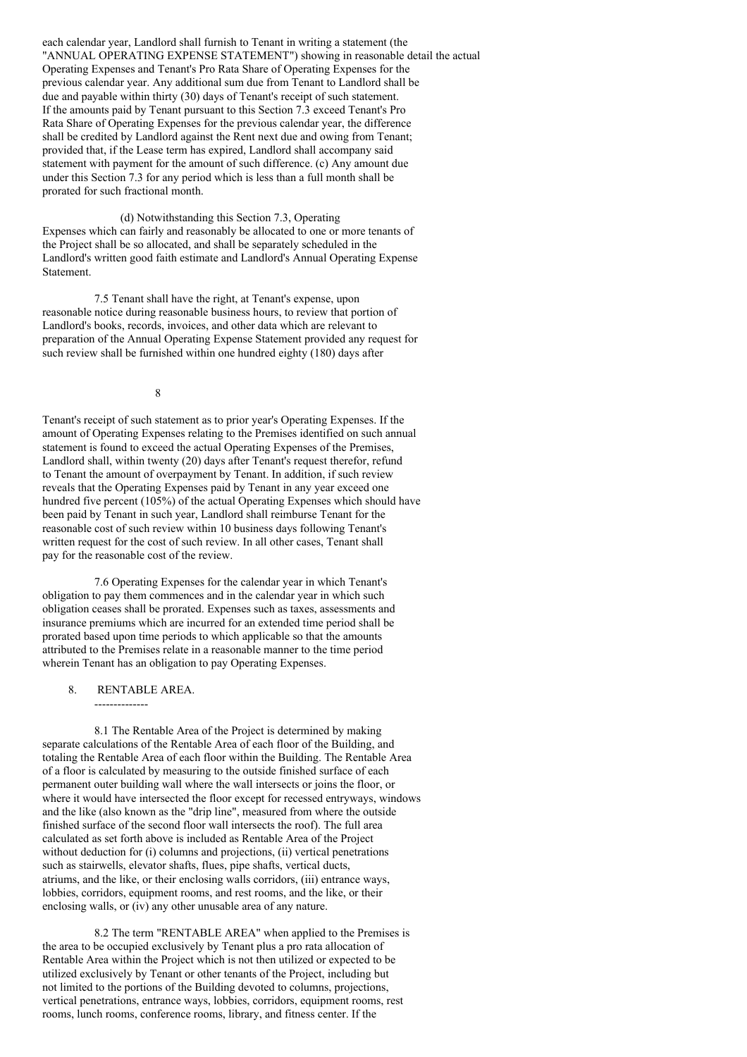each calendar year, Landlord shall furnish to Tenant in writing a statement (the "ANNUAL OPERATING EXPENSE STATEMENT") showing in reasonable detail the actual Operating Expenses and Tenant's Pro Rata Share of Operating Expenses for the previous calendar year. Any additional sum due from Tenant to Landlord shall be due and payable within thirty (30) days of Tenant's receipt of such statement. If the amounts paid by Tenant pursuant to this Section 7.3 exceed Tenant's Pro Rata Share of Operating Expenses for the previous calendar year, the difference shall be credited by Landlord against the Rent next due and owing from Tenant; provided that, if the Lease term has expired, Landlord shall accompany said statement with payment for the amount of such difference. (c) Any amount due under this Section 7.3 for any period which is less than a full month shall be prorated for such fractional month.

(d) Notwithstanding this Section 7.3, Operating Expenses which can fairly and reasonably be allocated to one or more tenants of the Project shall be so allocated, and shall be separately scheduled in the Landlord's written good faith estimate and Landlord's Annual Operating Expense Statement.

7.5 Tenant shall have the right, at Tenant's expense, upon reasonable notice during reasonable business hours, to review that portion of Landlord's books, records, invoices, and other data which are relevant to preparation of the Annual Operating Expense Statement provided any request for such review shall be furnished within one hundred eighty (180) days after

8

Tenant's receipt of such statement as to prior year's Operating Expenses. If the amount of Operating Expenses relating to the Premises identified on such annual statement is found to exceed the actual Operating Expenses of the Premises, Landlord shall, within twenty (20) days after Tenant's request therefor, refund to Tenant the amount of overpayment by Tenant. In addition, if such review reveals that the Operating Expenses paid by Tenant in any year exceed one hundred five percent (105%) of the actual Operating Expenses which should have been paid by Tenant in such year, Landlord shall reimburse Tenant for the reasonable cost of such review within 10 business days following Tenant's written request for the cost of such review. In all other cases, Tenant shall pay for the reasonable cost of the review.

7.6 Operating Expenses for the calendar year in which Tenant's obligation to pay them commences and in the calendar year in which such obligation ceases shall be prorated. Expenses such as taxes, assessments and insurance premiums which are incurred for an extended time period shall be prorated based upon time periods to which applicable so that the amounts attributed to the Premises relate in a reasonable manner to the time period wherein Tenant has an obligation to pay Operating Expenses.

#### 8. RENTABLE AREA. --------------

8.1 The Rentable Area of the Project is determined by making separate calculations of the Rentable Area of each floor of the Building, and totaling the Rentable Area of each floor within the Building. The Rentable Area of a floor is calculated by measuring to the outside finished surface of each permanent outer building wall where the wall intersects or joins the floor, or where it would have intersected the floor except for recessed entryways, windows and the like (also known as the "drip line", measured from where the outside finished surface of the second floor wall intersects the roof). The full area calculated as set forth above is included as Rentable Area of the Project without deduction for (i) columns and projections, (ii) vertical penetrations such as stairwells, elevator shafts, flues, pipe shafts, vertical ducts, atriums, and the like, or their enclosing walls corridors, (iii) entrance ways, lobbies, corridors, equipment rooms, and rest rooms, and the like, or their enclosing walls, or (iv) any other unusable area of any nature.

8.2 The term "RENTABLE AREA" when applied to the Premises is the area to be occupied exclusively by Tenant plus a pro rata allocation of Rentable Area within the Project which is not then utilized or expected to be utilized exclusively by Tenant or other tenants of the Project, including but not limited to the portions of the Building devoted to columns, projections, vertical penetrations, entrance ways, lobbies, corridors, equipment rooms, rest rooms, lunch rooms, conference rooms, library, and fitness center. If the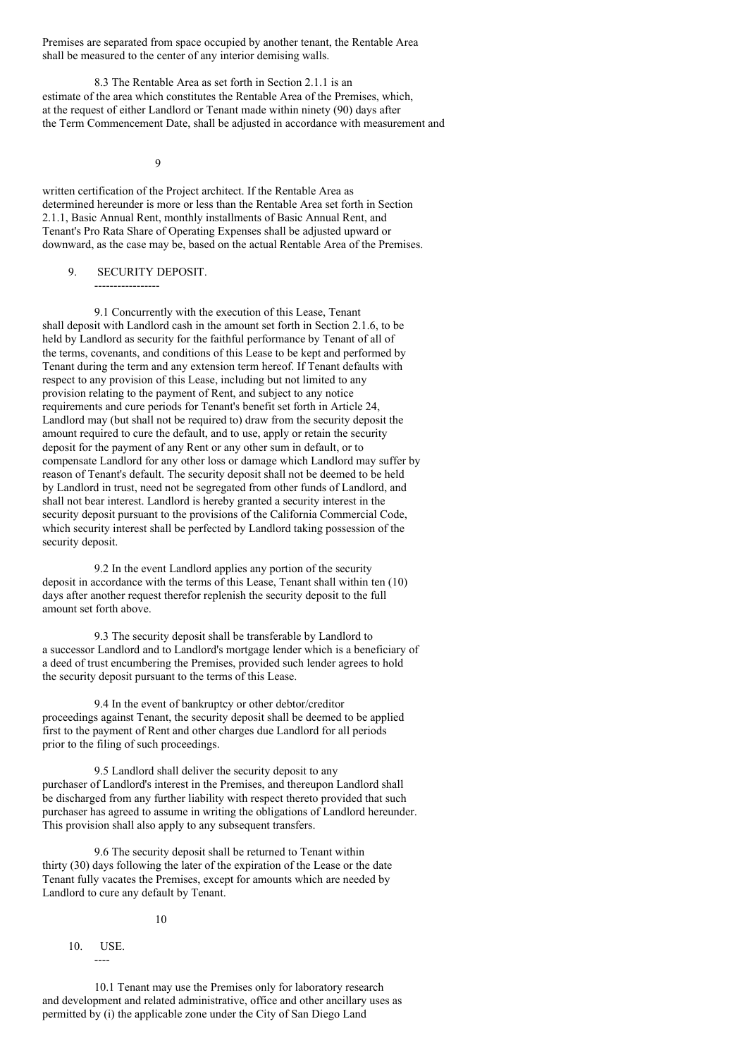Premises are separated from space occupied by another tenant, the Rentable Area shall be measured to the center of any interior demising walls.

8.3 The Rentable Area as set forth in Section 2.1.1 is an estimate of the area which constitutes the Rentable Area of the Premises, which, at the request of either Landlord or Tenant made within ninety (90) days after the Term Commencement Date, shall be adjusted in accordance with measurement and

9

written certification of the Project architect. If the Rentable Area as determined hereunder is more or less than the Rentable Area set forth in Section 2.1.1, Basic Annual Rent, monthly installments of Basic Annual Rent, and Tenant's Pro Rata Share of Operating Expenses shall be adjusted upward or downward, as the case may be, based on the actual Rentable Area of the Premises.

## 9. SECURITY DEPOSIT.

-----------------

9.1 Concurrently with the execution of this Lease, Tenant shall deposit with Landlord cash in the amount set forth in Section 2.1.6, to be held by Landlord as security for the faithful performance by Tenant of all of the terms, covenants, and conditions of this Lease to be kept and performed by Tenant during the term and any extension term hereof. If Tenant defaults with respect to any provision of this Lease, including but not limited to any provision relating to the payment of Rent, and subject to any notice requirements and cure periods for Tenant's benefit set forth in Article 24, Landlord may (but shall not be required to) draw from the security deposit the amount required to cure the default, and to use, apply or retain the security deposit for the payment of any Rent or any other sum in default, or to compensate Landlord for any other loss or damage which Landlord may suffer by reason of Tenant's default. The security deposit shall not be deemed to be held by Landlord in trust, need not be segregated from other funds of Landlord, and shall not bear interest. Landlord is hereby granted a security interest in the security deposit pursuant to the provisions of the California Commercial Code, which security interest shall be perfected by Landlord taking possession of the security deposit.

9.2 In the event Landlord applies any portion of the security deposit in accordance with the terms of this Lease, Tenant shall within ten (10) days after another request therefor replenish the security deposit to the full amount set forth above.

9.3 The security deposit shall be transferable by Landlord to a successor Landlord and to Landlord's mortgage lender which is a beneficiary of a deed of trust encumbering the Premises, provided such lender agrees to hold the security deposit pursuant to the terms of this Lease.

9.4 In the event of bankruptcy or other debtor/creditor proceedings against Tenant, the security deposit shall be deemed to be applied first to the payment of Rent and other charges due Landlord for all periods prior to the filing of such proceedings.

9.5 Landlord shall deliver the security deposit to any purchaser of Landlord's interest in the Premises, and thereupon Landlord shall be discharged from any further liability with respect thereto provided that such purchaser has agreed to assume in writing the obligations of Landlord hereunder. This provision shall also apply to any subsequent transfers.

9.6 The security deposit shall be returned to Tenant within thirty (30) days following the later of the expiration of the Lease or the date Tenant fully vacates the Premises, except for amounts which are needed by Landlord to cure any default by Tenant.

10

10. USE. ----

10.1 Tenant may use the Premises only for laboratory research and development and related administrative, office and other ancillary uses as permitted by (i) the applicable zone under the City of San Diego Land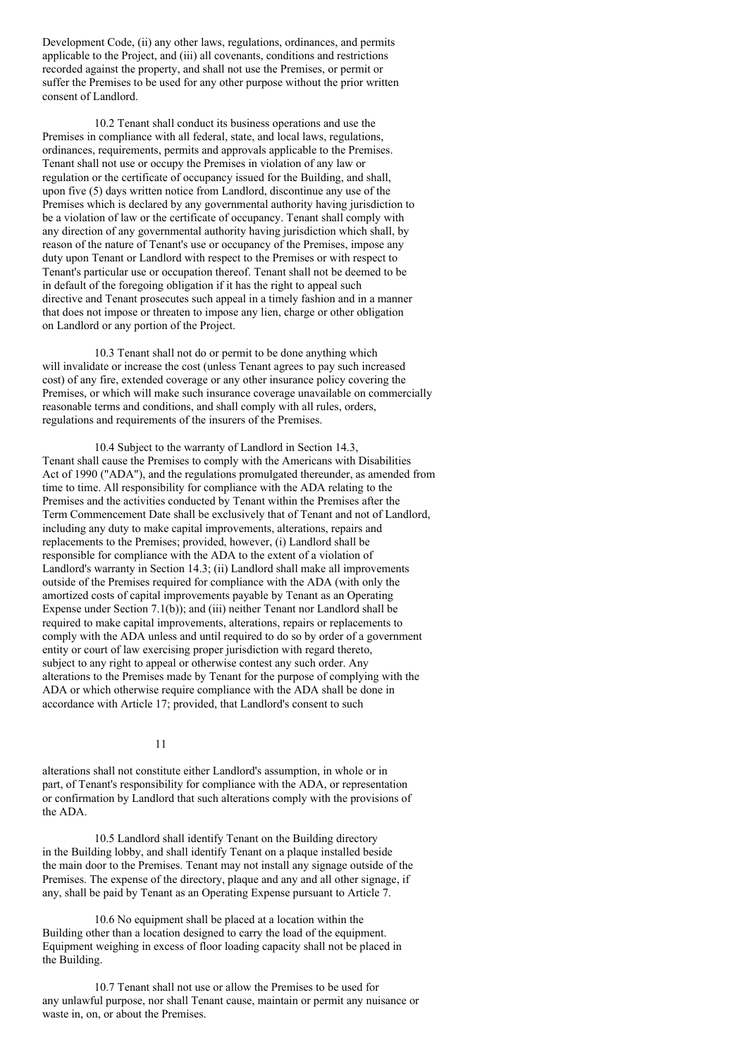Development Code, (ii) any other laws, regulations, ordinances, and permits applicable to the Project, and (iii) all covenants, conditions and restrictions recorded against the property, and shall not use the Premises, or permit or suffer the Premises to be used for any other purpose without the prior written consent of Landlord.

10.2 Tenant shall conduct its business operations and use the Premises in compliance with all federal, state, and local laws, regulations, ordinances, requirements, permits and approvals applicable to the Premises. Tenant shall not use or occupy the Premises in violation of any law or regulation or the certificate of occupancy issued for the Building, and shall, upon five (5) days written notice from Landlord, discontinue any use of the Premises which is declared by any governmental authority having jurisdiction to be a violation of law or the certificate of occupancy. Tenant shall comply with any direction of any governmental authority having jurisdiction which shall, by reason of the nature of Tenant's use or occupancy of the Premises, impose any duty upon Tenant or Landlord with respect to the Premises or with respect to Tenant's particular use or occupation thereof. Tenant shall not be deemed to be in default of the foregoing obligation if it has the right to appeal such directive and Tenant prosecutes such appeal in a timely fashion and in a manner that does not impose or threaten to impose any lien, charge or other obligation on Landlord or any portion of the Project.

10.3 Tenant shall not do or permit to be done anything which will invalidate or increase the cost (unless Tenant agrees to pay such increased cost) of any fire, extended coverage or any other insurance policy covering the Premises, or which will make such insurance coverage unavailable on commercially reasonable terms and conditions, and shall comply with all rules, orders, regulations and requirements of the insurers of the Premises.

10.4 Subject to the warranty of Landlord in Section 14.3, Tenant shall cause the Premises to comply with the Americans with Disabilities Act of 1990 ("ADA"), and the regulations promulgated thereunder, as amended from time to time. All responsibility for compliance with the ADA relating to the Premises and the activities conducted by Tenant within the Premises after the Term Commencement Date shall be exclusively that of Tenant and not of Landlord, including any duty to make capital improvements, alterations, repairs and replacements to the Premises; provided, however, (i) Landlord shall be responsible for compliance with the ADA to the extent of a violation of Landlord's warranty in Section 14.3; (ii) Landlord shall make all improvements outside of the Premises required for compliance with the ADA (with only the amortized costs of capital improvements payable by Tenant as an Operating Expense under Section 7.1(b)); and (iii) neither Tenant nor Landlord shall be required to make capital improvements, alterations, repairs or replacements to comply with the ADA unless and until required to do so by order of a government entity or court of law exercising proper jurisdiction with regard thereto, subject to any right to appeal or otherwise contest any such order. Any alterations to the Premises made by Tenant for the purpose of complying with the ADA or which otherwise require compliance with the ADA shall be done in accordance with Article 17; provided, that Landlord's consent to such

11

alterations shall not constitute either Landlord's assumption, in whole or in part, of Tenant's responsibility for compliance with the ADA, or representation or confirmation by Landlord that such alterations comply with the provisions of the ADA.

10.5 Landlord shall identify Tenant on the Building directory in the Building lobby, and shall identify Tenant on a plaque installed beside the main door to the Premises. Tenant may not install any signage outside of the Premises. The expense of the directory, plaque and any and all other signage, if any, shall be paid by Tenant as an Operating Expense pursuant to Article 7.

10.6 No equipment shall be placed at a location within the Building other than a location designed to carry the load of the equipment. Equipment weighing in excess of floor loading capacity shall not be placed in the Building.

10.7 Tenant shall not use or allow the Premises to be used for any unlawful purpose, nor shall Tenant cause, maintain or permit any nuisance or waste in, on, or about the Premises.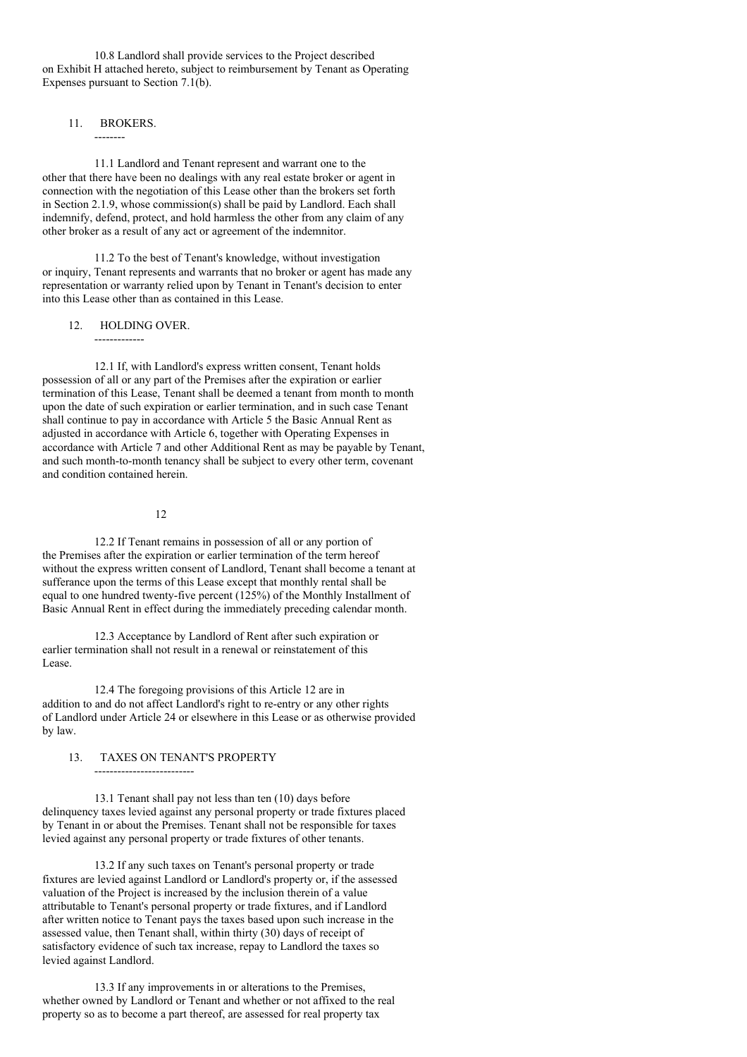10.8 Landlord shall provide services to the Project described on Exhibit H attached hereto, subject to reimbursement by Tenant as Operating Expenses pursuant to Section 7.1(b).

#### 11. BROKERS.

--------

11.1 Landlord and Tenant represent and warrant one to the other that there have been no dealings with any real estate broker or agent in connection with the negotiation of this Lease other than the brokers set forth in Section 2.1.9, whose commission(s) shall be paid by Landlord. Each shall indemnify, defend, protect, and hold harmless the other from any claim of any other broker as a result of any act or agreement of the indemnitor.

11.2 To the best of Tenant's knowledge, without investigation or inquiry, Tenant represents and warrants that no broker or agent has made any representation or warranty relied upon by Tenant in Tenant's decision to enter into this Lease other than as contained in this Lease.

# 12. HOLDING OVER.

-------------

12.1 If, with Landlord's express written consent, Tenant holds possession of all or any part of the Premises after the expiration or earlier termination of this Lease, Tenant shall be deemed a tenant from month to month upon the date of such expiration or earlier termination, and in such case Tenant shall continue to pay in accordance with Article 5 the Basic Annual Rent as adjusted in accordance with Article 6, together with Operating Expenses in accordance with Article 7 and other Additional Rent as may be payable by Tenant, and such month-to-month tenancy shall be subject to every other term, covenant and condition contained herein.

## 12

12.2 If Tenant remains in possession of all or any portion of the Premises after the expiration or earlier termination of the term hereof without the express written consent of Landlord, Tenant shall become a tenant at sufferance upon the terms of this Lease except that monthly rental shall be equal to one hundred twenty-five percent (125%) of the Monthly Installment of Basic Annual Rent in effect during the immediately preceding calendar month.

12.3 Acceptance by Landlord of Rent after such expiration or earlier termination shall not result in a renewal or reinstatement of this Lease.

12.4 The foregoing provisions of this Article 12 are in addition to and do not affect Landlord's right to re-entry or any other rights of Landlord under Article 24 or elsewhere in this Lease or as otherwise provided by law.

## 13. TAXES ON TENANT'S PROPERTY

--------------------------

13.1 Tenant shall pay not less than ten (10) days before delinquency taxes levied against any personal property or trade fixtures placed by Tenant in or about the Premises. Tenant shall not be responsible for taxes levied against any personal property or trade fixtures of other tenants.

13.2 If any such taxes on Tenant's personal property or trade fixtures are levied against Landlord or Landlord's property or, if the assessed valuation of the Project is increased by the inclusion therein of a value attributable to Tenant's personal property or trade fixtures, and if Landlord after written notice to Tenant pays the taxes based upon such increase in the assessed value, then Tenant shall, within thirty (30) days of receipt of satisfactory evidence of such tax increase, repay to Landlord the taxes so levied against Landlord.

13.3 If any improvements in or alterations to the Premises, whether owned by Landlord or Tenant and whether or not affixed to the real property so as to become a part thereof, are assessed for real property tax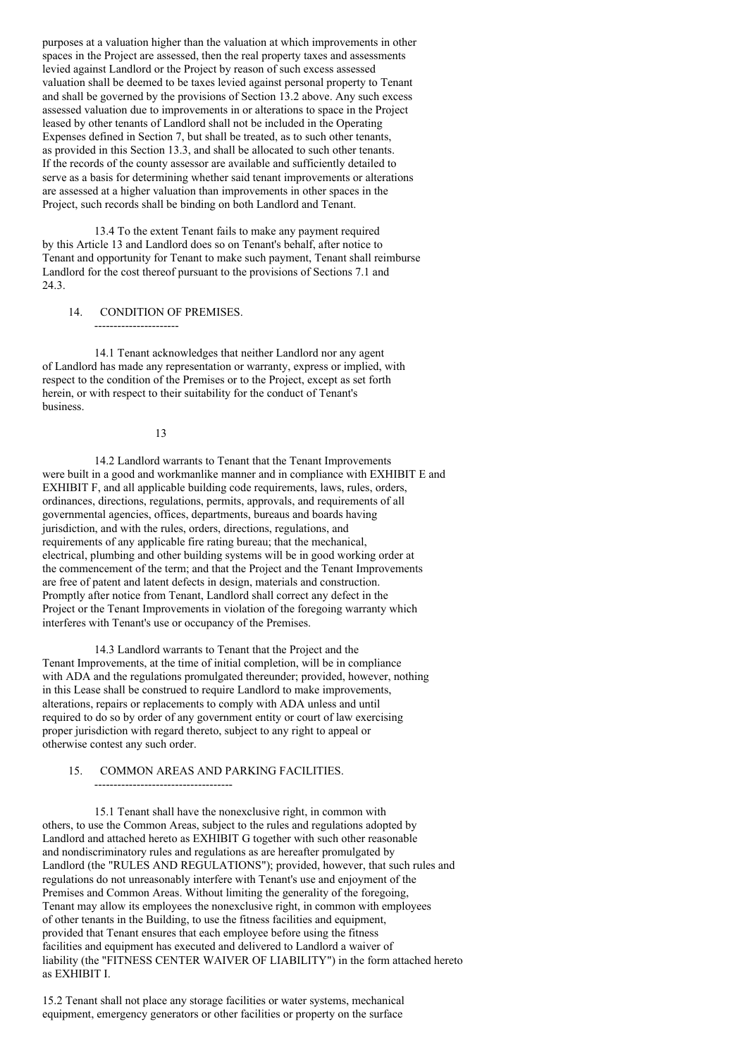purposes at a valuation higher than the valuation at which improvements in other spaces in the Project are assessed, then the real property taxes and assessments levied against Landlord or the Project by reason of such excess assessed valuation shall be deemed to be taxes levied against personal property to Tenant and shall be governed by the provisions of Section 13.2 above. Any such excess assessed valuation due to improvements in or alterations to space in the Project leased by other tenants of Landlord shall not be included in the Operating Expenses defined in Section 7, but shall be treated, as to such other tenants, as provided in this Section 13.3, and shall be allocated to such other tenants. If the records of the county assessor are available and sufficiently detailed to serve as a basis for determining whether said tenant improvements or alterations are assessed at a higher valuation than improvements in other spaces in the Project, such records shall be binding on both Landlord and Tenant.

13.4 To the extent Tenant fails to make any payment required by this Article 13 and Landlord does so on Tenant's behalf, after notice to Tenant and opportunity for Tenant to make such payment, Tenant shall reimburse Landlord for the cost thereof pursuant to the provisions of Sections 7.1 and 24.3.

#### 14. CONDITION OF PREMISES.

----------------------

14.1 Tenant acknowledges that neither Landlord nor any agent of Landlord has made any representation or warranty, express or implied, with respect to the condition of the Premises or to the Project, except as set forth herein, or with respect to their suitability for the conduct of Tenant's business.

13

14.2 Landlord warrants to Tenant that the Tenant Improvements were built in a good and workmanlike manner and in compliance with EXHIBIT E and EXHIBIT F, and all applicable building code requirements, laws, rules, orders, ordinances, directions, regulations, permits, approvals, and requirements of all governmental agencies, offices, departments, bureaus and boards having jurisdiction, and with the rules, orders, directions, regulations, and requirements of any applicable fire rating bureau; that the mechanical, electrical, plumbing and other building systems will be in good working order at the commencement of the term; and that the Project and the Tenant Improvements are free of patent and latent defects in design, materials and construction. Promptly after notice from Tenant, Landlord shall correct any defect in the Project or the Tenant Improvements in violation of the foregoing warranty which interferes with Tenant's use or occupancy of the Premises.

14.3 Landlord warrants to Tenant that the Project and the Tenant Improvements, at the time of initial completion, will be in compliance with ADA and the regulations promulgated thereunder; provided, however, nothing in this Lease shall be construed to require Landlord to make improvements, alterations, repairs or replacements to comply with ADA unless and until required to do so by order of any government entity or court of law exercising proper jurisdiction with regard thereto, subject to any right to appeal or otherwise contest any such order.

#### 15. COMMON AREAS AND PARKING FACILITIES.

------------------------------------

15.1 Tenant shall have the nonexclusive right, in common with others, to use the Common Areas, subject to the rules and regulations adopted by Landlord and attached hereto as EXHIBIT G together with such other reasonable and nondiscriminatory rules and regulations as are hereafter promulgated by Landlord (the "RULES AND REGULATIONS"); provided, however, that such rules and regulations do not unreasonably interfere with Tenant's use and enjoyment of the Premises and Common Areas. Without limiting the generality of the foregoing, Tenant may allow its employees the nonexclusive right, in common with employees of other tenants in the Building, to use the fitness facilities and equipment, provided that Tenant ensures that each employee before using the fitness facilities and equipment has executed and delivered to Landlord a waiver of liability (the "FITNESS CENTER WAIVER OF LIABILITY") in the form attached hereto as EXHIBIT I.

15.2 Tenant shall not place any storage facilities or water systems, mechanical equipment, emergency generators or other facilities or property on the surface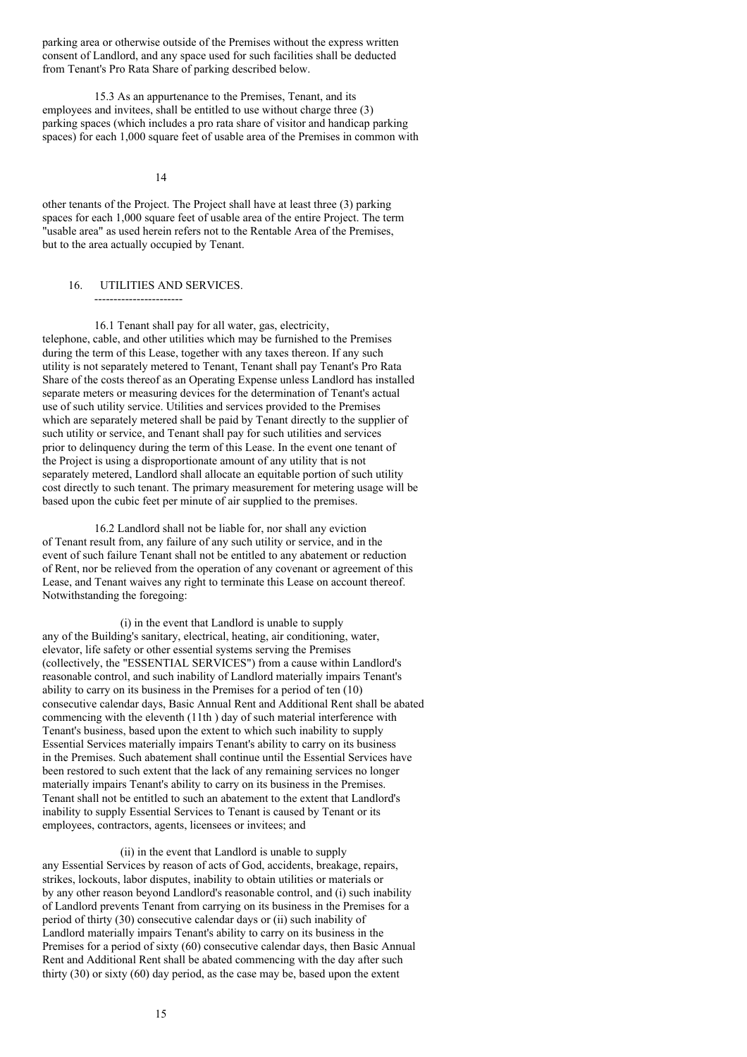parking area or otherwise outside of the Premises without the express written consent of Landlord, and any space used for such facilities shall be deducted from Tenant's Pro Rata Share of parking described below.

15.3 As an appurtenance to the Premises, Tenant, and its employees and invitees, shall be entitled to use without charge three (3) parking spaces (which includes a pro rata share of visitor and handicap parking spaces) for each 1,000 square feet of usable area of the Premises in common with

14

other tenants of the Project. The Project shall have at least three (3) parking spaces for each 1,000 square feet of usable area of the entire Project. The term "usable area" as used herein refers not to the Rentable Area of the Premises, but to the area actually occupied by Tenant.

## 16. UTILITIES AND SERVICES.

-----------------------

16.1 Tenant shall pay for all water, gas, electricity, telephone, cable, and other utilities which may be furnished to the Premises during the term of this Lease, together with any taxes thereon. If any such utility is not separately metered to Tenant, Tenant shall pay Tenant's Pro Rata Share of the costs thereof as an Operating Expense unless Landlord has installed separate meters or measuring devices for the determination of Tenant's actual use of such utility service. Utilities and services provided to the Premises which are separately metered shall be paid by Tenant directly to the supplier of such utility or service, and Tenant shall pay for such utilities and services prior to delinquency during the term of this Lease. In the event one tenant of the Project is using a disproportionate amount of any utility that is not separately metered, Landlord shall allocate an equitable portion of such utility cost directly to such tenant. The primary measurement for metering usage will be based upon the cubic feet per minute of air supplied to the premises.

16.2 Landlord shall not be liable for, nor shall any eviction of Tenant result from, any failure of any such utility or service, and in the event of such failure Tenant shall not be entitled to any abatement or reduction of Rent, nor be relieved from the operation of any covenant or agreement of this Lease, and Tenant waives any right to terminate this Lease on account thereof. Notwithstanding the foregoing:

(i) in the event that Landlord is unable to supply any of the Building's sanitary, electrical, heating, air conditioning, water, elevator, life safety or other essential systems serving the Premises (collectively, the "ESSENTIAL SERVICES") from a cause within Landlord's reasonable control, and such inability of Landlord materially impairs Tenant's ability to carry on its business in the Premises for a period of ten (10) consecutive calendar days, Basic Annual Rent and Additional Rent shall be abated commencing with the eleventh (11th ) day of such material interference with Tenant's business, based upon the extent to which such inability to supply Essential Services materially impairs Tenant's ability to carry on its business in the Premises. Such abatement shall continue until the Essential Services have been restored to such extent that the lack of any remaining services no longer materially impairs Tenant's ability to carry on its business in the Premises. Tenant shall not be entitled to such an abatement to the extent that Landlord's inability to supply Essential Services to Tenant is caused by Tenant or its employees, contractors, agents, licensees or invitees; and

(ii) in the event that Landlord is unable to supply any Essential Services by reason of acts of God, accidents, breakage, repairs, strikes, lockouts, labor disputes, inability to obtain utilities or materials or by any other reason beyond Landlord's reasonable control, and (i) such inability of Landlord prevents Tenant from carrying on its business in the Premises for a period of thirty (30) consecutive calendar days or (ii) such inability of Landlord materially impairs Tenant's ability to carry on its business in the Premises for a period of sixty (60) consecutive calendar days, then Basic Annual Rent and Additional Rent shall be abated commencing with the day after such thirty (30) or sixty (60) day period, as the case may be, based upon the extent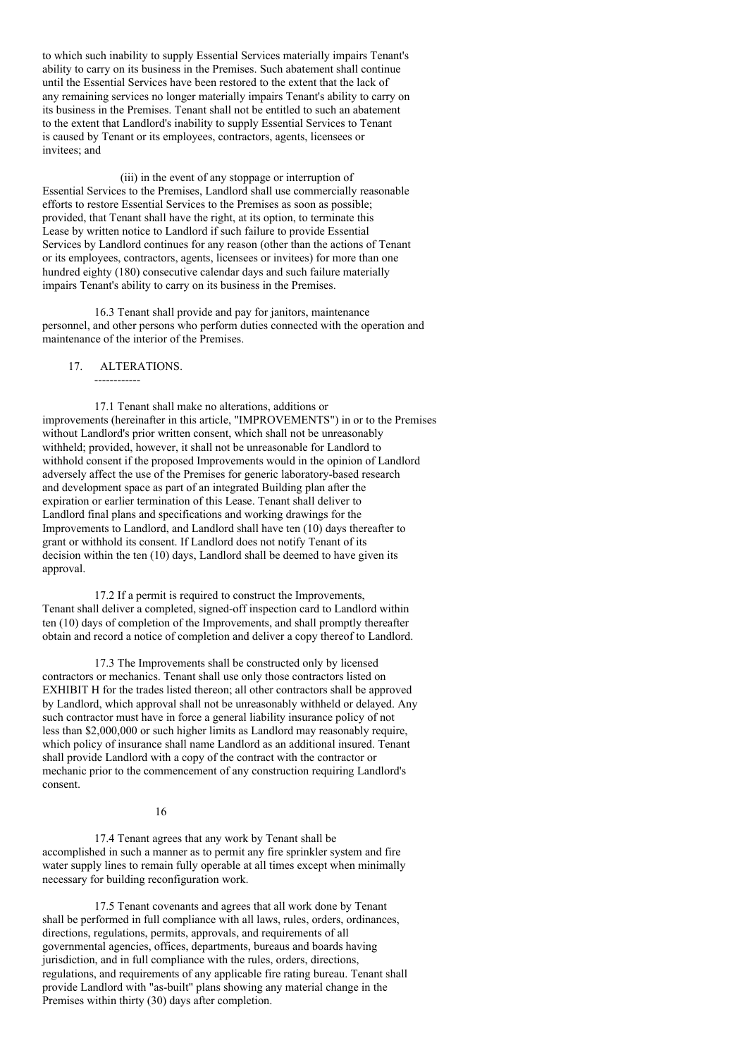to which such inability to supply Essential Services materially impairs Tenant's ability to carry on its business in the Premises. Such abatement shall continue until the Essential Services have been restored to the extent that the lack of any remaining services no longer materially impairs Tenant's ability to carry on its business in the Premises. Tenant shall not be entitled to such an abatement to the extent that Landlord's inability to supply Essential Services to Tenant is caused by Tenant or its employees, contractors, agents, licensees or invitees; and

(iii) in the event of any stoppage or interruption of Essential Services to the Premises, Landlord shall use commercially reasonable efforts to restore Essential Services to the Premises as soon as possible; provided, that Tenant shall have the right, at its option, to terminate this Lease by written notice to Landlord if such failure to provide Essential Services by Landlord continues for any reason (other than the actions of Tenant or its employees, contractors, agents, licensees or invitees) for more than one hundred eighty (180) consecutive calendar days and such failure materially impairs Tenant's ability to carry on its business in the Premises.

16.3 Tenant shall provide and pay for janitors, maintenance personnel, and other persons who perform duties connected with the operation and maintenance of the interior of the Premises.

## 17. ALTERATIONS. ------------

17.1 Tenant shall make no alterations, additions or improvements (hereinafter in this article, "IMPROVEMENTS") in or to the Premises without Landlord's prior written consent, which shall not be unreasonably withheld; provided, however, it shall not be unreasonable for Landlord to withhold consent if the proposed Improvements would in the opinion of Landlord adversely affect the use of the Premises for generic laboratory-based research and development space as part of an integrated Building plan after the expiration or earlier termination of this Lease. Tenant shall deliver to Landlord final plans and specifications and working drawings for the Improvements to Landlord, and Landlord shall have ten (10) days thereafter to grant or withhold its consent. If Landlord does not notify Tenant of its decision within the ten (10) days, Landlord shall be deemed to have given its approval.

17.2 If a permit is required to construct the Improvements, Tenant shall deliver a completed, signed-off inspection card to Landlord within ten (10) days of completion of the Improvements, and shall promptly thereafter obtain and record a notice of completion and deliver a copy thereof to Landlord.

17.3 The Improvements shall be constructed only by licensed contractors or mechanics. Tenant shall use only those contractors listed on EXHIBIT H for the trades listed thereon; all other contractors shall be approved by Landlord, which approval shall not be unreasonably withheld or delayed. Any such contractor must have in force a general liability insurance policy of not less than \$2,000,000 or such higher limits as Landlord may reasonably require, which policy of insurance shall name Landlord as an additional insured. Tenant shall provide Landlord with a copy of the contract with the contractor or mechanic prior to the commencement of any construction requiring Landlord's consent.

#### 16

17.4 Tenant agrees that any work by Tenant shall be accomplished in such a manner as to permit any fire sprinkler system and fire water supply lines to remain fully operable at all times except when minimally necessary for building reconfiguration work.

17.5 Tenant covenants and agrees that all work done by Tenant shall be performed in full compliance with all laws, rules, orders, ordinances, directions, regulations, permits, approvals, and requirements of all governmental agencies, offices, departments, bureaus and boards having jurisdiction, and in full compliance with the rules, orders, directions, regulations, and requirements of any applicable fire rating bureau. Tenant shall provide Landlord with "as-built" plans showing any material change in the Premises within thirty (30) days after completion.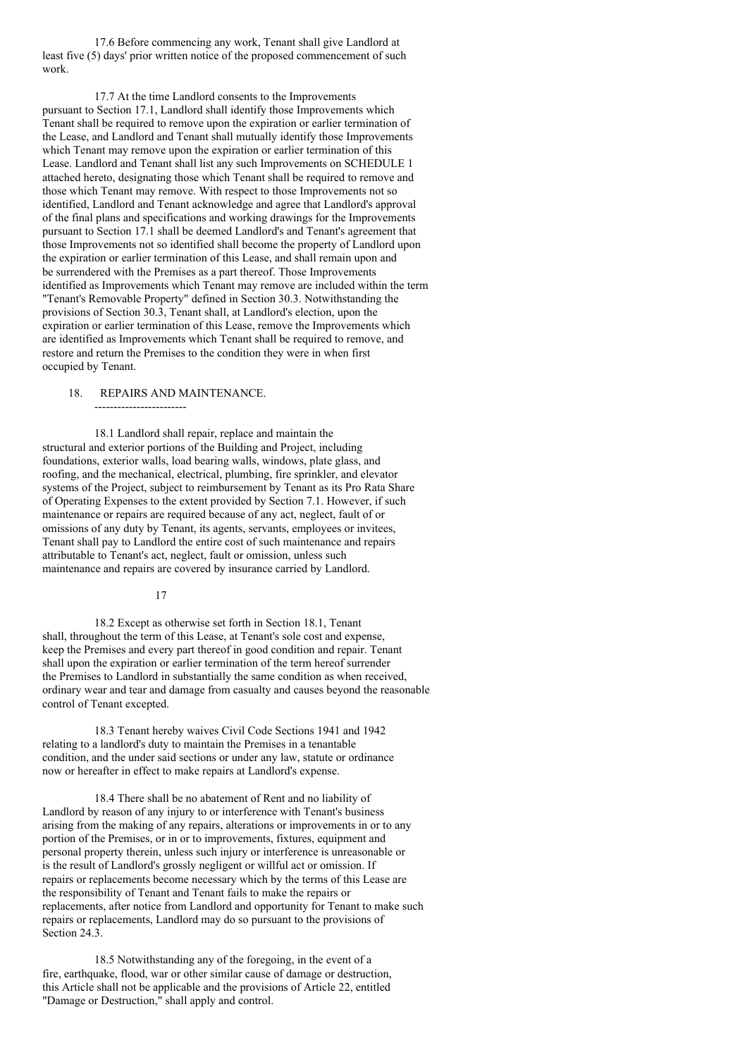17.6 Before commencing any work, Tenant shall give Landlord at least five (5) days' prior written notice of the proposed commencement of such work.

17.7 At the time Landlord consents to the Improvements pursuant to Section 17.1, Landlord shall identify those Improvements which Tenant shall be required to remove upon the expiration or earlier termination of the Lease, and Landlord and Tenant shall mutually identify those Improvements which Tenant may remove upon the expiration or earlier termination of this Lease. Landlord and Tenant shall list any such Improvements on SCHEDULE 1 attached hereto, designating those which Tenant shall be required to remove and those which Tenant may remove. With respect to those Improvements not so identified, Landlord and Tenant acknowledge and agree that Landlord's approval of the final plans and specifications and working drawings for the Improvements pursuant to Section 17.1 shall be deemed Landlord's and Tenant's agreement that those Improvements not so identified shall become the property of Landlord upon the expiration or earlier termination of this Lease, and shall remain upon and be surrendered with the Premises as a part thereof. Those Improvements identified as Improvements which Tenant may remove are included within the term "Tenant's Removable Property" defined in Section 30.3. Notwithstanding the provisions of Section 30.3, Tenant shall, at Landlord's election, upon the expiration or earlier termination of this Lease, remove the Improvements which are identified as Improvements which Tenant shall be required to remove, and restore and return the Premises to the condition they were in when first occupied by Tenant.

# 18. REPAIRS AND MAINTENANCE.

------------------------

18.1 Landlord shall repair, replace and maintain the structural and exterior portions of the Building and Project, including foundations, exterior walls, load bearing walls, windows, plate glass, and roofing, and the mechanical, electrical, plumbing, fire sprinkler, and elevator systems of the Project, subject to reimbursement by Tenant as its Pro Rata Share of Operating Expenses to the extent provided by Section 7.1. However, if such maintenance or repairs are required because of any act, neglect, fault of or omissions of any duty by Tenant, its agents, servants, employees or invitees, Tenant shall pay to Landlord the entire cost of such maintenance and repairs attributable to Tenant's act, neglect, fault or omission, unless such maintenance and repairs are covered by insurance carried by Landlord.

#### 17

18.2 Except as otherwise set forth in Section 18.1, Tenant shall, throughout the term of this Lease, at Tenant's sole cost and expense, keep the Premises and every part thereof in good condition and repair. Tenant shall upon the expiration or earlier termination of the term hereof surrender the Premises to Landlord in substantially the same condition as when received, ordinary wear and tear and damage from casualty and causes beyond the reasonable control of Tenant excepted.

18.3 Tenant hereby waives Civil Code Sections 1941 and 1942 relating to a landlord's duty to maintain the Premises in a tenantable condition, and the under said sections or under any law, statute or ordinance now or hereafter in effect to make repairs at Landlord's expense.

18.4 There shall be no abatement of Rent and no liability of Landlord by reason of any injury to or interference with Tenant's business arising from the making of any repairs, alterations or improvements in or to any portion of the Premises, or in or to improvements, fixtures, equipment and personal property therein, unless such injury or interference is unreasonable or is the result of Landlord's grossly negligent or willful act or omission. If repairs or replacements become necessary which by the terms of this Lease are the responsibility of Tenant and Tenant fails to make the repairs or replacements, after notice from Landlord and opportunity for Tenant to make such repairs or replacements, Landlord may do so pursuant to the provisions of Section 24.3.

18.5 Notwithstanding any of the foregoing, in the event of a fire, earthquake, flood, war or other similar cause of damage or destruction, this Article shall not be applicable and the provisions of Article 22, entitled "Damage or Destruction," shall apply and control.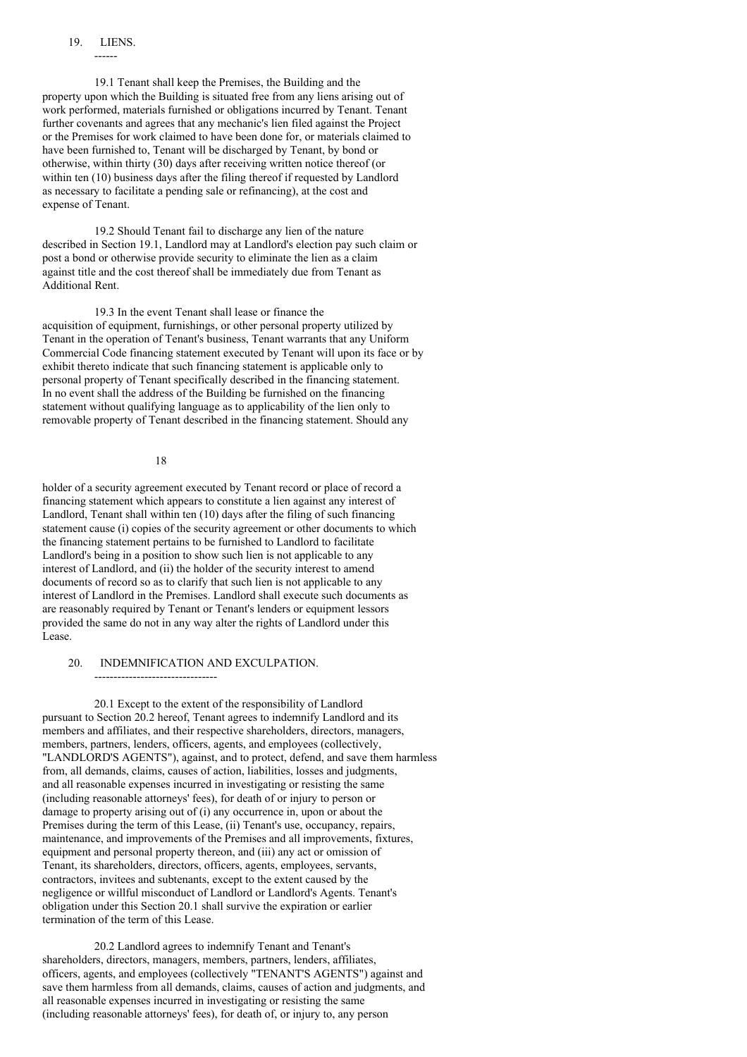### 19. LIENS.

#### ------

19.1 Tenant shall keep the Premises, the Building and the property upon which the Building is situated free from any liens arising out of work performed, materials furnished or obligations incurred by Tenant. Tenant further covenants and agrees that any mechanic's lien filed against the Project or the Premises for work claimed to have been done for, or materials claimed to have been furnished to, Tenant will be discharged by Tenant, by bond or otherwise, within thirty (30) days after receiving written notice thereof (or within ten (10) business days after the filing thereof if requested by Landlord as necessary to facilitate a pending sale or refinancing), at the cost and expense of Tenant.

19.2 Should Tenant fail to discharge any lien of the nature described in Section 19.1, Landlord may at Landlord's election pay such claim or post a bond or otherwise provide security to eliminate the lien as a claim against title and the cost thereof shall be immediately due from Tenant as Additional Rent.

19.3 In the event Tenant shall lease or finance the acquisition of equipment, furnishings, or other personal property utilized by Tenant in the operation of Tenant's business, Tenant warrants that any Uniform Commercial Code financing statement executed by Tenant will upon its face or by exhibit thereto indicate that such financing statement is applicable only to personal property of Tenant specifically described in the financing statement. In no event shall the address of the Building be furnished on the financing statement without qualifying language as to applicability of the lien only to removable property of Tenant described in the financing statement. Should any

## 18

holder of a security agreement executed by Tenant record or place of record a financing statement which appears to constitute a lien against any interest of Landlord, Tenant shall within ten (10) days after the filing of such financing statement cause (i) copies of the security agreement or other documents to which the financing statement pertains to be furnished to Landlord to facilitate Landlord's being in a position to show such lien is not applicable to any interest of Landlord, and (ii) the holder of the security interest to amend documents of record so as to clarify that such lien is not applicable to any interest of Landlord in the Premises. Landlord shall execute such documents as are reasonably required by Tenant or Tenant's lenders or equipment lessors provided the same do not in any way alter the rights of Landlord under this Lease.

## 20. INDEMNIFICATION AND EXCULPATION.

--------------------------------

20.1 Except to the extent of the responsibility of Landlord pursuant to Section 20.2 hereof, Tenant agrees to indemnify Landlord and its members and affiliates, and their respective shareholders, directors, managers, members, partners, lenders, officers, agents, and employees (collectively, "LANDLORD'S AGENTS"), against, and to protect, defend, and save them harmless from, all demands, claims, causes of action, liabilities, losses and judgments, and all reasonable expenses incurred in investigating or resisting the same (including reasonable attorneys' fees), for death of or injury to person or damage to property arising out of (i) any occurrence in, upon or about the Premises during the term of this Lease, (ii) Tenant's use, occupancy, repairs, maintenance, and improvements of the Premises and all improvements, fixtures, equipment and personal property thereon, and (iii) any act or omission of Tenant, its shareholders, directors, officers, agents, employees, servants, contractors, invitees and subtenants, except to the extent caused by the negligence or willful misconduct of Landlord or Landlord's Agents. Tenant's obligation under this Section 20.1 shall survive the expiration or earlier termination of the term of this Lease.

20.2 Landlord agrees to indemnify Tenant and Tenant's shareholders, directors, managers, members, partners, lenders, affiliates, officers, agents, and employees (collectively "TENANT'S AGENTS") against and save them harmless from all demands, claims, causes of action and judgments, and all reasonable expenses incurred in investigating or resisting the same (including reasonable attorneys' fees), for death of, or injury to, any person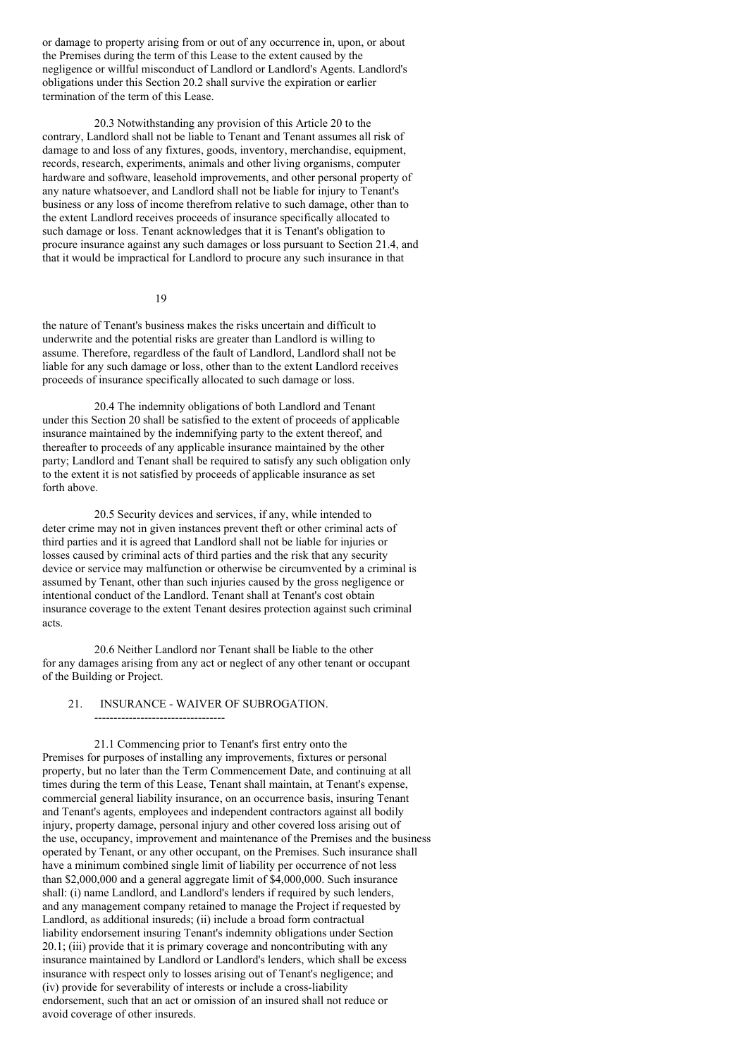or damage to property arising from or out of any occurrence in, upon, or about the Premises during the term of this Lease to the extent caused by the negligence or willful misconduct of Landlord or Landlord's Agents. Landlord's obligations under this Section 20.2 shall survive the expiration or earlier termination of the term of this Lease.

20.3 Notwithstanding any provision of this Article 20 to the contrary, Landlord shall not be liable to Tenant and Tenant assumes all risk of damage to and loss of any fixtures, goods, inventory, merchandise, equipment, records, research, experiments, animals and other living organisms, computer hardware and software, leasehold improvements, and other personal property of any nature whatsoever, and Landlord shall not be liable for injury to Tenant's business or any loss of income therefrom relative to such damage, other than to the extent Landlord receives proceeds of insurance specifically allocated to such damage or loss. Tenant acknowledges that it is Tenant's obligation to procure insurance against any such damages or loss pursuant to Section 21.4, and that it would be impractical for Landlord to procure any such insurance in that

#### 19

the nature of Tenant's business makes the risks uncertain and difficult to underwrite and the potential risks are greater than Landlord is willing to assume. Therefore, regardless of the fault of Landlord, Landlord shall not be liable for any such damage or loss, other than to the extent Landlord receives proceeds of insurance specifically allocated to such damage or loss.

20.4 The indemnity obligations of both Landlord and Tenant under this Section 20 shall be satisfied to the extent of proceeds of applicable insurance maintained by the indemnifying party to the extent thereof, and thereafter to proceeds of any applicable insurance maintained by the other party; Landlord and Tenant shall be required to satisfy any such obligation only to the extent it is not satisfied by proceeds of applicable insurance as set forth above.

20.5 Security devices and services, if any, while intended to deter crime may not in given instances prevent theft or other criminal acts of third parties and it is agreed that Landlord shall not be liable for injuries or losses caused by criminal acts of third parties and the risk that any security device or service may malfunction or otherwise be circumvented by a criminal is assumed by Tenant, other than such injuries caused by the gross negligence or intentional conduct of the Landlord. Tenant shall at Tenant's cost obtain insurance coverage to the extent Tenant desires protection against such criminal acts.

20.6 Neither Landlord nor Tenant shall be liable to the other for any damages arising from any act or neglect of any other tenant or occupant of the Building or Project.

## 21. INSURANCE - WAIVER OF SUBROGATION. ----------------------------------

21.1 Commencing prior to Tenant's first entry onto the

Premises for purposes of installing any improvements, fixtures or personal property, but no later than the Term Commencement Date, and continuing at all times during the term of this Lease, Tenant shall maintain, at Tenant's expense, commercial general liability insurance, on an occurrence basis, insuring Tenant and Tenant's agents, employees and independent contractors against all bodily injury, property damage, personal injury and other covered loss arising out of the use, occupancy, improvement and maintenance of the Premises and the business operated by Tenant, or any other occupant, on the Premises. Such insurance shall have a minimum combined single limit of liability per occurrence of not less than \$2,000,000 and a general aggregate limit of \$4,000,000. Such insurance shall: (i) name Landlord, and Landlord's lenders if required by such lenders, and any management company retained to manage the Project if requested by Landlord, as additional insureds; (ii) include a broad form contractual liability endorsement insuring Tenant's indemnity obligations under Section 20.1; (iii) provide that it is primary coverage and noncontributing with any insurance maintained by Landlord or Landlord's lenders, which shall be excess insurance with respect only to losses arising out of Tenant's negligence; and (iv) provide for severability of interests or include a cross-liability endorsement, such that an act or omission of an insured shall not reduce or avoid coverage of other insureds.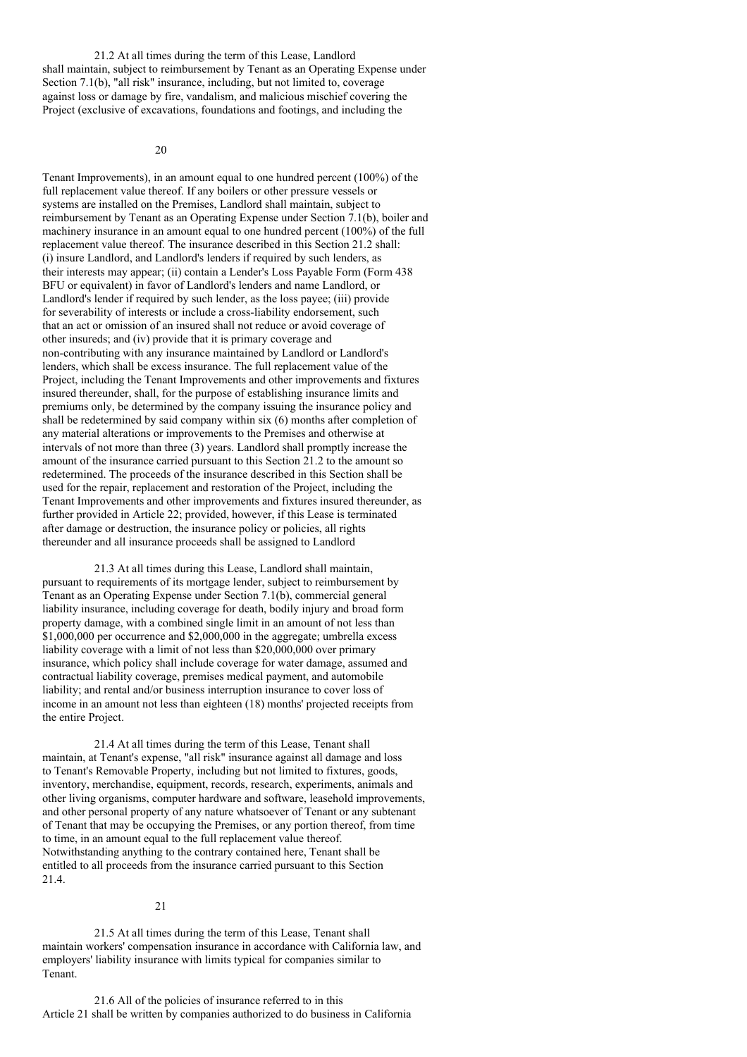21.2 At all times during the term of this Lease, Landlord shall maintain, subject to reimbursement by Tenant as an Operating Expense under Section 7.1(b), "all risk" insurance, including, but not limited to, coverage against loss or damage by fire, vandalism, and malicious mischief covering the Project (exclusive of excavations, foundations and footings, and including the

 $20$ 

Tenant Improvements), in an amount equal to one hundred percent (100%) of the full replacement value thereof. If any boilers or other pressure vessels or systems are installed on the Premises, Landlord shall maintain, subject to reimbursement by Tenant as an Operating Expense under Section 7.1(b), boiler and machinery insurance in an amount equal to one hundred percent (100%) of the full replacement value thereof. The insurance described in this Section 21.2 shall: (i) insure Landlord, and Landlord's lenders if required by such lenders, as their interests may appear; (ii) contain a Lender's Loss Payable Form (Form 438 BFU or equivalent) in favor of Landlord's lenders and name Landlord, or Landlord's lender if required by such lender, as the loss payee; (iii) provide for severability of interests or include a cross-liability endorsement, such that an act or omission of an insured shall not reduce or avoid coverage of other insureds; and (iv) provide that it is primary coverage and non-contributing with any insurance maintained by Landlord or Landlord's lenders, which shall be excess insurance. The full replacement value of the Project, including the Tenant Improvements and other improvements and fixtures insured thereunder, shall, for the purpose of establishing insurance limits and premiums only, be determined by the company issuing the insurance policy and shall be redetermined by said company within six (6) months after completion of any material alterations or improvements to the Premises and otherwise at intervals of not more than three (3) years. Landlord shall promptly increase the amount of the insurance carried pursuant to this Section 21.2 to the amount so redetermined. The proceeds of the insurance described in this Section shall be used for the repair, replacement and restoration of the Project, including the Tenant Improvements and other improvements and fixtures insured thereunder, as further provided in Article 22; provided, however, if this Lease is terminated after damage or destruction, the insurance policy or policies, all rights thereunder and all insurance proceeds shall be assigned to Landlord

21.3 At all times during this Lease, Landlord shall maintain, pursuant to requirements of its mortgage lender, subject to reimbursement by Tenant as an Operating Expense under Section 7.1(b), commercial general liability insurance, including coverage for death, bodily injury and broad form property damage, with a combined single limit in an amount of not less than \$1,000,000 per occurrence and \$2,000,000 in the aggregate; umbrella excess liability coverage with a limit of not less than \$20,000,000 over primary insurance, which policy shall include coverage for water damage, assumed and contractual liability coverage, premises medical payment, and automobile liability; and rental and/or business interruption insurance to cover loss of income in an amount not less than eighteen (18) months' projected receipts from the entire Project.

21.4 At all times during the term of this Lease, Tenant shall maintain, at Tenant's expense, "all risk" insurance against all damage and loss to Tenant's Removable Property, including but not limited to fixtures, goods, inventory, merchandise, equipment, records, research, experiments, animals and other living organisms, computer hardware and software, leasehold improvements, and other personal property of any nature whatsoever of Tenant or any subtenant of Tenant that may be occupying the Premises, or any portion thereof, from time to time, in an amount equal to the full replacement value thereof. Notwithstanding anything to the contrary contained here, Tenant shall be entitled to all proceeds from the insurance carried pursuant to this Section 21.4.

21

21.5 At all times during the term of this Lease, Tenant shall maintain workers' compensation insurance in accordance with California law, and employers' liability insurance with limits typical for companies similar to Tenant.

21.6 All of the policies of insurance referred to in this Article 21 shall be written by companies authorized to do business in California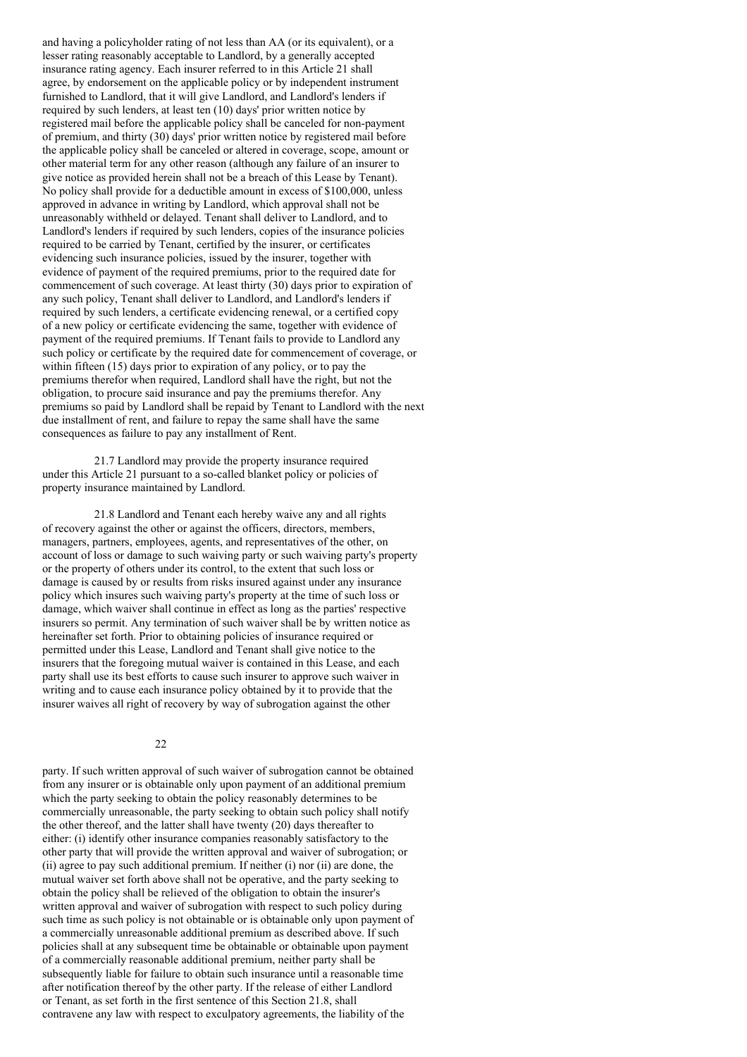and having a policyholder rating of not less than AA (or its equivalent), or a lesser rating reasonably acceptable to Landlord, by a generally accepted insurance rating agency. Each insurer referred to in this Article 21 shall agree, by endorsement on the applicable policy or by independent instrument furnished to Landlord, that it will give Landlord, and Landlord's lenders if required by such lenders, at least ten (10) days' prior written notice by registered mail before the applicable policy shall be canceled for non-payment of premium, and thirty (30) days' prior written notice by registered mail before the applicable policy shall be canceled or altered in coverage, scope, amount or other material term for any other reason (although any failure of an insurer to give notice as provided herein shall not be a breach of this Lease by Tenant). No policy shall provide for a deductible amount in excess of \$100,000, unless approved in advance in writing by Landlord, which approval shall not be unreasonably withheld or delayed. Tenant shall deliver to Landlord, and to Landlord's lenders if required by such lenders, copies of the insurance policies required to be carried by Tenant, certified by the insurer, or certificates evidencing such insurance policies, issued by the insurer, together with evidence of payment of the required premiums, prior to the required date for commencement of such coverage. At least thirty (30) days prior to expiration of any such policy, Tenant shall deliver to Landlord, and Landlord's lenders if required by such lenders, a certificate evidencing renewal, or a certified copy of a new policy or certificate evidencing the same, together with evidence of payment of the required premiums. If Tenant fails to provide to Landlord any such policy or certificate by the required date for commencement of coverage, or within fifteen (15) days prior to expiration of any policy, or to pay the premiums therefor when required, Landlord shall have the right, but not the obligation, to procure said insurance and pay the premiums therefor. Any premiums so paid by Landlord shall be repaid by Tenant to Landlord with the next due installment of rent, and failure to repay the same shall have the same consequences as failure to pay any installment of Rent.

21.7 Landlord may provide the property insurance required under this Article 21 pursuant to a so-called blanket policy or policies of property insurance maintained by Landlord.

21.8 Landlord and Tenant each hereby waive any and all rights of recovery against the other or against the officers, directors, members, managers, partners, employees, agents, and representatives of the other, on account of loss or damage to such waiving party or such waiving party's property or the property of others under its control, to the extent that such loss or damage is caused by or results from risks insured against under any insurance policy which insures such waiving party's property at the time of such loss or damage, which waiver shall continue in effect as long as the parties' respective insurers so permit. Any termination of such waiver shall be by written notice as hereinafter set forth. Prior to obtaining policies of insurance required or permitted under this Lease, Landlord and Tenant shall give notice to the insurers that the foregoing mutual waiver is contained in this Lease, and each party shall use its best efforts to cause such insurer to approve such waiver in writing and to cause each insurance policy obtained by it to provide that the insurer waives all right of recovery by way of subrogation against the other

#### 22

party. If such written approval of such waiver of subrogation cannot be obtained from any insurer or is obtainable only upon payment of an additional premium which the party seeking to obtain the policy reasonably determines to be commercially unreasonable, the party seeking to obtain such policy shall notify the other thereof, and the latter shall have twenty (20) days thereafter to either: (i) identify other insurance companies reasonably satisfactory to the other party that will provide the written approval and waiver of subrogation; or (ii) agree to pay such additional premium. If neither (i) nor (ii) are done, the mutual waiver set forth above shall not be operative, and the party seeking to obtain the policy shall be relieved of the obligation to obtain the insurer's written approval and waiver of subrogation with respect to such policy during such time as such policy is not obtainable or is obtainable only upon payment of a commercially unreasonable additional premium as described above. If such policies shall at any subsequent time be obtainable or obtainable upon payment of a commercially reasonable additional premium, neither party shall be subsequently liable for failure to obtain such insurance until a reasonable time after notification thereof by the other party. If the release of either Landlord or Tenant, as set forth in the first sentence of this Section 21.8, shall contravene any law with respect to exculpatory agreements, the liability of the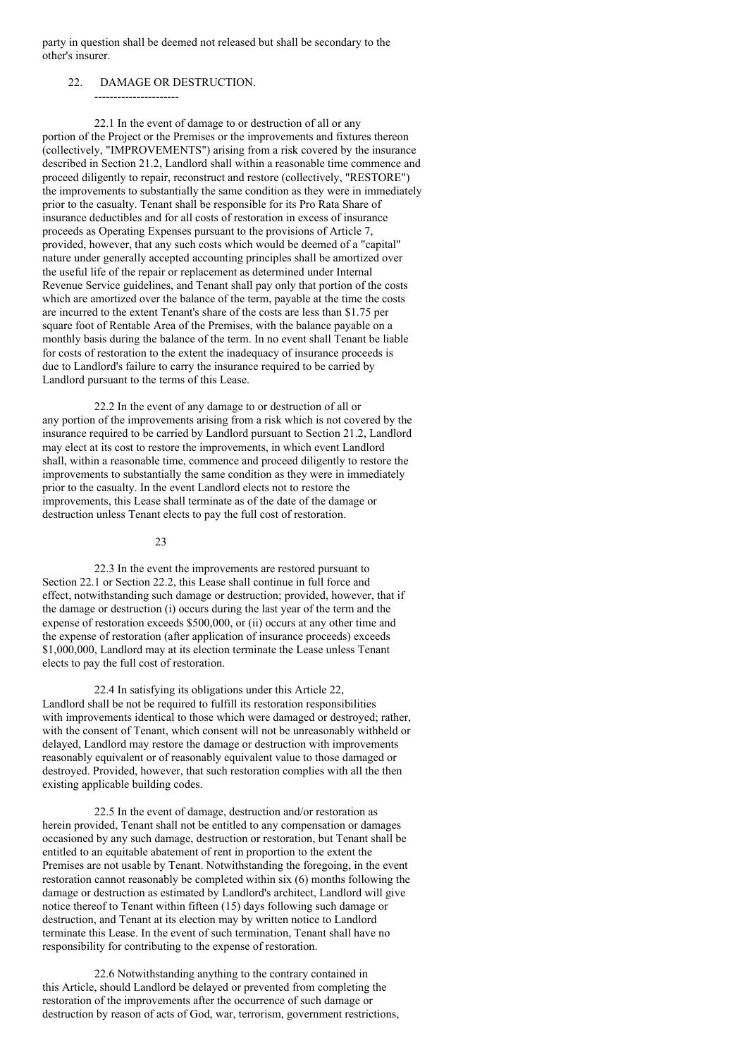party in question shall be deemed not released but shall be secondary to the other's insurer.

# 22. DAMAGE OR DESTRUCTION.

----------------------

22.1 In the event of damage to or destruction of all or any portion of the Project or the Premises or the improvements and fixtures thereon (collectively, "IMPROVEMENTS") arising from a risk covered by the insurance described in Section 21.2, Landlord shall within a reasonable time commence and proceed diligently to repair, reconstruct and restore (collectively, "RESTORE") the improvements to substantially the same condition as they were in immediately prior to the casualty. Tenant shall be responsible for its Pro Rata Share of insurance deductibles and for all costs of restoration in excess of insurance proceeds as Operating Expenses pursuant to the provisions of Article 7, provided, however, that any such costs which would be deemed of a "capital" nature under generally accepted accounting principles shall be amortized over the useful life of the repair or replacement as determined under Internal Revenue Service guidelines, and Tenant shall pay only that portion of the costs which are amortized over the balance of the term, payable at the time the costs are incurred to the extent Tenant's share of the costs are less than \$1.75 per square foot of Rentable Area of the Premises, with the balance payable on a monthly basis during the balance of the term. In no event shall Tenant be liable for costs of restoration to the extent the inadequacy of insurance proceeds is due to Landlord's failure to carry the insurance required to be carried by Landlord pursuant to the terms of this Lease.

22.2 In the event of any damage to or destruction of all or any portion of the improvements arising from a risk which is not covered by the insurance required to be carried by Landlord pursuant to Section 21.2, Landlord may elect at its cost to restore the improvements, in which event Landlord shall, within a reasonable time, commence and proceed diligently to restore the improvements to substantially the same condition as they were in immediately prior to the casualty. In the event Landlord elects not to restore the improvements, this Lease shall terminate as of the date of the damage or destruction unless Tenant elects to pay the full cost of restoration.

## 23

22.3 In the event the improvements are restored pursuant to Section 22.1 or Section 22.2, this Lease shall continue in full force and effect, notwithstanding such damage or destruction; provided, however, that if the damage or destruction (i) occurs during the last year of the term and the expense of restoration exceeds \$500,000, or (ii) occurs at any other time and the expense of restoration (after application of insurance proceeds) exceeds \$1,000,000, Landlord may at its election terminate the Lease unless Tenant elects to pay the full cost of restoration.

22.4 In satisfying its obligations under this Article 22, Landlord shall be not be required to fulfill its restoration responsibilities with improvements identical to those which were damaged or destroyed; rather, with the consent of Tenant, which consent will not be unreasonably withheld or delayed, Landlord may restore the damage or destruction with improvements reasonably equivalent or of reasonably equivalent value to those damaged or destroyed. Provided, however, that such restoration complies with all the then existing applicable building codes.

22.5 In the event of damage, destruction and/or restoration as herein provided, Tenant shall not be entitled to any compensation or damages occasioned by any such damage, destruction or restoration, but Tenant shall be entitled to an equitable abatement of rent in proportion to the extent the Premises are not usable by Tenant. Notwithstanding the foregoing, in the event restoration cannot reasonably be completed within six (6) months following the damage or destruction as estimated by Landlord's architect, Landlord will give notice thereof to Tenant within fifteen (15) days following such damage or destruction, and Tenant at its election may by written notice to Landlord terminate this Lease. In the event of such termination, Tenant shall have no responsibility for contributing to the expense of restoration.

22.6 Notwithstanding anything to the contrary contained in this Article, should Landlord be delayed or prevented from completing the restoration of the improvements after the occurrence of such damage or destruction by reason of acts of God, war, terrorism, government restrictions,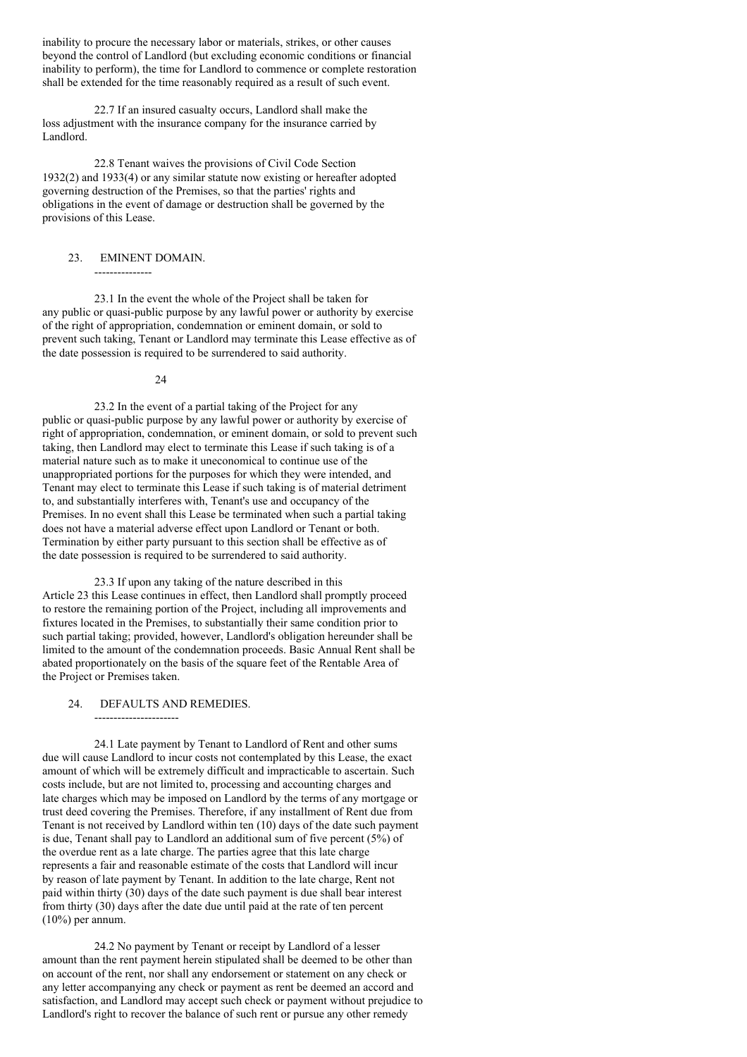inability to procure the necessary labor or materials, strikes, or other causes beyond the control of Landlord (but excluding economic conditions or financial inability to perform), the time for Landlord to commence or complete restoration shall be extended for the time reasonably required as a result of such event.

22.7 If an insured casualty occurs, Landlord shall make the loss adjustment with the insurance company for the insurance carried by Landlord.

22.8 Tenant waives the provisions of Civil Code Section 1932(2) and 1933(4) or any similar statute now existing or hereafter adopted governing destruction of the Premises, so that the parties' rights and obligations in the event of damage or destruction shall be governed by the provisions of this Lease.

23. EMINENT DOMAIN.

---------------

23.1 In the event the whole of the Project shall be taken for any public or quasi-public purpose by any lawful power or authority by exercise of the right of appropriation, condemnation or eminent domain, or sold to prevent such taking, Tenant or Landlord may terminate this Lease effective as of the date possession is required to be surrendered to said authority.

24

23.2 In the event of a partial taking of the Project for any public or quasi-public purpose by any lawful power or authority by exercise of right of appropriation, condemnation, or eminent domain, or sold to prevent such taking, then Landlord may elect to terminate this Lease if such taking is of a material nature such as to make it uneconomical to continue use of the unappropriated portions for the purposes for which they were intended, and Tenant may elect to terminate this Lease if such taking is of material detriment to, and substantially interferes with, Tenant's use and occupancy of the Premises. In no event shall this Lease be terminated when such a partial taking does not have a material adverse effect upon Landlord or Tenant or both. Termination by either party pursuant to this section shall be effective as of the date possession is required to be surrendered to said authority.

23.3 If upon any taking of the nature described in this Article 23 this Lease continues in effect, then Landlord shall promptly proceed to restore the remaining portion of the Project, including all improvements and fixtures located in the Premises, to substantially their same condition prior to such partial taking; provided, however, Landlord's obligation hereunder shall be limited to the amount of the condemnation proceeds. Basic Annual Rent shall be abated proportionately on the basis of the square feet of the Rentable Area of the Project or Premises taken.

#### 24. DEFAULTS AND REMEDIES.

----------------------

24.1 Late payment by Tenant to Landlord of Rent and other sums due will cause Landlord to incur costs not contemplated by this Lease, the exact amount of which will be extremely difficult and impracticable to ascertain. Such costs include, but are not limited to, processing and accounting charges and late charges which may be imposed on Landlord by the terms of any mortgage or trust deed covering the Premises. Therefore, if any installment of Rent due from Tenant is not received by Landlord within ten (10) days of the date such payment is due, Tenant shall pay to Landlord an additional sum of five percent (5%) of the overdue rent as a late charge. The parties agree that this late charge represents a fair and reasonable estimate of the costs that Landlord will incur by reason of late payment by Tenant. In addition to the late charge, Rent not paid within thirty (30) days of the date such payment is due shall bear interest from thirty (30) days after the date due until paid at the rate of ten percent  $(10\%)$  per annum.

24.2 No payment by Tenant or receipt by Landlord of a lesser amount than the rent payment herein stipulated shall be deemed to be other than on account of the rent, nor shall any endorsement or statement on any check or any letter accompanying any check or payment as rent be deemed an accord and satisfaction, and Landlord may accept such check or payment without prejudice to Landlord's right to recover the balance of such rent or pursue any other remedy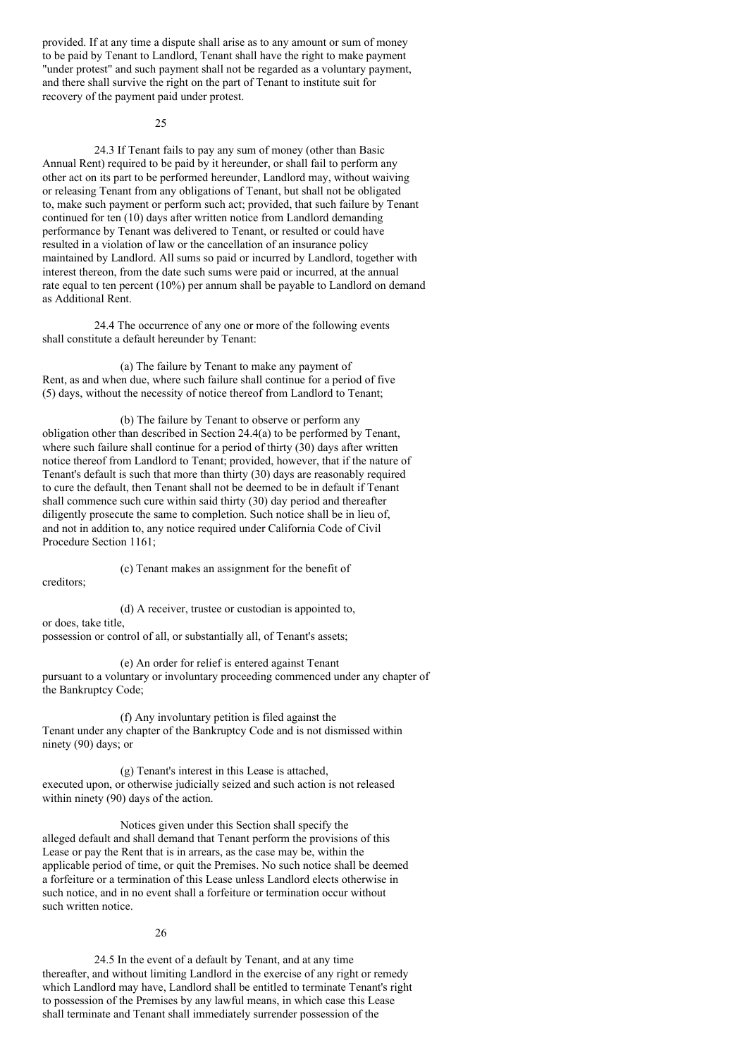provided. If at any time a dispute shall arise as to any amount or sum of money to be paid by Tenant to Landlord, Tenant shall have the right to make payment "under protest" and such payment shall not be regarded as a voluntary payment, and there shall survive the right on the part of Tenant to institute suit for recovery of the payment paid under protest.

25

24.3 If Tenant fails to pay any sum of money (other than Basic Annual Rent) required to be paid by it hereunder, or shall fail to perform any other act on its part to be performed hereunder, Landlord may, without waiving or releasing Tenant from any obligations of Tenant, but shall not be obligated to, make such payment or perform such act; provided, that such failure by Tenant continued for ten (10) days after written notice from Landlord demanding performance by Tenant was delivered to Tenant, or resulted or could have resulted in a violation of law or the cancellation of an insurance policy maintained by Landlord. All sums so paid or incurred by Landlord, together with interest thereon, from the date such sums were paid or incurred, at the annual rate equal to ten percent (10%) per annum shall be payable to Landlord on demand as Additional Rent.

24.4 The occurrence of any one or more of the following events shall constitute a default hereunder by Tenant:

(a) The failure by Tenant to make any payment of Rent, as and when due, where such failure shall continue for a period of five (5) days, without the necessity of notice thereof from Landlord to Tenant;

(b) The failure by Tenant to observe or perform any obligation other than described in Section 24.4(a) to be performed by Tenant, where such failure shall continue for a period of thirty (30) days after written notice thereof from Landlord to Tenant; provided, however, that if the nature of Tenant's default is such that more than thirty (30) days are reasonably required to cure the default, then Tenant shall not be deemed to be in default if Tenant shall commence such cure within said thirty (30) day period and thereafter diligently prosecute the same to completion. Such notice shall be in lieu of, and not in addition to, any notice required under California Code of Civil Procedure Section 1161;

(c) Tenant makes an assignment for the benefit of

(d) A receiver, trustee or custodian is appointed to, or does, take title, possession or control of all, or substantially all, of Tenant's assets;

creditors;

(e) An order for relief is entered against Tenant pursuant to a voluntary or involuntary proceeding commenced under any chapter of the Bankruptcy Code;

(f) Any involuntary petition is filed against the Tenant under any chapter of the Bankruptcy Code and is not dismissed within ninety (90) days; or

(g) Tenant's interest in this Lease is attached, executed upon, or otherwise judicially seized and such action is not released within ninety (90) days of the action.

Notices given under this Section shall specify the alleged default and shall demand that Tenant perform the provisions of this Lease or pay the Rent that is in arrears, as the case may be, within the applicable period of time, or quit the Premises. No such notice shall be deemed a forfeiture or a termination of this Lease unless Landlord elects otherwise in such notice, and in no event shall a forfeiture or termination occur without such written notice.

## $26$

24.5 In the event of a default by Tenant, and at any time thereafter, and without limiting Landlord in the exercise of any right or remedy which Landlord may have, Landlord shall be entitled to terminate Tenant's right to possession of the Premises by any lawful means, in which case this Lease shall terminate and Tenant shall immediately surrender possession of the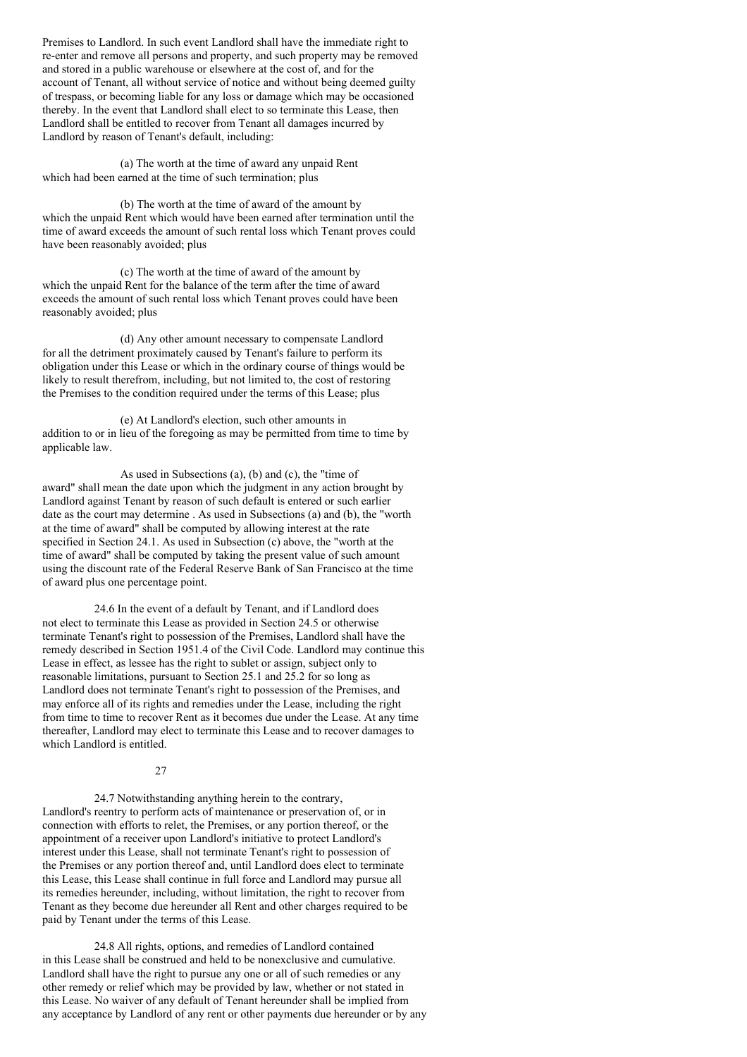Premises to Landlord. In such event Landlord shall have the immediate right to re-enter and remove all persons and property, and such property may be removed and stored in a public warehouse or elsewhere at the cost of, and for the account of Tenant, all without service of notice and without being deemed guilty of trespass, or becoming liable for any loss or damage which may be occasioned thereby. In the event that Landlord shall elect to so terminate this Lease, then Landlord shall be entitled to recover from Tenant all damages incurred by Landlord by reason of Tenant's default, including:

(a) The worth at the time of award any unpaid Rent which had been earned at the time of such termination; plus

(b) The worth at the time of award of the amount by which the unpaid Rent which would have been earned after termination until the time of award exceeds the amount of such rental loss which Tenant proves could have been reasonably avoided; plus

(c) The worth at the time of award of the amount by which the unpaid Rent for the balance of the term after the time of award exceeds the amount of such rental loss which Tenant proves could have been reasonably avoided; plus

(d) Any other amount necessary to compensate Landlord for all the detriment proximately caused by Tenant's failure to perform its obligation under this Lease or which in the ordinary course of things would be likely to result therefrom, including, but not limited to, the cost of restoring the Premises to the condition required under the terms of this Lease; plus

(e) At Landlord's election, such other amounts in addition to or in lieu of the foregoing as may be permitted from time to time by applicable law.

As used in Subsections (a), (b) and (c), the "time of award" shall mean the date upon which the judgment in any action brought by Landlord against Tenant by reason of such default is entered or such earlier date as the court may determine . As used in Subsections (a) and (b), the "worth at the time of award" shall be computed by allowing interest at the rate specified in Section 24.1. As used in Subsection (c) above, the "worth at the time of award" shall be computed by taking the present value of such amount using the discount rate of the Federal Reserve Bank of San Francisco at the time of award plus one percentage point.

24.6 In the event of a default by Tenant, and if Landlord does not elect to terminate this Lease as provided in Section 24.5 or otherwise terminate Tenant's right to possession of the Premises, Landlord shall have the remedy described in Section 1951.4 of the Civil Code. Landlord may continue this Lease in effect, as lessee has the right to sublet or assign, subject only to reasonable limitations, pursuant to Section 25.1 and 25.2 for so long as Landlord does not terminate Tenant's right to possession of the Premises, and may enforce all of its rights and remedies under the Lease, including the right from time to time to recover Rent as it becomes due under the Lease. At any time thereafter, Landlord may elect to terminate this Lease and to recover damages to which Landlord is entitled.

27

24.7 Notwithstanding anything herein to the contrary, Landlord's reentry to perform acts of maintenance or preservation of, or in connection with efforts to relet, the Premises, or any portion thereof, or the appointment of a receiver upon Landlord's initiative to protect Landlord's interest under this Lease, shall not terminate Tenant's right to possession of the Premises or any portion thereof and, until Landlord does elect to terminate this Lease, this Lease shall continue in full force and Landlord may pursue all its remedies hereunder, including, without limitation, the right to recover from Tenant as they become due hereunder all Rent and other charges required to be paid by Tenant under the terms of this Lease.

24.8 All rights, options, and remedies of Landlord contained in this Lease shall be construed and held to be nonexclusive and cumulative. Landlord shall have the right to pursue any one or all of such remedies or any other remedy or relief which may be provided by law, whether or not stated in this Lease. No waiver of any default of Tenant hereunder shall be implied from any acceptance by Landlord of any rent or other payments due hereunder or by any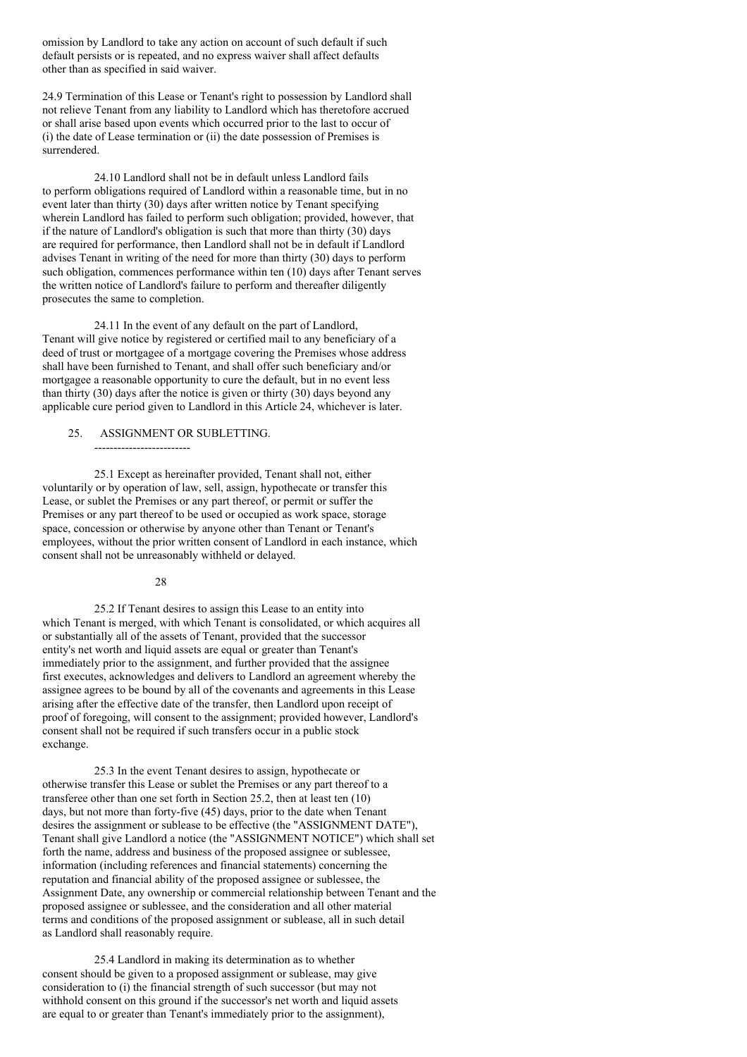omission by Landlord to take any action on account of such default if such default persists or is repeated, and no express waiver shall affect defaults other than as specified in said waiver.

24.9 Termination of this Lease or Tenant's right to possession by Landlord shall not relieve Tenant from any liability to Landlord which has theretofore accrued or shall arise based upon events which occurred prior to the last to occur of (i) the date of Lease termination or (ii) the date possession of Premises is surrendered.

24.10 Landlord shall not be in default unless Landlord fails to perform obligations required of Landlord within a reasonable time, but in no event later than thirty (30) days after written notice by Tenant specifying wherein Landlord has failed to perform such obligation; provided, however, that if the nature of Landlord's obligation is such that more than thirty (30) days are required for performance, then Landlord shall not be in default if Landlord advises Tenant in writing of the need for more than thirty (30) days to perform such obligation, commences performance within ten (10) days after Tenant serves the written notice of Landlord's failure to perform and thereafter diligently prosecutes the same to completion.

24.11 In the event of any default on the part of Landlord, Tenant will give notice by registered or certified mail to any beneficiary of a deed of trust or mortgagee of a mortgage covering the Premises whose address shall have been furnished to Tenant, and shall offer such beneficiary and/or mortgagee a reasonable opportunity to cure the default, but in no event less than thirty (30) days after the notice is given or thirty (30) days beyond any applicable cure period given to Landlord in this Article 24, whichever is later.

25. ASSIGNMENT OR SUBLETTING.

-------------------------

25.1 Except as hereinafter provided, Tenant shall not, either voluntarily or by operation of law, sell, assign, hypothecate or transfer this Lease, or sublet the Premises or any part thereof, or permit or suffer the Premises or any part thereof to be used or occupied as work space, storage space, concession or otherwise by anyone other than Tenant or Tenant's employees, without the prior written consent of Landlord in each instance, which consent shall not be unreasonably withheld or delayed.

## 28

25.2 If Tenant desires to assign this Lease to an entity into which Tenant is merged, with which Tenant is consolidated, or which acquires all or substantially all of the assets of Tenant, provided that the successor entity's net worth and liquid assets are equal or greater than Tenant's immediately prior to the assignment, and further provided that the assignee first executes, acknowledges and delivers to Landlord an agreement whereby the assignee agrees to be bound by all of the covenants and agreements in this Lease arising after the effective date of the transfer, then Landlord upon receipt of proof of foregoing, will consent to the assignment; provided however, Landlord's consent shall not be required if such transfers occur in a public stock exchange.

25.3 In the event Tenant desires to assign, hypothecate or otherwise transfer this Lease or sublet the Premises or any part thereof to a transferee other than one set forth in Section 25.2, then at least ten (10) days, but not more than forty-five (45) days, prior to the date when Tenant desires the assignment or sublease to be effective (the "ASSIGNMENT DATE"), Tenant shall give Landlord a notice (the "ASSIGNMENT NOTICE") which shall set forth the name, address and business of the proposed assignee or sublessee, information (including references and financial statements) concerning the reputation and financial ability of the proposed assignee or sublessee, the Assignment Date, any ownership or commercial relationship between Tenant and the proposed assignee or sublessee, and the consideration and all other material terms and conditions of the proposed assignment or sublease, all in such detail as Landlord shall reasonably require.

25.4 Landlord in making its determination as to whether consent should be given to a proposed assignment or sublease, may give consideration to (i) the financial strength of such successor (but may not withhold consent on this ground if the successor's net worth and liquid assets are equal to or greater than Tenant's immediately prior to the assignment),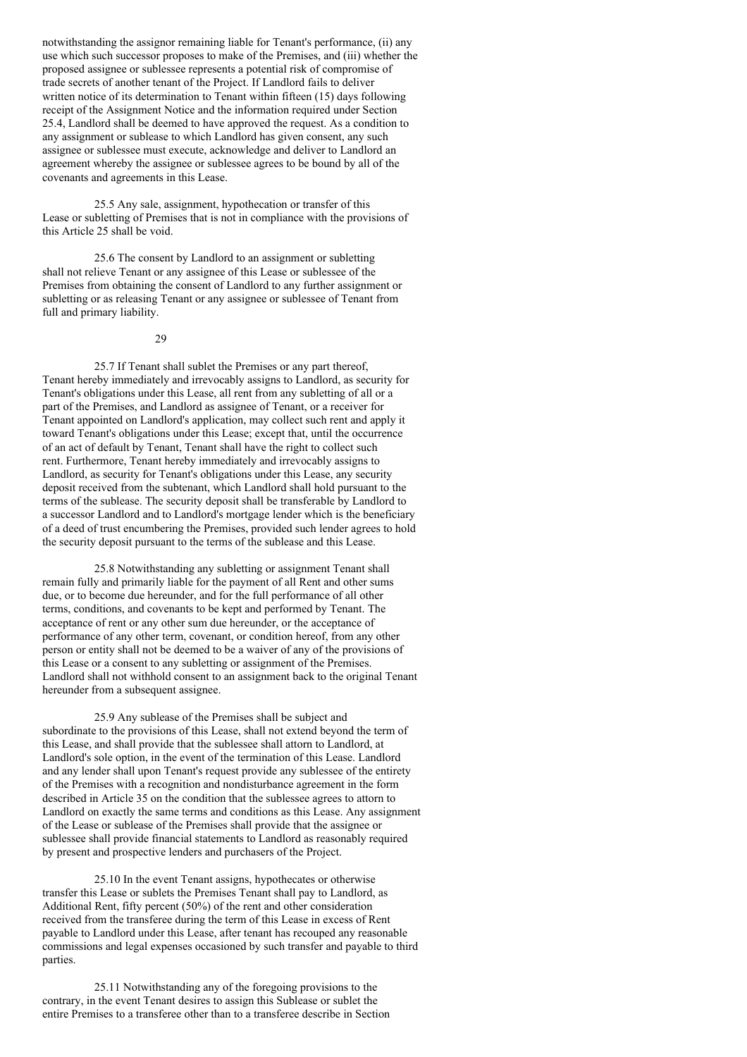notwithstanding the assignor remaining liable for Tenant's performance, (ii) any use which such successor proposes to make of the Premises, and (iii) whether the proposed assignee or sublessee represents a potential risk of compromise of trade secrets of another tenant of the Project. If Landlord fails to deliver written notice of its determination to Tenant within fifteen (15) days following receipt of the Assignment Notice and the information required under Section 25.4, Landlord shall be deemed to have approved the request. As a condition to any assignment or sublease to which Landlord has given consent, any such assignee or sublessee must execute, acknowledge and deliver to Landlord an agreement whereby the assignee or sublessee agrees to be bound by all of the covenants and agreements in this Lease.

25.5 Any sale, assignment, hypothecation or transfer of this Lease or subletting of Premises that is not in compliance with the provisions of this Article 25 shall be void.

25.6 The consent by Landlord to an assignment or subletting shall not relieve Tenant or any assignee of this Lease or sublessee of the Premises from obtaining the consent of Landlord to any further assignment or subletting or as releasing Tenant or any assignee or sublessee of Tenant from full and primary liability.

29

25.7 If Tenant shall sublet the Premises or any part thereof, Tenant hereby immediately and irrevocably assigns to Landlord, as security for Tenant's obligations under this Lease, all rent from any subletting of all or a part of the Premises, and Landlord as assignee of Tenant, or a receiver for Tenant appointed on Landlord's application, may collect such rent and apply it toward Tenant's obligations under this Lease; except that, until the occurrence of an act of default by Tenant, Tenant shall have the right to collect such rent. Furthermore, Tenant hereby immediately and irrevocably assigns to Landlord, as security for Tenant's obligations under this Lease, any security deposit received from the subtenant, which Landlord shall hold pursuant to the terms of the sublease. The security deposit shall be transferable by Landlord to a successor Landlord and to Landlord's mortgage lender which is the beneficiary of a deed of trust encumbering the Premises, provided such lender agrees to hold the security deposit pursuant to the terms of the sublease and this Lease.

25.8 Notwithstanding any subletting or assignment Tenant shall remain fully and primarily liable for the payment of all Rent and other sums due, or to become due hereunder, and for the full performance of all other terms, conditions, and covenants to be kept and performed by Tenant. The acceptance of rent or any other sum due hereunder, or the acceptance of performance of any other term, covenant, or condition hereof, from any other person or entity shall not be deemed to be a waiver of any of the provisions of this Lease or a consent to any subletting or assignment of the Premises. Landlord shall not withhold consent to an assignment back to the original Tenant hereunder from a subsequent assignee.

25.9 Any sublease of the Premises shall be subject and subordinate to the provisions of this Lease, shall not extend beyond the term of this Lease, and shall provide that the sublessee shall attorn to Landlord, at Landlord's sole option, in the event of the termination of this Lease. Landlord and any lender shall upon Tenant's request provide any sublessee of the entirety of the Premises with a recognition and nondisturbance agreement in the form described in Article 35 on the condition that the sublessee agrees to attorn to Landlord on exactly the same terms and conditions as this Lease. Any assignment of the Lease or sublease of the Premises shall provide that the assignee or sublessee shall provide financial statements to Landlord as reasonably required by present and prospective lenders and purchasers of the Project.

25.10 In the event Tenant assigns, hypothecates or otherwise transfer this Lease or sublets the Premises Tenant shall pay to Landlord, as Additional Rent, fifty percent (50%) of the rent and other consideration received from the transferee during the term of this Lease in excess of Rent payable to Landlord under this Lease, after tenant has recouped any reasonable commissions and legal expenses occasioned by such transfer and payable to third parties.

25.11 Notwithstanding any of the foregoing provisions to the contrary, in the event Tenant desires to assign this Sublease or sublet the entire Premises to a transferee other than to a transferee describe in Section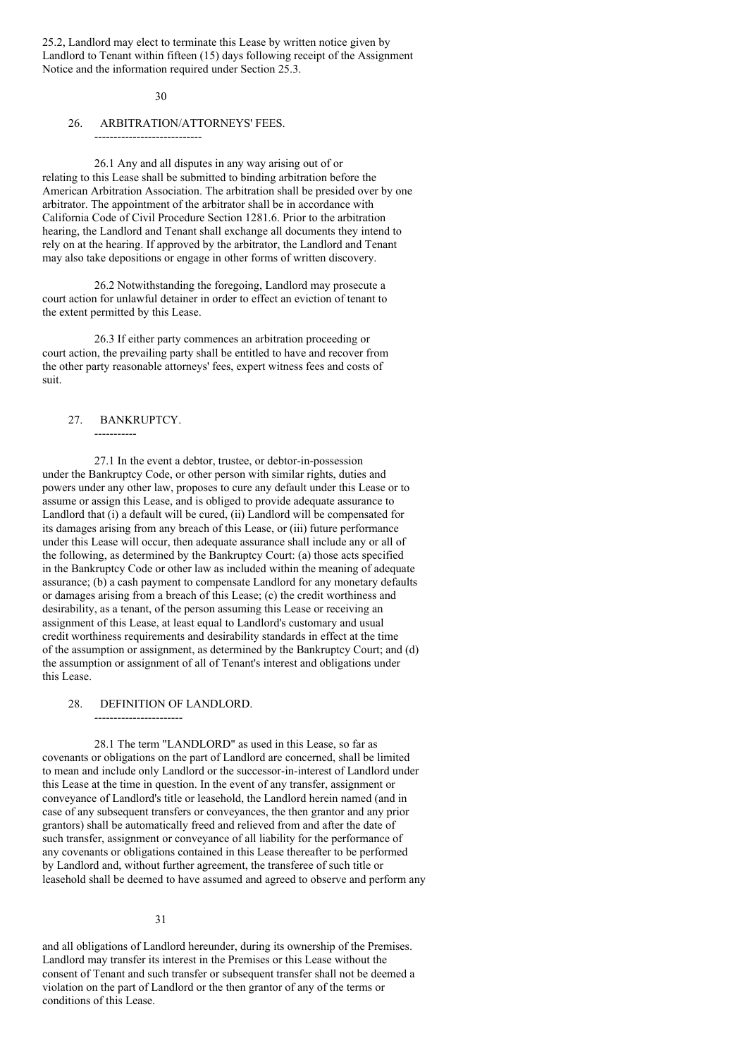25.2, Landlord may elect to terminate this Lease by written notice given by Landlord to Tenant within fifteen (15) days following receipt of the Assignment Notice and the information required under Section 25.3.

 $30$ 

# 26. ARBITRATION/ATTORNEYS' FEES.

 $-$ 

26.1 Any and all disputes in any way arising out of or relating to this Lease shall be submitted to binding arbitration before the American Arbitration Association. The arbitration shall be presided over by one arbitrator. The appointment of the arbitrator shall be in accordance with California Code of Civil Procedure Section 1281.6. Prior to the arbitration hearing, the Landlord and Tenant shall exchange all documents they intend to rely on at the hearing. If approved by the arbitrator, the Landlord and Tenant may also take depositions or engage in other forms of written discovery.

26.2 Notwithstanding the foregoing, Landlord may prosecute a court action for unlawful detainer in order to effect an eviction of tenant to the extent permitted by this Lease.

26.3 If either party commences an arbitration proceeding or court action, the prevailing party shall be entitled to have and recover from the other party reasonable attorneys' fees, expert witness fees and costs of suit.

27. BANKRUPTCY.

-----------

27.1 In the event a debtor, trustee, or debtor-in-possession under the Bankruptcy Code, or other person with similar rights, duties and powers under any other law, proposes to cure any default under this Lease or to assume or assign this Lease, and is obliged to provide adequate assurance to Landlord that (i) a default will be cured, (ii) Landlord will be compensated for its damages arising from any breach of this Lease, or (iii) future performance under this Lease will occur, then adequate assurance shall include any or all of the following, as determined by the Bankruptcy Court: (a) those acts specified in the Bankruptcy Code or other law as included within the meaning of adequate assurance; (b) a cash payment to compensate Landlord for any monetary defaults or damages arising from a breach of this Lease; (c) the credit worthiness and desirability, as a tenant, of the person assuming this Lease or receiving an assignment of this Lease, at least equal to Landlord's customary and usual credit worthiness requirements and desirability standards in effect at the time of the assumption or assignment, as determined by the Bankruptcy Court; and (d) the assumption or assignment of all of Tenant's interest and obligations under this Lease.

#### 28. DEFINITION OF LANDLORD.

-----------------------

28.1 The term "LANDLORD" as used in this Lease, so far as covenants or obligations on the part of Landlord are concerned, shall be limited to mean and include only Landlord or the successor-in-interest of Landlord under this Lease at the time in question. In the event of any transfer, assignment or conveyance of Landlord's title or leasehold, the Landlord herein named (and in case of any subsequent transfers or conveyances, the then grantor and any prior grantors) shall be automatically freed and relieved from and after the date of such transfer, assignment or conveyance of all liability for the performance of any covenants or obligations contained in this Lease thereafter to be performed by Landlord and, without further agreement, the transferee of such title or leasehold shall be deemed to have assumed and agreed to observe and perform any

## 31

and all obligations of Landlord hereunder, during its ownership of the Premises. Landlord may transfer its interest in the Premises or this Lease without the consent of Tenant and such transfer or subsequent transfer shall not be deemed a violation on the part of Landlord or the then grantor of any of the terms or conditions of this Lease.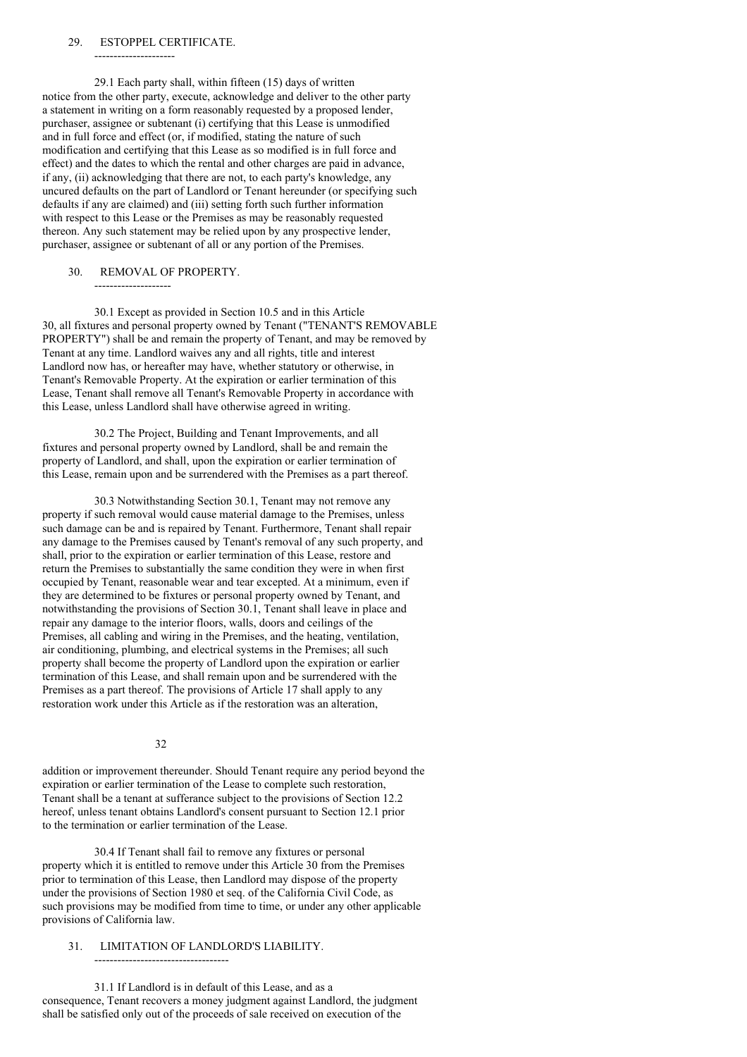# 29. ESTOPPEL CERTIFICATE.

---------------------

29.1 Each party shall, within fifteen (15) days of written notice from the other party, execute, acknowledge and deliver to the other party a statement in writing on a form reasonably requested by a proposed lender, purchaser, assignee or subtenant (i) certifying that this Lease is unmodified and in full force and effect (or, if modified, stating the nature of such modification and certifying that this Lease as so modified is in full force and effect) and the dates to which the rental and other charges are paid in advance, if any, (ii) acknowledging that there are not, to each party's knowledge, any uncured defaults on the part of Landlord or Tenant hereunder (or specifying such defaults if any are claimed) and (iii) setting forth such further information with respect to this Lease or the Premises as may be reasonably requested thereon. Any such statement may be relied upon by any prospective lender, purchaser, assignee or subtenant of all or any portion of the Premises.

#### 30. REMOVAL OF PROPERTY.

--------------------

30.1 Except as provided in Section 10.5 and in this Article 30, all fixtures and personal property owned by Tenant ("TENANT'S REMOVABLE PROPERTY") shall be and remain the property of Tenant, and may be removed by Tenant at any time. Landlord waives any and all rights, title and interest Landlord now has, or hereafter may have, whether statutory or otherwise, in Tenant's Removable Property. At the expiration or earlier termination of this Lease, Tenant shall remove all Tenant's Removable Property in accordance with this Lease, unless Landlord shall have otherwise agreed in writing.

30.2 The Project, Building and Tenant Improvements, and all fixtures and personal property owned by Landlord, shall be and remain the property of Landlord, and shall, upon the expiration or earlier termination of this Lease, remain upon and be surrendered with the Premises as a part thereof.

30.3 Notwithstanding Section 30.1, Tenant may not remove any property if such removal would cause material damage to the Premises, unless such damage can be and is repaired by Tenant. Furthermore, Tenant shall repair any damage to the Premises caused by Tenant's removal of any such property, and shall, prior to the expiration or earlier termination of this Lease, restore and return the Premises to substantially the same condition they were in when first occupied by Tenant, reasonable wear and tear excepted. At a minimum, even if they are determined to be fixtures or personal property owned by Tenant, and notwithstanding the provisions of Section 30.1, Tenant shall leave in place and repair any damage to the interior floors, walls, doors and ceilings of the Premises, all cabling and wiring in the Premises, and the heating, ventilation, air conditioning, plumbing, and electrical systems in the Premises; all such property shall become the property of Landlord upon the expiration or earlier termination of this Lease, and shall remain upon and be surrendered with the Premises as a part thereof. The provisions of Article 17 shall apply to any restoration work under this Article as if the restoration was an alteration,

#### 32

addition or improvement thereunder. Should Tenant require any period beyond the expiration or earlier termination of the Lease to complete such restoration, Tenant shall be a tenant at sufferance subject to the provisions of Section 12.2 hereof, unless tenant obtains Landlord's consent pursuant to Section 12.1 prior to the termination or earlier termination of the Lease.

30.4 If Tenant shall fail to remove any fixtures or personal property which it is entitled to remove under this Article 30 from the Premises prior to termination of this Lease, then Landlord may dispose of the property under the provisions of Section 1980 et seq. of the California Civil Code, as such provisions may be modified from time to time, or under any other applicable provisions of California law.

# 31. LIMITATION OF LANDLORD'S LIABILITY.

-----------------------------------

31.1 If Landlord is in default of this Lease, and as a consequence, Tenant recovers a money judgment against Landlord, the judgment shall be satisfied only out of the proceeds of sale received on execution of the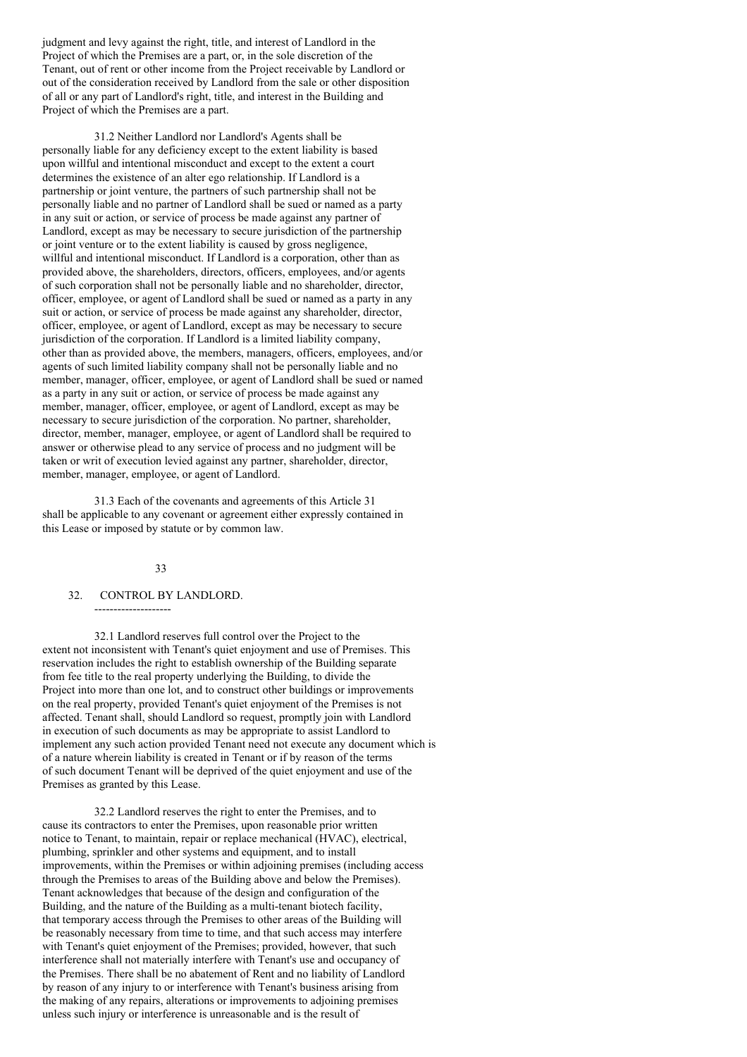judgment and levy against the right, title, and interest of Landlord in the Project of which the Premises are a part, or, in the sole discretion of the Tenant, out of rent or other income from the Project receivable by Landlord or out of the consideration received by Landlord from the sale or other disposition of all or any part of Landlord's right, title, and interest in the Building and Project of which the Premises are a part.

31.2 Neither Landlord nor Landlord's Agents shall be personally liable for any deficiency except to the extent liability is based upon willful and intentional misconduct and except to the extent a court determines the existence of an alter ego relationship. If Landlord is a partnership or joint venture, the partners of such partnership shall not be personally liable and no partner of Landlord shall be sued or named as a party in any suit or action, or service of process be made against any partner of Landlord, except as may be necessary to secure jurisdiction of the partnership or joint venture or to the extent liability is caused by gross negligence, willful and intentional misconduct. If Landlord is a corporation, other than as provided above, the shareholders, directors, officers, employees, and/or agents of such corporation shall not be personally liable and no shareholder, director, officer, employee, or agent of Landlord shall be sued or named as a party in any suit or action, or service of process be made against any shareholder, director, officer, employee, or agent of Landlord, except as may be necessary to secure jurisdiction of the corporation. If Landlord is a limited liability company, other than as provided above, the members, managers, officers, employees, and/or agents of such limited liability company shall not be personally liable and no member, manager, officer, employee, or agent of Landlord shall be sued or named as a party in any suit or action, or service of process be made against any member, manager, officer, employee, or agent of Landlord, except as may be necessary to secure jurisdiction of the corporation. No partner, shareholder, director, member, manager, employee, or agent of Landlord shall be required to answer or otherwise plead to any service of process and no judgment will be taken or writ of execution levied against any partner, shareholder, director, member, manager, employee, or agent of Landlord.

31.3 Each of the covenants and agreements of this Article 31 shall be applicable to any covenant or agreement either expressly contained in this Lease or imposed by statute or by common law.

### 33

# 32. CONTROL BY LANDLORD.

--------------------

32.1 Landlord reserves full control over the Project to the extent not inconsistent with Tenant's quiet enjoyment and use of Premises. This reservation includes the right to establish ownership of the Building separate from fee title to the real property underlying the Building, to divide the Project into more than one lot, and to construct other buildings or improvements on the real property, provided Tenant's quiet enjoyment of the Premises is not affected. Tenant shall, should Landlord so request, promptly join with Landlord in execution of such documents as may be appropriate to assist Landlord to implement any such action provided Tenant need not execute any document which is of a nature wherein liability is created in Tenant or if by reason of the terms of such document Tenant will be deprived of the quiet enjoyment and use of the Premises as granted by this Lease.

32.2 Landlord reserves the right to enter the Premises, and to cause its contractors to enter the Premises, upon reasonable prior written notice to Tenant, to maintain, repair or replace mechanical (HVAC), electrical, plumbing, sprinkler and other systems and equipment, and to install improvements, within the Premises or within adjoining premises (including access through the Premises to areas of the Building above and below the Premises). Tenant acknowledges that because of the design and configuration of the Building, and the nature of the Building as a multi-tenant biotech facility, that temporary access through the Premises to other areas of the Building will be reasonably necessary from time to time, and that such access may interfere with Tenant's quiet enjoyment of the Premises; provided, however, that such interference shall not materially interfere with Tenant's use and occupancy of the Premises. There shall be no abatement of Rent and no liability of Landlord by reason of any injury to or interference with Tenant's business arising from the making of any repairs, alterations or improvements to adjoining premises unless such injury or interference is unreasonable and is the result of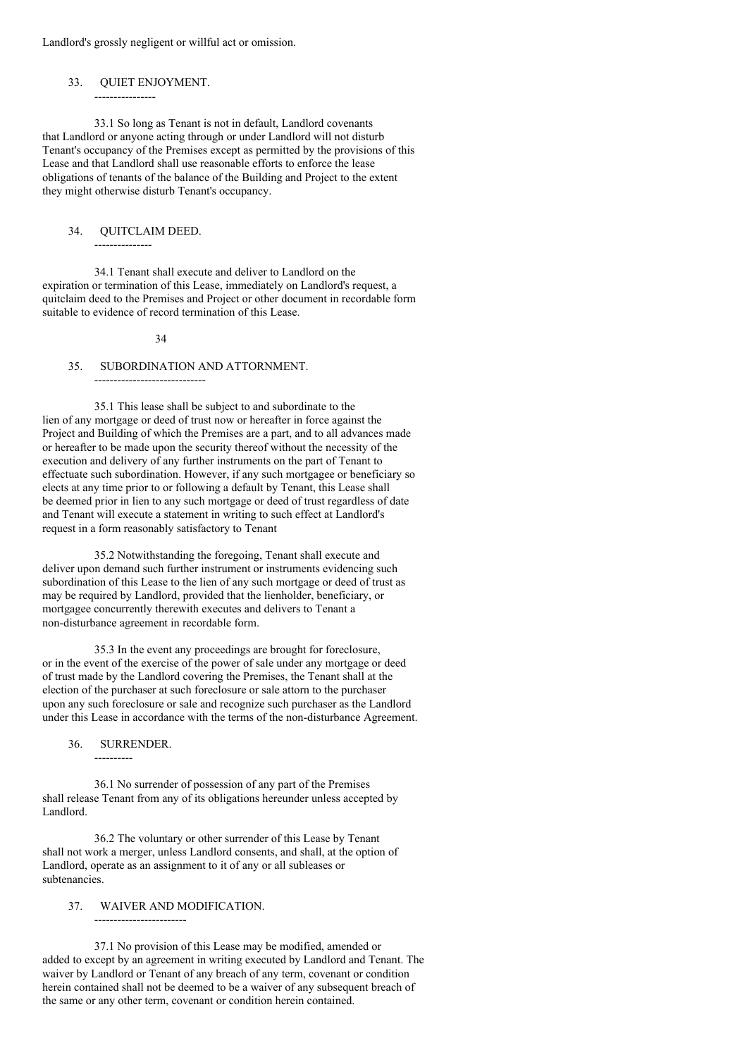Landlord's grossly negligent or willful act or omission.

## 33. QUIET ENJOYMENT.

----------------

33.1 So long as Tenant is not in default, Landlord covenants that Landlord or anyone acting through or under Landlord will not disturb Tenant's occupancy of the Premises except as permitted by the provisions of this Lease and that Landlord shall use reasonable efforts to enforce the lease obligations of tenants of the balance of the Building and Project to the extent they might otherwise disturb Tenant's occupancy.

34. QUITCLAIM DEED.

---------------

34.1 Tenant shall execute and deliver to Landlord on the expiration or termination of this Lease, immediately on Landlord's request, a quitclaim deed to the Premises and Project or other document in recordable form suitable to evidence of record termination of this Lease.

34

#### 35. SUBORDINATION AND ATTORNMENT.

-----------------------------

35.1 This lease shall be subject to and subordinate to the lien of any mortgage or deed of trust now or hereafter in force against the Project and Building of which the Premises are a part, and to all advances made or hereafter to be made upon the security thereof without the necessity of the execution and delivery of any further instruments on the part of Tenant to effectuate such subordination. However, if any such mortgagee or beneficiary so elects at any time prior to or following a default by Tenant, this Lease shall be deemed prior in lien to any such mortgage or deed of trust regardless of date and Tenant will execute a statement in writing to such effect at Landlord's request in a form reasonably satisfactory to Tenant

35.2 Notwithstanding the foregoing, Tenant shall execute and deliver upon demand such further instrument or instruments evidencing such subordination of this Lease to the lien of any such mortgage or deed of trust as may be required by Landlord, provided that the lienholder, beneficiary, or mortgagee concurrently therewith executes and delivers to Tenant a non-disturbance agreement in recordable form.

35.3 In the event any proceedings are brought for foreclosure, or in the event of the exercise of the power of sale under any mortgage or deed of trust made by the Landlord covering the Premises, the Tenant shall at the election of the purchaser at such foreclosure or sale attorn to the purchaser upon any such foreclosure or sale and recognize such purchaser as the Landlord under this Lease in accordance with the terms of the non-disturbance Agreement.

36. SURRENDER. ----------

36.1 No surrender of possession of any part of the Premises shall release Tenant from any of its obligations hereunder unless accepted by Landlord.

36.2 The voluntary or other surrender of this Lease by Tenant shall not work a merger, unless Landlord consents, and shall, at the option of Landlord, operate as an assignment to it of any or all subleases or subtenancies.

# 37. WAIVER AND MODIFICATION.

------------------------

37.1 No provision of this Lease may be modified, amended or added to except by an agreement in writing executed by Landlord and Tenant. The waiver by Landlord or Tenant of any breach of any term, covenant or condition herein contained shall not be deemed to be a waiver of any subsequent breach of the same or any other term, covenant or condition herein contained.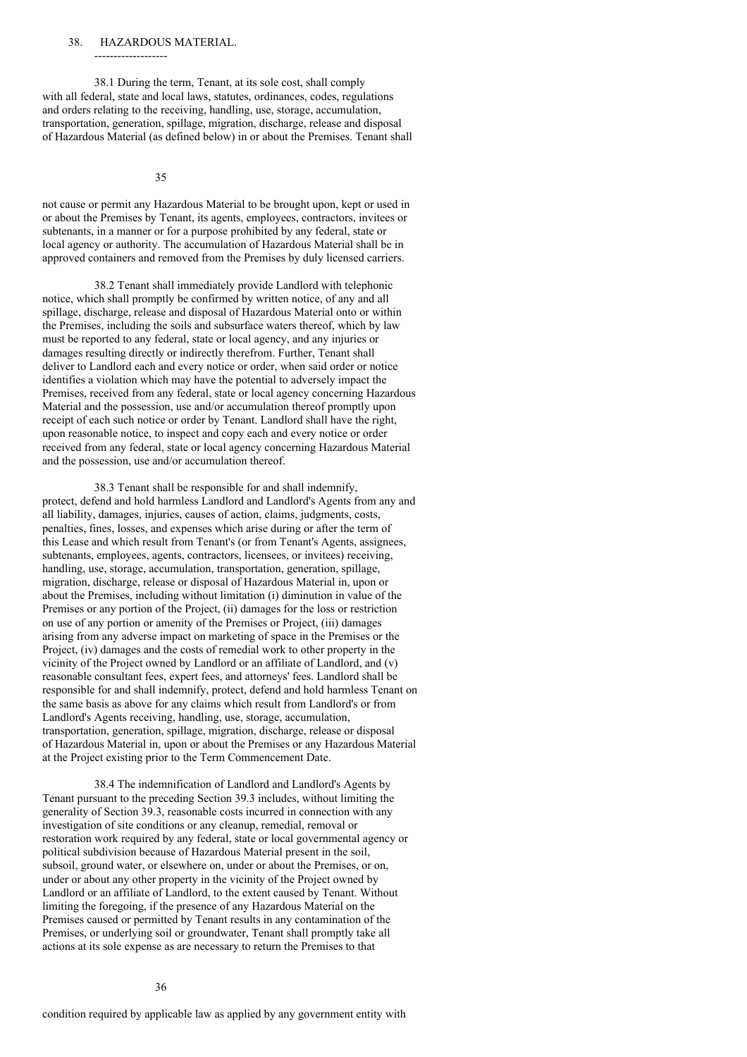## 38. HAZARDOUS MATERIAL.

-------------------

38.1 During the term, Tenant, at its sole cost, shall comply with all federal, state and local laws, statutes, ordinances, codes, regulations and orders relating to the receiving, handling, use, storage, accumulation, transportation, generation, spillage, migration, discharge, release and disposal of Hazardous Material (as defined below) in or about the Premises. Tenant shall

35

not cause or permit any Hazardous Material to be brought upon, kept or used in or about the Premises by Tenant, its agents, employees, contractors, invitees or subtenants, in a manner or for a purpose prohibited by any federal, state or local agency or authority. The accumulation of Hazardous Material shall be in approved containers and removed from the Premises by duly licensed carriers.

38.2 Tenant shall immediately provide Landlord with telephonic notice, which shall promptly be confirmed by written notice, of any and all spillage, discharge, release and disposal of Hazardous Material onto or within the Premises, including the soils and subsurface waters thereof, which by law must be reported to any federal, state or local agency, and any injuries or damages resulting directly or indirectly therefrom. Further, Tenant shall deliver to Landlord each and every notice or order, when said order or notice identifies a violation which may have the potential to adversely impact the Premises, received from any federal, state or local agency concerning Hazardous Material and the possession, use and/or accumulation thereof promptly upon receipt of each such notice or order by Tenant. Landlord shall have the right, upon reasonable notice, to inspect and copy each and every notice or order received from any federal, state or local agency concerning Hazardous Material and the possession, use and/or accumulation thereof.

38.3 Tenant shall be responsible for and shall indemnify, protect, defend and hold harmless Landlord and Landlord's Agents from any and all liability, damages, injuries, causes of action, claims, judgments, costs, penalties, fines, losses, and expenses which arise during or after the term of this Lease and which result from Tenant's (or from Tenant's Agents, assignees, subtenants, employees, agents, contractors, licensees, or invitees) receiving, handling, use, storage, accumulation, transportation, generation, spillage, migration, discharge, release or disposal of Hazardous Material in, upon or about the Premises, including without limitation (i) diminution in value of the Premises or any portion of the Project, (ii) damages for the loss or restriction on use of any portion or amenity of the Premises or Project, (iii) damages arising from any adverse impact on marketing of space in the Premises or the Project, (iv) damages and the costs of remedial work to other property in the vicinity of the Project owned by Landlord or an affiliate of Landlord, and (v) reasonable consultant fees, expert fees, and attorneys' fees. Landlord shall be responsible for and shall indemnify, protect, defend and hold harmless Tenant on the same basis as above for any claims which result from Landlord's or from Landlord's Agents receiving, handling, use, storage, accumulation, transportation, generation, spillage, migration, discharge, release or disposal of Hazardous Material in, upon or about the Premises or any Hazardous Material at the Project existing prior to the Term Commencement Date.

38.4 The indemnification of Landlord and Landlord's Agents by Tenant pursuant to the preceding Section 39.3 includes, without limiting the generality of Section 39.3, reasonable costs incurred in connection with any investigation of site conditions or any cleanup, remedial, removal or restoration work required by any federal, state or local governmental agency or political subdivision because of Hazardous Material present in the soil, subsoil, ground water, or elsewhere on, under or about the Premises, or on, under or about any other property in the vicinity of the Project owned by Landlord or an affiliate of Landlord, to the extent caused by Tenant. Without limiting the foregoing, if the presence of any Hazardous Material on the Premises caused or permitted by Tenant results in any contamination of the Premises, or underlying soil or groundwater, Tenant shall promptly take all actions at its sole expense as are necessary to return the Premises to that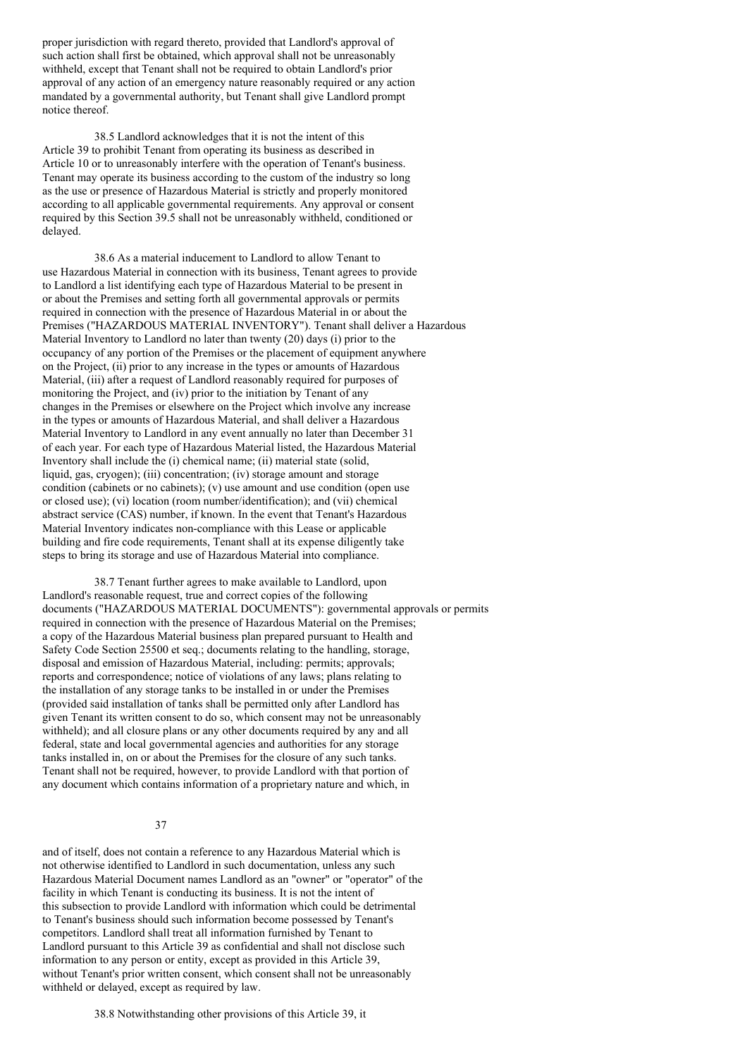proper jurisdiction with regard thereto, provided that Landlord's approval of such action shall first be obtained, which approval shall not be unreasonably withheld, except that Tenant shall not be required to obtain Landlord's prior approval of any action of an emergency nature reasonably required or any action mandated by a governmental authority, but Tenant shall give Landlord prompt notice thereof.

38.5 Landlord acknowledges that it is not the intent of this Article 39 to prohibit Tenant from operating its business as described in Article 10 or to unreasonably interfere with the operation of Tenant's business. Tenant may operate its business according to the custom of the industry so long as the use or presence of Hazardous Material is strictly and properly monitored according to all applicable governmental requirements. Any approval or consent required by this Section 39.5 shall not be unreasonably withheld, conditioned or delayed.

38.6 As a material inducement to Landlord to allow Tenant to use Hazardous Material in connection with its business, Tenant agrees to provide to Landlord a list identifying each type of Hazardous Material to be present in or about the Premises and setting forth all governmental approvals or permits required in connection with the presence of Hazardous Material in or about the Premises ("HAZARDOUS MATERIAL INVENTORY"). Tenant shall deliver a Hazardous Material Inventory to Landlord no later than twenty (20) days (i) prior to the occupancy of any portion of the Premises or the placement of equipment anywhere on the Project, (ii) prior to any increase in the types or amounts of Hazardous Material, (iii) after a request of Landlord reasonably required for purposes of monitoring the Project, and (iv) prior to the initiation by Tenant of any changes in the Premises or elsewhere on the Project which involve any increase in the types or amounts of Hazardous Material, and shall deliver a Hazardous Material Inventory to Landlord in any event annually no later than December 31 of each year. For each type of Hazardous Material listed, the Hazardous Material Inventory shall include the (i) chemical name; (ii) material state (solid, liquid, gas, cryogen); (iii) concentration; (iv) storage amount and storage condition (cabinets or no cabinets); (v) use amount and use condition (open use or closed use); (vi) location (room number/identification); and (vii) chemical abstract service (CAS) number, if known. In the event that Tenant's Hazardous Material Inventory indicates non-compliance with this Lease or applicable building and fire code requirements, Tenant shall at its expense diligently take steps to bring its storage and use of Hazardous Material into compliance.

38.7 Tenant further agrees to make available to Landlord, upon Landlord's reasonable request, true and correct copies of the following documents ("HAZARDOUS MATERIAL DOCUMENTS"): governmental approvals or permits required in connection with the presence of Hazardous Material on the Premises; a copy of the Hazardous Material business plan prepared pursuant to Health and Safety Code Section 25500 et seq.; documents relating to the handling, storage, disposal and emission of Hazardous Material, including: permits; approvals; reports and correspondence; notice of violations of any laws; plans relating to the installation of any storage tanks to be installed in or under the Premises (provided said installation of tanks shall be permitted only after Landlord has given Tenant its written consent to do so, which consent may not be unreasonably withheld); and all closure plans or any other documents required by any and all federal, state and local governmental agencies and authorities for any storage tanks installed in, on or about the Premises for the closure of any such tanks. Tenant shall not be required, however, to provide Landlord with that portion of any document which contains information of a proprietary nature and which, in

#### 37

and of itself, does not contain a reference to any Hazardous Material which is not otherwise identified to Landlord in such documentation, unless any such Hazardous Material Document names Landlord as an "owner" or "operator" of the facility in which Tenant is conducting its business. It is not the intent of this subsection to provide Landlord with information which could be detrimental to Tenant's business should such information become possessed by Tenant's competitors. Landlord shall treat all information furnished by Tenant to Landlord pursuant to this Article 39 as confidential and shall not disclose such information to any person or entity, except as provided in this Article 39, without Tenant's prior written consent, which consent shall not be unreasonably withheld or delayed, except as required by law.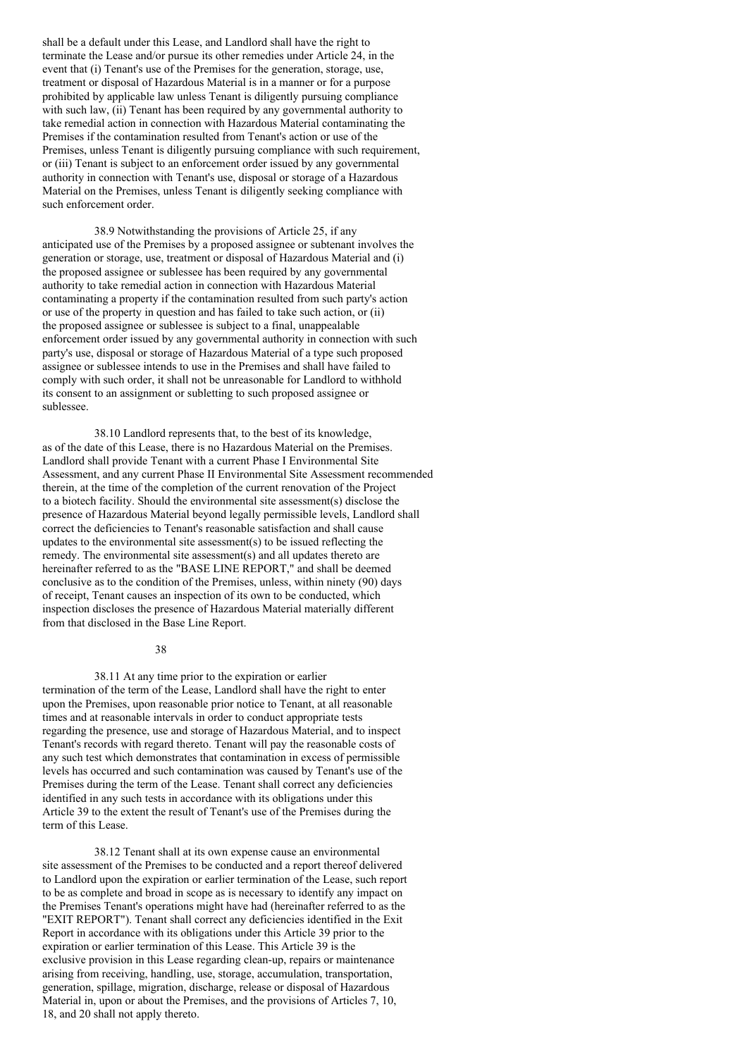shall be a default under this Lease, and Landlord shall have the right to terminate the Lease and/or pursue its other remedies under Article 24, in the event that (i) Tenant's use of the Premises for the generation, storage, use, treatment or disposal of Hazardous Material is in a manner or for a purpose prohibited by applicable law unless Tenant is diligently pursuing compliance with such law, (ii) Tenant has been required by any governmental authority to take remedial action in connection with Hazardous Material contaminating the Premises if the contamination resulted from Tenant's action or use of the Premises, unless Tenant is diligently pursuing compliance with such requirement, or (iii) Tenant is subject to an enforcement order issued by any governmental authority in connection with Tenant's use, disposal or storage of a Hazardous Material on the Premises, unless Tenant is diligently seeking compliance with such enforcement order.

38.9 Notwithstanding the provisions of Article 25, if any anticipated use of the Premises by a proposed assignee or subtenant involves the generation or storage, use, treatment or disposal of Hazardous Material and (i) the proposed assignee or sublessee has been required by any governmental authority to take remedial action in connection with Hazardous Material contaminating a property if the contamination resulted from such party's action or use of the property in question and has failed to take such action, or (ii) the proposed assignee or sublessee is subject to a final, unappealable enforcement order issued by any governmental authority in connection with such party's use, disposal or storage of Hazardous Material of a type such proposed assignee or sublessee intends to use in the Premises and shall have failed to comply with such order, it shall not be unreasonable for Landlord to withhold its consent to an assignment or subletting to such proposed assignee or sublessee.

38.10 Landlord represents that, to the best of its knowledge, as of the date of this Lease, there is no Hazardous Material on the Premises. Landlord shall provide Tenant with a current Phase I Environmental Site Assessment, and any current Phase II Environmental Site Assessment recommended therein, at the time of the completion of the current renovation of the Project to a biotech facility. Should the environmental site assessment(s) disclose the presence of Hazardous Material beyond legally permissible levels, Landlord shall correct the deficiencies to Tenant's reasonable satisfaction and shall cause updates to the environmental site assessment(s) to be issued reflecting the remedy. The environmental site assessment(s) and all updates thereto are hereinafter referred to as the "BASE LINE REPORT," and shall be deemed conclusive as to the condition of the Premises, unless, within ninety (90) days of receipt, Tenant causes an inspection of its own to be conducted, which inspection discloses the presence of Hazardous Material materially different from that disclosed in the Base Line Report.

## 38

38.11 At any time prior to the expiration or earlier termination of the term of the Lease, Landlord shall have the right to enter upon the Premises, upon reasonable prior notice to Tenant, at all reasonable times and at reasonable intervals in order to conduct appropriate tests regarding the presence, use and storage of Hazardous Material, and to inspect Tenant's records with regard thereto. Tenant will pay the reasonable costs of any such test which demonstrates that contamination in excess of permissible levels has occurred and such contamination was caused by Tenant's use of the Premises during the term of the Lease. Tenant shall correct any deficiencies identified in any such tests in accordance with its obligations under this Article 39 to the extent the result of Tenant's use of the Premises during the term of this Lease.

38.12 Tenant shall at its own expense cause an environmental site assessment of the Premises to be conducted and a report thereof delivered to Landlord upon the expiration or earlier termination of the Lease, such report to be as complete and broad in scope as is necessary to identify any impact on the Premises Tenant's operations might have had (hereinafter referred to as the "EXIT REPORT"). Tenant shall correct any deficiencies identified in the Exit Report in accordance with its obligations under this Article 39 prior to the expiration or earlier termination of this Lease. This Article 39 is the exclusive provision in this Lease regarding clean-up, repairs or maintenance arising from receiving, handling, use, storage, accumulation, transportation, generation, spillage, migration, discharge, release or disposal of Hazardous Material in, upon or about the Premises, and the provisions of Articles 7, 10, 18, and 20 shall not apply thereto.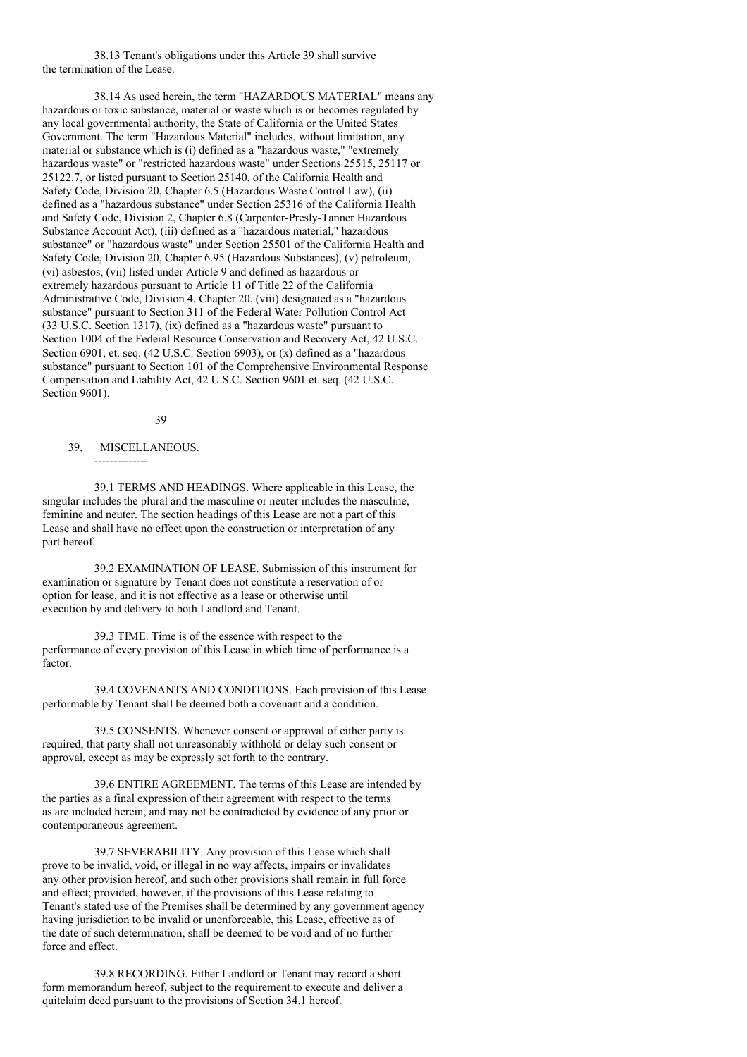38.13 Tenant's obligations under this Article 39 shall survive the termination of the Lease.

38.14 As used herein, the term "HAZARDOUS MATERIAL" means any hazardous or toxic substance, material or waste which is or becomes regulated by any local governmental authority, the State of California or the United States Government. The term "Hazardous Material" includes, without limitation, any material or substance which is (i) defined as a "hazardous waste," "extremely hazardous waste" or "restricted hazardous waste" under Sections 25515, 25117 or 25122.7, or listed pursuant to Section 25140, of the California Health and Safety Code, Division 20, Chapter 6.5 (Hazardous Waste Control Law), (ii) defined as a "hazardous substance" under Section 25316 of the California Health and Safety Code, Division 2, Chapter 6.8 (Carpenter-Presly-Tanner Hazardous Substance Account Act), (iii) defined as a "hazardous material," hazardous substance" or "hazardous waste" under Section 25501 of the California Health and Safety Code, Division 20, Chapter 6.95 (Hazardous Substances), (v) petroleum, (vi) asbestos, (vii) listed under Article 9 and defined as hazardous or extremely hazardous pursuant to Article 11 of Title 22 of the California Administrative Code, Division 4, Chapter 20, (viii) designated as a "hazardous substance" pursuant to Section 311 of the Federal Water Pollution Control Act (33 U.S.C. Section 1317), (ix) defined as a "hazardous waste" pursuant to Section 1004 of the Federal Resource Conservation and Recovery Act, 42 U.S.C. Section 6901, et. seq. (42 U.S.C. Section 6903), or (x) defined as a "hazardous substance" pursuant to Section 101 of the Comprehensive Environmental Response Compensation and Liability Act, 42 U.S.C. Section 9601 et. seq. (42 U.S.C. Section 9601).

39

## 39. MISCELLANEOUS.

--------------

39.1 TERMS AND HEADINGS. Where applicable in this Lease, the singular includes the plural and the masculine or neuter includes the masculine, feminine and neuter. The section headings of this Lease are not a part of this Lease and shall have no effect upon the construction or interpretation of any part hereof.

39.2 EXAMINATION OF LEASE. Submission of this instrument for examination or signature by Tenant does not constitute a reservation of or option for lease, and it is not effective as a lease or otherwise until execution by and delivery to both Landlord and Tenant.

39.3 TIME. Time is of the essence with respect to the performance of every provision of this Lease in which time of performance is a factor.

39.4 COVENANTS AND CONDITIONS. Each provision of this Lease performable by Tenant shall be deemed both a covenant and a condition.

39.5 CONSENTS. Whenever consent or approval of either party is required, that party shall not unreasonably withhold or delay such consent or approval, except as may be expressly set forth to the contrary.

39.6 ENTIRE AGREEMENT. The terms of this Lease are intended by the parties as a final expression of their agreement with respect to the terms as are included herein, and may not be contradicted by evidence of any prior or contemporaneous agreement.

39.7 SEVERABILITY. Any provision of this Lease which shall prove to be invalid, void, or illegal in no way affects, impairs or invalidates any other provision hereof, and such other provisions shall remain in full force and effect; provided, however, if the provisions of this Lease relating to Tenant's stated use of the Premises shall be determined by any government agency having jurisdiction to be invalid or unenforceable, this Lease, effective as of the date of such determination, shall be deemed to be void and of no further force and effect.

39.8 RECORDING. Either Landlord or Tenant may record a short form memorandum hereof, subject to the requirement to execute and deliver a quitclaim deed pursuant to the provisions of Section 34.1 hereof.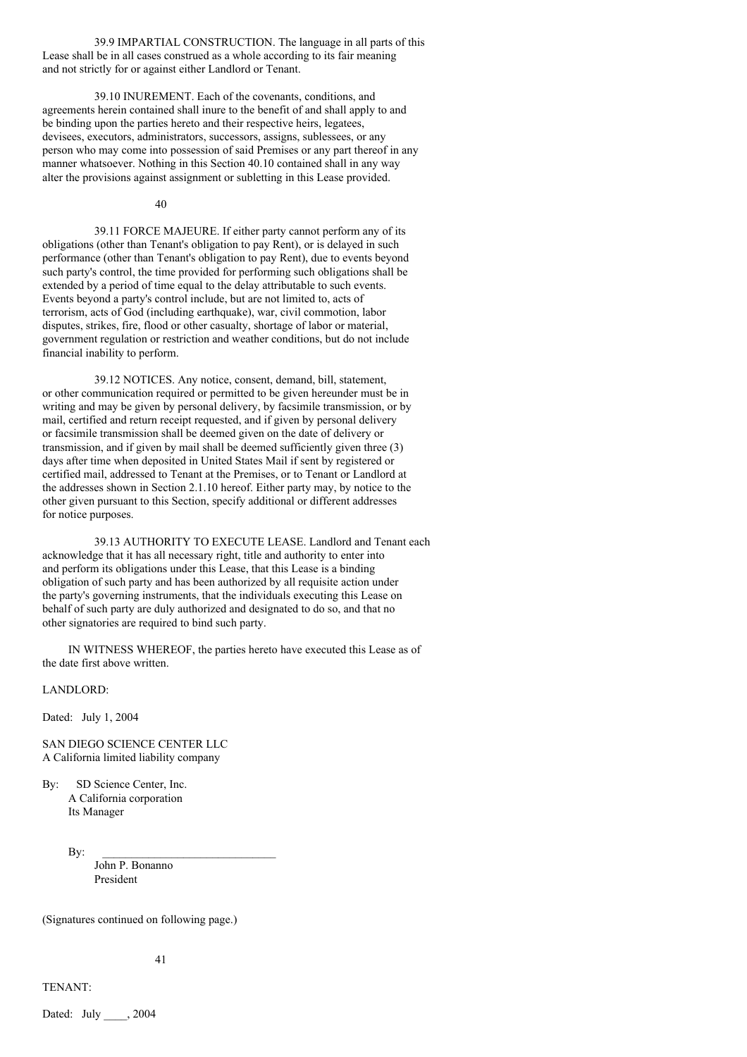39.9 IMPARTIAL CONSTRUCTION. The language in all parts of this Lease shall be in all cases construed as a whole according to its fair meaning and not strictly for or against either Landlord or Tenant.

39.10 INUREMENT. Each of the covenants, conditions, and agreements herein contained shall inure to the benefit of and shall apply to and be binding upon the parties hereto and their respective heirs, legatees, devisees, executors, administrators, successors, assigns, sublessees, or any person who may come into possession of said Premises or any part thereof in any manner whatsoever. Nothing in this Section 40.10 contained shall in any way alter the provisions against assignment or subletting in this Lease provided.

40

39.11 FORCE MAJEURE. If either party cannot perform any of its obligations (other than Tenant's obligation to pay Rent), or is delayed in such performance (other than Tenant's obligation to pay Rent), due to events beyond such party's control, the time provided for performing such obligations shall be extended by a period of time equal to the delay attributable to such events. Events beyond a party's control include, but are not limited to, acts of terrorism, acts of God (including earthquake), war, civil commotion, labor disputes, strikes, fire, flood or other casualty, shortage of labor or material, government regulation or restriction and weather conditions, but do not include financial inability to perform.

39.12 NOTICES. Any notice, consent, demand, bill, statement, or other communication required or permitted to be given hereunder must be in writing and may be given by personal delivery, by facsimile transmission, or by mail, certified and return receipt requested, and if given by personal delivery or facsimile transmission shall be deemed given on the date of delivery or transmission, and if given by mail shall be deemed sufficiently given three (3) days after time when deposited in United States Mail if sent by registered or certified mail, addressed to Tenant at the Premises, or to Tenant or Landlord at the addresses shown in Section 2.1.10 hereof. Either party may, by notice to the other given pursuant to this Section, specify additional or different addresses for notice purposes.

39.13 AUTHORITY TO EXECUTE LEASE. Landlord and Tenant each acknowledge that it has all necessary right, title and authority to enter into and perform its obligations under this Lease, that this Lease is a binding obligation of such party and has been authorized by all requisite action under the party's governing instruments, that the individuals executing this Lease on behalf of such party are duly authorized and designated to do so, and that no other signatories are required to bind such party.

IN WITNESS WHEREOF, the parties hereto have executed this Lease as of the date first above written.

LANDLORD:

Dated: July 1, 2004

SAN DIEGO SCIENCE CENTER LLC A California limited liability company

By: SD Science Center, Inc. A California corporation Its Manager

 $\mathbf{By:}$ 

John P. Bonanno President

(Signatures continued on following page.)

41

TENANT:

Dated: July \_\_\_\_, 2004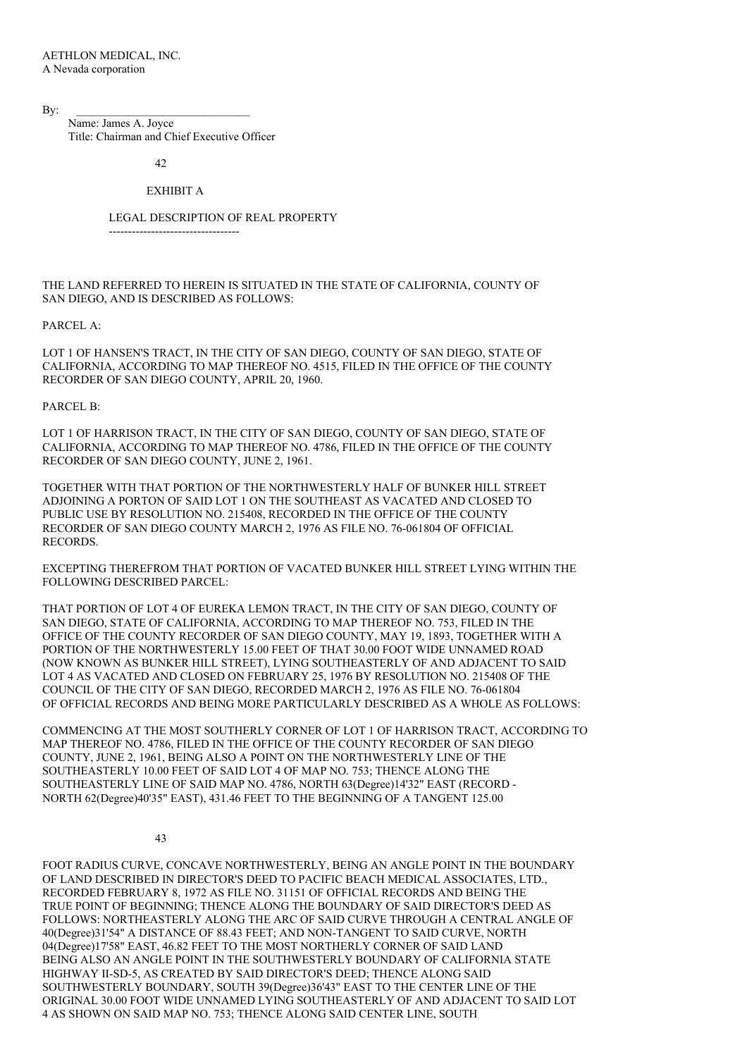By: \_\_\_\_\_\_\_\_\_\_\_\_\_\_\_\_\_\_\_\_\_\_\_\_\_\_\_\_\_\_ Name: James A. Joyce Title: Chairman and Chief Executive Officer

 $42$ 

EXHIBIT A

LEGAL DESCRIPTION OF REAL PROPERTY

----------------------------------

THE LAND REFERRED TO HEREIN IS SITUATED IN THE STATE OF CALIFORNIA, COUNTY OF SAN DIEGO, AND IS DESCRIBED AS FOLLOWS:

PARCEL A:

LOT 1 OF HANSEN'S TRACT, IN THE CITY OF SAN DIEGO, COUNTY OF SAN DIEGO, STATE OF CALIFORNIA, ACCORDING TO MAP THEREOF NO. 4515, FILED IN THE OFFICE OF THE COUNTY RECORDER OF SAN DIEGO COUNTY, APRIL 20, 1960.

PARCEL B:

LOT 1 OF HARRISON TRACT, IN THE CITY OF SAN DIEGO, COUNTY OF SAN DIEGO, STATE OF CALIFORNIA, ACCORDING TO MAP THEREOF NO. 4786, FILED IN THE OFFICE OF THE COUNTY RECORDER OF SAN DIEGO COUNTY, JUNE 2, 1961.

TOGETHER WITH THAT PORTION OF THE NORTHWESTERLY HALF OF BUNKER HILL STREET ADJOINING A PORTON OF SAID LOT 1 ON THE SOUTHEAST AS VACATED AND CLOSED TO PUBLIC USE BY RESOLUTION NO. 215408, RECORDED IN THE OFFICE OF THE COUNTY RECORDER OF SAN DIEGO COUNTY MARCH 2, 1976 AS FILE NO. 76-061804 OF OFFICIAL RECORDS.

EXCEPTING THEREFROM THAT PORTION OF VACATED BUNKER HILL STREET LYING WITHIN THE FOLLOWING DESCRIBED PARCEL:

THAT PORTION OF LOT 4 OF EUREKA LEMON TRACT, IN THE CITY OF SAN DIEGO, COUNTY OF SAN DIEGO, STATE OF CALIFORNIA, ACCORDING TO MAP THEREOF NO. 753, FILED IN THE OFFICE OF THE COUNTY RECORDER OF SAN DIEGO COUNTY, MAY 19, 1893, TOGETHER WITH A PORTION OF THE NORTHWESTERLY 15.00 FEET OF THAT 30.00 FOOT WIDE UNNAMED ROAD (NOW KNOWN AS BUNKER HILL STREET), LYING SOUTHEASTERLY OF AND ADJACENT TO SAID LOT 4 AS VACATED AND CLOSED ON FEBRUARY 25, 1976 BY RESOLUTION NO. 215408 OF THE COUNCIL OF THE CITY OF SAN DIEGO, RECORDED MARCH 2, 1976 AS FILE NO. 76-061804 OF OFFICIAL RECORDS AND BEING MORE PARTICULARLY DESCRIBED AS A WHOLE AS FOLLOWS:

COMMENCING AT THE MOST SOUTHERLY CORNER OF LOT 1 OF HARRISON TRACT, ACCORDING TO MAP THEREOF NO. 4786, FILED IN THE OFFICE OF THE COUNTY RECORDER OF SAN DIEGO COUNTY, JUNE 2, 1961, BEING ALSO A POINT ON THE NORTHWESTERLY LINE OF THE SOUTHEASTERLY 10.00 FEET OF SAID LOT 4 OF MAP NO. 753; THENCE ALONG THE SOUTHEASTERLY LINE OF SAID MAP NO. 4786, NORTH 63(Degree)14'32" EAST (RECORD - NORTH 62(Degree)40'35" EAST), 431.46 FEET TO THE BEGINNING OF A TANGENT 125.00

43

FOOT RADIUS CURVE, CONCAVE NORTHWESTERLY, BEING AN ANGLE POINT IN THE BOUNDARY OF LAND DESCRIBED IN DIRECTOR'S DEED TO PACIFIC BEACH MEDICAL ASSOCIATES, LTD., RECORDED FEBRUARY 8, 1972 AS FILE NO. 31151 OF OFFICIAL RECORDS AND BEING THE TRUE POINT OF BEGINNING; THENCE ALONG THE BOUNDARY OF SAID DIRECTOR'S DEED AS FOLLOWS: NORTHEASTERLY ALONG THE ARC OF SAID CURVE THROUGH A CENTRAL ANGLE OF 40(Degree)31'54" A DISTANCE OF 88.43 FEET; AND NON-TANGENT TO SAID CURVE, NORTH 04(Degree)17'58" EAST, 46.82 FEET TO THE MOST NORTHERLY CORNER OF SAID LAND BEING ALSO AN ANGLE POINT IN THE SOUTHWESTERLY BOUNDARY OF CALIFORNIA STATE HIGHWAY II-SD-5, AS CREATED BY SAID DIRECTOR'S DEED; THENCE ALONG SAID SOUTHWESTERLY BOUNDARY, SOUTH 39(Degree)36'43" EAST TO THE CENTER LINE OF THE ORIGINAL 30.00 FOOT WIDE UNNAMED LYING SOUTHEASTERLY OF AND ADJACENT TO SAID LOT 4 AS SHOWN ON SAID MAP NO. 753; THENCE ALONG SAID CENTER LINE, SOUTH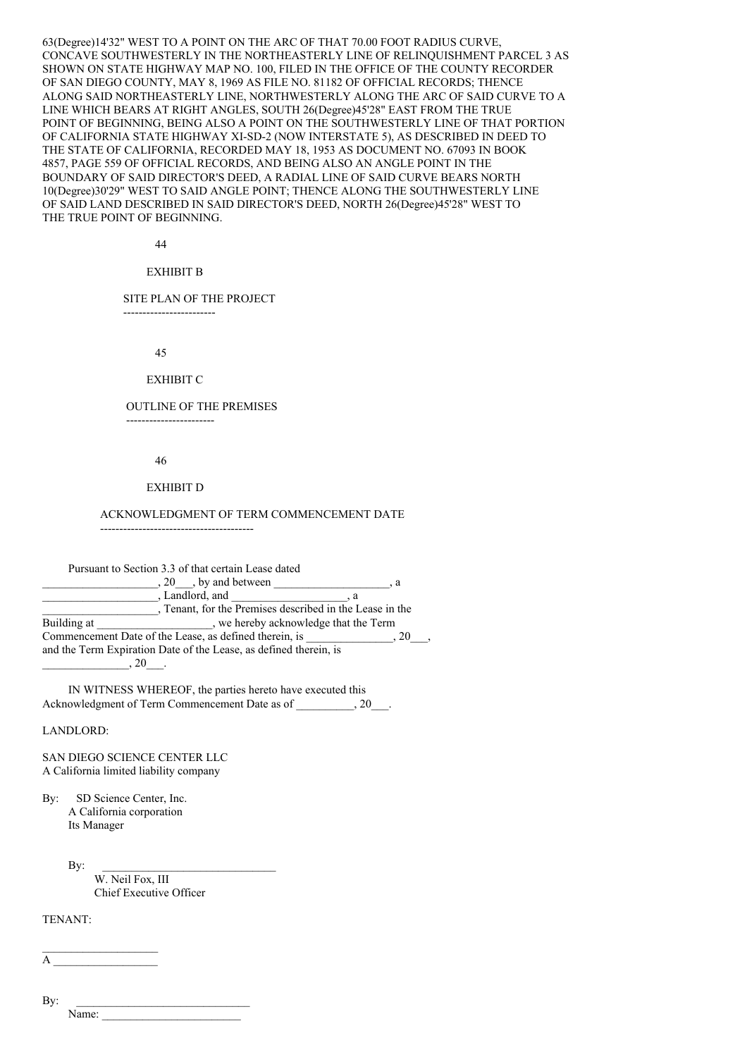63(Degree)14'32" WEST TO A POINT ON THE ARC OF THAT 70.00 FOOT RADIUS CURVE, CONCAVE SOUTHWESTERLY IN THE NORTHEASTERLY LINE OF RELINQUISHMENT PARCEL 3 AS SHOWN ON STATE HIGHWAY MAP NO. 100, FILED IN THE OFFICE OF THE COUNTY RECORDER OF SAN DIEGO COUNTY, MAY 8, 1969 AS FILE NO. 81182 OF OFFICIAL RECORDS; THENCE ALONG SAID NORTHEASTERLY LINE, NORTHWESTERLY ALONG THE ARC OF SAID CURVE TO A LINE WHICH BEARS AT RIGHT ANGLES, SOUTH 26(Degree)45'28" EAST FROM THE TRUE POINT OF BEGINNING, BEING ALSO A POINT ON THE SOUTHWESTERLY LINE OF THAT PORTION OF CALIFORNIA STATE HIGHWAY XI-SD-2 (NOW INTERSTATE 5), AS DESCRIBED IN DEED TO THE STATE OF CALIFORNIA, RECORDED MAY 18, 1953 AS DOCUMENT NO. 67093 IN BOOK 4857, PAGE 559 OF OFFICIAL RECORDS, AND BEING ALSO AN ANGLE POINT IN THE BOUNDARY OF SAID DIRECTOR'S DEED, A RADIAL LINE OF SAID CURVE BEARS NORTH 10(Degree)30'29" WEST TO SAID ANGLE POINT; THENCE ALONG THE SOUTHWESTERLY LINE OF SAID LAND DESCRIBED IN SAID DIRECTOR'S DEED, NORTH 26(Degree)45'28" WEST TO THE TRUE POINT OF BEGINNING.

44

## EXHIBIT B

### SITE PLAN OF THE PROJECT

------------------------

45

## EXHIBIT C

-----------------------

OUTLINE OF THE PREMISES

#### 46

### EXHIBIT D

## ACKNOWLEDGMENT OF TERM COMMENCEMENT DATE

----------------------------------------

Pursuant to Section 3.3 of that certain Lease dated  $\Box$ , 20  $\Box$ , by and between  $\Box$ , a  $\Box$ , Landlord, and  $\Box$ , a \_\_\_\_\_\_\_\_\_\_\_\_\_\_\_\_\_\_\_\_, Tenant, for the Premises described in the Lease in the Building at \_\_\_\_\_\_\_\_\_\_\_\_\_\_\_\_, we hereby acknowledge that the Term<br>Commencement Date of the Lease, as defined therein, is \_\_\_\_\_\_\_\_\_\_\_\_\_\_\_\_, 20\_\_\_\_, Commencement Date of the Lease, as defined therein, is and the Term Expiration Date of the Lease, as defined therein, is  $\frac{1}{20}$ .

IN WITNESS WHEREOF, the parties hereto have executed this Acknowledgment of Term Commencement Date as of  $\qquad \qquad , 20$ 

LANDLORD:

SAN DIEGO SCIENCE CENTER LLC A California limited liability company

- By: SD Science Center, Inc. A California corporation Its Manager
	- $\mathbf{By:}$ W. Neil Fox, III Chief Executive Officer

TENANT:

 $A \fbox{}$ 

By: \_\_\_\_\_\_\_\_\_\_\_\_\_\_\_\_\_\_\_\_\_\_\_\_\_\_\_\_\_\_

Name: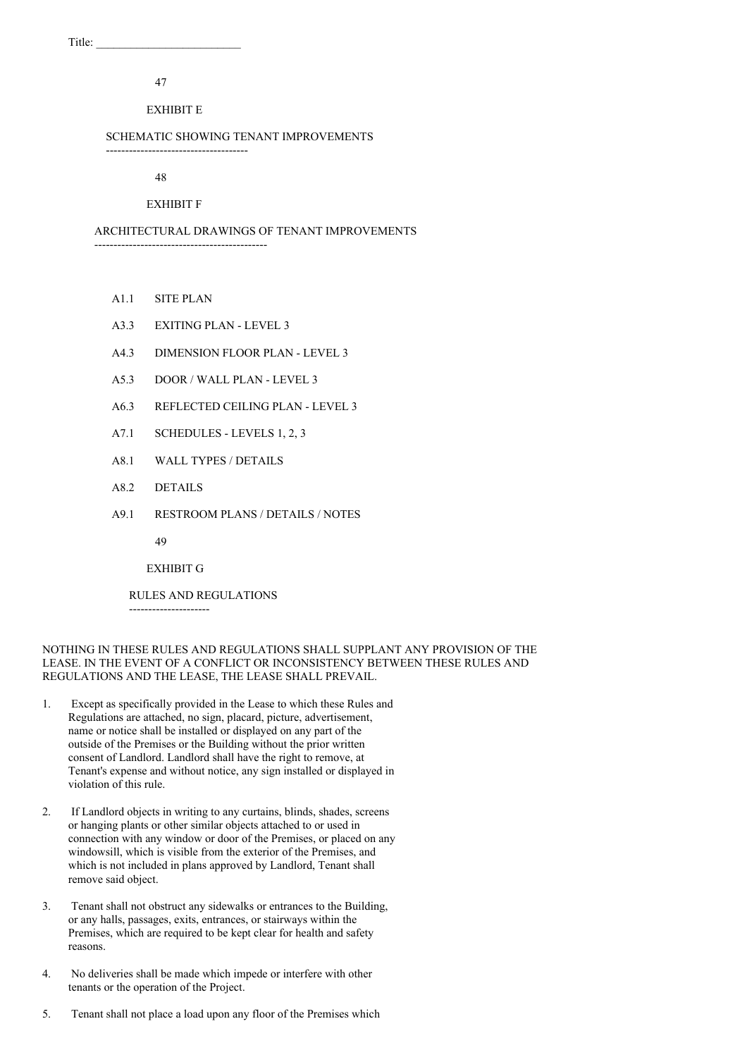Title:

47

EXHIBIT E

## SCHEMATIC SHOWING TENANT IMPROVEMENTS

48

## EXHIBIT F

---------------------------------------------

-------------------------------------

ARCHITECTURAL DRAWINGS OF TENANT IMPROVEMENTS

- A1.1 SITE PLAN
- A3.3 EXITING PLAN LEVEL 3
- A4.3 DIMENSION FLOOR PLAN LEVEL 3
- A5.3 DOOR / WALL PLAN LEVEL 3
- A6.3 REFLECTED CEILING PLAN LEVEL 3
- A7.1 SCHEDULES LEVELS 1, 2, 3
- A8.1 WALL TYPES / DETAILS
- A8.2 DETAILS
- A9.1 RESTROOM PLANS / DETAILS / NOTES
	- 49

EXHIBIT G

RULES AND REGULATIONS

---------------------

## NOTHING IN THESE RULES AND REGULATIONS SHALL SUPPLANT ANY PROVISION OF THE LEASE. IN THE EVENT OF A CONFLICT OR INCONSISTENCY BETWEEN THESE RULES AND REGULATIONS AND THE LEASE, THE LEASE SHALL PREVAIL.

- 1. Except as specifically provided in the Lease to which these Rules and Regulations are attached, no sign, placard, picture, advertisement, name or notice shall be installed or displayed on any part of the outside of the Premises or the Building without the prior written consent of Landlord. Landlord shall have the right to remove, at Tenant's expense and without notice, any sign installed or displayed in violation of this rule.
- 2. If Landlord objects in writing to any curtains, blinds, shades, screens or hanging plants or other similar objects attached to or used in connection with any window or door of the Premises, or placed on any windowsill, which is visible from the exterior of the Premises, and which is not included in plans approved by Landlord, Tenant shall remove said object.
- 3. Tenant shall not obstruct any sidewalks or entrances to the Building, or any halls, passages, exits, entrances, or stairways within the Premises, which are required to be kept clear for health and safety reasons.
- 4. No deliveries shall be made which impede or interfere with other tenants or the operation of the Project.
- 5. Tenant shall not place a load upon any floor of the Premises which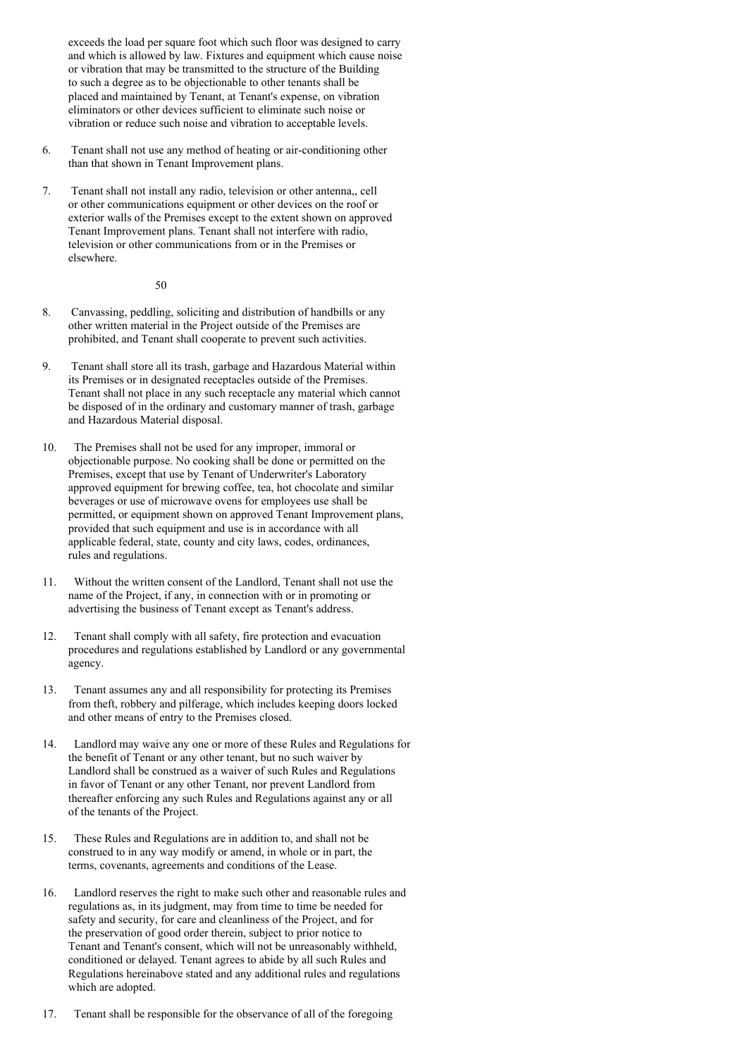exceeds the load per square foot which such floor was designed to carry and which is allowed by law. Fixtures and equipment which cause noise or vibration that may be transmitted to the structure of the Building to such a degree as to be objectionable to other tenants shall be placed and maintained by Tenant, at Tenant's expense, on vibration eliminators or other devices sufficient to eliminate such noise or vibration or reduce such noise and vibration to acceptable levels.

- 6. Tenant shall not use any method of heating or air-conditioning other than that shown in Tenant Improvement plans.
- 7. Tenant shall not install any radio, television or other antenna,, cell or other communications equipment or other devices on the roof or exterior walls of the Premises except to the extent shown on approved Tenant Improvement plans. Tenant shall not interfere with radio, television or other communications from or in the Premises or elsewhere.

50

- 8. Canvassing, peddling, soliciting and distribution of handbills or any other written material in the Project outside of the Premises are prohibited, and Tenant shall cooperate to prevent such activities.
- 9. Tenant shall store all its trash, garbage and Hazardous Material within its Premises or in designated receptacles outside of the Premises. Tenant shall not place in any such receptacle any material which cannot be disposed of in the ordinary and customary manner of trash, garbage and Hazardous Material disposal.
- 10. The Premises shall not be used for any improper, immoral or objectionable purpose. No cooking shall be done or permitted on the Premises, except that use by Tenant of Underwriter's Laboratory approved equipment for brewing coffee, tea, hot chocolate and similar beverages or use of microwave ovens for employees use shall be permitted, or equipment shown on approved Tenant Improvement plans, provided that such equipment and use is in accordance with all applicable federal, state, county and city laws, codes, ordinances, rules and regulations.
- 11. Without the written consent of the Landlord, Tenant shall not use the name of the Project, if any, in connection with or in promoting or advertising the business of Tenant except as Tenant's address.
- 12. Tenant shall comply with all safety, fire protection and evacuation procedures and regulations established by Landlord or any governmental agency.
- 13. Tenant assumes any and all responsibility for protecting its Premises from theft, robbery and pilferage, which includes keeping doors locked and other means of entry to the Premises closed.
- 14. Landlord may waive any one or more of these Rules and Regulations for the benefit of Tenant or any other tenant, but no such waiver by Landlord shall be construed as a waiver of such Rules and Regulations in favor of Tenant or any other Tenant, nor prevent Landlord from thereafter enforcing any such Rules and Regulations against any or all of the tenants of the Project.
- 15. These Rules and Regulations are in addition to, and shall not be construed to in any way modify or amend, in whole or in part, the terms, covenants, agreements and conditions of the Lease.
- 16. Landlord reserves the right to make such other and reasonable rules and regulations as, in its judgment, may from time to time be needed for safety and security, for care and cleanliness of the Project, and for the preservation of good order therein, subject to prior notice to Tenant and Tenant's consent, which will not be unreasonably withheld, conditioned or delayed. Tenant agrees to abide by all such Rules and Regulations hereinabove stated and any additional rules and regulations which are adopted.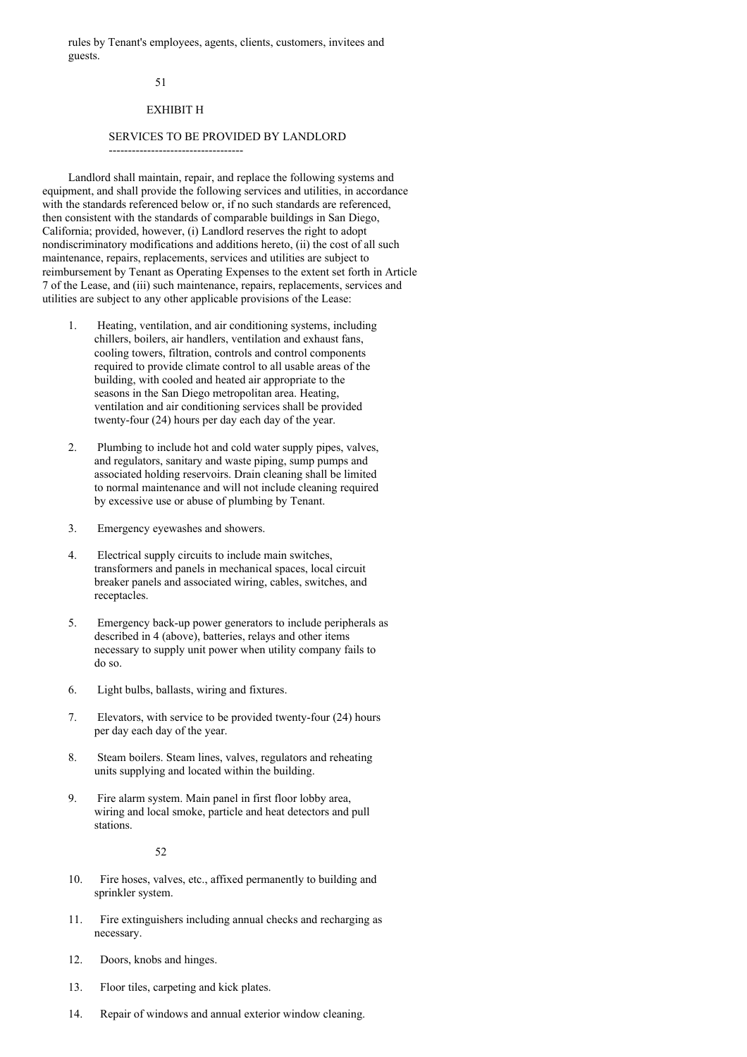rules by Tenant's employees, agents, clients, customers, invitees and guests.

#### 51

## EXHIBIT H

### SERVICES TO BE PROVIDED BY LANDLORD

-----------------------------------

Landlord shall maintain, repair, and replace the following systems and equipment, and shall provide the following services and utilities, in accordance with the standards referenced below or, if no such standards are referenced, then consistent with the standards of comparable buildings in San Diego, California; provided, however, (i) Landlord reserves the right to adopt nondiscriminatory modifications and additions hereto, (ii) the cost of all such maintenance, repairs, replacements, services and utilities are subject to reimbursement by Tenant as Operating Expenses to the extent set forth in Article 7 of the Lease, and (iii) such maintenance, repairs, replacements, services and utilities are subject to any other applicable provisions of the Lease:

- 1. Heating, ventilation, and air conditioning systems, including chillers, boilers, air handlers, ventilation and exhaust fans, cooling towers, filtration, controls and control components required to provide climate control to all usable areas of the building, with cooled and heated air appropriate to the seasons in the San Diego metropolitan area. Heating, ventilation and air conditioning services shall be provided twenty-four (24) hours per day each day of the year.
- 2. Plumbing to include hot and cold water supply pipes, valves, and regulators, sanitary and waste piping, sump pumps and associated holding reservoirs. Drain cleaning shall be limited to normal maintenance and will not include cleaning required by excessive use or abuse of plumbing by Tenant.
- 3. Emergency eyewashes and showers.
- 4. Electrical supply circuits to include main switches, transformers and panels in mechanical spaces, local circuit breaker panels and associated wiring, cables, switches, and receptacles.
- 5. Emergency back-up power generators to include peripherals as described in 4 (above), batteries, relays and other items necessary to supply unit power when utility company fails to do so.
- 6. Light bulbs, ballasts, wiring and fixtures.
- 7. Elevators, with service to be provided twenty-four (24) hours per day each day of the year.
- 8. Steam boilers. Steam lines, valves, regulators and reheating units supplying and located within the building.
- 9. Fire alarm system. Main panel in first floor lobby area, wiring and local smoke, particle and heat detectors and pull stations.

#### 52

- 10. Fire hoses, valves, etc., affixed permanently to building and sprinkler system.
- 11. Fire extinguishers including annual checks and recharging as necessary.
- 12. Doors, knobs and hinges.
- 13. Floor tiles, carpeting and kick plates.
- 14. Repair of windows and annual exterior window cleaning.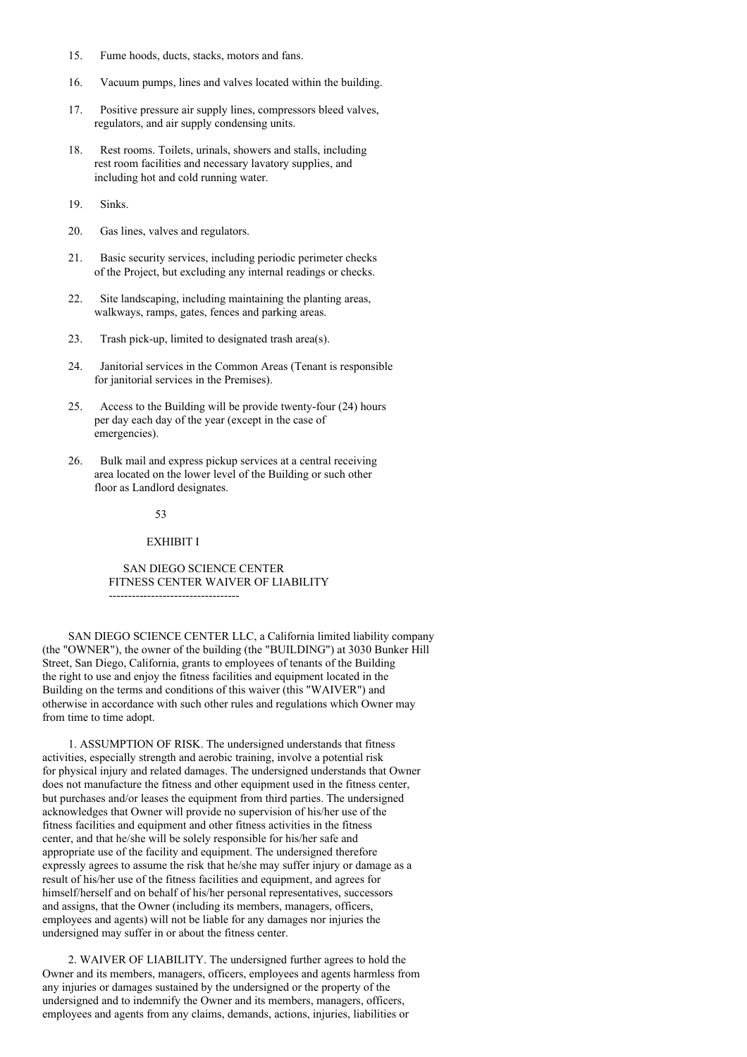- 15. Fume hoods, ducts, stacks, motors and fans.
- 16. Vacuum pumps, lines and valves located within the building.
- 17. Positive pressure air supply lines, compressors bleed valves, regulators, and air supply condensing units.
- 18. Rest rooms. Toilets, urinals, showers and stalls, including rest room facilities and necessary lavatory supplies, and including hot and cold running water.
- 19. Sinks.
- 20. Gas lines, valves and regulators.
- 21. Basic security services, including periodic perimeter checks of the Project, but excluding any internal readings or checks.
- 22. Site landscaping, including maintaining the planting areas, walkways, ramps, gates, fences and parking areas.
- 23. Trash pick-up, limited to designated trash area(s).
- 24. Janitorial services in the Common Areas (Tenant is responsible for janitorial services in the Premises).
- 25. Access to the Building will be provide twenty-four (24) hours per day each day of the year (except in the case of emergencies).
- 26. Bulk mail and express pickup services at a central receiving area located on the lower level of the Building or such other floor as Landlord designates.

53

#### EXHIBIT I

SAN DIEGO SCIENCE CENTER FITNESS CENTER WAIVER OF LIABILITY ----------------------------------

SAN DIEGO SCIENCE CENTER LLC, a California limited liability company (the "OWNER"), the owner of the building (the "BUILDING") at 3030 Bunker Hill Street, San Diego, California, grants to employees of tenants of the Building the right to use and enjoy the fitness facilities and equipment located in the Building on the terms and conditions of this waiver (this "WAIVER") and otherwise in accordance with such other rules and regulations which Owner may from time to time adopt.

1. ASSUMPTION OF RISK. The undersigned understands that fitness activities, especially strength and aerobic training, involve a potential risk for physical injury and related damages. The undersigned understands that Owner does not manufacture the fitness and other equipment used in the fitness center, but purchases and/or leases the equipment from third parties. The undersigned acknowledges that Owner will provide no supervision of his/her use of the fitness facilities and equipment and other fitness activities in the fitness center, and that he/she will be solely responsible for his/her safe and appropriate use of the facility and equipment. The undersigned therefore expressly agrees to assume the risk that he/she may suffer injury or damage as a result of his/her use of the fitness facilities and equipment, and agrees for himself/herself and on behalf of his/her personal representatives, successors and assigns, that the Owner (including its members, managers, officers, employees and agents) will not be liable for any damages nor injuries the undersigned may suffer in or about the fitness center.

2. WAIVER OF LIABILITY. The undersigned further agrees to hold the Owner and its members, managers, officers, employees and agents harmless from any injuries or damages sustained by the undersigned or the property of the undersigned and to indemnify the Owner and its members, managers, officers, employees and agents from any claims, demands, actions, injuries, liabilities or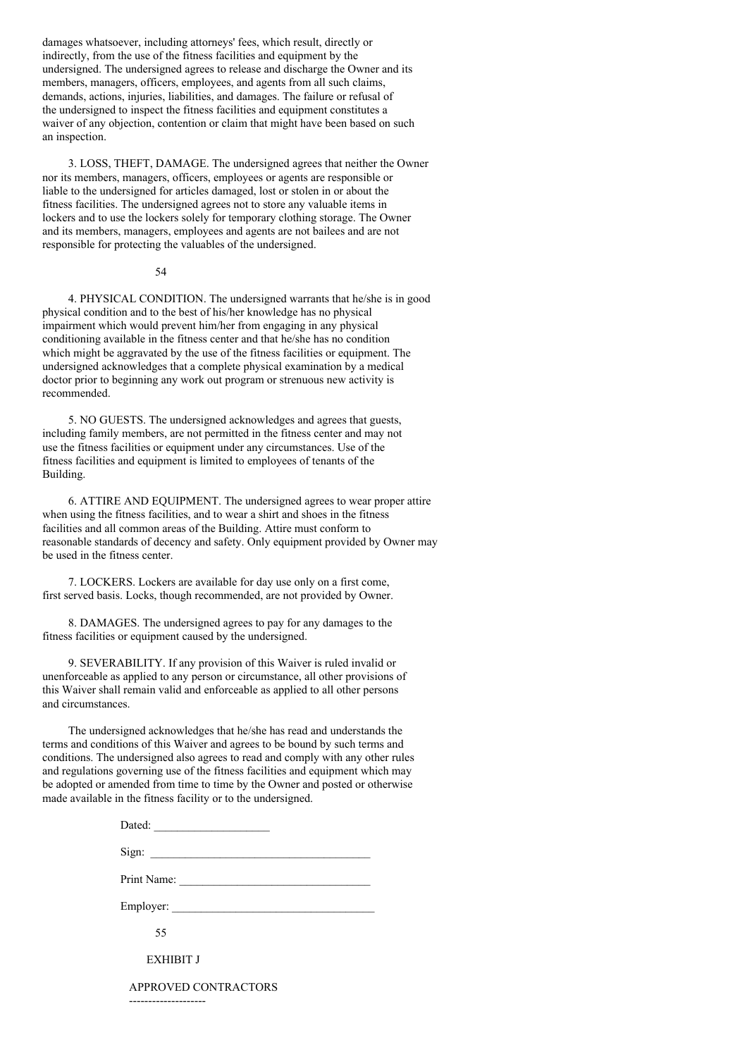damages whatsoever, including attorneys' fees, which result, directly or indirectly, from the use of the fitness facilities and equipment by the undersigned. The undersigned agrees to release and discharge the Owner and its members, managers, officers, employees, and agents from all such claims, demands, actions, injuries, liabilities, and damages. The failure or refusal of the undersigned to inspect the fitness facilities and equipment constitutes a waiver of any objection, contention or claim that might have been based on such an inspection.

3. LOSS, THEFT, DAMAGE. The undersigned agrees that neither the Owner nor its members, managers, officers, employees or agents are responsible or liable to the undersigned for articles damaged, lost or stolen in or about the fitness facilities. The undersigned agrees not to store any valuable items in lockers and to use the lockers solely for temporary clothing storage. The Owner and its members, managers, employees and agents are not bailees and are not responsible for protecting the valuables of the undersigned.

54

4. PHYSICAL CONDITION. The undersigned warrants that he/she is in good physical condition and to the best of his/her knowledge has no physical impairment which would prevent him/her from engaging in any physical conditioning available in the fitness center and that he/she has no condition which might be aggravated by the use of the fitness facilities or equipment. The undersigned acknowledges that a complete physical examination by a medical doctor prior to beginning any work out program or strenuous new activity is recommended.

5. NO GUESTS. The undersigned acknowledges and agrees that guests, including family members, are not permitted in the fitness center and may not use the fitness facilities or equipment under any circumstances. Use of the fitness facilities and equipment is limited to employees of tenants of the Building.

6. ATTIRE AND EQUIPMENT. The undersigned agrees to wear proper attire when using the fitness facilities, and to wear a shirt and shoes in the fitness facilities and all common areas of the Building. Attire must conform to reasonable standards of decency and safety. Only equipment provided by Owner may be used in the fitness center.

7. LOCKERS. Lockers are available for day use only on a first come, first served basis. Locks, though recommended, are not provided by Owner.

8. DAMAGES. The undersigned agrees to pay for any damages to the fitness facilities or equipment caused by the undersigned.

9. SEVERABILITY. If any provision of this Waiver is ruled invalid or unenforceable as applied to any person or circumstance, all other provisions of this Waiver shall remain valid and enforceable as applied to all other persons and circumstances.

The undersigned acknowledges that he/she has read and understands the terms and conditions of this Waiver and agrees to be bound by such terms and conditions. The undersigned also agrees to read and comply with any other rules and regulations governing use of the fitness facilities and equipment which may be adopted or amended from time to time by the Owner and posted or otherwise made available in the fitness facility or to the undersigned.

| Sign:                |
|----------------------|
| Print Name:          |
| Employer:            |
| 55                   |
| <b>EXHIBIT J</b>     |
| APPROVED CONTRACTORS |

--------------------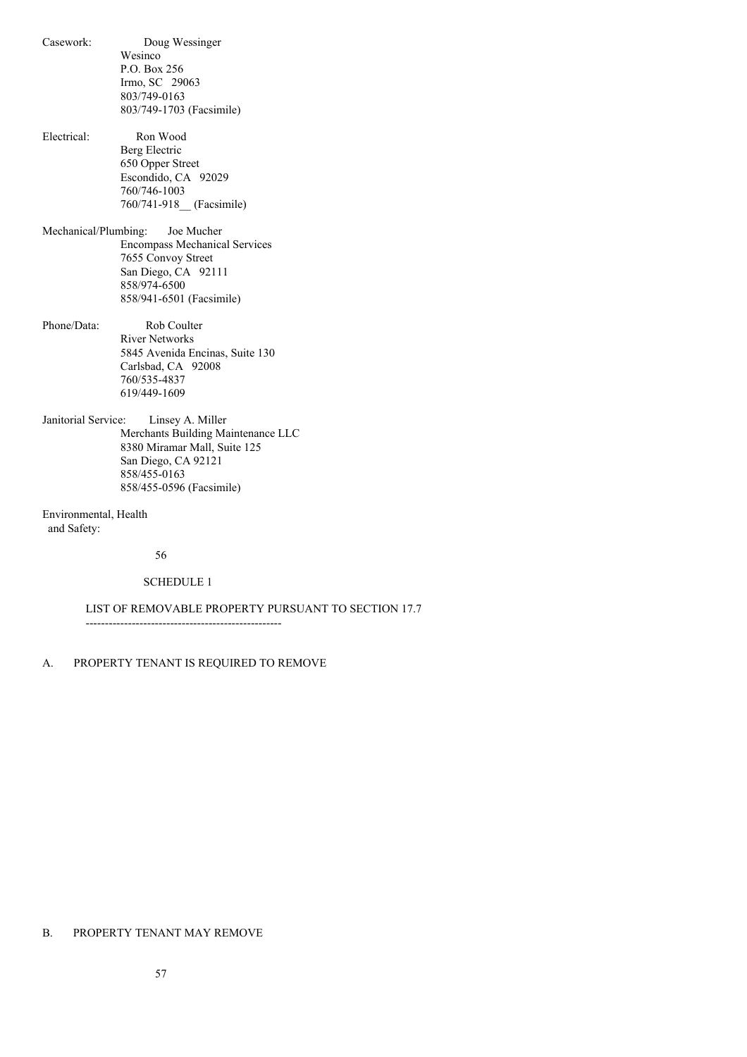Casework: Doug Wessinger Wesinco P.O. Box 256 Irmo, SC 29063 803/749-0163 803/749-1703 (Facsimile) Electrical: Ron Wood Berg Electric 650 Opper Street Escondido, CA 92029 760/746-1003 760/741-918\_\_ (Facsimile) Mechanical/Plumbing: Joe Mucher Encompass Mechanical Services 7655 Convoy Street San Diego, CA 92111 858/974-6500 858/941-6501 (Facsimile) Phone/Data: Rob Coulter River Networks 5845 Avenida Encinas, Suite 130 Carlsbad, CA 92008 760/535-4837 619/449-1609 Janitorial Service: Linsey A. Miller Merchants Building Maintenance LLC 8380 Miramar Mall, Suite 125 San Diego, CA 92121 858/455-0163 858/455-0596 (Facsimile)

Environmental, Health and Safety:

56

## SCHEDULE 1

LIST OF REMOVABLE PROPERTY PURSUANT TO SECTION 17.7

---------------------------------------------------

A. PROPERTY TENANT IS REQUIRED TO REMOVE

## B. PROPERTY TENANT MAY REMOVE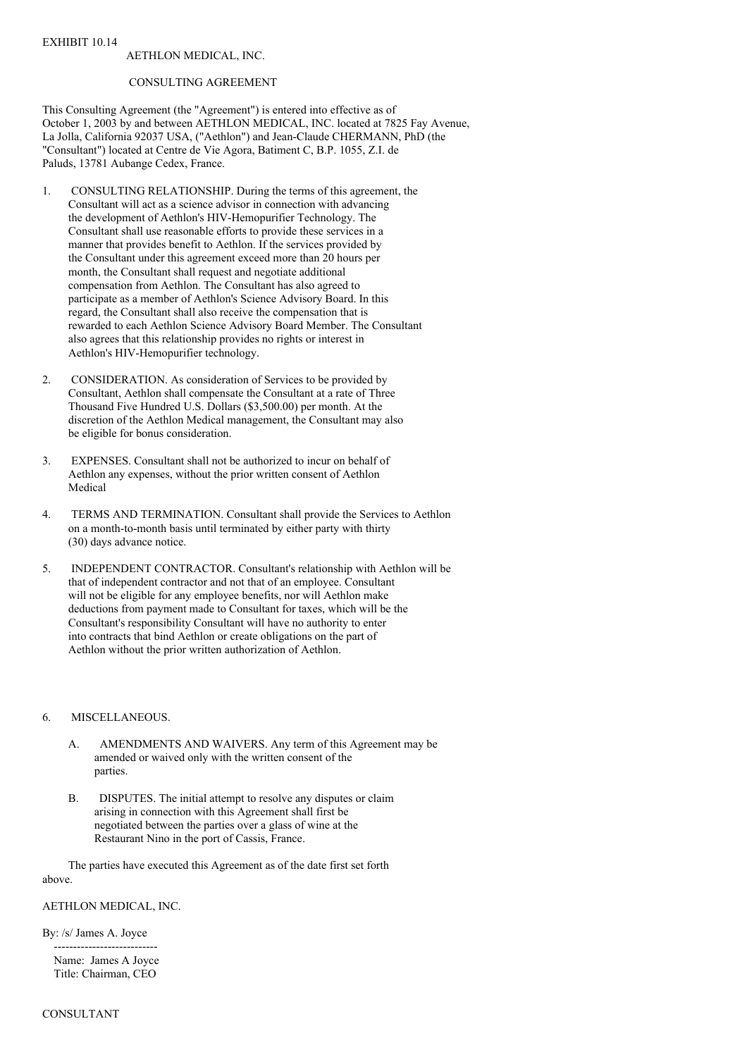## EXHIBIT 10.14

## AETHLON MEDICAL, INC.

## CONSULTING AGREEMENT

This Consulting Agreement (the "Agreement") is entered into effective as of October 1, 2003 by and between AETHLON MEDICAL, INC. located at 7825 Fay Avenue, La Jolla, California 92037 USA, ("Aethlon") and Jean-Claude CHERMANN, PhD (the "Consultant") located at Centre de Vie Agora, Batiment C, B.P. 1055, Z.I. de Paluds, 13781 Aubange Cedex, France.

- 1. CONSULTING RELATIONSHIP. During the terms of this agreement, the Consultant will act as a science advisor in connection with advancing the development of Aethlon's HIV-Hemopurifier Technology. The Consultant shall use reasonable efforts to provide these services in a manner that provides benefit to Aethlon. If the services provided by the Consultant under this agreement exceed more than 20 hours per month, the Consultant shall request and negotiate additional compensation from Aethlon. The Consultant has also agreed to participate as a member of Aethlon's Science Advisory Board. In this regard, the Consultant shall also receive the compensation that is rewarded to each Aethlon Science Advisory Board Member. The Consultant also agrees that this relationship provides no rights or interest in Aethlon's HIV-Hemopurifier technology.
- 2. CONSIDERATION. As consideration of Services to be provided by Consultant, Aethlon shall compensate the Consultant at a rate of Three Thousand Five Hundred U.S. Dollars (\$3,500.00) per month. At the discretion of the Aethlon Medical management, the Consultant may also be eligible for bonus consideration.
- 3. EXPENSES. Consultant shall not be authorized to incur on behalf of Aethlon any expenses, without the prior written consent of Aethlon Medical
- 4. TERMS AND TERMINATION. Consultant shall provide the Services to Aethlon on a month-to-month basis until terminated by either party with thirty (30) days advance notice.
- 5. INDEPENDENT CONTRACTOR. Consultant's relationship with Aethlon will be that of independent contractor and not that of an employee. Consultant will not be eligible for any employee benefits, nor will Aethlon make deductions from payment made to Consultant for taxes, which will be the Consultant's responsibility Consultant will have no authority to enter into contracts that bind Aethlon or create obligations on the part of Aethlon without the prior written authorization of Aethlon.

## 6. MISCELLANEOUS.

- A. AMENDMENTS AND WAIVERS. Any term of this Agreement may be amended or waived only with the written consent of the parties.
- B. DISPUTES. The initial attempt to resolve any disputes or claim arising in connection with this Agreement shall first be negotiated between the parties over a glass of wine at the Restaurant Nino in the port of Cassis, France.

The parties have executed this Agreement as of the date first set forth above.

AETHLON MEDICAL, INC.

By: /s/ James A. Joyce

--------------------------- Name: James A Joyce Title: Chairman, CEO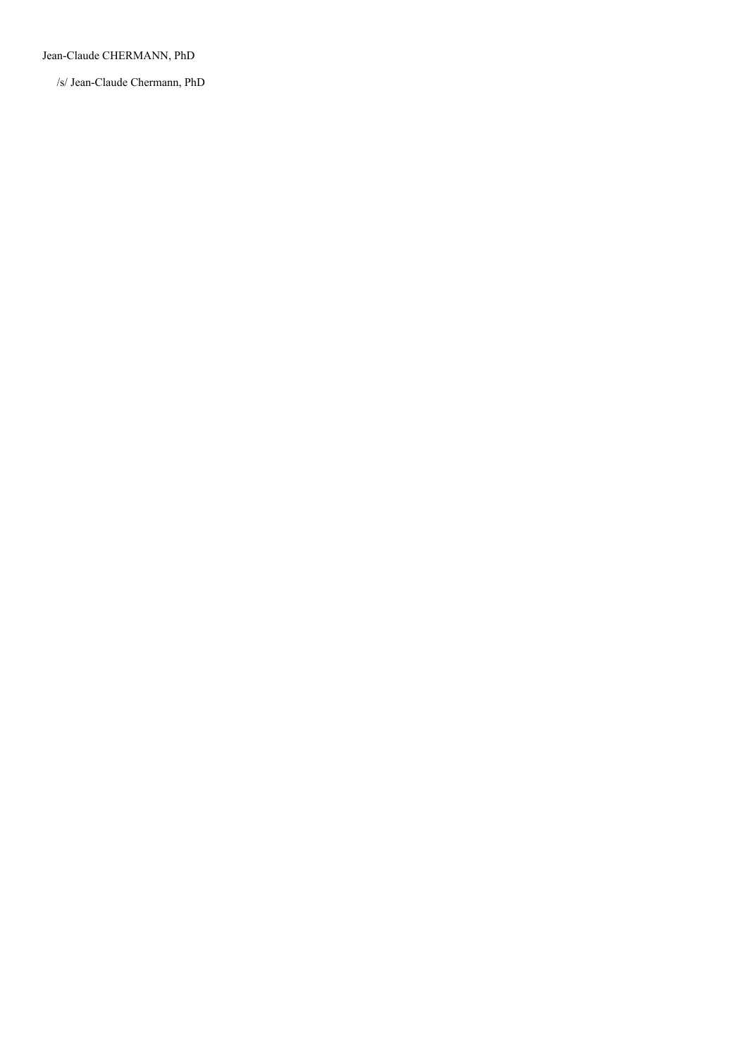## Jean-Claude CHERMANN, PhD

/s/ Jean-Claude Chermann, PhD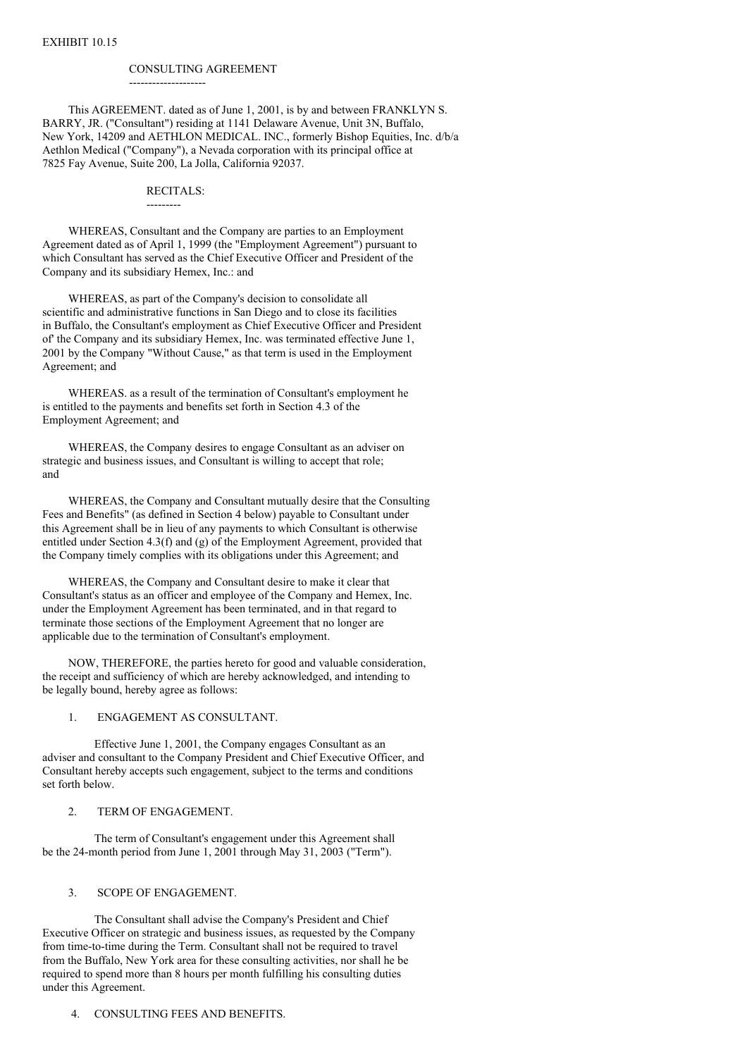#### CONSULTING AGREEMENT

--------------------

This AGREEMENT. dated as of June 1, 2001, is by and between FRANKLYN S. BARRY, JR. ("Consultant") residing at 1141 Delaware Avenue, Unit 3N, Buffalo, New York, 14209 and AETHLON MEDICAL. INC., formerly Bishop Equities, Inc. d/b/a Aethlon Medical ("Company"), a Nevada corporation with its principal office at 7825 Fay Avenue, Suite 200, La Jolla, California 92037.

## RECITALS:

---------

WHEREAS, Consultant and the Company are parties to an Employment Agreement dated as of April 1, 1999 (the "Employment Agreement") pursuant to which Consultant has served as the Chief Executive Officer and President of the Company and its subsidiary Hemex, Inc.: and

WHEREAS, as part of the Company's decision to consolidate all scientific and administrative functions in San Diego and to close its facilities in Buffalo, the Consultant's employment as Chief Executive Officer and President of' the Company and its subsidiary Hemex, Inc. was terminated effective June 1, 2001 by the Company "Without Cause," as that term is used in the Employment Agreement; and

WHEREAS. as a result of the termination of Consultant's employment he is entitled to the payments and benefits set forth in Section 4.3 of the Employment Agreement; and

WHEREAS, the Company desires to engage Consultant as an adviser on strategic and business issues, and Consultant is willing to accept that role; and

WHEREAS, the Company and Consultant mutually desire that the Consulting Fees and Benefits" (as defined in Section 4 below) payable to Consultant under this Agreement shall be in lieu of any payments to which Consultant is otherwise entitled under Section 4.3(f) and (g) of the Employment Agreement, provided that the Company timely complies with its obligations under this Agreement; and

WHEREAS, the Company and Consultant desire to make it clear that Consultant's status as an officer and employee of the Company and Hemex, Inc. under the Employment Agreement has been terminated, and in that regard to terminate those sections of the Employment Agreement that no longer are applicable due to the termination of Consultant's employment.

NOW, THEREFORE, the parties hereto for good and valuable consideration, the receipt and sufficiency of which are hereby acknowledged, and intending to be legally bound, hereby agree as follows:

## 1. ENGAGEMENT AS CONSULTANT.

Effective June 1, 2001, the Company engages Consultant as an adviser and consultant to the Company President and Chief Executive Officer, and Consultant hereby accepts such engagement, subject to the terms and conditions set forth below.

### 2. TERM OF ENGAGEMENT.

The term of Consultant's engagement under this Agreement shall be the 24-month period from June 1, 2001 through May 31, 2003 ("Term").

## 3. SCOPE OF ENGAGEMENT.

The Consultant shall advise the Company's President and Chief Executive Officer on strategic and business issues, as requested by the Company from time-to-time during the Term. Consultant shall not be required to travel from the Buffalo, New York area for these consulting activities, nor shall he be required to spend more than 8 hours per month fulfilling his consulting duties under this Agreement.

### 4. CONSULTING FEES AND BENEFITS.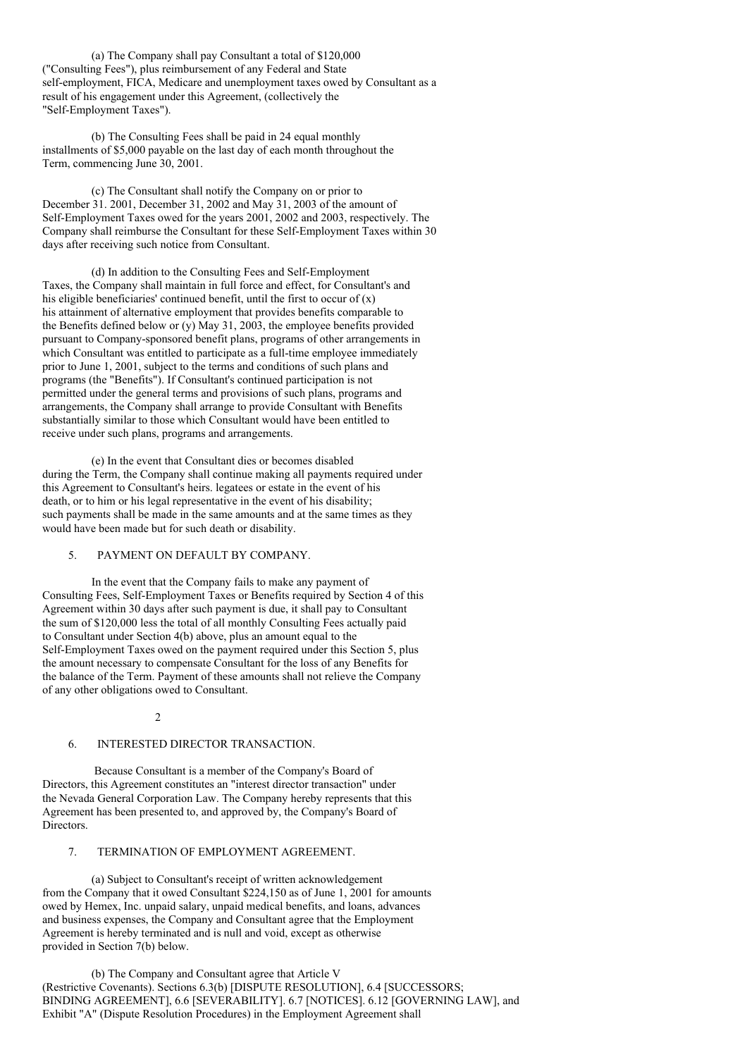(a) The Company shall pay Consultant a total of \$120,000 ("Consulting Fees"), plus reimbursement of any Federal and State self-employment, FICA, Medicare and unemployment taxes owed by Consultant as a result of his engagement under this Agreement, (collectively the "Self-Employment Taxes").

(b) The Consulting Fees shall be paid in 24 equal monthly installments of \$5,000 payable on the last day of each month throughout the Term, commencing June 30, 2001.

(c) The Consultant shall notify the Company on or prior to December 31. 2001, December 31, 2002 and May 31, 2003 of the amount of Self-Employment Taxes owed for the years 2001, 2002 and 2003, respectively. The Company shall reimburse the Consultant for these Self-Employment Taxes within 30 days after receiving such notice from Consultant.

(d) In addition to the Consulting Fees and Self-Employment Taxes, the Company shall maintain in full force and effect, for Consultant's and his eligible beneficiaries' continued benefit, until the first to occur of (x) his attainment of alternative employment that provides benefits comparable to the Benefits defined below or  $(y)$  May 31, 2003, the employee benefits provided pursuant to Company-sponsored benefit plans, programs of other arrangements in which Consultant was entitled to participate as a full-time employee immediately prior to June 1, 2001, subject to the terms and conditions of such plans and programs (the "Benefits"). If Consultant's continued participation is not permitted under the general terms and provisions of such plans, programs and arrangements, the Company shall arrange to provide Consultant with Benefits substantially similar to those which Consultant would have been entitled to receive under such plans, programs and arrangements.

(e) In the event that Consultant dies or becomes disabled during the Term, the Company shall continue making all payments required under this Agreement to Consultant's heirs. legatees or estate in the event of his death, or to him or his legal representative in the event of his disability; such payments shall be made in the same amounts and at the same times as they would have been made but for such death or disability.

5. PAYMENT ON DEFAULT BY COMPANY.

In the event that the Company fails to make any payment of Consulting Fees, Self-Employment Taxes or Benefits required by Section 4 of this Agreement within 30 days after such payment is due, it shall pay to Consultant the sum of \$120,000 less the total of all monthly Consulting Fees actually paid to Consultant under Section 4(b) above, plus an amount equal to the Self-Employment Taxes owed on the payment required under this Section 5, plus the amount necessary to compensate Consultant for the loss of any Benefits for the balance of the Term. Payment of these amounts shall not relieve the Company of any other obligations owed to Consultant.

 $\mathcal{D}$ 

## 6. INTERESTED DIRECTOR TRANSACTION.

Because Consultant is a member of the Company's Board of Directors, this Agreement constitutes an "interest director transaction" under the Nevada General Corporation Law. The Company hereby represents that this Agreement has been presented to, and approved by, the Company's Board of Directors.

## 7. TERMINATION OF EMPLOYMENT AGREEMENT.

(a) Subject to Consultant's receipt of written acknowledgement from the Company that it owed Consultant \$224,150 as of June 1, 2001 for amounts owed by Hemex, Inc. unpaid salary, unpaid medical benefits, and loans, advances and business expenses, the Company and Consultant agree that the Employment Agreement is hereby terminated and is null and void, except as otherwise provided in Section 7(b) below.

(b) The Company and Consultant agree that Article V (Restrictive Covenants). Sections 6.3(b) [DISPUTE RESOLUTION], 6.4 [SUCCESSORS; BINDING AGREEMENT], 6.6 [SEVERABILITY]. 6.7 [NOTICES]. 6.12 [GOVERNING LAW], and Exhibit "A" (Dispute Resolution Procedures) in the Employment Agreement shall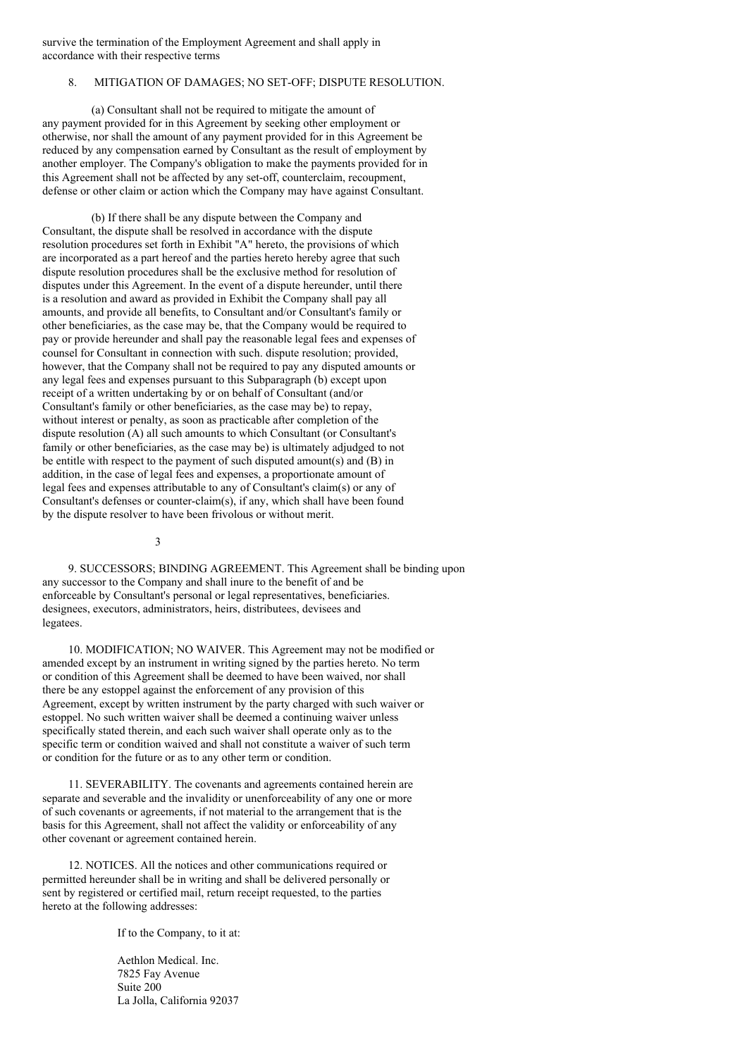survive the termination of the Employment Agreement and shall apply in accordance with their respective terms

## 8. MITIGATION OF DAMAGES; NO SET-OFF; DISPUTE RESOLUTION.

(a) Consultant shall not be required to mitigate the amount of any payment provided for in this Agreement by seeking other employment or otherwise, nor shall the amount of any payment provided for in this Agreement be reduced by any compensation earned by Consultant as the result of employment by another employer. The Company's obligation to make the payments provided for in this Agreement shall not be affected by any set-off, counterclaim, recoupment, defense or other claim or action which the Company may have against Consultant.

(b) If there shall be any dispute between the Company and Consultant, the dispute shall be resolved in accordance with the dispute resolution procedures set forth in Exhibit "A" hereto, the provisions of which are incorporated as a part hereof and the parties hereto hereby agree that such dispute resolution procedures shall be the exclusive method for resolution of disputes under this Agreement. In the event of a dispute hereunder, until there is a resolution and award as provided in Exhibit the Company shall pay all amounts, and provide all benefits, to Consultant and/or Consultant's family or other beneficiaries, as the case may be, that the Company would be required to pay or provide hereunder and shall pay the reasonable legal fees and expenses of counsel for Consultant in connection with such. dispute resolution; provided, however, that the Company shall not be required to pay any disputed amounts or any legal fees and expenses pursuant to this Subparagraph (b) except upon receipt of a written undertaking by or on behalf of Consultant (and/or Consultant's family or other beneficiaries, as the case may be) to repay, without interest or penalty, as soon as practicable after completion of the dispute resolution (A) all such amounts to which Consultant (or Consultant's family or other beneficiaries, as the case may be) is ultimately adjudged to not be entitle with respect to the payment of such disputed amount(s) and (B) in addition, in the case of legal fees and expenses, a proportionate amount of legal fees and expenses attributable to any of Consultant's claim(s) or any of Consultant's defenses or counter-claim(s), if any, which shall have been found by the dispute resolver to have been frivolous or without merit.

3

9. SUCCESSORS; BINDING AGREEMENT. This Agreement shall be binding upon any successor to the Company and shall inure to the benefit of and be enforceable by Consultant's personal or legal representatives, beneficiaries. designees, executors, administrators, heirs, distributees, devisees and legatees.

10. MODIFICATION; NO WAIVER. This Agreement may not be modified or amended except by an instrument in writing signed by the parties hereto. No term or condition of this Agreement shall be deemed to have been waived, nor shall there be any estoppel against the enforcement of any provision of this Agreement, except by written instrument by the party charged with such waiver or estoppel. No such written waiver shall be deemed a continuing waiver unless specifically stated therein, and each such waiver shall operate only as to the specific term or condition waived and shall not constitute a waiver of such term or condition for the future or as to any other term or condition.

11. SEVERABILITY. The covenants and agreements contained herein are separate and severable and the invalidity or unenforceability of any one or more of such covenants or agreements, if not material to the arrangement that is the basis for this Agreement, shall not affect the validity or enforceability of any other covenant or agreement contained herein.

12. NOTICES. All the notices and other communications required or permitted hereunder shall be in writing and shall be delivered personally or sent by registered or certified mail, return receipt requested, to the parties hereto at the following addresses:

If to the Company, to it at:

Aethlon Medical. Inc. 7825 Fay Avenue Suite 200 La Jolla, California 92037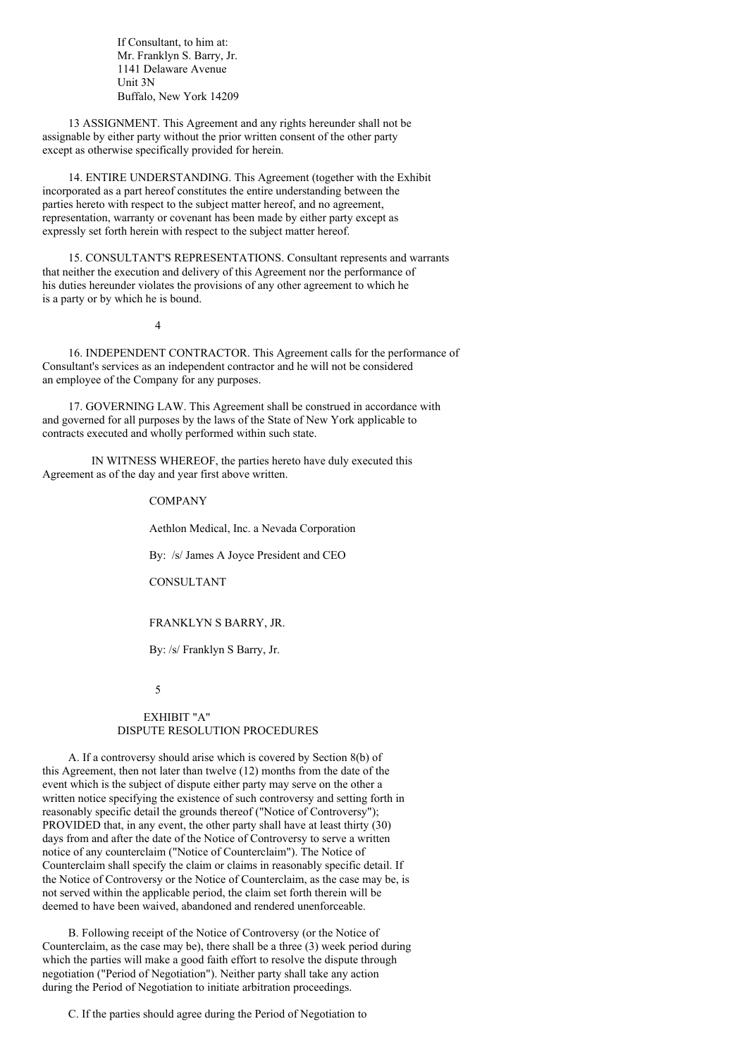If Consultant, to him at: Mr. Franklyn S. Barry, Jr. 1141 Delaware Avenue Unit 3N Buffalo, New York 14209

13 ASSIGNMENT. This Agreement and any rights hereunder shall not be assignable by either party without the prior written consent of the other party except as otherwise specifically provided for herein.

14. ENTIRE UNDERSTANDING. This Agreement (together with the Exhibit incorporated as a part hereof constitutes the entire understanding between the parties hereto with respect to the subject matter hereof, and no agreement, representation, warranty or covenant has been made by either party except as expressly set forth herein with respect to the subject matter hereof.

15. CONSULTANT'S REPRESENTATIONS. Consultant represents and warrants that neither the execution and delivery of this Agreement nor the performance of his duties hereunder violates the provisions of any other agreement to which he is a party or by which he is bound.

4

16. INDEPENDENT CONTRACTOR. This Agreement calls for the performance of Consultant's services as an independent contractor and he will not be considered an employee of the Company for any purposes.

17. GOVERNING LAW. This Agreement shall be construed in accordance with and governed for all purposes by the laws of the State of New York applicable to contracts executed and wholly performed within such state.

IN WITNESS WHEREOF, the parties hereto have duly executed this Agreement as of the day and year first above written.

### **COMPANY**

Aethlon Medical, Inc. a Nevada Corporation

By: /s/ James A Joyce President and CEO

CONSULTANT

## FRANKLYN S BARRY, JR.

By: /s/ Franklyn S Barry, Jr.

#### 5

#### EXHIBIT "A" DISPUTE RESOLUTION PROCEDURES

A. If a controversy should arise which is covered by Section 8(b) of this Agreement, then not later than twelve (12) months from the date of the event which is the subject of dispute either party may serve on the other a written notice specifying the existence of such controversy and setting forth in reasonably specific detail the grounds thereof ("Notice of Controversy"); PROVIDED that, in any event, the other party shall have at least thirty (30) days from and after the date of the Notice of Controversy to serve a written notice of any counterclaim ("Notice of Counterclaim"). The Notice of Counterclaim shall specify the claim or claims in reasonably specific detail. If the Notice of Controversy or the Notice of Counterclaim, as the case may be, is not served within the applicable period, the claim set forth therein will be deemed to have been waived, abandoned and rendered unenforceable.

B. Following receipt of the Notice of Controversy (or the Notice of Counterclaim, as the case may be), there shall be a three (3) week period during which the parties will make a good faith effort to resolve the dispute through negotiation ("Period of Negotiation"). Neither party shall take any action during the Period of Negotiation to initiate arbitration proceedings.

C. If the parties should agree during the Period of Negotiation to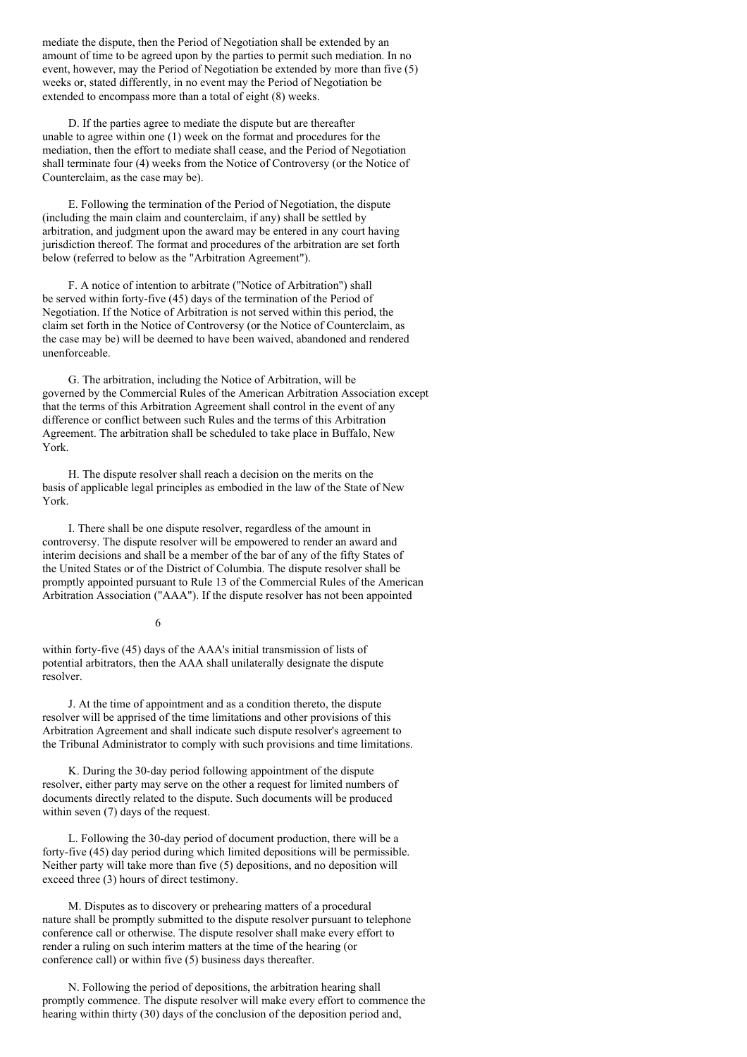mediate the dispute, then the Period of Negotiation shall be extended by an amount of time to be agreed upon by the parties to permit such mediation. In no event, however, may the Period of Negotiation be extended by more than five (5) weeks or, stated differently, in no event may the Period of Negotiation be extended to encompass more than a total of eight (8) weeks.

D. If the parties agree to mediate the dispute but are thereafter unable to agree within one (1) week on the format and procedures for the mediation, then the effort to mediate shall cease, and the Period of Negotiation shall terminate four (4) weeks from the Notice of Controversy (or the Notice of Counterclaim, as the case may be).

E. Following the termination of the Period of Negotiation, the dispute (including the main claim and counterclaim, if any) shall be settled by arbitration, and judgment upon the award may be entered in any court having jurisdiction thereof. The format and procedures of the arbitration are set forth below (referred to below as the "Arbitration Agreement").

F. A notice of intention to arbitrate ("Notice of Arbitration") shall be served within forty-five (45) days of the termination of the Period of Negotiation. If the Notice of Arbitration is not served within this period, the claim set forth in the Notice of Controversy (or the Notice of Counterclaim, as the case may be) will be deemed to have been waived, abandoned and rendered unenforceable.

G. The arbitration, including the Notice of Arbitration, will be governed by the Commercial Rules of the American Arbitration Association except that the terms of this Arbitration Agreement shall control in the event of any difference or conflict between such Rules and the terms of this Arbitration Agreement. The arbitration shall be scheduled to take place in Buffalo, New York.

H. The dispute resolver shall reach a decision on the merits on the basis of applicable legal principles as embodied in the law of the State of New York.

I. There shall be one dispute resolver, regardless of the amount in controversy. The dispute resolver will be empowered to render an award and interim decisions and shall be a member of the bar of any of the fifty States of the United States or of the District of Columbia. The dispute resolver shall be promptly appointed pursuant to Rule 13 of the Commercial Rules of the American Arbitration Association ("AAA"). If the dispute resolver has not been appointed

#### 6

within forty-five (45) days of the AAA's initial transmission of lists of potential arbitrators, then the AAA shall unilaterally designate the dispute resolver.

J. At the time of appointment and as a condition thereto, the dispute resolver will be apprised of the time limitations and other provisions of this Arbitration Agreement and shall indicate such dispute resolver's agreement to the Tribunal Administrator to comply with such provisions and time limitations.

K. During the 30-day period following appointment of the dispute resolver, either party may serve on the other a request for limited numbers of documents directly related to the dispute. Such documents will be produced within seven (7) days of the request.

L. Following the 30-day period of document production, there will be a forty-five (45) day period during which limited depositions will be permissible. Neither party will take more than five (5) depositions, and no deposition will exceed three (3) hours of direct testimony.

M. Disputes as to discovery or prehearing matters of a procedural nature shall be promptly submitted to the dispute resolver pursuant to telephone conference call or otherwise. The dispute resolver shall make every effort to render a ruling on such interim matters at the time of the hearing (or conference call) or within five (5) business days thereafter.

N. Following the period of depositions, the arbitration hearing shall promptly commence. The dispute resolver will make every effort to commence the hearing within thirty (30) days of the conclusion of the deposition period and,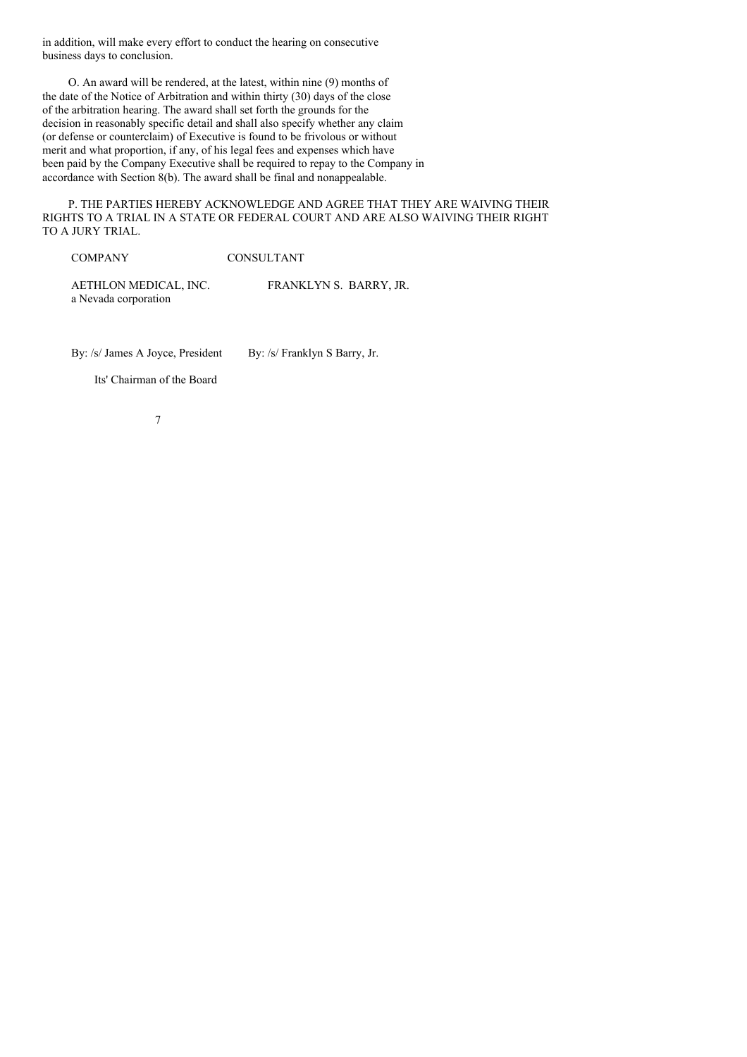in addition, will make every effort to conduct the hearing on consecutive business days to conclusion.

O. An award will be rendered, at the latest, within nine (9) months of the date of the Notice of Arbitration and within thirty (30) days of the close of the arbitration hearing. The award shall set forth the grounds for the decision in reasonably specific detail and shall also specify whether any claim (or defense or counterclaim) of Executive is found to be frivolous or without merit and what proportion, if any, of his legal fees and expenses which have been paid by the Company Executive shall be required to repay to the Company in accordance with Section 8(b). The award shall be final and nonappealable.

P. THE PARTIES HEREBY ACKNOWLEDGE AND AGREE THAT THEY ARE WAIVING THEIR RIGHTS TO A TRIAL IN A STATE OR FEDERAL COURT AND ARE ALSO WAIVING THEIR RIGHT TO A JURY TRIAL.

COMPANY CONSULTANT AETHLON MEDICAL, INC. FRANKLYN S. BARRY, JR. a Nevada corporation

By: /s/ James A Joyce, President By: /s/ Franklyn S Barry, Jr.

Its' Chairman of the Board

7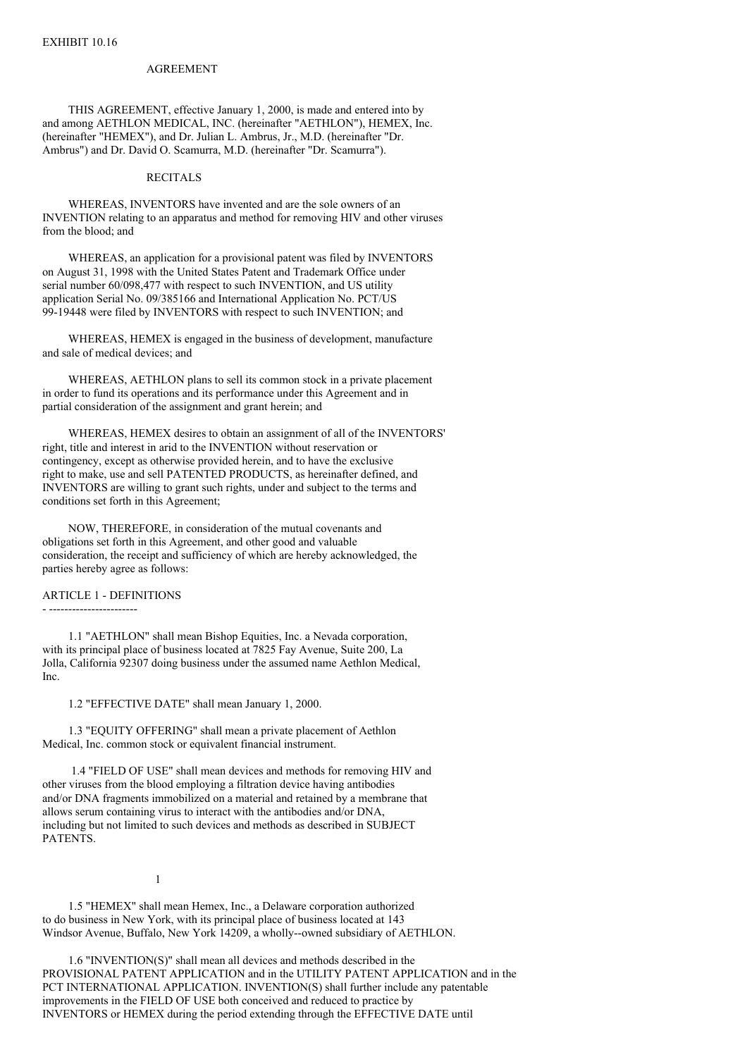#### AGREEMENT

THIS AGREEMENT, effective January 1, 2000, is made and entered into by and among AETHLON MEDICAL, INC. (hereinafter "AETHLON"), HEMEX, Inc. (hereinafter "HEMEX"), and Dr. Julian L. Ambrus, Jr., M.D. (hereinafter "Dr. Ambrus") and Dr. David O. Scamurra, M.D. (hereinafter "Dr. Scamurra").

## **RECITALS**

WHEREAS, INVENTORS have invented and are the sole owners of an INVENTION relating to an apparatus and method for removing HIV and other viruses from the blood; and

WHEREAS, an application for a provisional patent was filed by INVENTORS on August 31, 1998 with the United States Patent and Trademark Office under serial number 60/098,477 with respect to such INVENTION, and US utility application Serial No. 09/385166 and International Application No. PCT/US 99-19448 were filed by INVENTORS with respect to such INVENTION; and

WHEREAS, HEMEX is engaged in the business of development, manufacture and sale of medical devices; and

WHEREAS, AETHLON plans to sell its common stock in a private placement in order to fund its operations and its performance under this Agreement and in partial consideration of the assignment and grant herein; and

WHEREAS, HEMEX desires to obtain an assignment of all of the INVENTORS' right, title and interest in arid to the INVENTION without reservation or contingency, except as otherwise provided herein, and to have the exclusive right to make, use and sell PATENTED PRODUCTS, as hereinafter defined, and INVENTORS are willing to grant such rights, under and subject to the terms and conditions set forth in this Agreement;

NOW, THEREFORE, in consideration of the mutual covenants and obligations set forth in this Agreement, and other good and valuable consideration, the receipt and sufficiency of which are hereby acknowledged, the parties hereby agree as follows:

## ARTICLE 1 - DEFINITIONS

- -----------------------

1.1 "AETHLON" shall mean Bishop Equities, Inc. a Nevada corporation, with its principal place of business located at 7825 Fay Avenue, Suite 200, La Jolla, California 92307 doing business under the assumed name Aethlon Medical, Inc.

1.2 "EFFECTIVE DATE" shall mean January 1, 2000.

1.3 "EQUITY OFFERING" shall mean a private placement of Aethlon Medical, Inc. common stock or equivalent financial instrument.

1.4 "FIELD OF USE" shall mean devices and methods for removing HIV and other viruses from the blood employing a filtration device having antibodies and/or DNA fragments immobilized on a material and retained by a membrane that allows serum containing virus to interact with the antibodies and/or DNA, including but not limited to such devices and methods as described in SUBJECT PATENTS.

1

1.5 "HEMEX" shall mean Hemex, Inc., a Delaware corporation authorized to do business in New York, with its principal place of business located at 143 Windsor Avenue, Buffalo, New York 14209, a wholly--owned subsidiary of AETHLON.

1.6 "INVENTION(S)" shall mean all devices and methods described in the PROVISIONAL PATENT APPLICATION and in the UTILITY PATENT APPLICATION and in the PCT INTERNATIONAL APPLICATION. INVENTION(S) shall further include any patentable improvements in the FIELD OF USE both conceived and reduced to practice by INVENTORS or HEMEX during the period extending through the EFFECTIVE DATE until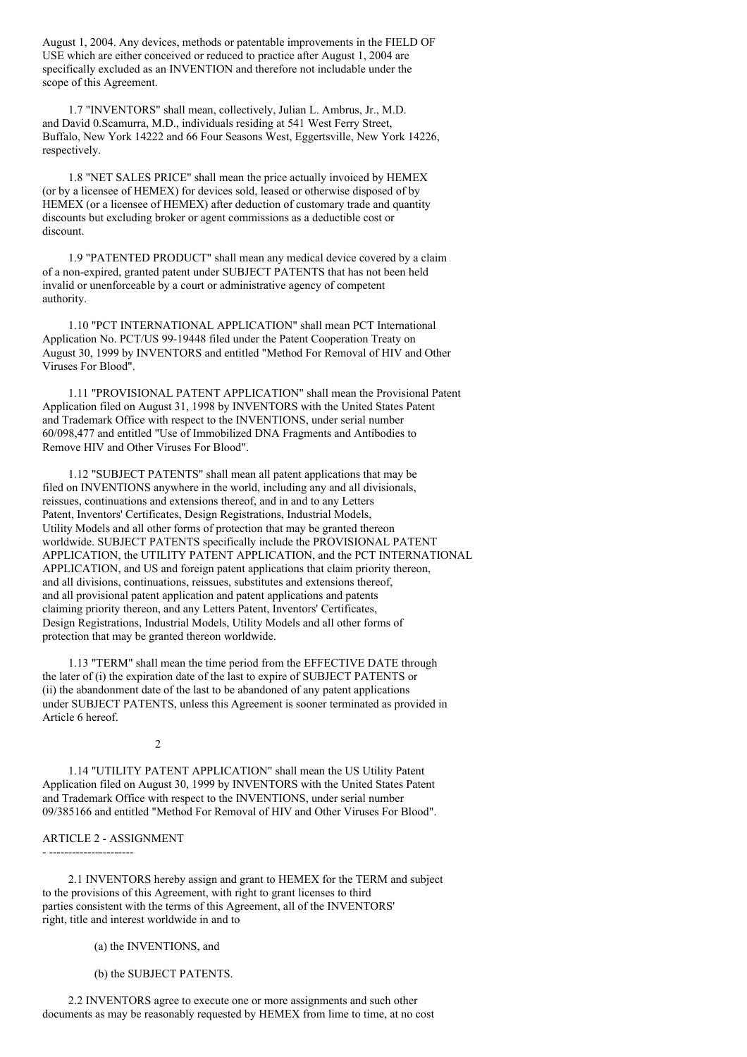August 1, 2004. Any devices, methods or patentable improvements in the FIELD OF USE which are either conceived or reduced to practice after August 1, 2004 are specifically excluded as an INVENTION and therefore not includable under the scope of this Agreement.

1.7 "INVENTORS" shall mean, collectively, Julian L. Ambrus, Jr., M.D. and David 0.Scamurra, M.D., individuals residing at 541 West Ferry Street, Buffalo, New York 14222 and 66 Four Seasons West, Eggertsville, New York 14226, respectively.

1.8 "NET SALES PRICE" shall mean the price actually invoiced by HEMEX (or by a licensee of HEMEX) for devices sold, leased or otherwise disposed of by HEMEX (or a licensee of HEMEX) after deduction of customary trade and quantity discounts but excluding broker or agent commissions as a deductible cost or discount.

1.9 "PATENTED PRODUCT" shall mean any medical device covered by a claim of a non-expired, granted patent under SUBJECT PATENTS that has not been held invalid or unenforceable by a court or administrative agency of competent authority.

1.10 "PCT INTERNATIONAL APPLICATION" shall mean PCT International Application No. PCT/US 99-19448 filed under the Patent Cooperation Treaty on August 30, 1999 by INVENTORS and entitled "Method For Removal of HIV and Other Viruses For Blood".

1.11 "PROVISIONAL PATENT APPLICATION" shall mean the Provisional Patent Application filed on August 31, 1998 by INVENTORS with the United States Patent and Trademark Office with respect to the INVENTIONS, under serial number 60/098,477 and entitled "Use of Immobilized DNA Fragments and Antibodies to Remove HIV and Other Viruses For Blood".

1.12 "SUBJECT PATENTS" shall mean all patent applications that may be filed on INVENTIONS anywhere in the world, including any and all divisionals, reissues, continuations and extensions thereof, and in and to any Letters Patent, Inventors' Certificates, Design Registrations, Industrial Models, Utility Models and all other forms of protection that may be granted thereon worldwide. SUBJECT PATENTS specifically include the PROVISIONAL PATENT APPLICATION, the UTILITY PATENT APPLICATION, and the PCT INTERNATIONAL APPLICATION, and US and foreign patent applications that claim priority thereon, and all divisions, continuations, reissues, substitutes and extensions thereof, and all provisional patent application and patent applications and patents claiming priority thereon, and any Letters Patent, Inventors' Certificates, Design Registrations, Industrial Models, Utility Models and all other forms of protection that may be granted thereon worldwide.

1.13 "TERM" shall mean the time period from the EFFECTIVE DATE through the later of (i) the expiration date of the last to expire of SUBJECT PATENTS or (ii) the abandonment date of the last to be abandoned of any patent applications under SUBJECT PATENTS, unless this Agreement is sooner terminated as provided in Article 6 hereof.

2

1.14 "UTILITY PATENT APPLICATION" shall mean the US Utility Patent Application filed on August 30, 1999 by INVENTORS with the United States Patent and Trademark Office with respect to the INVENTIONS, under serial number 09/385166 and entitled "Method For Removal of HIV and Other Viruses For Blood".

#### ARTICLE 2 - ASSIGNMENT

- ----------------------

2.1 INVENTORS hereby assign and grant to HEMEX for the TERM and subject to the provisions of this Agreement, with right to grant licenses to third parties consistent with the terms of this Agreement, all of the INVENTORS' right, title and interest worldwide in and to

(a) the INVENTIONS, and

(b) the SUBJECT PATENTS.

2.2 INVENTORS agree to execute one or more assignments and such other documents as may be reasonably requested by HEMEX from lime to time, at no cost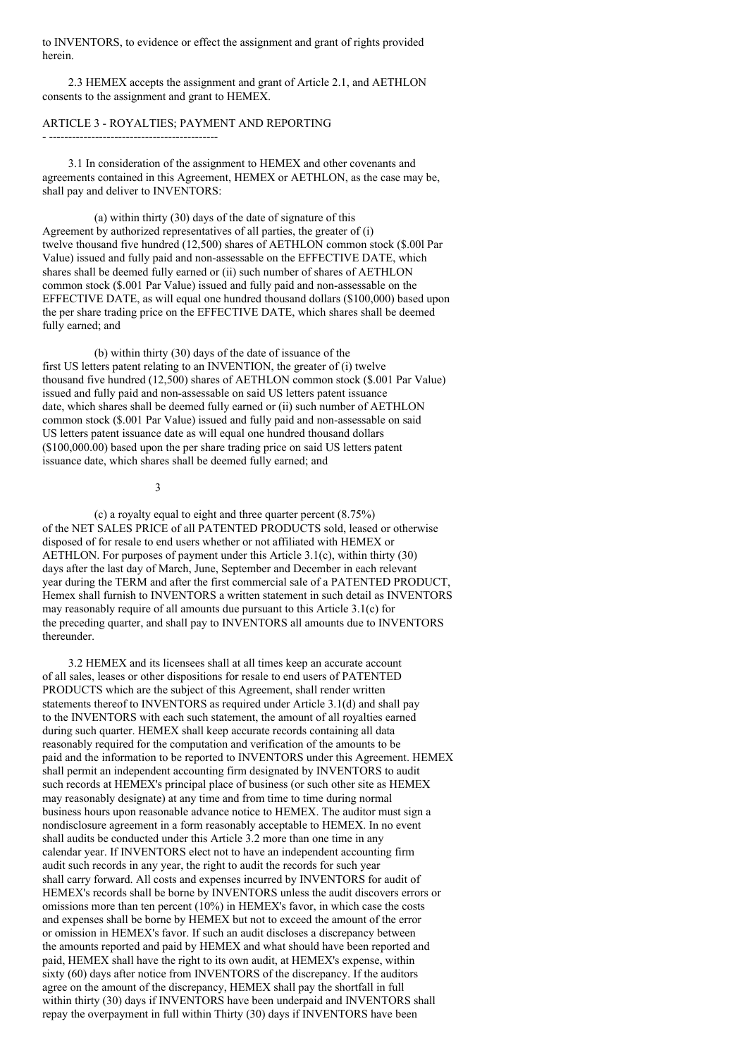to INVENTORS, to evidence or effect the assignment and grant of rights provided herein.

2.3 HEMEX accepts the assignment and grant of Article 2.1, and AETHLON consents to the assignment and grant to HEMEX.

### ARTICLE 3 - ROYALTIES; PAYMENT AND REPORTING

- --------------------------------------------

3.1 In consideration of the assignment to HEMEX and other covenants and agreements contained in this Agreement, HEMEX or AETHLON, as the case may be, shall pay and deliver to INVENTORS:

(a) within thirty (30) days of the date of signature of this Agreement by authorized representatives of all parties, the greater of (i) twelve thousand five hundred (12,500) shares of AETHLON common stock (\$.00l Par Value) issued and fully paid and non-assessable on the EFFECTIVE DATE, which shares shall be deemed fully earned or (ii) such number of shares of AETHLON common stock (\$.001 Par Value) issued and fully paid and non-assessable on the EFFECTIVE DATE, as will equal one hundred thousand dollars (\$100,000) based upon the per share trading price on the EFFECTIVE DATE, which shares shall be deemed fully earned; and

(b) within thirty (30) days of the date of issuance of the first US letters patent relating to an INVENTION, the greater of (i) twelve thousand five hundred (12,500) shares of AETHLON common stock (\$.001 Par Value) issued and fully paid and non-assessable on said US letters patent issuance date, which shares shall be deemed fully earned or (ii) such number of AETHLON common stock (\$.001 Par Value) issued and fully paid and non-assessable on said US letters patent issuance date as will equal one hundred thousand dollars (\$100,000.00) based upon the per share trading price on said US letters patent issuance date, which shares shall be deemed fully earned; and

3

(c) a royalty equal to eight and three quarter percent (8.75%) of the NET SALES PRICE of all PATENTED PRODUCTS sold, leased or otherwise disposed of for resale to end users whether or not affiliated with HEMEX or AETHLON. For purposes of payment under this Article 3.1(c), within thirty (30) days after the last day of March, June, September and December in each relevant year during the TERM and after the first commercial sale of a PATENTED PRODUCT, Hemex shall furnish to INVENTORS a written statement in such detail as INVENTORS may reasonably require of all amounts due pursuant to this Article 3.1(c) for the preceding quarter, and shall pay to INVENTORS all amounts due to INVENTORS thereunder.

3.2 HEMEX and its licensees shall at all times keep an accurate account of all sales, leases or other dispositions for resale to end users of PATENTED PRODUCTS which are the subject of this Agreement, shall render written statements thereof to INVENTORS as required under Article 3.1(d) and shall pay to the INVENTORS with each such statement, the amount of all royalties earned during such quarter. HEMEX shall keep accurate records containing all data reasonably required for the computation and verification of the amounts to be paid and the information to be reported to INVENTORS under this Agreement. HEMEX shall permit an independent accounting firm designated by INVENTORS to audit such records at HEMEX's principal place of business (or such other site as HEMEX may reasonably designate) at any time and from time to time during normal business hours upon reasonable advance notice to HEMEX. The auditor must sign a nondisclosure agreement in a form reasonably acceptable to HEMEX. In no event shall audits be conducted under this Article 3.2 more than one time in any calendar year. If INVENTORS elect not to have an independent accounting firm audit such records in any year, the right to audit the records for such year shall carry forward. All costs and expenses incurred by INVENTORS for audit of HEMEX's records shall be borne by INVENTORS unless the audit discovers errors or omissions more than ten percent (10%) in HEMEX's favor, in which case the costs and expenses shall be borne by HEMEX but not to exceed the amount of the error or omission in HEMEX's favor. If such an audit discloses a discrepancy between the amounts reported and paid by HEMEX and what should have been reported and paid, HEMEX shall have the right to its own audit, at HEMEX's expense, within sixty (60) days after notice from INVENTORS of the discrepancy. If the auditors agree on the amount of the discrepancy, HEMEX shall pay the shortfall in full within thirty (30) days if INVENTORS have been underpaid and INVENTORS shall repay the overpayment in full within Thirty (30) days if INVENTORS have been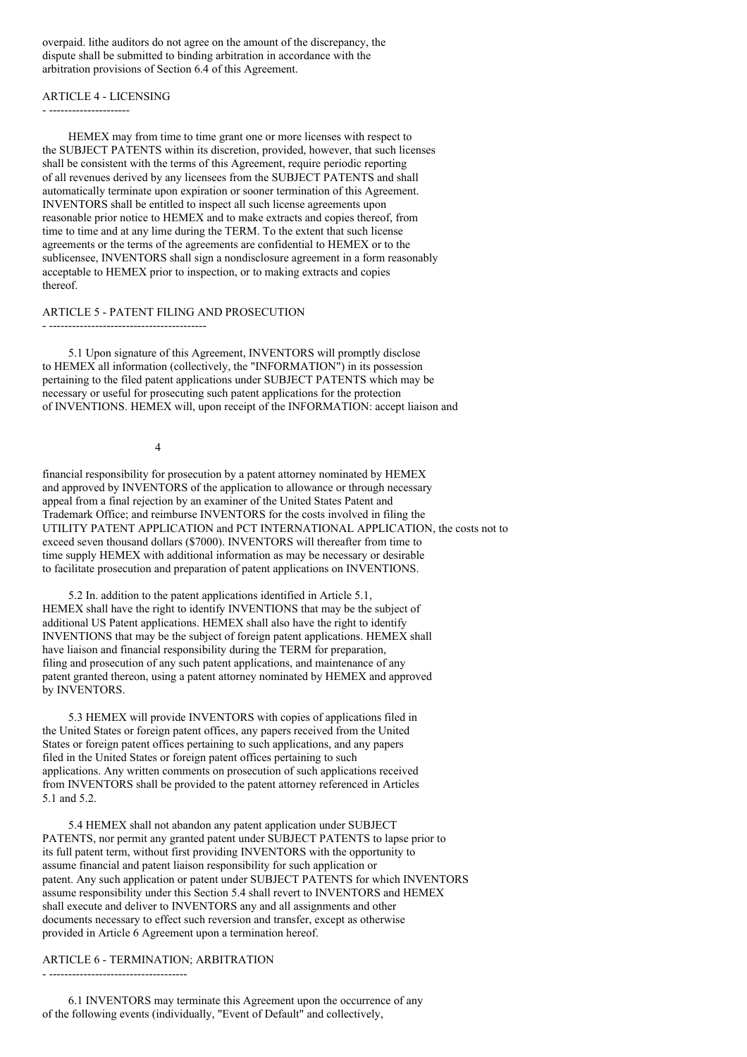overpaid. lithe auditors do not agree on the amount of the discrepancy, the dispute shall be submitted to binding arbitration in accordance with the arbitration provisions of Section 6.4 of this Agreement.

### ARTICLE 4 - LICENSING

- ---------------------

HEMEX may from time to time grant one or more licenses with respect to the SUBJECT PATENTS within its discretion, provided, however, that such licenses shall be consistent with the terms of this Agreement, require periodic reporting of all revenues derived by any licensees from the SUBJECT PATENTS and shall automatically terminate upon expiration or sooner termination of this Agreement. INVENTORS shall be entitled to inspect all such license agreements upon reasonable prior notice to HEMEX and to make extracts and copies thereof, from time to time and at any lime during the TERM. To the extent that such license agreements or the terms of the agreements are confidential to HEMEX or to the sublicensee, INVENTORS shall sign a nondisclosure agreement in a form reasonably acceptable to HEMEX prior to inspection, or to making extracts and copies thereof.

## ARTICLE 5 - PATENT FILING AND PROSECUTION

- -----------------------------------------

5.1 Upon signature of this Agreement, INVENTORS will promptly disclose to HEMEX all information (collectively, the "INFORMATION") in its possession pertaining to the filed patent applications under SUBJECT PATENTS which may be necessary or useful for prosecuting such patent applications for the protection of INVENTIONS. HEMEX will, upon receipt of the INFORMATION: accept liaison and

4

financial responsibility for prosecution by a patent attorney nominated by HEMEX and approved by INVENTORS of the application to allowance or through necessary appeal from a final rejection by an examiner of the United States Patent and Trademark Office; and reimburse INVENTORS for the costs involved in filing the UTILITY PATENT APPLICATION and PCT INTERNATIONAL APPLICATION, the costs not to exceed seven thousand dollars (\$7000). INVENTORS will thereafter from time to time supply HEMEX with additional information as may be necessary or desirable to facilitate prosecution and preparation of patent applications on INVENTIONS.

5.2 In. addition to the patent applications identified in Article 5.1, HEMEX shall have the right to identify INVENTIONS that may be the subject of additional US Patent applications. HEMEX shall also have the right to identify INVENTIONS that may be the subject of foreign patent applications. HEMEX shall have liaison and financial responsibility during the TERM for preparation, filing and prosecution of any such patent applications, and maintenance of any patent granted thereon, using a patent attorney nominated by HEMEX and approved by INVENTORS.

5.3 HEMEX will provide INVENTORS with copies of applications filed in the United States or foreign patent offices, any papers received from the United States or foreign patent offices pertaining to such applications, and any papers filed in the United States or foreign patent offices pertaining to such applications. Any written comments on prosecution of such applications received from INVENTORS shall be provided to the patent attorney referenced in Articles 5.1 and 5.2.

5.4 HEMEX shall not abandon any patent application under SUBJECT PATENTS, nor permit any granted patent under SUBJECT PATENTS to lapse prior to its full patent term, without first providing INVENTORS with the opportunity to assume financial and patent liaison responsibility for such application or patent. Any such application or patent under SUBJECT PATENTS for which INVENTORS assume responsibility under this Section 5.4 shall revert to INVENTORS and HEMEX shall execute and deliver to INVENTORS any and all assignments and other documents necessary to effect such reversion and transfer, except as otherwise provided in Article 6 Agreement upon a termination hereof.

### ARTICLE 6 - TERMINATION; ARBITRATION

- ------------------------------------

6.1 INVENTORS may terminate this Agreement upon the occurrence of any of the following events (individually, "Event of Default" and collectively,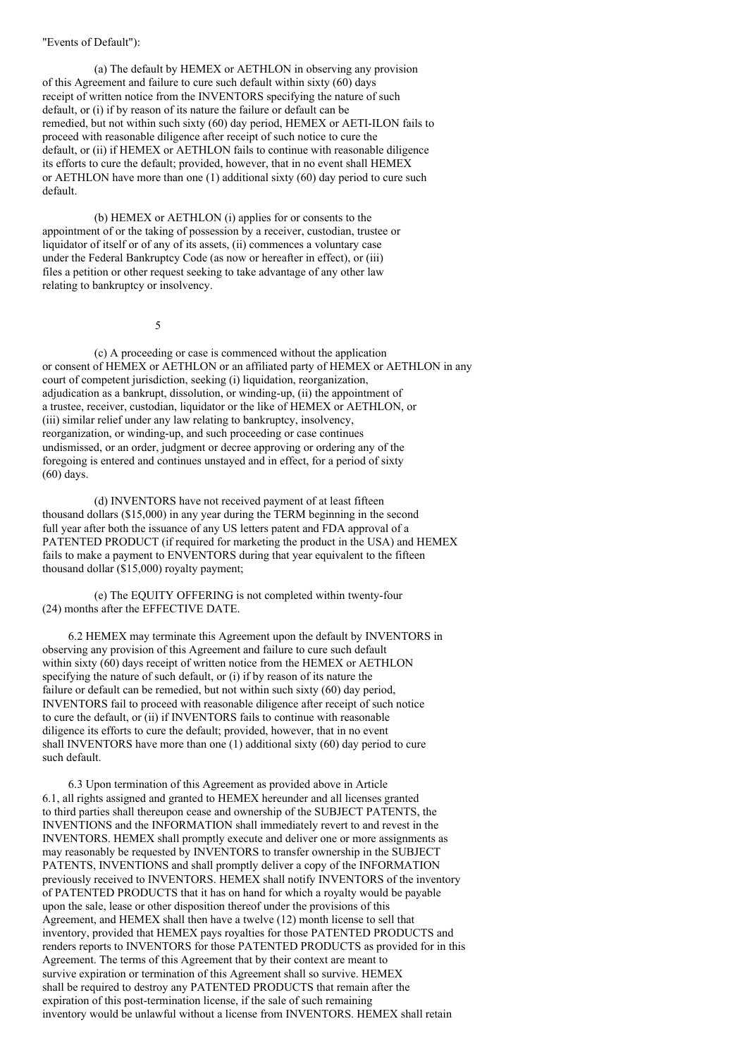## "Events of Default"):

(a) The default by HEMEX or AETHLON in observing any provision of this Agreement and failure to cure such default within sixty (60) days receipt of written notice from the INVENTORS specifying the nature of such default, or (i) if by reason of its nature the failure or default can be remedied, but not within such sixty (60) day period, HEMEX or AETI-ILON fails to proceed with reasonable diligence after receipt of such notice to cure the default, or (ii) if HEMEX or AETHLON fails to continue with reasonable diligence its efforts to cure the default; provided, however, that in no event shall HEMEX or AETHLON have more than one (1) additional sixty (60) day period to cure such default.

(b) HEMEX or AETHLON (i) applies for or consents to the appointment of or the taking of possession by a receiver, custodian, trustee or liquidator of itself or of any of its assets, (ii) commences a voluntary case under the Federal Bankruptcy Code (as now or hereafter in effect), or (iii) files a petition or other request seeking to take advantage of any other law relating to bankruptcy or insolvency.

5

(c) A proceeding or case is commenced without the application or consent of HEMEX or AETHLON or an affiliated party of HEMEX or AETHLON in any court of competent jurisdiction, seeking (i) liquidation, reorganization, adjudication as a bankrupt, dissolution, or winding-up, (ii) the appointment of a trustee, receiver, custodian, liquidator or the like of HEMEX or AETHLON, or (iii) similar relief under any law relating to bankruptcy, insolvency, reorganization, or winding-up, and such proceeding or case continues undismissed, or an order, judgment or decree approving or ordering any of the foregoing is entered and continues unstayed and in effect, for a period of sixty (60) days.

(d) INVENTORS have not received payment of at least fifteen thousand dollars (\$15,000) in any year during the TERM beginning in the second full year after both the issuance of any US letters patent and FDA approval of a PATENTED PRODUCT (if required for marketing the product in the USA) and HEMEX fails to make a payment to ENVENTORS during that year equivalent to the fifteen thousand dollar (\$15,000) royalty payment;

(e) The EQUITY OFFERING is not completed within twenty-four (24) months after the EFFECTIVE DATE.

6.2 HEMEX may terminate this Agreement upon the default by INVENTORS in observing any provision of this Agreement and failure to cure such default within sixty (60) days receipt of written notice from the HEMEX or AETHLON specifying the nature of such default, or (i) if by reason of its nature the failure or default can be remedied, but not within such sixty (60) day period, INVENTORS fail to proceed with reasonable diligence after receipt of such notice to cure the default, or (ii) if INVENTORS fails to continue with reasonable diligence its efforts to cure the default; provided, however, that in no event shall INVENTORS have more than one (1) additional sixty (60) day period to cure such default.

6.3 Upon termination of this Agreement as provided above in Article 6.1, all rights assigned and granted to HEMEX hereunder and all licenses granted to third parties shall thereupon cease and ownership of the SUBJECT PATENTS, the INVENTIONS and the INFORMATION shall immediately revert to and revest in the INVENTORS. HEMEX shall promptly execute and deliver one or more assignments as may reasonably be requested by INVENTORS to transfer ownership in the SUBJECT PATENTS, INVENTIONS and shall promptly deliver a copy of the INFORMATION previously received to INVENTORS. HEMEX shall notify INVENTORS of the inventory of PATENTED PRODUCTS that it has on hand for which a royalty would be payable upon the sale, lease or other disposition thereof under the provisions of this Agreement, and HEMEX shall then have a twelve (12) month license to sell that inventory, provided that HEMEX pays royalties for those PATENTED PRODUCTS and renders reports to INVENTORS for those PATENTED PRODUCTS as provided for in this Agreement. The terms of this Agreement that by their context are meant to survive expiration or termination of this Agreement shall so survive. HEMEX shall be required to destroy any PATENTED PRODUCTS that remain after the expiration of this post-termination license, if the sale of such remaining inventory would be unlawful without a license from INVENTORS. HEMEX shall retain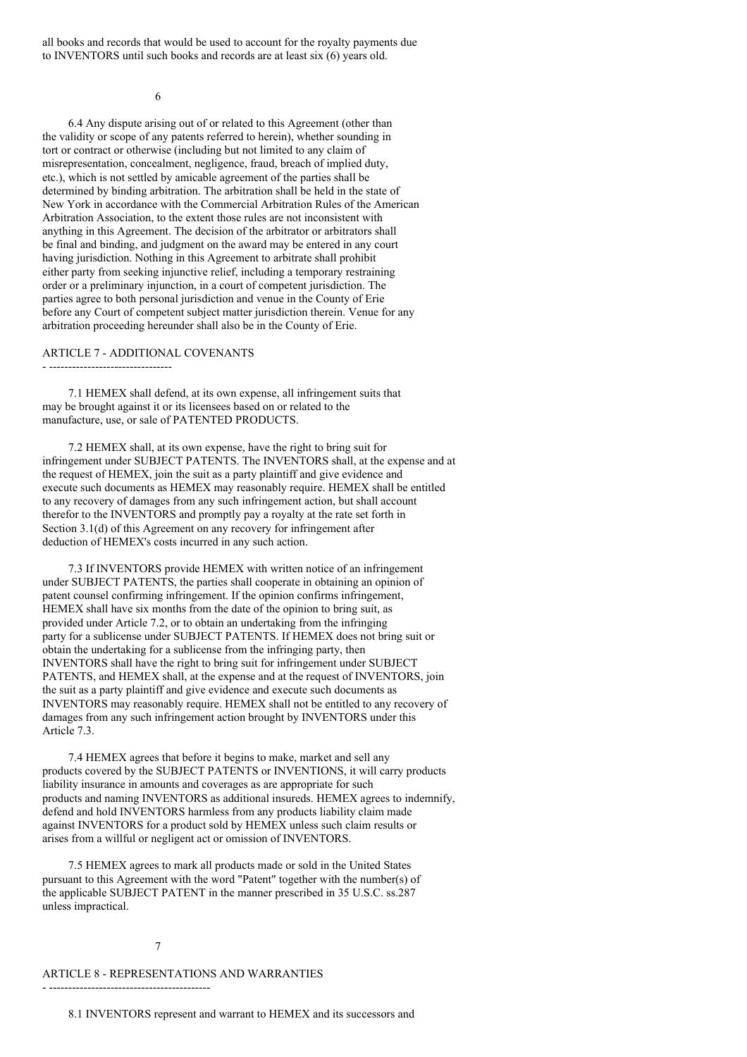all books and records that would be used to account for the royalty payments due to INVENTORS until such books and records are at least six (6) years old.

6

6.4 Any dispute arising out of or related to this Agreement (other than the validity or scope of any patents referred to herein), whether sounding in tort or contract or otherwise (including but not limited to any claim of misrepresentation, concealment, negligence, fraud, breach of implied duty, etc.), which is not settled by amicable agreement of the parties shall be determined by binding arbitration. The arbitration shall be held in the state of New York in accordance with the Commercial Arbitration Rules of the American Arbitration Association, to the extent those rules are not inconsistent with anything in this Agreement. The decision of the arbitrator or arbitrators shall be final and binding, and judgment on the award may be entered in any court having jurisdiction. Nothing in this Agreement to arbitrate shall prohibit either party from seeking injunctive relief, including a temporary restraining order or a preliminary injunction, in a court of competent jurisdiction. The parties agree to both personal jurisdiction and venue in the County of Erie before any Court of competent subject matter jurisdiction therein. Venue for any arbitration proceeding hereunder shall also be in the County of Erie.

#### ARTICLE 7 - ADDITIONAL COVENANTS

- ----------------------------------

7.1 HEMEX shall defend, at its own expense, all infringement suits that may be brought against it or its licensees based on or related to the manufacture, use, or sale of PATENTED PRODUCTS.

7.2 HEMEX shall, at its own expense, have the right to bring suit for infringement under SUBJECT PATENTS. The INVENTORS shall, at the expense and at the request of HEMEX, join the suit as a party plaintiff and give evidence and execute such documents as HEMEX may reasonably require. HEMEX shall be entitled to any recovery of damages from any such infringement action, but shall account therefor to the INVENTORS and promptly pay a royalty at the rate set forth in Section 3.1(d) of this Agreement on any recovery for infringement after deduction of HEMEX's costs incurred in any such action.

7.3 If INVENTORS provide HEMEX with written notice of an infringement under SUBJECT PATENTS, the parties shall cooperate in obtaining an opinion of patent counsel confirming infringement. If the opinion confirms infringement, HEMEX shall have six months from the date of the opinion to bring suit, as provided under Article 7.2, or to obtain an undertaking from the infringing party for a sublicense under SUBJECT PATENTS. If HEMEX does not bring suit or obtain the undertaking for a sublicense from the infringing party, then INVENTORS shall have the right to bring suit for infringement under SUBJECT PATENTS, and HEMEX shall, at the expense and at the request of INVENTORS, join the suit as a party plaintiff and give evidence and execute such documents as INVENTORS may reasonably require. HEMEX shall not be entitled to any recovery of damages from any such infringement action brought by INVENTORS under this Article 7.3.

7.4 HEMEX agrees that before it begins to make, market and sell any products covered by the SUBJECT PATENTS or INVENTIONS, it will carry products liability insurance in amounts and coverages as are appropriate for such products and naming INVENTORS as additional insureds. HEMEX agrees to indemnify, defend and hold INVENTORS harmless from any products liability claim made against INVENTORS for a product sold by HEMEX unless such claim results or arises from a willful or negligent act or omission of INVENTORS.

7.5 HEMEX agrees to mark all products made or sold in the United States pursuant to this Agreement with the word "Patent" together with the number(s) of the applicable SUBJECT PATENT in the manner prescribed in 35 U.S.C. ss.287 unless impractical.

7

- ------------------------------------------

## ARTICLE 8 - REPRESENTATIONS AND WARRANTIES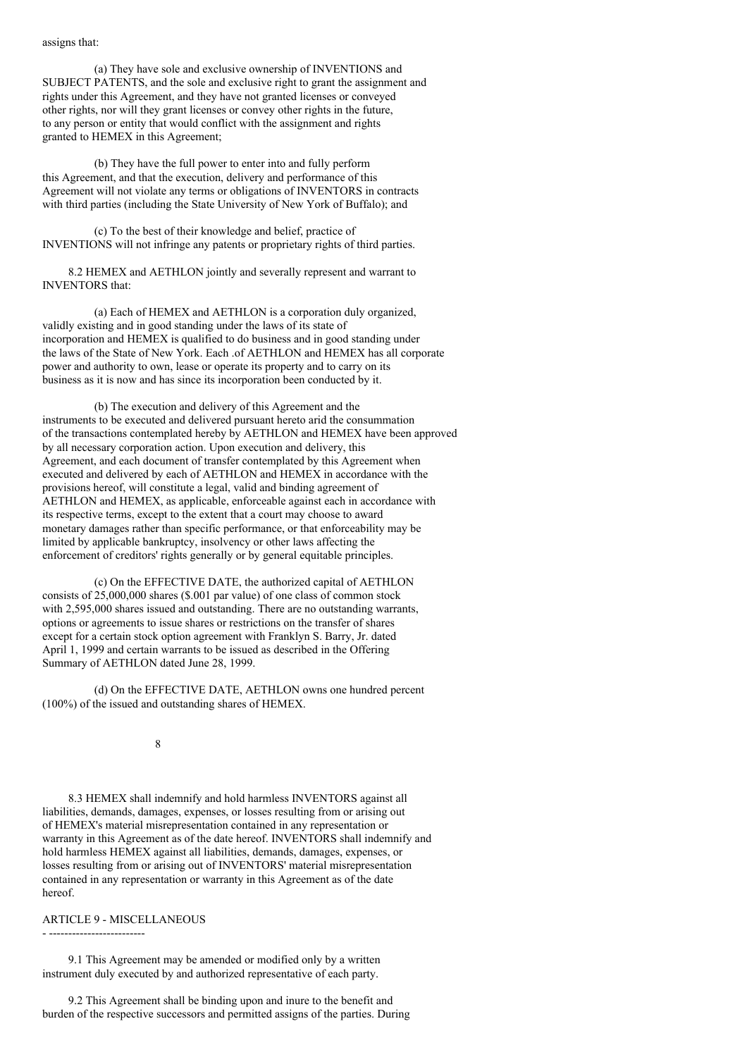assigns that:

(a) They have sole and exclusive ownership of INVENTIONS and SUBJECT PATENTS, and the sole and exclusive right to grant the assignment and rights under this Agreement, and they have not granted licenses or conveyed other rights, nor will they grant licenses or convey other rights in the future, to any person or entity that would conflict with the assignment and rights granted to HEMEX in this Agreement;

(b) They have the full power to enter into and fully perform this Agreement, and that the execution, delivery and performance of this Agreement will not violate any terms or obligations of INVENTORS in contracts with third parties (including the State University of New York of Buffalo); and

(c) To the best of their knowledge and belief, practice of INVENTIONS will not infringe any patents or proprietary rights of third parties.

8.2 HEMEX and AETHLON jointly and severally represent and warrant to INVENTORS that:

(a) Each of HEMEX and AETHLON is a corporation duly organized, validly existing and in good standing under the laws of its state of incorporation and HEMEX is qualified to do business and in good standing under the laws of the State of New York. Each .of AETHLON and HEMEX has all corporate power and authority to own, lease or operate its property and to carry on its business as it is now and has since its incorporation been conducted by it.

(b) The execution and delivery of this Agreement and the instruments to be executed and delivered pursuant hereto arid the consummation of the transactions contemplated hereby by AETHLON and HEMEX have been approved by all necessary corporation action. Upon execution and delivery, this Agreement, and each document of transfer contemplated by this Agreement when executed and delivered by each of AETHLON and HEMEX in accordance with the provisions hereof, will constitute a legal, valid and binding agreement of AETHLON and HEMEX, as applicable, enforceable against each in accordance with its respective terms, except to the extent that a court may choose to award monetary damages rather than specific performance, or that enforceability may be limited by applicable bankruptcy, insolvency or other laws affecting the enforcement of creditors' rights generally or by general equitable principles.

(c) On the EFFECTIVE DATE, the authorized capital of AETHLON consists of 25,000,000 shares (\$.001 par value) of one class of common stock with 2,595,000 shares issued and outstanding. There are no outstanding warrants, options or agreements to issue shares or restrictions on the transfer of shares except for a certain stock option agreement with Franklyn S. Barry, Jr. dated April 1, 1999 and certain warrants to be issued as described in the Offering Summary of AETHLON dated June 28, 1999.

(d) On the EFFECTIVE DATE, AETHLON owns one hundred percent (100%) of the issued and outstanding shares of HEMEX.

8

8.3 HEMEX shall indemnify and hold harmless INVENTORS against all liabilities, demands, damages, expenses, or losses resulting from or arising out of HEMEX's material misrepresentation contained in any representation or warranty in this Agreement as of the date hereof. INVENTORS shall indemnify and hold harmless HEMEX against all liabilities, demands, damages, expenses, or losses resulting from or arising out of INVENTORS' material misrepresentation contained in any representation or warranty in this Agreement as of the date hereof.

ARTICLE 9 - MISCELLANEOUS

- -------------------------

9.1 This Agreement may be amended or modified only by a written instrument duly executed by and authorized representative of each party.

9.2 This Agreement shall be binding upon and inure to the benefit and burden of the respective successors and permitted assigns of the parties. During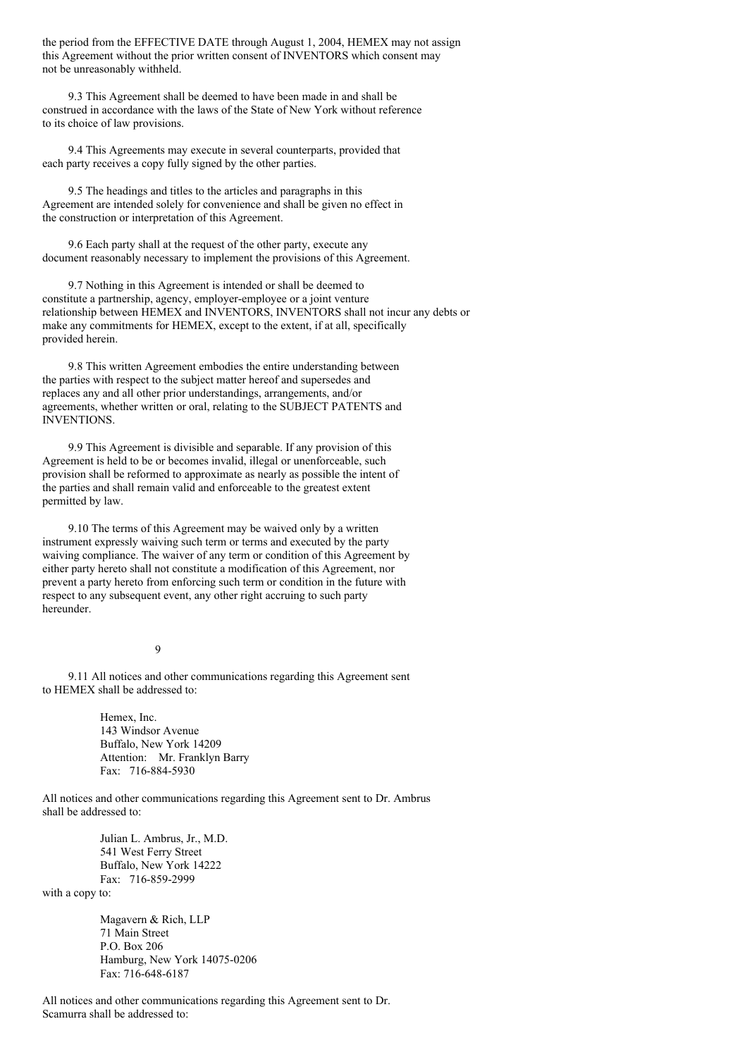the period from the EFFECTIVE DATE through August 1, 2004, HEMEX may not assign this Agreement without the prior written consent of INVENTORS which consent may not be unreasonably withheld.

9.3 This Agreement shall be deemed to have been made in and shall be construed in accordance with the laws of the State of New York without reference to its choice of law provisions.

9.4 This Agreements may execute in several counterparts, provided that each party receives a copy fully signed by the other parties.

9.5 The headings and titles to the articles and paragraphs in this Agreement are intended solely for convenience and shall be given no effect in the construction or interpretation of this Agreement.

9.6 Each party shall at the request of the other party, execute any document reasonably necessary to implement the provisions of this Agreement.

9.7 Nothing in this Agreement is intended or shall be deemed to constitute a partnership, agency, employer-employee or a joint venture relationship between HEMEX and INVENTORS, INVENTORS shall not incur any debts or make any commitments for HEMEX, except to the extent, if at all, specifically provided herein.

9.8 This written Agreement embodies the entire understanding between the parties with respect to the subject matter hereof and supersedes and replaces any and all other prior understandings, arrangements, and/or agreements, whether written or oral, relating to the SUBJECT PATENTS and INVENTIONS.

9.9 This Agreement is divisible and separable. If any provision of this Agreement is held to be or becomes invalid, illegal or unenforceable, such provision shall be reformed to approximate as nearly as possible the intent of the parties and shall remain valid and enforceable to the greatest extent permitted by law.

9.10 The terms of this Agreement may be waived only by a written instrument expressly waiving such term or terms and executed by the party waiving compliance. The waiver of any term or condition of this Agreement by either party hereto shall not constitute a modification of this Agreement, nor prevent a party hereto from enforcing such term or condition in the future with respect to any subsequent event, any other right accruing to such party hereunder.

 $\overline{Q}$ 

9.11 All notices and other communications regarding this Agreement sent to HEMEX shall be addressed to:

> Hemex, Inc. 143 Windsor Avenue Buffalo, New York 14209 Attention: Mr. Franklyn Barry Fax: 716-884-5930

All notices and other communications regarding this Agreement sent to Dr. Ambrus shall be addressed to:

Julian L. Ambrus, Jr., M.D. 541 West Ferry Street Buffalo, New York 14222 Fax: 716-859-2999 with a copy to:

> Magavern & Rich, LLP 71 Main Street P.O. Box 206 Hamburg, New York 14075-0206 Fax: 716-648-6187

All notices and other communications regarding this Agreement sent to Dr. Scamurra shall be addressed to: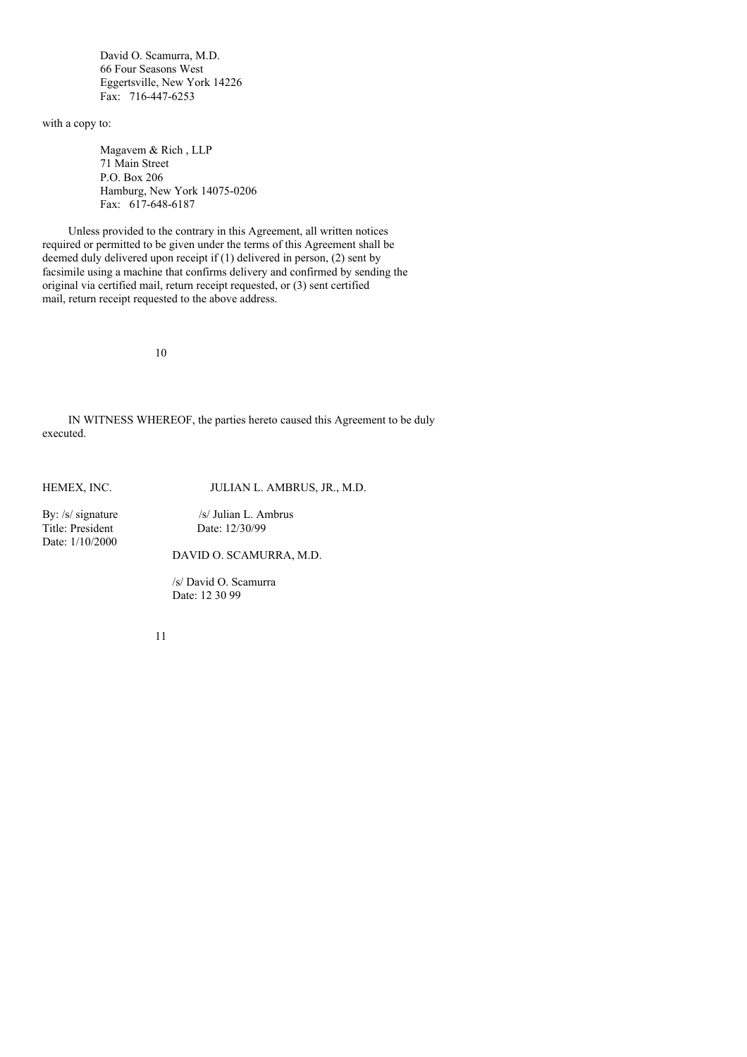David O. Scamurra, M.D. 66 Four Seasons West Eggertsville, New York 14226 Fax: 716-447-6253

with a copy to:

Magavem & Rich , LLP 71 Main Street P.O. Box 206 Hamburg, New York 14075-0206 Fax: 617-648-6187

Unless provided to the contrary in this Agreement, all written notices required or permitted to be given under the terms of this Agreement shall be deemed duly delivered upon receipt if (1) delivered in person, (2) sent by facsimile using a machine that confirms delivery and confirmed by sending the original via certified mail, return receipt requested, or (3) sent certified mail, return receipt requested to the above address.

10

IN WITNESS WHEREOF, the parties hereto caused this Agreement to be duly executed.

HEMEX, INC. JULIAN L. AMBRUS, JR., M.D.

Date: 1/10/2000

By: /s/ signature /s/ Julian L. Ambrus Title: President Date: 12/30/99

DAVID O. SCAMURRA, M.D.

/s/ David O. Scamurra Date: 12 30 99

11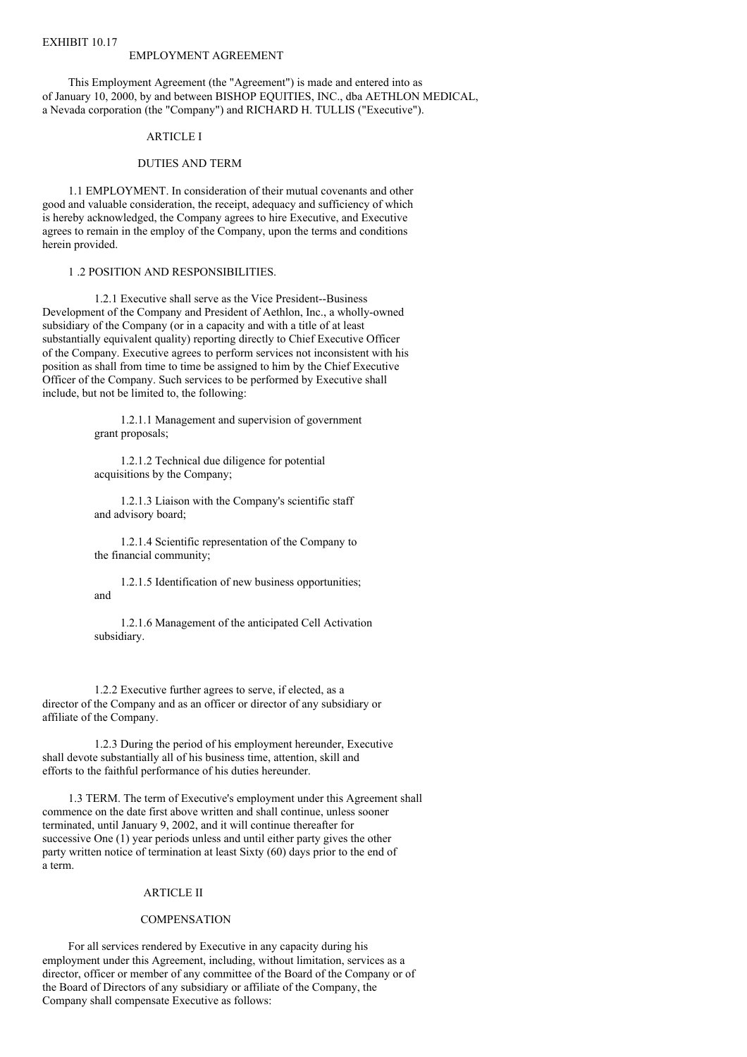## EMPLOYMENT AGREEMENT

This Employment Agreement (the "Agreement") is made and entered into as of January 10, 2000, by and between BISHOP EQUITIES, INC., dba AETHLON MEDICAL, a Nevada corporation (the "Company") and RICHARD H. TULLIS ("Executive").

## ARTICLE I

## DUTIES AND TERM

1.1 EMPLOYMENT. In consideration of their mutual covenants and other good and valuable consideration, the receipt, adequacy and sufficiency of which is hereby acknowledged, the Company agrees to hire Executive, and Executive agrees to remain in the employ of the Company, upon the terms and conditions herein provided.

## 1 .2 POSITION AND RESPONSIBILITIES.

1.2.1 Executive shall serve as the Vice President--Business Development of the Company and President of Aethlon, Inc., a wholly-owned subsidiary of the Company (or in a capacity and with a title of at least substantially equivalent quality) reporting directly to Chief Executive Officer of the Company. Executive agrees to perform services not inconsistent with his position as shall from time to time be assigned to him by the Chief Executive Officer of the Company. Such services to be performed by Executive shall include, but not be limited to, the following:

> 1.2.1.1 Management and supervision of government grant proposals;

1.2.1.2 Technical due diligence for potential acquisitions by the Company;

1.2.1.3 Liaison with the Company's scientific staff and advisory board;

1.2.1.4 Scientific representation of the Company to the financial community;

1.2.1.5 Identification of new business opportunities; and

1.2.1.6 Management of the anticipated Cell Activation subsidiary.

1.2.2 Executive further agrees to serve, if elected, as a director of the Company and as an officer or director of any subsidiary or affiliate of the Company.

1.2.3 During the period of his employment hereunder, Executive shall devote substantially all of his business time, attention, skill and efforts to the faithful performance of his duties hereunder.

1.3 TERM. The term of Executive's employment under this Agreement shall commence on the date first above written and shall continue, unless sooner terminated, until January 9, 2002, and it will continue thereafter for successive One (1) year periods unless and until either party gives the other party written notice of termination at least Sixty (60) days prior to the end of a term.

## ARTICLE II

#### **COMPENSATION**

For all services rendered by Executive in any capacity during his employment under this Agreement, including, without limitation, services as a director, officer or member of any committee of the Board of the Company or of the Board of Directors of any subsidiary or affiliate of the Company, the Company shall compensate Executive as follows: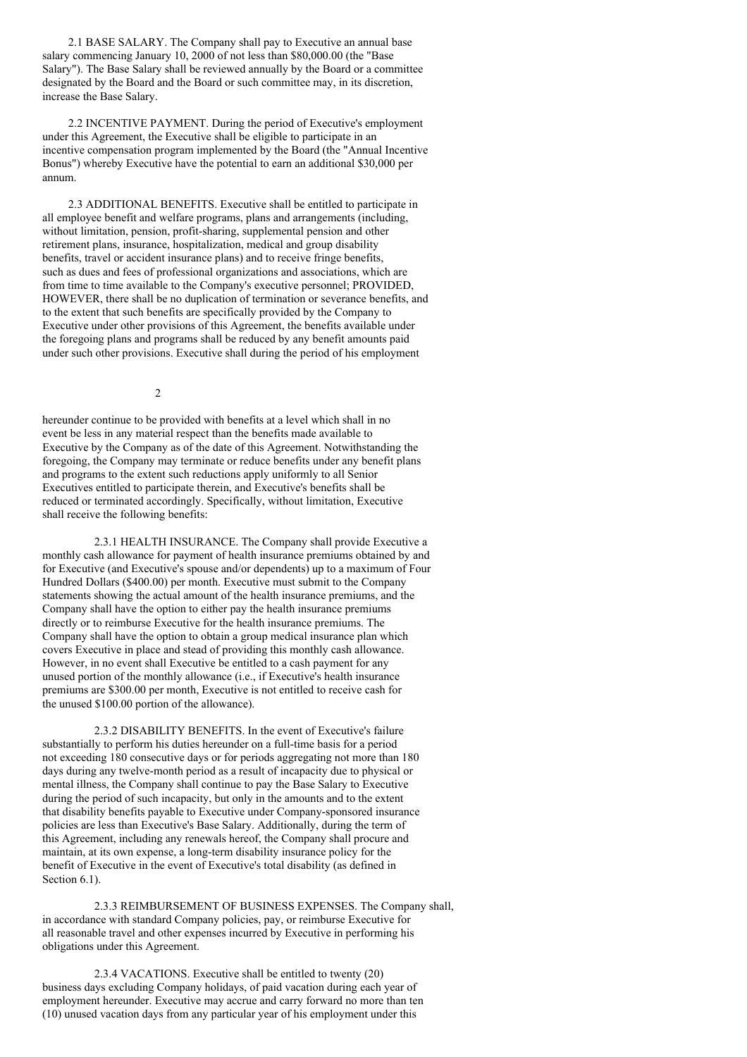2.1 BASE SALARY. The Company shall pay to Executive an annual base salary commencing January 10, 2000 of not less than \$80,000.00 (the "Base Salary"). The Base Salary shall be reviewed annually by the Board or a committee designated by the Board and the Board or such committee may, in its discretion, increase the Base Salary.

2.2 INCENTIVE PAYMENT. During the period of Executive's employment under this Agreement, the Executive shall be eligible to participate in an incentive compensation program implemented by the Board (the "Annual Incentive Bonus") whereby Executive have the potential to earn an additional \$30,000 per annum.

2.3 ADDITIONAL BENEFITS. Executive shall be entitled to participate in all employee benefit and welfare programs, plans and arrangements (including, without limitation, pension, profit-sharing, supplemental pension and other retirement plans, insurance, hospitalization, medical and group disability benefits, travel or accident insurance plans) and to receive fringe benefits, such as dues and fees of professional organizations and associations, which are from time to time available to the Company's executive personnel; PROVIDED, HOWEVER, there shall be no duplication of termination or severance benefits, and to the extent that such benefits are specifically provided by the Company to Executive under other provisions of this Agreement, the benefits available under the foregoing plans and programs shall be reduced by any benefit amounts paid under such other provisions. Executive shall during the period of his employment

 $\mathcal{L}$ 

hereunder continue to be provided with benefits at a level which shall in no event be less in any material respect than the benefits made available to Executive by the Company as of the date of this Agreement. Notwithstanding the foregoing, the Company may terminate or reduce benefits under any benefit plans and programs to the extent such reductions apply uniformly to all Senior Executives entitled to participate therein, and Executive's benefits shall be reduced or terminated accordingly. Specifically, without limitation, Executive shall receive the following benefits:

2.3.1 HEALTH INSURANCE. The Company shall provide Executive a monthly cash allowance for payment of health insurance premiums obtained by and for Executive (and Executive's spouse and/or dependents) up to a maximum of Four Hundred Dollars (\$400.00) per month. Executive must submit to the Company statements showing the actual amount of the health insurance premiums, and the Company shall have the option to either pay the health insurance premiums directly or to reimburse Executive for the health insurance premiums. The Company shall have the option to obtain a group medical insurance plan which covers Executive in place and stead of providing this monthly cash allowance. However, in no event shall Executive be entitled to a cash payment for any unused portion of the monthly allowance (i.e., if Executive's health insurance premiums are \$300.00 per month, Executive is not entitled to receive cash for the unused \$100.00 portion of the allowance).

2.3.2 DISABILITY BENEFITS. In the event of Executive's failure substantially to perform his duties hereunder on a full-time basis for a period not exceeding 180 consecutive days or for periods aggregating not more than 180 days during any twelve-month period as a result of incapacity due to physical or mental illness, the Company shall continue to pay the Base Salary to Executive during the period of such incapacity, but only in the amounts and to the extent that disability benefits payable to Executive under Company-sponsored insurance policies are less than Executive's Base Salary. Additionally, during the term of this Agreement, including any renewals hereof, the Company shall procure and maintain, at its own expense, a long-term disability insurance policy for the benefit of Executive in the event of Executive's total disability (as defined in Section 6.1).

2.3.3 REIMBURSEMENT OF BUSINESS EXPENSES. The Company shall, in accordance with standard Company policies, pay, or reimburse Executive for all reasonable travel and other expenses incurred by Executive in performing his obligations under this Agreement.

2.3.4 VACATIONS. Executive shall be entitled to twenty (20) business days excluding Company holidays, of paid vacation during each year of employment hereunder. Executive may accrue and carry forward no more than ten (10) unused vacation days from any particular year of his employment under this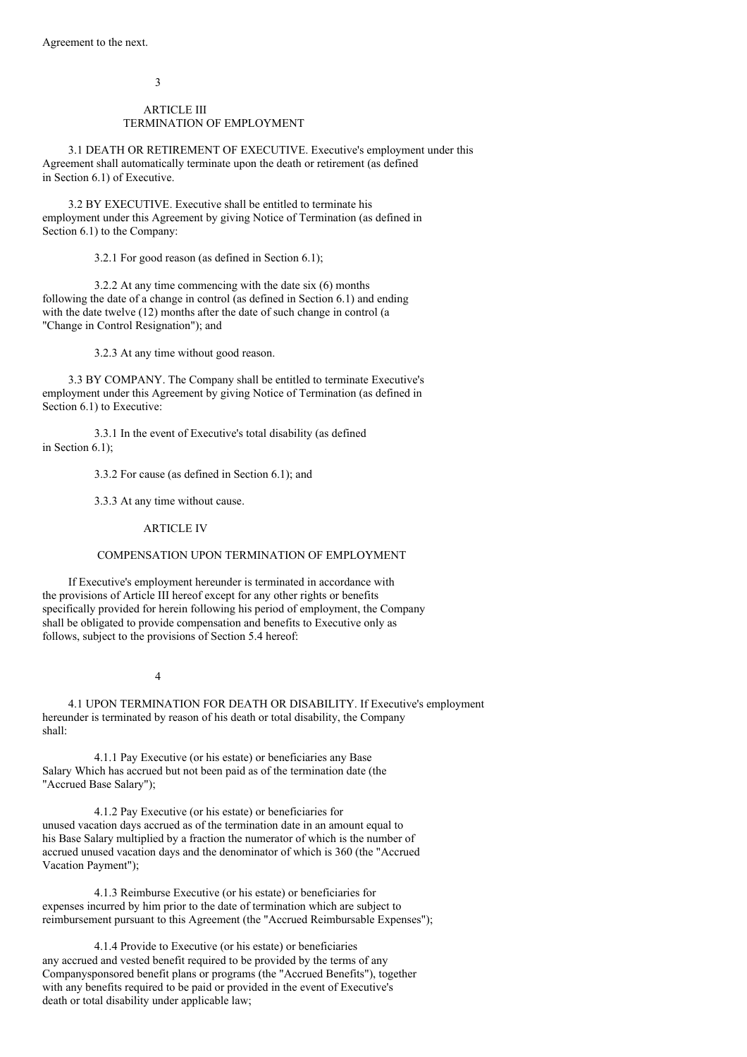## 3

### ARTICLE III TERMINATION OF EMPLOYMENT

3.1 DEATH OR RETIREMENT OF EXECUTIVE. Executive's employment under this Agreement shall automatically terminate upon the death or retirement (as defined in Section 6.1) of Executive.

3.2 BY EXECUTIVE. Executive shall be entitled to terminate his employment under this Agreement by giving Notice of Termination (as defined in Section 6.1) to the Company:

3.2.1 For good reason (as defined in Section 6.1);

3.2.2 At any time commencing with the date six (6) months following the date of a change in control (as defined in Section 6.1) and ending with the date twelve (12) months after the date of such change in control (a "Change in Control Resignation"); and

3.2.3 At any time without good reason.

3.3 BY COMPANY. The Company shall be entitled to terminate Executive's employment under this Agreement by giving Notice of Termination (as defined in Section 6.1) to Executive:

3.3.1 In the event of Executive's total disability (as defined in Section 6.1);

3.3.2 For cause (as defined in Section 6.1); and

3.3.3 At any time without cause.

ARTICLE IV

## COMPENSATION UPON TERMINATION OF EMPLOYMENT

If Executive's employment hereunder is terminated in accordance with the provisions of Article III hereof except for any other rights or benefits specifically provided for herein following his period of employment, the Company shall be obligated to provide compensation and benefits to Executive only as follows, subject to the provisions of Section 5.4 hereof:

4

4.1 UPON TERMINATION FOR DEATH OR DISABILITY. If Executive's employment hereunder is terminated by reason of his death or total disability, the Company shall:

4.1.1 Pay Executive (or his estate) or beneficiaries any Base Salary Which has accrued but not been paid as of the termination date (the "Accrued Base Salary");

4.1.2 Pay Executive (or his estate) or beneficiaries for unused vacation days accrued as of the termination date in an amount equal to his Base Salary multiplied by a fraction the numerator of which is the number of accrued unused vacation days and the denominator of which is 360 (the "Accrued Vacation Payment");

4.1.3 Reimburse Executive (or his estate) or beneficiaries for expenses incurred by him prior to the date of termination which are subject to reimbursement pursuant to this Agreement (the "Accrued Reimbursable Expenses");

4.1.4 Provide to Executive (or his estate) or beneficiaries any accrued and vested benefit required to be provided by the terms of any Companysponsored benefit plans or programs (the "Accrued Benefits"), together with any benefits required to be paid or provided in the event of Executive's death or total disability under applicable law;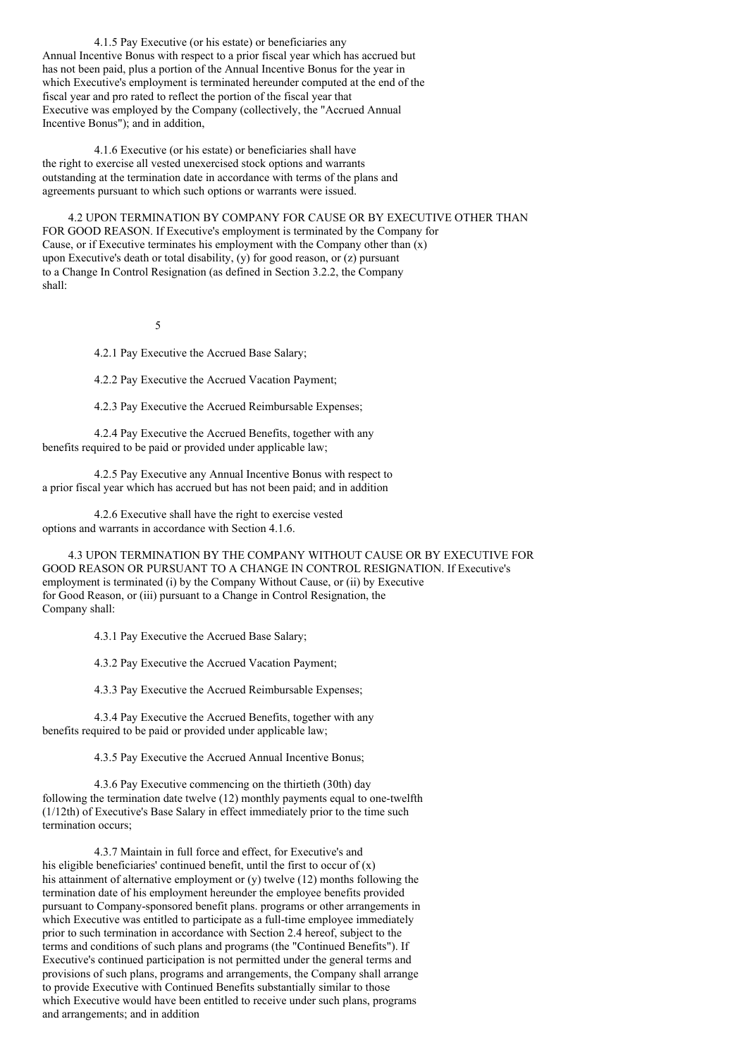4.1.5 Pay Executive (or his estate) or beneficiaries any Annual Incentive Bonus with respect to a prior fiscal year which has accrued but has not been paid, plus a portion of the Annual Incentive Bonus for the year in which Executive's employment is terminated hereunder computed at the end of the fiscal year and pro rated to reflect the portion of the fiscal year that Executive was employed by the Company (collectively, the "Accrued Annual Incentive Bonus"); and in addition,

4.1.6 Executive (or his estate) or beneficiaries shall have the right to exercise all vested unexercised stock options and warrants outstanding at the termination date in accordance with terms of the plans and agreements pursuant to which such options or warrants were issued.

4.2 UPON TERMINATION BY COMPANY FOR CAUSE OR BY EXECUTIVE OTHER THAN FOR GOOD REASON. If Executive's employment is terminated by the Company for Cause, or if Executive terminates his employment with the Company other than (x) upon Executive's death or total disability,  $(y)$  for good reason, or  $(z)$  pursuant to a Change In Control Resignation (as defined in Section 3.2.2, the Company shall:

5

4.2.1 Pay Executive the Accrued Base Salary;

4.2.2 Pay Executive the Accrued Vacation Payment;

4.2.3 Pay Executive the Accrued Reimbursable Expenses;

4.2.4 Pay Executive the Accrued Benefits, together with any benefits required to be paid or provided under applicable law;

4.2.5 Pay Executive any Annual Incentive Bonus with respect to a prior fiscal year which has accrued but has not been paid; and in addition

4.2.6 Executive shall have the right to exercise vested options and warrants in accordance with Section 4.1.6.

4.3 UPON TERMINATION BY THE COMPANY WITHOUT CAUSE OR BY EXECUTIVE FOR GOOD REASON OR PURSUANT TO A CHANGE IN CONTROL RESIGNATION. If Executive's employment is terminated (i) by the Company Without Cause, or (ii) by Executive for Good Reason, or (iii) pursuant to a Change in Control Resignation, the Company shall:

4.3.1 Pay Executive the Accrued Base Salary;

4.3.2 Pay Executive the Accrued Vacation Payment;

4.3.3 Pay Executive the Accrued Reimbursable Expenses;

4.3.4 Pay Executive the Accrued Benefits, together with any benefits required to be paid or provided under applicable law;

4.3.5 Pay Executive the Accrued Annual Incentive Bonus;

4.3.6 Pay Executive commencing on the thirtieth (30th) day following the termination date twelve (12) monthly payments equal to one-twelfth (1/12th) of Executive's Base Salary in effect immediately prior to the time such termination occurs;

4.3.7 Maintain in full force and effect, for Executive's and his eligible beneficiaries' continued benefit, until the first to occur of (x) his attainment of alternative employment or (y) twelve (12) months following the termination date of his employment hereunder the employee benefits provided pursuant to Company-sponsored benefit plans. programs or other arrangements in which Executive was entitled to participate as a full-time employee immediately prior to such termination in accordance with Section 2.4 hereof, subject to the terms and conditions of such plans and programs (the "Continued Benefits"). If Executive's continued participation is not permitted under the general terms and provisions of such plans, programs and arrangements, the Company shall arrange to provide Executive with Continued Benefits substantially similar to those which Executive would have been entitled to receive under such plans, programs and arrangements; and in addition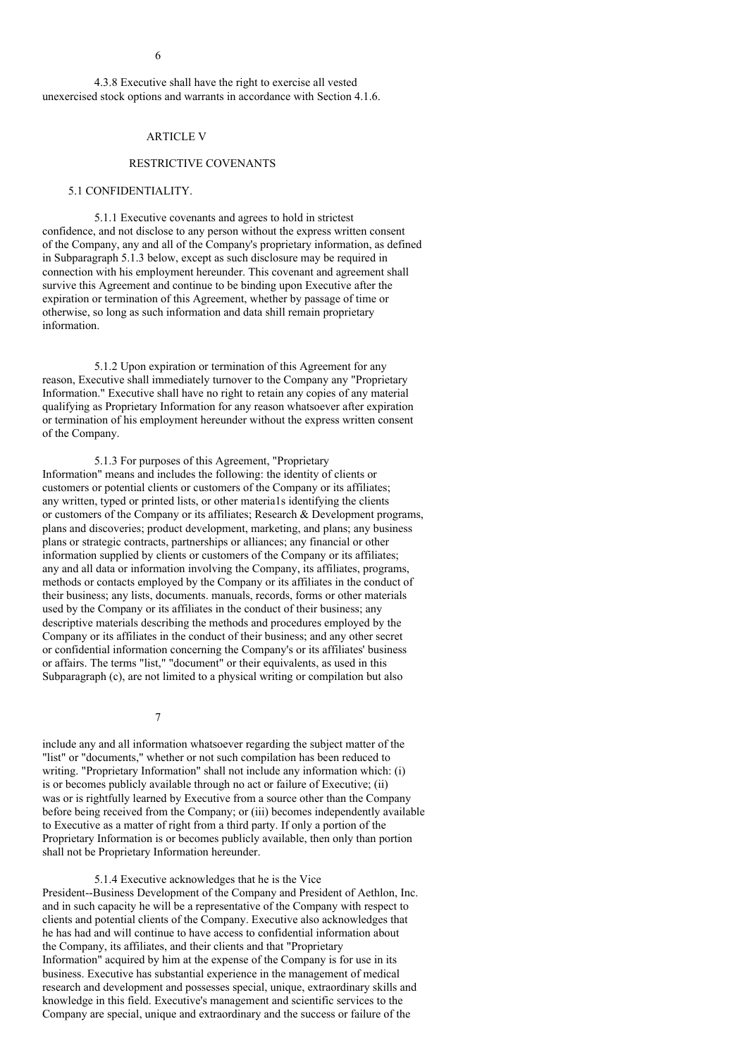6

4.3.8 Executive shall have the right to exercise all vested unexercised stock options and warrants in accordance with Section 4.1.6.

## ARTICLE V

## RESTRICTIVE COVENANTS

## 5.1 CONFIDENTIALITY.

5.1.1 Executive covenants and agrees to hold in strictest confidence, and not disclose to any person without the express written consent of the Company, any and all of the Company's proprietary information, as defined in Subparagraph 5.1.3 below, except as such disclosure may be required in connection with his employment hereunder. This covenant and agreement shall survive this Agreement and continue to be binding upon Executive after the expiration or termination of this Agreement, whether by passage of time or otherwise, so long as such information and data shill remain proprietary information.

5.1.2 Upon expiration or termination of this Agreement for any reason, Executive shall immediately turnover to the Company any "Proprietary Information." Executive shall have no right to retain any copies of any material qualifying as Proprietary Information for any reason whatsoever after expiration or termination of his employment hereunder without the express written consent of the Company.

5.1.3 For purposes of this Agreement, "Proprietary Information" means and includes the following: the identity of clients or customers or potential clients or customers of the Company or its affiliates; any written, typed or printed lists, or other materia1s identifying the clients or customers of the Company or its affiliates; Research & Development programs, plans and discoveries; product development, marketing, and plans; any business plans or strategic contracts, partnerships or alliances; any financial or other information supplied by clients or customers of the Company or its affiliates; any and all data or information involving the Company, its affiliates, programs, methods or contacts employed by the Company or its affiliates in the conduct of their business; any lists, documents. manuals, records, forms or other materials used by the Company or its affiliates in the conduct of their business; any descriptive materials describing the methods and procedures employed by the Company or its affiliates in the conduct of their business; and any other secret or confidential information concerning the Company's or its affiliates' business or affairs. The terms "list," "document" or their equivalents, as used in this Subparagraph (c), are not limited to a physical writing or compilation but also

7

include any and all information whatsoever regarding the subject matter of the "list" or "documents," whether or not such compilation has been reduced to writing. "Proprietary Information" shall not include any information which: (i) is or becomes publicly available through no act or failure of Executive; (ii) was or is rightfully learned by Executive from a source other than the Company before being received from the Company; or (iii) becomes independently available to Executive as a matter of right from a third party. If only a portion of the Proprietary Information is or becomes publicly available, then only than portion shall not be Proprietary Information hereunder.

5.1.4 Executive acknowledges that he is the Vice

President--Business Development of the Company and President of Aethlon, Inc. and in such capacity he will be a representative of the Company with respect to clients and potential clients of the Company. Executive also acknowledges that he has had and will continue to have access to confidential information about the Company, its affiliates, and their clients and that "Proprietary Information" acquired by him at the expense of the Company is for use in its business. Executive has substantial experience in the management of medical research and development and possesses special, unique, extraordinary skills and knowledge in this field. Executive's management and scientific services to the Company are special, unique and extraordinary and the success or failure of the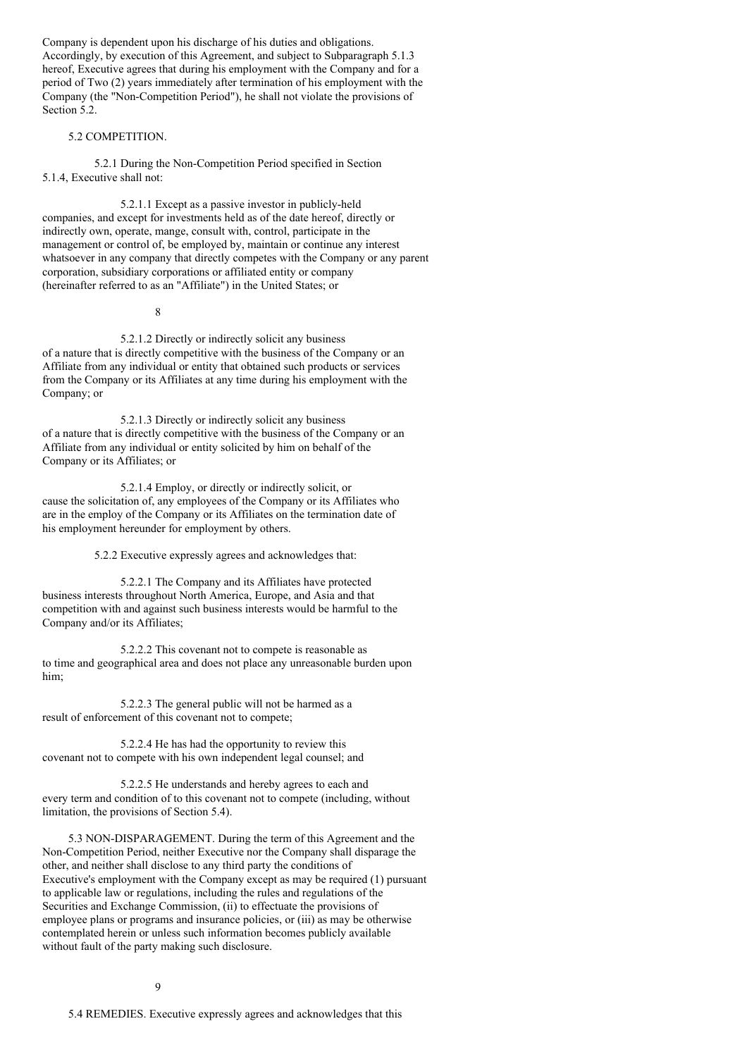Company is dependent upon his discharge of his duties and obligations. Accordingly, by execution of this Agreement, and subject to Subparagraph 5.1.3 hereof, Executive agrees that during his employment with the Company and for a period of Two (2) years immediately after termination of his employment with the Company (the "Non-Competition Period"), he shall not violate the provisions of Section 5.2.

#### 5.2 COMPETITION.

5.2.1 During the Non-Competition Period specified in Section 5.1.4, Executive shall not:

5.2.1.1 Except as a passive investor in publicly-held companies, and except for investments held as of the date hereof, directly or indirectly own, operate, mange, consult with, control, participate in the management or control of, be employed by, maintain or continue any interest whatsoever in any company that directly competes with the Company or any parent corporation, subsidiary corporations or affiliated entity or company (hereinafter referred to as an "Affiliate") in the United States; or

8

5.2.1.2 Directly or indirectly solicit any business of a nature that is directly competitive with the business of the Company or an Affiliate from any individual or entity that obtained such products or services from the Company or its Affiliates at any time during his employment with the Company; or

5.2.1.3 Directly or indirectly solicit any business of a nature that is directly competitive with the business of the Company or an Affiliate from any individual or entity solicited by him on behalf of the Company or its Affiliates; or

5.2.1.4 Employ, or directly or indirectly solicit, or cause the solicitation of, any employees of the Company or its Affiliates who are in the employ of the Company or its Affiliates on the termination date of his employment hereunder for employment by others.

5.2.2 Executive expressly agrees and acknowledges that:

5.2.2.1 The Company and its Affiliates have protected business interests throughout North America, Europe, and Asia and that competition with and against such business interests would be harmful to the Company and/or its Affiliates;

5.2.2.2 This covenant not to compete is reasonable as to time and geographical area and does not place any unreasonable burden upon him;

5.2.2.3 The general public will not be harmed as a result of enforcement of this covenant not to compete;

5.2.2.4 He has had the opportunity to review this covenant not to compete with his own independent legal counsel; and

5.2.2.5 He understands and hereby agrees to each and every term and condition of to this covenant not to compete (including, without limitation, the provisions of Section 5.4).

5.3 NON-DISPARAGEMENT. During the term of this Agreement and the Non-Competition Period, neither Executive nor the Company shall disparage the other, and neither shall disclose to any third party the conditions of Executive's employment with the Company except as may be required (1) pursuant to applicable law or regulations, including the rules and regulations of the Securities and Exchange Commission, (ii) to effectuate the provisions of employee plans or programs and insurance policies, or (iii) as may be otherwise contemplated herein or unless such information becomes publicly available without fault of the party making such disclosure.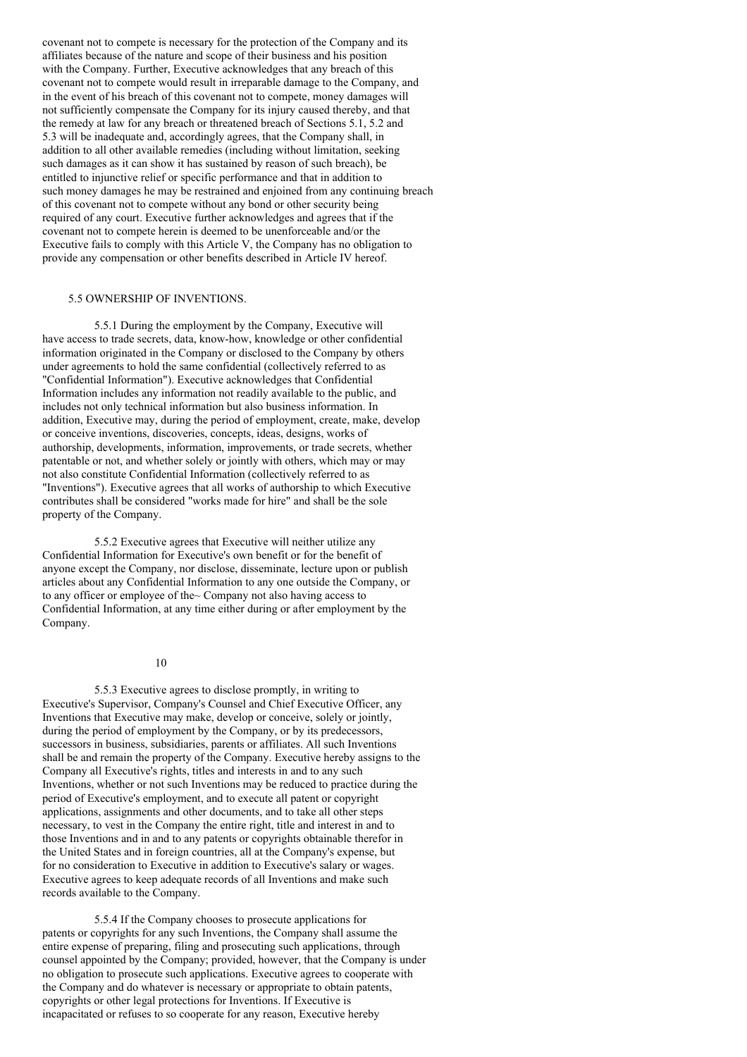covenant not to compete is necessary for the protection of the Company and its affiliates because of the nature and scope of their business and his position with the Company. Further, Executive acknowledges that any breach of this covenant not to compete would result in irreparable damage to the Company, and in the event of his breach of this covenant not to compete, money damages will not sufficiently compensate the Company for its injury caused thereby, and that the remedy at law for any breach or threatened breach of Sections 5.1, 5.2 and 5.3 will be inadequate and, accordingly agrees, that the Company shall, in addition to all other available remedies (including without limitation, seeking such damages as it can show it has sustained by reason of such breach), be entitled to injunctive relief or specific performance and that in addition to such money damages he may be restrained and enjoined from any continuing breach of this covenant not to compete without any bond or other security being required of any court. Executive further acknowledges and agrees that if the covenant not to compete herein is deemed to be unenforceable and/or the Executive fails to comply with this Article V, the Company has no obligation to provide any compensation or other benefits described in Article IV hereof.

### 5.5 OWNERSHIP OF INVENTIONS.

5.5.1 During the employment by the Company, Executive will have access to trade secrets, data, know-how, knowledge or other confidential information originated in the Company or disclosed to the Company by others under agreements to hold the same confidential (collectively referred to as "Confidential Information"). Executive acknowledges that Confidential Information includes any information not readily available to the public, and includes not only technical information but also business information. In addition, Executive may, during the period of employment, create, make, develop or conceive inventions, discoveries, concepts, ideas, designs, works of authorship, developments, information, improvements, or trade secrets, whether patentable or not, and whether solely or jointly with others, which may or may not also constitute Confidential Information (collectively referred to as "Inventions"). Executive agrees that all works of authorship to which Executive contributes shall be considered "works made for hire" and shall be the sole property of the Company.

5.5.2 Executive agrees that Executive will neither utilize any Confidential Information for Executive's own benefit or for the benefit of anyone except the Company, nor disclose, disseminate, lecture upon or publish articles about any Confidential Information to any one outside the Company, or to any officer or employee of the~ Company not also having access to Confidential Information, at any time either during or after employment by the Company.

#### 10

5.5.3 Executive agrees to disclose promptly, in writing to Executive's Supervisor, Company's Counsel and Chief Executive Officer, any Inventions that Executive may make, develop or conceive, solely or jointly, during the period of employment by the Company, or by its predecessors, successors in business, subsidiaries, parents or affiliates. All such Inventions shall be and remain the property of the Company. Executive hereby assigns to the Company all Executive's rights, titles and interests in and to any such Inventions, whether or not such Inventions may be reduced to practice during the period of Executive's employment, and to execute all patent or copyright applications, assignments and other documents, and to take all other steps necessary, to vest in the Company the entire right, title and interest in and to those Inventions and in and to any patents or copyrights obtainable therefor in the United States and in foreign countries, all at the Company's expense, but for no consideration to Executive in addition to Executive's salary or wages. Executive agrees to keep adequate records of all Inventions and make such records available to the Company.

5.5.4 If the Company chooses to prosecute applications for patents or copyrights for any such Inventions, the Company shall assume the entire expense of preparing, filing and prosecuting such applications, through counsel appointed by the Company; provided, however, that the Company is under no obligation to prosecute such applications. Executive agrees to cooperate with the Company and do whatever is necessary or appropriate to obtain patents, copyrights or other legal protections for Inventions. If Executive is incapacitated or refuses to so cooperate for any reason, Executive hereby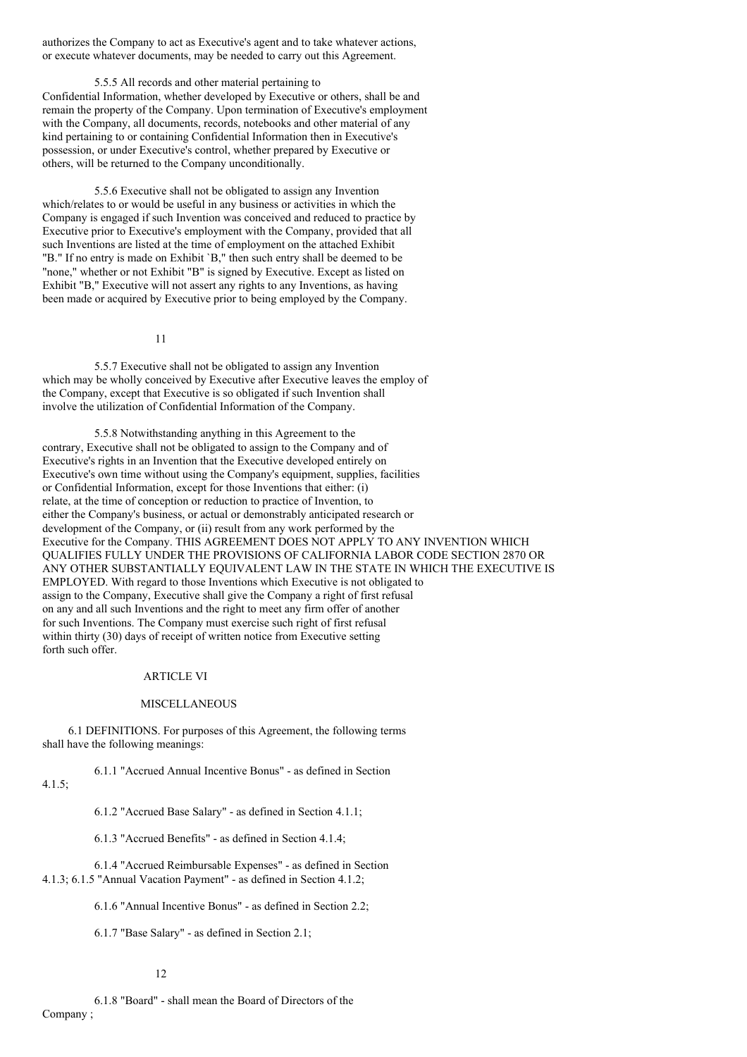authorizes the Company to act as Executive's agent and to take whatever actions, or execute whatever documents, may be needed to carry out this Agreement.

5.5.5 All records and other material pertaining to Confidential Information, whether developed by Executive or others, shall be and remain the property of the Company. Upon termination of Executive's employment with the Company, all documents, records, notebooks and other material of any kind pertaining to or containing Confidential Information then in Executive's possession, or under Executive's control, whether prepared by Executive or others, will be returned to the Company unconditionally.

5.5.6 Executive shall not be obligated to assign any Invention which/relates to or would be useful in any business or activities in which the Company is engaged if such Invention was conceived and reduced to practice by Executive prior to Executive's employment with the Company, provided that all such Inventions are listed at the time of employment on the attached Exhibit "B." If no entry is made on Exhibit `B," then such entry shall be deemed to be "none," whether or not Exhibit "B" is signed by Executive. Except as listed on Exhibit "B," Executive will not assert any rights to any Inventions, as having been made or acquired by Executive prior to being employed by the Company.

11

5.5.7 Executive shall not be obligated to assign any Invention which may be wholly conceived by Executive after Executive leaves the employ of the Company, except that Executive is so obligated if such Invention shall involve the utilization of Confidential Information of the Company.

5.5.8 Notwithstanding anything in this Agreement to the contrary, Executive shall not be obligated to assign to the Company and of Executive's rights in an Invention that the Executive developed entirely on Executive's own time without using the Company's equipment, supplies, facilities or Confidential Information, except for those Inventions that either: (i) relate, at the time of conception or reduction to practice of Invention, to either the Company's business, or actual or demonstrably anticipated research or development of the Company, or (ii) result from any work performed by the Executive for the Company. THIS AGREEMENT DOES NOT APPLY TO ANY INVENTION WHICH QUALIFIES FULLY UNDER THE PROVISIONS OF CALIFORNIA LABOR CODE SECTION 2870 OR ANY OTHER SUBSTANTIALLY EQUIVALENT LAW IN THE STATE IN WHICH THE EXECUTIVE IS EMPLOYED. With regard to those Inventions which Executive is not obligated to assign to the Company, Executive shall give the Company a right of first refusal on any and all such Inventions and the right to meet any firm offer of another for such Inventions. The Company must exercise such right of first refusal within thirty (30) days of receipt of written notice from Executive setting forth such offer.

#### ARTICLE VI

#### MISCELLANEOUS

6.1 DEFINITIONS. For purposes of this Agreement, the following terms shall have the following meanings:

6.1.1 "Accrued Annual Incentive Bonus" - as defined in Section

## 4.1.5;

6.1.2 "Accrued Base Salary" - as defined in Section 4.1.1;

6.1.3 "Accrued Benefits" - as defined in Section 4.1.4;

6.1.4 "Accrued Reimbursable Expenses" - as defined in Section 4.1.3; 6.1.5 "Annual Vacation Payment" - as defined in Section 4.1.2;

6.1.6 "Annual Incentive Bonus" - as defined in Section 2.2;

6.1.7 "Base Salary" - as defined in Section 2.1;

# 12

6.1.8 "Board" - shall mean the Board of Directors of the Company ;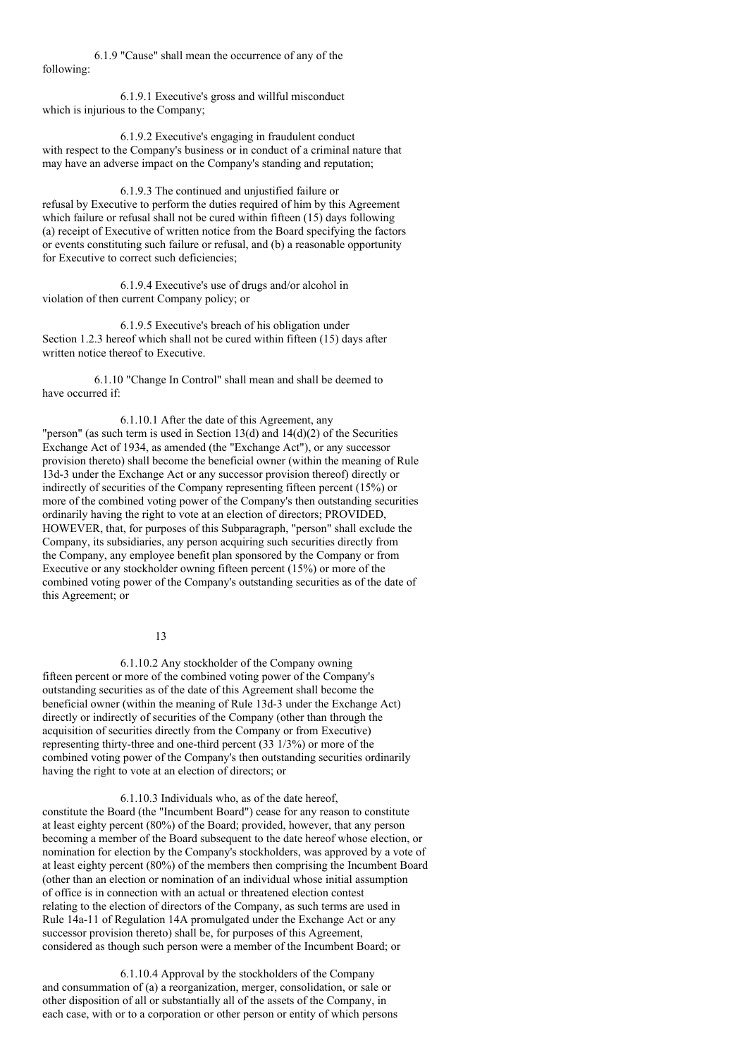6.1.9 "Cause" shall mean the occurrence of any of the following:

6.1.9.1 Executive's gross and willful misconduct which is injurious to the Company;

6.1.9.2 Executive's engaging in fraudulent conduct with respect to the Company's business or in conduct of a criminal nature that may have an adverse impact on the Company's standing and reputation;

6.1.9.3 The continued and unjustified failure or refusal by Executive to perform the duties required of him by this Agreement which failure or refusal shall not be cured within fifteen (15) days following (a) receipt of Executive of written notice from the Board specifying the factors or events constituting such failure or refusal, and (b) a reasonable opportunity for Executive to correct such deficiencies;

6.1.9.4 Executive's use of drugs and/or alcohol in violation of then current Company policy; or

6.1.9.5 Executive's breach of his obligation under Section 1.2.3 hereof which shall not be cured within fifteen (15) days after written notice thereof to Executive.

6.1.10 "Change In Control" shall mean and shall be deemed to have occurred if:

6.1.10.1 After the date of this Agreement, any "person" (as such term is used in Section 13(d) and  $14(d)(2)$  of the Securities Exchange Act of 1934, as amended (the "Exchange Act"), or any successor provision thereto) shall become the beneficial owner (within the meaning of Rule 13d-3 under the Exchange Act or any successor provision thereof) directly or indirectly of securities of the Company representing fifteen percent (15%) or more of the combined voting power of the Company's then outstanding securities ordinarily having the right to vote at an election of directors; PROVIDED, HOWEVER, that, for purposes of this Subparagraph, "person" shall exclude the Company, its subsidiaries, any person acquiring such securities directly from the Company, any employee benefit plan sponsored by the Company or from Executive or any stockholder owning fifteen percent (15%) or more of the combined voting power of the Company's outstanding securities as of the date of this Agreement; or

#### 13

6.1.10.2 Any stockholder of the Company owning fifteen percent or more of the combined voting power of the Company's outstanding securities as of the date of this Agreement shall become the beneficial owner (within the meaning of Rule 13d-3 under the Exchange Act) directly or indirectly of securities of the Company (other than through the acquisition of securities directly from the Company or from Executive) representing thirty-three and one-third percent (33 1/3%) or more of the combined voting power of the Company's then outstanding securities ordinarily having the right to vote at an election of directors; or

6.1.10.3 Individuals who, as of the date hereof, constitute the Board (the "Incumbent Board") cease for any reason to constitute at least eighty percent (80%) of the Board; provided, however, that any person becoming a member of the Board subsequent to the date hereof whose election, or nomination for election by the Company's stockholders, was approved by a vote of at least eighty percent (80%) of the members then comprising the Incumbent Board (other than an election or nomination of an individual whose initial assumption of office is in connection with an actual or threatened election contest relating to the election of directors of the Company, as such terms are used in Rule 14a-11 of Regulation 14A promulgated under the Exchange Act or any successor provision thereto) shall be, for purposes of this Agreement, considered as though such person were a member of the Incumbent Board; or

6.1.10.4 Approval by the stockholders of the Company and consummation of (a) a reorganization, merger, consolidation, or sale or other disposition of all or substantially all of the assets of the Company, in each case, with or to a corporation or other person or entity of which persons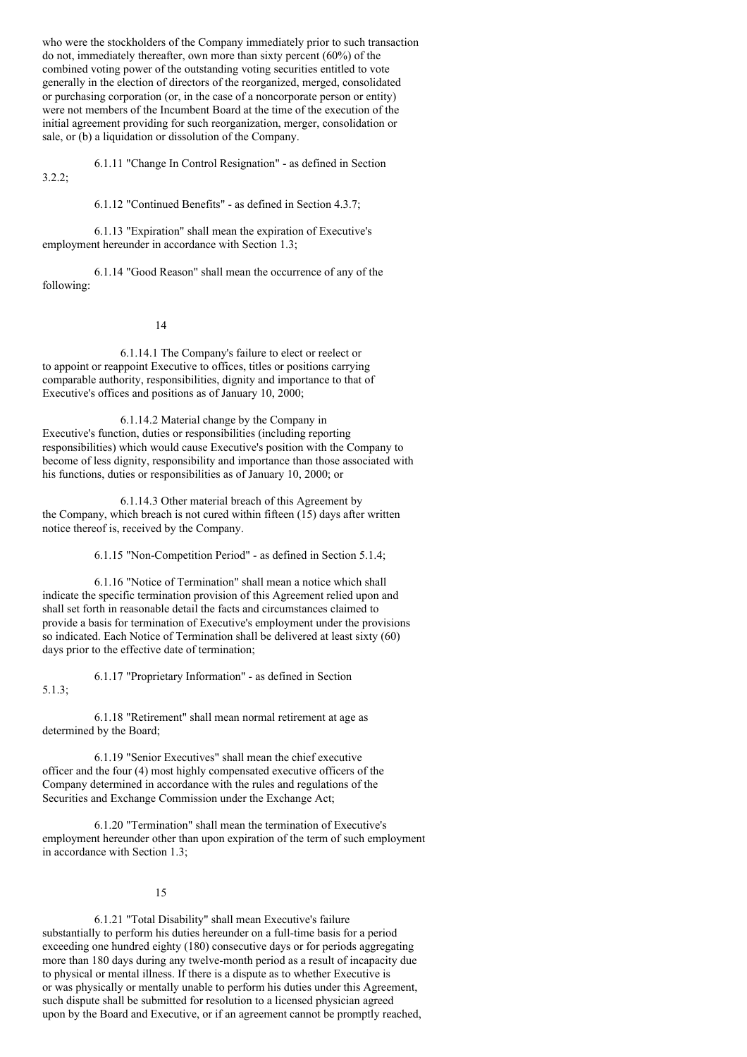who were the stockholders of the Company immediately prior to such transaction do not, immediately thereafter, own more than sixty percent (60%) of the combined voting power of the outstanding voting securities entitled to vote generally in the election of directors of the reorganized, merged, consolidated or purchasing corporation (or, in the case of a noncorporate person or entity) were not members of the Incumbent Board at the time of the execution of the initial agreement providing for such reorganization, merger, consolidation or sale, or (b) a liquidation or dissolution of the Company.

6.1.11 "Change In Control Resignation" - as defined in Section 3.2.2;

6.1.12 "Continued Benefits" - as defined in Section 4.3.7;

6.1.13 "Expiration" shall mean the expiration of Executive's employment hereunder in accordance with Section 1.3;

6.1.14 "Good Reason" shall mean the occurrence of any of the following:

## 14

6.1.14.1 The Company's failure to elect or reelect or to appoint or reappoint Executive to offices, titles or positions carrying comparable authority, responsibilities, dignity and importance to that of Executive's offices and positions as of January 10, 2000;

6.1.14.2 Material change by the Company in Executive's function, duties or responsibilities (including reporting responsibilities) which would cause Executive's position with the Company to become of less dignity, responsibility and importance than those associated with his functions, duties or responsibilities as of January 10, 2000; or

6.1.14.3 Other material breach of this Agreement by the Company, which breach is not cured within fifteen (15) days after written notice thereof is, received by the Company.

6.1.15 "Non-Competition Period" - as defined in Section 5.1.4;

6.1.16 "Notice of Termination" shall mean a notice which shall indicate the specific termination provision of this Agreement relied upon and shall set forth in reasonable detail the facts and circumstances claimed to provide a basis for termination of Executive's employment under the provisions so indicated. Each Notice of Termination shall be delivered at least sixty (60) days prior to the effective date of termination;

6.1.17 "Proprietary Information" - as defined in Section 5.1.3;

6.1.18 "Retirement" shall mean normal retirement at age as determined by the Board;

6.1.19 "Senior Executives" shall mean the chief executive officer and the four (4) most highly compensated executive officers of the Company determined in accordance with the rules and regulations of the Securities and Exchange Commission under the Exchange Act;

6.1.20 "Termination" shall mean the termination of Executive's employment hereunder other than upon expiration of the term of such employment in accordance with Section 1.3;

## 15

6.1.21 "Total Disability" shall mean Executive's failure substantially to perform his duties hereunder on a full-time basis for a period exceeding one hundred eighty (180) consecutive days or for periods aggregating more than 180 days during any twelve-month period as a result of incapacity due to physical or mental illness. If there is a dispute as to whether Executive is or was physically or mentally unable to perform his duties under this Agreement, such dispute shall be submitted for resolution to a licensed physician agreed upon by the Board and Executive, or if an agreement cannot be promptly reached,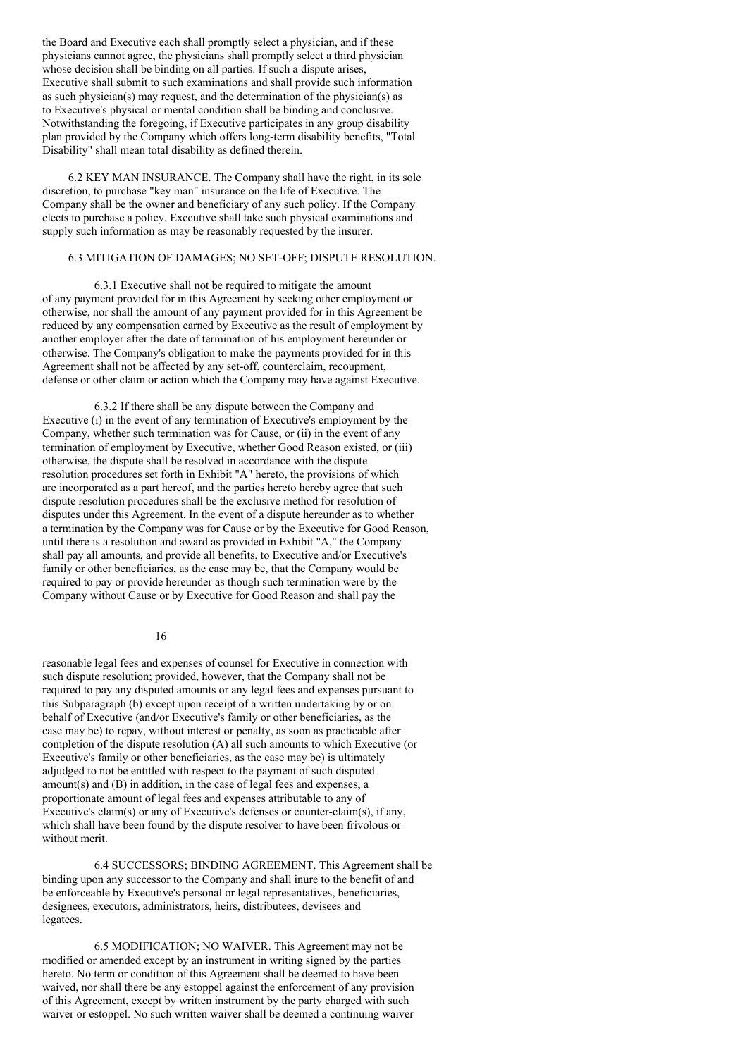the Board and Executive each shall promptly select a physician, and if these physicians cannot agree, the physicians shall promptly select a third physician whose decision shall be binding on all parties. If such a dispute arises, Executive shall submit to such examinations and shall provide such information as such physician(s) may request, and the determination of the physician(s) as to Executive's physical or mental condition shall be binding and conclusive. Notwithstanding the foregoing, if Executive participates in any group disability plan provided by the Company which offers long-term disability benefits, "Total Disability" shall mean total disability as defined therein.

6.2 KEY MAN INSURANCE. The Company shall have the right, in its sole discretion, to purchase "key man" insurance on the life of Executive. The Company shall be the owner and beneficiary of any such policy. If the Company elects to purchase a policy, Executive shall take such physical examinations and supply such information as may be reasonably requested by the insurer.

## 6.3 MITIGATION OF DAMAGES; NO SET-OFF; DISPUTE RESOLUTION.

6.3.1 Executive shall not be required to mitigate the amount of any payment provided for in this Agreement by seeking other employment or otherwise, nor shall the amount of any payment provided for in this Agreement be reduced by any compensation earned by Executive as the result of employment by another employer after the date of termination of his employment hereunder or otherwise. The Company's obligation to make the payments provided for in this Agreement shall not be affected by any set-off, counterclaim, recoupment, defense or other claim or action which the Company may have against Executive.

6.3.2 If there shall be any dispute between the Company and Executive (i) in the event of any termination of Executive's employment by the Company, whether such termination was for Cause, or (ii) in the event of any termination of employment by Executive, whether Good Reason existed, or (iii) otherwise, the dispute shall be resolved in accordance with the dispute resolution procedures set forth in Exhibit "A" hereto, the provisions of which are incorporated as a part hereof, and the parties hereto hereby agree that such dispute resolution procedures shall be the exclusive method for resolution of disputes under this Agreement. In the event of a dispute hereunder as to whether a termination by the Company was for Cause or by the Executive for Good Reason, until there is a resolution and award as provided in Exhibit "A," the Company shall pay all amounts, and provide all benefits, to Executive and/or Executive's family or other beneficiaries, as the case may be, that the Company would be required to pay or provide hereunder as though such termination were by the Company without Cause or by Executive for Good Reason and shall pay the

#### 16

reasonable legal fees and expenses of counsel for Executive in connection with such dispute resolution; provided, however, that the Company shall not be required to pay any disputed amounts or any legal fees and expenses pursuant to this Subparagraph (b) except upon receipt of a written undertaking by or on behalf of Executive (and/or Executive's family or other beneficiaries, as the case may be) to repay, without interest or penalty, as soon as practicable after completion of the dispute resolution (A) all such amounts to which Executive (or Executive's family or other beneficiaries, as the case may be) is ultimately adjudged to not be entitled with respect to the payment of such disputed amount(s) and (B) in addition, in the case of legal fees and expenses, a proportionate amount of legal fees and expenses attributable to any of Executive's claim(s) or any of Executive's defenses or counter-claim(s), if any, which shall have been found by the dispute resolver to have been frivolous or without merit.

6.4 SUCCESSORS; BINDING AGREEMENT. This Agreement shall be binding upon any successor to the Company and shall inure to the benefit of and be enforceable by Executive's personal or legal representatives, beneficiaries, designees, executors, administrators, heirs, distributees, devisees and legatees.

6.5 MODIFICATION; NO WAIVER. This Agreement may not be modified or amended except by an instrument in writing signed by the parties hereto. No term or condition of this Agreement shall be deemed to have been waived, nor shall there be any estoppel against the enforcement of any provision of this Agreement, except by written instrument by the party charged with such waiver or estoppel. No such written waiver shall be deemed a continuing waiver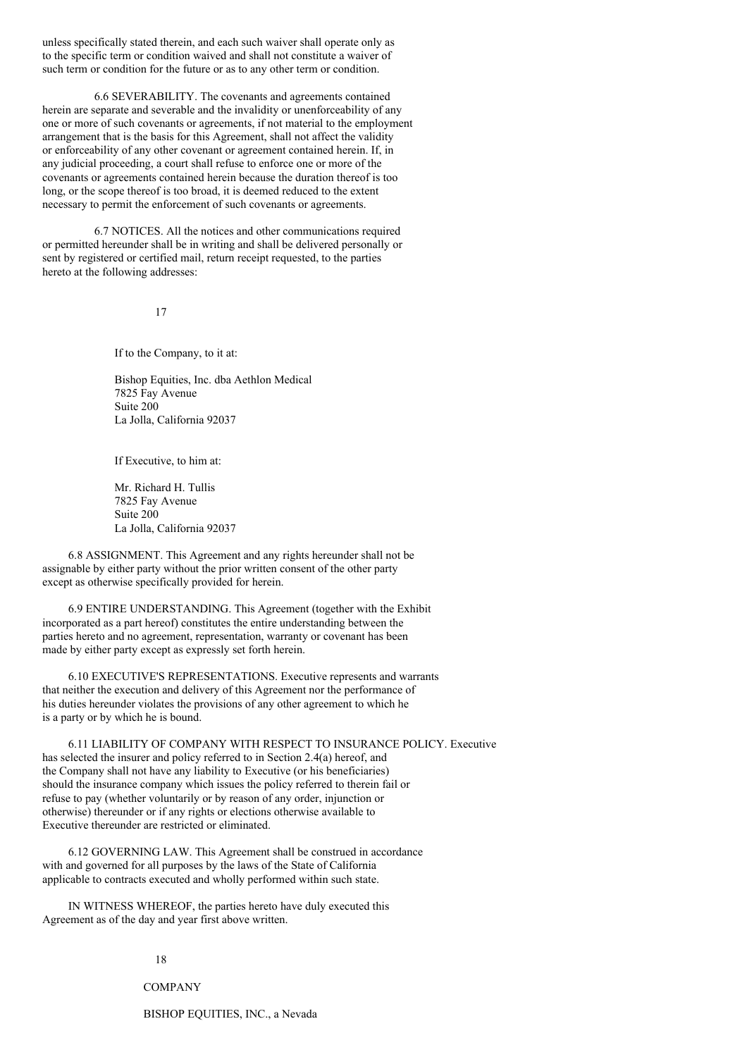unless specifically stated therein, and each such waiver shall operate only as to the specific term or condition waived and shall not constitute a waiver of such term or condition for the future or as to any other term or condition.

6.6 SEVERABILITY. The covenants and agreements contained herein are separate and severable and the invalidity or unenforceability of any one or more of such covenants or agreements, if not material to the employment arrangement that is the basis for this Agreement, shall not affect the validity or enforceability of any other covenant or agreement contained herein. If, in any judicial proceeding, a court shall refuse to enforce one or more of the covenants or agreements contained herein because the duration thereof is too long, or the scope thereof is too broad, it is deemed reduced to the extent necessary to permit the enforcement of such covenants or agreements.

6.7 NOTICES. All the notices and other communications required or permitted hereunder shall be in writing and shall be delivered personally or sent by registered or certified mail, return receipt requested, to the parties hereto at the following addresses:

17

If to the Company, to it at:

Bishop Equities, Inc. dba Aethlon Medical 7825 Fay Avenue Suite 200 La Jolla, California 92037

If Executive, to him at:

Mr. Richard H. Tullis 7825 Fay Avenue Suite 200 La Jolla, California 92037

6.8 ASSIGNMENT. This Agreement and any rights hereunder shall not be assignable by either party without the prior written consent of the other party except as otherwise specifically provided for herein.

6.9 ENTIRE UNDERSTANDING. This Agreement (together with the Exhibit incorporated as a part hereof) constitutes the entire understanding between the parties hereto and no agreement, representation, warranty or covenant has been made by either party except as expressly set forth herein.

6.10 EXECUTIVE'S REPRESENTATIONS. Executive represents and warrants that neither the execution and delivery of this Agreement nor the performance of his duties hereunder violates the provisions of any other agreement to which he is a party or by which he is bound.

6.11 LIABILITY OF COMPANY WITH RESPECT TO INSURANCE POLICY. Executive has selected the insurer and policy referred to in Section 2.4(a) hereof, and the Company shall not have any liability to Executive (or his beneficiaries) should the insurance company which issues the policy referred to therein fail or refuse to pay (whether voluntarily or by reason of any order, injunction or otherwise) thereunder or if any rights or elections otherwise available to Executive thereunder are restricted or eliminated.

6.12 GOVERNING LAW. This Agreement shall be construed in accordance with and governed for all purposes by the laws of the State of California applicable to contracts executed and wholly performed within such state.

IN WITNESS WHEREOF, the parties hereto have duly executed this Agreement as of the day and year first above written.

18

**COMPANY** 

BISHOP EQUITIES, INC., a Nevada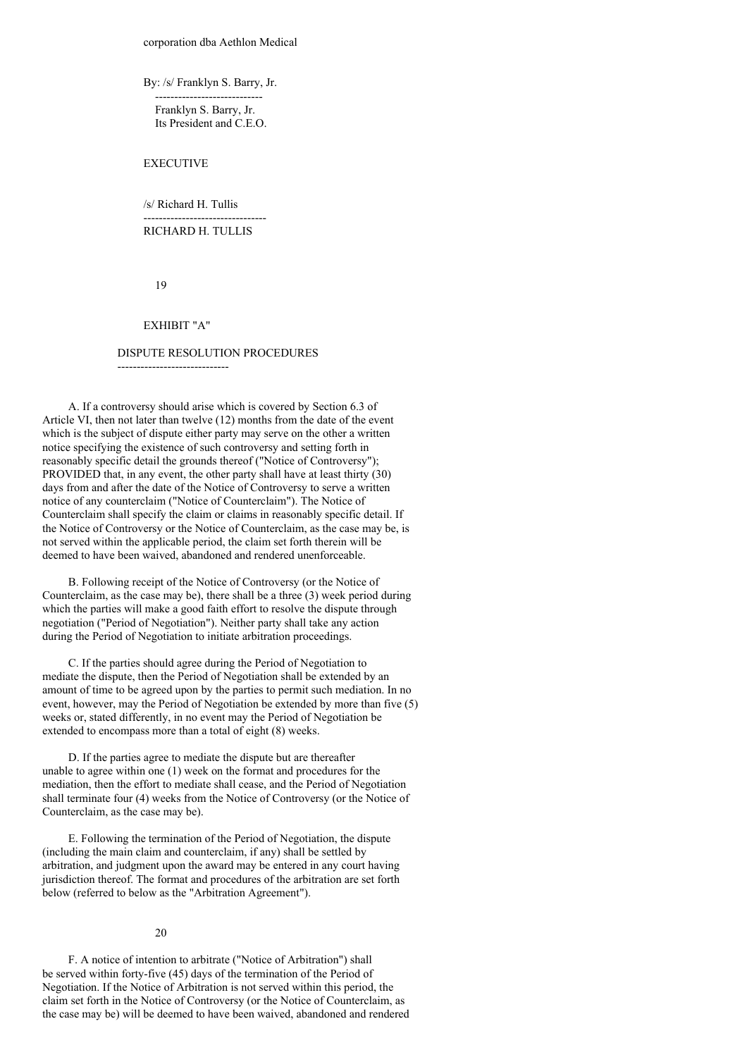By: /s/ Franklyn S. Barry, Jr. ----------------------------

Franklyn S. Barry, Jr. Its President and C.E.O.

**EXECUTIVE** 

/s/ Richard H. Tullis

### -------------------------------- RICHARD H. TULLIS

19

# EXHIBIT "A"

### DISPUTE RESOLUTION PROCEDURES

-----------------------------

A. If a controversy should arise which is covered by Section 6.3 of Article VI, then not later than twelve (12) months from the date of the event which is the subject of dispute either party may serve on the other a written notice specifying the existence of such controversy and setting forth in reasonably specific detail the grounds thereof ("Notice of Controversy"); PROVIDED that, in any event, the other party shall have at least thirty (30) days from and after the date of the Notice of Controversy to serve a written notice of any counterclaim ("Notice of Counterclaim"). The Notice of Counterclaim shall specify the claim or claims in reasonably specific detail. If the Notice of Controversy or the Notice of Counterclaim, as the case may be, is not served within the applicable period, the claim set forth therein will be deemed to have been waived, abandoned and rendered unenforceable.

B. Following receipt of the Notice of Controversy (or the Notice of Counterclaim, as the case may be), there shall be a three (3) week period during which the parties will make a good faith effort to resolve the dispute through negotiation ("Period of Negotiation"). Neither party shall take any action during the Period of Negotiation to initiate arbitration proceedings.

C. If the parties should agree during the Period of Negotiation to mediate the dispute, then the Period of Negotiation shall be extended by an amount of time to be agreed upon by the parties to permit such mediation. In no event, however, may the Period of Negotiation be extended by more than five (5) weeks or, stated differently, in no event may the Period of Negotiation be extended to encompass more than a total of eight (8) weeks.

D. If the parties agree to mediate the dispute but are thereafter unable to agree within one (1) week on the format and procedures for the mediation, then the effort to mediate shall cease, and the Period of Negotiation shall terminate four (4) weeks from the Notice of Controversy (or the Notice of Counterclaim, as the case may be).

E. Following the termination of the Period of Negotiation, the dispute (including the main claim and counterclaim, if any) shall be settled by arbitration, and judgment upon the award may be entered in any court having jurisdiction thereof. The format and procedures of the arbitration are set forth below (referred to below as the "Arbitration Agreement").

#### $20$

F. A notice of intention to arbitrate ("Notice of Arbitration") shall be served within forty-five (45) days of the termination of the Period of Negotiation. If the Notice of Arbitration is not served within this period, the claim set forth in the Notice of Controversy (or the Notice of Counterclaim, as the case may be) will be deemed to have been waived, abandoned and rendered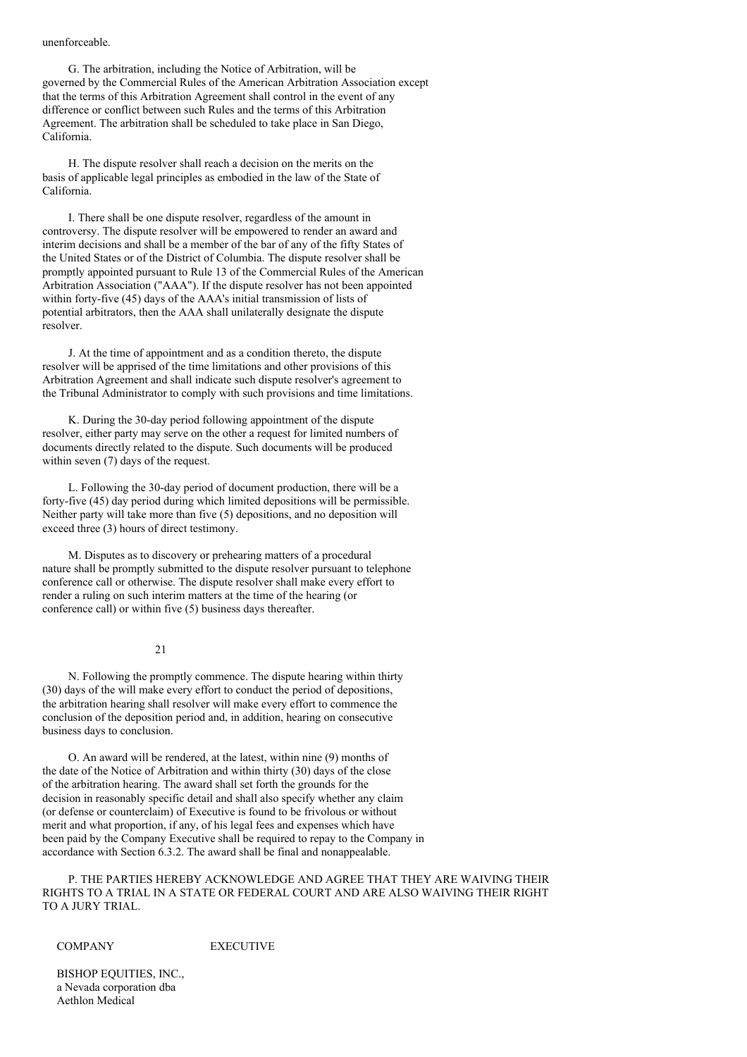unenforceable.

G. The arbitration, including the Notice of Arbitration, will be governed by the Commercial Rules of the American Arbitration Association except that the terms of this Arbitration Agreement shall control in the event of any difference or conflict between such Rules and the terms of this Arbitration Agreement. The arbitration shall be scheduled to take place in San Diego, California.

H. The dispute resolver shall reach a decision on the merits on the basis of applicable legal principles as embodied in the law of the State of California.

I. There shall be one dispute resolver, regardless of the amount in controversy. The dispute resolver will be empowered to render an award and interim decisions and shall be a member of the bar of any of the fifty States of the United States or of the District of Columbia. The dispute resolver shall be promptly appointed pursuant to Rule 13 of the Commercial Rules of the American Arbitration Association ("AAA"). If the dispute resolver has not been appointed within forty-five (45) days of the AAA's initial transmission of lists of potential arbitrators, then the AAA shall unilaterally designate the dispute resolver.

J. At the time of appointment and as a condition thereto, the dispute resolver will be apprised of the time limitations and other provisions of this Arbitration Agreement and shall indicate such dispute resolver's agreement to the Tribunal Administrator to comply with such provisions and time limitations.

K. During the 30-day period following appointment of the dispute resolver, either party may serve on the other a request for limited numbers of documents directly related to the dispute. Such documents will be produced within seven (7) days of the request.

L. Following the 30-day period of document production, there will be a forty-five (45) day period during which limited depositions will be permissible. Neither party will take more than five (5) depositions, and no deposition will exceed three (3) hours of direct testimony.

M. Disputes as to discovery or prehearing matters of a procedural nature shall be promptly submitted to the dispute resolver pursuant to telephone conference call or otherwise. The dispute resolver shall make every effort to render a ruling on such interim matters at the time of the hearing (or conference call) or within five (5) business days thereafter.

### 21

N. Following the promptly commence. The dispute hearing within thirty (30) days of the will make every effort to conduct the period of depositions, the arbitration hearing shall resolver will make every effort to commence the conclusion of the deposition period and, in addition, hearing on consecutive business days to conclusion.

O. An award will be rendered, at the latest, within nine (9) months of the date of the Notice of Arbitration and within thirty (30) days of the close of the arbitration hearing. The award shall set forth the grounds for the decision in reasonably specific detail and shall also specify whether any claim (or defense or counterclaim) of Executive is found to be frivolous or without merit and what proportion, if any, of his legal fees and expenses which have been paid by the Company Executive shall be required to repay to the Company in accordance with Section 6.3.2. The award shall be final and nonappealable.

P. THE PARTIES HEREBY ACKNOWLEDGE AND AGREE THAT THEY ARE WAIVING THEIR RIGHTS TO A TRIAL IN A STATE OR FEDERAL COURT AND ARE ALSO WAIVING THEIR RIGHT TO A JURY TRIAL.

### COMPANY EXECUTIVE

BISHOP EQUITIES, INC., a Nevada corporation dba Aethlon Medical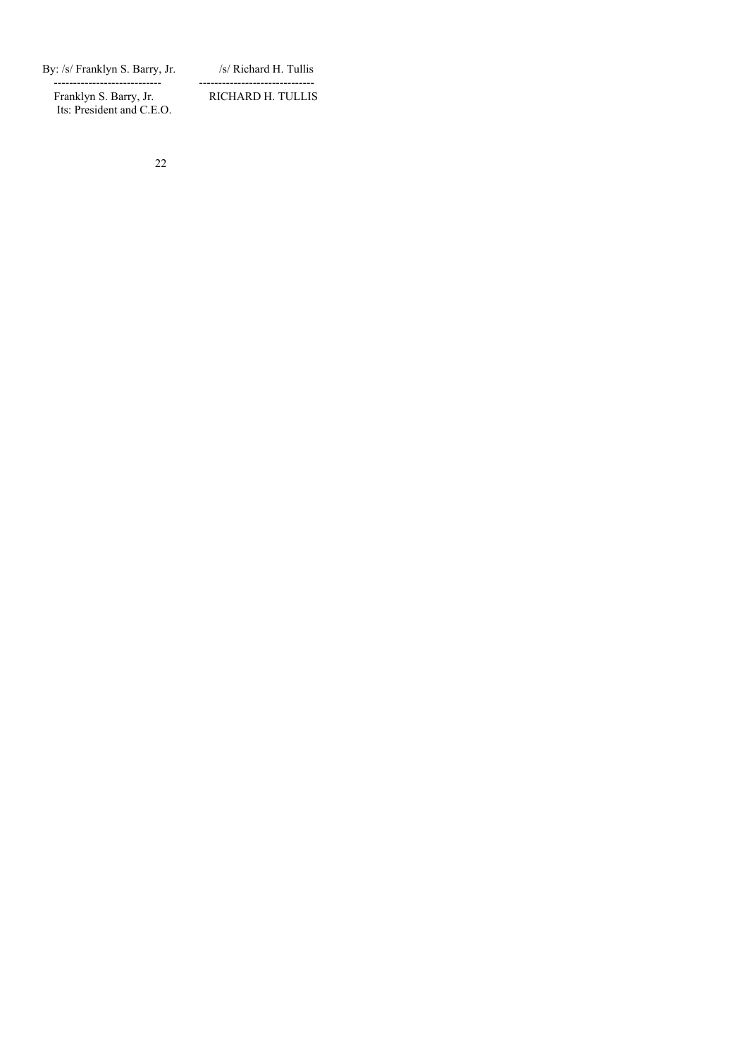By: /s/ Franklyn S. Barry, Jr. /s/ Richard H. Tullis

---------------------------- ------------------------------ Its: President and C.E.O.

RICHARD H. TULLIS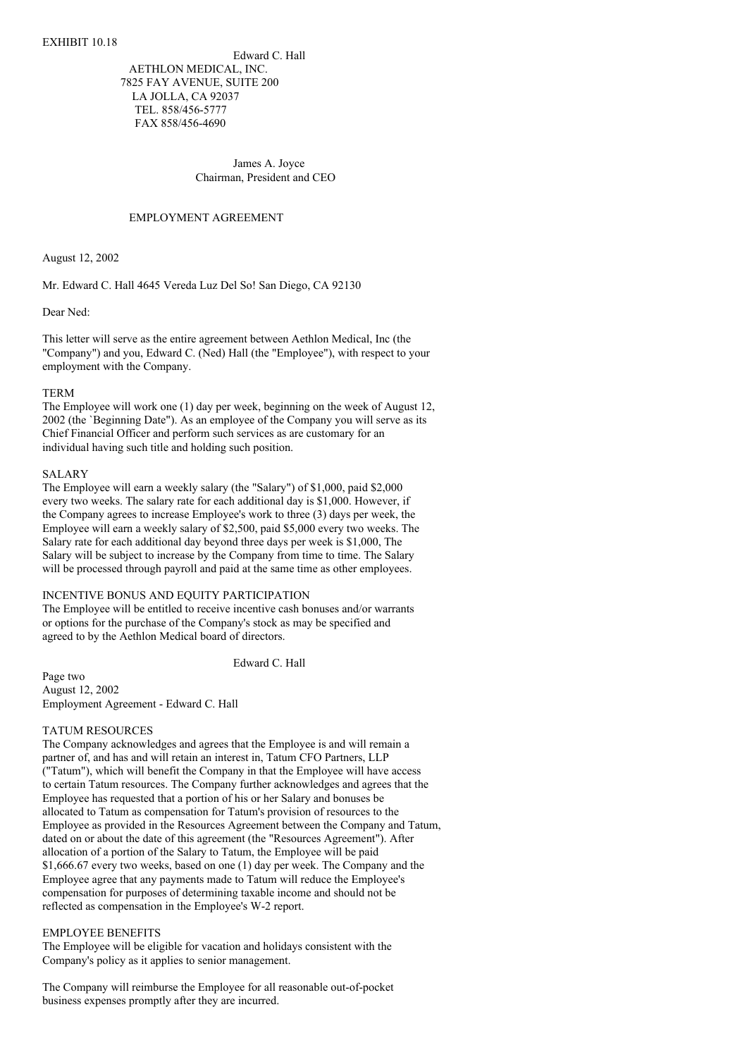# Edward C. Hall

AETHLON MEDICAL, INC. 7825 FAY AVENUE, SUITE 200 LA JOLLA, CA 92037 TEL. 858/456-5777 FAX 858/456-4690

> James A. Joyce Chairman, President and CEO

# EMPLOYMENT AGREEMENT

August 12, 2002

Mr. Edward C. Hall 4645 Vereda Luz Del So! San Diego, CA 92130

Dear Ned:

This letter will serve as the entire agreement between Aethlon Medical, Inc (the "Company") and you, Edward C. (Ned) Hall (the "Employee"), with respect to your employment with the Company.

#### TERM

The Employee will work one (1) day per week, beginning on the week of August 12, 2002 (the `Beginning Date"). As an employee of the Company you will serve as its Chief Financial Officer and perform such services as are customary for an individual having such title and holding such position.

### SALARY

The Employee will earn a weekly salary (the "Salary") of \$1,000, paid \$2,000 every two weeks. The salary rate for each additional day is \$1,000. However, if the Company agrees to increase Employee's work to three (3) days per week, the Employee will earn a weekly salary of \$2,500, paid \$5,000 every two weeks. The Salary rate for each additional day beyond three days per week is \$1,000, The Salary will be subject to increase by the Company from time to time. The Salary will be processed through payroll and paid at the same time as other employees.

### INCENTIVE BONUS AND EQUITY PARTICIPATION

The Employee will be entitled to receive incentive cash bonuses and/or warrants or options for the purchase of the Company's stock as may be specified and agreed to by the Aethlon Medical board of directors.

Edward C. Hall

Page two August 12, 2002 Employment Agreement - Edward C. Hall

# TATUM RESOURCES

The Company acknowledges and agrees that the Employee is and will remain a partner of, and has and will retain an interest in, Tatum CFO Partners, LLP ("Tatum"), which will benefit the Company in that the Employee will have access to certain Tatum resources. The Company further acknowledges and agrees that the Employee has requested that a portion of his or her Salary and bonuses be allocated to Tatum as compensation for Tatum's provision of resources to the Employee as provided in the Resources Agreement between the Company and Tatum, dated on or about the date of this agreement (the "Resources Agreement"). After allocation of a portion of the Salary to Tatum, the Employee will be paid \$1,666.67 every two weeks, based on one (1) day per week. The Company and the Employee agree that any payments made to Tatum will reduce the Employee's compensation for purposes of determining taxable income and should not be reflected as compensation in the Employee's W-2 report.

### EMPLOYEE BENEFITS

The Employee will be eligible for vacation and holidays consistent with the Company's policy as it applies to senior management.

The Company will reimburse the Employee for all reasonable out-of-pocket business expenses promptly after they are incurred.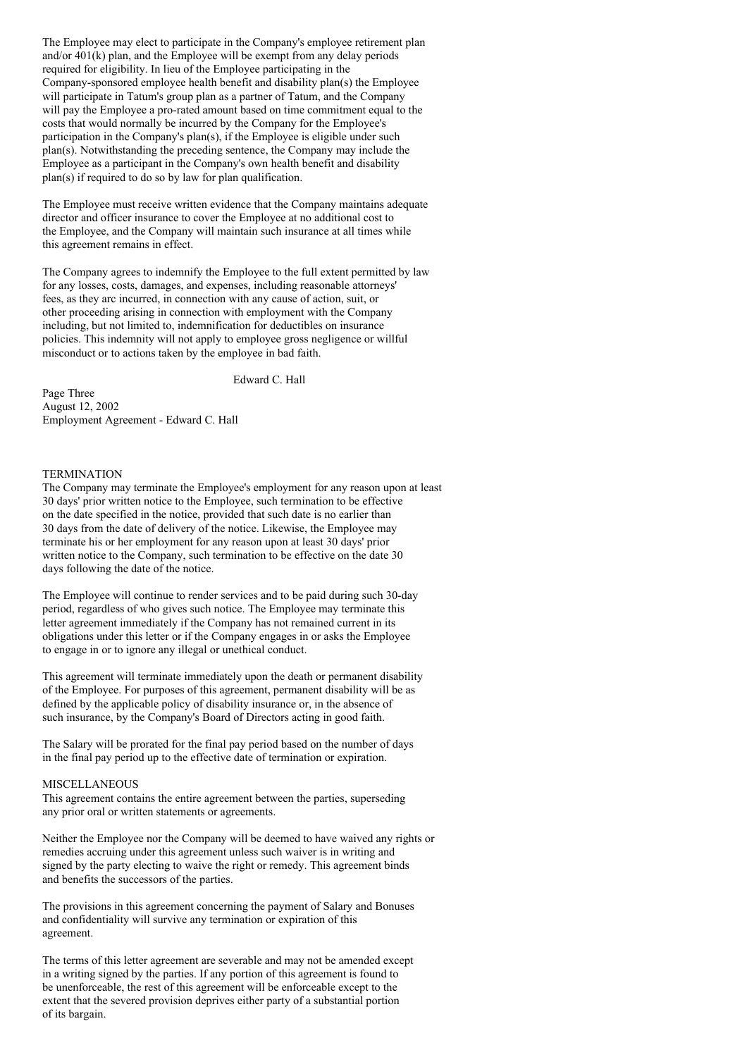The Employee may elect to participate in the Company's employee retirement plan and/or 401(k) plan, and the Employee will be exempt from any delay periods required for eligibility. In lieu of the Employee participating in the Company-sponsored employee health benefit and disability plan(s) the Employee will participate in Tatum's group plan as a partner of Tatum, and the Company will pay the Employee a pro-rated amount based on time commitment equal to the costs that would normally be incurred by the Company for the Employee's participation in the Company's plan(s), if the Employee is eligible under such plan(s). Notwithstanding the preceding sentence, the Company may include the Employee as a participant in the Company's own health benefit and disability plan(s) if required to do so by law for plan qualification.

The Employee must receive written evidence that the Company maintains adequate director and officer insurance to cover the Employee at no additional cost to the Employee, and the Company will maintain such insurance at all times while this agreement remains in effect.

The Company agrees to indemnify the Employee to the full extent permitted by law for any losses, costs, damages, and expenses, including reasonable attorneys' fees, as they arc incurred, in connection with any cause of action, suit, or other proceeding arising in connection with employment with the Company including, but not limited to, indemnification for deductibles on insurance policies. This indemnity will not apply to employee gross negligence or willful misconduct or to actions taken by the employee in bad faith.

Edward C. Hall

Page Three August 12, 2002 Employment Agreement - Edward C. Hall

# TERMINATION

The Company may terminate the Employee's employment for any reason upon at least 30 days' prior written notice to the Employee, such termination to be effective on the date specified in the notice, provided that such date is no earlier than 30 days from the date of delivery of the notice. Likewise, the Employee may terminate his or her employment for any reason upon at least 30 days' prior written notice to the Company, such termination to be effective on the date 30 days following the date of the notice.

The Employee will continue to render services and to be paid during such 30-day period, regardless of who gives such notice. The Employee may terminate this letter agreement immediately if the Company has not remained current in its obligations under this letter or if the Company engages in or asks the Employee to engage in or to ignore any illegal or unethical conduct.

This agreement will terminate immediately upon the death or permanent disability of the Employee. For purposes of this agreement, permanent disability will be as defined by the applicable policy of disability insurance or, in the absence of such insurance, by the Company's Board of Directors acting in good faith.

The Salary will be prorated for the final pay period based on the number of days in the final pay period up to the effective date of termination or expiration.

### MISCELLANEOUS

This agreement contains the entire agreement between the parties, superseding any prior oral or written statements or agreements.

Neither the Employee nor the Company will be deemed to have waived any rights or remedies accruing under this agreement unless such waiver is in writing and signed by the party electing to waive the right or remedy. This agreement binds and benefits the successors of the parties.

The provisions in this agreement concerning the payment of Salary and Bonuses and confidentiality will survive any termination or expiration of this agreement.

The terms of this letter agreement are severable and may not be amended except in a writing signed by the parties. If any portion of this agreement is found to be unenforceable, the rest of this agreement will be enforceable except to the extent that the severed provision deprives either party of a substantial portion of its bargain.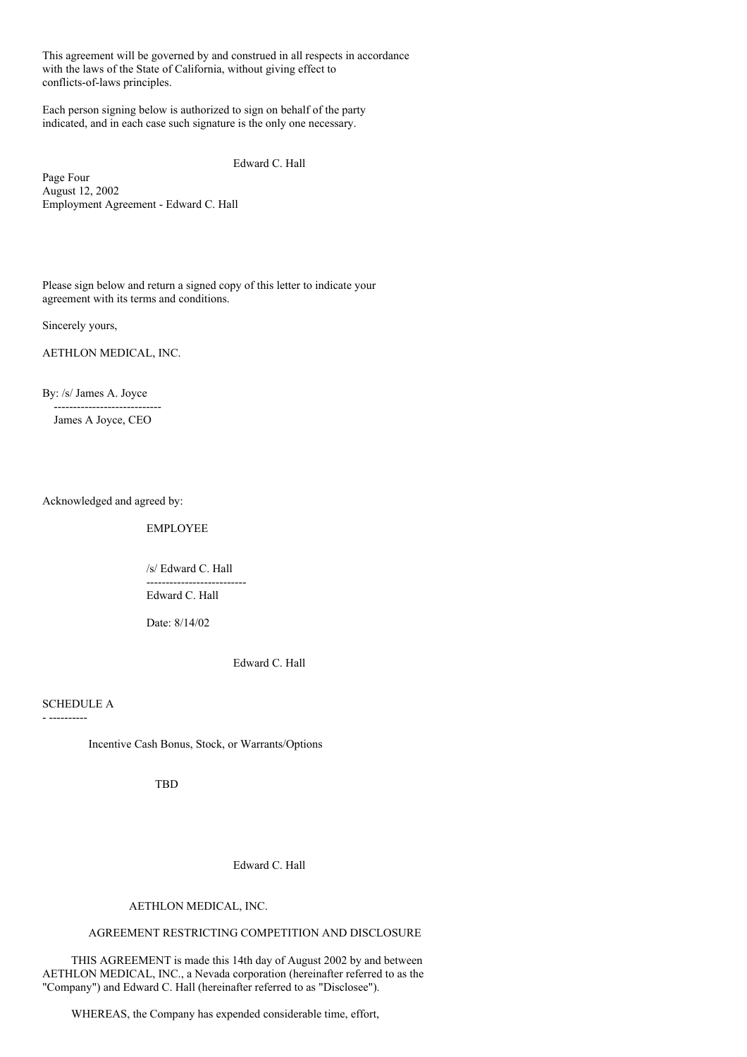This agreement will be governed by and construed in all respects in accordance with the laws of the State of California, without giving effect to conflicts-of-laws principles.

Each person signing below is authorized to sign on behalf of the party indicated, and in each case such signature is the only one necessary.

Edward C. Hall

Page Four August 12, 2002 Employment Agreement - Edward C. Hall

Please sign below and return a signed copy of this letter to indicate your agreement with its terms and conditions.

Sincerely yours,

AETHLON MEDICAL, INC.

By: /s/ James A. Joyce

---------------------------- James A Joyce, CEO

Acknowledged and agreed by:

EMPLOYEE

/s/ Edward C. Hall

-------------------------- Edward C. Hall

Date: 8/14/02

Edward C. Hall

SCHEDULE A

- ----------

Incentive Cash Bonus, Stock, or Warrants/Options

TBD

Edward C. Hall

# AETHLON MEDICAL, INC.

# AGREEMENT RESTRICTING COMPETITION AND DISCLOSURE

THIS AGREEMENT is made this 14th day of August 2002 by and between AETHLON MEDICAL, INC., a Nevada corporation (hereinafter referred to as the "Company") and Edward C. Hall (hereinafter referred to as "Disclosee").

WHEREAS, the Company has expended considerable time, effort,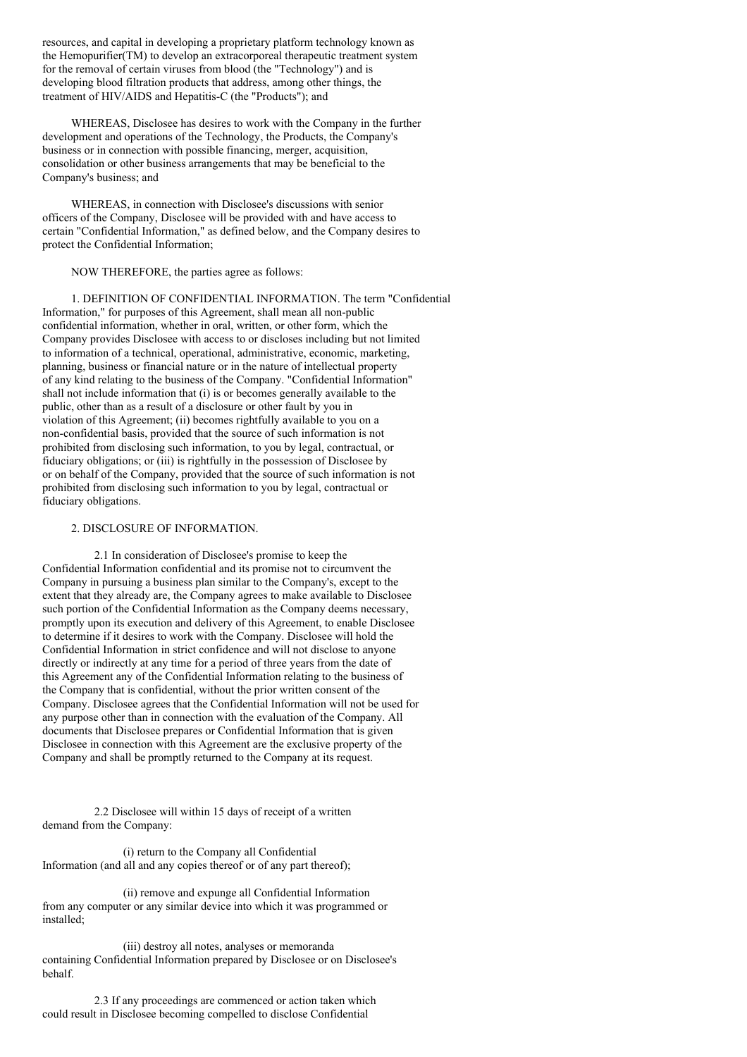resources, and capital in developing a proprietary platform technology known as the Hemopurifier(TM) to develop an extracorporeal therapeutic treatment system for the removal of certain viruses from blood (the "Technology") and is developing blood filtration products that address, among other things, the treatment of HIV/AIDS and Hepatitis-C (the "Products"); and

WHEREAS, Disclosee has desires to work with the Company in the further development and operations of the Technology, the Products, the Company's business or in connection with possible financing, merger, acquisition, consolidation or other business arrangements that may be beneficial to the Company's business; and

WHEREAS, in connection with Disclosee's discussions with senior officers of the Company, Disclosee will be provided with and have access to certain "Confidential Information," as defined below, and the Company desires to protect the Confidential Information;

NOW THEREFORE, the parties agree as follows:

1. DEFINITION OF CONFIDENTIAL INFORMATION. The term "Confidential Information," for purposes of this Agreement, shall mean all non-public confidential information, whether in oral, written, or other form, which the Company provides Disclosee with access to or discloses including but not limited to information of a technical, operational, administrative, economic, marketing, planning, business or financial nature or in the nature of intellectual property of any kind relating to the business of the Company. "Confidential Information" shall not include information that (i) is or becomes generally available to the public, other than as a result of a disclosure or other fault by you in violation of this Agreement; (ii) becomes rightfully available to you on a non-confidential basis, provided that the source of such information is not prohibited from disclosing such information, to you by legal, contractual, or fiduciary obligations; or (iii) is rightfully in the possession of Disclosee by or on behalf of the Company, provided that the source of such information is not prohibited from disclosing such information to you by legal, contractual or fiduciary obligations.

# 2. DISCLOSURE OF INFORMATION.

2.1 In consideration of Disclosee's promise to keep the Confidential Information confidential and its promise not to circumvent the Company in pursuing a business plan similar to the Company's, except to the extent that they already are, the Company agrees to make available to Disclosee such portion of the Confidential Information as the Company deems necessary, promptly upon its execution and delivery of this Agreement, to enable Disclosee to determine if it desires to work with the Company. Disclosee will hold the Confidential Information in strict confidence and will not disclose to anyone directly or indirectly at any time for a period of three years from the date of this Agreement any of the Confidential Information relating to the business of the Company that is confidential, without the prior written consent of the Company. Disclosee agrees that the Confidential Information will not be used for any purpose other than in connection with the evaluation of the Company. All documents that Disclosee prepares or Confidential Information that is given Disclosee in connection with this Agreement are the exclusive property of the Company and shall be promptly returned to the Company at its request.

2.2 Disclosee will within 15 days of receipt of a written demand from the Company:

(i) return to the Company all Confidential Information (and all and any copies thereof or of any part thereof);

(ii) remove and expunge all Confidential Information from any computer or any similar device into which it was programmed or installed;

(iii) destroy all notes, analyses or memoranda containing Confidential Information prepared by Disclosee or on Disclosee's behalf.

2.3 If any proceedings are commenced or action taken which could result in Disclosee becoming compelled to disclose Confidential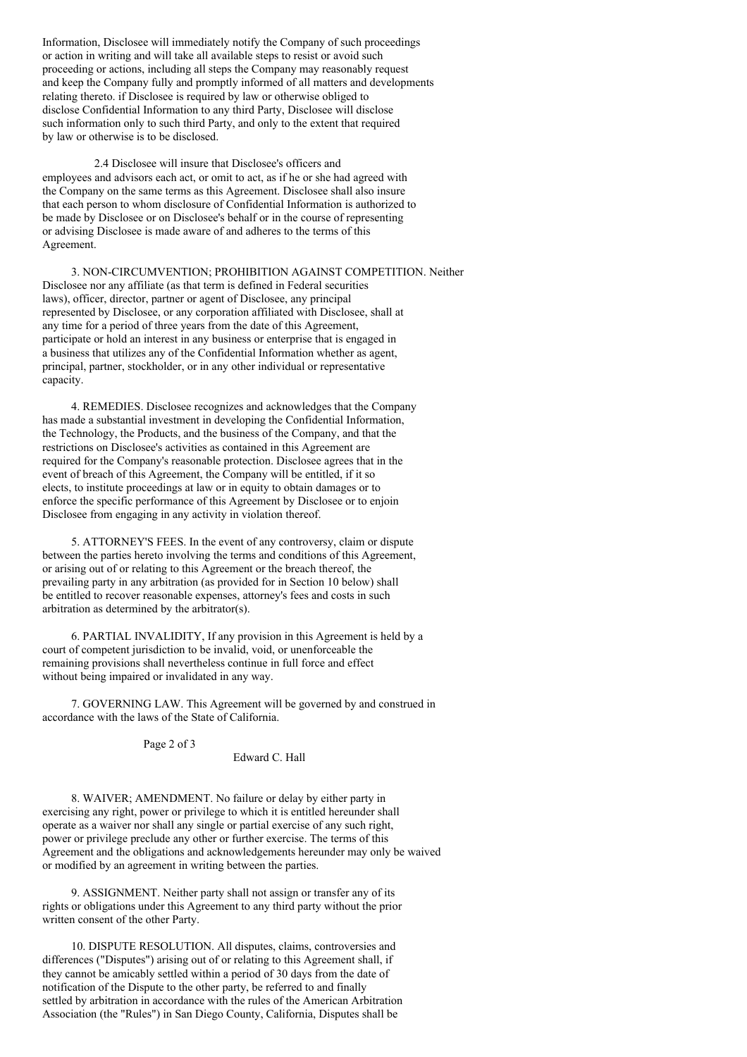Information, Disclosee will immediately notify the Company of such proceedings or action in writing and will take all available steps to resist or avoid such proceeding or actions, including all steps the Company may reasonably request and keep the Company fully and promptly informed of all matters and developments relating thereto. if Disclosee is required by law or otherwise obliged to disclose Confidential Information to any third Party, Disclosee will disclose such information only to such third Party, and only to the extent that required by law or otherwise is to be disclosed.

2.4 Disclosee will insure that Disclosee's officers and employees and advisors each act, or omit to act, as if he or she had agreed with the Company on the same terms as this Agreement. Disclosee shall also insure that each person to whom disclosure of Confidential Information is authorized to be made by Disclosee or on Disclosee's behalf or in the course of representing or advising Disclosee is made aware of and adheres to the terms of this Agreement.

3. NON-CIRCUMVENTION; PROHIBITION AGAINST COMPETITION. Neither Disclosee nor any affiliate (as that term is defined in Federal securities laws), officer, director, partner or agent of Disclosee, any principal represented by Disclosee, or any corporation affiliated with Disclosee, shall at any time for a period of three years from the date of this Agreement, participate or hold an interest in any business or enterprise that is engaged in a business that utilizes any of the Confidential Information whether as agent, principal, partner, stockholder, or in any other individual or representative capacity.

4. REMEDIES. Disclosee recognizes and acknowledges that the Company has made a substantial investment in developing the Confidential Information, the Technology, the Products, and the business of the Company, and that the restrictions on Disclosee's activities as contained in this Agreement are required for the Company's reasonable protection. Disclosee agrees that in the event of breach of this Agreement, the Company will be entitled, if it so elects, to institute proceedings at law or in equity to obtain damages or to enforce the specific performance of this Agreement by Disclosee or to enjoin Disclosee from engaging in any activity in violation thereof.

5. ATTORNEY'S FEES. In the event of any controversy, claim or dispute between the parties hereto involving the terms and conditions of this Agreement, or arising out of or relating to this Agreement or the breach thereof, the prevailing party in any arbitration (as provided for in Section 10 below) shall be entitled to recover reasonable expenses, attorney's fees and costs in such arbitration as determined by the arbitrator(s).

6. PARTIAL INVALIDITY, If any provision in this Agreement is held by a court of competent jurisdiction to be invalid, void, or unenforceable the remaining provisions shall nevertheless continue in full force and effect without being impaired or invalidated in any way.

7. GOVERNING LAW. This Agreement will be governed by and construed in accordance with the laws of the State of California.

Page 2 of 3

### Edward C. Hall

8. WAIVER; AMENDMENT. No failure or delay by either party in exercising any right, power or privilege to which it is entitled hereunder shall operate as a waiver nor shall any single or partial exercise of any such right, power or privilege preclude any other or further exercise. The terms of this Agreement and the obligations and acknowledgements hereunder may only be waived or modified by an agreement in writing between the parties.

9. ASSIGNMENT. Neither party shall not assign or transfer any of its rights or obligations under this Agreement to any third party without the prior written consent of the other Party.

10. DISPUTE RESOLUTION. All disputes, claims, controversies and differences ("Disputes") arising out of or relating to this Agreement shall, if they cannot be amicably settled within a period of 30 days from the date of notification of the Dispute to the other party, be referred to and finally settled by arbitration in accordance with the rules of the American Arbitration Association (the "Rules") in San Diego County, California, Disputes shall be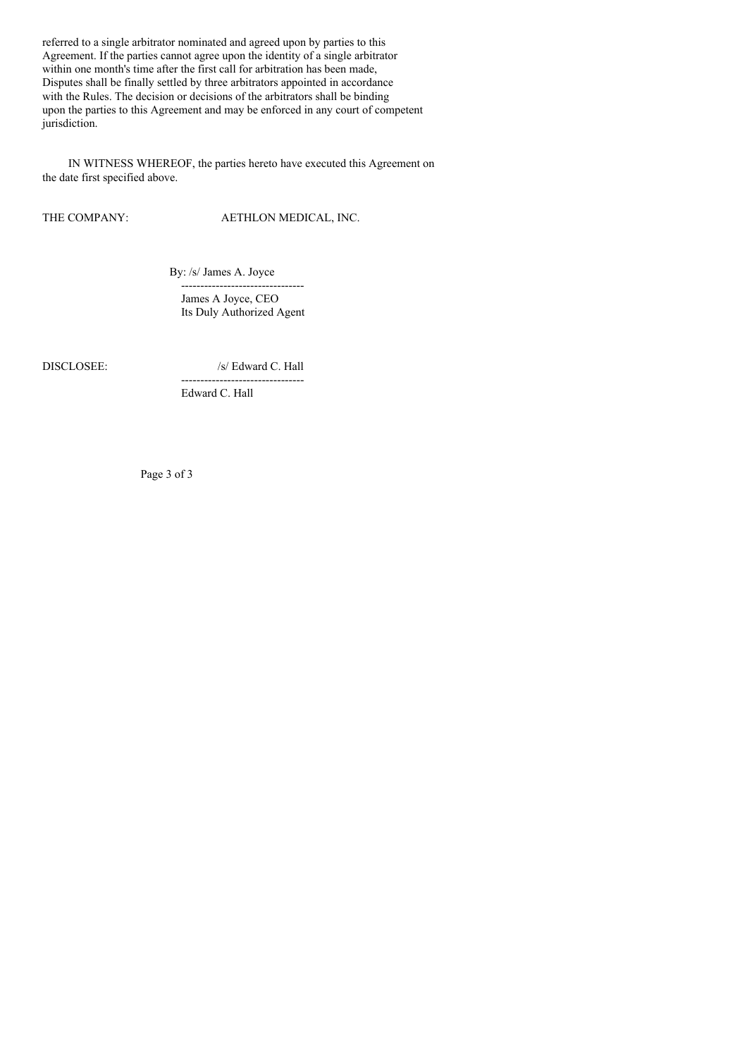referred to a single arbitrator nominated and agreed upon by parties to this Agreement. If the parties cannot agree upon the identity of a single arbitrator within one month's time after the first call for arbitration has been made, Disputes shall be finally settled by three arbitrators appointed in accordance with the Rules. The decision or decisions of the arbitrators shall be binding upon the parties to this Agreement and may be enforced in any court of competent jurisdiction.

IN WITNESS WHEREOF, the parties hereto have executed this Agreement on the date first specified above.

THE COMPANY: AETHLON MEDICAL, INC.

By: /s/ James A. Joyce

-------------------------------- James A Joyce, CEO Its Duly Authorized Agent

DISCLOSEE: /s/ Edward C. Hall

-------------------------------- Edward C. Hall

Page 3 of 3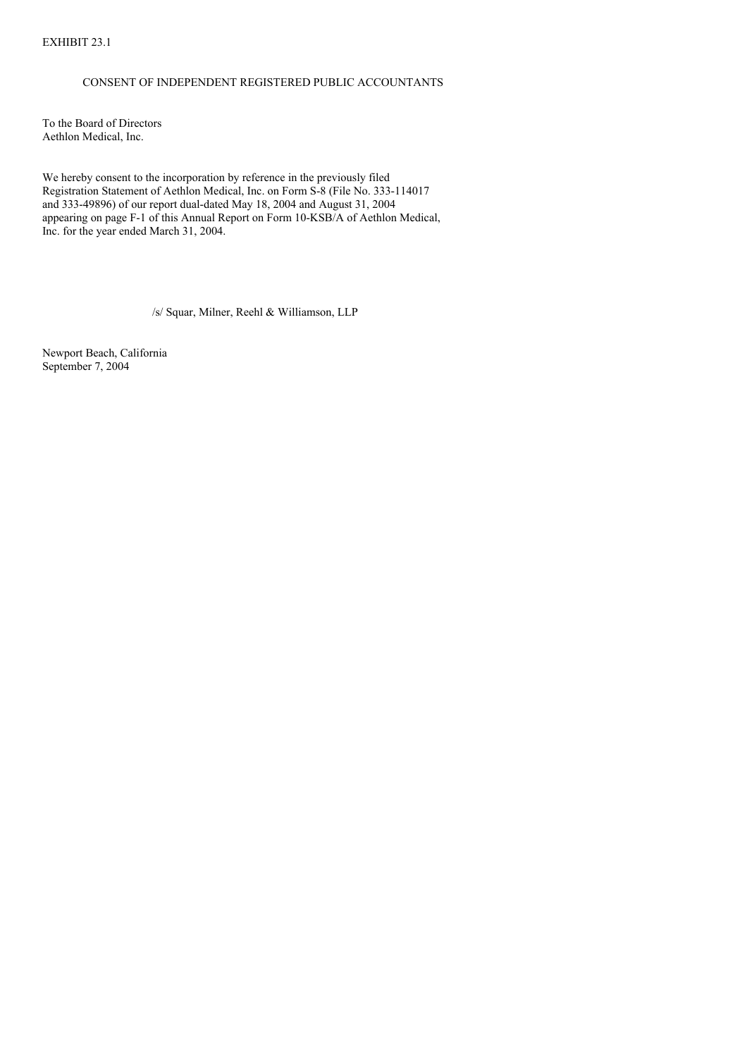CONSENT OF INDEPENDENT REGISTERED PUBLIC ACCOUNTANTS

To the Board of Directors Aethlon Medical, Inc.

We hereby consent to the incorporation by reference in the previously filed Registration Statement of Aethlon Medical, Inc. on Form S-8 (File No. 333-114017 and 333-49896) of our report dual-dated May 18, 2004 and August 31, 2004 appearing on page F-1 of this Annual Report on Form 10-KSB/A of Aethlon Medical, Inc. for the year ended March 31, 2004.

/s/ Squar, Milner, Reehl & Williamson, LLP

Newport Beach, California September 7, 2004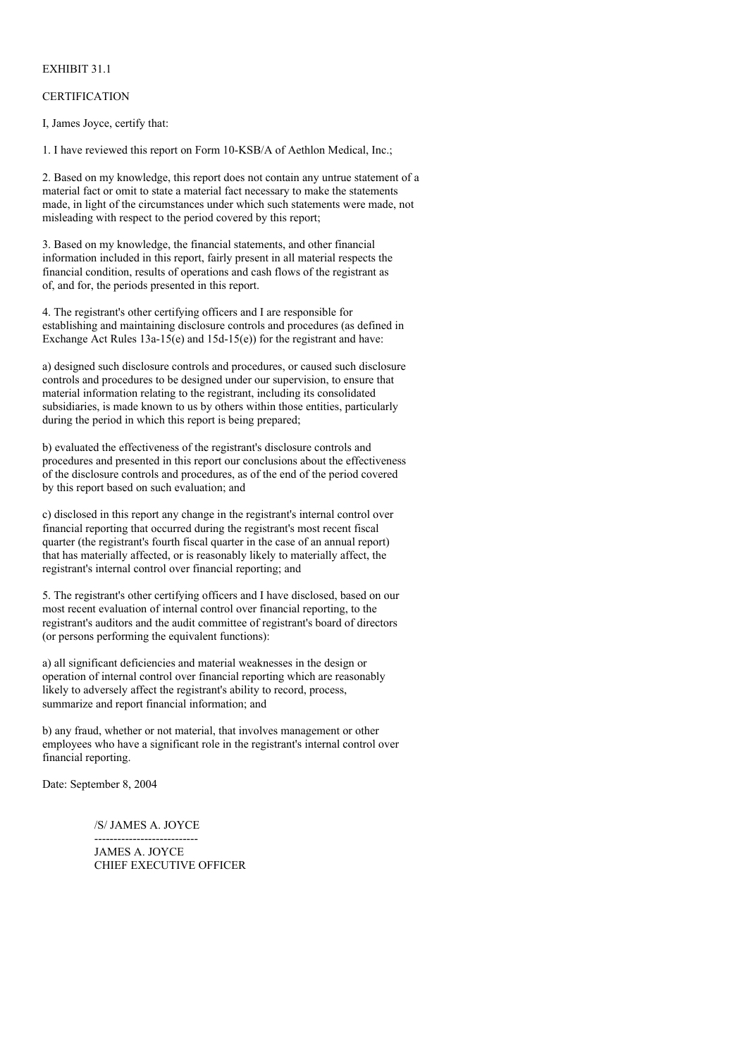# EXHIBIT 31.1

# **CERTIFICATION**

I, James Joyce, certify that:

1. I have reviewed this report on Form 10-KSB/A of Aethlon Medical, Inc.;

2. Based on my knowledge, this report does not contain any untrue statement of a material fact or omit to state a material fact necessary to make the statements made, in light of the circumstances under which such statements were made, not misleading with respect to the period covered by this report;

3. Based on my knowledge, the financial statements, and other financial information included in this report, fairly present in all material respects the financial condition, results of operations and cash flows of the registrant as of, and for, the periods presented in this report.

4. The registrant's other certifying officers and I are responsible for establishing and maintaining disclosure controls and procedures (as defined in Exchange Act Rules  $13a-15(e)$  and  $15d-15(e)$  for the registrant and have:

a) designed such disclosure controls and procedures, or caused such disclosure controls and procedures to be designed under our supervision, to ensure that material information relating to the registrant, including its consolidated subsidiaries, is made known to us by others within those entities, particularly during the period in which this report is being prepared;

b) evaluated the effectiveness of the registrant's disclosure controls and procedures and presented in this report our conclusions about the effectiveness of the disclosure controls and procedures, as of the end of the period covered by this report based on such evaluation; and

c) disclosed in this report any change in the registrant's internal control over financial reporting that occurred during the registrant's most recent fiscal quarter (the registrant's fourth fiscal quarter in the case of an annual report) that has materially affected, or is reasonably likely to materially affect, the registrant's internal control over financial reporting; and

5. The registrant's other certifying officers and I have disclosed, based on our most recent evaluation of internal control over financial reporting, to the registrant's auditors and the audit committee of registrant's board of directors (or persons performing the equivalent functions):

a) all significant deficiencies and material weaknesses in the design or operation of internal control over financial reporting which are reasonably likely to adversely affect the registrant's ability to record, process, summarize and report financial information; and

b) any fraud, whether or not material, that involves management or other employees who have a significant role in the registrant's internal control over financial reporting.

Date: September 8, 2004

/S/ JAMES A. JOYCE

--------------------------- JAMES A. JOYCE CHIEF EXECUTIVE OFFICER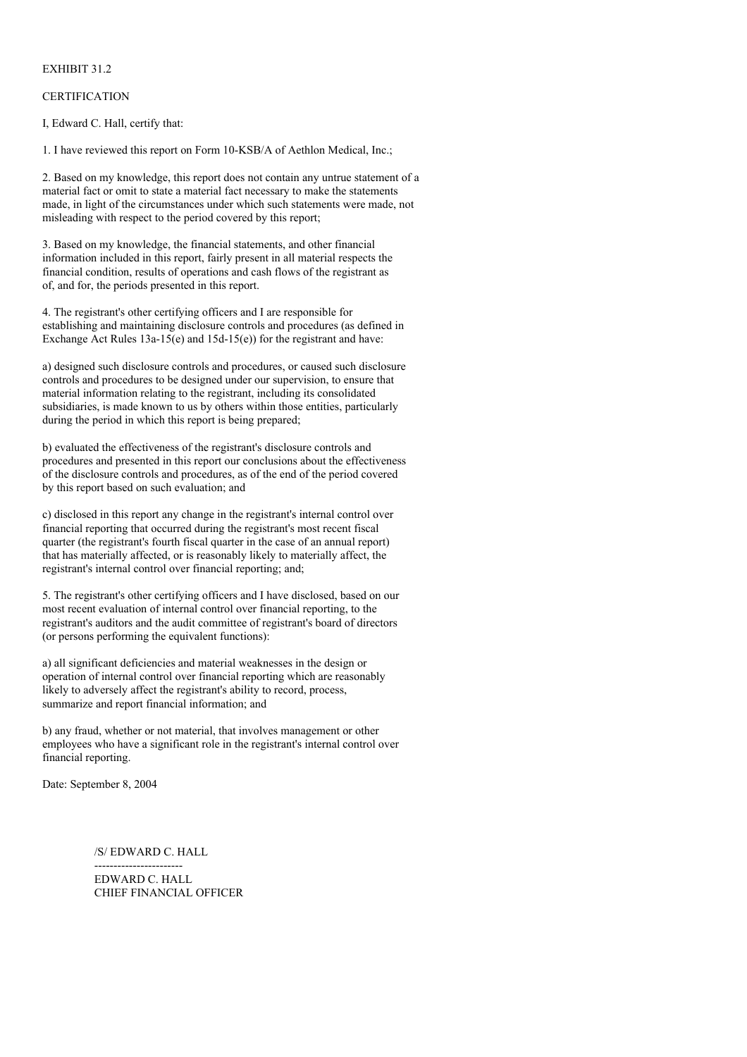# EXHIBIT 31.2

# **CERTIFICATION**

I, Edward C. Hall, certify that:

1. I have reviewed this report on Form 10-KSB/A of Aethlon Medical, Inc.;

2. Based on my knowledge, this report does not contain any untrue statement of a material fact or omit to state a material fact necessary to make the statements made, in light of the circumstances under which such statements were made, not misleading with respect to the period covered by this report;

3. Based on my knowledge, the financial statements, and other financial information included in this report, fairly present in all material respects the financial condition, results of operations and cash flows of the registrant as of, and for, the periods presented in this report.

4. The registrant's other certifying officers and I are responsible for establishing and maintaining disclosure controls and procedures (as defined in Exchange Act Rules  $13a-15(e)$  and  $15d-15(e)$  for the registrant and have:

a) designed such disclosure controls and procedures, or caused such disclosure controls and procedures to be designed under our supervision, to ensure that material information relating to the registrant, including its consolidated subsidiaries, is made known to us by others within those entities, particularly during the period in which this report is being prepared;

b) evaluated the effectiveness of the registrant's disclosure controls and procedures and presented in this report our conclusions about the effectiveness of the disclosure controls and procedures, as of the end of the period covered by this report based on such evaluation; and

c) disclosed in this report any change in the registrant's internal control over financial reporting that occurred during the registrant's most recent fiscal quarter (the registrant's fourth fiscal quarter in the case of an annual report) that has materially affected, or is reasonably likely to materially affect, the registrant's internal control over financial reporting; and;

5. The registrant's other certifying officers and I have disclosed, based on our most recent evaluation of internal control over financial reporting, to the registrant's auditors and the audit committee of registrant's board of directors (or persons performing the equivalent functions):

a) all significant deficiencies and material weaknesses in the design or operation of internal control over financial reporting which are reasonably likely to adversely affect the registrant's ability to record, process, summarize and report financial information; and

b) any fraud, whether or not material, that involves management or other employees who have a significant role in the registrant's internal control over financial reporting.

Date: September 8, 2004

/S/ EDWARD C. HALL

----------------------- EDWARD C. HALL CHIEF FINANCIAL OFFICER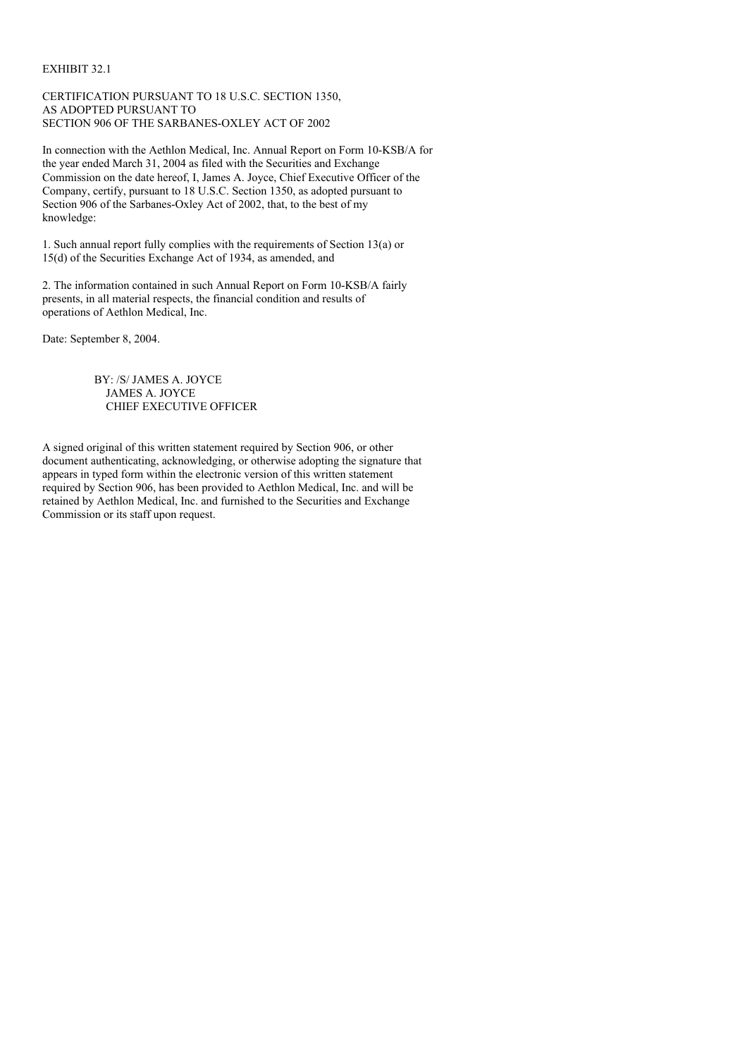### EXHIBIT 32.1

CERTIFICATION PURSUANT TO 18 U.S.C. SECTION 1350, AS ADOPTED PURSUANT TO SECTION 906 OF THE SARBANES-OXLEY ACT OF 2002

In connection with the Aethlon Medical, Inc. Annual Report on Form 10-KSB/A for the year ended March 31, 2004 as filed with the Securities and Exchange Commission on the date hereof, I, James A. Joyce, Chief Executive Officer of the Company, certify, pursuant to 18 U.S.C. Section 1350, as adopted pursuant to Section 906 of the Sarbanes-Oxley Act of 2002, that, to the best of my knowledge:

1. Such annual report fully complies with the requirements of Section 13(a) or 15(d) of the Securities Exchange Act of 1934, as amended, and

2. The information contained in such Annual Report on Form 10-KSB/A fairly presents, in all material respects, the financial condition and results of operations of Aethlon Medical, Inc.

Date: September 8, 2004.

BY: /S/ JAMES A. JOYCE JAMES A. JOYCE CHIEF EXECUTIVE OFFICER

A signed original of this written statement required by Section 906, or other document authenticating, acknowledging, or otherwise adopting the signature that appears in typed form within the electronic version of this written statement required by Section 906, has been provided to Aethlon Medical, Inc. and will be retained by Aethlon Medical, Inc. and furnished to the Securities and Exchange Commission or its staff upon request.